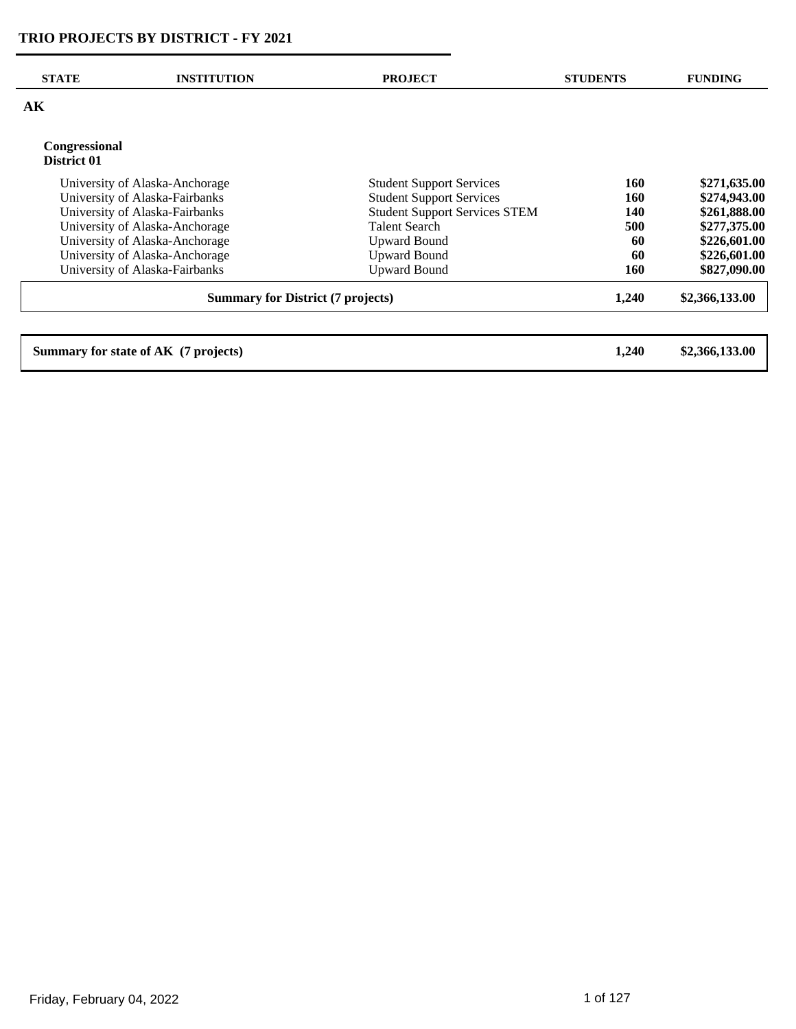| <b>STATE</b>                 | <b>INSTITUTION</b>                       | <b>PROJECT</b>                       | <b>STUDENTS</b> | <b>FUNDING</b> |
|------------------------------|------------------------------------------|--------------------------------------|-----------------|----------------|
| AK                           |                                          |                                      |                 |                |
| Congressional<br>District 01 |                                          |                                      |                 |                |
|                              | University of Alaska-Anchorage           | <b>Student Support Services</b>      | 160             | \$271,635.00   |
|                              | University of Alaska-Fairbanks           | <b>Student Support Services</b>      | 160             | \$274,943.00   |
|                              | University of Alaska-Fairbanks           | <b>Student Support Services STEM</b> | <b>140</b>      | \$261,888.00   |
|                              | University of Alaska-Anchorage           | <b>Talent Search</b>                 | 500             | \$277,375.00   |
|                              | University of Alaska-Anchorage           | <b>Upward Bound</b>                  | 60              | \$226,601.00   |
|                              | University of Alaska-Anchorage           | <b>Upward Bound</b>                  | 60              | \$226,601.00   |
|                              | University of Alaska-Fairbanks           | <b>Upward Bound</b>                  | 160             | \$827,090.00   |
|                              | <b>Summary for District (7 projects)</b> |                                      | 1,240           | \$2,366,133.00 |
|                              |                                          |                                      |                 |                |
|                              | Summary for state of AK (7 projects)     |                                      | 1,240           | \$2,366,133.00 |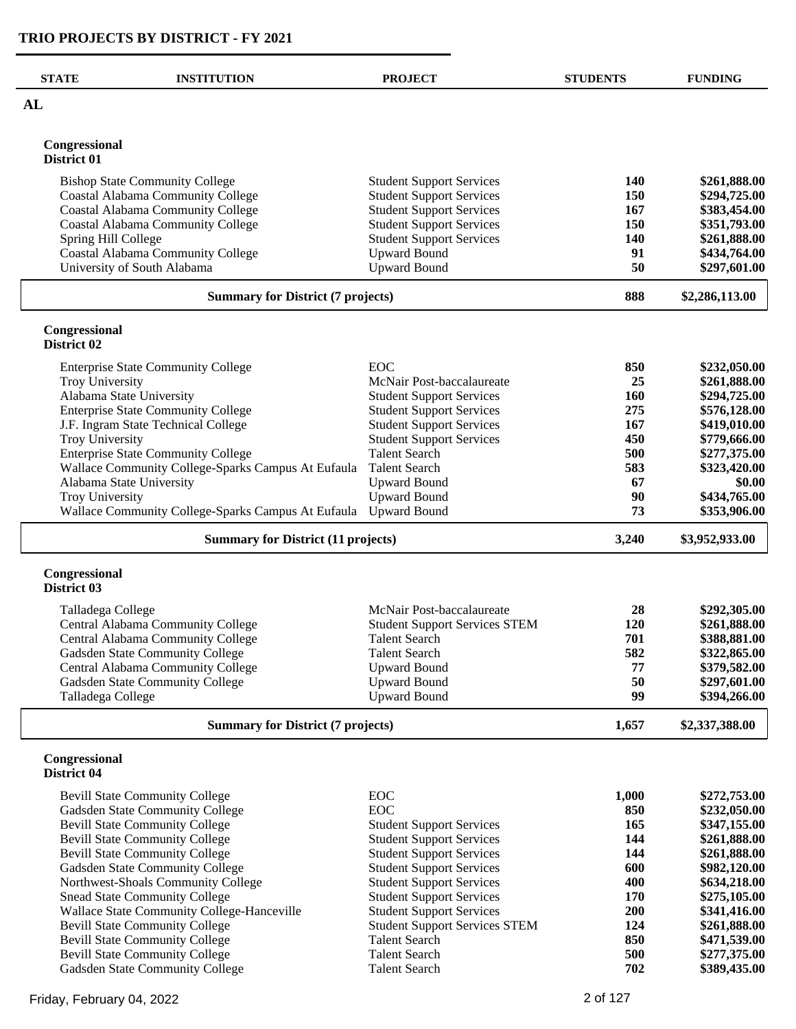| <b>STATE</b>                 | <b>INSTITUTION</b>                                 | <b>PROJECT</b>                       | <b>STUDENTS</b> | <b>FUNDING</b> |
|------------------------------|----------------------------------------------------|--------------------------------------|-----------------|----------------|
| AL                           |                                                    |                                      |                 |                |
| Congressional<br>District 01 |                                                    |                                      |                 |                |
|                              | <b>Bishop State Community College</b>              | <b>Student Support Services</b>      | <b>140</b>      | \$261,888.00   |
|                              | <b>Coastal Alabama Community College</b>           | <b>Student Support Services</b>      | 150             | \$294,725.00   |
|                              | <b>Coastal Alabama Community College</b>           | <b>Student Support Services</b>      | 167             | \$383,454.00   |
|                              | <b>Coastal Alabama Community College</b>           | <b>Student Support Services</b>      | 150             | \$351,793.00   |
| Spring Hill College          |                                                    | <b>Student Support Services</b>      | 140             | \$261,888.00   |
|                              | Coastal Alabama Community College                  | <b>Upward Bound</b>                  | 91              | \$434,764.00   |
|                              | University of South Alabama                        | <b>Upward Bound</b>                  | 50              | \$297,601.00   |
|                              | <b>Summary for District (7 projects)</b>           |                                      | 888             | \$2,286,113.00 |
| Congressional<br>District 02 |                                                    |                                      |                 |                |
|                              | <b>Enterprise State Community College</b>          | EOC                                  | 850             | \$232,050.00   |
| Troy University              |                                                    | McNair Post-baccalaureate            | 25              | \$261,888.00   |
|                              | Alabama State University                           | <b>Student Support Services</b>      | 160             | \$294,725.00   |
|                              | <b>Enterprise State Community College</b>          | <b>Student Support Services</b>      | 275             | \$576,128.00   |
|                              | J.F. Ingram State Technical College                | <b>Student Support Services</b>      | 167             | \$419,010.00   |
| Troy University              |                                                    | <b>Student Support Services</b>      | 450             | \$779,666.00   |
|                              | <b>Enterprise State Community College</b>          | <b>Talent Search</b>                 | 500             | \$277,375.00   |
|                              | Wallace Community College-Sparks Campus At Eufaula | <b>Talent Search</b>                 | 583             | \$323,420.00   |
|                              | Alabama State University                           | <b>Upward Bound</b>                  | 67              | \$0.00         |
| Troy University              |                                                    | <b>Upward Bound</b>                  | 90              | \$434,765.00   |
|                              | Wallace Community College-Sparks Campus At Eufaula | <b>Upward Bound</b>                  | 73              | \$353,906.00   |
|                              | <b>Summary for District (11 projects)</b>          |                                      | 3,240           | \$3,952,933.00 |
| Congressional<br>District 03 |                                                    |                                      |                 |                |
| Talladega College            |                                                    | McNair Post-baccalaureate            | 28              | \$292,305.00   |
|                              | Central Alabama Community College                  | <b>Student Support Services STEM</b> | 120             | \$261,888.00   |
|                              | Central Alabama Community College                  | <b>Talent Search</b>                 | 701             | \$388,881.00   |
|                              | Gadsden State Community College                    | <b>Talent Search</b>                 | 582             | \$322,865.00   |
|                              | Central Alabama Community College                  | <b>Upward Bound</b>                  | 77              | \$379,582.00   |
|                              | Gadsden State Community College                    | <b>Upward Bound</b>                  | 50              | \$297,601.00   |
| Talladega College            |                                                    | <b>Upward Bound</b>                  | 99              | \$394,266.00   |
|                              | <b>Summary for District (7 projects)</b>           |                                      | 1,657           | \$2,337,388.00 |
| Congressional<br>District 04 |                                                    |                                      |                 |                |
|                              | <b>Bevill State Community College</b>              | <b>EOC</b>                           | 1,000           | \$272,753.00   |
|                              | Gadsden State Community College                    | <b>EOC</b>                           | 850             | \$232,050.00   |
|                              | <b>Bevill State Community College</b>              | <b>Student Support Services</b>      | 165             | \$347,155.00   |
|                              | <b>Bevill State Community College</b>              | <b>Student Support Services</b>      | 144             | \$261,888.00   |
|                              | <b>Bevill State Community College</b>              | <b>Student Support Services</b>      | 144             | \$261,888.00   |
|                              | Gadsden State Community College                    | <b>Student Support Services</b>      | 600             | \$982,120.00   |
|                              | Northwest-Shoals Community College                 | <b>Student Support Services</b>      | 400             | \$634,218.00   |
|                              | <b>Snead State Community College</b>               | <b>Student Support Services</b>      | 170             | \$275,105.00   |
|                              | Wallace State Community College-Hanceville         | <b>Student Support Services</b>      | 200             | \$341,416.00   |
|                              | <b>Bevill State Community College</b>              | <b>Student Support Services STEM</b> | 124             | \$261,888.00   |
|                              | <b>Bevill State Community College</b>              | <b>Talent Search</b>                 | 850             | \$471,539.00   |
|                              | <b>Bevill State Community College</b>              | <b>Talent Search</b>                 | 500             | \$277,375.00   |
|                              | Gadsden State Community College                    | <b>Talent Search</b>                 | 702             | \$389,435.00   |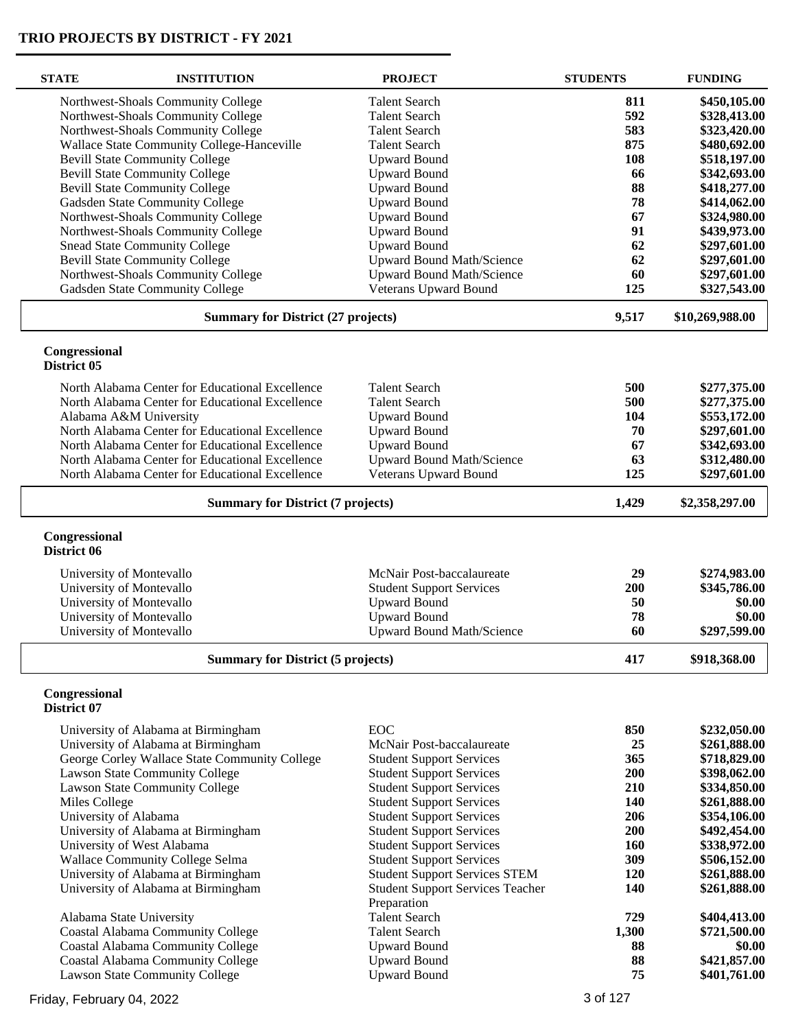| <b>STATE</b>                 | <b>INSTITUTION</b>                              | <b>PROJECT</b>                          | <b>STUDENTS</b> | <b>FUNDING</b>  |
|------------------------------|-------------------------------------------------|-----------------------------------------|-----------------|-----------------|
|                              | Northwest-Shoals Community College              | <b>Talent Search</b>                    | 811             | \$450,105.00    |
|                              | Northwest-Shoals Community College              | <b>Talent Search</b>                    | 592             | \$328,413.00    |
|                              | Northwest-Shoals Community College              | <b>Talent Search</b>                    | 583             | \$323,420.00    |
|                              | Wallace State Community College-Hanceville      | <b>Talent Search</b>                    | 875             | \$480,692.00    |
|                              | <b>Bevill State Community College</b>           | <b>Upward Bound</b>                     | 108             | \$518,197.00    |
|                              | <b>Bevill State Community College</b>           | <b>Upward Bound</b>                     | 66              | \$342,693.00    |
|                              | <b>Bevill State Community College</b>           | <b>Upward Bound</b>                     | 88              | \$418,277.00    |
|                              | Gadsden State Community College                 | <b>Upward Bound</b>                     | 78              | \$414,062.00    |
|                              | Northwest-Shoals Community College              | <b>Upward Bound</b>                     | 67              | \$324,980.00    |
|                              | Northwest-Shoals Community College              | <b>Upward Bound</b>                     | 91              | \$439,973.00    |
|                              | <b>Snead State Community College</b>            | <b>Upward Bound</b>                     | 62              | \$297,601.00    |
|                              | <b>Bevill State Community College</b>           | <b>Upward Bound Math/Science</b>        | 62              | \$297,601.00    |
|                              | Northwest-Shoals Community College              | <b>Upward Bound Math/Science</b>        | 60              | \$297,601.00    |
|                              | Gadsden State Community College                 | Veterans Upward Bound                   | 125             | \$327,543.00    |
|                              | <b>Summary for District (27 projects)</b>       |                                         | 9,517           | \$10,269,988.00 |
| Congressional<br>District 05 |                                                 |                                         |                 |                 |
|                              |                                                 |                                         |                 |                 |
|                              | North Alabama Center for Educational Excellence | <b>Talent Search</b>                    | 500             | \$277,375.00    |
|                              | North Alabama Center for Educational Excellence | <b>Talent Search</b>                    | 500             | \$277,375.00    |
|                              | Alabama A&M University                          | <b>Upward Bound</b>                     | 104             | \$553,172.00    |
|                              | North Alabama Center for Educational Excellence | <b>Upward Bound</b>                     | 70              | \$297,601.00    |
|                              | North Alabama Center for Educational Excellence | <b>Upward Bound</b>                     | 67              | \$342,693.00    |
|                              | North Alabama Center for Educational Excellence | <b>Upward Bound Math/Science</b>        | 63              | \$312,480.00    |
|                              | North Alabama Center for Educational Excellence | Veterans Upward Bound                   | 125             | \$297,601.00    |
|                              | <b>Summary for District (7 projects)</b>        |                                         |                 | \$2,358,297.00  |
| Congressional<br>District 06 |                                                 |                                         |                 |                 |
|                              | University of Montevallo                        | McNair Post-baccalaureate               | 29              | \$274,983.00    |
|                              | University of Montevallo                        | <b>Student Support Services</b>         | 200             | \$345,786.00    |
|                              | University of Montevallo                        | <b>Upward Bound</b>                     | 50              | \$0.00          |
|                              | University of Montevallo                        | <b>Upward Bound</b>                     | 78              | \$0.00          |
|                              | University of Montevallo                        | <b>Upward Bound Math/Science</b>        | 60              | \$297,599.00    |
|                              |                                                 |                                         |                 |                 |
|                              | <b>Summary for District (5 projects)</b>        |                                         | 417             | \$918,368.00    |
| Congressional<br>District 07 |                                                 |                                         |                 |                 |
|                              | University of Alabama at Birmingham             | <b>EOC</b>                              | 850             | \$232,050.00    |
|                              | University of Alabama at Birmingham             | McNair Post-baccalaureate               | 25              | \$261,888.00    |
|                              | George Corley Wallace State Community College   | <b>Student Support Services</b>         | 365             | \$718,829.00    |
|                              | Lawson State Community College                  | <b>Student Support Services</b>         | 200             | \$398,062.00    |
|                              | Lawson State Community College                  | <b>Student Support Services</b>         | 210             | \$334,850.00    |
| Miles College                |                                                 | <b>Student Support Services</b>         | 140             | \$261,888.00    |
|                              | University of Alabama                           | <b>Student Support Services</b>         | 206             | \$354,106.00    |
|                              | University of Alabama at Birmingham             | <b>Student Support Services</b>         | 200             | \$492,454.00    |
|                              | University of West Alabama                      | <b>Student Support Services</b>         | 160             | \$338,972.00    |
|                              | Wallace Community College Selma                 | <b>Student Support Services</b>         | 309             | \$506,152.00    |
|                              | University of Alabama at Birmingham             | <b>Student Support Services STEM</b>    | <b>120</b>      | \$261,888.00    |
|                              | University of Alabama at Birmingham             | <b>Student Support Services Teacher</b> | 140             | \$261,888.00    |
|                              |                                                 | Preparation                             |                 |                 |
|                              | Alabama State University                        | <b>Talent Search</b>                    | 729             | \$404,413.00    |
|                              | <b>Coastal Alabama Community College</b>        | <b>Talent Search</b>                    | 1,300           | \$721,500.00    |
|                              | Coastal Alabama Community College               | <b>Upward Bound</b>                     | 88              | \$0.00          |
|                              | <b>Coastal Alabama Community College</b>        | <b>Upward Bound</b>                     | 88              | \$421,857.00    |
|                              | Lawson State Community College                  | <b>Upward Bound</b>                     | 75              | \$401,761.00    |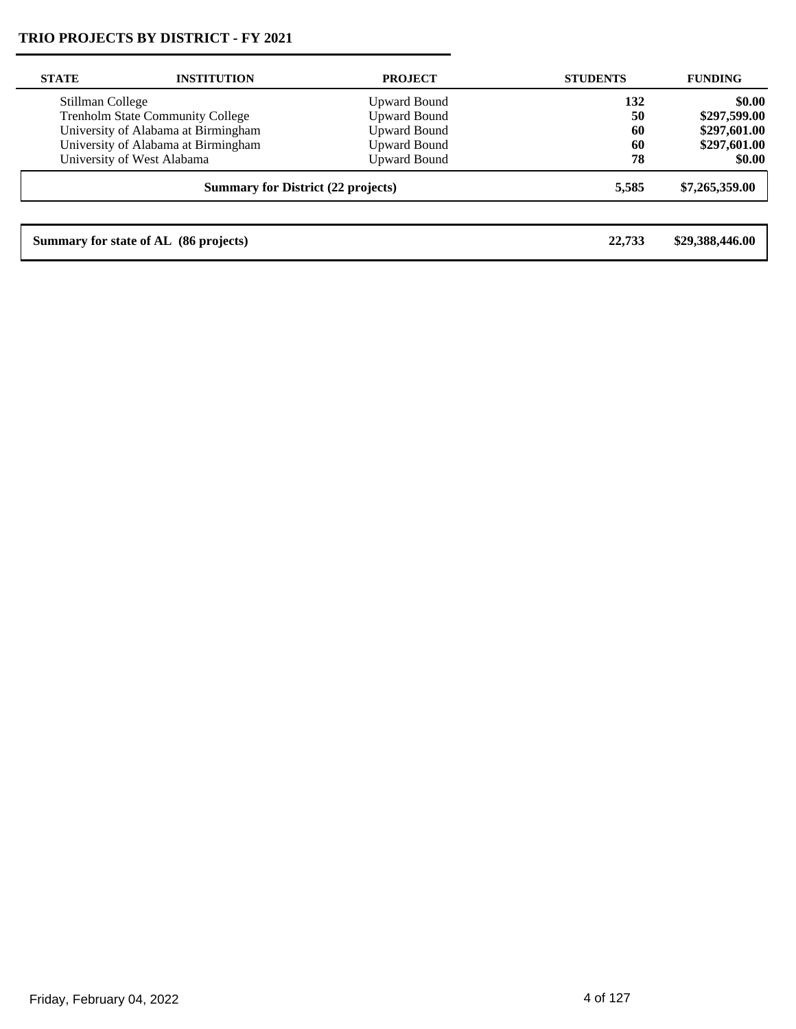| <b>STATE</b>     | <b>INSTITUTION</b>                        | <b>PROJECT</b>      | <b>STUDENTS</b> | <b>FUNDING</b>  |
|------------------|-------------------------------------------|---------------------|-----------------|-----------------|
| Stillman College |                                           | <b>Upward Bound</b> | 132             | \$0.00          |
|                  | <b>Trenholm State Community College</b>   | <b>Upward Bound</b> | 50              | \$297,599.00    |
|                  | University of Alabama at Birmingham       | <b>Upward Bound</b> | 60              | \$297,601.00    |
|                  | University of Alabama at Birmingham       | <b>Upward Bound</b> | 60              | \$297,601.00    |
|                  | University of West Alabama                | <b>Upward Bound</b> | 78              | \$0.00          |
|                  | <b>Summary for District (22 projects)</b> |                     | 5.585           | \$7,265,359.00  |
|                  |                                           |                     |                 |                 |
|                  | Summary for state of AL (86 projects)     |                     | 22,733          | \$29,388,446.00 |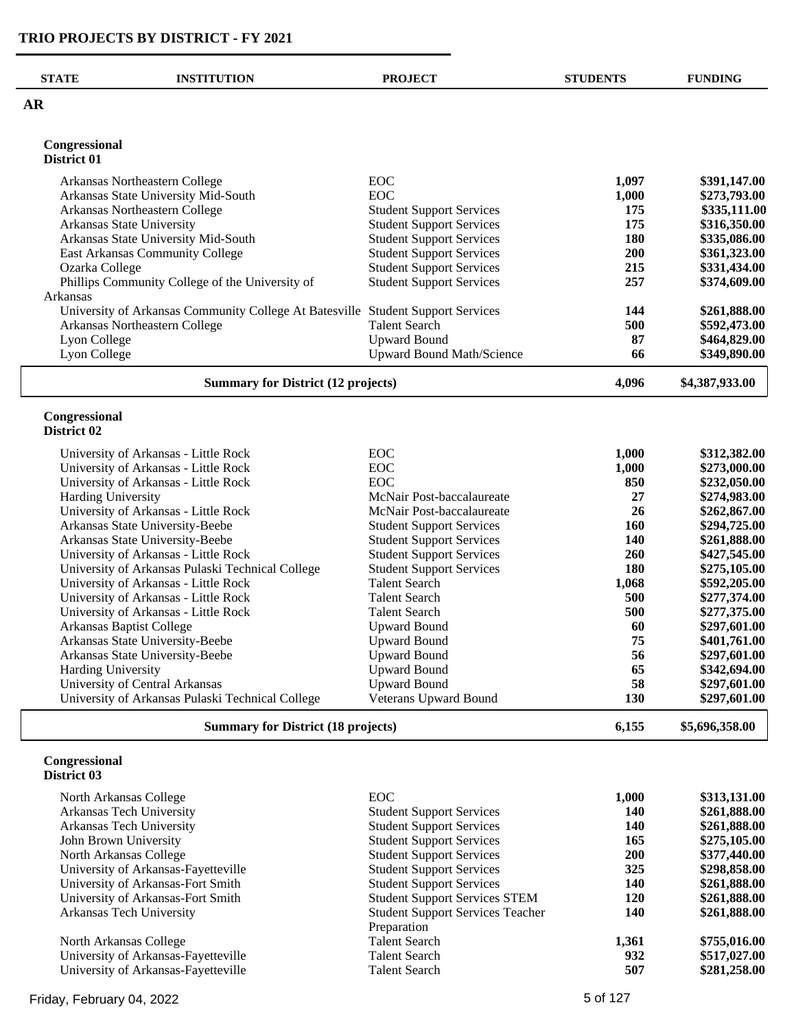| <b>STATE</b>                 | <b>INSTITUTION</b>                                                                 | <b>PROJECT</b>                   | <b>STUDENTS</b> | <b>FUNDING</b>               |
|------------------------------|------------------------------------------------------------------------------------|----------------------------------|-----------------|------------------------------|
| $\overline{\mathbf{AR}}$     |                                                                                    |                                  |                 |                              |
| Congressional                |                                                                                    |                                  |                 |                              |
| District 01                  |                                                                                    |                                  |                 |                              |
|                              | Arkansas Northeastern College                                                      | EOC                              | 1,097           | \$391,147.00                 |
|                              | Arkansas State University Mid-South                                                | EOC                              | 1,000           | \$273,793.00                 |
|                              | Arkansas Northeastern College                                                      | <b>Student Support Services</b>  | 175             | \$335,111.00                 |
|                              | Arkansas State University                                                          | <b>Student Support Services</b>  | 175             | \$316,350.00                 |
|                              | Arkansas State University Mid-South                                                | <b>Student Support Services</b>  | 180             | \$335,086.00                 |
|                              | East Arkansas Community College                                                    | <b>Student Support Services</b>  | 200             | \$361,323.00                 |
| Ozarka College               |                                                                                    | <b>Student Support Services</b>  | 215             | \$331,434.00                 |
| Arkansas                     | Phillips Community College of the University of                                    | <b>Student Support Services</b>  | 257             | \$374,609.00                 |
|                              | University of Arkansas Community College At Batesville Student Support Services    |                                  | 144             | \$261,888.00                 |
|                              | Arkansas Northeastern College                                                      | <b>Talent Search</b>             | 500             | \$592,473.00                 |
| Lyon College                 |                                                                                    | <b>Upward Bound</b>              | 87              | \$464,829.00                 |
| Lyon College                 |                                                                                    | <b>Upward Bound Math/Science</b> | 66              | \$349,890.00                 |
|                              | <b>Summary for District (12 projects)</b>                                          |                                  | 4,096           | \$4,387,933.00               |
| Congressional<br>District 02 |                                                                                    |                                  |                 |                              |
|                              | University of Arkansas - Little Rock                                               | EOC                              | 1,000           | \$312,382.00                 |
|                              | University of Arkansas - Little Rock                                               | EOC                              | 1,000           | \$273,000.00                 |
|                              | University of Arkansas - Little Rock                                               | EOC                              | 850             | \$232,050.00                 |
| <b>Harding University</b>    |                                                                                    | McNair Post-baccalaureate        | 27              | \$274,983.00                 |
|                              | University of Arkansas - Little Rock                                               | McNair Post-baccalaureate        | 26              | \$262,867.00                 |
|                              | Arkansas State University-Beebe                                                    | <b>Student Support Services</b>  | 160             | \$294,725.00                 |
|                              | Arkansas State University-Beebe                                                    | <b>Student Support Services</b>  | <b>140</b>      | \$261,888.00                 |
|                              | University of Arkansas - Little Rock                                               | <b>Student Support Services</b>  | 260             | \$427,545.00                 |
|                              | University of Arkansas Pulaski Technical College                                   | <b>Student Support Services</b>  | 180             | \$275,105.00                 |
|                              | University of Arkansas - Little Rock                                               | <b>Talent Search</b>             | 1,068           | \$592,205.00                 |
|                              | University of Arkansas - Little Rock                                               | <b>Talent Search</b>             | 500             | \$277,374.00                 |
|                              | University of Arkansas - Little Rock                                               | <b>Talent Search</b>             | 500             | \$277,375.00                 |
|                              | Arkansas Baptist College                                                           | <b>Upward Bound</b>              | 60              | \$297,601.00                 |
|                              | Arkansas State University-Beebe                                                    | <b>Upward Bound</b>              | 75              | \$401,761.00                 |
|                              | Arkansas State University-Beebe                                                    | <b>Upward Bound</b>              | 56              | \$297,601.00                 |
| <b>Harding University</b>    |                                                                                    | <b>Upward Bound</b>              | 65              | \$342,694.00                 |
|                              | University of Central Arkansas<br>University of Arkansas Pulaski Technical College | <b>Upward Bound</b>              | 58              | \$297,601.00<br>\$297,601.00 |
|                              |                                                                                    | Veterans Upward Bound            | 130             |                              |
|                              | <b>Summary for District (18 projects)</b>                                          |                                  | 6,155           | \$5,696,358.00               |
| Congressional<br>District 03 |                                                                                    |                                  |                 |                              |
|                              | North Arkansas Collago                                                             | $E\Omega C$                      | 1.000           | ¢212 121 00                  |

| North Arkansas College              | <b>EOC</b>                              | 1,000      | \$313,131.00 |
|-------------------------------------|-----------------------------------------|------------|--------------|
| Arkansas Tech University            | <b>Student Support Services</b>         | 140        | \$261,888.00 |
| Arkansas Tech University            | <b>Student Support Services</b>         | 140        | \$261,888.00 |
| John Brown University               | <b>Student Support Services</b>         | 165        | \$275,105.00 |
| North Arkansas College              | <b>Student Support Services</b>         | <b>200</b> | \$377,440.00 |
| University of Arkansas-Fayetteville | <b>Student Support Services</b>         | 325        | \$298,858.00 |
| University of Arkansas-Fort Smith   | <b>Student Support Services</b>         | 140        | \$261,888.00 |
| University of Arkansas-Fort Smith   | <b>Student Support Services STEM</b>    | 120        | \$261,888.00 |
| Arkansas Tech University            | <b>Student Support Services Teacher</b> | 140        | \$261,888.00 |
|                                     | Preparation                             |            |              |
| North Arkansas College              | <b>Talent Search</b>                    | 1.361      | \$755,016.00 |
| University of Arkansas-Fayetteville | <b>Talent Search</b>                    | 932        | \$517,027.00 |
| University of Arkansas-Fayetteville | Talent Search                           | 507        | \$281,258.00 |
|                                     |                                         |            |              |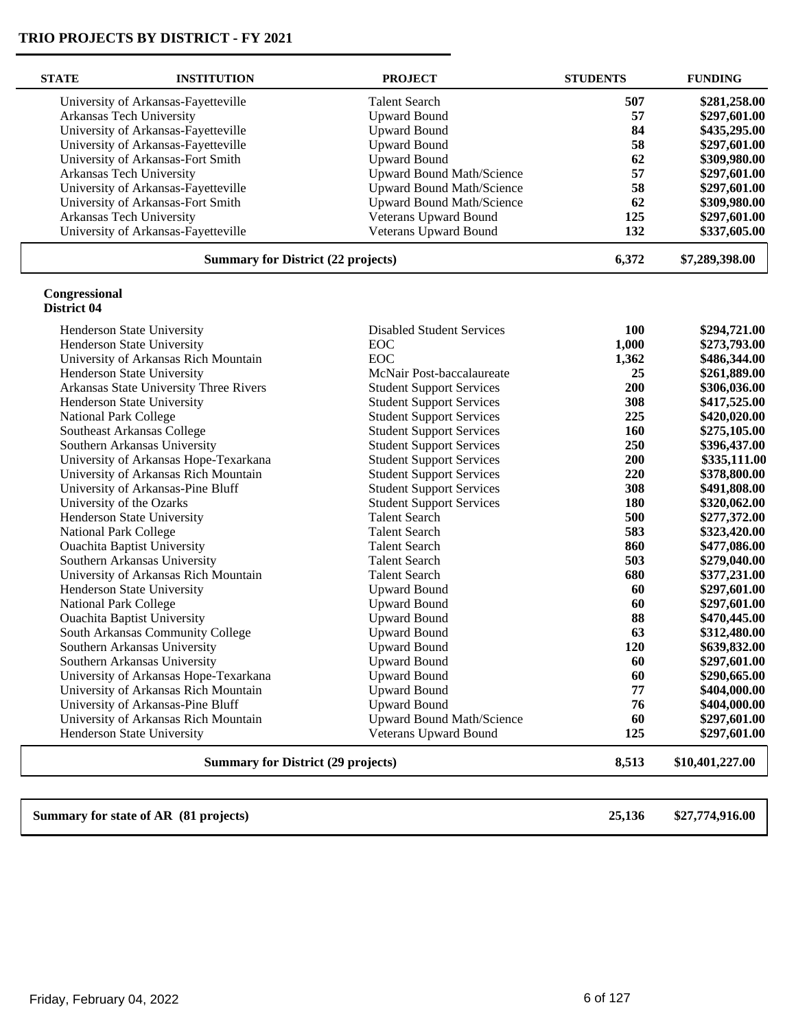| <b>STATE</b>                 | <b>INSTITUTION</b>                        | <b>PROJECT</b>                   | <b>STUDENTS</b> | <b>FUNDING</b>  |
|------------------------------|-------------------------------------------|----------------------------------|-----------------|-----------------|
|                              | University of Arkansas-Fayetteville       | <b>Talent Search</b>             | 507             | \$281,258.00    |
|                              | Arkansas Tech University                  | <b>Upward Bound</b>              | 57              | \$297,601.00    |
|                              | University of Arkansas-Fayetteville       | <b>Upward Bound</b>              | 84              | \$435,295.00    |
|                              | University of Arkansas-Fayetteville       | <b>Upward Bound</b>              | 58              | \$297,601.00    |
|                              | University of Arkansas-Fort Smith         | <b>Upward Bound</b>              | 62              | \$309,980.00    |
|                              | Arkansas Tech University                  | <b>Upward Bound Math/Science</b> | 57              | \$297,601.00    |
|                              | University of Arkansas-Fayetteville       | <b>Upward Bound Math/Science</b> | 58              | \$297,601.00    |
|                              | University of Arkansas-Fort Smith         | Upward Bound Math/Science        | 62              | \$309,980.00    |
|                              | Arkansas Tech University                  | <b>Veterans Upward Bound</b>     | 125             | \$297,601.00    |
|                              | University of Arkansas-Fayetteville       | Veterans Upward Bound            | 132             | \$337,605.00    |
|                              | <b>Summary for District (22 projects)</b> |                                  | 6,372           | \$7,289,398.00  |
| Congressional<br>District 04 |                                           |                                  |                 |                 |
|                              | Henderson State University                | <b>Disabled Student Services</b> | 100             | \$294,721.00    |
|                              | Henderson State University                | <b>EOC</b>                       | 1,000           | \$273,793.00    |
|                              | University of Arkansas Rich Mountain      | EOC                              | 1,362           | \$486,344.00    |
|                              | Henderson State University                | McNair Post-baccalaureate        | 25              | \$261,889.00    |
|                              | Arkansas State University Three Rivers    | <b>Student Support Services</b>  | 200             | \$306,036.00    |
|                              | Henderson State University                | <b>Student Support Services</b>  | 308             | \$417,525.00    |
| <b>National Park College</b> |                                           | <b>Student Support Services</b>  | 225             | \$420,020.00    |
|                              | Southeast Arkansas College                | <b>Student Support Services</b>  | 160             | \$275,105.00    |
|                              | Southern Arkansas University              | <b>Student Support Services</b>  | 250             | \$396,437.00    |
|                              | University of Arkansas Hope-Texarkana     | <b>Student Support Services</b>  | 200             | \$335,111.00    |
|                              | University of Arkansas Rich Mountain      | <b>Student Support Services</b>  | 220             | \$378,800.00    |
|                              | University of Arkansas-Pine Bluff         | <b>Student Support Services</b>  | 308             | \$491,808.00    |
|                              | University of the Ozarks                  | <b>Student Support Services</b>  | 180             | \$320,062.00    |
|                              | Henderson State University                | <b>Talent Search</b>             | 500             | \$277,372.00    |
| <b>National Park College</b> |                                           | <b>Talent Search</b>             | 583             | \$323,420.00    |
|                              | <b>Ouachita Baptist University</b>        | <b>Talent Search</b>             | 860             | \$477,086.00    |
|                              | Southern Arkansas University              | <b>Talent Search</b>             | 503             | \$279,040.00    |
|                              | University of Arkansas Rich Mountain      | <b>Talent Search</b>             | 680             | \$377,231.00    |
|                              | Henderson State University                | <b>Upward Bound</b>              | 60              | \$297,601.00    |
| National Park College        |                                           | <b>Upward Bound</b>              | 60              | \$297,601.00    |
|                              | <b>Ouachita Baptist University</b>        | <b>Upward Bound</b>              | 88              | \$470,445.00    |
|                              | South Arkansas Community College          | <b>Upward Bound</b>              | 63              | \$312,480.00    |
|                              | Southern Arkansas University              | <b>Upward Bound</b>              | 120             | \$639,832.00    |
|                              | Southern Arkansas University              | <b>Upward Bound</b>              | 60              | \$297,601.00    |
|                              | University of Arkansas Hope-Texarkana     | <b>Upward Bound</b>              | 60              | \$290,665.00    |
|                              | University of Arkansas Rich Mountain      | <b>Upward Bound</b>              | 77              | \$404,000.00    |
|                              | University of Arkansas-Pine Bluff         | <b>Upward Bound</b>              | 76              | \$404,000.00    |
|                              | University of Arkansas Rich Mountain      | <b>Upward Bound Math/Science</b> | 60              | \$297,601.00    |
|                              | Henderson State University                | Veterans Upward Bound            | 125             | \$297,601.00    |
|                              | <b>Summary for District (29 projects)</b> |                                  | 8,513           | \$10,401,227.00 |

**Summary for state of AR (81 projects) 25,136 \$27,774,916.00**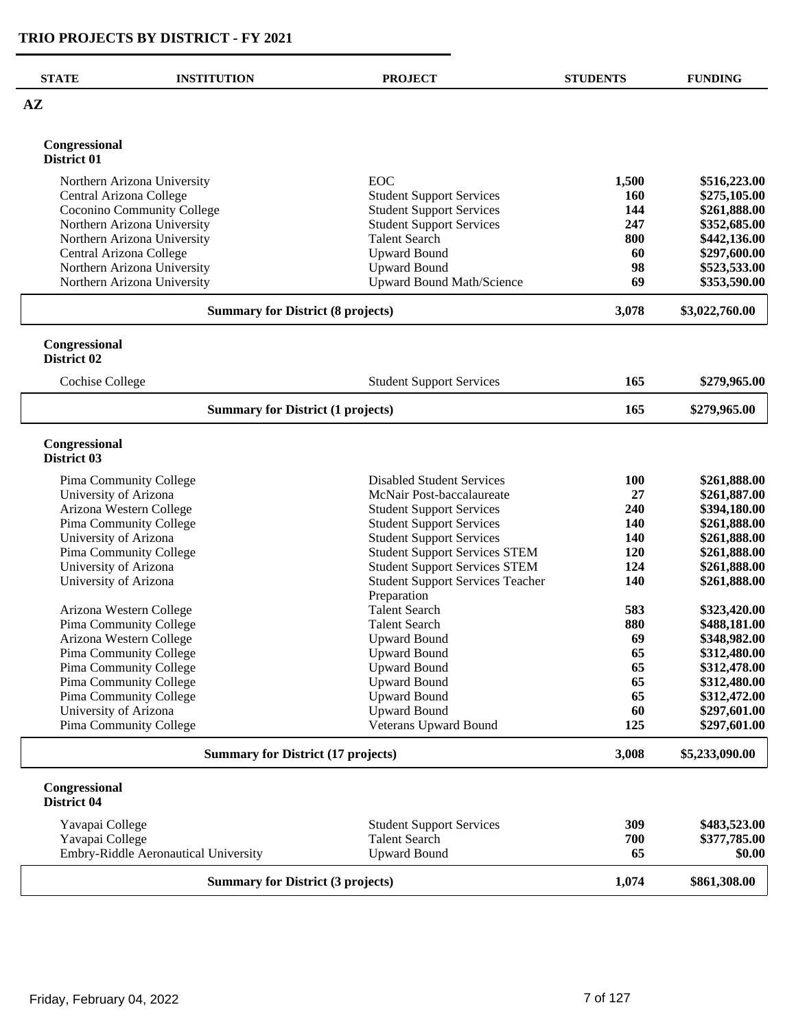| <b>STATE</b>                 | <b>INSTITUTION</b>                        | <b>PROJECT</b>                                                     | <b>STUDENTS</b> | <b>FUNDING</b>               |
|------------------------------|-------------------------------------------|--------------------------------------------------------------------|-----------------|------------------------------|
| $A\mathbf{Z}$                |                                           |                                                                    |                 |                              |
|                              |                                           |                                                                    |                 |                              |
| Congressional<br>District 01 |                                           |                                                                    |                 |                              |
|                              | Northern Arizona University               | <b>EOC</b>                                                         | 1,500           | \$516,223.00                 |
| Central Arizona College      |                                           | <b>Student Support Services</b>                                    | 160             | \$275,105.00                 |
|                              | Coconino Community College                | <b>Student Support Services</b>                                    | 144             | \$261,888.00                 |
|                              | Northern Arizona University               | <b>Student Support Services</b>                                    | 247             | \$352,685.00                 |
|                              | Northern Arizona University               | <b>Talent Search</b>                                               | 800             | \$442,136.00                 |
| Central Arizona College      |                                           | <b>Upward Bound</b>                                                | 60              | \$297,600.00                 |
|                              | Northern Arizona University               | <b>Upward Bound</b>                                                | 98              | \$523,533.00                 |
|                              | Northern Arizona University               | Upward Bound Math/Science                                          | 69              | \$353,590.00                 |
|                              | <b>Summary for District (8 projects)</b>  |                                                                    | 3,078           | \$3,022,760.00               |
| Congressional                |                                           |                                                                    |                 |                              |
| District 02                  |                                           |                                                                    |                 |                              |
| <b>Cochise College</b>       |                                           | <b>Student Support Services</b>                                    | 165             | \$279,965.00                 |
|                              | <b>Summary for District (1 projects)</b>  |                                                                    | 165             | \$279,965.00                 |
| Congressional<br>District 03 |                                           |                                                                    |                 |                              |
|                              | Pima Community College                    | <b>Disabled Student Services</b>                                   | 100             | \$261,888.00                 |
| University of Arizona        |                                           | McNair Post-baccalaureate                                          | 27              | \$261,887.00                 |
|                              | Arizona Western College                   | <b>Student Support Services</b>                                    | 240             | \$394,180.00                 |
| University of Arizona        | Pima Community College                    | <b>Student Support Services</b><br><b>Student Support Services</b> | 140<br>140      | \$261,888.00<br>\$261,888.00 |
|                              | Pima Community College                    | <b>Student Support Services STEM</b>                               | 120             | \$261,888.00                 |
| University of Arizona        |                                           | <b>Student Support Services STEM</b>                               | 124             | \$261,888.00                 |
| University of Arizona        |                                           | <b>Student Support Services Teacher</b>                            | 140             | \$261,888.00                 |
|                              |                                           | Preparation                                                        |                 |                              |
|                              | Arizona Western College                   | <b>Talent Search</b>                                               | 583             | \$323,420.00                 |
|                              | Pima Community College                    | <b>Talent Search</b>                                               | 880             | \$488,181.00                 |
|                              | Arizona Western College                   | <b>Upward Bound</b>                                                | 69              | \$348,982.00                 |
|                              | Pima Community College                    | <b>Upward Bound</b>                                                | 65              | \$312,480.00                 |
|                              | Pima Community College                    | <b>Upward Bound</b>                                                | 65              | \$312,478.00                 |
|                              | Pima Community College                    | <b>Upward Bound</b>                                                | 65              | \$312,480.00                 |
|                              | Pima Community College                    | <b>Upward Bound</b>                                                | 65<br>60        | \$312,472.00                 |
| University of Arizona        | Pima Community College                    | <b>Upward Bound</b><br>Veterans Upward Bound                       | 125             | \$297,601.00<br>\$297,601.00 |
|                              |                                           |                                                                    |                 |                              |
|                              | <b>Summary for District (17 projects)</b> |                                                                    | 3,008           | \$5,233,090.00               |
| Congressional<br>District 04 |                                           |                                                                    |                 |                              |
| Yavapai College              |                                           | <b>Student Support Services</b>                                    | 309             | \$483,523.00                 |
| Yavapai College              |                                           | <b>Talent Search</b>                                               | 700             | \$377,785.00                 |
|                              | Embry-Riddle Aeronautical University      | <b>Upward Bound</b>                                                | 65              | \$0.00                       |
|                              | <b>Summary for District (3 projects)</b>  |                                                                    | 1,074           | \$861,308.00                 |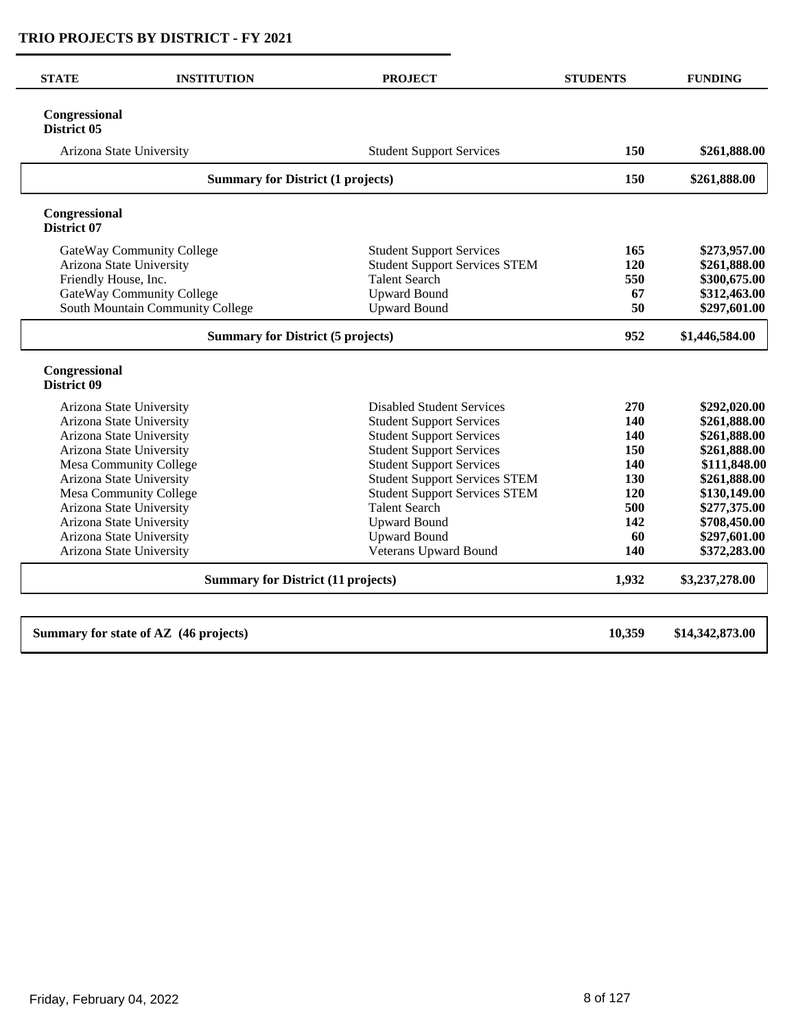| <b>STATE</b>                 | <b>INSTITUTION</b>                        | <b>PROJECT</b>                       | <b>STUDENTS</b> | <b>FUNDING</b>  |
|------------------------------|-------------------------------------------|--------------------------------------|-----------------|-----------------|
| Congressional<br>District 05 |                                           |                                      |                 |                 |
|                              | Arizona State University                  | <b>Student Support Services</b>      | 150             | \$261,888.00    |
|                              | <b>Summary for District (1 projects)</b>  |                                      | 150             | \$261,888.00    |
| Congressional<br>District 07 |                                           |                                      |                 |                 |
|                              | GateWay Community College                 | <b>Student Support Services</b>      | 165             | \$273,957.00    |
|                              | Arizona State University                  | <b>Student Support Services STEM</b> | 120             | \$261,888.00    |
| Friendly House, Inc.         |                                           | <b>Talent Search</b>                 | 550             | \$300,675.00    |
|                              | GateWay Community College                 | <b>Upward Bound</b>                  | 67              | \$312,463.00    |
|                              | South Mountain Community College          | <b>Upward Bound</b>                  | 50              | \$297,601.00    |
|                              | <b>Summary for District (5 projects)</b>  |                                      |                 | \$1,446,584.00  |
| Congressional<br>District 09 |                                           |                                      |                 |                 |
|                              | Arizona State University                  | <b>Disabled Student Services</b>     | 270             | \$292,020.00    |
|                              | Arizona State University                  | <b>Student Support Services</b>      | 140             | \$261,888.00    |
|                              | Arizona State University                  | <b>Student Support Services</b>      | 140             | \$261,888.00    |
|                              | Arizona State University                  | <b>Student Support Services</b>      | 150             | \$261,888.00    |
|                              | Mesa Community College                    | <b>Student Support Services</b>      | 140             | \$111,848.00    |
|                              | Arizona State University                  | <b>Student Support Services STEM</b> | 130             | \$261,888.00    |
|                              | Mesa Community College                    | <b>Student Support Services STEM</b> | 120             | \$130,149.00    |
|                              | Arizona State University                  | <b>Talent Search</b>                 | 500             | \$277,375.00    |
|                              | Arizona State University                  | <b>Upward Bound</b>                  | 142             | \$708,450.00    |
|                              | Arizona State University                  | <b>Upward Bound</b>                  | 60              | \$297,601.00    |
|                              | Arizona State University                  | Veterans Upward Bound                | 140             | \$372,283.00    |
|                              | <b>Summary for District (11 projects)</b> |                                      |                 | \$3,237,278.00  |
|                              | Summary for state of AZ (46 projects)     |                                      | 10,359          | \$14,342,873.00 |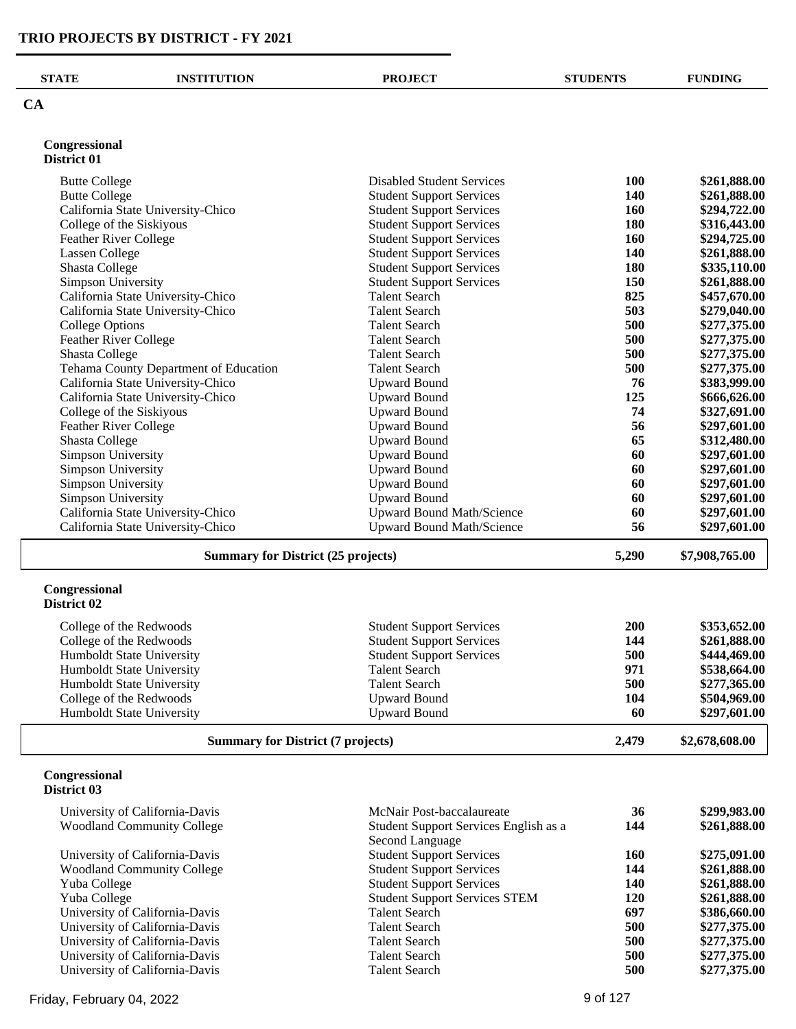| <b>STATE</b>                 | <b>INSTITUTION</b>                        | <b>PROJECT</b>                   | <b>STUDENTS</b> | <b>FUNDING</b> |
|------------------------------|-------------------------------------------|----------------------------------|-----------------|----------------|
| CA                           |                                           |                                  |                 |                |
| Congressional<br>District 01 |                                           |                                  |                 |                |
| <b>Butte College</b>         |                                           | <b>Disabled Student Services</b> | <b>100</b>      | \$261,888.00   |
| <b>Butte College</b>         |                                           | <b>Student Support Services</b>  | 140             | \$261,888.00   |
|                              | California State University-Chico         | <b>Student Support Services</b>  | 160             | \$294,722.00   |
| College of the Siskiyous     |                                           | <b>Student Support Services</b>  | 180             | \$316,443.00   |
| <b>Feather River College</b> |                                           | <b>Student Support Services</b>  | 160             | \$294,725.00   |
| Lassen College               |                                           | <b>Student Support Services</b>  | 140             | \$261,888.00   |
| <b>Shasta College</b>        |                                           | <b>Student Support Services</b>  | 180             | \$335,110.00   |
| Simpson University           |                                           | <b>Student Support Services</b>  | 150             | \$261,888.00   |
|                              | California State University-Chico         | <b>Talent Search</b>             | 825             | \$457,670.00   |
|                              | California State University-Chico         | <b>Talent Search</b>             | 503             | \$279,040.00   |
| <b>College Options</b>       |                                           | <b>Talent Search</b>             | 500             | \$277,375.00   |
| <b>Feather River College</b> |                                           | <b>Talent Search</b>             | 500             | \$277,375.00   |
| <b>Shasta College</b>        |                                           | <b>Talent Search</b>             | 500             | \$277,375.00   |
|                              | Tehama County Department of Education     | <b>Talent Search</b>             | 500             | \$277,375.00   |
|                              | California State University-Chico         | <b>Upward Bound</b>              | 76              | \$383,999.00   |
|                              | California State University-Chico         | <b>Upward Bound</b>              | 125             | \$666,626.00   |
| College of the Siskiyous     |                                           | <b>Upward Bound</b>              | 74              | \$327,691.00   |
| <b>Feather River College</b> |                                           | <b>Upward Bound</b>              | 56              | \$297,601.00   |
| <b>Shasta College</b>        |                                           | <b>Upward Bound</b>              | 65              | \$312,480.00   |
| <b>Simpson University</b>    |                                           | <b>Upward Bound</b>              | 60              | \$297,601.00   |
| <b>Simpson University</b>    |                                           | <b>Upward Bound</b>              | 60              | \$297,601.00   |
| Simpson University           |                                           | <b>Upward Bound</b>              | 60              | \$297,601.00   |
| Simpson University           |                                           | <b>Upward Bound</b>              | 60              | \$297,601.00   |
|                              | California State University-Chico         | <b>Upward Bound Math/Science</b> | 60              | \$297,601.00   |
|                              | California State University-Chico         | <b>Upward Bound Math/Science</b> | 56              | \$297,601.00   |
|                              | <b>Summary for District (25 projects)</b> |                                  | 5,290           | \$7,908,765.00 |

#### **Congressional District 02**

| College of the Redwoods          | <b>Student Support Services</b> | <b>200</b> | \$353,652.00 |
|----------------------------------|---------------------------------|------------|--------------|
| College of the Redwoods          | <b>Student Support Services</b> | 144        | \$261,888.00 |
| Humboldt State University        | <b>Student Support Services</b> | 500        | \$444,469.00 |
| Humboldt State University        | Talent Search                   | 971        | \$538,664.00 |
| Humboldt State University        | Talent Search                   | 500        | \$277,365.00 |
| College of the Redwoods          | Upward Bound                    | 104        | \$504,969.00 |
| <b>Humboldt State University</b> | <b>Upward Bound</b>             | 60         | \$297,601.00 |

**Summary for District (7 projects) 2,479 \$2,678,608.00** 

#### **Congressional District 03**

| University of California-Davis    | McNair Post-baccalaureate             | 36  | \$299,983.00 |
|-----------------------------------|---------------------------------------|-----|--------------|
| <b>Woodland Community College</b> | Student Support Services English as a | 144 | \$261,888.00 |
|                                   | Second Language                       |     |              |
| University of California-Davis    | <b>Student Support Services</b>       | 160 | \$275,091.00 |
| <b>Woodland Community College</b> | <b>Student Support Services</b>       | 144 | \$261,888.00 |
| Yuba College                      | <b>Student Support Services</b>       | 140 | \$261,888.00 |
| Yuba College                      | <b>Student Support Services STEM</b>  | 120 | \$261,888.00 |
| University of California-Davis    | <b>Talent Search</b>                  | 697 | \$386,660.00 |
| University of California-Davis    | <b>Talent Search</b>                  | 500 | \$277,375.00 |
| University of California-Davis    | <b>Talent Search</b>                  | 500 | \$277,375.00 |
| University of California-Davis    | <b>Talent Search</b>                  | 500 | \$277,375.00 |
| University of California-Davis    | Talent Search                         | 500 | \$277,375.00 |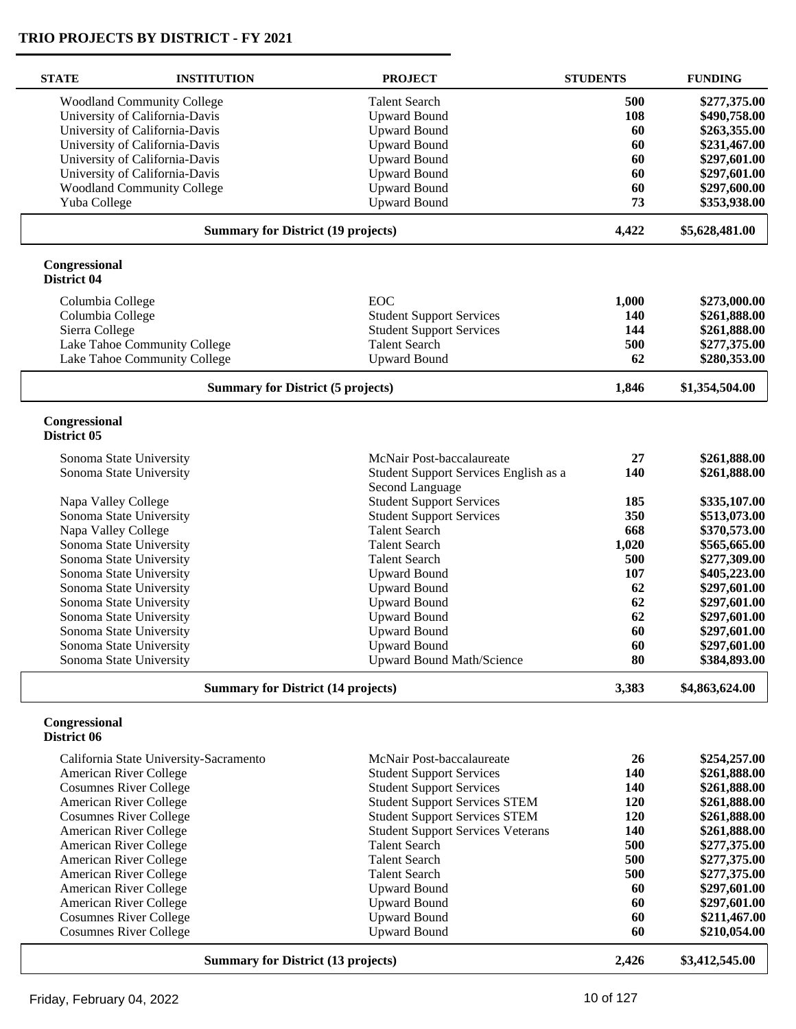| <b>STATE</b>                  | <b>INSTITUTION</b>                        | <b>PROJECT</b>                           | <b>STUDENTS</b> | <b>FUNDING</b> |
|-------------------------------|-------------------------------------------|------------------------------------------|-----------------|----------------|
|                               | <b>Woodland Community College</b>         | <b>Talent Search</b>                     | 500             | \$277,375.00   |
|                               | University of California-Davis            | <b>Upward Bound</b>                      | 108             | \$490,758.00   |
|                               | University of California-Davis            | <b>Upward Bound</b>                      | 60              | \$263,355.00   |
|                               | University of California-Davis            | <b>Upward Bound</b>                      | 60              | \$231,467.00   |
|                               | University of California-Davis            | <b>Upward Bound</b>                      | 60              | \$297,601.00   |
|                               | University of California-Davis            | <b>Upward Bound</b>                      | 60              | \$297,601.00   |
|                               | <b>Woodland Community College</b>         | <b>Upward Bound</b>                      | 60              | \$297,600.00   |
| Yuba College                  |                                           | <b>Upward Bound</b>                      | 73              | \$353,938.00   |
|                               | <b>Summary for District (19 projects)</b> |                                          | 4,422           | \$5,628,481.00 |
|                               |                                           |                                          |                 |                |
| Congressional<br>District 04  |                                           |                                          |                 |                |
| Columbia College              |                                           | EOC                                      | 1,000           | \$273,000.00   |
| Columbia College              |                                           | <b>Student Support Services</b>          | 140             | \$261,888.00   |
| Sierra College                |                                           | <b>Student Support Services</b>          | 144             | \$261,888.00   |
|                               | Lake Tahoe Community College              | <b>Talent Search</b>                     | 500             | \$277,375.00   |
|                               | Lake Tahoe Community College              | <b>Upward Bound</b>                      | 62              | \$280,353.00   |
|                               | <b>Summary for District (5 projects)</b>  |                                          | 1,846           | \$1,354,504.00 |
| Congressional                 |                                           |                                          |                 |                |
| District 05                   |                                           |                                          |                 |                |
| Sonoma State University       |                                           | McNair Post-baccalaureate                | 27              | \$261,888.00   |
| Sonoma State University       |                                           | Student Support Services English as a    | 140             | \$261,888.00   |
|                               |                                           | Second Language                          |                 |                |
| Napa Valley College           |                                           | <b>Student Support Services</b>          | 185             | \$335,107.00   |
| Sonoma State University       |                                           | <b>Student Support Services</b>          | 350             | \$513,073.00   |
| Napa Valley College           |                                           | <b>Talent Search</b>                     | 668             | \$370,573.00   |
| Sonoma State University       |                                           | <b>Talent Search</b>                     | 1,020           | \$565,665.00   |
| Sonoma State University       |                                           | <b>Talent Search</b>                     | 500             | \$277,309.00   |
| Sonoma State University       |                                           | <b>Upward Bound</b>                      | 107             | \$405,223.00   |
| Sonoma State University       |                                           | <b>Upward Bound</b>                      | 62              | \$297,601.00   |
| Sonoma State University       |                                           | <b>Upward Bound</b>                      | 62              | \$297,601.00   |
| Sonoma State University       |                                           | <b>Upward Bound</b>                      | 62              | \$297,601.00   |
| Sonoma State University       |                                           | <b>Upward Bound</b>                      | 60              | \$297,601.00   |
| Sonoma State University       |                                           | <b>Upward Bound</b>                      | 60              | \$297,601.00   |
| Sonoma State University       |                                           | <b>Upward Bound Math/Science</b>         | 80              | \$384,893.00   |
|                               | <b>Summary for District (14 projects)</b> |                                          | 3,383           | \$4,863,624.00 |
|                               |                                           |                                          |                 |                |
| Congressional<br>District 06  |                                           |                                          |                 |                |
|                               | California State University-Sacramento    | McNair Post-baccalaureate                | 26              | \$254,257.00   |
| American River College        |                                           | <b>Student Support Services</b>          | 140             | \$261,888.00   |
| <b>Cosumnes River College</b> |                                           | <b>Student Support Services</b>          | 140             | \$261,888.00   |
| American River College        |                                           | <b>Student Support Services STEM</b>     | 120             | \$261,888.00   |
| <b>Cosumnes River College</b> |                                           | <b>Student Support Services STEM</b>     | 120             | \$261,888.00   |
| American River College        |                                           | <b>Student Support Services Veterans</b> | 140             | \$261,888.00   |
| American River College        |                                           | <b>Talent Search</b>                     | 500             | \$277,375.00   |
| American River College        |                                           | <b>Talent Search</b>                     | 500             | \$277,375.00   |
| American River College        |                                           | <b>Talent Search</b>                     | 500             | \$277,375.00   |
| American River College        |                                           | <b>Upward Bound</b>                      | 60              | \$297,601.00   |
| American River College        |                                           | <b>Upward Bound</b>                      | 60              | \$297,601.00   |
| <b>Cosumnes River College</b> |                                           | <b>Upward Bound</b>                      | 60              | \$211,467.00   |
| <b>Cosumnes River College</b> |                                           | <b>Upward Bound</b>                      | 60              | \$210,054.00   |
|                               | <b>Summary for District (13 projects)</b> |                                          | 2,426           | \$3,412,545.00 |
|                               |                                           |                                          |                 |                |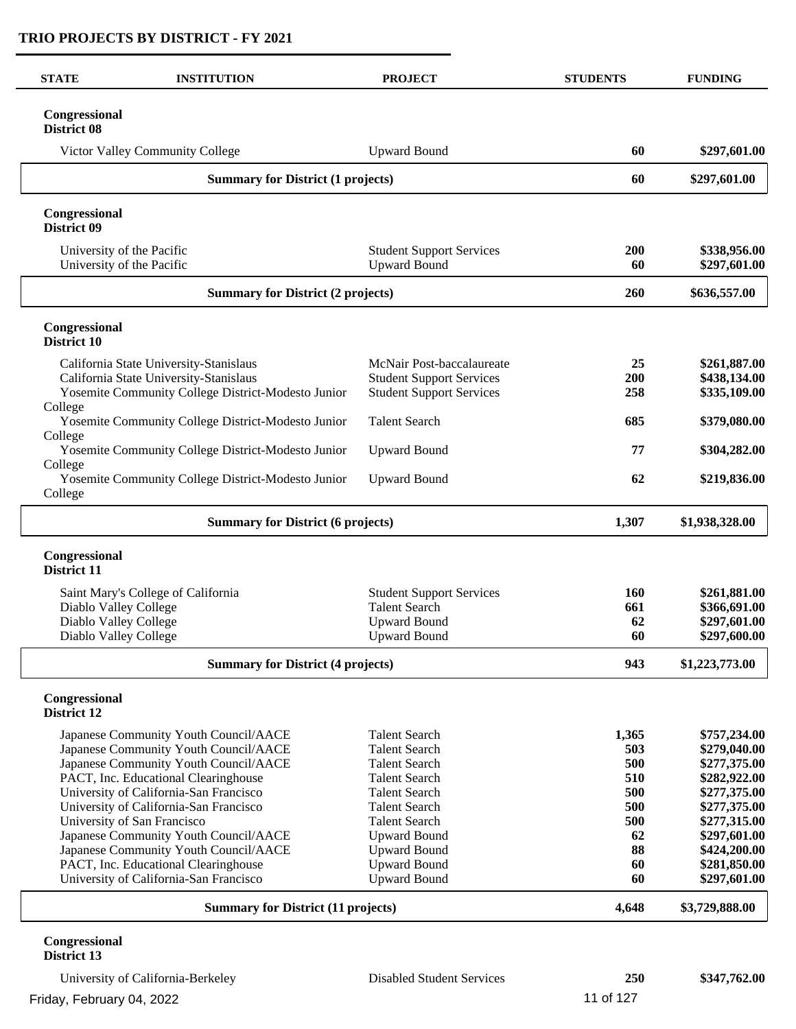| <b>STATE</b><br><b>INSTITUTION</b>                                       |                                          | <b>PROJECT</b>                                         | <b>STUDENTS</b> | <b>FUNDING</b>               |
|--------------------------------------------------------------------------|------------------------------------------|--------------------------------------------------------|-----------------|------------------------------|
| Congressional<br><b>District 08</b>                                      |                                          |                                                        |                 |                              |
| Victor Valley Community College                                          |                                          | <b>Upward Bound</b>                                    | 60              | \$297,601.00                 |
|                                                                          | <b>Summary for District (1 projects)</b> |                                                        | 60              | \$297,601.00                 |
| Congressional<br>District 09                                             |                                          |                                                        |                 |                              |
| University of the Pacific<br>University of the Pacific                   |                                          | <b>Student Support Services</b><br><b>Upward Bound</b> | 200<br>60       | \$338,956.00<br>\$297,601.00 |
|                                                                          | <b>Summary for District (2 projects)</b> |                                                        | 260             | \$636,557.00                 |
| Congressional<br>District 10                                             |                                          |                                                        |                 |                              |
| California State University-Stanislaus                                   |                                          | McNair Post-baccalaureate                              | 25              | \$261,887.00                 |
| California State University-Stanislaus                                   |                                          | <b>Student Support Services</b>                        | 200             | \$438,134.00                 |
| Yosemite Community College District-Modesto Junior                       |                                          | <b>Student Support Services</b>                        | 258             | \$335,109.00                 |
| College<br>Yosemite Community College District-Modesto Junior<br>College |                                          | <b>Talent Search</b>                                   | 685             | \$379,080.00                 |
| Yosemite Community College District-Modesto Junior                       |                                          | <b>Upward Bound</b>                                    | 77              | \$304,282.00                 |
| College<br>Yosemite Community College District-Modesto Junior<br>College |                                          | <b>Upward Bound</b>                                    | 62              | \$219,836.00                 |
|                                                                          | <b>Summary for District (6 projects)</b> |                                                        | 1,307           | \$1,938,328.00               |
| Congressional<br>District 11                                             |                                          |                                                        |                 |                              |
| Saint Mary's College of California                                       |                                          | <b>Student Support Services</b>                        | 160             | \$261,881.00                 |
| Diablo Valley College                                                    |                                          | <b>Talent Search</b>                                   | 661             | \$366,691.00                 |
| Diablo Valley College                                                    |                                          | <b>Upward Bound</b>                                    | 62              | \$297,601.00                 |
| Diablo Valley College                                                    |                                          | <b>Upward Bound</b>                                    | 60              | \$297,600.00                 |
|                                                                          | <b>Summary for District (4 projects)</b> |                                                        | 943             | \$1,223,773.00               |
| Congressional<br><b>District 12</b>                                      |                                          |                                                        |                 |                              |
| Japanese Community Youth Council/AACE                                    |                                          | <b>Talent Search</b>                                   | 1,365           | \$757,234.00                 |
| Japanese Community Youth Council/AACE                                    |                                          | <b>Talent Search</b>                                   | 503             | \$279,040.00                 |
| Japanese Community Youth Council/AACE                                    |                                          | <b>Talent Search</b>                                   | 500             | \$277,375.00                 |
| PACT, Inc. Educational Clearinghouse                                     |                                          | <b>Talent Search</b>                                   | 510             | \$282,922.00                 |
| University of California-San Francisco                                   |                                          | <b>Talent Search</b><br><b>Talent Search</b>           | 500<br>500      | \$277,375.00<br>\$277,375.00 |
| University of California-San Francisco<br>University of San Francisco    |                                          | <b>Talent Search</b>                                   | 500             | \$277,315.00                 |
| Japanese Community Youth Council/AACE                                    |                                          | <b>Upward Bound</b>                                    | 62              | \$297,601.00                 |
| Japanese Community Youth Council/AACE                                    |                                          | <b>Upward Bound</b>                                    | 88              | \$424,200.00                 |
| PACT, Inc. Educational Clearinghouse                                     |                                          | <b>Upward Bound</b>                                    | 60              | \$281,850.00                 |
| University of California-San Francisco                                   |                                          | <b>Upward Bound</b>                                    | 60              | \$297,601.00                 |
| <b>Summary for District (11 projects)</b>                                |                                          |                                                        | 4,648           | \$3,729,888.00               |

University of California-Berkeley Disabled Student Services 250 \$347,762.00 Friday, February 04, 2022 **11 of 127**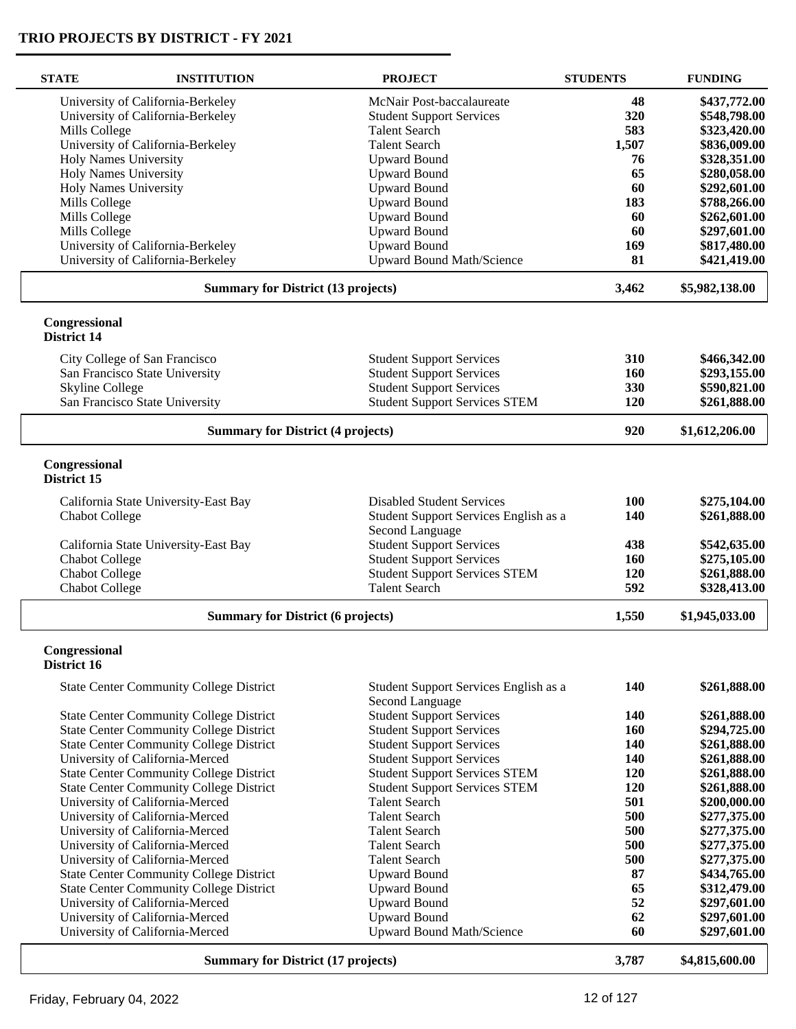| <b>STATE</b>                              | <b>INSTITUTION</b>                             | <b>PROJECT</b>                                           | <b>STUDENTS</b> | <b>FUNDING</b> |
|-------------------------------------------|------------------------------------------------|----------------------------------------------------------|-----------------|----------------|
|                                           | University of California-Berkeley              | McNair Post-baccalaureate                                | 48              | \$437,772.00   |
|                                           | University of California-Berkeley              | <b>Student Support Services</b>                          | 320             | \$548,798.00   |
| Mills College                             |                                                | <b>Talent Search</b>                                     | 583             | \$323,420.00   |
|                                           | University of California-Berkeley              | <b>Talent Search</b>                                     | 1,507           | \$836,009.00   |
|                                           | <b>Holy Names University</b>                   | <b>Upward Bound</b>                                      | 76              | \$328,351.00   |
|                                           | <b>Holy Names University</b>                   | <b>Upward Bound</b>                                      | 65              | \$280,058.00   |
|                                           | <b>Holy Names University</b>                   | <b>Upward Bound</b>                                      | 60              | \$292,601.00   |
| Mills College                             |                                                | <b>Upward Bound</b>                                      | 183             | \$788,266.00   |
| Mills College                             |                                                | <b>Upward Bound</b>                                      | 60              | \$262,601.00   |
| Mills College                             |                                                | <b>Upward Bound</b>                                      | 60              | \$297,601.00   |
|                                           | University of California-Berkeley              | <b>Upward Bound</b>                                      | 169             | \$817,480.00   |
|                                           | University of California-Berkeley              | <b>Upward Bound Math/Science</b>                         | 81              | \$421,419.00   |
|                                           | <b>Summary for District (13 projects)</b>      |                                                          | 3,462           | \$5,982,138.00 |
| Congressional<br><b>District 14</b>       |                                                |                                                          |                 |                |
|                                           | City College of San Francisco                  | <b>Student Support Services</b>                          | 310             | \$466,342.00   |
|                                           | San Francisco State University                 | <b>Student Support Services</b>                          | 160             | \$293,155.00   |
| <b>Skyline College</b>                    |                                                | <b>Student Support Services</b>                          | 330             | \$590,821.00   |
|                                           | San Francisco State University                 | <b>Student Support Services STEM</b>                     | 120             | \$261,888.00   |
|                                           |                                                |                                                          |                 |                |
|                                           | <b>Summary for District (4 projects)</b>       |                                                          | 920             | \$1,612,206.00 |
| Congressional<br>District 15              |                                                |                                                          |                 |                |
|                                           | California State University-East Bay           | <b>Disabled Student Services</b>                         | 100             | \$275,104.00   |
| <b>Chabot College</b>                     |                                                | Student Support Services English as a<br>Second Language | 140             | \$261,888.00   |
|                                           | California State University-East Bay           | <b>Student Support Services</b>                          | 438             | \$542,635.00   |
| <b>Chabot College</b>                     |                                                | <b>Student Support Services</b>                          | 160             | \$275,105.00   |
| <b>Chabot College</b>                     |                                                | <b>Student Support Services STEM</b>                     | 120             | \$261,888.00   |
| <b>Chabot College</b>                     |                                                | <b>Talent Search</b>                                     | 592             | \$328,413.00   |
|                                           | <b>Summary for District (6 projects)</b>       |                                                          | 1,550           | \$1,945,033.00 |
| Congressional                             |                                                |                                                          |                 |                |
| District 16                               |                                                |                                                          |                 |                |
|                                           | <b>State Center Community College District</b> | Student Support Services English as a<br>Second Language | 140             | \$261,888.00   |
|                                           | <b>State Center Community College District</b> | <b>Student Support Services</b>                          | 140             | \$261,888.00   |
|                                           | <b>State Center Community College District</b> | <b>Student Support Services</b>                          | 160             | \$294,725.00   |
|                                           | <b>State Center Community College District</b> | <b>Student Support Services</b>                          | 140             | \$261,888.00   |
|                                           | University of California-Merced                | <b>Student Support Services</b>                          | 140             | \$261,888.00   |
|                                           | <b>State Center Community College District</b> | <b>Student Support Services STEM</b>                     | 120             | \$261,888.00   |
|                                           | <b>State Center Community College District</b> | <b>Student Support Services STEM</b>                     | 120             | \$261,888.00   |
|                                           | University of California-Merced                | <b>Talent Search</b>                                     | 501             | \$200,000.00   |
|                                           | University of California-Merced                | <b>Talent Search</b>                                     | 500             | \$277,375.00   |
|                                           | University of California-Merced                | <b>Talent Search</b>                                     | 500             | \$277,375.00   |
|                                           | University of California-Merced                | <b>Talent Search</b>                                     | 500             | \$277,375.00   |
|                                           | University of California-Merced                | <b>Talent Search</b>                                     | 500             | \$277,375.00   |
|                                           | <b>State Center Community College District</b> | <b>Upward Bound</b>                                      | 87              | \$434,765.00   |
|                                           | <b>State Center Community College District</b> | <b>Upward Bound</b>                                      | 65              | \$312,479.00   |
|                                           | University of California-Merced                | <b>Upward Bound</b>                                      | 52              | \$297,601.00   |
|                                           | University of California-Merced                | <b>Upward Bound</b>                                      | 62              | \$297,601.00   |
|                                           | University of California-Merced                | <b>Upward Bound Math/Science</b>                         | 60              | \$297,601.00   |
| <b>Summary for District (17 projects)</b> |                                                |                                                          |                 | \$4,815,600.00 |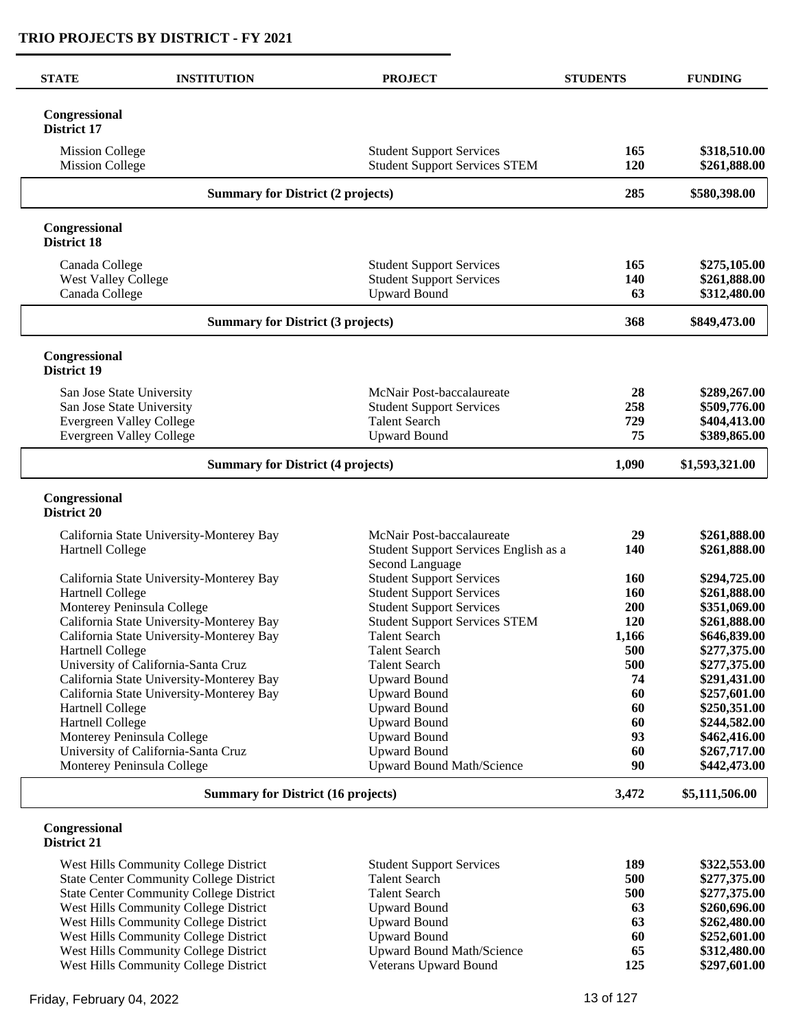| <b>INSTITUTION</b><br><b>STATE</b>                                     | <b>PROJECT</b>                                                                            | <b>STUDENTS</b>  | <b>FUNDING</b>                               |
|------------------------------------------------------------------------|-------------------------------------------------------------------------------------------|------------------|----------------------------------------------|
| Congressional<br><b>District 17</b>                                    |                                                                                           |                  |                                              |
| <b>Mission College</b><br><b>Mission College</b>                       | <b>Student Support Services</b><br><b>Student Support Services STEM</b>                   | 165<br>120       | \$318,510.00<br>\$261,888.00                 |
| <b>Summary for District (2 projects)</b>                               |                                                                                           | 285              | \$580,398.00                                 |
| Congressional<br><b>District 18</b>                                    |                                                                                           |                  |                                              |
| Canada College<br><b>West Valley College</b><br>Canada College         | <b>Student Support Services</b><br><b>Student Support Services</b><br><b>Upward Bound</b> | 165<br>140<br>63 | \$275,105.00<br>\$261,888.00<br>\$312,480.00 |
| <b>Summary for District (3 projects)</b>                               |                                                                                           | 368              | \$849,473.00                                 |
| Congressional<br><b>District 19</b>                                    |                                                                                           |                  |                                              |
| San Jose State University                                              | McNair Post-baccalaureate                                                                 | 28               | \$289,267.00                                 |
| San Jose State University                                              | <b>Student Support Services</b>                                                           | 258              | \$509,776.00                                 |
| Evergreen Valley College                                               | <b>Talent Search</b>                                                                      | 729              | \$404,413.00                                 |
| <b>Evergreen Valley College</b>                                        | <b>Upward Bound</b>                                                                       | 75               | \$389,865.00                                 |
| <b>Summary for District (4 projects)</b>                               | 1,090                                                                                     | \$1,593,321.00   |                                              |
| Congressional<br>District 20                                           |                                                                                           |                  |                                              |
| California State University-Monterey Bay                               | McNair Post-baccalaureate                                                                 | 29               | \$261,888.00                                 |
| <b>Hartnell College</b>                                                | Student Support Services English as a<br>Second Language                                  | 140              | \$261,888.00                                 |
| California State University-Monterey Bay                               | <b>Student Support Services</b>                                                           | <b>160</b>       | \$294,725.00                                 |
| Hartnell College                                                       | <b>Student Support Services</b>                                                           | <b>160</b>       | \$261,888.00                                 |
| Monterey Peninsula College<br>California State University-Monterey Bay | <b>Student Support Services</b><br><b>Student Support Services STEM</b>                   | 200<br>120       | \$351,069.00<br>\$261,888.00                 |
| California State University-Monterey Bay                               | <b>Talent Search</b>                                                                      | 1,166            | \$646,839.00                                 |
| Hartnell College                                                       | <b>Talent Search</b>                                                                      | 500              | \$277,375.00                                 |
| University of California-Santa Cruz                                    | <b>Talent Search</b>                                                                      | 500              | \$277,375.00                                 |
| California State University-Monterey Bay                               | <b>Upward Bound</b>                                                                       | 74               | \$291,431.00                                 |
| California State University-Monterey Bay                               | <b>Upward Bound</b>                                                                       | 60               | \$257,601.00                                 |
| <b>Hartnell College</b>                                                | <b>Upward Bound</b>                                                                       | 60               | \$250,351.00                                 |
| Hartnell College                                                       | <b>Upward Bound</b>                                                                       | 60               | \$244,582.00                                 |
| Monterey Peninsula College                                             | <b>Upward Bound</b>                                                                       | 93               | \$462,416.00                                 |
| University of California-Santa Cruz<br>Monterey Peninsula College      | <b>Upward Bound</b><br>Upward Bound Math/Science                                          | 60<br>90         | \$267,717.00<br>\$442,473.00                 |
| <b>Summary for District (16 projects)</b>                              |                                                                                           | 3,472            | \$5,111,506.00                               |
| Congressional<br>District 21<br>$\sim$ TT:11 $\sim$<br>$\sim$          |                                                                                           | 100              | 0.222 E200                                   |

| West Hills Community College District          | <b>Student Support Services</b> | 189 | \$322,553.00 |
|------------------------------------------------|---------------------------------|-----|--------------|
| <b>State Center Community College District</b> | <b>Talent Search</b>            | 500 | \$277,375.00 |
| <b>State Center Community College District</b> | Talent Search                   | 500 | \$277,375.00 |
| West Hills Community College District          | Upward Bound                    | 63  | \$260,696.00 |
| West Hills Community College District          | Upward Bound                    | 63  | \$262,480.00 |
| West Hills Community College District          | Upward Bound                    | 60  | \$252,601.00 |
| West Hills Community College District          | Upward Bound Math/Science       | 65  | \$312,480.00 |
| West Hills Community College District          | Veterans Upward Bound           | 125 | \$297,601.00 |
|                                                |                                 |     |              |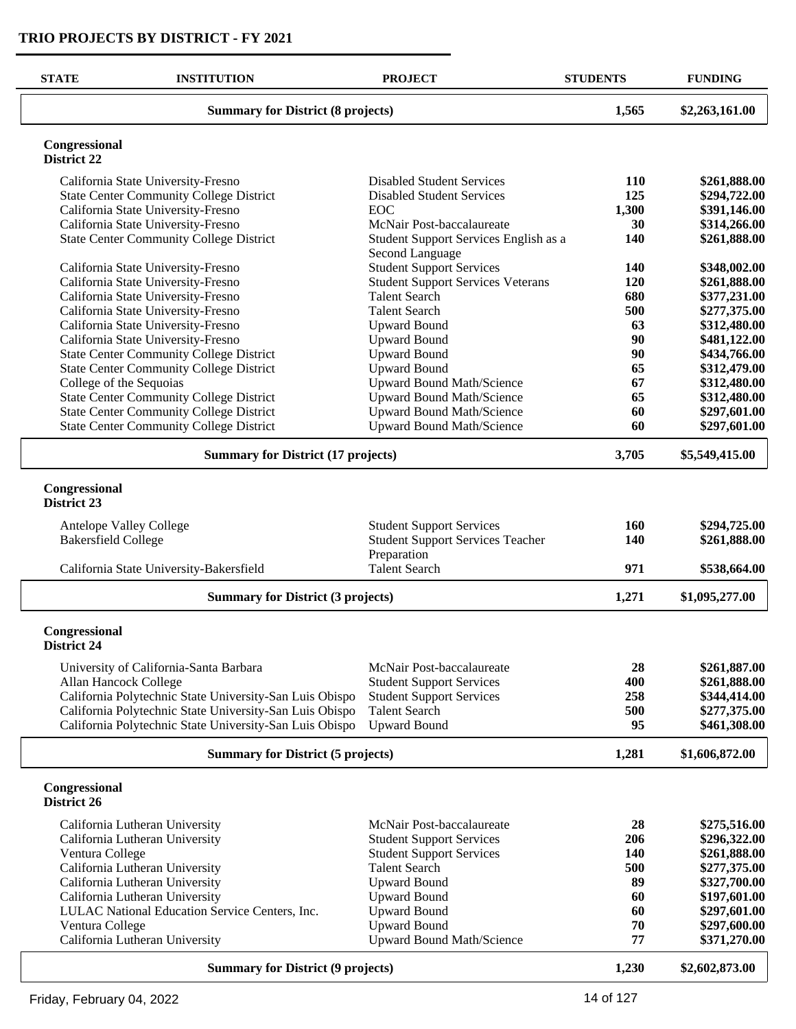$\overline{\phantom{a}}$ 

| <b>STATE</b>                             | <b>INSTITUTION</b>                                                                               | <b>PROJECT</b>                                           | <b>STUDENTS</b> | <b>FUNDING</b>               |
|------------------------------------------|--------------------------------------------------------------------------------------------------|----------------------------------------------------------|-----------------|------------------------------|
|                                          | <b>Summary for District (8 projects)</b>                                                         | 1,565                                                    | \$2,263,161.00  |                              |
| Congressional<br>District 22             |                                                                                                  |                                                          |                 |                              |
|                                          | California State University-Fresno                                                               | <b>Disabled Student Services</b>                         | <b>110</b>      | \$261,888.00                 |
|                                          | <b>State Center Community College District</b>                                                   | <b>Disabled Student Services</b>                         | 125             | \$294,722.00                 |
|                                          | California State University-Fresno                                                               | <b>EOC</b>                                               | 1,300           | \$391,146.00                 |
|                                          | California State University-Fresno                                                               | McNair Post-baccalaureate                                | 30              | \$314,266.00                 |
|                                          | <b>State Center Community College District</b>                                                   | Student Support Services English as a<br>Second Language | 140             | \$261,888.00                 |
|                                          | California State University-Fresno                                                               | <b>Student Support Services</b>                          | 140             | \$348,002.00                 |
|                                          | California State University-Fresno                                                               | <b>Student Support Services Veterans</b>                 | 120             | \$261,888.00                 |
|                                          | California State University-Fresno                                                               | <b>Talent Search</b>                                     | 680             | \$377,231.00                 |
|                                          | California State University-Fresno                                                               | <b>Talent Search</b>                                     | 500             | \$277,375.00                 |
|                                          | California State University-Fresno                                                               | <b>Upward Bound</b>                                      | 63              | \$312,480.00                 |
|                                          | California State University-Fresno                                                               | <b>Upward Bound</b>                                      | 90              | \$481,122.00                 |
|                                          | <b>State Center Community College District</b>                                                   | <b>Upward Bound</b>                                      | 90<br>65        | \$434,766.00                 |
|                                          | <b>State Center Community College District</b>                                                   | <b>Upward Bound</b>                                      |                 | \$312,479.00                 |
|                                          | College of the Sequoias                                                                          | Upward Bound Math/Science<br>Upward Bound Math/Science   | 67<br>65        | \$312,480.00                 |
|                                          | <b>State Center Community College District</b><br><b>State Center Community College District</b> | Upward Bound Math/Science                                | 60              | \$312,480.00<br>\$297,601.00 |
|                                          | <b>State Center Community College District</b>                                                   | Upward Bound Math/Science                                | 60              | \$297,601.00                 |
|                                          | <b>Summary for District (17 projects)</b>                                                        |                                                          |                 |                              |
|                                          |                                                                                                  |                                                          |                 |                              |
| Congressional<br>District 23             |                                                                                                  |                                                          |                 |                              |
|                                          | Antelope Valley College                                                                          | <b>Student Support Services</b>                          | 160             | \$294,725.00                 |
| <b>Bakersfield College</b>               |                                                                                                  | <b>Student Support Services Teacher</b>                  | 140             | \$261,888.00                 |
|                                          |                                                                                                  | Preparation                                              |                 |                              |
|                                          | California State University-Bakersfield                                                          | <b>Talent Search</b>                                     | 971             | \$538,664.00                 |
|                                          | <b>Summary for District (3 projects)</b>                                                         |                                                          | 1,271           | \$1,095,277.00               |
| Congressional<br>District 24             |                                                                                                  |                                                          |                 |                              |
|                                          | University of California-Santa Barbara                                                           | McNair Post-baccalaureate                                | 28              | \$261,887.00                 |
|                                          | Allan Hancock College                                                                            | <b>Student Support Services</b>                          | 400             | \$261,888.00                 |
|                                          | California Polytechnic State University-San Luis Obispo                                          | <b>Student Support Services</b>                          | 258             | \$344,414.00                 |
|                                          | California Polytechnic State University-San Luis Obispo                                          | <b>Talent Search</b>                                     | 500             | \$277,375.00                 |
|                                          | California Polytechnic State University-San Luis Obispo                                          | <b>Upward Bound</b>                                      | 95              | \$461,308.00                 |
|                                          | <b>Summary for District (5 projects)</b>                                                         |                                                          | 1,281           | \$1,606,872.00               |
| Congressional<br>District 26             |                                                                                                  |                                                          |                 |                              |
|                                          | California Lutheran University                                                                   | McNair Post-baccalaureate                                | 28              | \$275,516.00                 |
|                                          | California Lutheran University                                                                   | <b>Student Support Services</b>                          | 206             | \$296,322.00                 |
| Ventura College                          |                                                                                                  | <b>Student Support Services</b>                          | 140             | \$261,888.00                 |
|                                          | California Lutheran University                                                                   | <b>Talent Search</b>                                     | 500             | \$277,375.00                 |
|                                          | California Lutheran University                                                                   | <b>Upward Bound</b>                                      | 89              | \$327,700.00                 |
|                                          | California Lutheran University                                                                   | <b>Upward Bound</b>                                      | 60              | \$197,601.00                 |
|                                          | LULAC National Education Service Centers, Inc.                                                   | <b>Upward Bound</b>                                      | 60              | \$297,601.00                 |
| Ventura College                          |                                                                                                  | <b>Upward Bound</b>                                      | 70              | \$297,600.00                 |
|                                          | California Lutheran University                                                                   | <b>Upward Bound Math/Science</b>                         | 77              | \$371,270.00                 |
| <b>Summary for District (9 projects)</b> |                                                                                                  |                                                          | 1,230           | \$2,602,873.00               |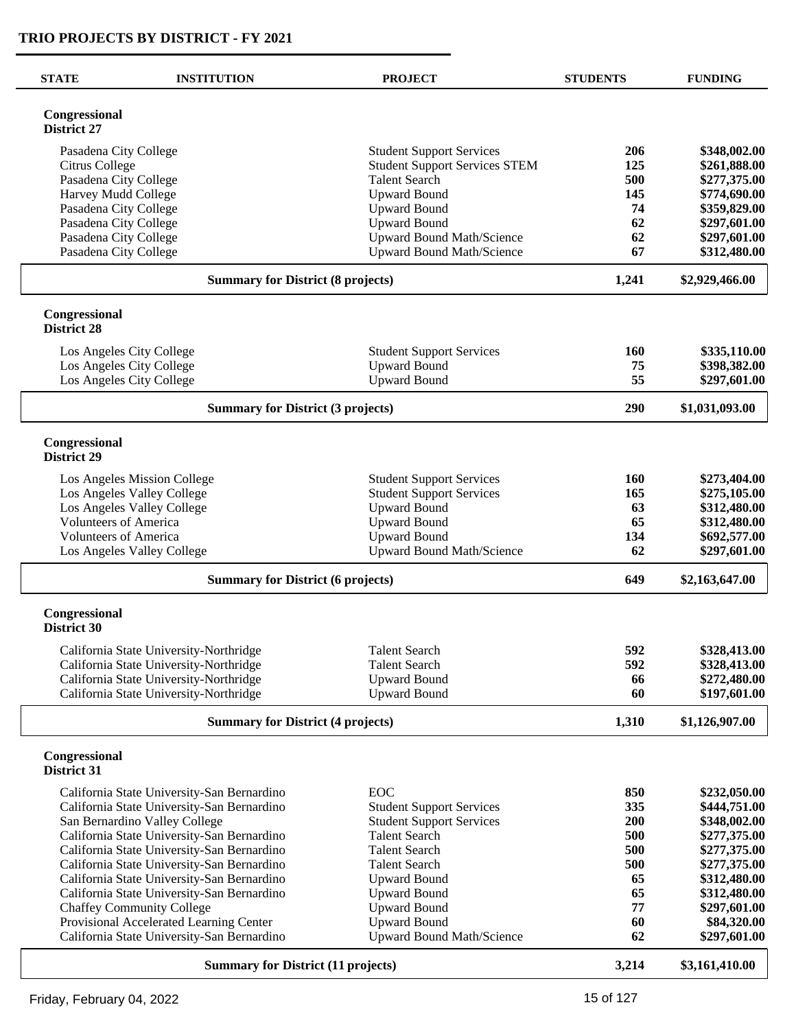| <b>STATE</b>                              | <b>INSTITUTION</b>                         | <b>PROJECT</b>                       | <b>STUDENTS</b> | <b>FUNDING</b> |
|-------------------------------------------|--------------------------------------------|--------------------------------------|-----------------|----------------|
| Congressional<br>District 27              |                                            |                                      |                 |                |
|                                           | Pasadena City College                      | <b>Student Support Services</b>      | 206             | \$348,002.00   |
| Citrus College                            |                                            | <b>Student Support Services STEM</b> | 125             | \$261,888.00   |
|                                           | Pasadena City College                      | <b>Talent Search</b>                 | 500             | \$277,375.00   |
|                                           | Harvey Mudd College                        | <b>Upward Bound</b>                  | 145             | \$774,690.00   |
|                                           | Pasadena City College                      | <b>Upward Bound</b>                  | 74              | \$359,829.00   |
|                                           | Pasadena City College                      | <b>Upward Bound</b>                  | 62              | \$297,601.00   |
|                                           | Pasadena City College                      | <b>Upward Bound Math/Science</b>     | 62              | \$297,601.00   |
|                                           | Pasadena City College                      | <b>Upward Bound Math/Science</b>     | 67              | \$312,480.00   |
|                                           | <b>Summary for District (8 projects)</b>   |                                      | 1,241           | \$2,929,466.00 |
| Congressional<br><b>District 28</b>       |                                            |                                      |                 |                |
|                                           | Los Angeles City College                   | <b>Student Support Services</b>      | 160             | \$335,110.00   |
|                                           | Los Angeles City College                   | <b>Upward Bound</b>                  | 75              | \$398,382.00   |
|                                           | Los Angeles City College                   | <b>Upward Bound</b>                  | 55              | \$297,601.00   |
|                                           | <b>Summary for District (3 projects)</b>   |                                      | 290             | \$1,031,093.00 |
| Congressional<br>District 29              |                                            |                                      |                 |                |
|                                           | Los Angeles Mission College                | <b>Student Support Services</b>      | 160             | \$273,404.00   |
|                                           | Los Angeles Valley College                 | <b>Student Support Services</b>      | 165             | \$275,105.00   |
|                                           | Los Angeles Valley College                 | <b>Upward Bound</b>                  | 63              | \$312,480.00   |
|                                           | <b>Volunteers of America</b>               | <b>Upward Bound</b>                  | 65              | \$312,480.00   |
|                                           | <b>Volunteers of America</b>               | <b>Upward Bound</b>                  | 134             | \$692,577.00   |
|                                           | Los Angeles Valley College                 | <b>Upward Bound Math/Science</b>     | 62              | \$297,601.00   |
|                                           | <b>Summary for District (6 projects)</b>   |                                      |                 | \$2,163,647.00 |
| Congressional<br><b>District 30</b>       |                                            |                                      |                 |                |
|                                           | California State University-Northridge     | <b>Talent Search</b>                 | 592             | \$328,413.00   |
|                                           | California State University-Northridge     | <b>Talent Search</b>                 | 592             | \$328,413.00   |
|                                           | California State University-Northridge     | <b>Upward Bound</b>                  | 66              | \$272,480.00   |
|                                           | California State University-Northridge     | <b>Upward Bound</b>                  | 60              | \$197,601.00   |
|                                           | <b>Summary for District (4 projects)</b>   |                                      | 1,310           | \$1,126,907.00 |
| Congressional<br>District 31              |                                            |                                      |                 |                |
|                                           | California State University-San Bernardino | <b>EOC</b>                           | 850             | \$232,050.00   |
|                                           | California State University-San Bernardino | <b>Student Support Services</b>      | 335             | \$444,751.00   |
|                                           | San Bernardino Valley College              | <b>Student Support Services</b>      | 200             | \$348,002.00   |
|                                           | California State University-San Bernardino | <b>Talent Search</b>                 | 500             | \$277,375.00   |
|                                           | California State University-San Bernardino | <b>Talent Search</b>                 | 500             | \$277,375.00   |
|                                           | California State University-San Bernardino | <b>Talent Search</b>                 | 500             | \$277,375.00   |
|                                           | California State University-San Bernardino | <b>Upward Bound</b>                  | 65              | \$312,480.00   |
|                                           | California State University-San Bernardino | <b>Upward Bound</b>                  | 65              | \$312,480.00   |
|                                           | <b>Chaffey Community College</b>           | <b>Upward Bound</b>                  | 77              | \$297,601.00   |
|                                           | Provisional Accelerated Learning Center    | <b>Upward Bound</b>                  | 60              | \$84,320.00    |
|                                           | California State University-San Bernardino | Upward Bound Math/Science            | 62              | \$297,601.00   |
| <b>Summary for District (11 projects)</b> |                                            |                                      | 3,214           | \$3,161,410.00 |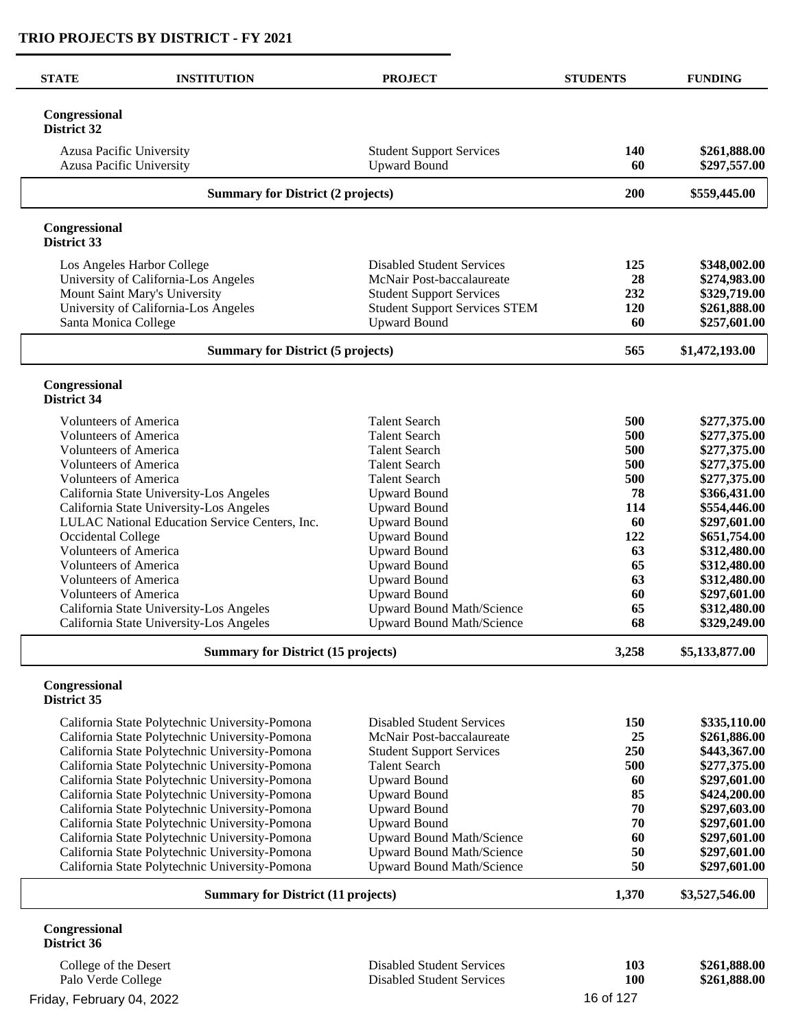| <b>STATE</b>                 | <b>INSTITUTION</b>                                                                               | <b>PROJECT</b>                                                | <b>STUDENTS</b> | <b>FUNDING</b>               |
|------------------------------|--------------------------------------------------------------------------------------------------|---------------------------------------------------------------|-----------------|------------------------------|
| Congressional<br>District 32 |                                                                                                  |                                                               |                 |                              |
|                              | Azusa Pacific University<br>Azusa Pacific University                                             | <b>Student Support Services</b><br><b>Upward Bound</b>        | 140<br>60       | \$261,888.00<br>\$297,557.00 |
|                              | <b>Summary for District (2 projects)</b>                                                         |                                                               | 200             | \$559,445.00                 |
| Congressional<br>District 33 |                                                                                                  |                                                               |                 |                              |
|                              | Los Angeles Harbor College                                                                       | <b>Disabled Student Services</b>                              | 125             | \$348,002.00                 |
|                              | University of California-Los Angeles                                                             | McNair Post-baccalaureate                                     | 28              | \$274,983.00                 |
|                              | Mount Saint Mary's University                                                                    | <b>Student Support Services</b>                               | 232             | \$329,719.00                 |
|                              | University of California-Los Angeles                                                             | <b>Student Support Services STEM</b>                          | 120             | \$261,888.00                 |
|                              | Santa Monica College                                                                             | <b>Upward Bound</b>                                           | 60              | \$257,601.00                 |
|                              | <b>Summary for District (5 projects)</b>                                                         |                                                               | 565             | \$1,472,193.00               |
| Congressional<br>District 34 |                                                                                                  |                                                               |                 |                              |
|                              | <b>Volunteers of America</b>                                                                     | <b>Talent Search</b>                                          | 500             | \$277,375.00                 |
|                              | <b>Volunteers of America</b>                                                                     | <b>Talent Search</b>                                          | 500             | \$277,375.00                 |
|                              | <b>Volunteers of America</b>                                                                     | <b>Talent Search</b>                                          | 500             | \$277,375.00                 |
|                              | <b>Volunteers of America</b>                                                                     | <b>Talent Search</b>                                          | 500             | \$277,375.00                 |
|                              | <b>Volunteers of America</b>                                                                     | <b>Talent Search</b>                                          | 500             | \$277,375.00                 |
|                              | California State University-Los Angeles                                                          | <b>Upward Bound</b>                                           | 78              | \$366,431.00                 |
|                              | California State University-Los Angeles                                                          | <b>Upward Bound</b>                                           | 114             | \$554,446.00                 |
|                              | LULAC National Education Service Centers, Inc.                                                   | <b>Upward Bound</b>                                           | 60              | \$297,601.00                 |
| Occidental College           |                                                                                                  | <b>Upward Bound</b>                                           | 122             | \$651,754.00                 |
|                              | <b>Volunteers of America</b><br><b>Volunteers of America</b>                                     | <b>Upward Bound</b><br><b>Upward Bound</b>                    | 63<br>65        | \$312,480.00<br>\$312,480.00 |
|                              | <b>Volunteers of America</b>                                                                     | <b>Upward Bound</b>                                           | 63              | \$312,480.00                 |
|                              | <b>Volunteers of America</b>                                                                     | <b>Upward Bound</b>                                           | 60              | \$297,601.00                 |
|                              | California State University-Los Angeles                                                          | Upward Bound Math/Science                                     | 65              | \$312,480.00                 |
|                              | California State University-Los Angeles                                                          | <b>Upward Bound Math/Science</b>                              | 68              | \$329,249.00                 |
|                              | <b>Summary for District (15 projects)</b>                                                        |                                                               | 3,258           | \$5,133,877.00               |
| Congressional<br>District 35 |                                                                                                  |                                                               |                 |                              |
|                              |                                                                                                  | <b>Disabled Student Services</b>                              | 150             |                              |
|                              | California State Polytechnic University-Pomona<br>California State Polytechnic University-Pomona | McNair Post-baccalaureate                                     | 25              | \$335,110.00<br>\$261,886.00 |
|                              | California State Polytechnic University-Pomona                                                   | <b>Student Support Services</b>                               | 250             | \$443,367.00                 |
|                              | California State Polytechnic University-Pomona                                                   | <b>Talent Search</b>                                          | 500             | \$277,375.00                 |
|                              | California State Polytechnic University-Pomona                                                   | <b>Upward Bound</b>                                           | 60              | \$297,601.00                 |
|                              | California State Polytechnic University-Pomona                                                   | <b>Upward Bound</b>                                           | 85              | \$424,200.00                 |
|                              | California State Polytechnic University-Pomona                                                   | <b>Upward Bound</b>                                           | 70              | \$297,603.00                 |
|                              | California State Polytechnic University-Pomona                                                   | <b>Upward Bound</b>                                           | 70              | \$297,601.00                 |
|                              | California State Polytechnic University-Pomona                                                   | <b>Upward Bound Math/Science</b>                              | 60              | \$297,601.00                 |
|                              | California State Polytechnic University-Pomona<br>California State Polytechnic University-Pomona | <b>Upward Bound Math/Science</b><br>Upward Bound Math/Science | 50<br>50        | \$297,601.00<br>\$297,601.00 |
|                              |                                                                                                  |                                                               |                 |                              |
|                              | <b>Summary for District (11 projects)</b>                                                        |                                                               | 1,370           | \$3,527,546.00               |
| Congressional<br>District 36 |                                                                                                  |                                                               |                 |                              |
| College of the Desert        |                                                                                                  | <b>Disabled Student Services</b>                              | 103             | \$261,888.00                 |
| Palo Verde College           |                                                                                                  | <b>Disabled Student Services</b>                              | 100             | \$261,888.00                 |

Friday, February 04, 2022 **16 of 127**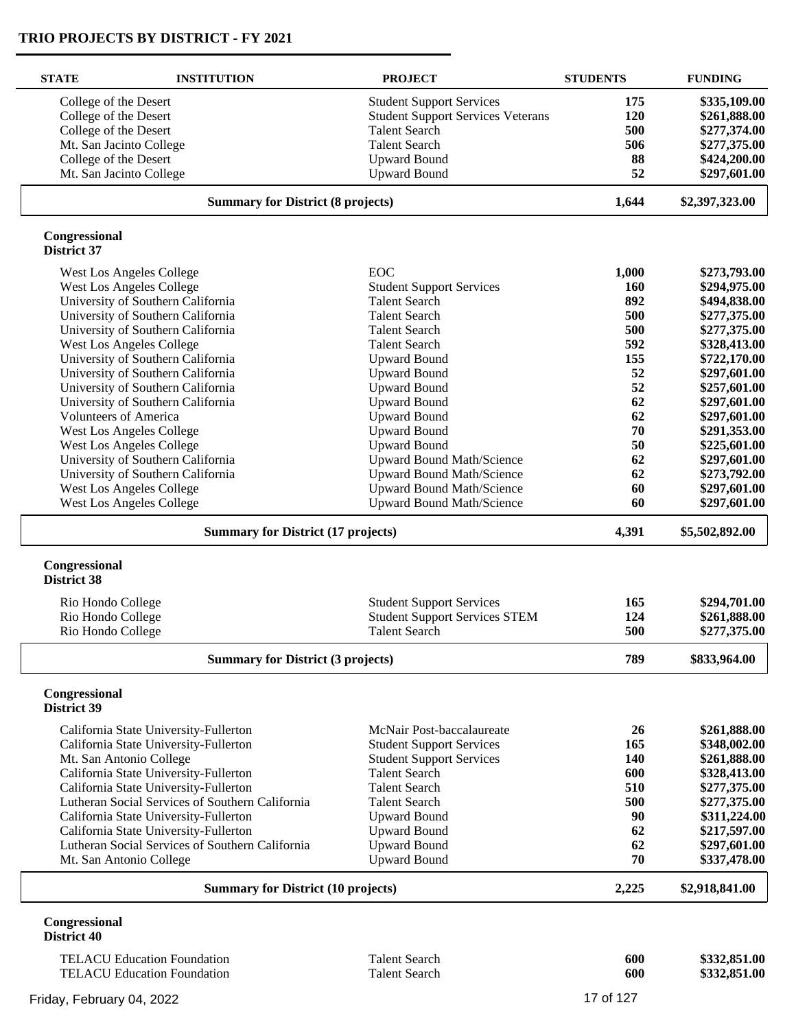| <b>STATE</b>                             | <b>INSTITUTION</b>                              | <b>PROJECT</b>                           | <b>STUDENTS</b> | <b>FUNDING</b> |
|------------------------------------------|-------------------------------------------------|------------------------------------------|-----------------|----------------|
| College of the Desert                    |                                                 | <b>Student Support Services</b>          | 175             | \$335,109.00   |
| College of the Desert                    |                                                 | <b>Student Support Services Veterans</b> | 120             | \$261,888.00   |
| College of the Desert                    |                                                 | <b>Talent Search</b>                     | 500             | \$277,374.00   |
| Mt. San Jacinto College                  |                                                 | <b>Talent Search</b>                     | 506             | \$277,375.00   |
| College of the Desert                    |                                                 | <b>Upward Bound</b>                      | 88              | \$424,200.00   |
| Mt. San Jacinto College                  |                                                 | <b>Upward Bound</b>                      | 52              | \$297,601.00   |
| <b>Summary for District (8 projects)</b> |                                                 | 1,644                                    | \$2,397,323.00  |                |
| Congressional<br>District 37             |                                                 |                                          |                 |                |
|                                          | <b>West Los Angeles College</b>                 | <b>EOC</b>                               | 1,000           | \$273,793.00   |
|                                          | West Los Angeles College                        | <b>Student Support Services</b>          | 160             | \$294,975.00   |
|                                          | University of Southern California               | <b>Talent Search</b>                     | 892             | \$494,838.00   |
|                                          | University of Southern California               | <b>Talent Search</b>                     | 500             | \$277,375.00   |
|                                          | University of Southern California               | <b>Talent Search</b>                     | 500             | \$277,375.00   |
|                                          | West Los Angeles College                        | <b>Talent Search</b>                     | 592             | \$328,413.00   |
|                                          | University of Southern California               | <b>Upward Bound</b>                      | 155             | \$722,170.00   |
|                                          | University of Southern California               | <b>Upward Bound</b>                      | 52              | \$297,601.00   |
|                                          | University of Southern California               | <b>Upward Bound</b>                      | 52              | \$257,601.00   |
|                                          | University of Southern California               | <b>Upward Bound</b>                      | 62              | \$297,601.00   |
| <b>Volunteers of America</b>             |                                                 | <b>Upward Bound</b>                      | 62              | \$297,601.00   |
|                                          | West Los Angeles College                        | <b>Upward Bound</b>                      | 70              | \$291,353.00   |
|                                          | West Los Angeles College                        | <b>Upward Bound</b>                      | 50              | \$225,601.00   |
|                                          | University of Southern California               | <b>Upward Bound Math/Science</b>         | 62              | \$297,601.00   |
|                                          | University of Southern California               | <b>Upward Bound Math/Science</b>         | 62              | \$273,792.00   |
|                                          | West Los Angeles College                        | <b>Upward Bound Math/Science</b>         | 60              | \$297,601.00   |
|                                          | <b>West Los Angeles College</b>                 | Upward Bound Math/Science                | 60              | \$297,601.00   |
|                                          | <b>Summary for District (17 projects)</b>       |                                          | 4,391           | \$5,502,892.00 |
| Congressional<br><b>District 38</b>      |                                                 |                                          |                 |                |
| Rio Hondo College                        |                                                 | <b>Student Support Services</b>          | 165             | \$294,701.00   |
| Rio Hondo College                        |                                                 | <b>Student Support Services STEM</b>     | 124             | \$261,888.00   |
| Rio Hondo College                        |                                                 | <b>Talent Search</b>                     | 500             | \$277,375.00   |
|                                          | <b>Summary for District (3 projects)</b>        |                                          | 789             | \$833,964.00   |
| Congressional<br>District 39             |                                                 |                                          |                 |                |
|                                          | California State University-Fullerton           | McNair Post-baccalaureate                | 26              | \$261,888.00   |
|                                          | California State University-Fullerton           | <b>Student Support Services</b>          | 165             | \$348,002.00   |
| Mt. San Antonio College                  |                                                 | <b>Student Support Services</b>          | 140             | \$261,888.00   |
|                                          | California State University-Fullerton           | <b>Talent Search</b>                     | 600             | \$328,413.00   |
|                                          | California State University-Fullerton           | <b>Talent Search</b>                     | 510             | \$277,375.00   |
|                                          | Lutheran Social Services of Southern California | <b>Talent Search</b>                     | 500             | \$277,375.00   |
|                                          | California State University-Fullerton           | <b>Upward Bound</b>                      | 90              | \$311,224.00   |
|                                          | California State University-Fullerton           | <b>Upward Bound</b>                      | 62              | \$217,597.00   |
|                                          | Lutheran Social Services of Southern California | <b>Upward Bound</b>                      | 62              | \$297,601.00   |
| Mt. San Antonio College                  |                                                 | <b>Upward Bound</b>                      | 70              | \$337,478.00   |
|                                          | <b>Summary for District (10 projects)</b>       |                                          | 2,225           | \$2,918,841.00 |
| Congressional<br><b>District 40</b>      |                                                 |                                          |                 |                |
|                                          | <b>TELACU Education Foundation</b>              | <b>Talent Search</b>                     | 600             | \$332,851.00   |
|                                          | <b>TELACU Education Foundation</b>              | <b>Talent Search</b>                     | 600             | \$332,851.00   |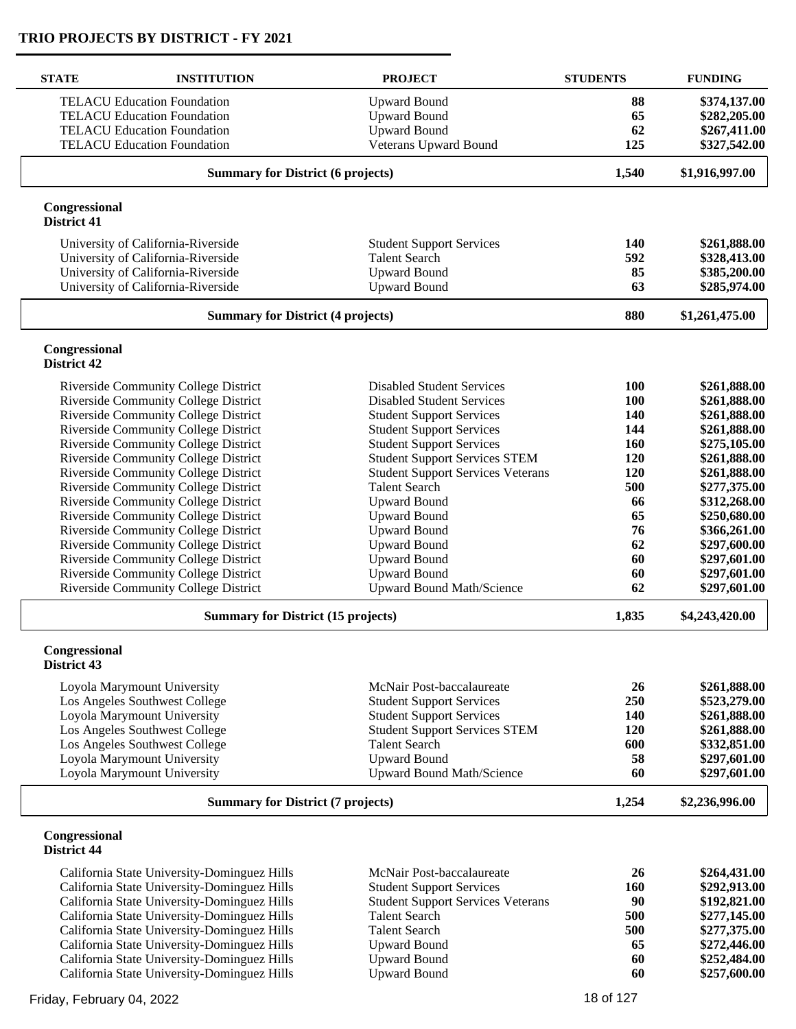| <b>STATE</b>                 | <b>INSTITUTION</b>                                                                         | <b>PROJECT</b>                                          | <b>STUDENTS</b> | <b>FUNDING</b>               |
|------------------------------|--------------------------------------------------------------------------------------------|---------------------------------------------------------|-----------------|------------------------------|
|                              | <b>TELACU Education Foundation</b>                                                         | <b>Upward Bound</b>                                     | 88              | \$374,137.00                 |
|                              | <b>TELACU Education Foundation</b>                                                         | <b>Upward Bound</b>                                     | 65              | \$282,205.00                 |
|                              | <b>TELACU Education Foundation</b>                                                         | <b>Upward Bound</b>                                     | 62              | \$267,411.00                 |
|                              | <b>TELACU Education Foundation</b>                                                         | Veterans Upward Bound                                   | 125             | \$327,542.00                 |
|                              | <b>Summary for District (6 projects)</b>                                                   |                                                         | 1,540           | \$1,916,997.00               |
| Congressional<br>District 41 |                                                                                            |                                                         |                 |                              |
|                              | University of California-Riverside                                                         | <b>Student Support Services</b>                         | 140             | \$261,888.00                 |
|                              | University of California-Riverside                                                         | <b>Talent Search</b>                                    | 592             | \$328,413.00                 |
|                              | University of California-Riverside                                                         | <b>Upward Bound</b>                                     | 85              | \$385,200.00                 |
|                              | University of California-Riverside                                                         | <b>Upward Bound</b>                                     | 63              | \$285,974.00                 |
|                              | <b>Summary for District (4 projects)</b>                                                   |                                                         | 880             | \$1,261,475.00               |
| Congressional<br>District 42 |                                                                                            |                                                         |                 |                              |
|                              | <b>Riverside Community College District</b>                                                | <b>Disabled Student Services</b>                        | 100             | \$261,888.00                 |
|                              | Riverside Community College District                                                       | <b>Disabled Student Services</b>                        | 100             | \$261,888.00                 |
|                              | Riverside Community College District                                                       | <b>Student Support Services</b>                         | 140             | \$261,888.00                 |
|                              | Riverside Community College District                                                       | <b>Student Support Services</b>                         | 144             | \$261,888.00                 |
|                              | Riverside Community College District                                                       | <b>Student Support Services</b>                         | 160             | \$275,105.00                 |
|                              | Riverside Community College District                                                       | <b>Student Support Services STEM</b>                    | 120             | \$261,888.00                 |
|                              | Riverside Community College District                                                       | <b>Student Support Services Veterans</b>                | 120             | \$261,888.00                 |
|                              | Riverside Community College District                                                       | <b>Talent Search</b>                                    | 500             | \$277,375.00                 |
|                              | Riverside Community College District<br>Riverside Community College District               | <b>Upward Bound</b><br><b>Upward Bound</b>              | 66<br>65        | \$312,268.00<br>\$250,680.00 |
|                              | Riverside Community College District                                                       | <b>Upward Bound</b>                                     | 76              | \$366,261.00                 |
|                              | Riverside Community College District                                                       | <b>Upward Bound</b>                                     | 62              | \$297,600.00                 |
|                              | Riverside Community College District                                                       | <b>Upward Bound</b>                                     | 60              | \$297,601.00                 |
|                              | Riverside Community College District                                                       | <b>Upward Bound</b>                                     | 60              | \$297,601.00                 |
|                              | Riverside Community College District                                                       | <b>Upward Bound Math/Science</b>                        | 62              | \$297,601.00                 |
|                              | <b>Summary for District (15 projects)</b>                                                  |                                                         | 1,835           | \$4,243,420.00               |
| Congressional<br>District 43 |                                                                                            |                                                         |                 |                              |
|                              | Loyola Marymount University                                                                | McNair Post-baccalaureate                               | 26              | \$261,888.00                 |
|                              | Los Angeles Southwest College                                                              | <b>Student Support Services</b>                         | 250             | \$523,279.00                 |
|                              | Loyola Marymount University                                                                | <b>Student Support Services</b>                         | 140             | \$261,888.00                 |
|                              | Los Angeles Southwest College                                                              | <b>Student Support Services STEM</b>                    | 120             | \$261,888.00                 |
|                              | Los Angeles Southwest College                                                              | <b>Talent Search</b>                                    | 600             | \$332,851.00                 |
|                              | Loyola Marymount University<br>Loyola Marymount University                                 | <b>Upward Bound</b><br><b>Upward Bound Math/Science</b> | 58<br>60        | \$297,601.00<br>\$297,601.00 |
|                              | <b>Summary for District (7 projects)</b>                                                   |                                                         | 1,254           | \$2,236,996.00               |
| Congressional                |                                                                                            |                                                         |                 |                              |
| <b>District 44</b>           |                                                                                            |                                                         |                 |                              |
|                              | California State University-Dominguez Hills                                                | McNair Post-baccalaureate                               | 26              | \$264,431.00                 |
|                              | California State University-Dominguez Hills                                                | <b>Student Support Services</b>                         | 160             | \$292,913.00                 |
|                              | California State University-Dominguez Hills                                                | <b>Student Support Services Veterans</b>                | 90              | \$192,821.00                 |
|                              | California State University-Dominguez Hills<br>California State University-Dominguez Hills | <b>Talent Search</b><br><b>Talent Search</b>            | 500<br>500      | \$277,145.00<br>\$277,375.00 |
|                              | California State University-Dominguez Hills                                                | <b>Upward Bound</b>                                     | 65              | \$272,446.00                 |
|                              | California State University-Dominguez Hills                                                | <b>Upward Bound</b>                                     | 60              | \$252,484.00                 |
|                              | California State University-Dominguez Hills                                                | <b>Upward Bound</b>                                     | 60              | \$257,600.00                 |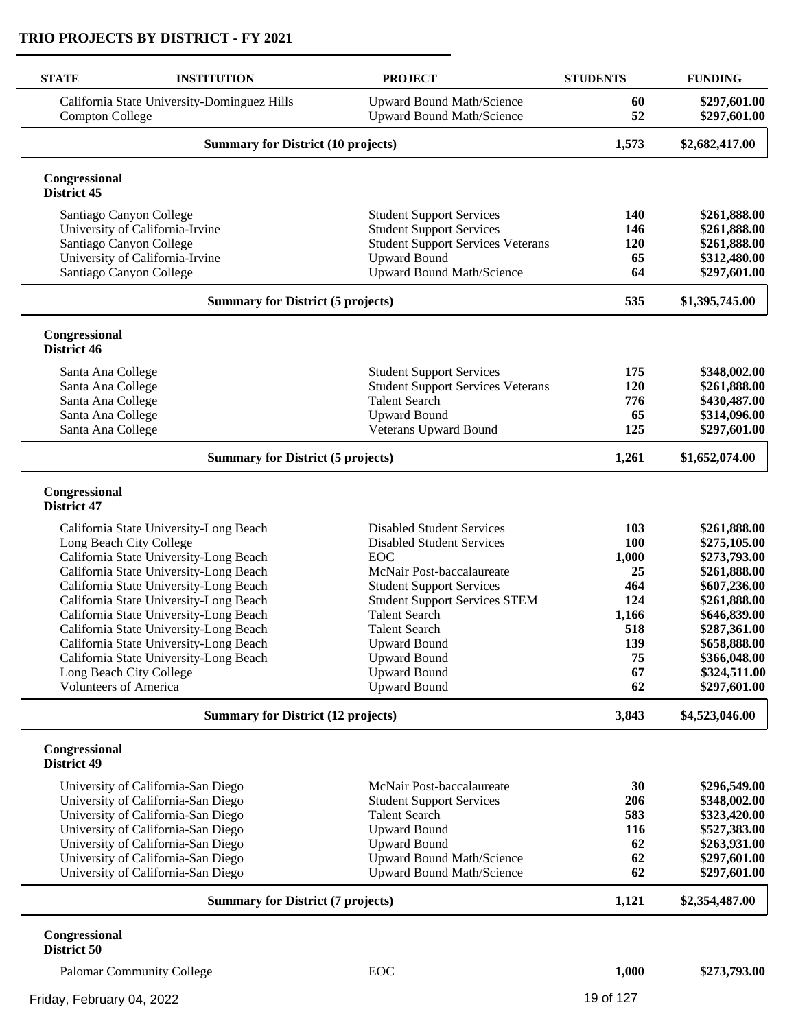| <b>STATE</b>                        | <b>INSTITUTION</b>                                                               | <b>PROJECT</b>                                                | <b>STUDENTS</b> | <b>FUNDING</b>               |
|-------------------------------------|----------------------------------------------------------------------------------|---------------------------------------------------------------|-----------------|------------------------------|
| <b>Compton College</b>              | California State University-Dominguez Hills                                      | <b>Upward Bound Math/Science</b><br>Upward Bound Math/Science | 60<br>52        | \$297,601.00<br>\$297,601.00 |
|                                     | <b>Summary for District (10 projects)</b>                                        |                                                               | 1,573           | \$2,682,417.00               |
| Congressional<br>District 45        |                                                                                  |                                                               |                 |                              |
| Santiago Canyon College             |                                                                                  | <b>Student Support Services</b>                               | 140             | \$261,888.00                 |
|                                     | University of California-Irvine                                                  | <b>Student Support Services</b>                               | 146             | \$261,888.00                 |
| Santiago Canyon College             |                                                                                  | <b>Student Support Services Veterans</b>                      | 120             | \$261,888.00                 |
|                                     | University of California-Irvine                                                  | <b>Upward Bound</b>                                           | 65              | \$312,480.00                 |
| Santiago Canyon College             |                                                                                  | Upward Bound Math/Science                                     | 64              | \$297,601.00                 |
|                                     | <b>Summary for District (5 projects)</b>                                         |                                                               | 535             | \$1,395,745.00               |
| Congressional<br>District 46        |                                                                                  |                                                               |                 |                              |
| Santa Ana College                   |                                                                                  | <b>Student Support Services</b>                               | 175             | \$348,002.00                 |
| Santa Ana College                   |                                                                                  | <b>Student Support Services Veterans</b>                      | 120             | \$261,888.00                 |
| Santa Ana College                   |                                                                                  | <b>Talent Search</b>                                          | 776             | \$430,487.00                 |
| Santa Ana College                   |                                                                                  | <b>Upward Bound</b>                                           | 65              | \$314,096.00                 |
| Santa Ana College                   |                                                                                  | Veterans Upward Bound                                         | 125             | \$297,601.00                 |
|                                     | <b>Summary for District (5 projects)</b>                                         |                                                               | 1,261           | \$1,652,074.00               |
| Congressional<br><b>District 47</b> |                                                                                  |                                                               |                 |                              |
|                                     | California State University-Long Beach                                           | <b>Disabled Student Services</b>                              | 103             | \$261,888.00                 |
| Long Beach City College             |                                                                                  | <b>Disabled Student Services</b>                              | 100             | \$275,105.00                 |
|                                     | California State University-Long Beach                                           | EOC                                                           | 1,000           | \$273,793.00                 |
|                                     | California State University-Long Beach                                           | McNair Post-baccalaureate                                     | 25              | \$261,888.00                 |
|                                     | California State University-Long Beach                                           | <b>Student Support Services</b>                               | 464             | \$607,236.00                 |
|                                     | California State University-Long Beach                                           | <b>Student Support Services STEM</b>                          | 124             | \$261,888.00                 |
|                                     | California State University-Long Beach                                           | <b>Talent Search</b>                                          | 1,166           | \$646,839.00                 |
|                                     | California State University-Long Beach<br>California State University-Long Beach | <b>Talent Search</b><br><b>Upward Bound</b>                   | 518<br>139      | \$287,361.00<br>\$658,888.00 |
|                                     | California State University-Long Beach                                           | <b>Upward Bound</b>                                           | 75              | \$366,048.00                 |
| Long Beach City College             |                                                                                  | <b>Upward Bound</b>                                           | 67              | \$324,511.00                 |
| <b>Volunteers of America</b>        |                                                                                  | <b>Upward Bound</b>                                           | 62              | \$297,601.00                 |
|                                     | <b>Summary for District (12 projects)</b>                                        |                                                               | 3,843           | \$4,523,046.00               |
| Congressional<br>District 49        |                                                                                  |                                                               |                 |                              |
|                                     | University of California-San Diego                                               | McNair Post-baccalaureate                                     | 30              | \$296,549.00                 |
|                                     | University of California-San Diego                                               | <b>Student Support Services</b>                               | 206             | \$348,002.00                 |
|                                     | University of California-San Diego                                               | <b>Talent Search</b>                                          | 583             | \$323,420.00                 |
|                                     | University of California-San Diego                                               | <b>Upward Bound</b>                                           | 116             | \$527,383.00                 |
|                                     | University of California-San Diego                                               | <b>Upward Bound</b>                                           | 62<br>62        | \$263,931.00                 |
|                                     | University of California-San Diego                                               | Upward Bound Math/Science<br>Upward Bound Math/Science        | 62              | \$297,601.00<br>\$297,601.00 |
| University of California-San Diego  |                                                                                  | <b>Summary for District (7 projects)</b>                      |                 |                              |

Palomar Community College **EOC 1,000 \$273,793.00**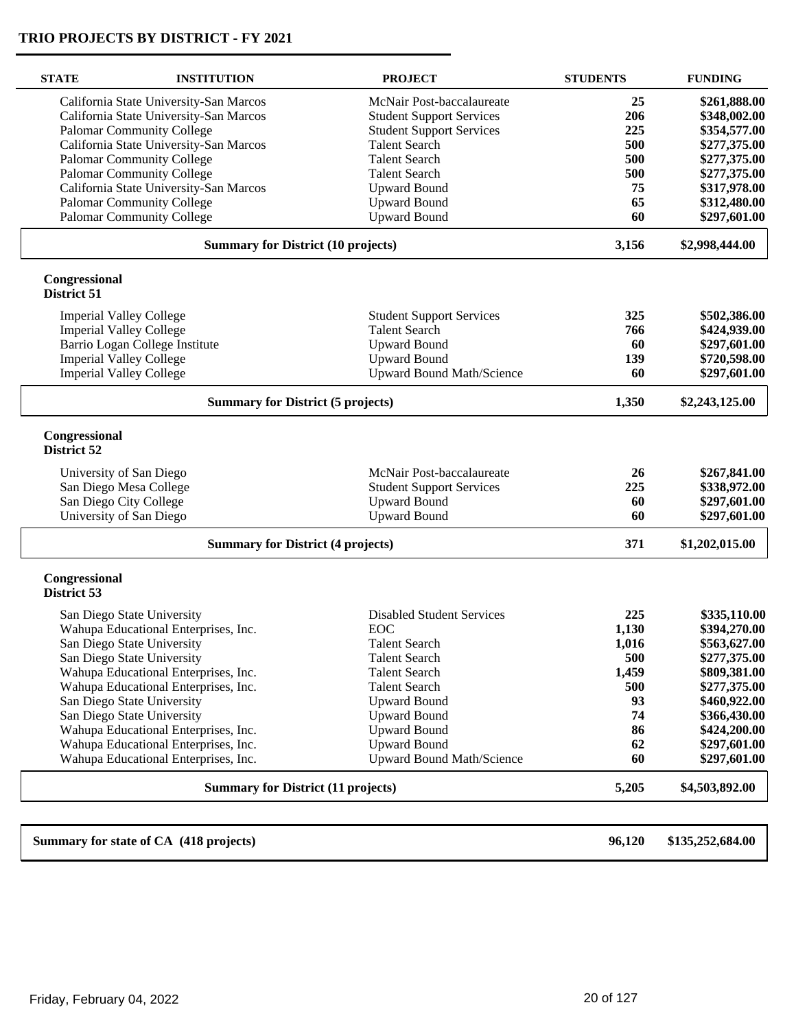| <b>STATE</b>                             | <b>INSTITUTION</b>                                | <b>PROJECT</b>                                         | <b>STUDENTS</b> | <b>FUNDING</b>   |
|------------------------------------------|---------------------------------------------------|--------------------------------------------------------|-----------------|------------------|
|                                          | California State University-San Marcos            | McNair Post-baccalaureate                              | 25              | \$261,888.00     |
|                                          | California State University-San Marcos            | <b>Student Support Services</b>                        | 206             | \$348,002.00     |
|                                          | <b>Palomar Community College</b>                  | <b>Student Support Services</b>                        | 225             | \$354,577.00     |
|                                          | California State University-San Marcos            | <b>Talent Search</b>                                   | 500             | \$277,375.00     |
|                                          | Palomar Community College                         | <b>Talent Search</b>                                   | 500             | \$277,375.00     |
|                                          | <b>Palomar Community College</b>                  | <b>Talent Search</b>                                   | 500             | \$277,375.00     |
|                                          | California State University-San Marcos            | <b>Upward Bound</b>                                    | 75              | \$317,978.00     |
|                                          | <b>Palomar Community College</b>                  | <b>Upward Bound</b>                                    | 65              | \$312,480.00     |
|                                          | Palomar Community College                         | <b>Upward Bound</b>                                    | 60              | \$297,601.00     |
|                                          | <b>Summary for District (10 projects)</b>         |                                                        | 3,156           | \$2,998,444.00   |
| Congressional<br>District 51             |                                                   |                                                        |                 |                  |
|                                          | <b>Imperial Valley College</b>                    | <b>Student Support Services</b>                        | 325             | \$502,386.00     |
|                                          | <b>Imperial Valley College</b>                    | <b>Talent Search</b>                                   | 766             | \$424,939.00     |
|                                          | Barrio Logan College Institute                    | <b>Upward Bound</b>                                    | 60              | \$297,601.00     |
|                                          | <b>Imperial Valley College</b>                    | <b>Upward Bound</b>                                    | 139             | \$720,598.00     |
|                                          | <b>Imperial Valley College</b>                    | Upward Bound Math/Science                              | 60              | \$297,601.00     |
|                                          | <b>Summary for District (5 projects)</b>          |                                                        |                 | \$2,243,125.00   |
| Congressional<br>District 52             |                                                   |                                                        |                 |                  |
|                                          |                                                   | McNair Post-baccalaureate                              | 26              | \$267,841.00     |
|                                          | University of San Diego<br>San Diego Mesa College |                                                        | 225             | \$338,972.00     |
|                                          | San Diego City College                            | <b>Student Support Services</b><br><b>Upward Bound</b> | 60              | \$297,601.00     |
|                                          | University of San Diego                           | <b>Upward Bound</b>                                    | 60              | \$297,601.00     |
|                                          |                                                   |                                                        |                 |                  |
| <b>Summary for District (4 projects)</b> |                                                   |                                                        | 371             | \$1,202,015.00   |
| Congressional<br>District 53             |                                                   |                                                        |                 |                  |
|                                          | San Diego State University                        | <b>Disabled Student Services</b>                       | 225             | \$335,110.00     |
|                                          | Wahupa Educational Enterprises, Inc.              | EOC                                                    | 1,130           | \$394,270.00     |
|                                          | San Diego State University                        | <b>Talent Search</b>                                   | 1,016           | \$563,627.00     |
|                                          | San Diego State University                        | <b>Talent Search</b>                                   | 500             | \$277,375.00     |
|                                          | Wahupa Educational Enterprises, Inc.              | <b>Talent Search</b>                                   | 1,459           | \$809,381.00     |
|                                          | Wahupa Educational Enterprises, Inc.              | <b>Talent Search</b>                                   | 500             | \$277,375.00     |
|                                          | San Diego State University                        | <b>Upward Bound</b>                                    | 93              | \$460,922.00     |
|                                          | San Diego State University                        | <b>Upward Bound</b>                                    | 74              | \$366,430.00     |
|                                          | Wahupa Educational Enterprises, Inc.              | <b>Upward Bound</b>                                    | 86              | \$424,200.00     |
|                                          | Wahupa Educational Enterprises, Inc.              | <b>Upward Bound</b>                                    | 62              | \$297,601.00     |
|                                          | Wahupa Educational Enterprises, Inc.              | Upward Bound Math/Science                              | 60              | \$297,601.00     |
|                                          | <b>Summary for District (11 projects)</b>         |                                                        | 5,205           | \$4,503,892.00   |
|                                          |                                                   |                                                        |                 |                  |
|                                          | Summary for state of CA (418 projects)            |                                                        | 96,120          | \$135,252,684.00 |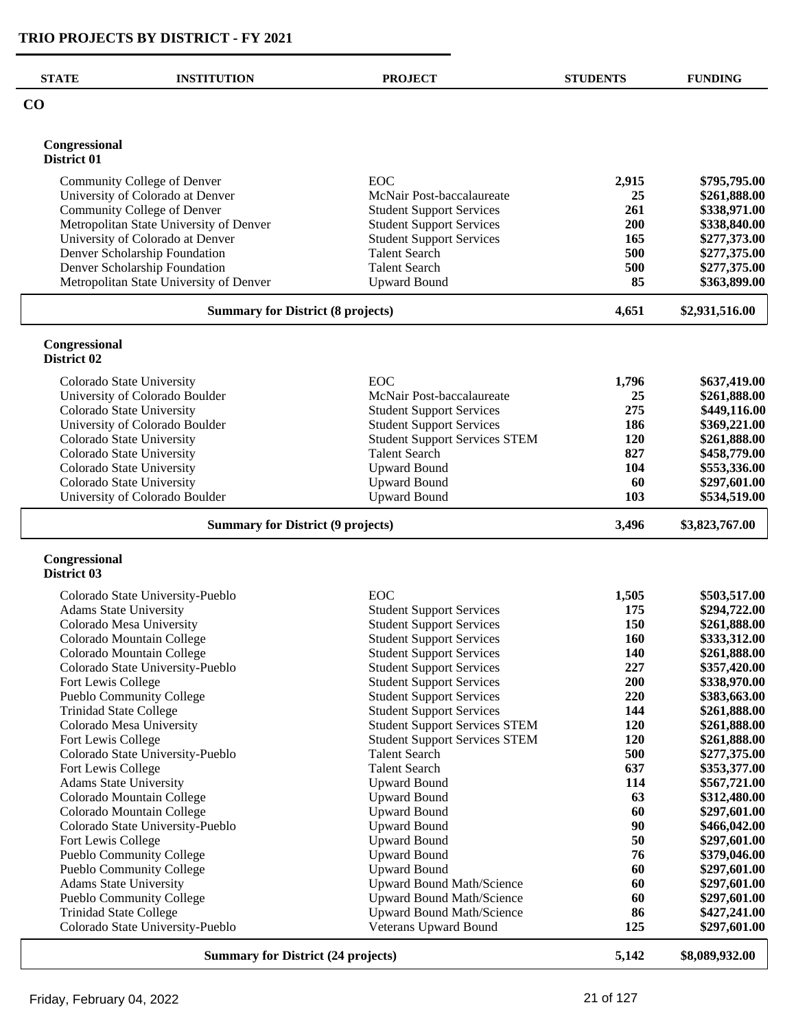$\overline{\phantom{0}}$ 

| <b>STATE</b>                              | <b>INSTITUTION</b>                                                       | <b>PROJECT</b>                                                               | <b>STUDENTS</b> | <b>FUNDING</b>               |
|-------------------------------------------|--------------------------------------------------------------------------|------------------------------------------------------------------------------|-----------------|------------------------------|
| $\bf CO$                                  |                                                                          |                                                                              |                 |                              |
| Congressional                             |                                                                          |                                                                              |                 |                              |
| District 01                               |                                                                          |                                                                              |                 |                              |
|                                           | Community College of Denver                                              | EOC                                                                          | 2,915           | \$795,795.00                 |
|                                           | University of Colorado at Denver                                         | McNair Post-baccalaureate                                                    | 25              | \$261,888.00                 |
|                                           | Community College of Denver                                              | <b>Student Support Services</b>                                              | 261             | \$338,971.00                 |
|                                           | Metropolitan State University of Denver                                  | <b>Student Support Services</b>                                              | <b>200</b>      | \$338,840.00                 |
|                                           | University of Colorado at Denver                                         | <b>Student Support Services</b>                                              | 165             | \$277,373.00                 |
|                                           | Denver Scholarship Foundation                                            | <b>Talent Search</b><br><b>Talent Search</b>                                 | 500<br>500      | \$277,375.00                 |
|                                           | Denver Scholarship Foundation<br>Metropolitan State University of Denver | <b>Upward Bound</b>                                                          | 85              | \$277,375.00<br>\$363,899.00 |
|                                           |                                                                          |                                                                              |                 |                              |
|                                           | <b>Summary for District (8 projects)</b>                                 |                                                                              | 4,651           | \$2,931,516.00               |
| Congressional<br>District 02              |                                                                          |                                                                              |                 |                              |
|                                           |                                                                          |                                                                              |                 |                              |
|                                           | Colorado State University                                                | EOC                                                                          | 1,796           | \$637,419.00                 |
|                                           | University of Colorado Boulder<br>Colorado State University              | McNair Post-baccalaureate                                                    | 25              | \$261,888.00                 |
|                                           | University of Colorado Boulder                                           | <b>Student Support Services</b><br><b>Student Support Services</b>           | 275<br>186      | \$449,116.00<br>\$369,221.00 |
|                                           | Colorado State University                                                | <b>Student Support Services STEM</b>                                         | <b>120</b>      | \$261,888.00                 |
|                                           | Colorado State University                                                | <b>Talent Search</b>                                                         | 827             | \$458,779.00                 |
|                                           | Colorado State University                                                | <b>Upward Bound</b>                                                          | 104             | \$553,336.00                 |
|                                           | Colorado State University                                                | <b>Upward Bound</b>                                                          | 60              | \$297,601.00                 |
|                                           | University of Colorado Boulder                                           | <b>Upward Bound</b>                                                          | 103             | \$534,519.00                 |
|                                           | <b>Summary for District (9 projects)</b>                                 |                                                                              | 3,496           | \$3,823,767.00               |
| Congressional<br>District 03              |                                                                          |                                                                              |                 |                              |
|                                           |                                                                          | EOC                                                                          |                 | \$503,517.00                 |
|                                           | Colorado State University-Pueblo<br><b>Adams State University</b>        | <b>Student Support Services</b>                                              | 1,505<br>175    | \$294,722.00                 |
|                                           | Colorado Mesa University                                                 | <b>Student Support Services</b>                                              | 150             | \$261,888.00                 |
|                                           | Colorado Mountain College                                                | <b>Student Support Services</b>                                              | 160             | \$333,312.00                 |
|                                           | Colorado Mountain College                                                | <b>Student Support Services</b>                                              | <b>140</b>      | \$261,888.00                 |
|                                           | Colorado State University-Pueblo                                         | <b>Student Support Services</b>                                              | 227             | \$357,420.00                 |
| Fort Lewis College                        |                                                                          | <b>Student Support Services</b>                                              | 200             | \$338,970.00                 |
|                                           | <b>Pueblo Community College</b>                                          | <b>Student Support Services</b>                                              | 220             | \$383,663.00                 |
|                                           | <b>Trinidad State College</b>                                            | <b>Student Support Services</b>                                              | 144             | \$261,888.00                 |
| Fort Lewis College                        | Colorado Mesa University                                                 | <b>Student Support Services STEM</b><br><b>Student Support Services STEM</b> | 120<br>120      | \$261,888.00<br>\$261,888.00 |
|                                           | Colorado State University-Pueblo                                         | <b>Talent Search</b>                                                         | 500             | \$277,375.00                 |
| Fort Lewis College                        |                                                                          | <b>Talent Search</b>                                                         | 637             | \$353,377.00                 |
|                                           | <b>Adams State University</b>                                            | <b>Upward Bound</b>                                                          | 114             | \$567,721.00                 |
|                                           | Colorado Mountain College                                                | <b>Upward Bound</b>                                                          | 63              | \$312,480.00                 |
|                                           | Colorado Mountain College                                                | <b>Upward Bound</b>                                                          | 60              | \$297,601.00                 |
|                                           | Colorado State University-Pueblo                                         | <b>Upward Bound</b>                                                          | 90              | \$466,042.00                 |
| Fort Lewis College                        |                                                                          | <b>Upward Bound</b>                                                          | 50              | \$297,601.00                 |
|                                           | <b>Pueblo Community College</b>                                          | <b>Upward Bound</b>                                                          | 76              | \$379,046.00                 |
|                                           | Pueblo Community College<br><b>Adams State University</b>                | <b>Upward Bound</b><br>Upward Bound Math/Science                             | 60<br>60        | \$297,601.00<br>\$297,601.00 |
|                                           | Pueblo Community College                                                 | Upward Bound Math/Science                                                    | 60              | \$297,601.00                 |
|                                           | <b>Trinidad State College</b>                                            | <b>Upward Bound Math/Science</b>                                             | 86              | \$427,241.00                 |
|                                           | Colorado State University-Pueblo                                         | Veterans Upward Bound                                                        | 125             | \$297,601.00                 |
| <b>Summary for District (24 projects)</b> |                                                                          |                                                                              |                 | \$8,089,932.00               |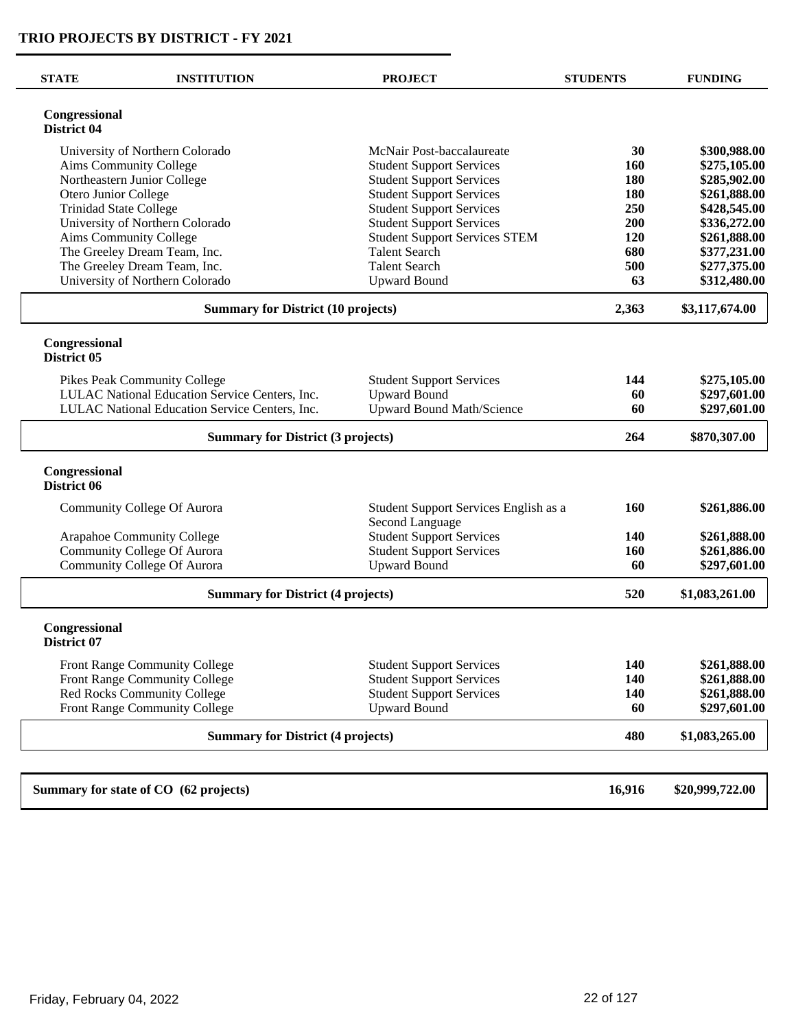| <b>STATE</b>                  | <b>INSTITUTION</b>                             | <b>PROJECT</b>                                           | <b>STUDENTS</b> | <b>FUNDING</b>  |
|-------------------------------|------------------------------------------------|----------------------------------------------------------|-----------------|-----------------|
| Congressional<br>District 04  |                                                |                                                          |                 |                 |
|                               | University of Northern Colorado                | McNair Post-baccalaureate                                | 30              | \$300,988.00    |
|                               | Aims Community College                         | <b>Student Support Services</b>                          | 160             | \$275,105.00    |
|                               | Northeastern Junior College                    | <b>Student Support Services</b>                          | 180             | \$285,902.00    |
| Otero Junior College          |                                                | <b>Student Support Services</b>                          | 180             | \$261,888.00    |
| <b>Trinidad State College</b> |                                                | <b>Student Support Services</b>                          | 250             | \$428,545.00    |
|                               | University of Northern Colorado                | <b>Student Support Services</b>                          | 200             | \$336,272.00    |
|                               | Aims Community College                         | <b>Student Support Services STEM</b>                     | 120             | \$261,888.00    |
|                               | The Greeley Dream Team, Inc.                   | <b>Talent Search</b>                                     | 680             | \$377,231.00    |
|                               | The Greeley Dream Team, Inc.                   | <b>Talent Search</b>                                     | 500             | \$277,375.00    |
|                               | University of Northern Colorado                | <b>Upward Bound</b>                                      | 63              | \$312,480.00    |
|                               | <b>Summary for District (10 projects)</b>      |                                                          | 2,363           | \$3,117,674.00  |
| Congressional<br>District 05  |                                                |                                                          |                 |                 |
|                               | Pikes Peak Community College                   | <b>Student Support Services</b>                          | 144             | \$275,105.00    |
|                               | LULAC National Education Service Centers, Inc. | <b>Upward Bound</b>                                      | 60              | \$297,601.00    |
|                               | LULAC National Education Service Centers, Inc. | <b>Upward Bound Math/Science</b>                         | 60              | \$297,601.00    |
|                               | <b>Summary for District (3 projects)</b>       |                                                          |                 |                 |
| Congressional<br>District 06  |                                                |                                                          |                 |                 |
|                               | Community College Of Aurora                    | Student Support Services English as a<br>Second Language | 160             | \$261,886.00    |
|                               | Arapahoe Community College                     | <b>Student Support Services</b>                          | <b>140</b>      | \$261,888.00    |
|                               | <b>Community College Of Aurora</b>             | <b>Student Support Services</b>                          | 160             | \$261,886.00    |
|                               | <b>Community College Of Aurora</b>             | <b>Upward Bound</b>                                      | 60              | \$297,601.00    |
|                               | <b>Summary for District (4 projects)</b>       |                                                          | 520             | \$1,083,261.00  |
| Congressional<br>District 07  |                                                |                                                          |                 |                 |
|                               | Front Range Community College                  | <b>Student Support Services</b>                          | 140             | \$261,888.00    |
|                               | Front Range Community College                  | <b>Student Support Services</b>                          | 140             | \$261,888.00    |
|                               | Red Rocks Community College                    | <b>Student Support Services</b>                          | 140             | \$261,888.00    |
|                               | Front Range Community College                  | <b>Upward Bound</b>                                      | 60              | \$297,601.00    |
|                               | <b>Summary for District (4 projects)</b>       |                                                          | 480             | \$1,083,265.00  |
|                               | Summary for state of CO (62 projects)          |                                                          | 16,916          | \$20,999,722.00 |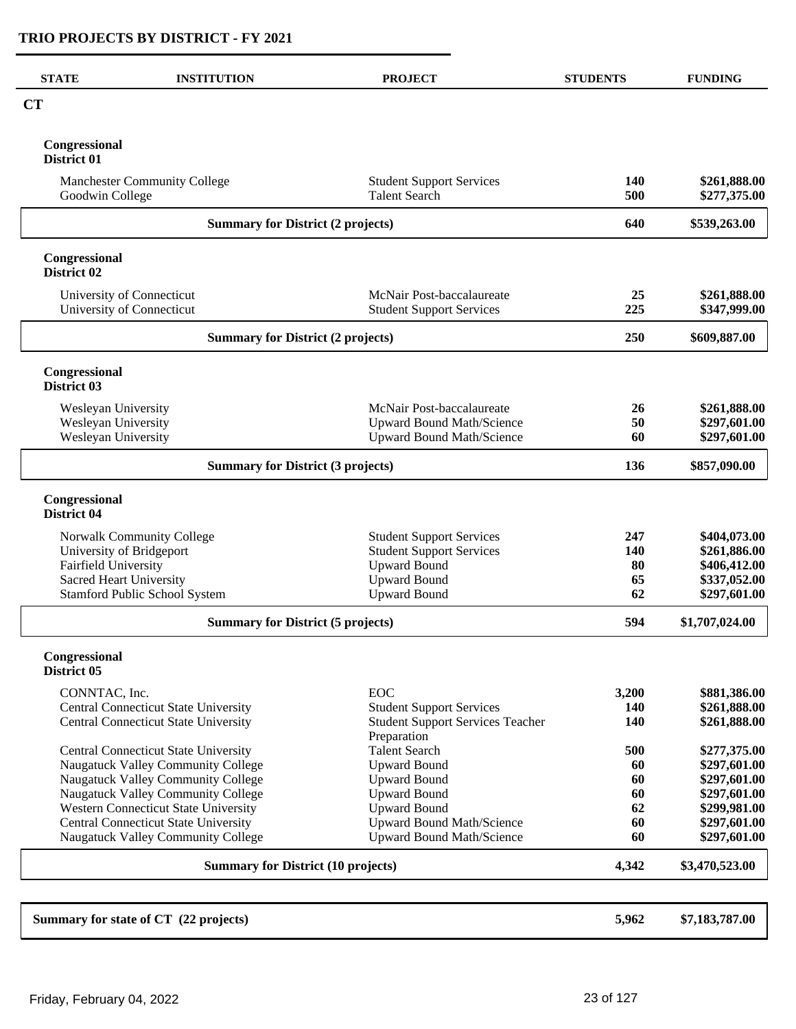| <b>CT</b><br>Congressional<br>District 01<br><b>Manchester Community College</b><br><b>Student Support Services</b><br>140<br><b>Talent Search</b><br>500<br>Goodwin College<br>640<br><b>Summary for District (2 projects)</b><br>Congressional<br>District 02<br>University of Connecticut<br>McNair Post-baccalaureate<br>25<br>University of Connecticut<br><b>Student Support Services</b><br>225<br><b>Summary for District (2 projects)</b><br>250<br>Congressional<br>District 03<br>McNair Post-baccalaureate<br>Wesleyan University<br>26<br>Wesleyan University<br><b>Upward Bound Math/Science</b><br>50<br>Wesleyan University<br><b>Upward Bound Math/Science</b><br>60<br><b>Summary for District (3 projects)</b><br>136<br>Congressional<br>District 04<br>Norwalk Community College<br><b>Student Support Services</b><br>247<br><b>Student Support Services</b><br>University of Bridgeport<br>140<br><b>Upward Bound</b><br>Fairfield University<br>80<br><b>Upward Bound</b><br>65<br><b>Sacred Heart University</b><br>Stamford Public School System<br><b>Upward Bound</b><br>62<br>594<br><b>Summary for District (5 projects)</b><br>Congressional<br>District 05<br><b>EOC</b><br>CONNTAC, Inc.<br>3,200<br>Central Connecticut State University<br><b>Student Support Services</b><br>140<br><b>Student Support Services Teacher</b><br><b>Central Connecticut State University</b><br><b>140</b><br>Preparation<br><b>Talent Search</b><br>500<br><b>Central Connecticut State University</b><br>Naugatuck Valley Community College<br><b>Upward Bound</b><br>60<br>Naugatuck Valley Community College<br><b>Upward Bound</b><br>60<br>Naugatuck Valley Community College<br><b>Upward Bound</b><br>60<br>Western Connecticut State University<br><b>Upward Bound</b><br>62<br><b>Central Connecticut State University</b><br><b>Upward Bound Math/Science</b><br>60<br>Naugatuck Valley Community College<br><b>Upward Bound Math/Science</b><br>60<br><b>Summary for District (10 projects)</b><br>4,342<br>Summary for state of CT (22 projects)<br>5,962 | <b>STATE</b> | <b>INSTITUTION</b> | <b>PROJECT</b> | <b>STUDENTS</b> | <b>FUNDING</b>               |
|------------------------------------------------------------------------------------------------------------------------------------------------------------------------------------------------------------------------------------------------------------------------------------------------------------------------------------------------------------------------------------------------------------------------------------------------------------------------------------------------------------------------------------------------------------------------------------------------------------------------------------------------------------------------------------------------------------------------------------------------------------------------------------------------------------------------------------------------------------------------------------------------------------------------------------------------------------------------------------------------------------------------------------------------------------------------------------------------------------------------------------------------------------------------------------------------------------------------------------------------------------------------------------------------------------------------------------------------------------------------------------------------------------------------------------------------------------------------------------------------------------------------------------------------------------------------------------------------------------------------------------------------------------------------------------------------------------------------------------------------------------------------------------------------------------------------------------------------------------------------------------------------------------------------------------------------------------------------------------------------------------------------------------------------------------------------------------------|--------------|--------------------|----------------|-----------------|------------------------------|
|                                                                                                                                                                                                                                                                                                                                                                                                                                                                                                                                                                                                                                                                                                                                                                                                                                                                                                                                                                                                                                                                                                                                                                                                                                                                                                                                                                                                                                                                                                                                                                                                                                                                                                                                                                                                                                                                                                                                                                                                                                                                                          |              |                    |                |                 |                              |
|                                                                                                                                                                                                                                                                                                                                                                                                                                                                                                                                                                                                                                                                                                                                                                                                                                                                                                                                                                                                                                                                                                                                                                                                                                                                                                                                                                                                                                                                                                                                                                                                                                                                                                                                                                                                                                                                                                                                                                                                                                                                                          |              |                    |                |                 |                              |
|                                                                                                                                                                                                                                                                                                                                                                                                                                                                                                                                                                                                                                                                                                                                                                                                                                                                                                                                                                                                                                                                                                                                                                                                                                                                                                                                                                                                                                                                                                                                                                                                                                                                                                                                                                                                                                                                                                                                                                                                                                                                                          |              |                    |                |                 | \$261,888.00<br>\$277,375.00 |
|                                                                                                                                                                                                                                                                                                                                                                                                                                                                                                                                                                                                                                                                                                                                                                                                                                                                                                                                                                                                                                                                                                                                                                                                                                                                                                                                                                                                                                                                                                                                                                                                                                                                                                                                                                                                                                                                                                                                                                                                                                                                                          |              |                    |                | \$539,263.00    |                              |
|                                                                                                                                                                                                                                                                                                                                                                                                                                                                                                                                                                                                                                                                                                                                                                                                                                                                                                                                                                                                                                                                                                                                                                                                                                                                                                                                                                                                                                                                                                                                                                                                                                                                                                                                                                                                                                                                                                                                                                                                                                                                                          |              |                    |                |                 |                              |
|                                                                                                                                                                                                                                                                                                                                                                                                                                                                                                                                                                                                                                                                                                                                                                                                                                                                                                                                                                                                                                                                                                                                                                                                                                                                                                                                                                                                                                                                                                                                                                                                                                                                                                                                                                                                                                                                                                                                                                                                                                                                                          |              |                    |                |                 | \$261,888.00<br>\$347,999.00 |
|                                                                                                                                                                                                                                                                                                                                                                                                                                                                                                                                                                                                                                                                                                                                                                                                                                                                                                                                                                                                                                                                                                                                                                                                                                                                                                                                                                                                                                                                                                                                                                                                                                                                                                                                                                                                                                                                                                                                                                                                                                                                                          |              |                    |                |                 | \$609,887.00                 |
|                                                                                                                                                                                                                                                                                                                                                                                                                                                                                                                                                                                                                                                                                                                                                                                                                                                                                                                                                                                                                                                                                                                                                                                                                                                                                                                                                                                                                                                                                                                                                                                                                                                                                                                                                                                                                                                                                                                                                                                                                                                                                          |              |                    |                |                 |                              |
|                                                                                                                                                                                                                                                                                                                                                                                                                                                                                                                                                                                                                                                                                                                                                                                                                                                                                                                                                                                                                                                                                                                                                                                                                                                                                                                                                                                                                                                                                                                                                                                                                                                                                                                                                                                                                                                                                                                                                                                                                                                                                          |              |                    |                |                 | \$261,888.00                 |
|                                                                                                                                                                                                                                                                                                                                                                                                                                                                                                                                                                                                                                                                                                                                                                                                                                                                                                                                                                                                                                                                                                                                                                                                                                                                                                                                                                                                                                                                                                                                                                                                                                                                                                                                                                                                                                                                                                                                                                                                                                                                                          |              |                    |                |                 | \$297,601.00                 |
|                                                                                                                                                                                                                                                                                                                                                                                                                                                                                                                                                                                                                                                                                                                                                                                                                                                                                                                                                                                                                                                                                                                                                                                                                                                                                                                                                                                                                                                                                                                                                                                                                                                                                                                                                                                                                                                                                                                                                                                                                                                                                          |              |                    |                |                 | \$297,601.00                 |
|                                                                                                                                                                                                                                                                                                                                                                                                                                                                                                                                                                                                                                                                                                                                                                                                                                                                                                                                                                                                                                                                                                                                                                                                                                                                                                                                                                                                                                                                                                                                                                                                                                                                                                                                                                                                                                                                                                                                                                                                                                                                                          |              |                    |                |                 | \$857,090.00                 |
|                                                                                                                                                                                                                                                                                                                                                                                                                                                                                                                                                                                                                                                                                                                                                                                                                                                                                                                                                                                                                                                                                                                                                                                                                                                                                                                                                                                                                                                                                                                                                                                                                                                                                                                                                                                                                                                                                                                                                                                                                                                                                          |              |                    |                |                 |                              |
|                                                                                                                                                                                                                                                                                                                                                                                                                                                                                                                                                                                                                                                                                                                                                                                                                                                                                                                                                                                                                                                                                                                                                                                                                                                                                                                                                                                                                                                                                                                                                                                                                                                                                                                                                                                                                                                                                                                                                                                                                                                                                          |              |                    |                |                 | \$404,073.00                 |
|                                                                                                                                                                                                                                                                                                                                                                                                                                                                                                                                                                                                                                                                                                                                                                                                                                                                                                                                                                                                                                                                                                                                                                                                                                                                                                                                                                                                                                                                                                                                                                                                                                                                                                                                                                                                                                                                                                                                                                                                                                                                                          |              |                    |                |                 | \$261,886.00                 |
|                                                                                                                                                                                                                                                                                                                                                                                                                                                                                                                                                                                                                                                                                                                                                                                                                                                                                                                                                                                                                                                                                                                                                                                                                                                                                                                                                                                                                                                                                                                                                                                                                                                                                                                                                                                                                                                                                                                                                                                                                                                                                          |              |                    |                |                 | \$406,412.00                 |
|                                                                                                                                                                                                                                                                                                                                                                                                                                                                                                                                                                                                                                                                                                                                                                                                                                                                                                                                                                                                                                                                                                                                                                                                                                                                                                                                                                                                                                                                                                                                                                                                                                                                                                                                                                                                                                                                                                                                                                                                                                                                                          |              |                    |                |                 | \$337,052.00<br>\$297,601.00 |
|                                                                                                                                                                                                                                                                                                                                                                                                                                                                                                                                                                                                                                                                                                                                                                                                                                                                                                                                                                                                                                                                                                                                                                                                                                                                                                                                                                                                                                                                                                                                                                                                                                                                                                                                                                                                                                                                                                                                                                                                                                                                                          |              |                    |                |                 | \$1,707,024.00               |
|                                                                                                                                                                                                                                                                                                                                                                                                                                                                                                                                                                                                                                                                                                                                                                                                                                                                                                                                                                                                                                                                                                                                                                                                                                                                                                                                                                                                                                                                                                                                                                                                                                                                                                                                                                                                                                                                                                                                                                                                                                                                                          |              |                    |                |                 |                              |
|                                                                                                                                                                                                                                                                                                                                                                                                                                                                                                                                                                                                                                                                                                                                                                                                                                                                                                                                                                                                                                                                                                                                                                                                                                                                                                                                                                                                                                                                                                                                                                                                                                                                                                                                                                                                                                                                                                                                                                                                                                                                                          |              |                    |                |                 |                              |
|                                                                                                                                                                                                                                                                                                                                                                                                                                                                                                                                                                                                                                                                                                                                                                                                                                                                                                                                                                                                                                                                                                                                                                                                                                                                                                                                                                                                                                                                                                                                                                                                                                                                                                                                                                                                                                                                                                                                                                                                                                                                                          |              |                    |                |                 | \$881,386.00                 |
|                                                                                                                                                                                                                                                                                                                                                                                                                                                                                                                                                                                                                                                                                                                                                                                                                                                                                                                                                                                                                                                                                                                                                                                                                                                                                                                                                                                                                                                                                                                                                                                                                                                                                                                                                                                                                                                                                                                                                                                                                                                                                          |              |                    |                |                 | \$261,888.00<br>\$261,888.00 |
|                                                                                                                                                                                                                                                                                                                                                                                                                                                                                                                                                                                                                                                                                                                                                                                                                                                                                                                                                                                                                                                                                                                                                                                                                                                                                                                                                                                                                                                                                                                                                                                                                                                                                                                                                                                                                                                                                                                                                                                                                                                                                          |              |                    |                |                 | \$277,375.00                 |
|                                                                                                                                                                                                                                                                                                                                                                                                                                                                                                                                                                                                                                                                                                                                                                                                                                                                                                                                                                                                                                                                                                                                                                                                                                                                                                                                                                                                                                                                                                                                                                                                                                                                                                                                                                                                                                                                                                                                                                                                                                                                                          |              |                    |                |                 | \$297,601.00                 |
|                                                                                                                                                                                                                                                                                                                                                                                                                                                                                                                                                                                                                                                                                                                                                                                                                                                                                                                                                                                                                                                                                                                                                                                                                                                                                                                                                                                                                                                                                                                                                                                                                                                                                                                                                                                                                                                                                                                                                                                                                                                                                          |              |                    |                |                 | \$297,601.00                 |
|                                                                                                                                                                                                                                                                                                                                                                                                                                                                                                                                                                                                                                                                                                                                                                                                                                                                                                                                                                                                                                                                                                                                                                                                                                                                                                                                                                                                                                                                                                                                                                                                                                                                                                                                                                                                                                                                                                                                                                                                                                                                                          |              |                    |                |                 | \$297,601.00<br>\$299,981.00 |
|                                                                                                                                                                                                                                                                                                                                                                                                                                                                                                                                                                                                                                                                                                                                                                                                                                                                                                                                                                                                                                                                                                                                                                                                                                                                                                                                                                                                                                                                                                                                                                                                                                                                                                                                                                                                                                                                                                                                                                                                                                                                                          |              |                    |                |                 | \$297,601.00                 |
|                                                                                                                                                                                                                                                                                                                                                                                                                                                                                                                                                                                                                                                                                                                                                                                                                                                                                                                                                                                                                                                                                                                                                                                                                                                                                                                                                                                                                                                                                                                                                                                                                                                                                                                                                                                                                                                                                                                                                                                                                                                                                          |              |                    |                |                 | \$297,601.00                 |
|                                                                                                                                                                                                                                                                                                                                                                                                                                                                                                                                                                                                                                                                                                                                                                                                                                                                                                                                                                                                                                                                                                                                                                                                                                                                                                                                                                                                                                                                                                                                                                                                                                                                                                                                                                                                                                                                                                                                                                                                                                                                                          |              |                    |                |                 | \$3,470,523.00               |
|                                                                                                                                                                                                                                                                                                                                                                                                                                                                                                                                                                                                                                                                                                                                                                                                                                                                                                                                                                                                                                                                                                                                                                                                                                                                                                                                                                                                                                                                                                                                                                                                                                                                                                                                                                                                                                                                                                                                                                                                                                                                                          |              |                    |                |                 |                              |
|                                                                                                                                                                                                                                                                                                                                                                                                                                                                                                                                                                                                                                                                                                                                                                                                                                                                                                                                                                                                                                                                                                                                                                                                                                                                                                                                                                                                                                                                                                                                                                                                                                                                                                                                                                                                                                                                                                                                                                                                                                                                                          |              |                    |                |                 | \$7,183,787.00               |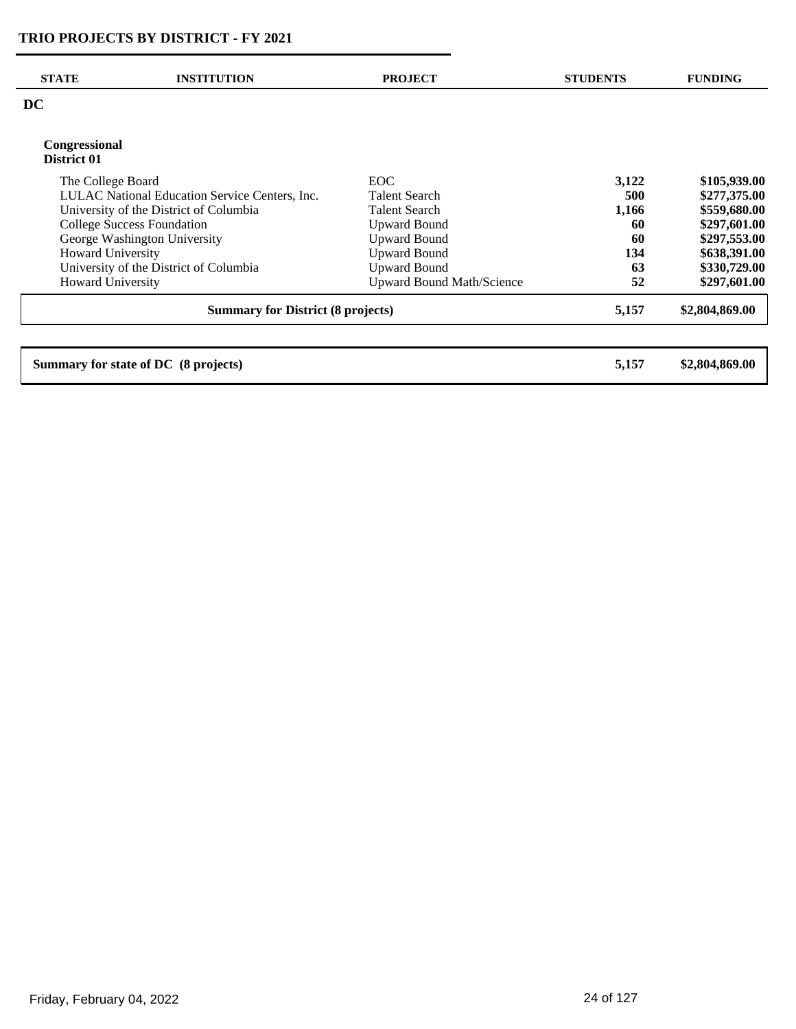| <b>STATE</b>                             | <b>INSTITUTION</b>                             | <b>PROJECT</b>                   | <b>STUDENTS</b> | <b>FUNDING</b> |
|------------------------------------------|------------------------------------------------|----------------------------------|-----------------|----------------|
| <b>DC</b>                                |                                                |                                  |                 |                |
| <b>Congressional</b><br>District 01      |                                                |                                  |                 |                |
| The College Board                        |                                                | <b>EOC</b>                       | 3,122           | \$105,939.00   |
|                                          | LULAC National Education Service Centers, Inc. | <b>Talent Search</b>             | 500             | \$277,375.00   |
|                                          | University of the District of Columbia         | <b>Talent Search</b>             | 1,166           | \$559,680.00   |
|                                          | <b>College Success Foundation</b>              | <b>Upward Bound</b>              | 60              | \$297,601.00   |
|                                          | George Washington University                   | <b>Upward Bound</b>              | 60              | \$297,553.00   |
| <b>Howard University</b>                 |                                                | <b>Upward Bound</b>              | 134             | \$638,391.00   |
|                                          | University of the District of Columbia         | <b>Upward Bound</b>              | 63              | \$330,729.00   |
| <b>Howard University</b>                 |                                                | <b>Upward Bound Math/Science</b> | 52              | \$297,601.00   |
| <b>Summary for District (8 projects)</b> |                                                |                                  | 5,157           | \$2,804,869.00 |
|                                          |                                                |                                  |                 | \$2,804,869.00 |
|                                          | Summary for state of DC (8 projects)           |                                  | 5,157           |                |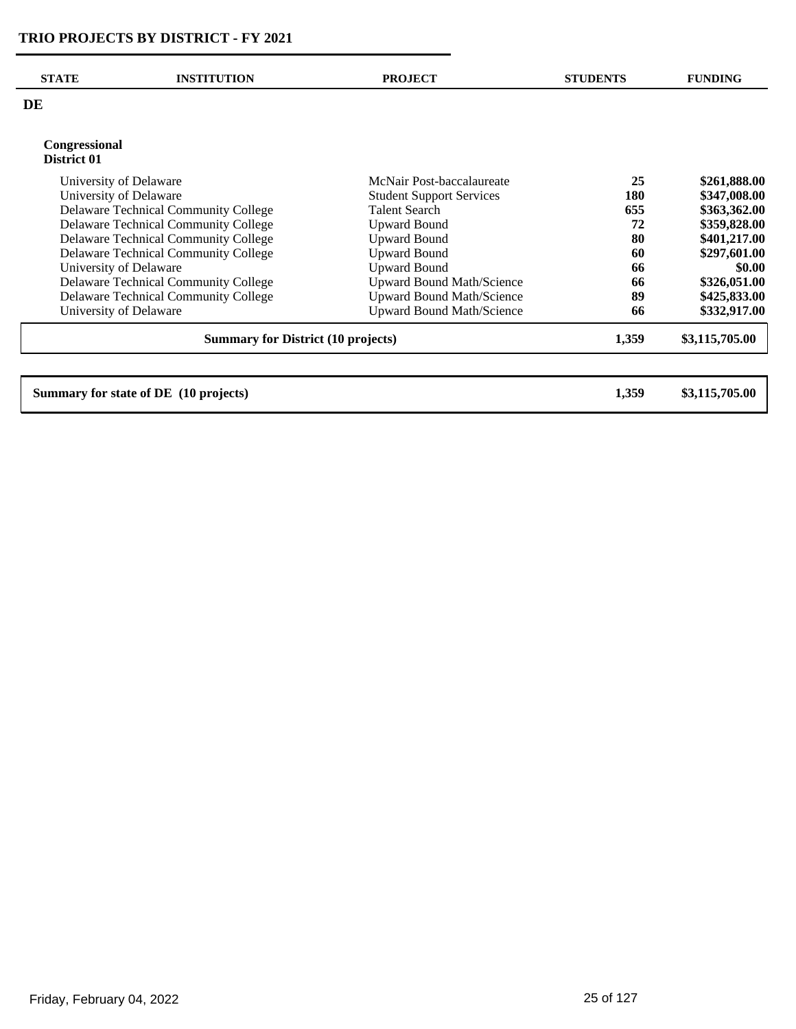| <b>STATE</b>                              | <b>INSTITUTION</b>                    | <b>PROJECT</b>                   | <b>STUDENTS</b> | <b>FUNDING</b> |
|-------------------------------------------|---------------------------------------|----------------------------------|-----------------|----------------|
| DE                                        |                                       |                                  |                 |                |
| Congressional<br>District 01              |                                       |                                  |                 |                |
| University of Delaware                    |                                       | McNair Post-baccalaureate        | 25              | \$261,888.00   |
| University of Delaware                    |                                       | <b>Student Support Services</b>  | 180             | \$347,008.00   |
|                                           | Delaware Technical Community College  | <b>Talent Search</b>             | 655             | \$363,362.00   |
|                                           | Delaware Technical Community College  | <b>Upward Bound</b>              | 72              | \$359,828.00   |
|                                           | Delaware Technical Community College  | <b>Upward Bound</b>              | 80              | \$401,217.00   |
|                                           | Delaware Technical Community College  | <b>Upward Bound</b>              | 60              | \$297,601.00   |
| University of Delaware                    |                                       | <b>Upward Bound</b>              | 66              | \$0.00         |
|                                           | Delaware Technical Community College  | <b>Upward Bound Math/Science</b> | 66              | \$326,051.00   |
|                                           | Delaware Technical Community College  | <b>Upward Bound Math/Science</b> | 89              | \$425,833.00   |
| University of Delaware                    |                                       | <b>Upward Bound Math/Science</b> | 66              | \$332,917.00   |
| <b>Summary for District (10 projects)</b> |                                       |                                  | 1,359           | \$3,115,705.00 |
|                                           | Summary for state of DE (10 projects) |                                  | 1,359           | \$3,115,705.00 |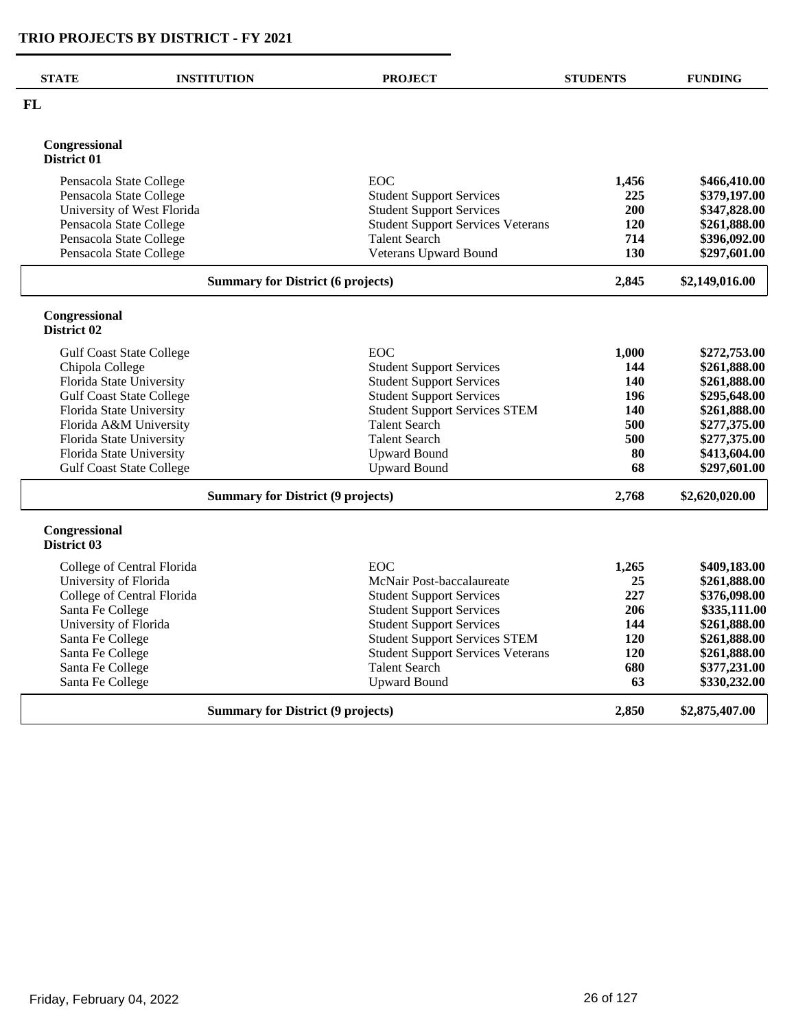| <b>STATE</b>                             | <b>INSTITUTION</b>                       | <b>PROJECT</b>                           | <b>STUDENTS</b> | <b>FUNDING</b> |
|------------------------------------------|------------------------------------------|------------------------------------------|-----------------|----------------|
| <b>FL</b>                                |                                          |                                          |                 |                |
| Congressional<br>District 01             |                                          |                                          |                 |                |
| Pensacola State College                  |                                          | EOC                                      | 1,456           | \$466,410.00   |
| Pensacola State College                  |                                          | <b>Student Support Services</b>          | 225             | \$379,197.00   |
|                                          | University of West Florida               | <b>Student Support Services</b>          | 200             | \$347,828.00   |
| Pensacola State College                  |                                          | <b>Student Support Services Veterans</b> | <b>120</b>      | \$261,888.00   |
| Pensacola State College                  |                                          | <b>Talent Search</b>                     | 714             | \$396,092.00   |
| Pensacola State College                  |                                          | Veterans Upward Bound                    | <b>130</b>      | \$297,601.00   |
|                                          | <b>Summary for District (6 projects)</b> |                                          | 2,845           | \$2,149,016.00 |
| Congressional<br>District 02             |                                          |                                          |                 |                |
|                                          | <b>Gulf Coast State College</b>          | EOC                                      | 1,000           | \$272,753.00   |
| Chipola College                          |                                          | <b>Student Support Services</b>          | 144             | \$261,888.00   |
| Florida State University                 |                                          | <b>Student Support Services</b>          | <b>140</b>      | \$261,888.00   |
|                                          | <b>Gulf Coast State College</b>          | <b>Student Support Services</b>          | 196             | \$295,648.00   |
| Florida State University                 |                                          | <b>Student Support Services STEM</b>     | 140             | \$261,888.00   |
|                                          | Florida A&M University                   | <b>Talent Search</b>                     | 500             | \$277,375.00   |
| Florida State University                 |                                          | <b>Talent Search</b>                     | 500             | \$277,375.00   |
| Florida State University                 |                                          | <b>Upward Bound</b>                      | 80              | \$413,604.00   |
|                                          | <b>Gulf Coast State College</b>          | <b>Upward Bound</b>                      | 68              | \$297,601.00   |
| <b>Summary for District (9 projects)</b> |                                          | 2,768                                    | \$2,620,020.00  |                |
| Congressional<br>District 03             |                                          |                                          |                 |                |
|                                          | College of Central Florida               | EOC                                      | 1,265           | \$409,183.00   |
| University of Florida                    |                                          | McNair Post-baccalaureate                | 25              | \$261,888.00   |
|                                          | College of Central Florida               | <b>Student Support Services</b>          | 227             | \$376,098.00   |
| Santa Fe College                         |                                          | <b>Student Support Services</b>          | 206             | \$335,111.00   |
| University of Florida                    |                                          | <b>Student Support Services</b>          | 144             | \$261,888.00   |
| Santa Fe College                         |                                          | <b>Student Support Services STEM</b>     | <b>120</b>      | \$261,888.00   |
| Santa Fe College                         |                                          | <b>Student Support Services Veterans</b> | 120             | \$261,888.00   |
| Santa Fe College                         |                                          | <b>Talent Search</b>                     | 680             | \$377,231.00   |
| Santa Fe College                         |                                          | <b>Upward Bound</b>                      | 63              | \$330,232.00   |
|                                          | <b>Summary for District (9 projects)</b> |                                          | 2,850           | \$2,875,407.00 |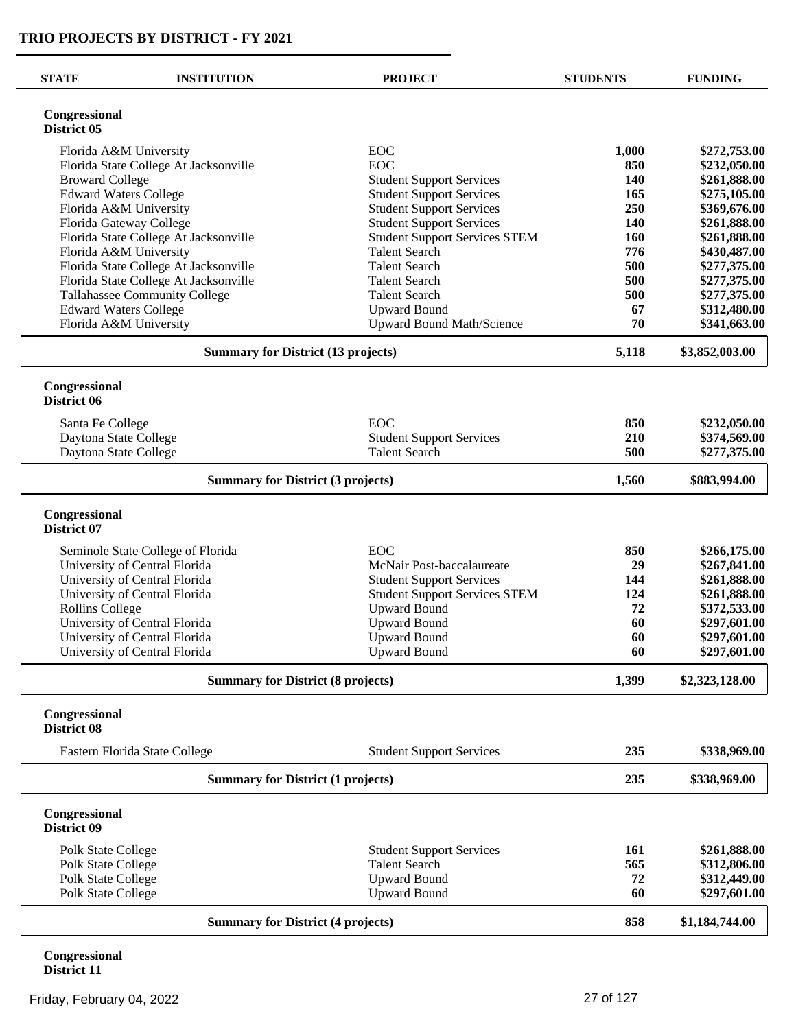| <b>STATE</b>                             | <b>INSTITUTION</b>                                              | <b>PROJECT</b>                               | <b>STUDENTS</b> | <b>FUNDING</b>               |
|------------------------------------------|-----------------------------------------------------------------|----------------------------------------------|-----------------|------------------------------|
| Congressional<br>District 05             |                                                                 |                                              |                 |                              |
|                                          | Florida A&M University                                          | EOC                                          | 1,000           | \$272,753.00                 |
|                                          | Florida State College At Jacksonville                           | EOC                                          | 850             | \$232,050.00                 |
| <b>Broward College</b>                   |                                                                 | <b>Student Support Services</b>              | <b>140</b>      | \$261,888.00                 |
|                                          | <b>Edward Waters College</b>                                    | <b>Student Support Services</b>              | 165             | \$275,105.00                 |
|                                          | Florida A&M University                                          | <b>Student Support Services</b>              | 250             | \$369,676.00                 |
|                                          | Florida Gateway College                                         | <b>Student Support Services</b>              | <b>140</b>      | \$261,888.00                 |
|                                          | Florida State College At Jacksonville                           | <b>Student Support Services STEM</b>         | <b>160</b>      | \$261,888.00                 |
|                                          | Florida A&M University<br>Florida State College At Jacksonville | <b>Talent Search</b><br><b>Talent Search</b> | 776<br>500      | \$430,487.00<br>\$277,375.00 |
|                                          | Florida State College At Jacksonville                           | <b>Talent Search</b>                         | 500             | \$277,375.00                 |
|                                          | Tallahassee Community College                                   | <b>Talent Search</b>                         | 500             | \$277,375.00                 |
|                                          | <b>Edward Waters College</b>                                    | <b>Upward Bound</b>                          | 67              | \$312,480.00                 |
|                                          | Florida A&M University                                          | <b>Upward Bound Math/Science</b>             | 70              | \$341,663.00                 |
|                                          | <b>Summary for District (13 projects)</b>                       |                                              | 5,118           | \$3,852,003.00               |
| Congressional<br>District 06             |                                                                 |                                              |                 |                              |
| Santa Fe College                         |                                                                 | EOC                                          | 850             | \$232,050.00                 |
| Daytona State College                    |                                                                 | <b>Student Support Services</b>              | 210             | \$374,569.00                 |
| Daytona State College                    |                                                                 | <b>Talent Search</b>                         | 500             | \$277,375.00                 |
|                                          | <b>Summary for District (3 projects)</b>                        |                                              | 1,560           | \$883,994.00                 |
| Congressional<br>District 07             |                                                                 |                                              |                 |                              |
|                                          | Seminole State College of Florida                               | EOC                                          | 850             | \$266,175.00                 |
|                                          | University of Central Florida                                   | McNair Post-baccalaureate                    | 29              | \$267,841.00                 |
|                                          | University of Central Florida                                   | <b>Student Support Services</b>              | 144             | \$261,888.00                 |
|                                          | University of Central Florida                                   | <b>Student Support Services STEM</b>         | 124             | \$261,888.00                 |
| <b>Rollins College</b>                   |                                                                 | <b>Upward Bound</b>                          | 72              | \$372,533.00                 |
|                                          | University of Central Florida                                   | <b>Upward Bound</b>                          | 60              | \$297,601.00                 |
|                                          | University of Central Florida                                   | <b>Upward Bound</b>                          | 60              | \$297,601.00                 |
|                                          | University of Central Florida                                   | <b>Upward Bound</b>                          | 60              | \$297,601.00                 |
|                                          | <b>Summary for District (8 projects)</b>                        |                                              | 1,399           | \$2,323,128.00               |
| Congressional<br>District 08             |                                                                 |                                              |                 |                              |
|                                          | Eastern Florida State College                                   | <b>Student Support Services</b>              | 235             | \$338,969.00                 |
| <b>Summary for District (1 projects)</b> |                                                                 |                                              | 235             | \$338,969.00                 |
| Congressional<br>District 09             |                                                                 |                                              |                 |                              |
| Polk State College                       |                                                                 | <b>Student Support Services</b>              | 161             | \$261,888.00                 |
| Polk State College                       |                                                                 | <b>Talent Search</b>                         | 565             | \$312,806.00                 |
| Polk State College                       |                                                                 | <b>Upward Bound</b>                          | 72              | \$312,449.00                 |
| Polk State College                       |                                                                 | <b>Upward Bound</b>                          | 60              | \$297,601.00                 |
|                                          | <b>Summary for District (4 projects)</b>                        |                                              | 858             | \$1,184,744.00               |
|                                          |                                                                 |                                              |                 |                              |

**Congressional District 11**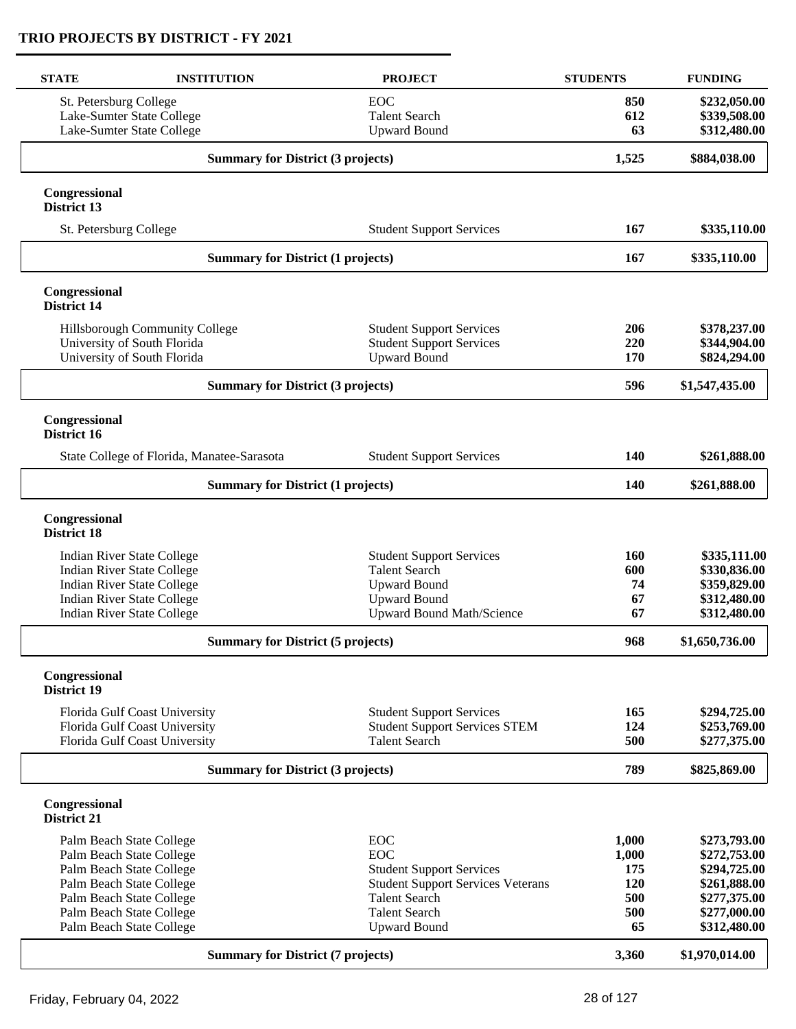| <b>STATE</b>                        | <b>INSTITUTION</b>                                             | <b>PROJECT</b>                                        | <b>STUDENTS</b> | <b>FUNDING</b>               |
|-------------------------------------|----------------------------------------------------------------|-------------------------------------------------------|-----------------|------------------------------|
| St. Petersburg College              |                                                                | EOC                                                   | 850             | \$232,050.00                 |
|                                     | Lake-Sumter State College                                      | <b>Talent Search</b>                                  | 612             | \$339,508.00                 |
|                                     | Lake-Sumter State College                                      | <b>Upward Bound</b>                                   | 63              | \$312,480.00                 |
|                                     | <b>Summary for District (3 projects)</b>                       |                                                       | 1,525           | \$884,038.00                 |
| Congressional                       |                                                                |                                                       |                 |                              |
| District 13                         |                                                                |                                                       |                 |                              |
| St. Petersburg College              |                                                                | <b>Student Support Services</b>                       | 167             | \$335,110.00                 |
|                                     | <b>Summary for District (1 projects)</b>                       |                                                       | 167             | \$335,110.00                 |
| Congressional<br><b>District 14</b> |                                                                |                                                       |                 |                              |
|                                     | Hillsborough Community College                                 | <b>Student Support Services</b>                       | 206             | \$378,237.00                 |
|                                     | University of South Florida                                    | <b>Student Support Services</b>                       | 220             | \$344,904.00                 |
|                                     | University of South Florida                                    | <b>Upward Bound</b>                                   | 170             | \$824,294.00                 |
|                                     | <b>Summary for District (3 projects)</b>                       |                                                       | 596             | \$1,547,435.00               |
| Congressional<br>District 16        |                                                                |                                                       |                 |                              |
|                                     | State College of Florida, Manatee-Sarasota                     | <b>Student Support Services</b>                       | 140             | \$261,888.00                 |
|                                     | <b>Summary for District (1 projects)</b>                       |                                                       | 140             | \$261,888.00                 |
| Congressional<br><b>District 18</b> |                                                                |                                                       |                 |                              |
|                                     | Indian River State College                                     | <b>Student Support Services</b>                       | <b>160</b>      | \$335,111.00                 |
|                                     | Indian River State College                                     | <b>Talent Search</b>                                  | 600             | \$330,836.00                 |
|                                     | <b>Indian River State College</b>                              | <b>Upward Bound</b>                                   | 74              | \$359,829.00                 |
|                                     | <b>Indian River State College</b>                              | <b>Upward Bound</b>                                   | 67              | \$312,480.00                 |
|                                     | <b>Indian River State College</b>                              | <b>Upward Bound Math/Science</b>                      | 67              | \$312,480.00                 |
|                                     | <b>Summary for District (5 projects)</b>                       |                                                       | 968             | \$1,650,736.00               |
| Congressional<br>District 19        |                                                                |                                                       |                 |                              |
|                                     |                                                                |                                                       |                 |                              |
|                                     | Florida Gulf Coast University                                  | <b>Student Support Services</b>                       | 165             | \$294,725.00                 |
|                                     | Florida Gulf Coast University<br>Florida Gulf Coast University | <b>Student Support Services STEM</b><br>Talent Search | 124<br>500      | \$253,769.00<br>\$277,375.00 |
|                                     | <b>Summary for District (3 projects)</b>                       |                                                       | 789             | \$825,869.00                 |
|                                     |                                                                |                                                       |                 |                              |
| Congressional<br>District 21        |                                                                |                                                       |                 |                              |
|                                     | Palm Beach State College                                       | EOC                                                   | 1,000           | \$273,793.00                 |
|                                     | Palm Beach State College                                       | <b>EOC</b>                                            | 1,000           | \$272,753.00                 |
|                                     | Palm Beach State College                                       | <b>Student Support Services</b>                       | 175             | \$294,725.00                 |
|                                     | Palm Beach State College                                       | <b>Student Support Services Veterans</b>              | 120             | \$261,888.00                 |
|                                     | Palm Beach State College                                       | <b>Talent Search</b>                                  | 500             | \$277,375.00                 |
|                                     | Palm Beach State College                                       | <b>Talent Search</b>                                  | 500             | \$277,000.00                 |
|                                     | Palm Beach State College                                       | <b>Upward Bound</b>                                   | 65              | \$312,480.00                 |
|                                     | <b>Summary for District (7 projects)</b>                       |                                                       | 3,360           | \$1,970,014.00               |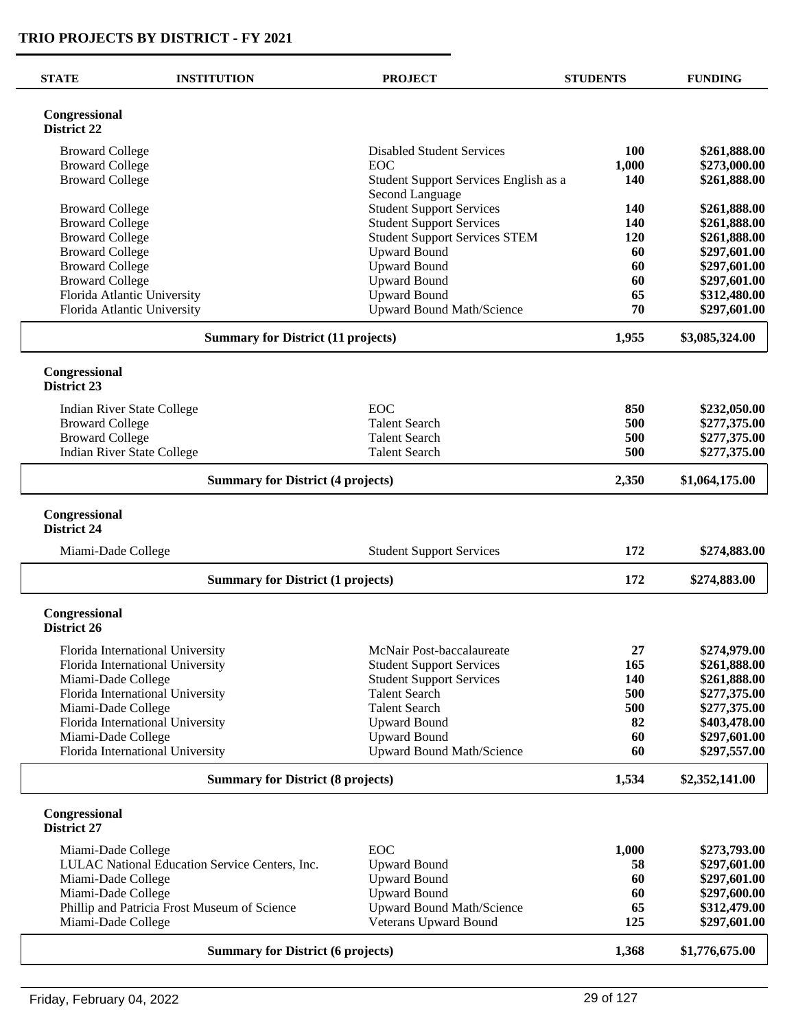| <b>STATE</b><br><b>INSTITUTION</b>       |                                                | <b>PROJECT</b>                             | <b>STUDENTS</b> | <b>FUNDING</b>               |
|------------------------------------------|------------------------------------------------|--------------------------------------------|-----------------|------------------------------|
| Congressional<br>District 22             |                                                |                                            |                 |                              |
| <b>Broward College</b>                   |                                                | <b>Disabled Student Services</b>           | 100             | \$261,888.00                 |
| <b>Broward College</b>                   |                                                | EOC                                        | 1,000           | \$273,000.00                 |
| <b>Broward College</b>                   |                                                | Student Support Services English as a      | 140             | \$261,888.00                 |
|                                          |                                                | Second Language                            |                 |                              |
| <b>Broward College</b>                   |                                                | <b>Student Support Services</b>            | <b>140</b>      | \$261,888.00                 |
| <b>Broward College</b>                   |                                                | <b>Student Support Services</b>            | 140             | \$261,888.00                 |
| <b>Broward College</b>                   |                                                | <b>Student Support Services STEM</b>       | 120             | \$261,888.00                 |
| <b>Broward College</b>                   |                                                | <b>Upward Bound</b>                        | 60              | \$297,601.00                 |
| <b>Broward College</b>                   |                                                | <b>Upward Bound</b>                        | 60              | \$297,601.00                 |
| <b>Broward College</b>                   | Florida Atlantic University                    | <b>Upward Bound</b><br><b>Upward Bound</b> | 60<br>65        | \$297,601.00<br>\$312,480.00 |
|                                          | Florida Atlantic University                    | <b>Upward Bound Math/Science</b>           | 70              | \$297,601.00                 |
|                                          |                                                |                                            |                 |                              |
|                                          | <b>Summary for District (11 projects)</b>      |                                            | 1,955           | \$3,085,324.00               |
| Congressional<br>District 23             |                                                |                                            |                 |                              |
|                                          |                                                | EOC                                        | 850             | \$232,050.00                 |
| <b>Broward College</b>                   | <b>Indian River State College</b>              | <b>Talent Search</b>                       | 500             | \$277,375.00                 |
| <b>Broward College</b>                   |                                                | <b>Talent Search</b>                       | 500             | \$277,375.00                 |
|                                          | <b>Indian River State College</b>              | <b>Talent Search</b>                       | 500             | \$277,375.00                 |
|                                          | <b>Summary for District (4 projects)</b>       |                                            | 2,350           | \$1,064,175.00               |
|                                          |                                                |                                            |                 |                              |
| Congressional<br><b>District 24</b>      |                                                |                                            |                 |                              |
| Miami-Dade College                       |                                                | <b>Student Support Services</b>            | 172             | \$274,883.00                 |
|                                          | <b>Summary for District (1 projects)</b>       |                                            | 172             | \$274,883.00                 |
| Congressional<br>District 26             |                                                |                                            |                 |                              |
|                                          | Florida International University               | McNair Post-baccalaureate                  | 27              | \$274,979.00                 |
|                                          | Florida International University               | <b>Student Support Services</b>            | 165             | \$261,888.00                 |
| Miami-Dade College                       |                                                | <b>Student Support Services</b>            | 140             | \$261,888.00                 |
|                                          | Florida International University               | <b>Talent Search</b>                       | 500             | \$277,375.00                 |
| Miami-Dade College                       |                                                | <b>Talent Search</b>                       | 500             | \$277,375.00                 |
|                                          | Florida International University               | <b>Upward Bound</b>                        | 82              | \$403,478.00                 |
| Miami-Dade College                       |                                                | <b>Upward Bound</b>                        | 60              | \$297,601.00                 |
|                                          | Florida International University               | Upward Bound Math/Science                  | 60              | \$297,557.00                 |
| <b>Summary for District (8 projects)</b> |                                                |                                            | 1,534           | \$2,352,141.00               |
| Congressional<br>District 27             |                                                |                                            |                 |                              |
| Miami-Dade College                       |                                                | <b>EOC</b>                                 | 1,000           | \$273,793.00                 |
|                                          | LULAC National Education Service Centers, Inc. | <b>Upward Bound</b>                        | 58              | \$297,601.00                 |
| Miami-Dade College                       |                                                | <b>Upward Bound</b>                        | 60              | \$297,601.00                 |
| Miami-Dade College                       |                                                | <b>Upward Bound</b>                        | 60              | \$297,600.00                 |
|                                          | Phillip and Patricia Frost Museum of Science   | <b>Upward Bound Math/Science</b>           | 65              | \$312,479.00                 |
| Miami-Dade College                       |                                                | Veterans Upward Bound                      | 125             | \$297,601.00                 |
| <b>Summary for District (6 projects)</b> |                                                |                                            | 1,368           | \$1,776,675.00               |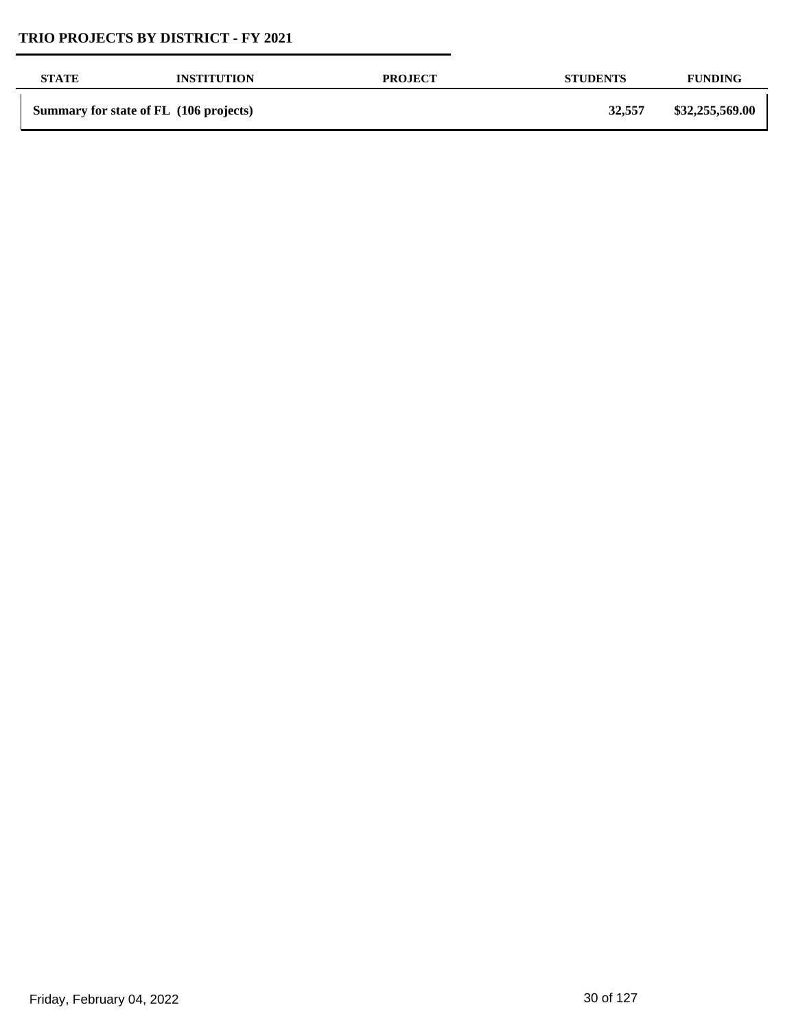| <b>STATE</b> | <b>INSTITUTION</b>                     | <b>PROJECT</b> | <b>STUDENTS</b> | <b>FUNDING</b>  |
|--------------|----------------------------------------|----------------|-----------------|-----------------|
|              | Summary for state of FL (106 projects) |                | 32,557          | \$32,255,569.00 |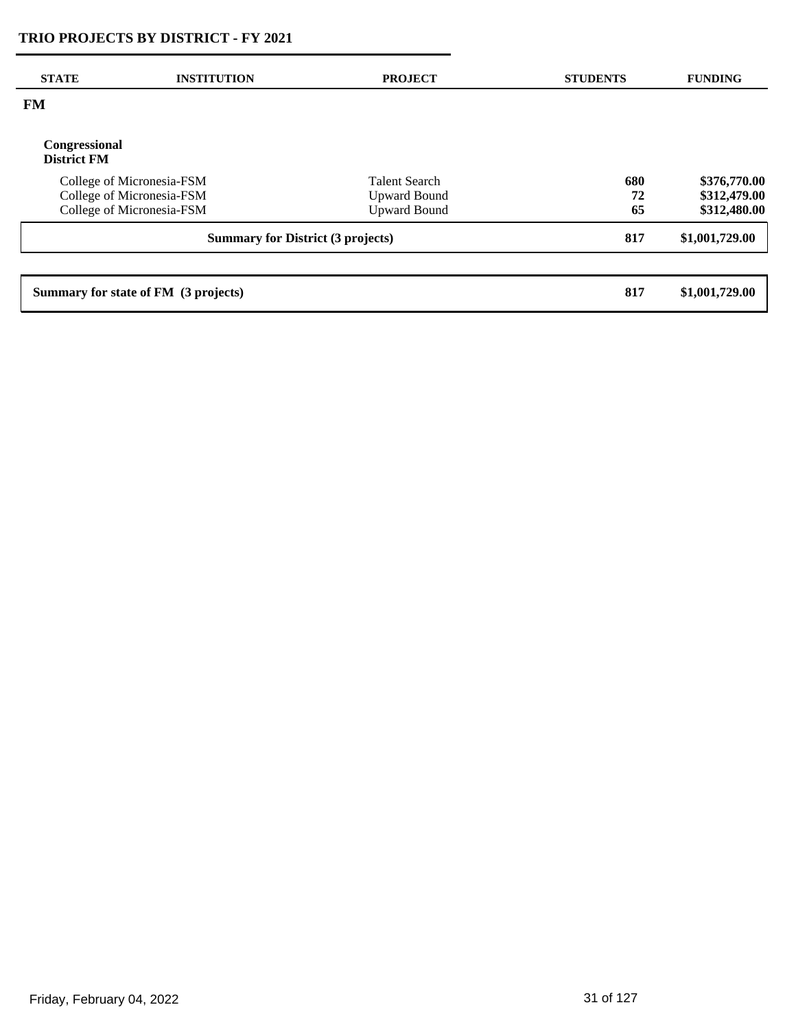| <b>STATE</b>                             | <b>INSTITUTION</b>                   | <b>PROJECT</b>       | <b>STUDENTS</b> | <b>FUNDING</b> |
|------------------------------------------|--------------------------------------|----------------------|-----------------|----------------|
| <b>FM</b>                                |                                      |                      |                 |                |
| Congressional<br><b>District FM</b>      |                                      |                      |                 |                |
|                                          | College of Micronesia-FSM            | <b>Talent Search</b> | 680             | \$376,770.00   |
|                                          | College of Micronesia-FSM            | <b>Upward Bound</b>  | 72              | \$312,479.00   |
|                                          | College of Micronesia-FSM            | <b>Upward Bound</b>  | 65              | \$312,480.00   |
| <b>Summary for District (3 projects)</b> |                                      |                      | 817             | \$1,001,729.00 |
|                                          |                                      |                      |                 |                |
|                                          | Summary for state of FM (3 projects) |                      | 817             | \$1,001,729.00 |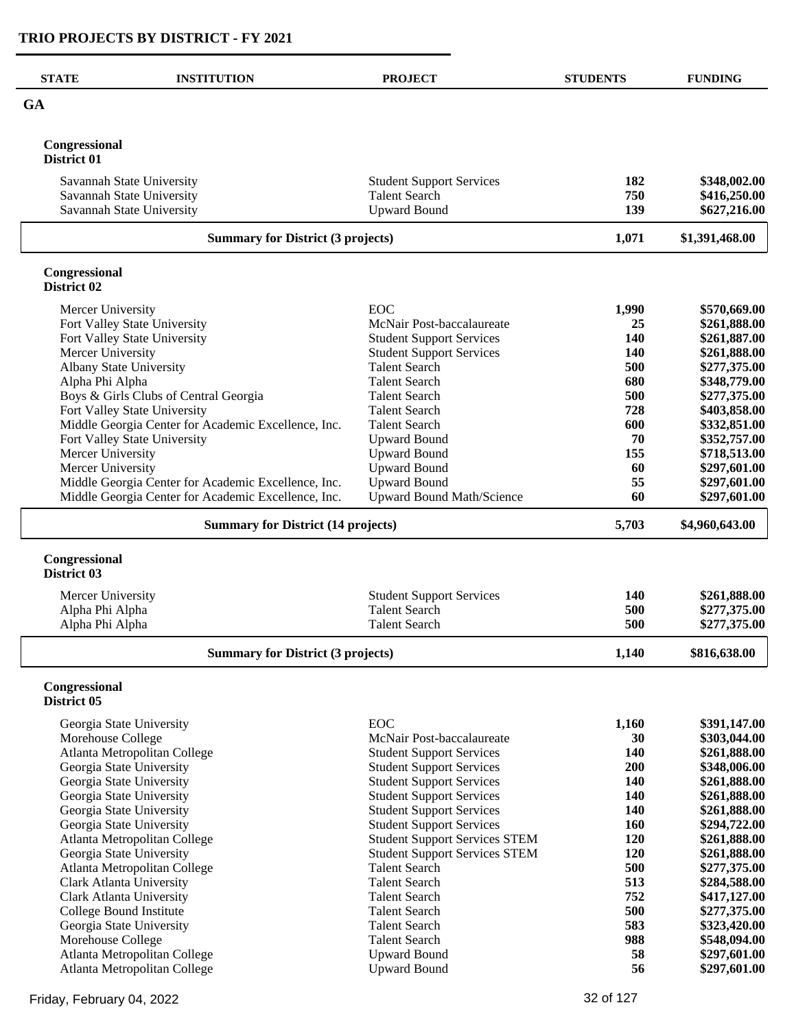| <b>STATE</b>                 | <b>INSTITUTION</b>                                           | <b>PROJECT</b>                                                               | <b>STUDENTS</b> | <b>FUNDING</b>               |
|------------------------------|--------------------------------------------------------------|------------------------------------------------------------------------------|-----------------|------------------------------|
| <b>GA</b>                    |                                                              |                                                                              |                 |                              |
|                              |                                                              |                                                                              |                 |                              |
| Congressional<br>District 01 |                                                              |                                                                              |                 |                              |
|                              | Savannah State University                                    | <b>Student Support Services</b>                                              | 182             | \$348,002.00                 |
|                              | Savannah State University                                    | <b>Talent Search</b>                                                         | 750             | \$416,250.00                 |
|                              | Savannah State University                                    | <b>Upward Bound</b>                                                          | 139             | \$627,216.00                 |
|                              | <b>Summary for District (3 projects)</b>                     |                                                                              | 1,071           | \$1,391,468.00               |
| Congressional<br>District 02 |                                                              |                                                                              |                 |                              |
| Mercer University            |                                                              | EOC                                                                          | 1,990           | \$570,669.00                 |
|                              | Fort Valley State University                                 | McNair Post-baccalaureate                                                    | 25              | \$261,888.00                 |
|                              | Fort Valley State University                                 | <b>Student Support Services</b>                                              | 140             | \$261,887.00                 |
| Mercer University            |                                                              | <b>Student Support Services</b>                                              | <b>140</b>      | \$261,888.00                 |
| Alpha Phi Alpha              | Albany State University                                      | <b>Talent Search</b><br><b>Talent Search</b>                                 | 500<br>680      | \$277,375.00<br>\$348,779.00 |
|                              | Boys & Girls Clubs of Central Georgia                        | <b>Talent Search</b>                                                         | 500             | \$277,375.00                 |
|                              | Fort Valley State University                                 | <b>Talent Search</b>                                                         | 728             | \$403,858.00                 |
|                              | Middle Georgia Center for Academic Excellence, Inc.          | <b>Talent Search</b>                                                         | 600             | \$332,851.00                 |
|                              | Fort Valley State University                                 | <b>Upward Bound</b>                                                          | 70              | \$352,757.00                 |
| Mercer University            |                                                              | <b>Upward Bound</b>                                                          | 155             | \$718,513.00                 |
| Mercer University            |                                                              | <b>Upward Bound</b>                                                          | 60              | \$297,601.00                 |
|                              | Middle Georgia Center for Academic Excellence, Inc.          | <b>Upward Bound</b>                                                          | 55              | \$297,601.00                 |
|                              | Middle Georgia Center for Academic Excellence, Inc.          | <b>Upward Bound Math/Science</b>                                             | 60              | \$297,601.00                 |
|                              | <b>Summary for District (14 projects)</b>                    |                                                                              |                 | \$4,960,643.00               |
| Congressional<br>District 03 |                                                              |                                                                              |                 |                              |
| Mercer University            |                                                              | <b>Student Support Services</b>                                              | <b>140</b>      | \$261,888.00                 |
| Alpha Phi Alpha              |                                                              | <b>Talent Search</b>                                                         | 500             | \$277,375.00                 |
| Alpha Phi Alpha              |                                                              | <b>Talent Search</b>                                                         | 500             | \$277,375.00                 |
|                              | <b>Summary for District (3 projects)</b>                     |                                                                              | 1,140           | \$816,638.00                 |
| Congressional<br>District 05 |                                                              |                                                                              |                 |                              |
|                              |                                                              |                                                                              |                 |                              |
| Morehouse College            | Georgia State University                                     | <b>EOC</b><br>McNair Post-baccalaureate                                      | 1,160<br>30     | \$391,147.00<br>\$303,044.00 |
|                              | Atlanta Metropolitan College                                 | <b>Student Support Services</b>                                              | 140             | \$261,888.00                 |
|                              | Georgia State University                                     | <b>Student Support Services</b>                                              | 200             | \$348,006.00                 |
|                              | Georgia State University                                     | <b>Student Support Services</b>                                              | 140             | \$261,888.00                 |
|                              | Georgia State University                                     | <b>Student Support Services</b>                                              | 140             | \$261,888.00                 |
|                              | Georgia State University                                     | <b>Student Support Services</b>                                              | 140             | \$261,888.00                 |
|                              | Georgia State University                                     | <b>Student Support Services</b>                                              | 160             | \$294,722.00                 |
|                              | Atlanta Metropolitan College<br>Georgia State University     | <b>Student Support Services STEM</b><br><b>Student Support Services STEM</b> | 120<br>120      | \$261,888.00<br>\$261,888.00 |
|                              | Atlanta Metropolitan College                                 | <b>Talent Search</b>                                                         | 500             | \$277,375.00                 |
|                              | <b>Clark Atlanta University</b>                              | <b>Talent Search</b>                                                         | 513             | \$284,588.00                 |
|                              | Clark Atlanta University                                     | <b>Talent Search</b>                                                         | 752             | \$417,127.00                 |
|                              | College Bound Institute                                      | <b>Talent Search</b>                                                         | 500             | \$277,375.00                 |
|                              | Georgia State University                                     | <b>Talent Search</b>                                                         | 583             | \$323,420.00                 |
| Morehouse College            |                                                              | <b>Talent Search</b>                                                         | 988             | \$548,094.00                 |
|                              | Atlanta Metropolitan College<br>Atlanta Metropolitan College | <b>Upward Bound</b><br><b>Upward Bound</b>                                   | 58<br>56        | \$297,601.00<br>\$297,601.00 |
|                              |                                                              |                                                                              |                 |                              |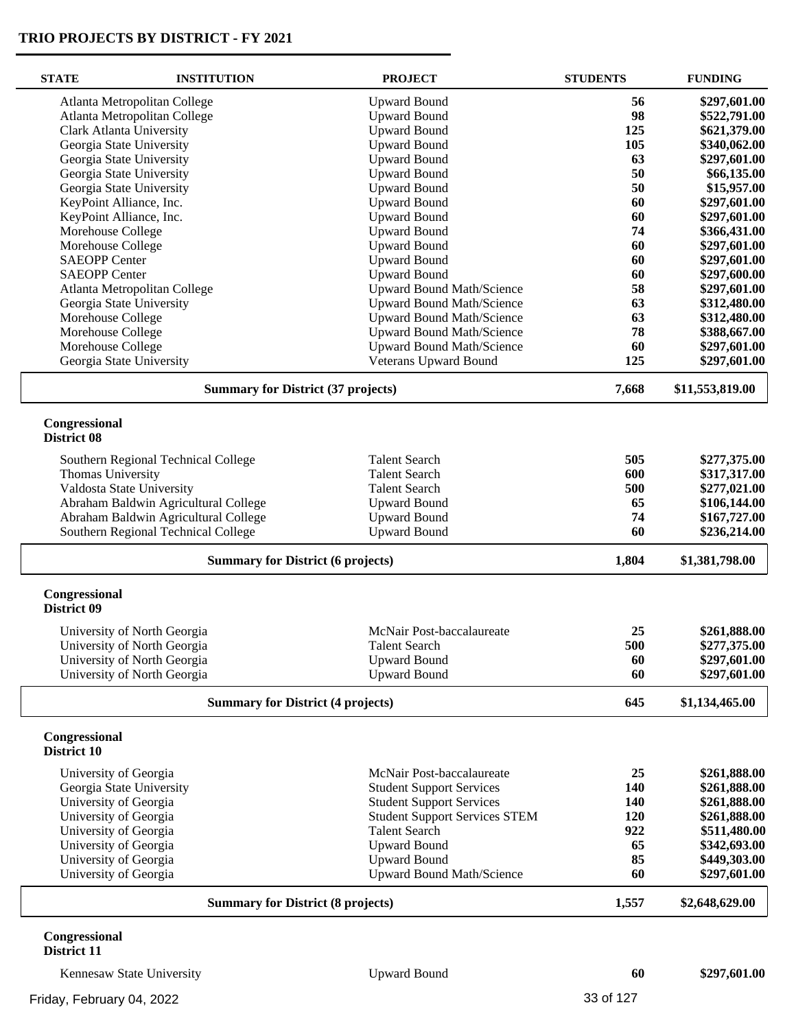| <b>STATE</b>                             | <b>INSTITUTION</b>                        | <b>PROJECT</b>                           | <b>STUDENTS</b> | <b>FUNDING</b>  |
|------------------------------------------|-------------------------------------------|------------------------------------------|-----------------|-----------------|
|                                          | Atlanta Metropolitan College              | <b>Upward Bound</b>                      | 56              | \$297,601.00    |
|                                          | Atlanta Metropolitan College              | <b>Upward Bound</b>                      | 98              | \$522,791.00    |
|                                          | <b>Clark Atlanta University</b>           | <b>Upward Bound</b>                      | 125             | \$621,379.00    |
|                                          | Georgia State University                  | <b>Upward Bound</b>                      | 105             | \$340,062.00    |
|                                          | Georgia State University                  | <b>Upward Bound</b>                      | 63              | \$297,601.00    |
|                                          | Georgia State University                  | <b>Upward Bound</b>                      | 50              | \$66,135.00     |
|                                          | Georgia State University                  | <b>Upward Bound</b>                      | 50              | \$15,957.00     |
|                                          | KeyPoint Alliance, Inc.                   | <b>Upward Bound</b>                      | 60              | \$297,601.00    |
|                                          | KeyPoint Alliance, Inc.                   | <b>Upward Bound</b>                      | 60              | \$297,601.00    |
| Morehouse College                        |                                           | <b>Upward Bound</b>                      | 74              | \$366,431.00    |
| Morehouse College                        |                                           | <b>Upward Bound</b>                      | 60              | \$297,601.00    |
| <b>SAEOPP Center</b>                     |                                           | <b>Upward Bound</b>                      | 60              | \$297,601.00    |
| <b>SAEOPP Center</b>                     |                                           | <b>Upward Bound</b>                      | 60              | \$297,600.00    |
|                                          | Atlanta Metropolitan College              | <b>Upward Bound Math/Science</b>         | 58              | \$297,601.00    |
|                                          | Georgia State University                  | <b>Upward Bound Math/Science</b>         | 63              | \$312,480.00    |
| Morehouse College                        |                                           | <b>Upward Bound Math/Science</b>         | 63              | \$312,480.00    |
| Morehouse College                        |                                           | <b>Upward Bound Math/Science</b>         | 78              | \$388,667.00    |
| Morehouse College                        |                                           | <b>Upward Bound Math/Science</b>         | 60              | \$297,601.00    |
|                                          | Georgia State University                  | Veterans Upward Bound                    | 125             | \$297,601.00    |
|                                          | <b>Summary for District (37 projects)</b> |                                          | 7,668           | \$11,553,819.00 |
| Congressional                            |                                           |                                          |                 |                 |
| District 08                              |                                           |                                          |                 |                 |
|                                          | Southern Regional Technical College       | <b>Talent Search</b>                     | 505             | \$277,375.00    |
| Thomas University                        |                                           | <b>Talent Search</b>                     | 600             | \$317,317.00    |
|                                          | Valdosta State University                 | <b>Talent Search</b>                     | 500             | \$277,021.00    |
|                                          | Abraham Baldwin Agricultural College      | <b>Upward Bound</b>                      | 65              | \$106,144.00    |
|                                          | Abraham Baldwin Agricultural College      | <b>Upward Bound</b>                      | 74              | \$167,727.00    |
|                                          | Southern Regional Technical College       | <b>Upward Bound</b>                      | 60              | \$236,214.00    |
|                                          |                                           | <b>Summary for District (6 projects)</b> |                 | \$1,381,798.00  |
| Congressional                            |                                           |                                          |                 |                 |
| District 09                              |                                           |                                          |                 |                 |
|                                          | University of North Georgia               | McNair Post-baccalaureate                | 25              | \$261,888.00    |
|                                          | University of North Georgia               | <b>Talent Search</b>                     | 500             | \$277,375.00    |
|                                          | University of North Georgia               | <b>Upward Bound</b>                      | 60              | \$297,601.00    |
|                                          | University of North Georgia               | <b>Upward Bound</b>                      | 60              | \$297,601.00    |
| <b>Summary for District (4 projects)</b> |                                           | 645                                      | \$1,134,465.00  |                 |
| Congressional<br>District 10             |                                           |                                          |                 |                 |
|                                          |                                           |                                          |                 |                 |
| University of Georgia                    |                                           | McNair Post-baccalaureate                | 25              | \$261,888.00    |
|                                          | Georgia State University                  | <b>Student Support Services</b>          | 140             | \$261,888.00    |
| University of Georgia                    |                                           | <b>Student Support Services</b>          | 140             | \$261,888.00    |
| University of Georgia                    |                                           | <b>Student Support Services STEM</b>     | 120             | \$261,888.00    |
| University of Georgia                    |                                           | <b>Talent Search</b>                     | 922             | \$511,480.00    |
| University of Georgia                    |                                           | <b>Upward Bound</b>                      | 65              | \$342,693.00    |
| University of Georgia                    |                                           | <b>Upward Bound</b>                      | 85              | \$449,303.00    |
| University of Georgia                    |                                           | <b>Upward Bound Math/Science</b>         | 60              | \$297,601.00    |
|                                          | <b>Summary for District (8 projects)</b>  |                                          | 1,557           | \$2,648,629.00  |
| Congressional                            |                                           |                                          |                 |                 |

# **District 11**

Kennesaw State University Upward Bound **60 \$297,601.00**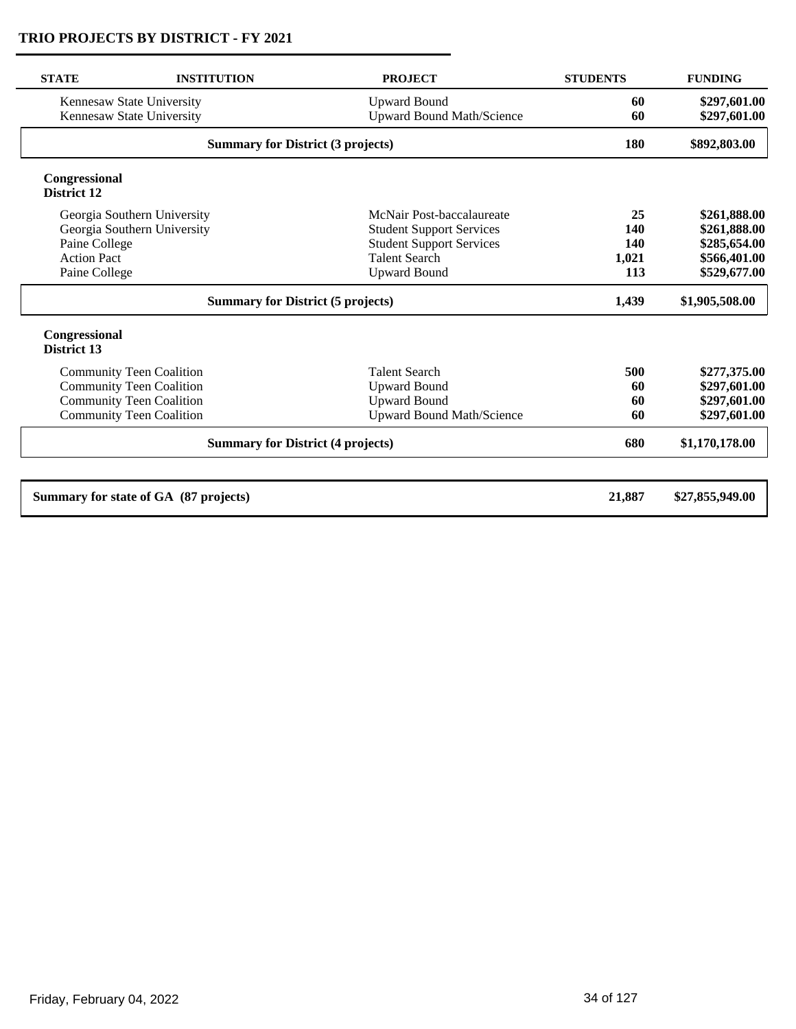| <b>STATE</b>                                                                                              | <b>INSTITUTION</b>                    | <b>PROJECT</b>                   | <b>STUDENTS</b> | <b>FUNDING</b>  |
|-----------------------------------------------------------------------------------------------------------|---------------------------------------|----------------------------------|-----------------|-----------------|
|                                                                                                           | Kennesaw State University             | <b>Upward Bound</b>              | 60              | \$297,601.00    |
| <b>Upward Bound Math/Science</b><br>Kennesaw State University<br><b>Summary for District (3 projects)</b> |                                       |                                  | 60              | \$297,601.00    |
|                                                                                                           |                                       | 180                              | \$892,803.00    |                 |
| Congressional<br>District 12                                                                              |                                       |                                  |                 |                 |
|                                                                                                           | Georgia Southern University           | McNair Post-baccalaureate        | 25              | \$261,888.00    |
|                                                                                                           | Georgia Southern University           | <b>Student Support Services</b>  | 140             | \$261,888.00    |
| Paine College                                                                                             |                                       | <b>Student Support Services</b>  | 140             | \$285,654.00    |
| <b>Action Pact</b>                                                                                        |                                       | <b>Talent Search</b>             | 1,021           | \$566,401.00    |
| Paine College                                                                                             |                                       | <b>Upward Bound</b>              | 113             | \$529,677.00    |
| <b>Summary for District (5 projects)</b>                                                                  |                                       |                                  | 1,439           | \$1,905,508.00  |
| Congressional<br>District 13                                                                              |                                       |                                  |                 |                 |
|                                                                                                           | <b>Community Teen Coalition</b>       | <b>Talent Search</b>             | 500             | \$277,375.00    |
|                                                                                                           | <b>Community Teen Coalition</b>       | <b>Upward Bound</b>              | 60              | \$297,601.00    |
|                                                                                                           | <b>Community Teen Coalition</b>       | <b>Upward Bound</b>              | 60              | \$297,601.00    |
|                                                                                                           | <b>Community Teen Coalition</b>       | <b>Upward Bound Math/Science</b> | 60              | \$297,601.00    |
| <b>Summary for District (4 projects)</b>                                                                  |                                       |                                  | 680             | \$1,170,178.00  |
|                                                                                                           | Summary for state of GA (87 projects) |                                  | 21,887          | \$27,855,949.00 |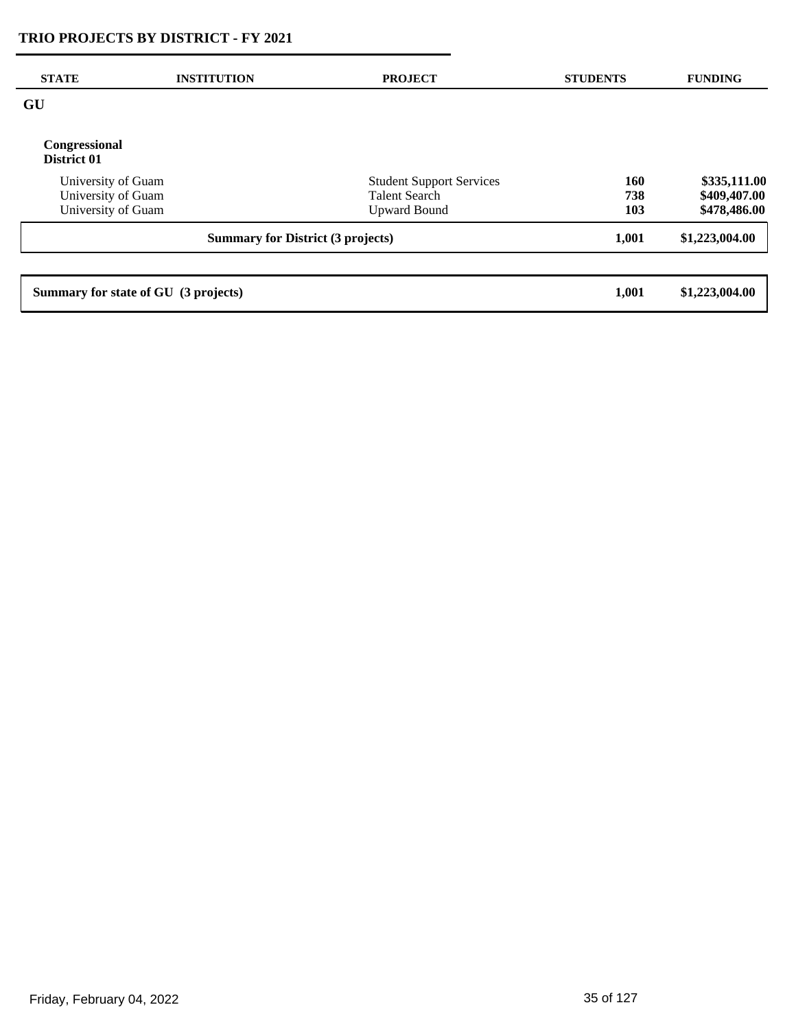| <b>STATE</b>                             | <b>INSTITUTION</b> | <b>PROJECT</b>                  | <b>STUDENTS</b> | <b>FUNDING</b> |
|------------------------------------------|--------------------|---------------------------------|-----------------|----------------|
| GU                                       |                    |                                 |                 |                |
| Congressional<br>District 01             |                    |                                 |                 |                |
| University of Guam                       |                    | <b>Student Support Services</b> | 160             | \$335,111.00   |
| University of Guam                       |                    | <b>Talent Search</b>            | 738             | \$409,407.00   |
| University of Guam                       |                    | <b>Upward Bound</b>             | 103             | \$478,486.00   |
| <b>Summary for District (3 projects)</b> |                    |                                 | 1,001           | \$1,223,004.00 |
|                                          |                    |                                 |                 |                |
| Summary for state of GU (3 projects)     |                    |                                 | 1,001           | \$1,223,004.00 |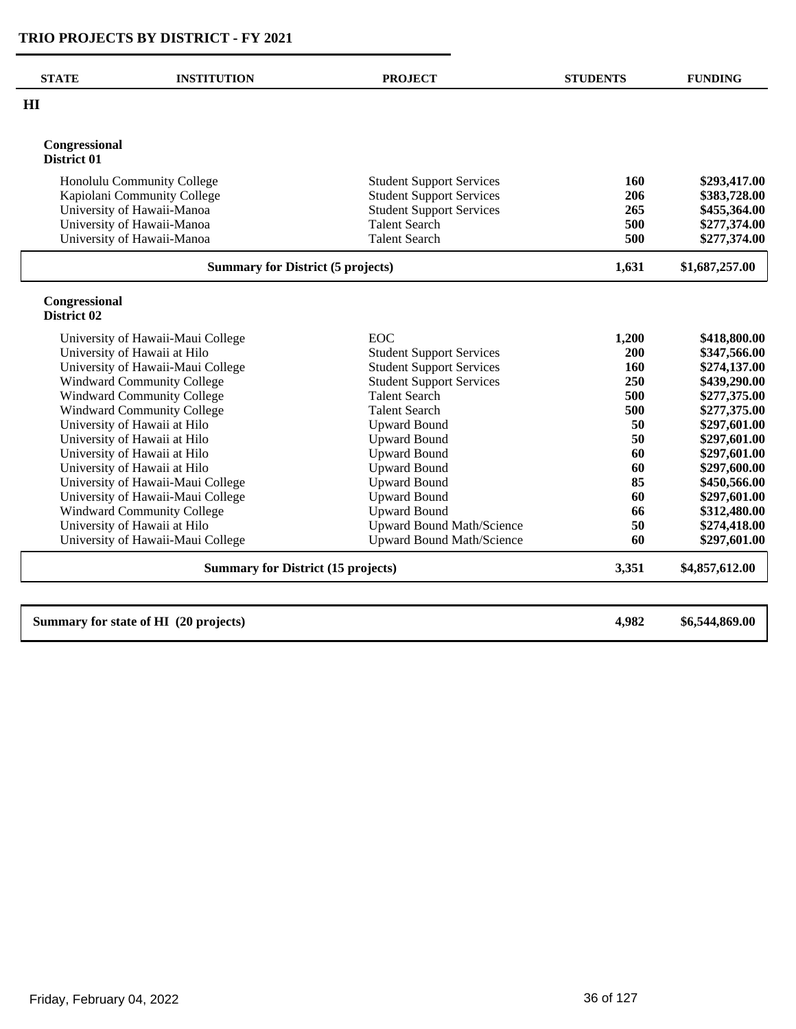| <b>STATE</b>                                              | <b>INSTITUTION</b>                    | <b>PROJECT</b>                                                     | <b>STUDENTS</b> | <b>FUNDING</b>               |
|-----------------------------------------------------------|---------------------------------------|--------------------------------------------------------------------|-----------------|------------------------------|
| HI                                                        |                                       |                                                                    |                 |                              |
| Congressional<br>District 01                              |                                       |                                                                    |                 |                              |
| Honolulu Community College<br>Kapiolani Community College |                                       | <b>Student Support Services</b><br><b>Student Support Services</b> | 160<br>206      | \$293,417.00<br>\$383,728.00 |
|                                                           | University of Hawaii-Manoa            | <b>Student Support Services</b>                                    | 265             | \$455,364.00                 |
|                                                           | University of Hawaii-Manoa            | <b>Talent Search</b>                                               | 500             | \$277,374.00                 |
|                                                           | University of Hawaii-Manoa            | <b>Talent Search</b>                                               | 500             | \$277,374.00                 |
| <b>Summary for District (5 projects)</b>                  |                                       |                                                                    | 1,631           | \$1,687,257.00               |
| Congressional<br>District 02                              |                                       |                                                                    |                 |                              |
|                                                           | University of Hawaii-Maui College     | <b>EOC</b>                                                         | 1,200           | \$418,800.00                 |
|                                                           | University of Hawaii at Hilo          | <b>Student Support Services</b>                                    | 200             | \$347,566.00                 |
|                                                           | University of Hawaii-Maui College     | <b>Student Support Services</b>                                    | 160             | \$274,137.00                 |
|                                                           | <b>Windward Community College</b>     | <b>Student Support Services</b>                                    | 250             | \$439,290.00                 |
|                                                           | <b>Windward Community College</b>     | <b>Talent Search</b>                                               | 500             | \$277,375.00                 |
|                                                           | <b>Windward Community College</b>     | <b>Talent Search</b>                                               | 500             | \$277,375.00                 |
|                                                           | University of Hawaii at Hilo          | <b>Upward Bound</b>                                                | 50              | \$297,601.00                 |
|                                                           | University of Hawaii at Hilo          | <b>Upward Bound</b>                                                | 50              | \$297,601.00                 |
|                                                           | University of Hawaii at Hilo          | <b>Upward Bound</b>                                                | 60              | \$297,601.00                 |
|                                                           | University of Hawaii at Hilo          | <b>Upward Bound</b>                                                | 60              | \$297,600.00                 |
|                                                           | University of Hawaii-Maui College     | <b>Upward Bound</b>                                                | 85              | \$450,566.00                 |
|                                                           | University of Hawaii-Maui College     | <b>Upward Bound</b>                                                | 60              | \$297,601.00                 |
|                                                           | <b>Windward Community College</b>     | <b>Upward Bound</b>                                                | 66              | \$312,480.00                 |
|                                                           | University of Hawaii at Hilo          | <b>Upward Bound Math/Science</b>                                   | 50              | \$274,418.00                 |
|                                                           | University of Hawaii-Maui College     | <b>Upward Bound Math/Science</b>                                   | 60              | \$297,601.00                 |
| <b>Summary for District (15 projects)</b>                 |                                       |                                                                    | 3,351           | \$4,857,612.00               |
|                                                           | Summary for state of HI (20 projects) |                                                                    | 4,982           | \$6,544,869.00               |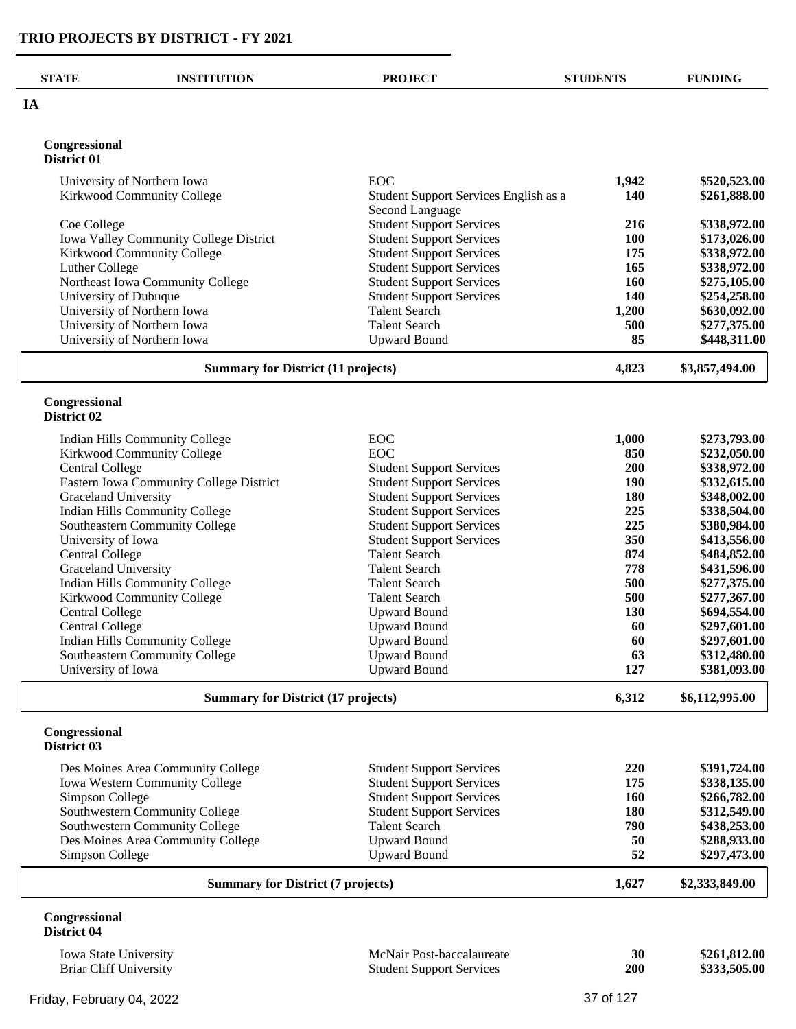| <b>STATE</b>                  | <b>INSTITUTION</b>                                               | <b>PROJECT</b>                                                     | <b>STUDENTS</b> | <b>FUNDING</b>               |
|-------------------------------|------------------------------------------------------------------|--------------------------------------------------------------------|-----------------|------------------------------|
| IA                            |                                                                  |                                                                    |                 |                              |
| Congressional                 |                                                                  |                                                                    |                 |                              |
| District 01                   |                                                                  |                                                                    |                 |                              |
|                               | University of Northern Iowa                                      | EOC                                                                | 1,942           | \$520,523.00                 |
|                               | Kirkwood Community College                                       | Student Support Services English as a<br>Second Language           | 140             | \$261,888.00                 |
| Coe College                   |                                                                  | <b>Student Support Services</b>                                    | 216             | \$338,972.00                 |
|                               | Iowa Valley Community College District                           | <b>Student Support Services</b>                                    | 100             | \$173,026.00                 |
|                               | Kirkwood Community College                                       | <b>Student Support Services</b>                                    | 175             | \$338,972.00                 |
| Luther College                |                                                                  | <b>Student Support Services</b>                                    | 165<br>160      | \$338,972.00                 |
| University of Dubuque         | Northeast Iowa Community College                                 | <b>Student Support Services</b><br><b>Student Support Services</b> | 140             | \$275,105.00<br>\$254,258.00 |
|                               | University of Northern Iowa                                      | <b>Talent Search</b>                                               | 1,200           | \$630,092.00                 |
|                               | University of Northern Iowa                                      | <b>Talent Search</b>                                               | 500             | \$277,375.00                 |
|                               | University of Northern Iowa                                      | <b>Upward Bound</b>                                                | 85              | \$448,311.00                 |
|                               | <b>Summary for District (11 projects)</b>                        |                                                                    | 4,823           | \$3,857,494.00               |
|                               |                                                                  |                                                                    |                 |                              |
| Congressional<br>District 02  |                                                                  |                                                                    |                 |                              |
|                               | Indian Hills Community College                                   | EOC                                                                | 1,000           | \$273,793.00                 |
|                               | Kirkwood Community College                                       | EOC                                                                | 850             | \$232,050.00                 |
| <b>Central College</b>        |                                                                  | <b>Student Support Services</b>                                    | 200             | \$338,972.00                 |
|                               | Eastern Iowa Community College District                          | <b>Student Support Services</b>                                    | 190             | \$332,615.00                 |
| Graceland University          |                                                                  | <b>Student Support Services</b>                                    | 180             | \$348,002.00                 |
|                               | <b>Indian Hills Community College</b>                            | <b>Student Support Services</b>                                    | 225             | \$338,504.00                 |
|                               | Southeastern Community College                                   | <b>Student Support Services</b>                                    | 225             | \$380,984.00                 |
| University of Iowa            |                                                                  | <b>Student Support Services</b>                                    | 350             | \$413,556.00                 |
| <b>Central College</b>        |                                                                  | <b>Talent Search</b>                                               | 874             | \$484,852.00                 |
| Graceland University          |                                                                  | <b>Talent Search</b>                                               | 778             | \$431,596.00                 |
|                               | <b>Indian Hills Community College</b>                            | <b>Talent Search</b>                                               | 500<br>500      | \$277,375.00                 |
| <b>Central College</b>        | Kirkwood Community College                                       | <b>Talent Search</b><br><b>Upward Bound</b>                        | 130             | \$277,367.00<br>\$694,554.00 |
| <b>Central College</b>        |                                                                  | <b>Upward Bound</b>                                                | 60              | \$297,601.00                 |
|                               | Indian Hills Community College                                   | <b>Upward Bound</b>                                                | 60              | \$297,601.00                 |
|                               | Southeastern Community College                                   | <b>Upward Bound</b>                                                | 63              | \$312,480.00                 |
| University of Iowa            |                                                                  | <b>Upward Bound</b>                                                | 127             | \$381,093.00                 |
|                               | <b>Summary for District (17 projects)</b>                        |                                                                    | 6,312           | \$6,112,995.00               |
| Congressional                 |                                                                  |                                                                    |                 |                              |
| District 03                   |                                                                  |                                                                    |                 |                              |
|                               | Des Moines Area Community College                                | <b>Student Support Services</b>                                    | 220             | \$391,724.00                 |
|                               | Iowa Western Community College                                   | <b>Student Support Services</b>                                    | 175             | \$338,135.00                 |
| Simpson College               |                                                                  | <b>Student Support Services</b>                                    | <b>160</b>      | \$266,782.00                 |
|                               | Southwestern Community College<br>Southwestern Community College | <b>Student Support Services</b><br><b>Talent Search</b>            | 180<br>790      | \$312,549.00<br>\$438,253.00 |
|                               | Des Moines Area Community College                                | <b>Upward Bound</b>                                                | 50              | \$288,933.00                 |
| Simpson College               |                                                                  | <b>Upward Bound</b>                                                | 52              | \$297,473.00                 |
|                               | <b>Summary for District (7 projects)</b>                         |                                                                    | 1,627           | \$2,333,849.00               |
| Congressional                 |                                                                  |                                                                    |                 |                              |
| District 04                   |                                                                  |                                                                    |                 |                              |
| Iowa State University         |                                                                  | McNair Post-baccalaureate                                          | 30              | \$261,812.00                 |
| <b>Briar Cliff University</b> |                                                                  | <b>Student Support Services</b>                                    | 200             | \$333,505.00                 |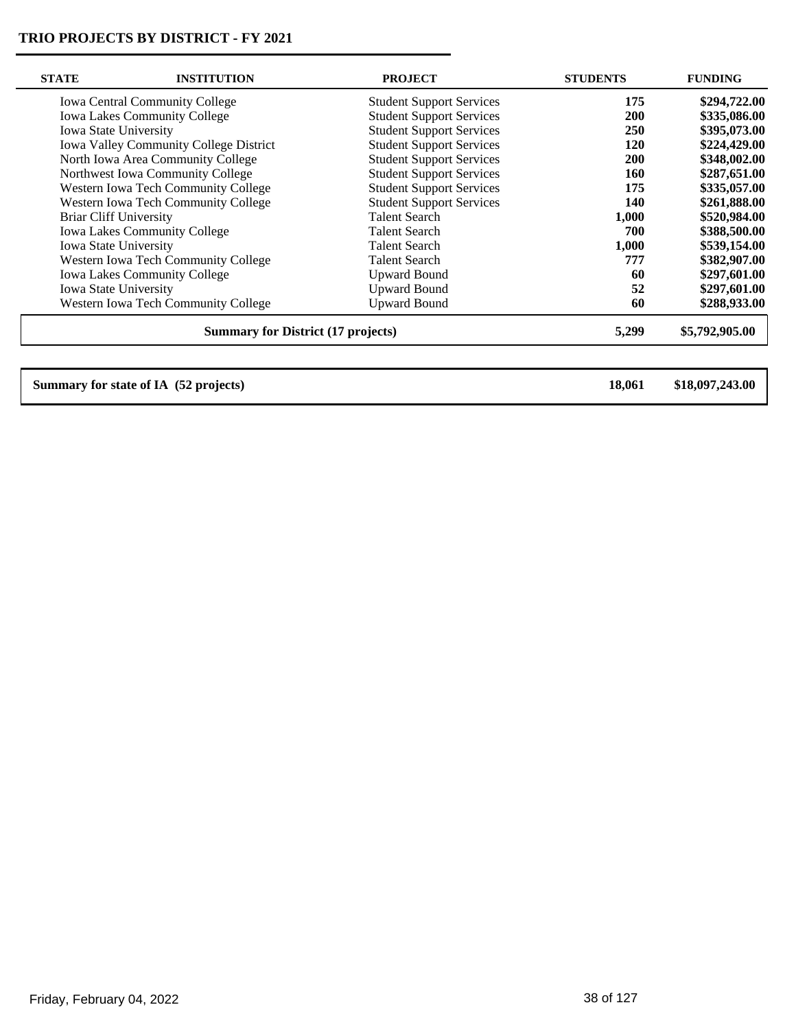| <b>STATE</b> | <b>INSTITUTION</b>                        | <b>PROJECT</b>                  | <b>STUDENTS</b> | <b>FUNDING</b>  |
|--------------|-------------------------------------------|---------------------------------|-----------------|-----------------|
|              | <b>Iowa Central Community College</b>     | <b>Student Support Services</b> | 175             | \$294,722.00    |
|              | <b>Iowa Lakes Community College</b>       | <b>Student Support Services</b> | <b>200</b>      | \$335,086.00    |
|              | Iowa State University                     | <b>Student Support Services</b> | <b>250</b>      | \$395,073.00    |
|              | Iowa Valley Community College District    | <b>Student Support Services</b> | <b>120</b>      | \$224,429.00    |
|              | North Iowa Area Community College         | <b>Student Support Services</b> | <b>200</b>      | \$348,002.00    |
|              | Northwest Iowa Community College          | <b>Student Support Services</b> | 160             | \$287,651.00    |
|              | Western Iowa Tech Community College       | <b>Student Support Services</b> | 175             | \$335,057.00    |
|              | Western Iowa Tech Community College       | <b>Student Support Services</b> | 140             | \$261,888.00    |
|              | <b>Briar Cliff University</b>             | <b>Talent Search</b>            | 1,000           | \$520,984.00    |
|              | <b>Iowa Lakes Community College</b>       | <b>Talent Search</b>            | 700             | \$388,500.00    |
|              | Iowa State University                     | <b>Talent Search</b>            | 1,000           | \$539,154.00    |
|              | Western Iowa Tech Community College       | <b>Talent Search</b>            | 777             | \$382,907.00    |
|              | <b>Iowa Lakes Community College</b>       | <b>Upward Bound</b>             | 60              | \$297,601.00    |
|              | Iowa State University                     | <b>Upward Bound</b>             | 52              | \$297,601.00    |
|              | Western Iowa Tech Community College       | <b>Upward Bound</b>             | 60              | \$288,933.00    |
|              | <b>Summary for District (17 projects)</b> |                                 | 5,299           | \$5,792,905.00  |
|              |                                           |                                 |                 |                 |
|              | Summary for state of IA (52 projects)     |                                 | 18,061          | \$18,097,243.00 |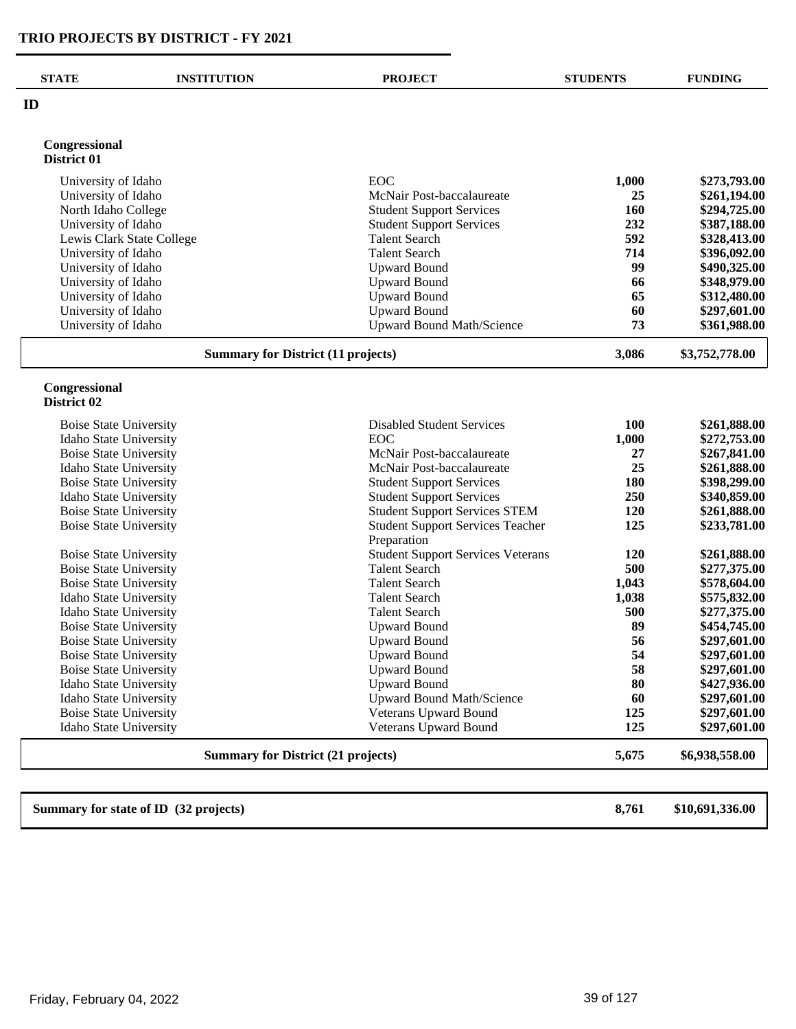| <b>STATE</b>                               | <b>INSTITUTION</b>                        | <b>PROJECT</b>                                               | <b>STUDENTS</b> | <b>FUNDING</b>               |
|--------------------------------------------|-------------------------------------------|--------------------------------------------------------------|-----------------|------------------------------|
| ID                                         |                                           |                                                              |                 |                              |
| Congressional<br>District 01               |                                           |                                                              |                 |                              |
|                                            |                                           |                                                              |                 |                              |
| University of Idaho                        |                                           | EOC                                                          | 1,000           | \$273,793.00                 |
| University of Idaho                        |                                           | McNair Post-baccalaureate<br><b>Student Support Services</b> | 25<br>160       | \$261,194.00<br>\$294,725.00 |
| North Idaho College<br>University of Idaho |                                           | <b>Student Support Services</b>                              | 232             | \$387,188.00                 |
| Lewis Clark State College                  |                                           | <b>Talent Search</b>                                         | 592             | \$328,413.00                 |
| University of Idaho                        |                                           | <b>Talent Search</b>                                         | 714             | \$396,092.00                 |
| University of Idaho                        |                                           | <b>Upward Bound</b>                                          | 99              | \$490,325.00                 |
| University of Idaho                        |                                           | <b>Upward Bound</b>                                          | 66              | \$348,979.00                 |
| University of Idaho                        |                                           | <b>Upward Bound</b>                                          | 65              | \$312,480.00                 |
| University of Idaho                        |                                           | <b>Upward Bound</b>                                          | 60              | \$297,601.00                 |
| University of Idaho                        |                                           | <b>Upward Bound Math/Science</b>                             | 73              | \$361,988.00                 |
|                                            |                                           |                                                              |                 |                              |
|                                            | <b>Summary for District (11 projects)</b> |                                                              | 3,086           | \$3,752,778.00               |
| Congressional<br>District 02               |                                           |                                                              |                 |                              |
| <b>Boise State University</b>              |                                           | <b>Disabled Student Services</b>                             | 100             | \$261,888.00                 |
| Idaho State University                     |                                           | <b>EOC</b>                                                   | 1,000           | \$272,753.00                 |
| <b>Boise State University</b>              |                                           | McNair Post-baccalaureate                                    | 27              | \$267,841.00                 |
| Idaho State University                     |                                           | McNair Post-baccalaureate                                    | 25              | \$261,888.00                 |
| <b>Boise State University</b>              |                                           | <b>Student Support Services</b>                              | 180             | \$398,299.00                 |
| Idaho State University                     |                                           | <b>Student Support Services</b>                              | 250             | \$340,859.00                 |
| <b>Boise State University</b>              |                                           | <b>Student Support Services STEM</b>                         | 120             | \$261,888.00                 |
| <b>Boise State University</b>              |                                           | <b>Student Support Services Teacher</b><br>Preparation       | 125             | \$233,781.00                 |
| <b>Boise State University</b>              |                                           | <b>Student Support Services Veterans</b>                     | 120             | \$261,888.00                 |
| <b>Boise State University</b>              |                                           | <b>Talent Search</b>                                         | 500             | \$277,375.00                 |
| <b>Boise State University</b>              |                                           | <b>Talent Search</b>                                         | 1,043           | \$578,604.00                 |
| Idaho State University                     |                                           | <b>Talent Search</b>                                         | 1,038           | \$575,832.00                 |
| Idaho State University                     |                                           | <b>Talent Search</b>                                         | 500             | \$277,375.00                 |
| <b>Boise State University</b>              |                                           | <b>Upward Bound</b>                                          | 89              | \$454,745.00                 |
| <b>Boise State University</b>              |                                           | <b>Upward Bound</b>                                          | 56              | \$297,601.00                 |
| <b>Boise State University</b>              |                                           | <b>Upward Bound</b>                                          | 54              | \$297,601.00                 |
| <b>Boise State University</b>              |                                           | <b>Upward Bound</b>                                          | 58              | \$297,601.00                 |
| Idaho State University                     |                                           | <b>Upward Bound</b>                                          | 80              | \$427,936.00                 |
| Idaho State University                     |                                           | <b>Upward Bound Math/Science</b>                             | 60              | \$297,601.00                 |
| <b>Boise State University</b>              |                                           | <b>Veterans Upward Bound</b>                                 | 125             | \$297,601.00                 |
| Idaho State University                     |                                           | Veterans Upward Bound                                        | 125             | \$297,601.00                 |
|                                            |                                           |                                                              |                 |                              |

**Summary for state of ID (32 projects) 8,761 \$10,691,336.00**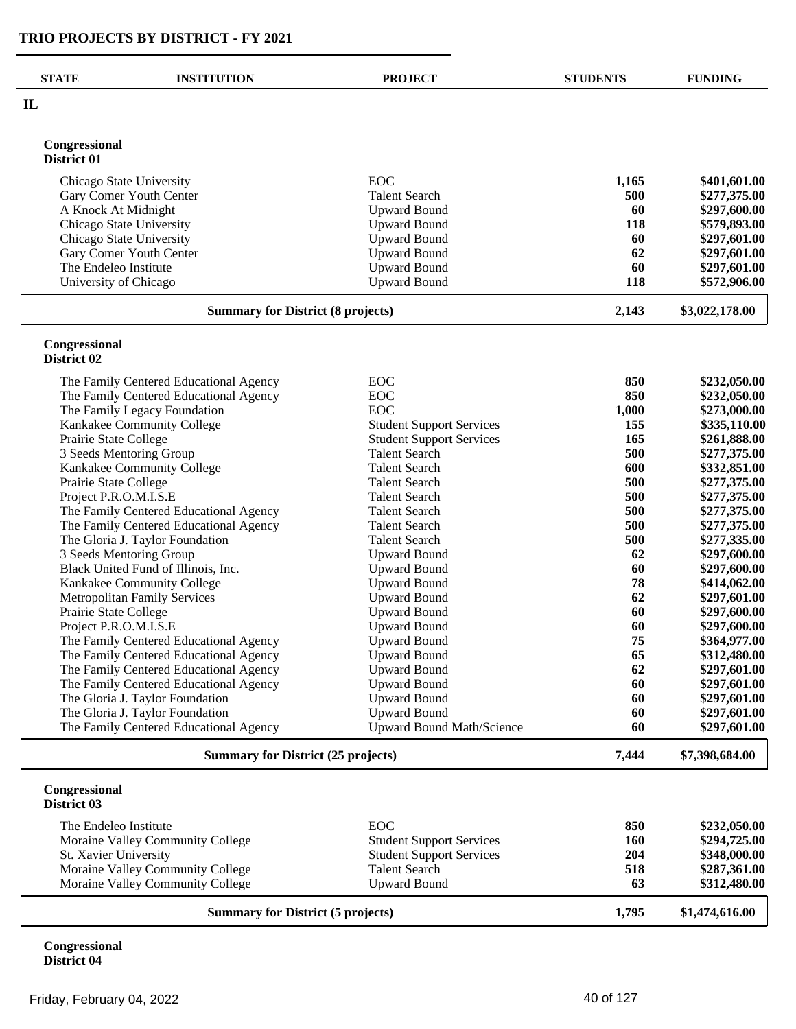| <b>STATE</b>                             | <b>INSTITUTION</b>                                                               | <b>PROJECT</b>                                   | <b>STUDENTS</b> | <b>FUNDING</b>               |
|------------------------------------------|----------------------------------------------------------------------------------|--------------------------------------------------|-----------------|------------------------------|
| $\mathbf{I}$                             |                                                                                  |                                                  |                 |                              |
| Congressional<br>District 01             |                                                                                  |                                                  |                 |                              |
|                                          | Chicago State University                                                         | EOC                                              | 1,165           | \$401,601.00                 |
|                                          | Gary Comer Youth Center                                                          | <b>Talent Search</b>                             | 500             | \$277,375.00                 |
|                                          | A Knock At Midnight                                                              | <b>Upward Bound</b>                              | 60              | \$297,600.00                 |
|                                          | Chicago State University                                                         | <b>Upward Bound</b>                              | 118             | \$579,893.00                 |
|                                          | Chicago State University                                                         | <b>Upward Bound</b>                              | 60              | \$297,601.00                 |
|                                          | Gary Comer Youth Center                                                          | <b>Upward Bound</b>                              | 62              | \$297,601.00                 |
|                                          | The Endeleo Institute                                                            | <b>Upward Bound</b>                              | 60              | \$297,601.00                 |
|                                          | University of Chicago                                                            | <b>Upward Bound</b>                              | 118             | \$572,906.00                 |
| <b>Summary for District (8 projects)</b> |                                                                                  |                                                  | 2,143           | \$3,022,178.00               |
| Congressional<br>District 02             |                                                                                  |                                                  |                 |                              |
|                                          | The Family Centered Educational Agency                                           | <b>EOC</b>                                       | 850             | \$232,050.00                 |
|                                          | The Family Centered Educational Agency                                           | <b>EOC</b>                                       | 850             | \$232,050.00                 |
|                                          | The Family Legacy Foundation                                                     | <b>EOC</b>                                       | 1,000           | \$273,000.00                 |
|                                          | Kankakee Community College                                                       | <b>Student Support Services</b>                  | 155             | \$335,110.00                 |
| Prairie State College                    |                                                                                  | <b>Student Support Services</b>                  | 165             | \$261,888.00                 |
|                                          | 3 Seeds Mentoring Group                                                          | <b>Talent Search</b>                             | 500             | \$277,375.00                 |
|                                          | Kankakee Community College                                                       | <b>Talent Search</b>                             | 600             | \$332,851.00                 |
| Prairie State College                    |                                                                                  | <b>Talent Search</b>                             | 500             | \$277,375.00                 |
|                                          | Project P.R.O.M.I.S.E                                                            | <b>Talent Search</b>                             | 500             | \$277,375.00                 |
|                                          | The Family Centered Educational Agency<br>The Family Centered Educational Agency | <b>Talent Search</b><br><b>Talent Search</b>     | 500<br>500      | \$277,375.00<br>\$277,375.00 |
|                                          | The Gloria J. Taylor Foundation                                                  | <b>Talent Search</b>                             | 500             | \$277,335.00                 |
|                                          | 3 Seeds Mentoring Group                                                          | <b>Upward Bound</b>                              | 62              | \$297,600.00                 |
|                                          | Black United Fund of Illinois, Inc.                                              | <b>Upward Bound</b>                              | 60              | \$297,600.00                 |
|                                          | Kankakee Community College                                                       | <b>Upward Bound</b>                              | 78              | \$414,062.00                 |
|                                          | <b>Metropolitan Family Services</b>                                              | <b>Upward Bound</b>                              | 62              | \$297,601.00                 |
| Prairie State College                    |                                                                                  | <b>Upward Bound</b>                              | 60              | \$297,600.00                 |
|                                          | Project P.R.O.M.I.S.E                                                            | <b>Upward Bound</b>                              | 60              | \$297,600.00                 |
|                                          | The Family Centered Educational Agency                                           | <b>Upward Bound</b>                              | 75              | \$364,977.00                 |
|                                          | The Family Centered Educational Agency                                           | <b>Upward Bound</b>                              | 65              | \$312,480.00                 |
|                                          | The Family Centered Educational Agency                                           | <b>Upward Bound</b>                              | 62              | \$297,601.00                 |
|                                          | The Family Centered Educational Agency                                           | <b>Upward Bound</b>                              | 60              | \$297,601.00                 |
|                                          | The Gloria J. Taylor Foundation                                                  | <b>Upward Bound</b>                              | 60              | \$297,601.00                 |
|                                          | The Gloria J. Taylor Foundation<br>The Family Centered Educational Agency        | <b>Upward Bound</b><br>Upward Bound Math/Science | 60<br>60        | \$297,601.00<br>\$297,601.00 |
|                                          | <b>Summary for District (25 projects)</b>                                        |                                                  | 7,444           | \$7,398,684.00               |
|                                          |                                                                                  |                                                  |                 |                              |
| Congressional<br>District 03             |                                                                                  |                                                  |                 |                              |
|                                          | The Endeleo Institute                                                            | <b>EOC</b>                                       | 850             | \$232,050.00                 |
|                                          | Moraine Valley Community College                                                 | <b>Student Support Services</b>                  | 160             | \$294,725.00                 |
|                                          | St. Xavier University                                                            | <b>Student Support Services</b>                  | 204             | \$348,000.00                 |
|                                          | Moraine Valley Community College                                                 | <b>Talent Search</b>                             | 518             | \$287,361.00                 |
|                                          | Moraine Valley Community College                                                 | <b>Upward Bound</b>                              | 63              | \$312,480.00                 |
|                                          | <b>Summary for District (5 projects)</b>                                         |                                                  |                 | \$1,474,616.00               |

**Congressional District 04**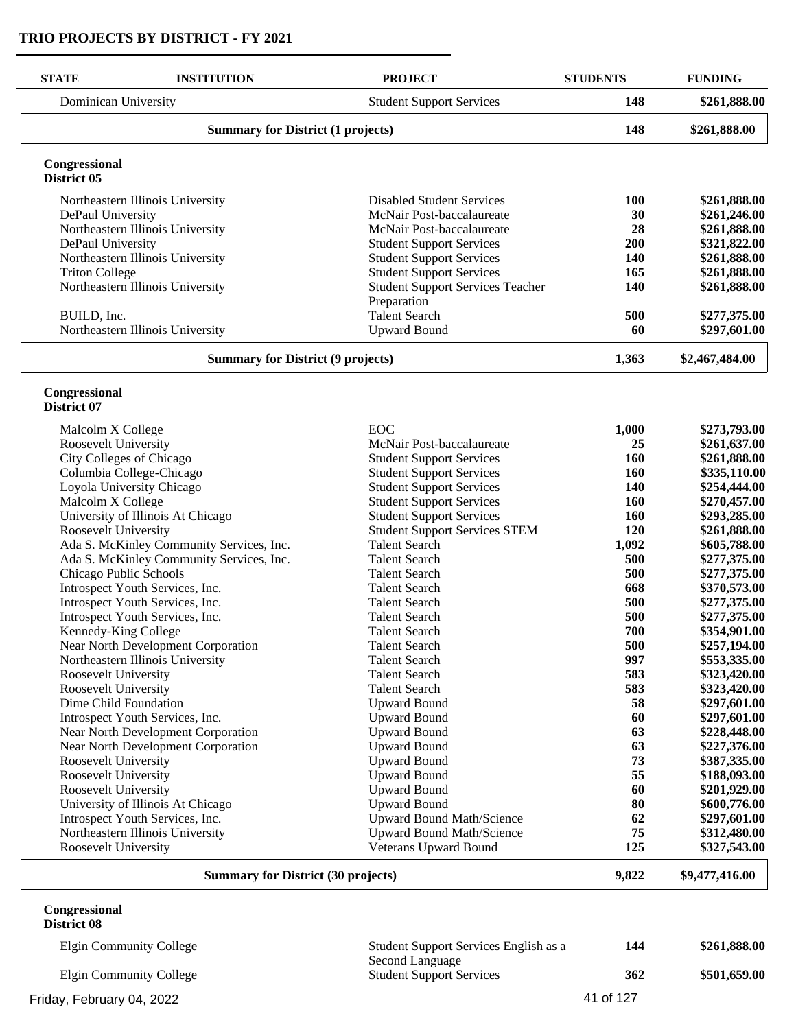| <b>STATE</b>                 | <b>INSTITUTION</b>                                    | <b>PROJECT</b>                                                     | <b>STUDENTS</b> | <b>FUNDING</b>               |
|------------------------------|-------------------------------------------------------|--------------------------------------------------------------------|-----------------|------------------------------|
|                              | Dominican University                                  | <b>Student Support Services</b>                                    | 148             | \$261,888.00                 |
|                              | <b>Summary for District (1 projects)</b>              |                                                                    | 148             | \$261,888.00                 |
| Congressional<br>District 05 |                                                       |                                                                    |                 |                              |
|                              | Northeastern Illinois University                      | <b>Disabled Student Services</b>                                   | 100             | \$261,888.00                 |
| DePaul University            |                                                       | McNair Post-baccalaureate                                          | 30              | \$261,246.00                 |
|                              | Northeastern Illinois University                      | McNair Post-baccalaureate                                          | 28              | \$261,888.00                 |
| DePaul University            |                                                       | <b>Student Support Services</b>                                    | <b>200</b>      | \$321,822.00                 |
|                              | Northeastern Illinois University                      | <b>Student Support Services</b>                                    | 140             | \$261,888.00                 |
| <b>Triton College</b>        |                                                       | <b>Student Support Services</b>                                    | 165             | \$261,888.00                 |
|                              | Northeastern Illinois University                      | <b>Student Support Services Teacher</b><br>Preparation             | 140             | \$261,888.00                 |
| BUILD, Inc.                  |                                                       | <b>Talent Search</b>                                               | 500             | \$277,375.00                 |
|                              | Northeastern Illinois University                      | <b>Upward Bound</b>                                                | 60              | \$297,601.00                 |
|                              |                                                       |                                                                    |                 |                              |
|                              | <b>Summary for District (9 projects)</b>              |                                                                    | 1,363           | \$2,467,484.00               |
| Congressional<br>District 07 |                                                       |                                                                    |                 |                              |
|                              |                                                       |                                                                    |                 |                              |
| Malcolm X College            |                                                       | EOC                                                                | 1,000           | \$273,793.00                 |
| Roosevelt University         |                                                       | McNair Post-baccalaureate                                          | 25<br>160       | \$261,637.00                 |
|                              | City Colleges of Chicago                              | <b>Student Support Services</b>                                    | 160             | \$261,888.00<br>\$335,110.00 |
|                              | Columbia College-Chicago<br>Loyola University Chicago | <b>Student Support Services</b><br><b>Student Support Services</b> | 140             | \$254,444.00                 |
| Malcolm X College            |                                                       | <b>Student Support Services</b>                                    | <b>160</b>      | \$270,457.00                 |
|                              | University of Illinois At Chicago                     | <b>Student Support Services</b>                                    | 160             | \$293,285.00                 |
| Roosevelt University         |                                                       | <b>Student Support Services STEM</b>                               | 120             | \$261,888.00                 |
|                              | Ada S. McKinley Community Services, Inc.              | <b>Talent Search</b>                                               | 1,092           | \$605,788.00                 |
|                              | Ada S. McKinley Community Services, Inc.              | <b>Talent Search</b>                                               | 500             | \$277,375.00                 |
|                              | Chicago Public Schools                                | <b>Talent Search</b>                                               | 500             | \$277,375.00                 |
|                              | Introspect Youth Services, Inc.                       | <b>Talent Search</b>                                               | 668             | \$370,573.00                 |
|                              | Introspect Youth Services, Inc.                       | <b>Talent Search</b>                                               | 500             | \$277,375.00                 |
|                              | Introspect Youth Services, Inc.                       | <b>Talent Search</b>                                               | 500             | \$277,375.00                 |
|                              | Kennedy-King College                                  | <b>Talent Search</b>                                               | 700             | \$354,901.00                 |
|                              | Near North Development Corporation                    | <b>Talent Search</b>                                               | 500             | \$257,194.00                 |
|                              | Northeastern Illinois University                      | <b>Talent Search</b>                                               | 997             | \$553,335.00                 |
| Roosevelt University         |                                                       | <b>Talent Search</b>                                               | 583             | \$323,420.00                 |
| Roosevelt University         |                                                       | <b>Talent Search</b>                                               | 583             | \$323,420.00                 |
|                              | Dime Child Foundation                                 | <b>Upward Bound</b>                                                | 58              | \$297,601.00                 |
|                              | Introspect Youth Services, Inc.                       | <b>Upward Bound</b>                                                | 60              | \$297,601.00                 |
|                              | Near North Development Corporation                    | <b>Upward Bound</b>                                                | 63              | \$228,448.00                 |
|                              | Near North Development Corporation                    | <b>Upward Bound</b>                                                | 63              | \$227,376.00                 |
| Roosevelt University         |                                                       | <b>Upward Bound</b>                                                | 73              | \$387,335.00                 |
| Roosevelt University         |                                                       | <b>Upward Bound</b>                                                | 55              | \$188,093.00                 |
| Roosevelt University         |                                                       | <b>Upward Bound</b>                                                | 60              | \$201,929.00                 |
|                              | University of Illinois At Chicago                     | <b>Upward Bound</b>                                                | 80              | \$600,776.00                 |
|                              | Introspect Youth Services, Inc.                       | Upward Bound Math/Science                                          | 62              | \$297,601.00                 |
|                              | Northeastern Illinois University                      | Upward Bound Math/Science                                          | 75              | \$312,480.00                 |
| Roosevelt University         |                                                       | Veterans Upward Bound                                              | 125             | \$327,543.00                 |
|                              | <b>Summary for District (30 projects)</b>             |                                                                    | 9,822           | \$9,477,416.00               |

#### **Congressional District 08**

| Elgin Community College   | Student Support Services English as a              | 144       | \$261,888.00 |
|---------------------------|----------------------------------------------------|-----------|--------------|
| Elgin Community College   | Second Language<br><b>Student Support Services</b> | 362       | \$501,659.00 |
| Friday, February 04, 2022 |                                                    | 41 of 127 |              |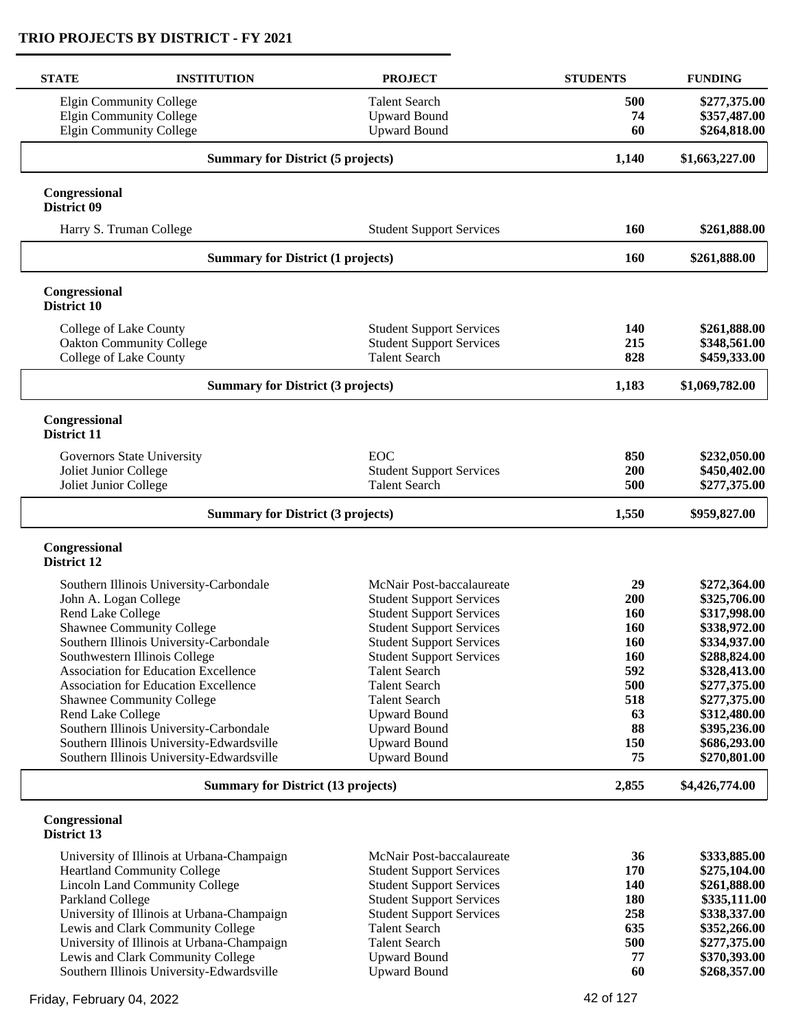| <b>STATE</b>                             | <b>INSTITUTION</b>                          | <b>PROJECT</b>                              | <b>STUDENTS</b> | <b>FUNDING</b>               |
|------------------------------------------|---------------------------------------------|---------------------------------------------|-----------------|------------------------------|
|                                          | <b>Elgin Community College</b>              | <b>Talent Search</b>                        | 500             | \$277,375.00                 |
|                                          | <b>Elgin Community College</b>              | <b>Upward Bound</b>                         | 74              | \$357,487.00                 |
|                                          | <b>Elgin Community College</b>              | <b>Upward Bound</b>                         | 60              | \$264,818.00                 |
|                                          | <b>Summary for District (5 projects)</b>    |                                             | 1,140           | \$1,663,227.00               |
| Congressional<br>District 09             |                                             |                                             |                 |                              |
|                                          | Harry S. Truman College                     | <b>Student Support Services</b>             | 160             | \$261,888.00                 |
|                                          | <b>Summary for District (1 projects)</b>    |                                             | 160             | \$261,888.00                 |
| Congressional<br>District 10             |                                             |                                             |                 |                              |
|                                          | College of Lake County                      | <b>Student Support Services</b>             | 140             | \$261,888.00                 |
|                                          | <b>Oakton Community College</b>             | <b>Student Support Services</b>             | 215             | \$348,561.00                 |
|                                          | College of Lake County                      | <b>Talent Search</b>                        | 828             | \$459,333.00                 |
| <b>Summary for District (3 projects)</b> |                                             | 1,183                                       | \$1,069,782.00  |                              |
| Congressional<br>District 11             |                                             |                                             |                 |                              |
|                                          | Governors State University                  | <b>EOC</b>                                  | 850             | \$232,050.00                 |
| Joliet Junior College                    |                                             | <b>Student Support Services</b>             | 200             | \$450,402.00                 |
| Joliet Junior College                    |                                             | <b>Talent Search</b>                        | 500             | \$277,375.00                 |
|                                          | <b>Summary for District (3 projects)</b>    |                                             | 1,550           | \$959,827.00                 |
| Congressional<br>District 12             |                                             |                                             |                 |                              |
|                                          | Southern Illinois University-Carbondale     | McNair Post-baccalaureate                   | 29              | \$272,364.00                 |
|                                          | John A. Logan College                       | <b>Student Support Services</b>             | 200             | \$325,706.00                 |
| Rend Lake College                        |                                             | <b>Student Support Services</b>             | 160             | \$317,998.00                 |
|                                          | <b>Shawnee Community College</b>            | <b>Student Support Services</b>             | 160             | \$338,972.00                 |
|                                          | Southern Illinois University-Carbondale     | <b>Student Support Services</b>             | <b>160</b>      | \$334,937.00                 |
|                                          | Southwestern Illinois College               | <b>Student Support Services</b>             | 160             | \$288,824.00                 |
|                                          | Association for Education Excellence        | <b>Talent Search</b>                        | 592             | \$328,413.00                 |
|                                          | <b>Association for Education Excellence</b> | <b>Talent Search</b>                        | 500             | \$277,375.00                 |
| Rend Lake College                        | <b>Shawnee Community College</b>            | <b>Talent Search</b><br><b>Upward Bound</b> | 518<br>63       | \$277,375.00<br>\$312,480.00 |
|                                          | Southern Illinois University-Carbondale     | <b>Upward Bound</b>                         | 88              | \$395,236.00                 |
|                                          | Southern Illinois University-Edwardsville   | <b>Upward Bound</b>                         | 150             | \$686,293.00                 |
|                                          | Southern Illinois University-Edwardsville   | <b>Upward Bound</b>                         | 75              | \$270,801.00                 |
|                                          | <b>Summary for District (13 projects)</b>   |                                             | 2,855           | \$4,426,774.00               |
| Congressional<br>District 13             |                                             |                                             |                 |                              |
|                                          | University of Illinois at Urbana-Champaign  | McNair Post-baccalaureate                   | 36              | \$333,885.00                 |
|                                          | <b>Heartland Community College</b>          | <b>Student Support Services</b>             | 170             | \$275,104.00                 |
|                                          | <b>Lincoln Land Community College</b>       | <b>Student Support Services</b>             | 140             | \$261,888.00                 |
| Parkland College                         |                                             | <b>Student Support Services</b>             | 180             | \$335,111.00                 |
|                                          | University of Illinois at Urbana-Champaign  | <b>Student Support Services</b>             | 258             | \$338,337.00                 |
|                                          | Lewis and Clark Community College           | <b>Talent Search</b>                        | 635<br>500      | \$352,266.00                 |
|                                          | University of Illinois at Urbana-Champaign  | <b>Talent Search</b>                        |                 | \$277,375.00                 |

University of Illinois at Urbana-Champaign Talent Search 500 \$277,375.00<br>
Lewis and Clark Community College Upward Bound 577 \$370,393.00 Lewis and Clark Community College Upward Bound 520,393.00<br>
Southern Illinois University-Edwardsville<br>
Upward Bound 60 \$268,357.00

Friday, February 04, 2022 **42 of 127** 

Southern Illinois University-Edward sville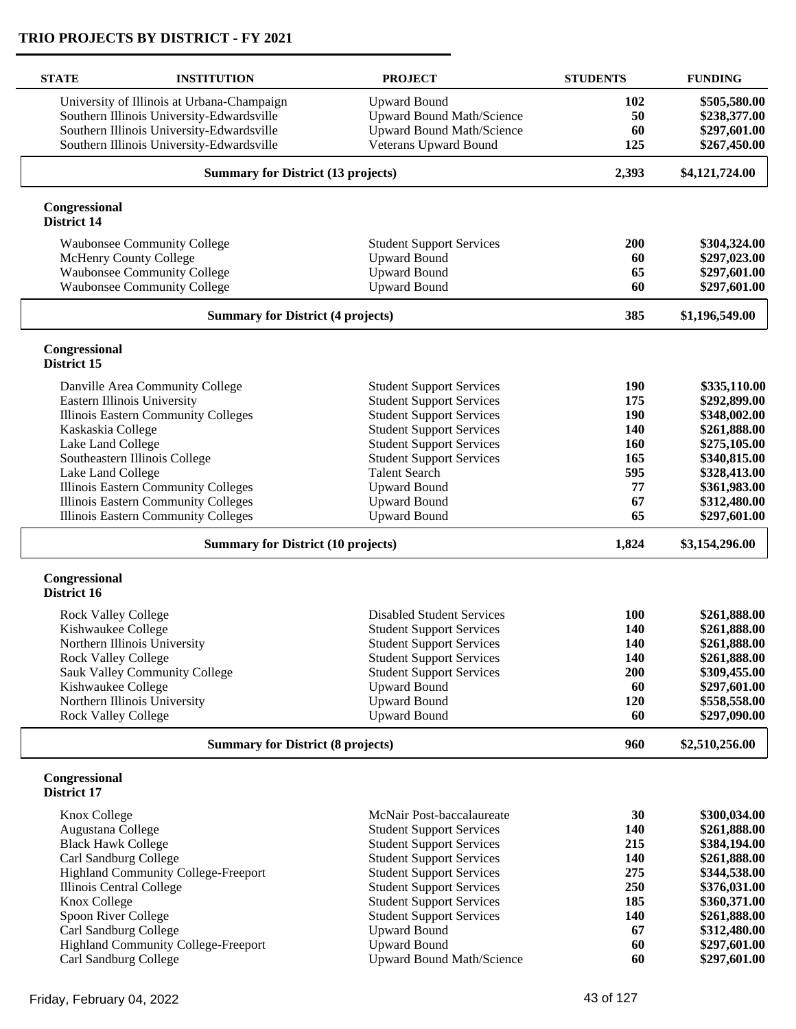| <b>STATE</b>                 | <b>INSTITUTION</b>                         | <b>PROJECT</b>                   | <b>STUDENTS</b> | <b>FUNDING</b> |
|------------------------------|--------------------------------------------|----------------------------------|-----------------|----------------|
|                              | University of Illinois at Urbana-Champaign | <b>Upward Bound</b>              | 102             | \$505,580.00   |
|                              | Southern Illinois University-Edwardsville  | <b>Upward Bound Math/Science</b> | 50              | \$238,377.00   |
|                              | Southern Illinois University-Edwardsville  | Upward Bound Math/Science        | 60              | \$297,601.00   |
|                              | Southern Illinois University-Edwardsville  | <b>Veterans Upward Bound</b>     | 125             | \$267,450.00   |
|                              | <b>Summary for District (13 projects)</b>  |                                  | 2,393           | \$4,121,724.00 |
| Congressional                |                                            |                                  |                 |                |
| District 14                  |                                            |                                  |                 |                |
|                              | <b>Waubonsee Community College</b>         | <b>Student Support Services</b>  | 200             | \$304,324.00   |
|                              | McHenry County College                     | <b>Upward Bound</b>              | 60              | \$297,023.00   |
|                              | <b>Waubonsee Community College</b>         | <b>Upward Bound</b>              | 65              | \$297,601.00   |
|                              | <b>Waubonsee Community College</b>         | <b>Upward Bound</b>              | 60              | \$297,601.00   |
|                              | <b>Summary for District (4 projects)</b>   | 385                              | \$1,196,549.00  |                |
| Congressional<br>District 15 |                                            |                                  |                 |                |
|                              | Danville Area Community College            | <b>Student Support Services</b>  | 190             | \$335,110.00   |
|                              | Eastern Illinois University                | <b>Student Support Services</b>  | 175             | \$292,899.00   |
|                              | <b>Illinois Eastern Community Colleges</b> | <b>Student Support Services</b>  | 190             | \$348,002.00   |
| Kaskaskia College            |                                            | <b>Student Support Services</b>  | 140             | \$261,888.00   |
| Lake Land College            |                                            | <b>Student Support Services</b>  | <b>160</b>      | \$275,105.00   |
|                              | Southeastern Illinois College              | <b>Student Support Services</b>  | 165             | \$340,815.00   |
| Lake Land College            |                                            | <b>Talent Search</b>             | 595             | \$328,413.00   |
|                              | <b>Illinois Eastern Community Colleges</b> | <b>Upward Bound</b>              | 77              | \$361,983.00   |
|                              | Illinois Eastern Community Colleges        | <b>Upward Bound</b>              | 67              | \$312,480.00   |
|                              | <b>Illinois Eastern Community Colleges</b> | <b>Upward Bound</b>              | 65              | \$297,601.00   |
|                              |                                            |                                  | 1,824           |                |
|                              | <b>Summary for District (10 projects)</b>  |                                  |                 | \$3,154,296.00 |
| Congressional<br>District 16 |                                            |                                  |                 |                |
| <b>Rock Valley College</b>   |                                            | <b>Disabled Student Services</b> | 100             | \$261,888.00   |
| Kishwaukee College           |                                            | <b>Student Support Services</b>  | 140             | \$261,888.00   |
|                              | Northern Illinois University               | <b>Student Support Services</b>  | 140             | \$261,888.00   |
| <b>Rock Valley College</b>   |                                            | <b>Student Support Services</b>  | 140             | \$261,888.00   |
|                              | Sauk Valley Community College              | <b>Student Support Services</b>  | 200             | \$309,455.00   |
| Kishwaukee College           |                                            | <b>Upward Bound</b>              | 60              | \$297,601.00   |
|                              | Northern Illinois University               | <b>Upward Bound</b>              | 120             | \$558,558.00   |
| <b>Rock Valley College</b>   |                                            | <b>Upward Bound</b>              | 60              | \$297,090.00   |
|                              | <b>Summary for District (8 projects)</b>   |                                  |                 | \$2,510,256.00 |
| Congressional<br>District 17 |                                            |                                  |                 |                |
| Knox College                 |                                            | McNair Post-baccalaureate        | 30              | \$300,034.00   |
| Augustana College            |                                            | <b>Student Support Services</b>  | 140             | \$261,888.00   |
| <b>Black Hawk College</b>    |                                            | <b>Student Support Services</b>  | 215             | \$384,194.00   |
| Carl Sandburg College        |                                            | <b>Student Support Services</b>  | 140             | \$261,888.00   |
|                              | <b>Highland Community College-Freeport</b> | <b>Student Support Services</b>  | 275             | \$344,538.00   |
| Illinois Central College     |                                            | <b>Student Support Services</b>  | 250             | \$376,031.00   |
| Knox College                 |                                            | <b>Student Support Services</b>  | 185             | \$360,371.00   |
| Spoon River College          |                                            | <b>Student Support Services</b>  | 140             | \$261,888.00   |
| Carl Sandburg College        |                                            | <b>Upward Bound</b>              | 67              | \$312,480.00   |
|                              | <b>Highland Community College-Freeport</b> | <b>Upward Bound</b>              | 60              | \$297,601.00   |
| Carl Sandburg College        |                                            | <b>Upward Bound Math/Science</b> | 60              | \$297,601.00   |
|                              |                                            |                                  |                 |                |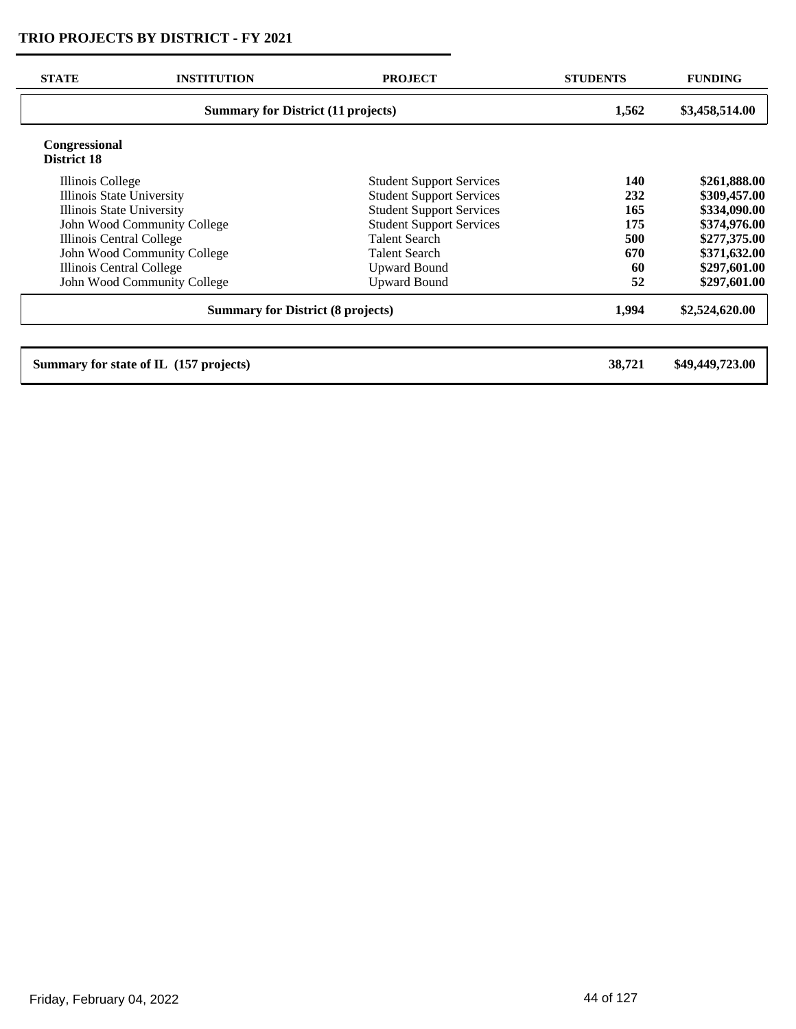| <b>STATE</b>                        | <b>INSTITUTION</b>                        | <b>PROJECT</b>                  | <b>STUDENTS</b> | <b>FUNDING</b>  |
|-------------------------------------|-------------------------------------------|---------------------------------|-----------------|-----------------|
|                                     | <b>Summary for District (11 projects)</b> |                                 |                 | \$3,458,514.00  |
| <b>Congressional</b><br>District 18 |                                           |                                 |                 |                 |
| Illinois College                    |                                           | <b>Student Support Services</b> | 140             | \$261,888.00    |
| Illinois State University           |                                           | <b>Student Support Services</b> | 232             | \$309,457.00    |
| Illinois State University           |                                           | <b>Student Support Services</b> | 165             | \$334,090.00    |
|                                     | John Wood Community College               | <b>Student Support Services</b> | 175             | \$374,976.00    |
| Illinois Central College            |                                           | <b>Talent Search</b>            | 500             | \$277,375.00    |
|                                     | John Wood Community College               | <b>Talent Search</b>            | 670             | \$371,632.00    |
| Illinois Central College            |                                           | <b>Upward Bound</b>             | 60              | \$297,601.00    |
|                                     | John Wood Community College               | <b>Upward Bound</b>             | 52              | \$297,601.00    |
|                                     | <b>Summary for District (8 projects)</b>  |                                 | 1,994           | \$2,524,620.00  |
|                                     |                                           |                                 |                 |                 |
|                                     | Summary for state of IL (157 projects)    |                                 | 38,721          | \$49,449,723.00 |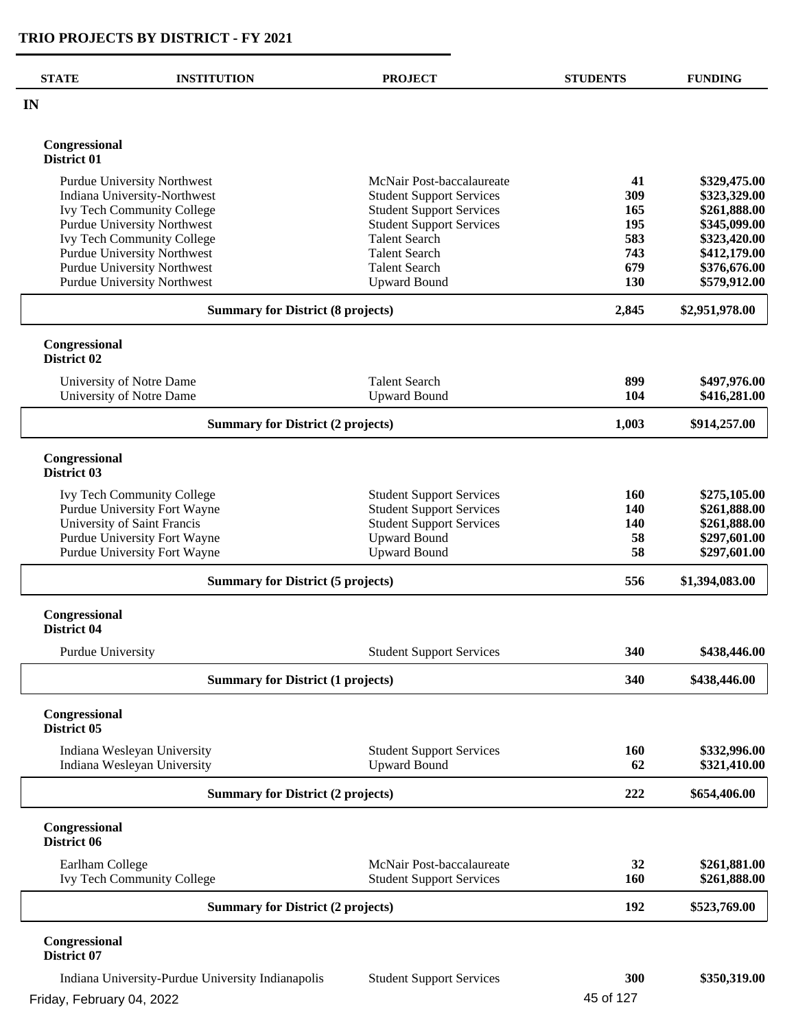L.

| <b>STATE</b>                             | <b>INSTITUTION</b>                                           | <b>PROJECT</b>                             | <b>STUDENTS</b> | <b>FUNDING</b>               |
|------------------------------------------|--------------------------------------------------------------|--------------------------------------------|-----------------|------------------------------|
| IN                                       |                                                              |                                            |                 |                              |
| Congressional<br>District 01             |                                                              |                                            |                 |                              |
|                                          | <b>Purdue University Northwest</b>                           | McNair Post-baccalaureate                  | 41              | \$329,475.00                 |
|                                          | Indiana University-Northwest                                 | <b>Student Support Services</b>            | 309             | \$323,329.00                 |
|                                          | Ivy Tech Community College                                   | <b>Student Support Services</b>            | 165             | \$261,888.00                 |
|                                          | <b>Purdue University Northwest</b>                           | <b>Student Support Services</b>            | 195             | \$345,099.00                 |
|                                          | <b>Ivy Tech Community College</b>                            | <b>Talent Search</b>                       | 583             | \$323,420.00                 |
|                                          | <b>Purdue University Northwest</b>                           | <b>Talent Search</b>                       | 743             | \$412,179.00                 |
|                                          | <b>Purdue University Northwest</b>                           | <b>Talent Search</b>                       | 679             | \$376,676.00                 |
|                                          | Purdue University Northwest                                  | <b>Upward Bound</b>                        | 130             | \$579,912.00                 |
| <b>Summary for District (8 projects)</b> |                                                              |                                            | 2,845           | \$2,951,978.00               |
| Congressional<br>District 02             |                                                              |                                            |                 |                              |
|                                          | University of Notre Dame                                     | <b>Talent Search</b>                       | 899             | \$497,976.00                 |
|                                          | University of Notre Dame                                     | <b>Upward Bound</b>                        | 104             | \$416,281.00                 |
| <b>Summary for District (2 projects)</b> |                                                              |                                            | 1,003           | \$914,257.00                 |
| Congressional<br>District 03             |                                                              |                                            |                 |                              |
|                                          |                                                              |                                            |                 |                              |
|                                          | <b>Ivy Tech Community College</b>                            | <b>Student Support Services</b>            | 160             | \$275,105.00                 |
|                                          | Purdue University Fort Wayne                                 | <b>Student Support Services</b>            | 140             | \$261,888.00                 |
|                                          | University of Saint Francis                                  | <b>Student Support Services</b>            | 140             | \$261,888.00                 |
|                                          | Purdue University Fort Wayne<br>Purdue University Fort Wayne | <b>Upward Bound</b><br><b>Upward Bound</b> | 58<br>58        | \$297,601.00<br>\$297,601.00 |
|                                          |                                                              |                                            |                 |                              |
|                                          | <b>Summary for District (5 projects)</b>                     |                                            | 556             | \$1,394,083.00               |
| Congressional<br>District 04             |                                                              |                                            |                 |                              |
| Purdue University                        |                                                              | <b>Student Support Services</b>            | 340             | \$438,446.00                 |
| <b>Summary for District (1 projects)</b> |                                                              |                                            | 340             | \$438,446.00                 |
| Congressional<br>District 05             |                                                              |                                            |                 |                              |
|                                          | Indiana Wesleyan University                                  | <b>Student Support Services</b>            | <b>160</b>      | \$332,996.00                 |
|                                          | Indiana Wesleyan University                                  | <b>Upward Bound</b>                        | 62              | \$321,410.00                 |
|                                          | <b>Summary for District (2 projects)</b>                     |                                            | 222             | \$654,406.00                 |
| Congressional<br>District 06             |                                                              |                                            |                 |                              |
| Earlham College                          |                                                              | McNair Post-baccalaureate                  | 32              | \$261,881.00                 |
|                                          | <b>Ivy Tech Community College</b>                            | <b>Student Support Services</b>            | 160             | \$261,888.00                 |
|                                          | <b>Summary for District (2 projects)</b>                     |                                            | 192             | \$523,769.00                 |
| Congressional<br>District 07             |                                                              |                                            |                 |                              |
|                                          | Indiana University-Purdue University Indianapolis            | <b>Student Support Services</b>            | 300             | \$350,319.00                 |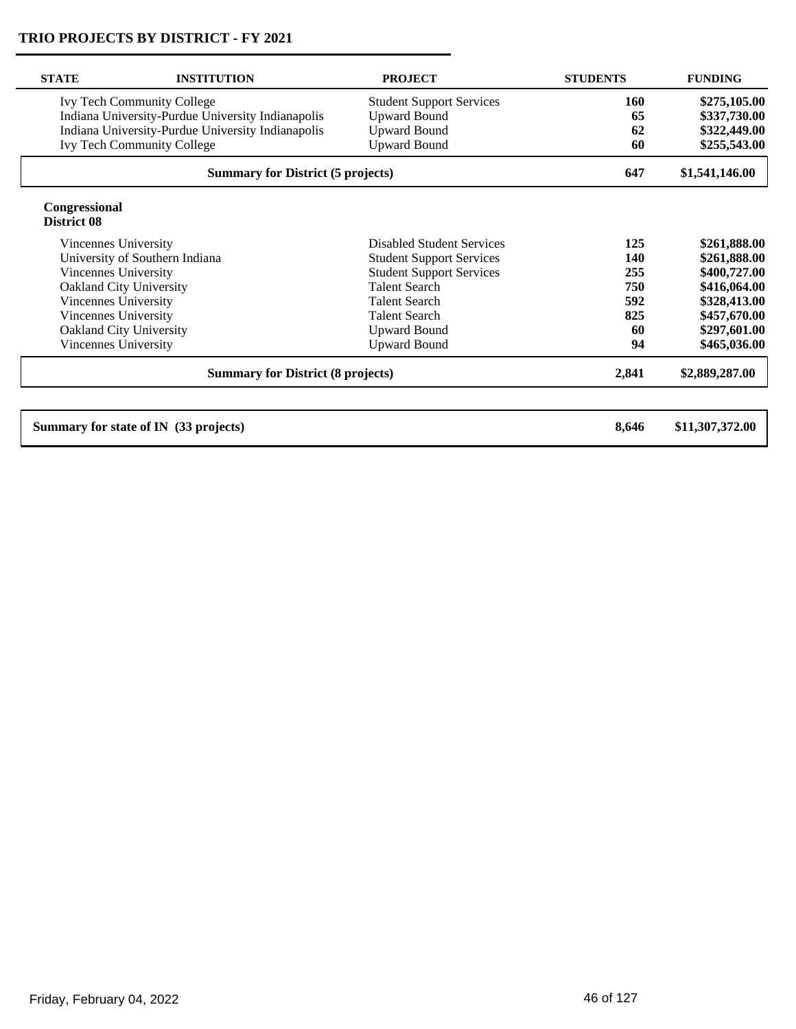| <b>STATE</b>                                      | <b>INSTITUTION</b>                                | <b>PROJECT</b>                   | <b>STUDENTS</b> | <b>FUNDING</b>  |
|---------------------------------------------------|---------------------------------------------------|----------------------------------|-----------------|-----------------|
|                                                   | <b>Ivy Tech Community College</b>                 | <b>Student Support Services</b>  | 160             | \$275,105.00    |
| Indiana University-Purdue University Indianapolis |                                                   | <b>Upward Bound</b>              | 65              | \$337,730.00    |
|                                                   | Indiana University-Purdue University Indianapolis | <b>Upward Bound</b>              | 62              | \$322,449.00    |
|                                                   | <b>Ivy Tech Community College</b>                 | <b>Upward Bound</b>              | 60              | \$255,543.00    |
| <b>Summary for District (5 projects)</b>          |                                                   |                                  | 647             | \$1,541,146.00  |
| Congressional<br>District 08                      |                                                   |                                  |                 |                 |
| Vincennes University                              |                                                   | <b>Disabled Student Services</b> | 125             | \$261,888.00    |
|                                                   | University of Southern Indiana                    | <b>Student Support Services</b>  | 140             | \$261,888.00    |
| Vincennes University                              |                                                   | <b>Student Support Services</b>  | 255             | \$400,727.00    |
|                                                   | Oakland City University                           | <b>Talent Search</b>             | 750             | \$416,064.00    |
| Vincennes University                              |                                                   | <b>Talent Search</b>             | 592             | \$328,413.00    |
| Vincennes University                              |                                                   | <b>Talent Search</b>             | 825             | \$457,670.00    |
|                                                   | Oakland City University                           | <b>Upward Bound</b>              | 60              | \$297,601.00    |
| Vincennes University                              |                                                   | <b>Upward Bound</b>              | 94              | \$465,036.00    |
| <b>Summary for District (8 projects)</b>          |                                                   |                                  | 2,841           | \$2,889,287.00  |
|                                                   | Summary for state of IN (33 projects)             |                                  | 8,646           | \$11,307,372.00 |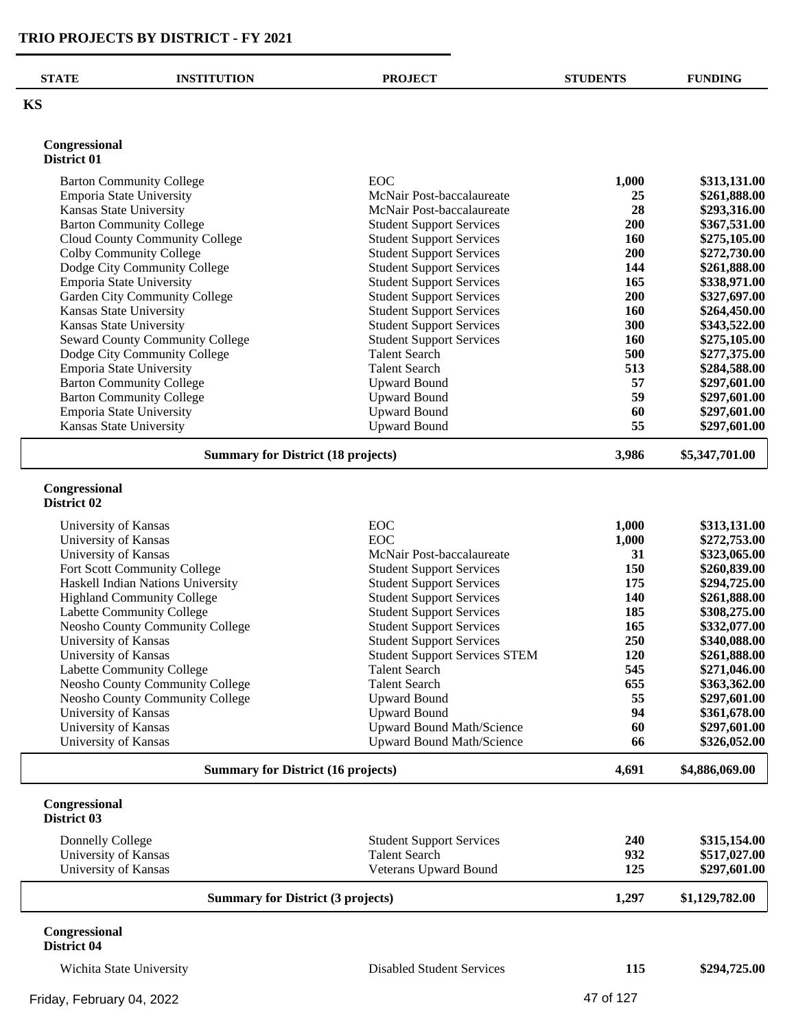| <b>STATE</b>                                       | <b>INSTITUTION</b>                        | <b>PROJECT</b>                                                     | <b>STUDENTS</b>   | <b>FUNDING</b>               |
|----------------------------------------------------|-------------------------------------------|--------------------------------------------------------------------|-------------------|------------------------------|
| <b>KS</b>                                          |                                           |                                                                    |                   |                              |
| Congressional                                      |                                           |                                                                    |                   |                              |
| District 01                                        |                                           |                                                                    |                   |                              |
|                                                    | <b>Barton Community College</b>           | <b>EOC</b>                                                         | 1,000             | \$313,131.00                 |
| Emporia State University                           |                                           | McNair Post-baccalaureate                                          | 25                | \$261,888.00                 |
| Kansas State University                            |                                           | McNair Post-baccalaureate                                          | 28                | \$293,316.00                 |
|                                                    | <b>Barton Community College</b>           | <b>Student Support Services</b>                                    | 200               | \$367,531.00                 |
|                                                    | Cloud County Community College            | <b>Student Support Services</b>                                    | 160               | \$275,105.00                 |
| Colby Community College                            |                                           | <b>Student Support Services</b>                                    | 200               | \$272,730.00                 |
|                                                    | Dodge City Community College              | <b>Student Support Services</b>                                    | 144               | \$261,888.00                 |
| Emporia State University                           |                                           | <b>Student Support Services</b>                                    | 165               | \$338,971.00                 |
|                                                    | Garden City Community College             | <b>Student Support Services</b>                                    | 200               | \$327,697.00                 |
| Kansas State University<br>Kansas State University |                                           | <b>Student Support Services</b><br><b>Student Support Services</b> | <b>160</b><br>300 | \$264,450.00                 |
|                                                    | Seward County Community College           | <b>Student Support Services</b>                                    | 160               | \$343,522.00<br>\$275,105.00 |
|                                                    | Dodge City Community College              | <b>Talent Search</b>                                               | 500               | \$277,375.00                 |
| Emporia State University                           |                                           | <b>Talent Search</b>                                               | 513               | \$284,588.00                 |
|                                                    | <b>Barton Community College</b>           | <b>Upward Bound</b>                                                | 57                | \$297,601.00                 |
|                                                    | <b>Barton Community College</b>           | <b>Upward Bound</b>                                                | 59                | \$297,601.00                 |
| Emporia State University                           |                                           | <b>Upward Bound</b>                                                | 60                | \$297,601.00                 |
| Kansas State University                            |                                           | <b>Upward Bound</b>                                                | 55                | \$297,601.00                 |
|                                                    | <b>Summary for District (18 projects)</b> |                                                                    | 3,986             | \$5,347,701.00               |
| District 02<br>University of Kansas                |                                           | <b>EOC</b>                                                         | 1,000             | \$313,131.00                 |
| University of Kansas                               |                                           | <b>EOC</b>                                                         | 1,000             | \$272,753.00                 |
| University of Kansas                               |                                           | McNair Post-baccalaureate                                          | 31                | \$323,065.00                 |
|                                                    | Fort Scott Community College              | <b>Student Support Services</b>                                    | 150               | \$260,839.00                 |
|                                                    | Haskell Indian Nations University         | <b>Student Support Services</b>                                    | 175               | \$294,725.00                 |
|                                                    | <b>Highland Community College</b>         | <b>Student Support Services</b>                                    | 140               | \$261,888.00                 |
|                                                    | Labette Community College                 | <b>Student Support Services</b>                                    | 185               | \$308,275.00                 |
|                                                    | Neosho County Community College           | <b>Student Support Services</b>                                    | 165               | \$332,077.00                 |
| University of Kansas                               |                                           | <b>Student Support Services</b>                                    | 250               | \$340,088.00                 |
| University of Kansas                               |                                           | <b>Student Support Services STEM</b>                               | <b>120</b>        | \$261,888.00                 |
|                                                    | <b>Labette Community College</b>          | <b>Talent Search</b>                                               | 545               | \$271,046.00                 |
|                                                    | Neosho County Community College           | <b>Talent Search</b>                                               | 655               | \$363,362.00                 |
|                                                    | Neosho County Community College           | <b>Upward Bound</b>                                                | 55                | \$297,601.00                 |
| University of Kansas                               |                                           | <b>Upward Bound</b>                                                | 94                | \$361,678.00                 |
| University of Kansas                               |                                           | <b>Upward Bound Math/Science</b>                                   | 60                | \$297,601.00                 |
| University of Kansas                               |                                           | Upward Bound Math/Science                                          | 66                | \$326,052.00                 |
| <b>Summary for District (16 projects)</b>          |                                           |                                                                    | 4,691             | \$4,886,069.00               |
| Congressional<br>District 03                       |                                           |                                                                    |                   |                              |
| Donnelly College                                   |                                           | <b>Student Support Services</b>                                    | 240               | \$315,154.00                 |
|                                                    |                                           | <b>Talent Search</b>                                               | 932               | \$517,027.00                 |
| University of Kansas                               |                                           |                                                                    |                   |                              |
| University of Kansas                               |                                           | Veterans Upward Bound                                              | 125               | \$297,601.00                 |

#### **Congressional District 04**

Friday, February 04, 2022 **47 of 127** 

Wichita State University Disabled Student Services **115 \$294,725.00**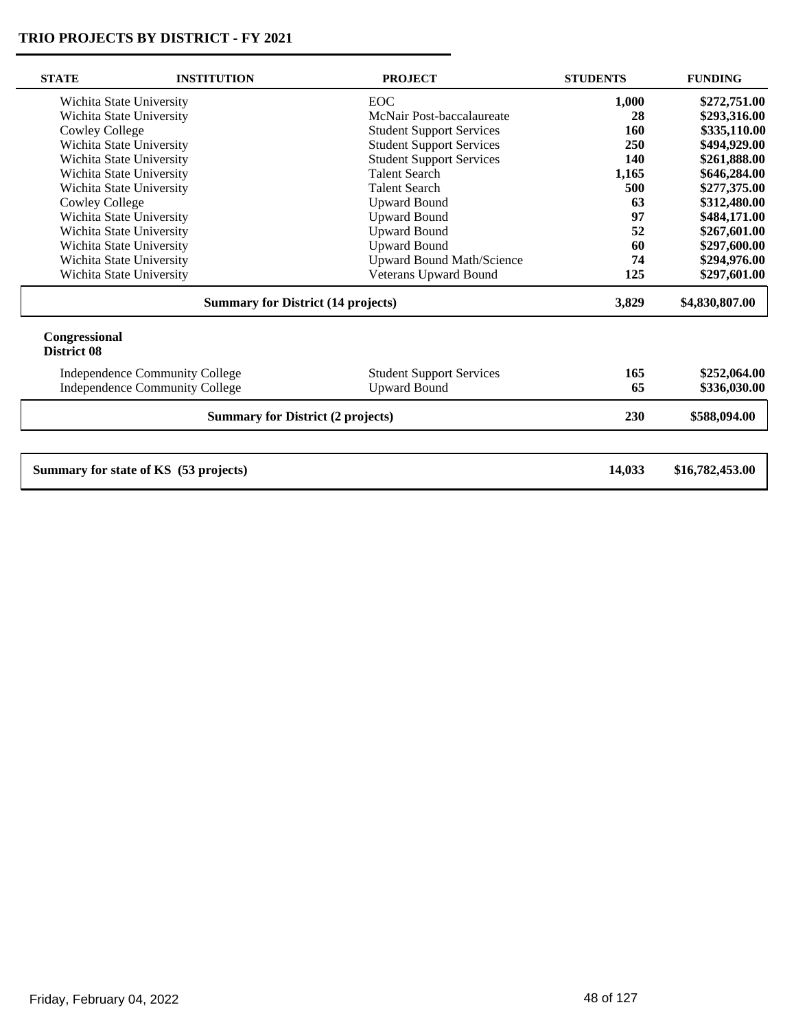$\overline{\phantom{0}}$ 

| \$272,751.00<br>\$293,316.00<br>\$335,110.00<br>\$494,929.00<br>\$261,888.00<br>\$646,284.00<br>\$277,375.00<br>\$312,480.00 |
|------------------------------------------------------------------------------------------------------------------------------|
|                                                                                                                              |
|                                                                                                                              |
|                                                                                                                              |
|                                                                                                                              |
|                                                                                                                              |
|                                                                                                                              |
|                                                                                                                              |
|                                                                                                                              |
| \$484,171.00                                                                                                                 |
| \$267,601.00                                                                                                                 |
| \$297,600.00                                                                                                                 |
| \$294,976.00                                                                                                                 |
| \$297,601.00                                                                                                                 |
| \$4,830,807.00                                                                                                               |
|                                                                                                                              |
| \$252,064.00                                                                                                                 |
| \$336,030.00                                                                                                                 |
| \$588,094.00                                                                                                                 |
|                                                                                                                              |
|                                                                                                                              |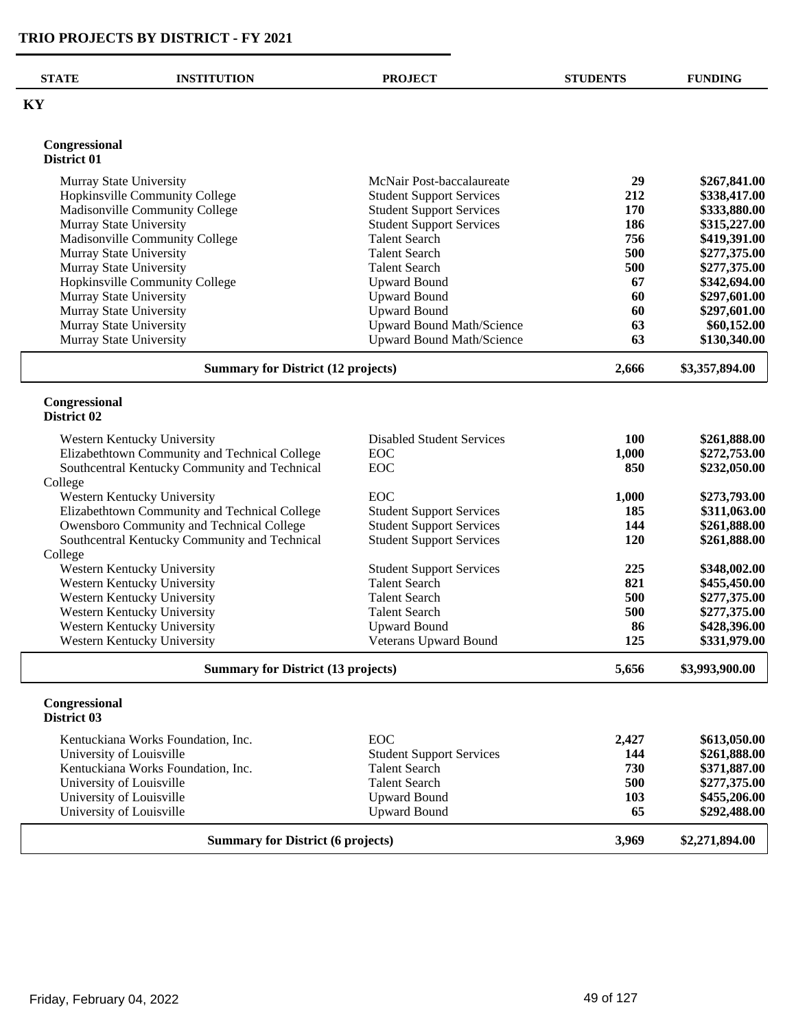| <b>STATE</b>                 | <b>INSTITUTION</b>                                         | <b>PROJECT</b>                               | <b>STUDENTS</b> | <b>FUNDING</b>               |
|------------------------------|------------------------------------------------------------|----------------------------------------------|-----------------|------------------------------|
| ΚY                           |                                                            |                                              |                 |                              |
|                              |                                                            |                                              |                 |                              |
| Congressional<br>District 01 |                                                            |                                              |                 |                              |
| Murray State University      |                                                            | McNair Post-baccalaureate                    | 29              | \$267,841.00                 |
|                              | Hopkinsville Community College                             | <b>Student Support Services</b>              | 212             | \$338,417.00                 |
|                              | Madisonville Community College                             | <b>Student Support Services</b>              | 170             | \$333,880.00                 |
| Murray State University      |                                                            | <b>Student Support Services</b>              | 186             | \$315,227.00                 |
|                              | Madisonville Community College                             | <b>Talent Search</b>                         | 756             | \$419,391.00                 |
| Murray State University      |                                                            | <b>Talent Search</b>                         | 500             | \$277,375.00                 |
| Murray State University      |                                                            | <b>Talent Search</b>                         | 500             | \$277,375.00                 |
|                              | Hopkinsville Community College                             | <b>Upward Bound</b>                          | 67              | \$342,694.00                 |
| Murray State University      |                                                            | <b>Upward Bound</b>                          | 60              | \$297,601.00                 |
| Murray State University      |                                                            | <b>Upward Bound</b>                          | 60              | \$297,601.00                 |
| Murray State University      |                                                            | <b>Upward Bound Math/Science</b>             | 63              | \$60,152.00                  |
| Murray State University      |                                                            | <b>Upward Bound Math/Science</b>             | 63              | \$130,340.00                 |
|                              | <b>Summary for District (12 projects)</b>                  |                                              | 2,666           | \$3,357,894.00               |
| Congressional<br>District 02 |                                                            |                                              |                 |                              |
|                              |                                                            |                                              |                 |                              |
|                              | Western Kentucky University                                | <b>Disabled Student Services</b>             | <b>100</b>      | \$261,888.00                 |
|                              | Elizabethtown Community and Technical College              | EOC                                          | 1,000           | \$272,753.00                 |
|                              | Southcentral Kentucky Community and Technical              | EOC                                          | 850             | \$232,050.00                 |
| College                      |                                                            |                                              |                 |                              |
|                              | Western Kentucky University                                | EOC                                          | 1,000           | \$273,793.00                 |
|                              | Elizabethtown Community and Technical College              | <b>Student Support Services</b>              | 185             | \$311,063.00                 |
|                              | Owensboro Community and Technical College                  | <b>Student Support Services</b>              | 144             | \$261,888.00                 |
|                              | Southcentral Kentucky Community and Technical              | <b>Student Support Services</b>              | 120             | \$261,888.00                 |
| College                      |                                                            |                                              |                 |                              |
|                              | Western Kentucky University                                | <b>Student Support Services</b>              | 225             | \$348,002.00                 |
|                              | Western Kentucky University                                | <b>Talent Search</b>                         | 821             | \$455,450.00                 |
|                              | Western Kentucky University                                | <b>Talent Search</b>                         | 500             | \$277,375.00                 |
|                              | Western Kentucky University                                | <b>Talent Search</b>                         | 500             | \$277,375.00                 |
|                              | Western Kentucky University<br>Western Kentucky University | <b>Upward Bound</b><br>Veterans Upward Bound | 86<br>125       | \$428,396.00<br>\$331,979.00 |
|                              | <b>Summary for District (13 projects)</b>                  |                                              | 5,656           | \$3,993,900.00               |
| Congressional                |                                                            |                                              |                 |                              |
| District 03                  |                                                            |                                              |                 |                              |
|                              | Kentuckiana Works Foundation, Inc.                         | EOC                                          | 2,427           | \$613,050.00                 |
| University of Louisville     |                                                            | <b>Student Support Services</b>              | 144             | \$261,888.00                 |
|                              | Kentuckiana Works Foundation, Inc.                         | <b>Talent Search</b>                         | 730             | \$371,887.00                 |
| University of Louisville     |                                                            | <b>Talent Search</b>                         | 500             | \$277,375.00                 |
| University of Louisville     |                                                            | <b>Upward Bound</b>                          | 103             | \$455,206.00                 |
| University of Louisville     |                                                            | <b>Upward Bound</b>                          | 65              | \$292,488.00                 |
|                              | <b>Summary for District (6 projects)</b>                   |                                              | 3,969           | \$2,271,894.00               |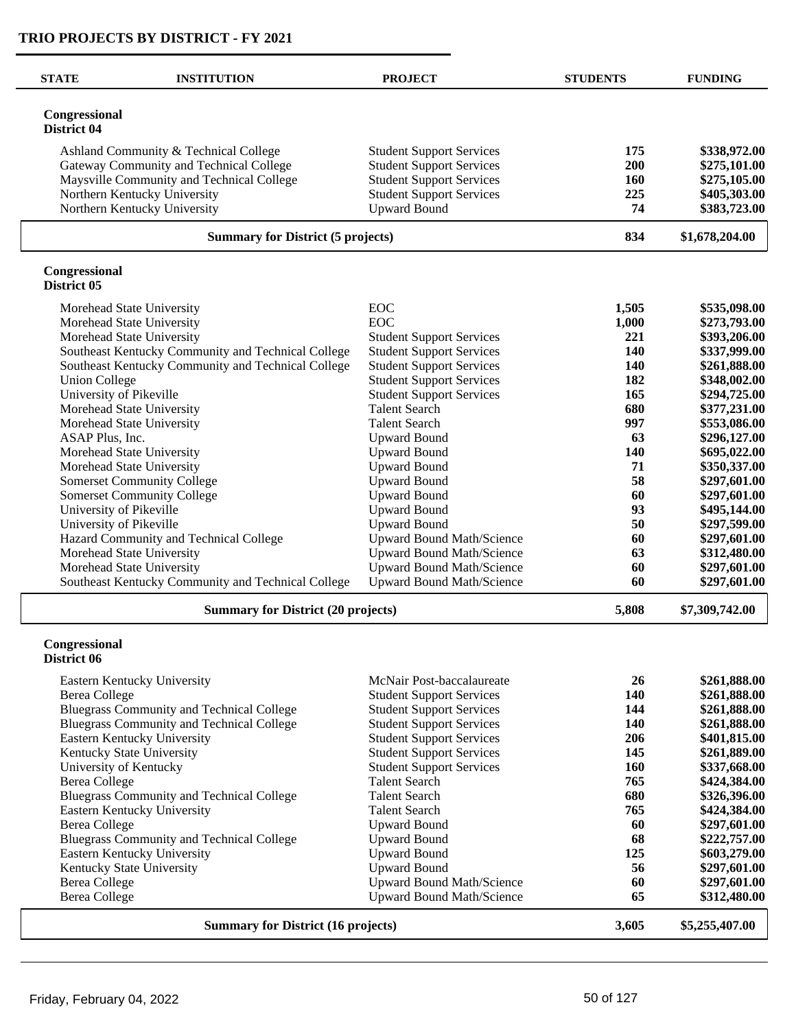| <b>STATE</b>                 | <b>INSTITUTION</b>                                                     | <b>PROJECT</b>                              | <b>STUDENTS</b> | <b>FUNDING</b>               |
|------------------------------|------------------------------------------------------------------------|---------------------------------------------|-----------------|------------------------------|
| Congressional<br>District 04 |                                                                        |                                             |                 |                              |
|                              | Ashland Community & Technical College                                  | <b>Student Support Services</b>             | 175             | \$338,972.00                 |
|                              | Gateway Community and Technical College                                | <b>Student Support Services</b>             | 200             | \$275,101.00                 |
|                              | Maysville Community and Technical College                              | <b>Student Support Services</b>             | 160             | \$275,105.00                 |
|                              | Northern Kentucky University                                           | <b>Student Support Services</b>             | 225             | \$405,303.00                 |
|                              | Northern Kentucky University                                           | <b>Upward Bound</b>                         | 74              | \$383,723.00                 |
|                              | <b>Summary for District (5 projects)</b>                               |                                             | 834             | \$1,678,204.00               |
| Congressional<br>District 05 |                                                                        |                                             |                 |                              |
|                              | Morehead State University                                              | <b>EOC</b>                                  | 1,505           | \$535,098.00                 |
|                              | Morehead State University                                              | <b>EOC</b>                                  | 1,000           | \$273,793.00                 |
|                              | Morehead State University                                              | <b>Student Support Services</b>             | 221             | \$393,206.00                 |
|                              | Southeast Kentucky Community and Technical College                     | <b>Student Support Services</b>             | 140             | \$337,999.00                 |
|                              | Southeast Kentucky Community and Technical College                     | <b>Student Support Services</b>             | 140             | \$261,888.00                 |
| <b>Union College</b>         |                                                                        | <b>Student Support Services</b>             | 182             | \$348,002.00                 |
| University of Pikeville      |                                                                        | <b>Student Support Services</b>             | 165             | \$294,725.00                 |
|                              | Morehead State University                                              | <b>Talent Search</b>                        | 680             | \$377,231.00                 |
|                              | Morehead State University                                              | <b>Talent Search</b>                        | 997             | \$553,086.00                 |
| ASAP Plus, Inc.              |                                                                        | <b>Upward Bound</b>                         | 63              | \$296,127.00                 |
|                              | Morehead State University                                              | <b>Upward Bound</b>                         | <b>140</b>      | \$695,022.00                 |
|                              | Morehead State University                                              | <b>Upward Bound</b>                         | 71<br>58        | \$350,337.00                 |
|                              | <b>Somerset Community College</b><br><b>Somerset Community College</b> | <b>Upward Bound</b><br><b>Upward Bound</b>  | 60              | \$297,601.00<br>\$297,601.00 |
| University of Pikeville      |                                                                        | <b>Upward Bound</b>                         | 93              | \$495,144.00                 |
| University of Pikeville      |                                                                        | <b>Upward Bound</b>                         | 50              | \$297,599.00                 |
|                              | Hazard Community and Technical College                                 | Upward Bound Math/Science                   | 60              | \$297,601.00                 |
|                              | Morehead State University                                              | <b>Upward Bound Math/Science</b>            | 63              | \$312,480.00                 |
|                              | Morehead State University                                              | Upward Bound Math/Science                   | 60              | \$297,601.00                 |
|                              | Southeast Kentucky Community and Technical College                     | <b>Upward Bound Math/Science</b>            | 60              | \$297,601.00                 |
|                              | <b>Summary for District (20 projects)</b>                              |                                             | 5,808           | \$7,309,742.00               |
| Congressional                |                                                                        |                                             |                 |                              |
| District 06                  |                                                                        |                                             |                 |                              |
|                              | Eastern Kentucky University                                            | McNair Post-baccalaureate                   | 26              | \$261,888.00                 |
| <b>Berea College</b>         |                                                                        | <b>Student Support Services</b>             | 140             | \$261,888.00                 |
|                              | <b>Bluegrass Community and Technical College</b>                       | <b>Student Support Services</b>             | 144             | \$261,888.00                 |
|                              | <b>Bluegrass Community and Technical College</b>                       | <b>Student Support Services</b>             | 140             | \$261,888.00                 |
|                              | Eastern Kentucky University                                            | <b>Student Support Services</b>             | 206             | \$401,815.00                 |
|                              | Kentucky State University                                              | <b>Student Support Services</b>             | 145             | \$261,889.00                 |
|                              | University of Kentucky                                                 | <b>Student Support Services</b>             | 160             | \$337,668.00                 |
| <b>Berea College</b>         |                                                                        | <b>Talent Search</b>                        | 765             | \$424,384.00                 |
|                              | <b>Bluegrass Community and Technical College</b>                       | <b>Talent Search</b>                        | 680             | \$326,396.00                 |
| <b>Berea College</b>         | Eastern Kentucky University                                            | <b>Talent Search</b><br><b>Upward Bound</b> | 765<br>60       | \$424,384.00<br>\$297,601.00 |
|                              | <b>Bluegrass Community and Technical College</b>                       | <b>Upward Bound</b>                         | 68              | \$222,757.00                 |
|                              | Eastern Kentucky University                                            | <b>Upward Bound</b>                         | 125             | \$603,279.00                 |
|                              | Kentucky State University                                              | <b>Upward Bound</b>                         | 56              | \$297,601.00                 |
| <b>Berea College</b>         |                                                                        | Upward Bound Math/Science                   | 60              | \$297,601.00                 |
| <b>Berea College</b>         |                                                                        | <b>Upward Bound Math/Science</b>            | 65              | \$312,480.00                 |
|                              | <b>Summary for District (16 projects)</b>                              |                                             | 3,605           | \$5,255,407.00               |
|                              |                                                                        |                                             |                 |                              |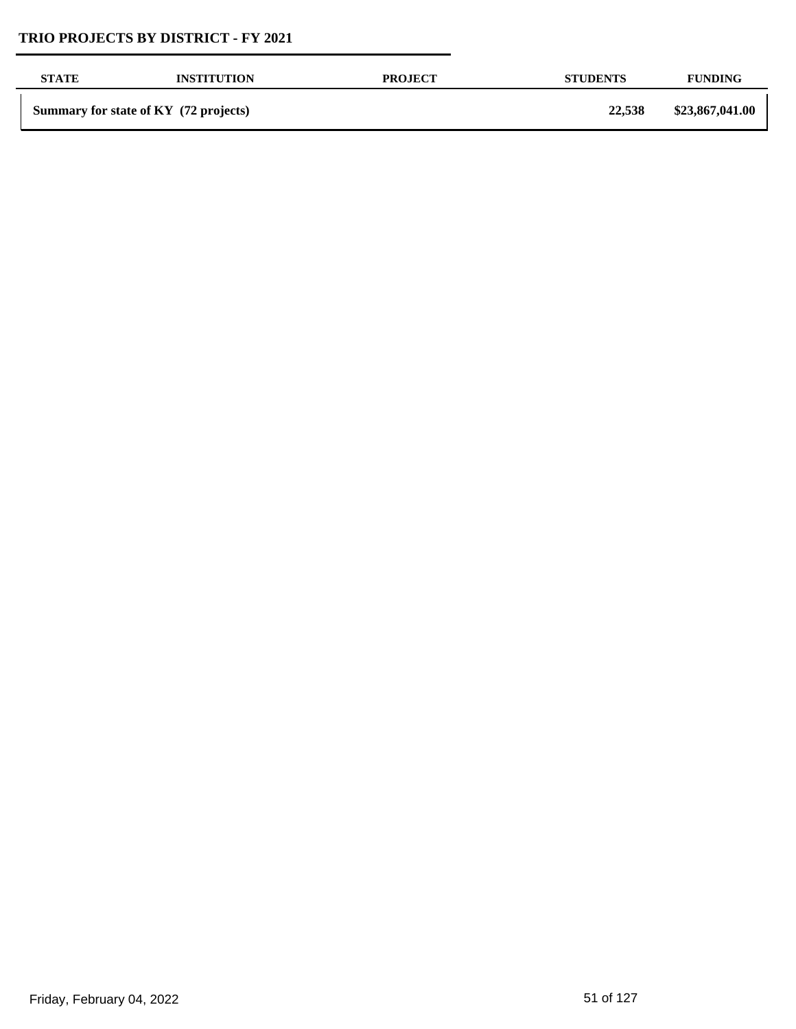| <b>STATE</b> | <b>INSTITUTION</b>                    | <b>PROJECT</b> | <b>STUDENTS</b> | <b>FUNDING</b>  |
|--------------|---------------------------------------|----------------|-----------------|-----------------|
|              | Summary for state of KY (72 projects) |                | 22,538          | \$23,867,041.00 |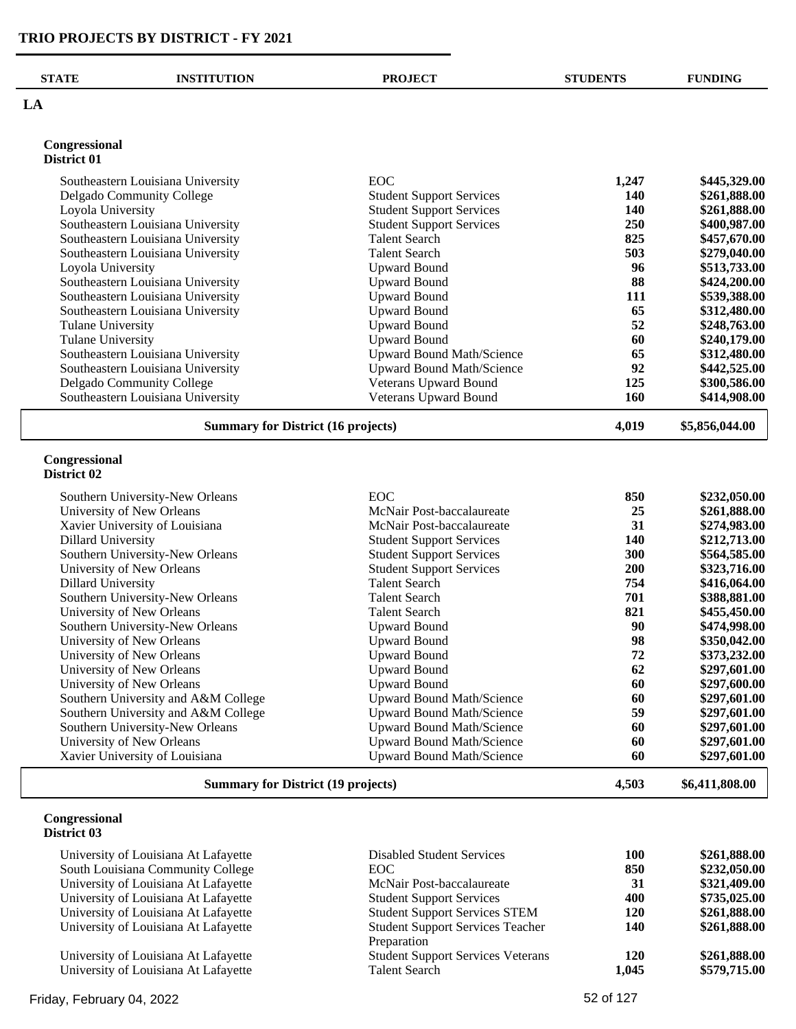| LA<br>Congressional<br>District 01<br><b>EOC</b><br>1,247<br>Southeastern Louisiana University<br>140<br>Delgado Community College<br><b>Student Support Services</b><br><b>Student Support Services</b><br>Loyola University<br><b>140</b><br>Southeastern Louisiana University<br><b>Student Support Services</b><br>250<br>825<br>Southeastern Louisiana University<br><b>Talent Search</b><br>503<br>Southeastern Louisiana University<br><b>Talent Search</b><br><b>Upward Bound</b><br>96<br>Loyola University<br>88<br>Southeastern Louisiana University<br><b>Upward Bound</b><br>Southeastern Louisiana University<br><b>Upward Bound</b><br>111<br>65<br><b>Upward Bound</b><br>Southeastern Louisiana University<br><b>Tulane University</b><br><b>Upward Bound</b><br>52<br>60<br><b>Tulane University</b><br><b>Upward Bound</b><br><b>Upward Bound Math/Science</b><br>65<br>Southeastern Louisiana University<br>Southeastern Louisiana University<br><b>Upward Bound Math/Science</b><br>92<br>Veterans Upward Bound<br>125<br>Delgado Community College<br>Southeastern Louisiana University<br>Veterans Upward Bound<br>160<br>4,019<br><b>Summary for District (16 projects)</b><br>Congressional<br>District 02<br>EOC<br>850<br>Southern University-New Orleans<br>University of New Orleans<br>McNair Post-baccalaureate<br>25<br>31<br>Xavier University of Louisiana<br>McNair Post-baccalaureate<br><b>Dillard University</b><br><b>Student Support Services</b><br>140<br>Southern University-New Orleans<br><b>Student Support Services</b><br>300<br>University of New Orleans<br><b>Student Support Services</b><br>200<br><b>Talent Search</b><br><b>Dillard University</b><br>754<br>Southern University-New Orleans<br>701<br><b>Talent Search</b><br>821<br>University of New Orleans<br><b>Talent Search</b><br>90<br>Southern University-New Orleans<br><b>Upward Bound</b><br><b>Upward Bound</b><br>98<br>University of New Orleans<br>University of New Orleans<br><b>Upward Bound</b><br>72<br>University of New Orleans<br><b>Upward Bound</b><br>62<br>University of New Orleans<br><b>Upward Bound</b><br>60<br>Southern University and A&M College<br>Upward Bound Math/Science<br>60<br>59<br>Southern University and A&M College<br><b>Upward Bound Math/Science</b><br>60<br>Southern University-New Orleans<br><b>Upward Bound Math/Science</b><br>University of New Orleans<br><b>Upward Bound Math/Science</b><br>60<br><b>Upward Bound Math/Science</b><br>Xavier University of Louisiana<br>60<br>4,503<br><b>Summary for District (19 projects)</b> | <b>STATE</b>  | <b>INSTITUTION</b> | <b>PROJECT</b> | <b>STUDENTS</b> | <b>FUNDING</b> |
|---------------------------------------------------------------------------------------------------------------------------------------------------------------------------------------------------------------------------------------------------------------------------------------------------------------------------------------------------------------------------------------------------------------------------------------------------------------------------------------------------------------------------------------------------------------------------------------------------------------------------------------------------------------------------------------------------------------------------------------------------------------------------------------------------------------------------------------------------------------------------------------------------------------------------------------------------------------------------------------------------------------------------------------------------------------------------------------------------------------------------------------------------------------------------------------------------------------------------------------------------------------------------------------------------------------------------------------------------------------------------------------------------------------------------------------------------------------------------------------------------------------------------------------------------------------------------------------------------------------------------------------------------------------------------------------------------------------------------------------------------------------------------------------------------------------------------------------------------------------------------------------------------------------------------------------------------------------------------------------------------------------------------------------------------------------------------------------------------------------------------------------------------------------------------------------------------------------------------------------------------------------------------------------------------------------------------------------------------------------------------------------------------------------------------------------------------------------------------------------------------------------------------------------------------------------------------------------------------------|---------------|--------------------|----------------|-----------------|----------------|
|                                                                                                                                                                                                                                                                                                                                                                                                                                                                                                                                                                                                                                                                                                                                                                                                                                                                                                                                                                                                                                                                                                                                                                                                                                                                                                                                                                                                                                                                                                                                                                                                                                                                                                                                                                                                                                                                                                                                                                                                                                                                                                                                                                                                                                                                                                                                                                                                                                                                                                                                                                                                         |               |                    |                |                 |                |
|                                                                                                                                                                                                                                                                                                                                                                                                                                                                                                                                                                                                                                                                                                                                                                                                                                                                                                                                                                                                                                                                                                                                                                                                                                                                                                                                                                                                                                                                                                                                                                                                                                                                                                                                                                                                                                                                                                                                                                                                                                                                                                                                                                                                                                                                                                                                                                                                                                                                                                                                                                                                         |               |                    |                |                 |                |
|                                                                                                                                                                                                                                                                                                                                                                                                                                                                                                                                                                                                                                                                                                                                                                                                                                                                                                                                                                                                                                                                                                                                                                                                                                                                                                                                                                                                                                                                                                                                                                                                                                                                                                                                                                                                                                                                                                                                                                                                                                                                                                                                                                                                                                                                                                                                                                                                                                                                                                                                                                                                         |               |                    |                |                 |                |
|                                                                                                                                                                                                                                                                                                                                                                                                                                                                                                                                                                                                                                                                                                                                                                                                                                                                                                                                                                                                                                                                                                                                                                                                                                                                                                                                                                                                                                                                                                                                                                                                                                                                                                                                                                                                                                                                                                                                                                                                                                                                                                                                                                                                                                                                                                                                                                                                                                                                                                                                                                                                         |               |                    |                |                 | \$445,329.00   |
|                                                                                                                                                                                                                                                                                                                                                                                                                                                                                                                                                                                                                                                                                                                                                                                                                                                                                                                                                                                                                                                                                                                                                                                                                                                                                                                                                                                                                                                                                                                                                                                                                                                                                                                                                                                                                                                                                                                                                                                                                                                                                                                                                                                                                                                                                                                                                                                                                                                                                                                                                                                                         |               |                    |                |                 | \$261,888.00   |
|                                                                                                                                                                                                                                                                                                                                                                                                                                                                                                                                                                                                                                                                                                                                                                                                                                                                                                                                                                                                                                                                                                                                                                                                                                                                                                                                                                                                                                                                                                                                                                                                                                                                                                                                                                                                                                                                                                                                                                                                                                                                                                                                                                                                                                                                                                                                                                                                                                                                                                                                                                                                         |               |                    |                |                 | \$261,888.00   |
|                                                                                                                                                                                                                                                                                                                                                                                                                                                                                                                                                                                                                                                                                                                                                                                                                                                                                                                                                                                                                                                                                                                                                                                                                                                                                                                                                                                                                                                                                                                                                                                                                                                                                                                                                                                                                                                                                                                                                                                                                                                                                                                                                                                                                                                                                                                                                                                                                                                                                                                                                                                                         |               |                    |                |                 | \$400,987.00   |
|                                                                                                                                                                                                                                                                                                                                                                                                                                                                                                                                                                                                                                                                                                                                                                                                                                                                                                                                                                                                                                                                                                                                                                                                                                                                                                                                                                                                                                                                                                                                                                                                                                                                                                                                                                                                                                                                                                                                                                                                                                                                                                                                                                                                                                                                                                                                                                                                                                                                                                                                                                                                         |               |                    |                |                 | \$457,670.00   |
|                                                                                                                                                                                                                                                                                                                                                                                                                                                                                                                                                                                                                                                                                                                                                                                                                                                                                                                                                                                                                                                                                                                                                                                                                                                                                                                                                                                                                                                                                                                                                                                                                                                                                                                                                                                                                                                                                                                                                                                                                                                                                                                                                                                                                                                                                                                                                                                                                                                                                                                                                                                                         |               |                    |                |                 | \$279,040.00   |
|                                                                                                                                                                                                                                                                                                                                                                                                                                                                                                                                                                                                                                                                                                                                                                                                                                                                                                                                                                                                                                                                                                                                                                                                                                                                                                                                                                                                                                                                                                                                                                                                                                                                                                                                                                                                                                                                                                                                                                                                                                                                                                                                                                                                                                                                                                                                                                                                                                                                                                                                                                                                         |               |                    |                |                 | \$513,733.00   |
|                                                                                                                                                                                                                                                                                                                                                                                                                                                                                                                                                                                                                                                                                                                                                                                                                                                                                                                                                                                                                                                                                                                                                                                                                                                                                                                                                                                                                                                                                                                                                                                                                                                                                                                                                                                                                                                                                                                                                                                                                                                                                                                                                                                                                                                                                                                                                                                                                                                                                                                                                                                                         |               |                    |                |                 | \$424,200.00   |
|                                                                                                                                                                                                                                                                                                                                                                                                                                                                                                                                                                                                                                                                                                                                                                                                                                                                                                                                                                                                                                                                                                                                                                                                                                                                                                                                                                                                                                                                                                                                                                                                                                                                                                                                                                                                                                                                                                                                                                                                                                                                                                                                                                                                                                                                                                                                                                                                                                                                                                                                                                                                         |               |                    |                |                 | \$539,388.00   |
|                                                                                                                                                                                                                                                                                                                                                                                                                                                                                                                                                                                                                                                                                                                                                                                                                                                                                                                                                                                                                                                                                                                                                                                                                                                                                                                                                                                                                                                                                                                                                                                                                                                                                                                                                                                                                                                                                                                                                                                                                                                                                                                                                                                                                                                                                                                                                                                                                                                                                                                                                                                                         |               |                    |                |                 | \$312,480.00   |
|                                                                                                                                                                                                                                                                                                                                                                                                                                                                                                                                                                                                                                                                                                                                                                                                                                                                                                                                                                                                                                                                                                                                                                                                                                                                                                                                                                                                                                                                                                                                                                                                                                                                                                                                                                                                                                                                                                                                                                                                                                                                                                                                                                                                                                                                                                                                                                                                                                                                                                                                                                                                         |               |                    |                |                 | \$248,763.00   |
|                                                                                                                                                                                                                                                                                                                                                                                                                                                                                                                                                                                                                                                                                                                                                                                                                                                                                                                                                                                                                                                                                                                                                                                                                                                                                                                                                                                                                                                                                                                                                                                                                                                                                                                                                                                                                                                                                                                                                                                                                                                                                                                                                                                                                                                                                                                                                                                                                                                                                                                                                                                                         |               |                    |                |                 | \$240,179.00   |
|                                                                                                                                                                                                                                                                                                                                                                                                                                                                                                                                                                                                                                                                                                                                                                                                                                                                                                                                                                                                                                                                                                                                                                                                                                                                                                                                                                                                                                                                                                                                                                                                                                                                                                                                                                                                                                                                                                                                                                                                                                                                                                                                                                                                                                                                                                                                                                                                                                                                                                                                                                                                         |               |                    |                |                 | \$312,480.00   |
|                                                                                                                                                                                                                                                                                                                                                                                                                                                                                                                                                                                                                                                                                                                                                                                                                                                                                                                                                                                                                                                                                                                                                                                                                                                                                                                                                                                                                                                                                                                                                                                                                                                                                                                                                                                                                                                                                                                                                                                                                                                                                                                                                                                                                                                                                                                                                                                                                                                                                                                                                                                                         |               |                    |                |                 | \$442,525.00   |
|                                                                                                                                                                                                                                                                                                                                                                                                                                                                                                                                                                                                                                                                                                                                                                                                                                                                                                                                                                                                                                                                                                                                                                                                                                                                                                                                                                                                                                                                                                                                                                                                                                                                                                                                                                                                                                                                                                                                                                                                                                                                                                                                                                                                                                                                                                                                                                                                                                                                                                                                                                                                         |               |                    |                |                 | \$300,586.00   |
|                                                                                                                                                                                                                                                                                                                                                                                                                                                                                                                                                                                                                                                                                                                                                                                                                                                                                                                                                                                                                                                                                                                                                                                                                                                                                                                                                                                                                                                                                                                                                                                                                                                                                                                                                                                                                                                                                                                                                                                                                                                                                                                                                                                                                                                                                                                                                                                                                                                                                                                                                                                                         |               |                    |                |                 | \$414,908.00   |
|                                                                                                                                                                                                                                                                                                                                                                                                                                                                                                                                                                                                                                                                                                                                                                                                                                                                                                                                                                                                                                                                                                                                                                                                                                                                                                                                                                                                                                                                                                                                                                                                                                                                                                                                                                                                                                                                                                                                                                                                                                                                                                                                                                                                                                                                                                                                                                                                                                                                                                                                                                                                         |               |                    |                |                 | \$5,856,044.00 |
|                                                                                                                                                                                                                                                                                                                                                                                                                                                                                                                                                                                                                                                                                                                                                                                                                                                                                                                                                                                                                                                                                                                                                                                                                                                                                                                                                                                                                                                                                                                                                                                                                                                                                                                                                                                                                                                                                                                                                                                                                                                                                                                                                                                                                                                                                                                                                                                                                                                                                                                                                                                                         |               |                    |                |                 | \$232,050.00   |
|                                                                                                                                                                                                                                                                                                                                                                                                                                                                                                                                                                                                                                                                                                                                                                                                                                                                                                                                                                                                                                                                                                                                                                                                                                                                                                                                                                                                                                                                                                                                                                                                                                                                                                                                                                                                                                                                                                                                                                                                                                                                                                                                                                                                                                                                                                                                                                                                                                                                                                                                                                                                         |               |                    |                |                 | \$261,888.00   |
|                                                                                                                                                                                                                                                                                                                                                                                                                                                                                                                                                                                                                                                                                                                                                                                                                                                                                                                                                                                                                                                                                                                                                                                                                                                                                                                                                                                                                                                                                                                                                                                                                                                                                                                                                                                                                                                                                                                                                                                                                                                                                                                                                                                                                                                                                                                                                                                                                                                                                                                                                                                                         |               |                    |                |                 | \$274,983.00   |
|                                                                                                                                                                                                                                                                                                                                                                                                                                                                                                                                                                                                                                                                                                                                                                                                                                                                                                                                                                                                                                                                                                                                                                                                                                                                                                                                                                                                                                                                                                                                                                                                                                                                                                                                                                                                                                                                                                                                                                                                                                                                                                                                                                                                                                                                                                                                                                                                                                                                                                                                                                                                         |               |                    |                |                 | \$212,713.00   |
|                                                                                                                                                                                                                                                                                                                                                                                                                                                                                                                                                                                                                                                                                                                                                                                                                                                                                                                                                                                                                                                                                                                                                                                                                                                                                                                                                                                                                                                                                                                                                                                                                                                                                                                                                                                                                                                                                                                                                                                                                                                                                                                                                                                                                                                                                                                                                                                                                                                                                                                                                                                                         |               |                    |                |                 | \$564,585.00   |
|                                                                                                                                                                                                                                                                                                                                                                                                                                                                                                                                                                                                                                                                                                                                                                                                                                                                                                                                                                                                                                                                                                                                                                                                                                                                                                                                                                                                                                                                                                                                                                                                                                                                                                                                                                                                                                                                                                                                                                                                                                                                                                                                                                                                                                                                                                                                                                                                                                                                                                                                                                                                         |               |                    |                |                 | \$323,716.00   |
|                                                                                                                                                                                                                                                                                                                                                                                                                                                                                                                                                                                                                                                                                                                                                                                                                                                                                                                                                                                                                                                                                                                                                                                                                                                                                                                                                                                                                                                                                                                                                                                                                                                                                                                                                                                                                                                                                                                                                                                                                                                                                                                                                                                                                                                                                                                                                                                                                                                                                                                                                                                                         |               |                    |                |                 | \$416,064.00   |
|                                                                                                                                                                                                                                                                                                                                                                                                                                                                                                                                                                                                                                                                                                                                                                                                                                                                                                                                                                                                                                                                                                                                                                                                                                                                                                                                                                                                                                                                                                                                                                                                                                                                                                                                                                                                                                                                                                                                                                                                                                                                                                                                                                                                                                                                                                                                                                                                                                                                                                                                                                                                         |               |                    |                |                 | \$388,881.00   |
|                                                                                                                                                                                                                                                                                                                                                                                                                                                                                                                                                                                                                                                                                                                                                                                                                                                                                                                                                                                                                                                                                                                                                                                                                                                                                                                                                                                                                                                                                                                                                                                                                                                                                                                                                                                                                                                                                                                                                                                                                                                                                                                                                                                                                                                                                                                                                                                                                                                                                                                                                                                                         |               |                    |                |                 | \$455,450.00   |
|                                                                                                                                                                                                                                                                                                                                                                                                                                                                                                                                                                                                                                                                                                                                                                                                                                                                                                                                                                                                                                                                                                                                                                                                                                                                                                                                                                                                                                                                                                                                                                                                                                                                                                                                                                                                                                                                                                                                                                                                                                                                                                                                                                                                                                                                                                                                                                                                                                                                                                                                                                                                         |               |                    |                |                 | \$474,998.00   |
|                                                                                                                                                                                                                                                                                                                                                                                                                                                                                                                                                                                                                                                                                                                                                                                                                                                                                                                                                                                                                                                                                                                                                                                                                                                                                                                                                                                                                                                                                                                                                                                                                                                                                                                                                                                                                                                                                                                                                                                                                                                                                                                                                                                                                                                                                                                                                                                                                                                                                                                                                                                                         |               |                    |                |                 | \$350,042.00   |
|                                                                                                                                                                                                                                                                                                                                                                                                                                                                                                                                                                                                                                                                                                                                                                                                                                                                                                                                                                                                                                                                                                                                                                                                                                                                                                                                                                                                                                                                                                                                                                                                                                                                                                                                                                                                                                                                                                                                                                                                                                                                                                                                                                                                                                                                                                                                                                                                                                                                                                                                                                                                         |               |                    |                |                 | \$373,232.00   |
|                                                                                                                                                                                                                                                                                                                                                                                                                                                                                                                                                                                                                                                                                                                                                                                                                                                                                                                                                                                                                                                                                                                                                                                                                                                                                                                                                                                                                                                                                                                                                                                                                                                                                                                                                                                                                                                                                                                                                                                                                                                                                                                                                                                                                                                                                                                                                                                                                                                                                                                                                                                                         |               |                    |                |                 | \$297,601.00   |
|                                                                                                                                                                                                                                                                                                                                                                                                                                                                                                                                                                                                                                                                                                                                                                                                                                                                                                                                                                                                                                                                                                                                                                                                                                                                                                                                                                                                                                                                                                                                                                                                                                                                                                                                                                                                                                                                                                                                                                                                                                                                                                                                                                                                                                                                                                                                                                                                                                                                                                                                                                                                         |               |                    |                |                 | \$297,600.00   |
|                                                                                                                                                                                                                                                                                                                                                                                                                                                                                                                                                                                                                                                                                                                                                                                                                                                                                                                                                                                                                                                                                                                                                                                                                                                                                                                                                                                                                                                                                                                                                                                                                                                                                                                                                                                                                                                                                                                                                                                                                                                                                                                                                                                                                                                                                                                                                                                                                                                                                                                                                                                                         |               |                    |                |                 | \$297,601.00   |
|                                                                                                                                                                                                                                                                                                                                                                                                                                                                                                                                                                                                                                                                                                                                                                                                                                                                                                                                                                                                                                                                                                                                                                                                                                                                                                                                                                                                                                                                                                                                                                                                                                                                                                                                                                                                                                                                                                                                                                                                                                                                                                                                                                                                                                                                                                                                                                                                                                                                                                                                                                                                         |               |                    |                |                 | \$297,601.00   |
|                                                                                                                                                                                                                                                                                                                                                                                                                                                                                                                                                                                                                                                                                                                                                                                                                                                                                                                                                                                                                                                                                                                                                                                                                                                                                                                                                                                                                                                                                                                                                                                                                                                                                                                                                                                                                                                                                                                                                                                                                                                                                                                                                                                                                                                                                                                                                                                                                                                                                                                                                                                                         |               |                    |                |                 | \$297,601.00   |
|                                                                                                                                                                                                                                                                                                                                                                                                                                                                                                                                                                                                                                                                                                                                                                                                                                                                                                                                                                                                                                                                                                                                                                                                                                                                                                                                                                                                                                                                                                                                                                                                                                                                                                                                                                                                                                                                                                                                                                                                                                                                                                                                                                                                                                                                                                                                                                                                                                                                                                                                                                                                         |               |                    |                |                 | \$297,601.00   |
|                                                                                                                                                                                                                                                                                                                                                                                                                                                                                                                                                                                                                                                                                                                                                                                                                                                                                                                                                                                                                                                                                                                                                                                                                                                                                                                                                                                                                                                                                                                                                                                                                                                                                                                                                                                                                                                                                                                                                                                                                                                                                                                                                                                                                                                                                                                                                                                                                                                                                                                                                                                                         |               |                    |                |                 | \$297,601.00   |
|                                                                                                                                                                                                                                                                                                                                                                                                                                                                                                                                                                                                                                                                                                                                                                                                                                                                                                                                                                                                                                                                                                                                                                                                                                                                                                                                                                                                                                                                                                                                                                                                                                                                                                                                                                                                                                                                                                                                                                                                                                                                                                                                                                                                                                                                                                                                                                                                                                                                                                                                                                                                         |               |                    |                |                 | \$6,411,808.00 |
| District 03                                                                                                                                                                                                                                                                                                                                                                                                                                                                                                                                                                                                                                                                                                                                                                                                                                                                                                                                                                                                                                                                                                                                                                                                                                                                                                                                                                                                                                                                                                                                                                                                                                                                                                                                                                                                                                                                                                                                                                                                                                                                                                                                                                                                                                                                                                                                                                                                                                                                                                                                                                                             | Congressional |                    |                |                 |                |
| University of Louisiana At Lafayette<br>100<br><b>Disabled Student Services</b>                                                                                                                                                                                                                                                                                                                                                                                                                                                                                                                                                                                                                                                                                                                                                                                                                                                                                                                                                                                                                                                                                                                                                                                                                                                                                                                                                                                                                                                                                                                                                                                                                                                                                                                                                                                                                                                                                                                                                                                                                                                                                                                                                                                                                                                                                                                                                                                                                                                                                                                         |               |                    |                |                 | \$261,888.00   |
| South Louisiana Community College<br>850<br><b>EOC</b>                                                                                                                                                                                                                                                                                                                                                                                                                                                                                                                                                                                                                                                                                                                                                                                                                                                                                                                                                                                                                                                                                                                                                                                                                                                                                                                                                                                                                                                                                                                                                                                                                                                                                                                                                                                                                                                                                                                                                                                                                                                                                                                                                                                                                                                                                                                                                                                                                                                                                                                                                  |               |                    |                |                 | \$232,050.00   |

| University of Louisiana At Lafayette | Disabled Student Services                | 100   | <b>DZ01,000.UV</b> |
|--------------------------------------|------------------------------------------|-------|--------------------|
| South Louisiana Community College    | EOC.                                     | 850   | \$232,050.00       |
| University of Louisiana At Lafayette | McNair Post-baccalaureate                | 31    | \$321,409.00       |
| University of Louisiana At Lafayette | <b>Student Support Services</b>          | 400   | \$735,025,00       |
| University of Louisiana At Lafayette | <b>Student Support Services STEM</b>     | 120   | \$261,888.00       |
| University of Louisiana At Lafayette | <b>Student Support Services Teacher</b>  | 140   | \$261,888.00       |
|                                      | Preparation                              |       |                    |
| University of Louisiana At Lafayette | <b>Student Support Services Veterans</b> | 120   | \$261,888.00       |
| University of Louisiana At Lafayette | <b>Talent Search</b>                     | 1.045 | \$579,715.00       |
|                                      |                                          |       |                    |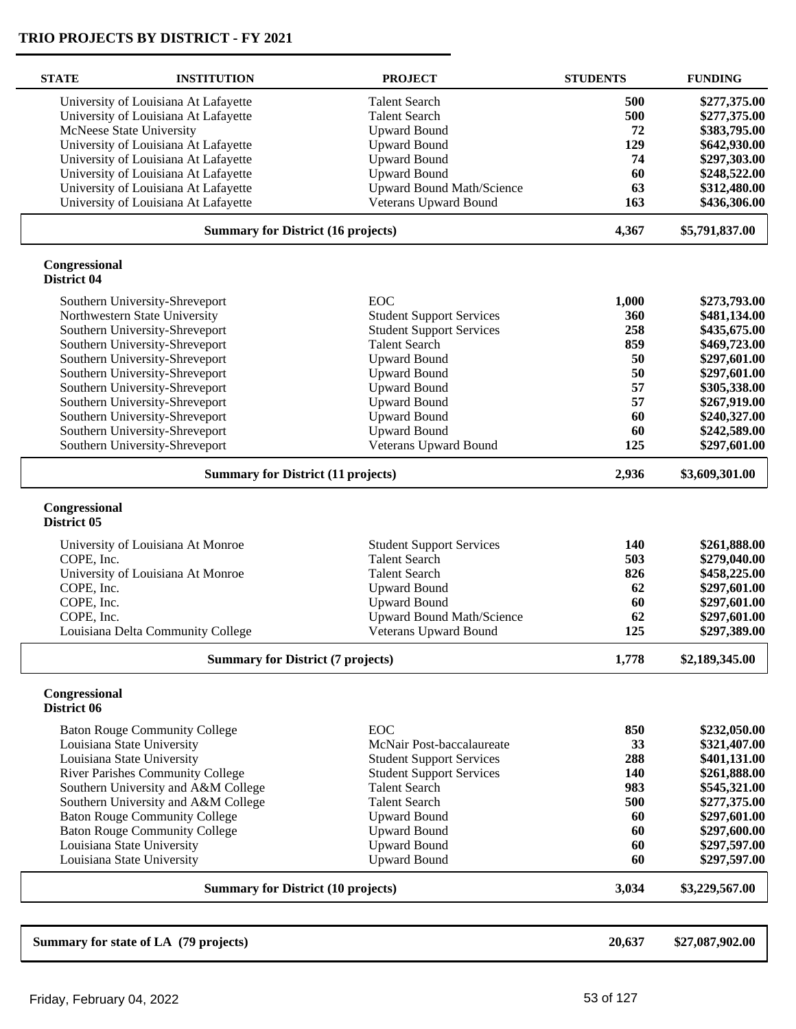| <b>STATE</b>                 | <b>INSTITUTION</b>                        | <b>PROJECT</b>                   | <b>STUDENTS</b> | <b>FUNDING</b>  |
|------------------------------|-------------------------------------------|----------------------------------|-----------------|-----------------|
|                              | University of Louisiana At Lafayette      | <b>Talent Search</b>             | 500             | \$277,375.00    |
|                              | University of Louisiana At Lafayette      | <b>Talent Search</b>             | 500             | \$277,375.00    |
|                              | McNeese State University                  | <b>Upward Bound</b>              | 72              | \$383,795.00    |
|                              | University of Louisiana At Lafayette      | <b>Upward Bound</b>              | 129             | \$642,930.00    |
|                              | University of Louisiana At Lafayette      | <b>Upward Bound</b>              | 74              | \$297,303.00    |
|                              | University of Louisiana At Lafayette      | <b>Upward Bound</b>              | 60              | \$248,522.00    |
|                              | University of Louisiana At Lafayette      | <b>Upward Bound Math/Science</b> | 63              | \$312,480.00    |
|                              | University of Louisiana At Lafayette      | Veterans Upward Bound            | 163             | \$436,306.00    |
|                              | <b>Summary for District (16 projects)</b> |                                  | 4,367           | \$5,791,837.00  |
| Congressional<br>District 04 |                                           |                                  |                 |                 |
|                              | Southern University-Shreveport            | <b>EOC</b>                       | 1,000           | \$273,793.00    |
|                              | Northwestern State University             | <b>Student Support Services</b>  | 360             | \$481,134.00    |
|                              | Southern University-Shreveport            | <b>Student Support Services</b>  | 258             | \$435,675.00    |
|                              | Southern University-Shreveport            | <b>Talent Search</b>             | 859             | \$469,723.00    |
|                              | Southern University-Shreveport            | <b>Upward Bound</b>              | 50              | \$297,601.00    |
|                              | Southern University-Shreveport            | <b>Upward Bound</b>              | 50              | \$297,601.00    |
|                              | Southern University-Shreveport            | <b>Upward Bound</b>              | 57              | \$305,338.00    |
|                              | Southern University-Shreveport            | <b>Upward Bound</b>              | 57              | \$267,919.00    |
|                              | Southern University-Shreveport            | <b>Upward Bound</b>              | 60              | \$240,327.00    |
|                              | Southern University-Shreveport            | <b>Upward Bound</b>              | 60              | \$242,589.00    |
|                              | Southern University-Shreveport            | Veterans Upward Bound            | 125             | \$297,601.00    |
|                              | <b>Summary for District (11 projects)</b> |                                  |                 | \$3,609,301.00  |
| Congressional<br>District 05 |                                           |                                  |                 |                 |
|                              | University of Louisiana At Monroe         | <b>Student Support Services</b>  | <b>140</b>      | \$261,888.00    |
| COPE, Inc.                   |                                           | <b>Talent Search</b>             | 503             | \$279,040.00    |
|                              | University of Louisiana At Monroe         | <b>Talent Search</b>             | 826             | \$458,225.00    |
| COPE, Inc.                   |                                           | <b>Upward Bound</b>              | 62              | \$297,601.00    |
| COPE, Inc.                   |                                           | <b>Upward Bound</b>              | 60              | \$297,601.00    |
| COPE, Inc.                   |                                           | <b>Upward Bound Math/Science</b> | 62              | \$297,601.00    |
|                              | Louisiana Delta Community College         | Veterans Upward Bound            | 125             | \$297,389.00    |
|                              | <b>Summary for District (7 projects)</b>  |                                  | 1,778           | \$2,189,345.00  |
| Congressional<br>District 06 |                                           |                                  |                 |                 |
|                              | <b>Baton Rouge Community College</b>      | EOC                              | 850             | \$232,050.00    |
|                              | Louisiana State University                | McNair Post-baccalaureate        | 33              | \$321,407.00    |
|                              | Louisiana State University                | <b>Student Support Services</b>  | 288             | \$401,131.00    |
|                              | River Parishes Community College          | <b>Student Support Services</b>  | 140             | \$261,888.00    |
|                              | Southern University and A&M College       | <b>Talent Search</b>             | 983             | \$545,321.00    |
|                              | Southern University and A&M College       | <b>Talent Search</b>             | 500             | \$277,375.00    |
|                              | <b>Baton Rouge Community College</b>      | <b>Upward Bound</b>              | 60              | \$297,601.00    |
|                              | <b>Baton Rouge Community College</b>      | <b>Upward Bound</b>              | 60              | \$297,600.00    |
|                              | Louisiana State University                | <b>Upward Bound</b>              | 60              | \$297,597.00    |
|                              | Louisiana State University                | <b>Upward Bound</b>              | 60              | \$297,597.00    |
|                              | <b>Summary for District (10 projects)</b> |                                  | 3,034           | \$3,229,567.00  |
|                              |                                           |                                  |                 |                 |
|                              | Summary for state of LA (79 projects)     |                                  | 20,637          | \$27,087,902.00 |
|                              |                                           |                                  |                 |                 |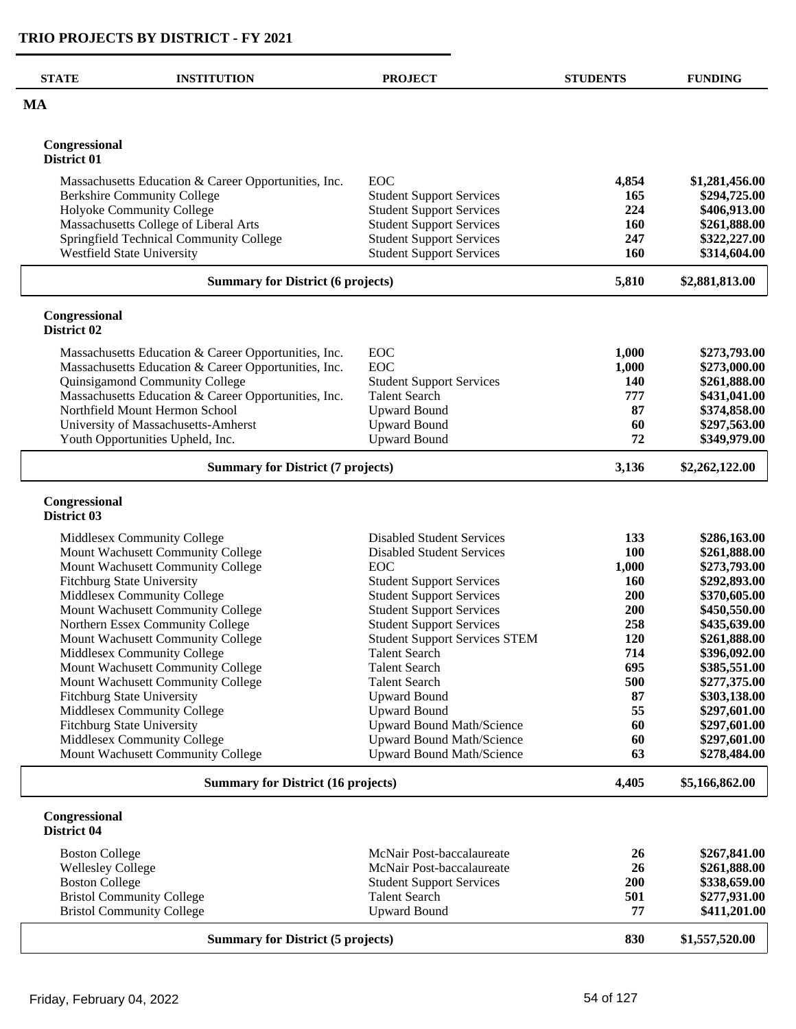| <b>STATE</b>                 | <b>INSTITUTION</b>                                                      | <b>PROJECT</b>                                                     | <b>STUDENTS</b>   | <b>FUNDING</b>               |
|------------------------------|-------------------------------------------------------------------------|--------------------------------------------------------------------|-------------------|------------------------------|
| <b>MA</b>                    |                                                                         |                                                                    |                   |                              |
| Congressional<br>District 01 |                                                                         |                                                                    |                   |                              |
|                              |                                                                         |                                                                    |                   |                              |
|                              | Massachusetts Education & Career Opportunities, Inc.                    | EOC                                                                | 4,854             | \$1,281,456.00               |
|                              | <b>Berkshire Community College</b><br>Holyoke Community College         | <b>Student Support Services</b><br><b>Student Support Services</b> | 165<br>224        | \$294,725.00<br>\$406,913.00 |
|                              | Massachusetts College of Liberal Arts                                   | <b>Student Support Services</b>                                    | 160               | \$261,888.00                 |
|                              | Springfield Technical Community College                                 | <b>Student Support Services</b>                                    | 247               | \$322,227.00                 |
|                              | <b>Westfield State University</b>                                       | <b>Student Support Services</b>                                    | 160               | \$314,604.00                 |
|                              | <b>Summary for District (6 projects)</b>                                |                                                                    | 5,810             | \$2,881,813.00               |
| Congressional<br>District 02 |                                                                         |                                                                    |                   |                              |
|                              | Massachusetts Education & Career Opportunities, Inc.                    | EOC                                                                | 1,000             | \$273,793.00                 |
|                              | Massachusetts Education & Career Opportunities, Inc.                    | EOC                                                                | 1,000             | \$273,000.00                 |
|                              | Quinsigamond Community College                                          | <b>Student Support Services</b>                                    | 140               | \$261,888.00                 |
|                              | Massachusetts Education & Career Opportunities, Inc.                    | <b>Talent Search</b>                                               | 777               | \$431,041.00                 |
|                              | Northfield Mount Hermon School                                          | <b>Upward Bound</b><br><b>Upward Bound</b>                         | 87<br>60          | \$374,858.00                 |
|                              | University of Massachusetts-Amherst<br>Youth Opportunities Upheld, Inc. | <b>Upward Bound</b>                                                | 72                | \$297,563.00<br>\$349,979.00 |
|                              | <b>Summary for District (7 projects)</b>                                |                                                                    | 3,136             | \$2,262,122.00               |
| Congressional<br>District 03 |                                                                         |                                                                    |                   |                              |
|                              | Middlesex Community College                                             | <b>Disabled Student Services</b>                                   | 133               | \$286,163.00                 |
|                              | Mount Wachusett Community College                                       | <b>Disabled Student Services</b>                                   | 100               | \$261,888.00                 |
|                              | Mount Wachusett Community College                                       | EOC                                                                | 1,000             | \$273,793.00                 |
|                              | Fitchburg State University<br>Middlesex Community College               | <b>Student Support Services</b><br><b>Student Support Services</b> | <b>160</b><br>200 | \$292,893.00<br>\$370,605.00 |
|                              | Mount Wachusett Community College                                       | <b>Student Support Services</b>                                    | 200               | \$450,550.00                 |
|                              | Northern Essex Community College                                        | <b>Student Support Services</b>                                    | 258               | \$435,639.00                 |
|                              | Mount Wachusett Community College                                       | <b>Student Support Services STEM</b>                               | 120               | \$261,888.00                 |
|                              | Middlesex Community College                                             | <b>Talent Search</b>                                               | 714               | \$396,092.00                 |
|                              | Mount Wachusett Community College                                       | <b>Talent Search</b>                                               | 695               | \$385,551.00                 |
|                              | Mount Wachusett Community College                                       | <b>Talent Search</b>                                               | 500               | \$277,375.00                 |
|                              | <b>Fitchburg State University</b>                                       | <b>Upward Bound</b>                                                | 87<br>55          | \$303,138.00                 |
|                              | Middlesex Community College<br>Fitchburg State University               | <b>Upward Bound</b><br><b>Upward Bound Math/Science</b>            | 60                | \$297,601.00<br>\$297,601.00 |
|                              | Middlesex Community College                                             | <b>Upward Bound Math/Science</b>                                   | 60                | \$297,601.00                 |
|                              | Mount Wachusett Community College                                       | <b>Upward Bound Math/Science</b>                                   | 63                | \$278,484.00                 |
|                              | <b>Summary for District (16 projects)</b>                               |                                                                    | 4,405             | \$5,166,862.00               |
| Congressional<br>District 04 |                                                                         |                                                                    |                   |                              |
| <b>Boston College</b>        |                                                                         | McNair Post-baccalaureate                                          | 26                | \$267,841.00                 |
| <b>Wellesley College</b>     |                                                                         | McNair Post-baccalaureate                                          | 26                | \$261,888.00                 |
| <b>Boston College</b>        |                                                                         | <b>Student Support Services</b>                                    | 200               | \$338,659.00                 |
|                              | <b>Bristol Community College</b>                                        | <b>Talent Search</b>                                               | 501               | \$277,931.00                 |
|                              | <b>Bristol Community College</b>                                        | <b>Upward Bound</b>                                                | 77                | \$411,201.00                 |
|                              | <b>Summary for District (5 projects)</b>                                |                                                                    | 830               | \$1,557,520.00               |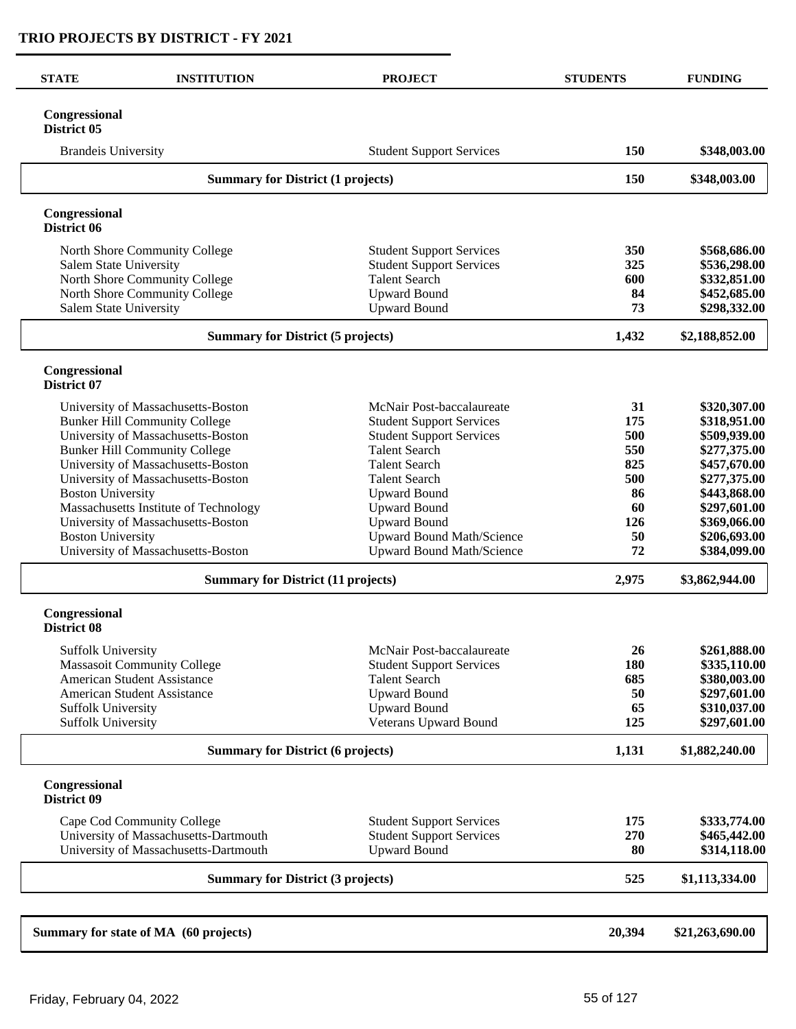| <b>STATE</b>                             | <b>INSTITUTION</b>                        | <b>PROJECT</b>                   | <b>STUDENTS</b> | <b>FUNDING</b>  |
|------------------------------------------|-------------------------------------------|----------------------------------|-----------------|-----------------|
| Congressional<br>District 05             |                                           |                                  |                 |                 |
| <b>Brandeis University</b>               |                                           | <b>Student Support Services</b>  | 150             | \$348,003.00    |
| <b>Summary for District (1 projects)</b> |                                           |                                  | 150             | \$348,003.00    |
| Congressional<br>District 06             |                                           |                                  |                 |                 |
|                                          | North Shore Community College             | <b>Student Support Services</b>  | 350             | \$568,686.00    |
| Salem State University                   |                                           | <b>Student Support Services</b>  | 325             | \$536,298.00    |
|                                          | North Shore Community College             | <b>Talent Search</b>             | 600             | \$332,851.00    |
|                                          | North Shore Community College             | <b>Upward Bound</b>              | 84              | \$452,685.00    |
| Salem State University                   |                                           | <b>Upward Bound</b>              | 73              | \$298,332.00    |
|                                          | <b>Summary for District (5 projects)</b>  |                                  | 1,432           | \$2,188,852.00  |
| Congressional<br>District 07             |                                           |                                  |                 |                 |
|                                          | University of Massachusetts-Boston        | McNair Post-baccalaureate        | 31              | \$320,307.00    |
|                                          | <b>Bunker Hill Community College</b>      | <b>Student Support Services</b>  | 175             | \$318,951.00    |
|                                          | University of Massachusetts-Boston        | <b>Student Support Services</b>  | 500             | \$509,939.00    |
|                                          | <b>Bunker Hill Community College</b>      | <b>Talent Search</b>             | 550             | \$277,375.00    |
|                                          | University of Massachusetts-Boston        | <b>Talent Search</b>             | 825             | \$457,670.00    |
|                                          | University of Massachusetts-Boston        | <b>Talent Search</b>             | 500             | \$277,375.00    |
| <b>Boston University</b>                 |                                           | <b>Upward Bound</b>              | 86              | \$443,868.00    |
|                                          | Massachusetts Institute of Technology     | <b>Upward Bound</b>              | 60              | \$297,601.00    |
|                                          | University of Massachusetts-Boston        | <b>Upward Bound</b>              | 126             | \$369,066.00    |
| <b>Boston University</b>                 |                                           | <b>Upward Bound Math/Science</b> | 50              | \$206,693.00    |
|                                          | University of Massachusetts-Boston        | Upward Bound Math/Science        | 72              | \$384,099.00    |
|                                          | <b>Summary for District (11 projects)</b> |                                  | 2,975           | \$3,862,944.00  |
| Congressional<br><b>District 08</b>      |                                           |                                  |                 |                 |
| <b>Suffolk University</b>                |                                           | McNair Post-baccalaureate        | 26              | \$261,888.00    |
|                                          | <b>Massasoit Community College</b>        | <b>Student Support Services</b>  | 180             | \$335,110.00    |
|                                          | American Student Assistance               | <b>Talent Search</b>             | 685             | \$380,003.00    |
|                                          | American Student Assistance               | <b>Upward Bound</b>              | 50              | \$297,601.00    |
| <b>Suffolk University</b>                |                                           | <b>Upward Bound</b>              | 65              | \$310,037.00    |
| Suffolk University                       |                                           | Veterans Upward Bound            | 125             | \$297,601.00    |
|                                          | <b>Summary for District (6 projects)</b>  |                                  | 1,131           | \$1,882,240.00  |
| Congressional<br>District 09             |                                           |                                  |                 |                 |
|                                          | Cape Cod Community College                | <b>Student Support Services</b>  | 175             | \$333,774.00    |
|                                          | University of Massachusetts-Dartmouth     | <b>Student Support Services</b>  | 270             | \$465,442.00    |
|                                          | University of Massachusetts-Dartmouth     | <b>Upward Bound</b>              | 80              | \$314,118.00    |
|                                          | <b>Summary for District (3 projects)</b>  |                                  | 525             | \$1,113,334.00  |
|                                          |                                           |                                  |                 |                 |
|                                          | Summary for state of MA (60 projects)     |                                  | 20,394          | \$21,263,690.00 |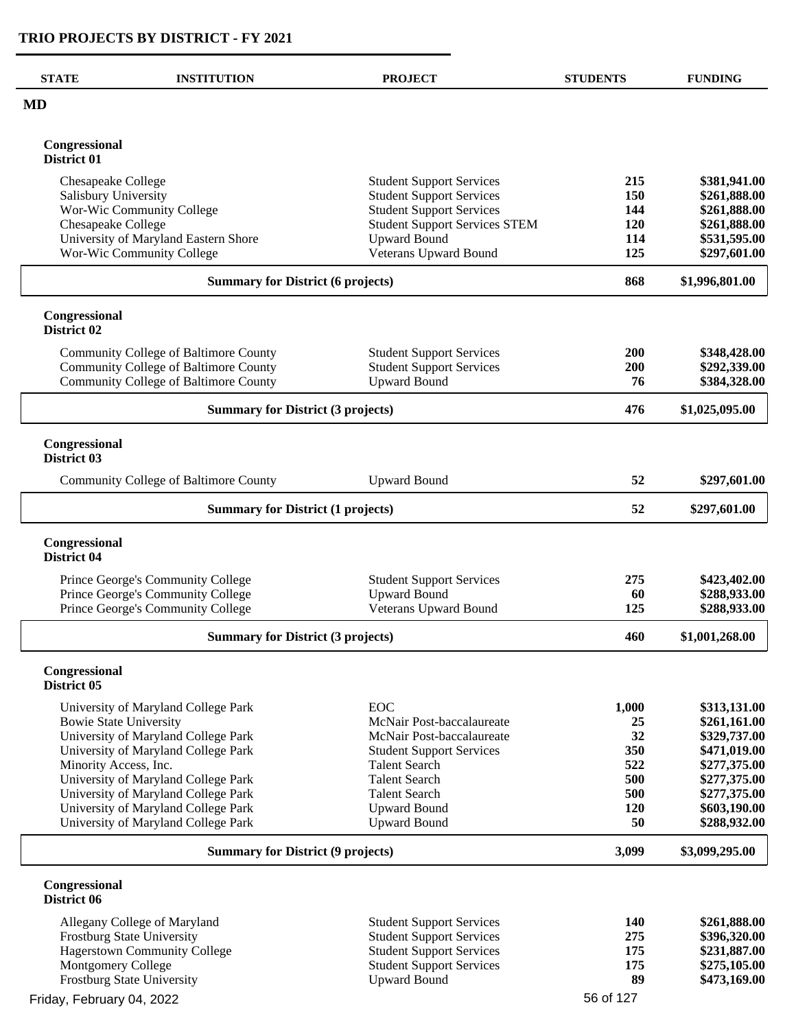| <b>STATE</b>                             | <b>INSTITUTION</b>                           | <b>PROJECT</b>                       | <b>STUDENTS</b> | <b>FUNDING</b>               |
|------------------------------------------|----------------------------------------------|--------------------------------------|-----------------|------------------------------|
| <b>MD</b>                                |                                              |                                      |                 |                              |
| Congressional<br>District 01             |                                              |                                      |                 |                              |
| Chesapeake College                       |                                              | <b>Student Support Services</b>      | 215             | \$381,941.00                 |
| Salisbury University                     |                                              | <b>Student Support Services</b>      | 150             | \$261,888.00                 |
|                                          | Wor-Wic Community College                    | <b>Student Support Services</b>      | 144             | \$261,888.00                 |
| Chesapeake College                       |                                              | <b>Student Support Services STEM</b> | 120             | \$261,888.00                 |
|                                          | University of Maryland Eastern Shore         | <b>Upward Bound</b>                  | 114             | \$531,595.00                 |
|                                          | Wor-Wic Community College                    | Veterans Upward Bound                | 125             | \$297,601.00                 |
|                                          | <b>Summary for District (6 projects)</b>     |                                      | 868             | \$1,996,801.00               |
| Congressional<br>District 02             |                                              |                                      |                 |                              |
|                                          | Community College of Baltimore County        | <b>Student Support Services</b>      | <b>200</b>      | \$348,428.00                 |
|                                          | <b>Community College of Baltimore County</b> | <b>Student Support Services</b>      | 200             | \$292,339.00                 |
|                                          | Community College of Baltimore County        | <b>Upward Bound</b>                  | 76              | \$384,328.00                 |
|                                          | <b>Summary for District (3 projects)</b>     |                                      | 476             | \$1,025,095.00               |
| Congressional<br>District 03             |                                              |                                      |                 |                              |
|                                          | Community College of Baltimore County        | <b>Upward Bound</b>                  | 52              | \$297,601.00                 |
| <b>Summary for District (1 projects)</b> |                                              | 52                                   | \$297,601.00    |                              |
| Congressional<br>District 04             |                                              |                                      |                 |                              |
|                                          | Prince George's Community College            | <b>Student Support Services</b>      | 275             | \$423,402.00                 |
|                                          | Prince George's Community College            | <b>Upward Bound</b>                  | 60              | \$288,933.00                 |
|                                          | Prince George's Community College            | Veterans Upward Bound                | 125             | \$288,933.00                 |
|                                          | <b>Summary for District (3 projects)</b>     |                                      | 460             | \$1,001,268.00               |
| Congressional<br>District 05             |                                              |                                      |                 |                              |
|                                          |                                              | <b>EOC</b>                           |                 |                              |
| <b>Bowie State University</b>            | University of Maryland College Park          | McNair Post-baccalaureate            | 1,000<br>25     | \$313,131.00<br>\$261,161.00 |
|                                          | University of Maryland College Park          | McNair Post-baccalaureate            | 32              | \$329,737.00                 |
|                                          | University of Maryland College Park          | <b>Student Support Services</b>      | 350             | \$471,019.00                 |
| Minority Access, Inc.                    |                                              | <b>Talent Search</b>                 | 522             | \$277,375.00                 |
|                                          | University of Maryland College Park          | <b>Talent Search</b>                 | 500             | \$277,375.00                 |
|                                          | University of Maryland College Park          | <b>Talent Search</b>                 | 500             | \$277,375.00                 |
|                                          | University of Maryland College Park          | <b>Upward Bound</b>                  | 120             | \$603,190.00                 |
|                                          | University of Maryland College Park          | <b>Upward Bound</b>                  | 50              | \$288,932.00                 |
|                                          | <b>Summary for District (9 projects)</b>     |                                      | 3,099           | \$3,099,295.00               |
| Congressional<br>District 06             |                                              |                                      |                 |                              |
|                                          | Allegany College of Maryland                 | <b>Student Support Services</b>      | 140             | \$261,888.00                 |
|                                          | Frostburg State University                   | <b>Student Support Services</b>      | 275             | \$396,320.00                 |
|                                          | <b>Hagerstown Community College</b>          | <b>Student Support Services</b>      | 175             | \$231,887.00                 |
| Montgomery College                       |                                              | <b>Student Support Services</b>      | 175             | \$275,105.00                 |
|                                          | Frostburg State University                   | <b>Upward Bound</b>                  | 89              | \$473,169.00                 |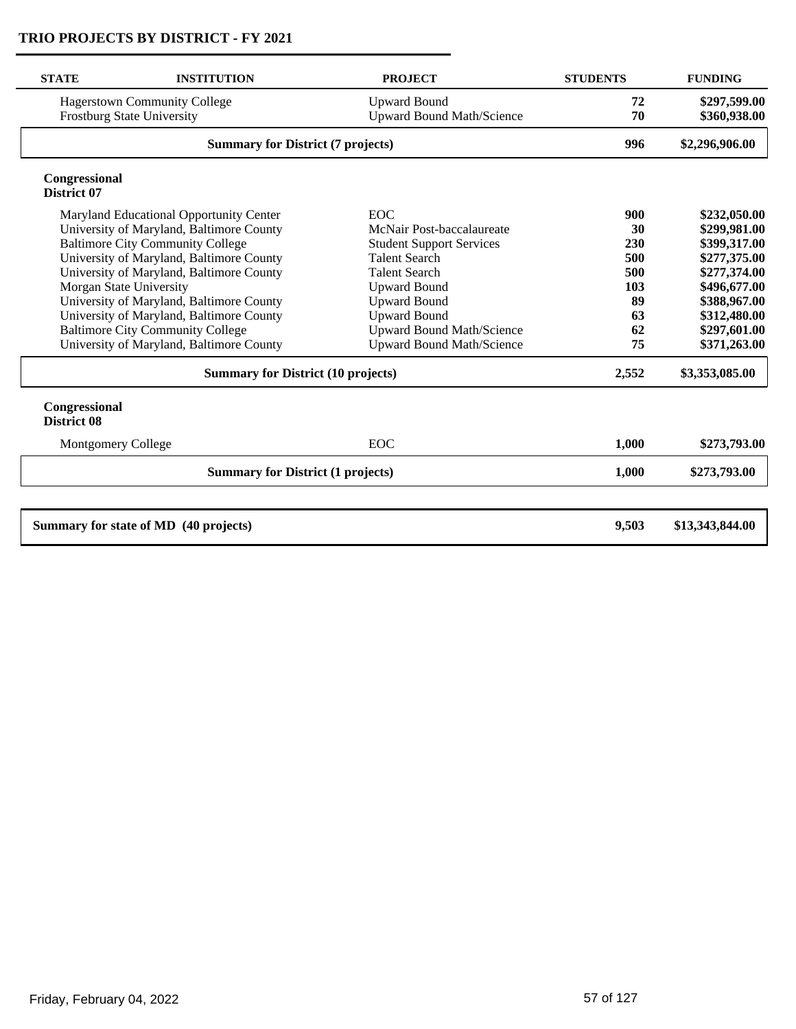| <b>STATE</b>                        | <b>INSTITUTION</b>                                                | <b>PROJECT</b>                                          | <b>STUDENTS</b> | <b>FUNDING</b>               |
|-------------------------------------|-------------------------------------------------------------------|---------------------------------------------------------|-----------------|------------------------------|
|                                     | <b>Hagerstown Community College</b><br>Frostburg State University | <b>Upward Bound</b><br><b>Upward Bound Math/Science</b> | 72<br>70        | \$297,599.00<br>\$360,938.00 |
|                                     | <b>Summary for District (7 projects)</b>                          |                                                         | 996             | \$2,296,906.00               |
| Congressional<br>District 07        |                                                                   |                                                         |                 |                              |
|                                     | Maryland Educational Opportunity Center                           | <b>EOC</b>                                              | 900             | \$232,050.00                 |
|                                     | University of Maryland, Baltimore County                          | McNair Post-baccalaureate                               | 30              | \$299,981.00                 |
|                                     | <b>Baltimore City Community College</b>                           | <b>Student Support Services</b>                         | 230             | \$399,317.00                 |
|                                     | University of Maryland, Baltimore County                          | <b>Talent Search</b>                                    | 500             | \$277,375.00                 |
|                                     | University of Maryland, Baltimore County                          | <b>Talent Search</b>                                    | 500             | \$277,374.00                 |
| Morgan State University             |                                                                   | <b>Upward Bound</b>                                     | 103             | \$496,677.00                 |
|                                     | University of Maryland, Baltimore County                          | Upward Bound                                            | 89              | \$388,967.00                 |
|                                     | University of Maryland, Baltimore County                          | <b>Upward Bound</b>                                     | 63              | \$312,480.00                 |
|                                     | <b>Baltimore City Community College</b>                           | <b>Upward Bound Math/Science</b>                        | 62              | \$297,601.00                 |
|                                     | University of Maryland, Baltimore County                          | <b>Upward Bound Math/Science</b>                        | 75              | \$371,263.00                 |
|                                     | <b>Summary for District (10 projects)</b>                         |                                                         | 2,552           | \$3,353,085.00               |
| Congressional<br><b>District 08</b> |                                                                   |                                                         |                 |                              |
| <b>Montgomery College</b>           |                                                                   | <b>EOC</b>                                              | 1,000           | \$273,793.00                 |
|                                     | <b>Summary for District (1 projects)</b>                          |                                                         | 1,000           | \$273,793.00                 |
|                                     |                                                                   |                                                         |                 |                              |
|                                     | Summary for state of MD (40 projects)                             |                                                         | 9,503           | \$13,343,844.00              |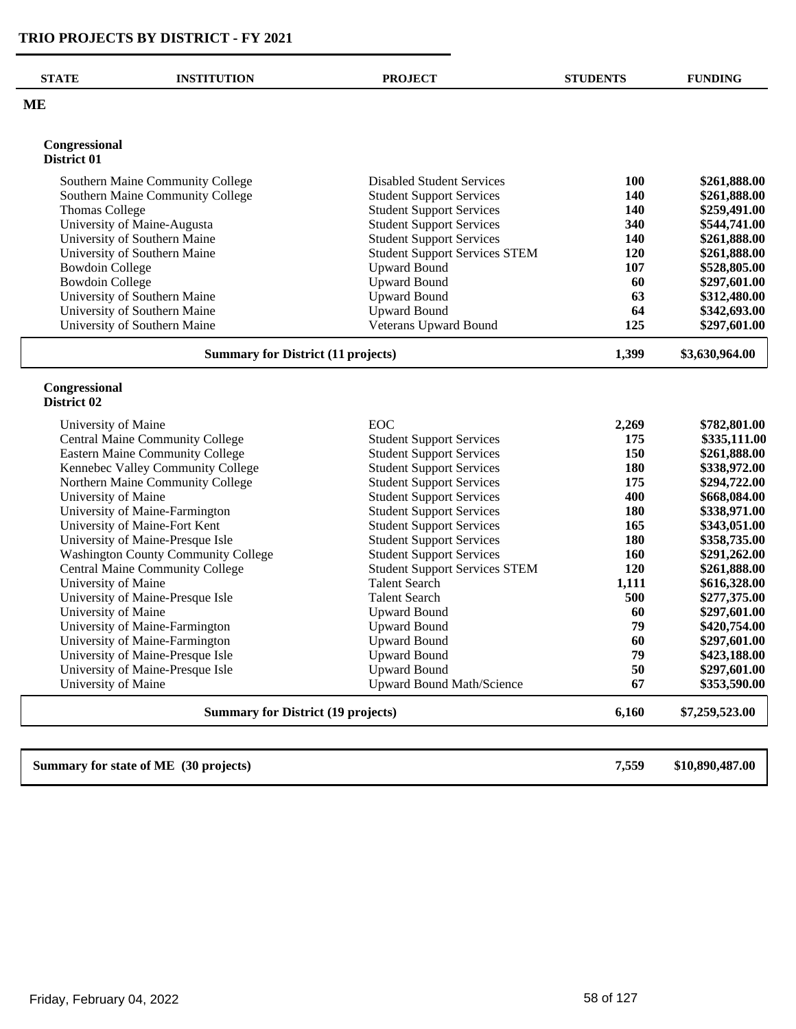$\overline{\phantom{0}}$ 

| <b>STATE</b>                              | <b>INSTITUTION</b>                         | <b>PROJECT</b>                       | <b>STUDENTS</b> | <b>FUNDING</b>                               |
|-------------------------------------------|--------------------------------------------|--------------------------------------|-----------------|----------------------------------------------|
| МE                                        |                                            |                                      |                 |                                              |
| Congressional                             |                                            |                                      |                 |                                              |
| District 01                               |                                            |                                      |                 |                                              |
|                                           | Southern Maine Community College           | <b>Disabled Student Services</b>     | 100             | \$261,888.00                                 |
|                                           | Southern Maine Community College           | <b>Student Support Services</b>      | <b>140</b>      | \$261,888.00                                 |
| <b>Thomas College</b>                     |                                            | <b>Student Support Services</b>      | 140             | \$259,491.00                                 |
|                                           | University of Maine-Augusta                | <b>Student Support Services</b>      | 340             | \$544,741.00                                 |
|                                           | University of Southern Maine               | <b>Student Support Services</b>      | <b>140</b>      | \$261,888.00                                 |
|                                           | University of Southern Maine               | <b>Student Support Services STEM</b> | 120             | \$261,888.00                                 |
| <b>Bowdoin College</b>                    |                                            | <b>Upward Bound</b>                  | 107             | \$528,805.00                                 |
| <b>Bowdoin College</b>                    |                                            | <b>Upward Bound</b>                  | 60              | \$297,601.00                                 |
|                                           | University of Southern Maine               | <b>Upward Bound</b>                  | 63              | \$312,480.00                                 |
|                                           | University of Southern Maine               | <b>Upward Bound</b>                  | 64              | \$342,693.00                                 |
|                                           | University of Southern Maine               | Veterans Upward Bound                | 125             | \$297,601.00                                 |
| <b>Summary for District (11 projects)</b> |                                            |                                      | 1,399           | \$3,630,964.00                               |
| Congressional<br>District 02              |                                            |                                      |                 |                                              |
| University of Maine                       |                                            | <b>EOC</b>                           | 2,269           | \$782,801.00                                 |
|                                           | <b>Central Maine Community College</b>     | <b>Student Support Services</b>      | 175             | \$335,111.00                                 |
|                                           | <b>Eastern Maine Community College</b>     | <b>Student Support Services</b>      | 150             | \$261,888.00                                 |
|                                           | Kennebec Valley Community College          | <b>Student Support Services</b>      | 180             | \$338,972.00                                 |
|                                           | Northern Maine Community College           | <b>Student Support Services</b>      | 175             | \$294,722.00                                 |
| University of Maine                       |                                            | <b>Student Support Services</b>      | 400             | \$668,084.00                                 |
|                                           | University of Maine-Farmington             | <b>Student Support Services</b>      | <b>180</b>      | \$338,971.00                                 |
|                                           | University of Maine-Fort Kent              | <b>Student Support Services</b>      | 165             | \$343,051.00                                 |
|                                           | University of Maine-Presque Isle           | <b>Student Support Services</b>      | 180             | \$358,735.00                                 |
|                                           | <b>Washington County Community College</b> | <b>Student Support Services</b>      | 160             | \$291,262.00                                 |
|                                           | <b>Central Maine Community College</b>     | <b>Student Support Services STEM</b> | 120             | \$261,888.00                                 |
| University of Maine                       |                                            | <b>Talent Search</b>                 | 1,111           | \$616,328.00                                 |
|                                           | University of Maine-Presque Isle           | <b>Talent Search</b>                 | 500             | \$277,375.00                                 |
|                                           |                                            | <b>Upward Bound</b>                  | 60              | \$297,601.00                                 |
| University of Maine                       |                                            | <b>Upward Bound</b>                  | 79              | \$420,754.00                                 |
|                                           | University of Maine-Farmington             |                                      |                 | \$297,601.00                                 |
|                                           | University of Maine-Farmington             | <b>Upward Bound</b>                  | 60              |                                              |
|                                           | University of Maine-Presque Isle           | <b>Upward Bound</b>                  | 79              |                                              |
|                                           | University of Maine-Presque Isle           | <b>Upward Bound</b>                  | 50              |                                              |
| University of Maine                       |                                            | <b>Upward Bound Math/Science</b>     | 67              | \$423,188.00<br>\$297,601.00<br>\$353,590.00 |

**Summary for state of ME (30 projects) 7,559 \$10,890,487.00**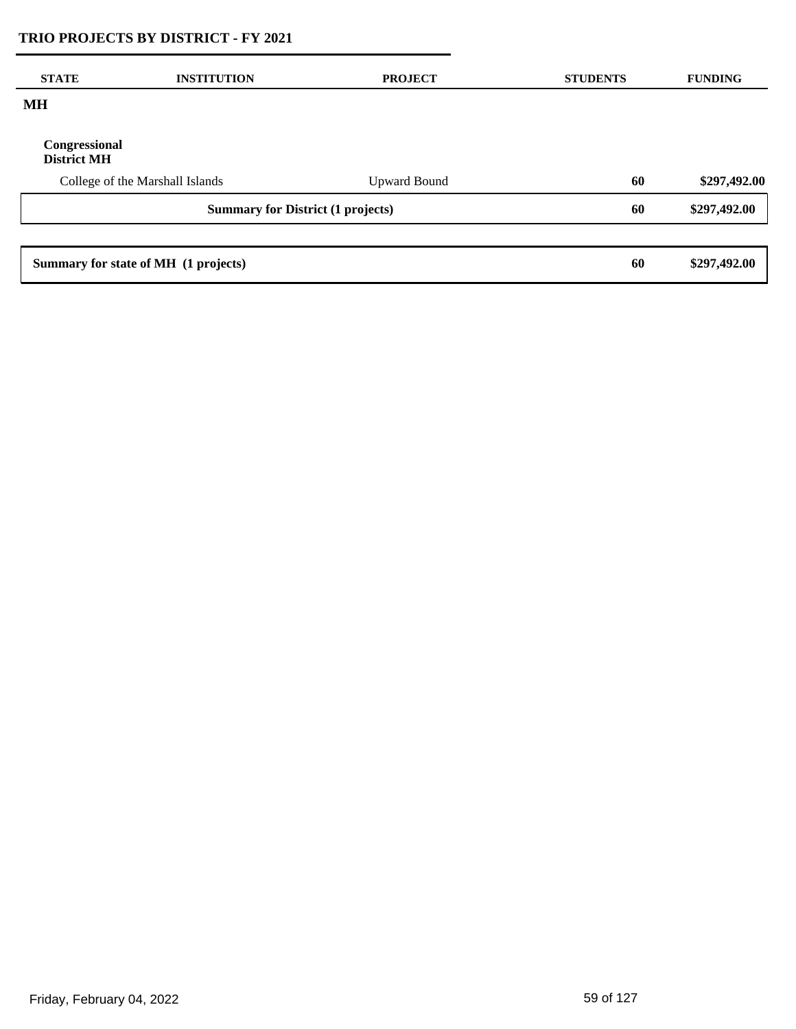| <b>STATE</b>                             | <b>INSTITUTION</b>                   | <b>PROJECT</b>      | <b>STUDENTS</b> | <b>FUNDING</b> |
|------------------------------------------|--------------------------------------|---------------------|-----------------|----------------|
| MH                                       |                                      |                     |                 |                |
| Congressional<br><b>District MH</b>      |                                      |                     |                 |                |
|                                          | College of the Marshall Islands      | <b>Upward Bound</b> | 60              | \$297,492.00   |
| <b>Summary for District (1 projects)</b> |                                      |                     | 60              | \$297,492.00   |
|                                          |                                      |                     |                 |                |
|                                          | Summary for state of MH (1 projects) |                     | 60              | \$297,492.00   |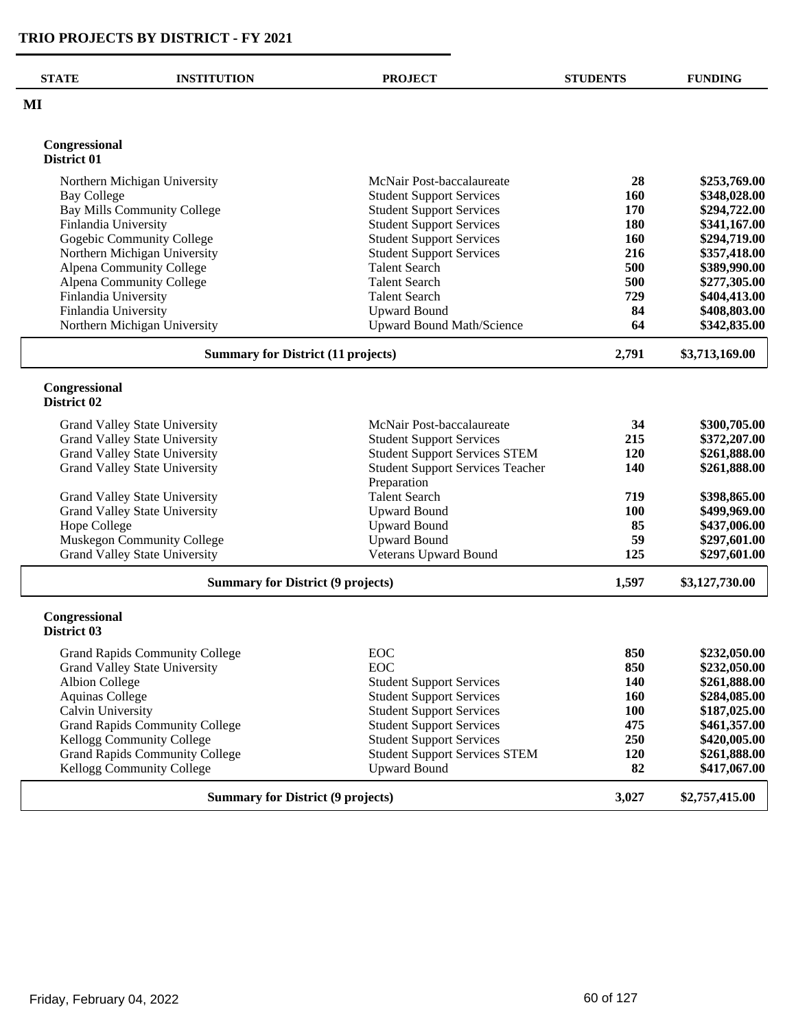| <b>STATE</b>                 | <b>INSTITUTION</b>                        | <b>PROJECT</b>                                         | <b>STUDENTS</b> | <b>FUNDING</b> |
|------------------------------|-------------------------------------------|--------------------------------------------------------|-----------------|----------------|
| MI                           |                                           |                                                        |                 |                |
|                              |                                           |                                                        |                 |                |
| Congressional<br>District 01 |                                           |                                                        |                 |                |
|                              | Northern Michigan University              | McNair Post-baccalaureate                              | 28              | \$253,769.00   |
| <b>Bay College</b>           |                                           | <b>Student Support Services</b>                        | 160             | \$348,028.00   |
|                              | <b>Bay Mills Community College</b>        | <b>Student Support Services</b>                        | 170             | \$294,722.00   |
| Finlandia University         |                                           | <b>Student Support Services</b>                        | 180             | \$341,167.00   |
|                              | Gogebic Community College                 | <b>Student Support Services</b>                        | 160             | \$294,719.00   |
|                              | Northern Michigan University              | <b>Student Support Services</b>                        | 216             | \$357,418.00   |
|                              | Alpena Community College                  | <b>Talent Search</b>                                   | 500             | \$389,990.00   |
|                              | Alpena Community College                  | <b>Talent Search</b>                                   | 500             | \$277,305.00   |
| Finlandia University         |                                           | <b>Talent Search</b>                                   | 729             | \$404,413.00   |
| Finlandia University         |                                           | <b>Upward Bound</b>                                    | 84              | \$408,803.00   |
|                              | Northern Michigan University              | Upward Bound Math/Science                              | 64              | \$342,835.00   |
|                              | <b>Summary for District (11 projects)</b> |                                                        | 2,791           | \$3,713,169.00 |
| Congressional<br>District 02 |                                           |                                                        |                 |                |
|                              |                                           |                                                        |                 |                |
|                              | Grand Valley State University             | McNair Post-baccalaureate                              | 34              | \$300,705.00   |
|                              | Grand Valley State University             | <b>Student Support Services</b>                        | 215             | \$372,207.00   |
|                              | Grand Valley State University             | <b>Student Support Services STEM</b>                   | 120             | \$261,888.00   |
|                              | <b>Grand Valley State University</b>      | <b>Student Support Services Teacher</b><br>Preparation | 140             | \$261,888.00   |
|                              | Grand Valley State University             | <b>Talent Search</b>                                   | 719             | \$398,865.00   |
|                              | Grand Valley State University             | <b>Upward Bound</b>                                    | 100             | \$499,969.00   |
| Hope College                 |                                           | <b>Upward Bound</b>                                    | 85              | \$437,006.00   |
|                              | Muskegon Community College                | <b>Upward Bound</b>                                    | 59              | \$297,601.00   |
|                              | <b>Grand Valley State University</b>      | Veterans Upward Bound                                  | 125             | \$297,601.00   |
|                              | <b>Summary for District (9 projects)</b>  |                                                        | 1,597           | \$3,127,730.00 |
| Congressional<br>District 03 |                                           |                                                        |                 |                |
|                              | <b>Grand Rapids Community College</b>     | EOC                                                    | 850             | \$232,050.00   |
|                              | <b>Grand Valley State University</b>      | <b>EOC</b>                                             | 850             | \$232,050.00   |
| <b>Albion College</b>        |                                           | <b>Student Support Services</b>                        | 140             | \$261,888.00   |
| <b>Aquinas College</b>       |                                           | <b>Student Support Services</b>                        | 160             | \$284,085.00   |
| Calvin University            |                                           | <b>Student Support Services</b>                        | <b>100</b>      | \$187,025.00   |
|                              | <b>Grand Rapids Community College</b>     | <b>Student Support Services</b>                        | 475             | \$461,357.00   |
|                              | Kellogg Community College                 | <b>Student Support Services</b>                        | 250             | \$420,005.00   |
|                              | <b>Grand Rapids Community College</b>     | <b>Student Support Services STEM</b>                   | 120             | \$261,888.00   |
|                              | Kellogg Community College                 | <b>Upward Bound</b>                                    | 82              | \$417,067.00   |
|                              | <b>Summary for District (9 projects)</b>  |                                                        | 3,027           | \$2,757,415.00 |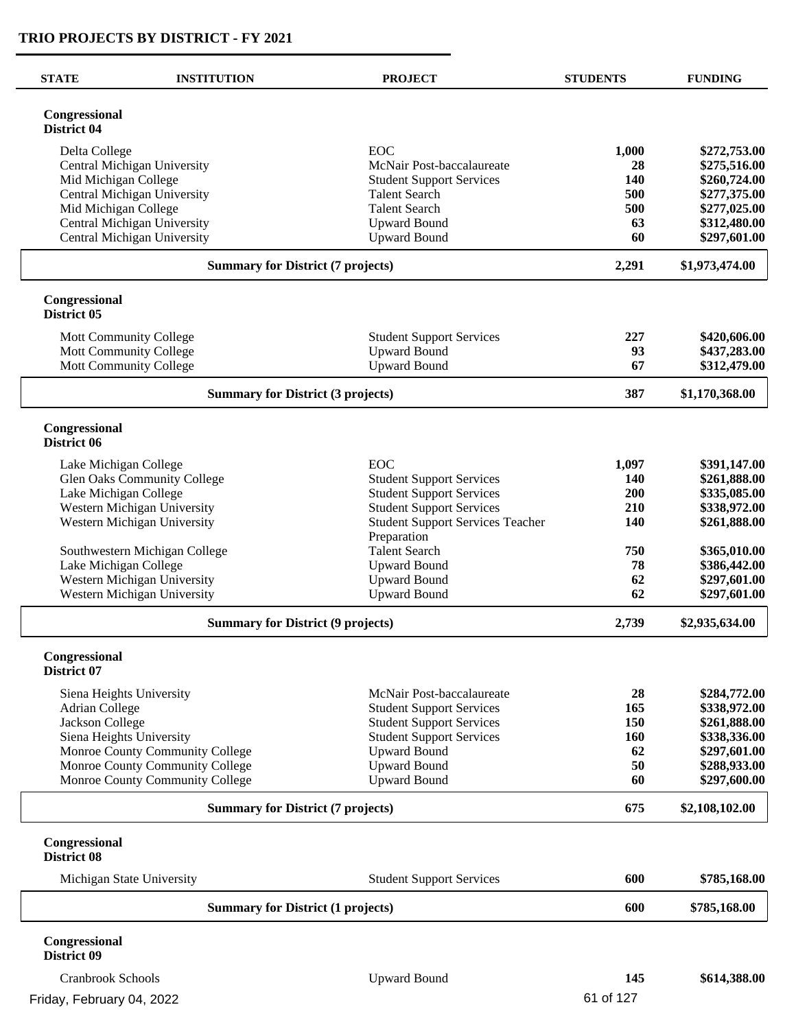| <b>STATE</b>                 | <b>INSTITUTION</b>                                         | <b>PROJECT</b>                                                     | <b>STUDENTS</b> | <b>FUNDING</b>               |
|------------------------------|------------------------------------------------------------|--------------------------------------------------------------------|-----------------|------------------------------|
| Congressional<br>District 04 |                                                            |                                                                    |                 |                              |
| Delta College                |                                                            | EOC                                                                | 1,000           | \$272,753.00                 |
|                              | Central Michigan University                                | McNair Post-baccalaureate                                          | 28              | \$275,516.00                 |
|                              | Mid Michigan College                                       | <b>Student Support Services</b>                                    | 140             | \$260,724.00                 |
|                              | Central Michigan University                                | <b>Talent Search</b>                                               | 500             | \$277,375.00                 |
|                              | Mid Michigan College                                       | <b>Talent Search</b>                                               | 500             | \$277,025.00                 |
|                              | Central Michigan University<br>Central Michigan University | <b>Upward Bound</b><br><b>Upward Bound</b>                         | 63<br>60        | \$312,480.00<br>\$297,601.00 |
|                              |                                                            |                                                                    |                 |                              |
|                              | <b>Summary for District (7 projects)</b>                   |                                                                    | 2,291           | \$1,973,474.00               |
| Congressional<br>District 05 |                                                            |                                                                    |                 |                              |
|                              | Mott Community College                                     | <b>Student Support Services</b>                                    | 227             | \$420,606.00                 |
|                              | Mott Community College                                     | <b>Upward Bound</b>                                                | 93              | \$437,283.00                 |
|                              | <b>Mott Community College</b>                              | <b>Upward Bound</b>                                                | 67              | \$312,479.00                 |
|                              | <b>Summary for District (3 projects)</b>                   |                                                                    | 387             | \$1,170,368.00               |
| Congressional<br>District 06 |                                                            |                                                                    |                 |                              |
|                              |                                                            |                                                                    |                 |                              |
|                              | Lake Michigan College                                      | EOC                                                                | 1,097           | \$391,147.00                 |
|                              | Glen Oaks Community College                                | <b>Student Support Services</b>                                    | <b>140</b>      | \$261,888.00                 |
|                              | Lake Michigan College<br>Western Michigan University       | <b>Student Support Services</b><br><b>Student Support Services</b> | 200<br>210      | \$335,085.00<br>\$338,972.00 |
|                              | Western Michigan University                                | <b>Student Support Services Teacher</b>                            | 140             | \$261,888.00                 |
|                              |                                                            | Preparation                                                        |                 |                              |
|                              | Southwestern Michigan College                              | <b>Talent Search</b>                                               | 750             | \$365,010.00                 |
|                              | Lake Michigan College                                      | <b>Upward Bound</b>                                                | 78              | \$386,442.00                 |
|                              | Western Michigan University                                | <b>Upward Bound</b>                                                | 62              | \$297,601.00                 |
|                              | Western Michigan University                                | <b>Upward Bound</b>                                                | 62              | \$297,601.00                 |
|                              | <b>Summary for District (9 projects)</b>                   |                                                                    | 2,739           | \$2,935,634.00               |
| Congressional<br>District 07 |                                                            |                                                                    |                 |                              |
|                              |                                                            |                                                                    |                 |                              |
| <b>Adrian College</b>        | Siena Heights University                                   | McNair Post-baccalaureate<br><b>Student Support Services</b>       | 28<br>165       | \$284,772.00<br>\$338,972.00 |
| Jackson College              |                                                            | <b>Student Support Services</b>                                    | 150             | \$261,888.00                 |
|                              | Siena Heights University                                   | <b>Student Support Services</b>                                    | 160             | \$338,336.00                 |
|                              | Monroe County Community College                            | <b>Upward Bound</b>                                                | 62              | \$297,601.00                 |
|                              | Monroe County Community College                            | <b>Upward Bound</b>                                                | 50              | \$288,933.00                 |
|                              | Monroe County Community College                            | <b>Upward Bound</b>                                                | 60              | \$297,600.00                 |
|                              | <b>Summary for District (7 projects)</b>                   |                                                                    | 675             | \$2,108,102.00               |
| Congressional<br>District 08 |                                                            |                                                                    |                 |                              |
|                              | Michigan State University                                  | <b>Student Support Services</b>                                    | 600             | \$785,168.00                 |
|                              | <b>Summary for District (1 projects)</b>                   |                                                                    | 600             | \$785,168.00                 |
| Congressional<br>District 09 |                                                            |                                                                    |                 |                              |
| <b>Cranbrook Schools</b>     |                                                            | <b>Upward Bound</b>                                                | 145             | \$614,388.00                 |

L

L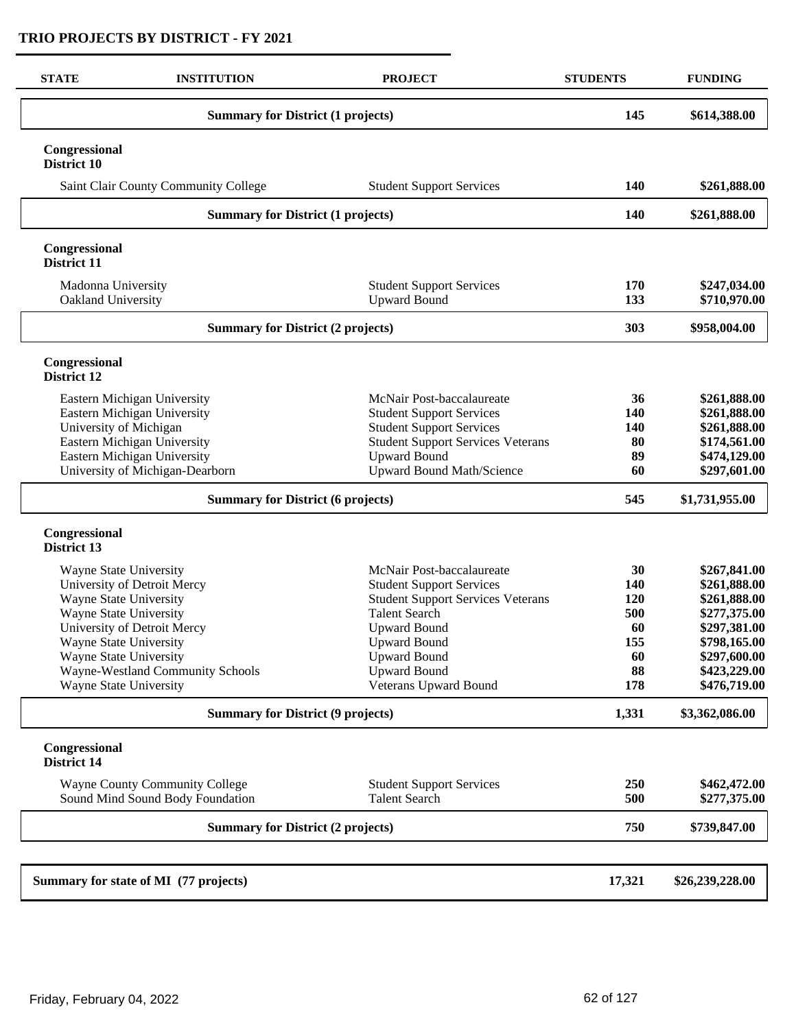| <b>STATE</b>                                                                                                                                                                                                                  | <b>INSTITUTION</b>                                                        | <b>PROJECT</b>                                                                                                                                                                                                                                        | <b>STUDENTS</b>                                         | <b>FUNDING</b>                                                                                                                               |
|-------------------------------------------------------------------------------------------------------------------------------------------------------------------------------------------------------------------------------|---------------------------------------------------------------------------|-------------------------------------------------------------------------------------------------------------------------------------------------------------------------------------------------------------------------------------------------------|---------------------------------------------------------|----------------------------------------------------------------------------------------------------------------------------------------------|
| <b>Summary for District (1 projects)</b>                                                                                                                                                                                      |                                                                           |                                                                                                                                                                                                                                                       | 145                                                     | \$614,388.00                                                                                                                                 |
| Congressional<br>District 10                                                                                                                                                                                                  |                                                                           |                                                                                                                                                                                                                                                       |                                                         |                                                                                                                                              |
|                                                                                                                                                                                                                               | Saint Clair County Community College                                      | <b>Student Support Services</b>                                                                                                                                                                                                                       | 140                                                     | \$261,888.00                                                                                                                                 |
|                                                                                                                                                                                                                               | <b>Summary for District (1 projects)</b>                                  |                                                                                                                                                                                                                                                       | 140                                                     | \$261,888.00                                                                                                                                 |
| Congressional<br>District 11                                                                                                                                                                                                  |                                                                           |                                                                                                                                                                                                                                                       |                                                         |                                                                                                                                              |
| Madonna University<br>Oakland University                                                                                                                                                                                      |                                                                           | <b>Student Support Services</b><br><b>Upward Bound</b>                                                                                                                                                                                                | 170<br>133                                              | \$247,034.00<br>\$710,970.00                                                                                                                 |
|                                                                                                                                                                                                                               | <b>Summary for District (2 projects)</b>                                  |                                                                                                                                                                                                                                                       | 303                                                     | \$958,004.00                                                                                                                                 |
| Congressional<br><b>District 12</b>                                                                                                                                                                                           |                                                                           |                                                                                                                                                                                                                                                       |                                                         |                                                                                                                                              |
| Eastern Michigan University<br>Eastern Michigan University<br>University of Michigan<br>Eastern Michigan University<br>Eastern Michigan University<br>University of Michigan-Dearborn                                         |                                                                           | McNair Post-baccalaureate<br><b>Student Support Services</b><br><b>Student Support Services</b><br><b>Student Support Services Veterans</b><br><b>Upward Bound</b><br><b>Upward Bound Math/Science</b>                                                | 36<br>140<br>140<br>80<br>89<br>60                      | \$261,888.00<br>\$261,888.00<br>\$261,888.00<br>\$174,561.00<br>\$474,129.00<br>\$297,601.00                                                 |
|                                                                                                                                                                                                                               | <b>Summary for District (6 projects)</b>                                  |                                                                                                                                                                                                                                                       | 545                                                     | \$1,731,955.00                                                                                                                               |
| Congressional<br>District 13                                                                                                                                                                                                  |                                                                           |                                                                                                                                                                                                                                                       |                                                         |                                                                                                                                              |
| Wayne State University<br>University of Detroit Mercy<br>Wayne State University<br>Wayne State University<br>University of Detroit Mercy<br><b>Wayne State University</b><br>Wayne State University<br>Wayne State University | Wayne-Westland Community Schools                                          | McNair Post-baccalaureate<br><b>Student Support Services</b><br><b>Student Support Services Veterans</b><br><b>Talent Search</b><br><b>Upward Bound</b><br><b>Upward Bound</b><br><b>Upward Bound</b><br><b>Upward Bound</b><br>Veterans Upward Bound | 30<br>140<br>120<br>500<br>60<br>155<br>60<br>88<br>178 | \$267,841.00<br>\$261,888.00<br>\$261,888.00<br>\$277,375.00<br>\$297,381.00<br>\$798,165.00<br>\$297,600.00<br>\$423,229.00<br>\$476,719.00 |
| <b>Summary for District (9 projects)</b>                                                                                                                                                                                      |                                                                           |                                                                                                                                                                                                                                                       | 1,331                                                   | \$3,362,086.00                                                                                                                               |
| Congressional<br>District 14                                                                                                                                                                                                  |                                                                           |                                                                                                                                                                                                                                                       |                                                         |                                                                                                                                              |
|                                                                                                                                                                                                                               | <b>Wayne County Community College</b><br>Sound Mind Sound Body Foundation | <b>Student Support Services</b><br><b>Talent Search</b>                                                                                                                                                                                               | 250<br>500                                              | \$462,472.00<br>\$277,375.00                                                                                                                 |
|                                                                                                                                                                                                                               | <b>Summary for District (2 projects)</b>                                  |                                                                                                                                                                                                                                                       |                                                         | \$739,847.00                                                                                                                                 |
|                                                                                                                                                                                                                               |                                                                           |                                                                                                                                                                                                                                                       |                                                         |                                                                                                                                              |
| Summary for state of MI (77 projects)                                                                                                                                                                                         |                                                                           |                                                                                                                                                                                                                                                       | 17,321                                                  | \$26,239,228.00                                                                                                                              |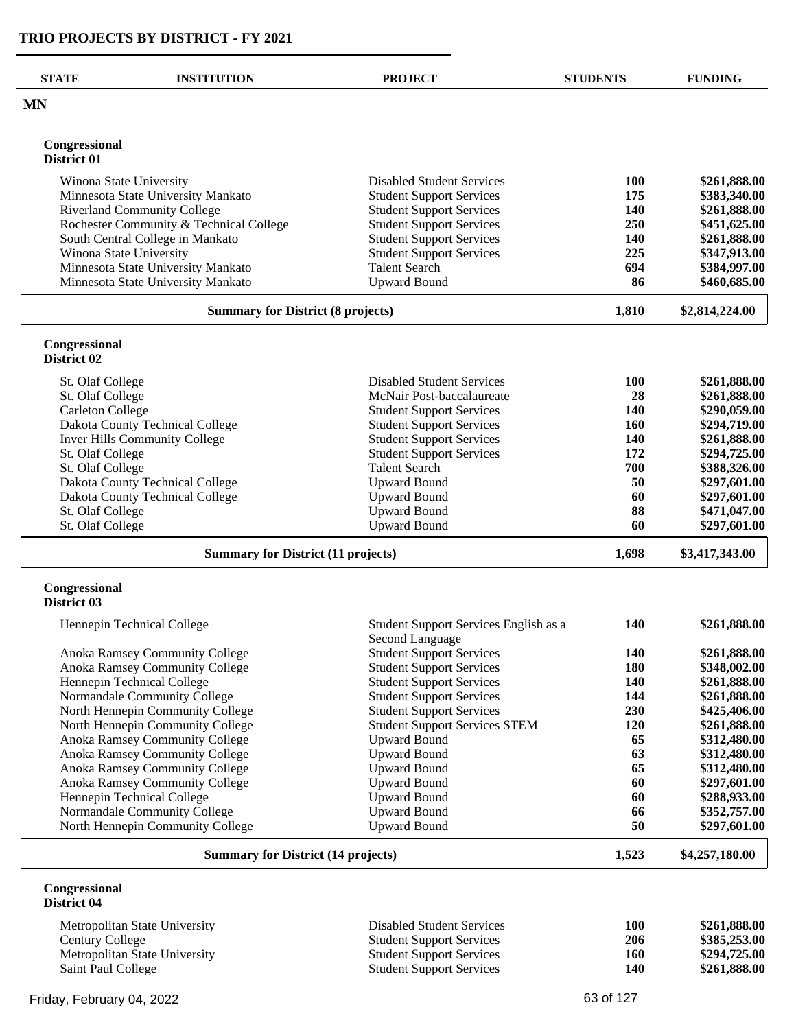| <b>STATE</b><br><b>INSTITUTION</b>      | <b>PROJECT</b>                                           | <b>STUDENTS</b> | <b>FUNDING</b> |
|-----------------------------------------|----------------------------------------------------------|-----------------|----------------|
| <b>MN</b>                               |                                                          |                 |                |
| Congressional                           |                                                          |                 |                |
| District 01                             |                                                          |                 |                |
| Winona State University                 | <b>Disabled Student Services</b>                         | <b>100</b>      | \$261,888.00   |
| Minnesota State University Mankato      | <b>Student Support Services</b>                          | 175             | \$383,340.00   |
| <b>Riverland Community College</b>      | <b>Student Support Services</b>                          | <b>140</b>      | \$261,888.00   |
| Rochester Community & Technical College | <b>Student Support Services</b>                          | 250             | \$451,625.00   |
| South Central College in Mankato        | <b>Student Support Services</b>                          | 140             | \$261,888.00   |
| Winona State University                 | <b>Student Support Services</b>                          | 225             | \$347,913.00   |
| Minnesota State University Mankato      | <b>Talent Search</b>                                     | 694             | \$384,997.00   |
| Minnesota State University Mankato      | <b>Upward Bound</b>                                      | 86              | \$460,685.00   |
|                                         | <b>Summary for District (8 projects)</b>                 | 1,810           | \$2,814,224.00 |
| Congressional                           |                                                          |                 |                |
| District 02                             |                                                          |                 |                |
| St. Olaf College                        | <b>Disabled Student Services</b>                         | 100             | \$261,888.00   |
| St. Olaf College                        | McNair Post-baccalaureate                                | 28              | \$261,888.00   |
| <b>Carleton College</b>                 | <b>Student Support Services</b>                          | 140             | \$290,059.00   |
| Dakota County Technical College         | <b>Student Support Services</b>                          | <b>160</b>      | \$294,719.00   |
| <b>Inver Hills Community College</b>    | <b>Student Support Services</b>                          | 140             | \$261,888.00   |
| St. Olaf College                        | <b>Student Support Services</b>                          | 172             | \$294,725.00   |
| St. Olaf College                        | <b>Talent Search</b>                                     | 700             | \$388,326.00   |
| Dakota County Technical College         | <b>Upward Bound</b>                                      | 50              | \$297,601.00   |
| Dakota County Technical College         | <b>Upward Bound</b>                                      | 60              | \$297,601.00   |
| St. Olaf College                        | <b>Upward Bound</b>                                      | 88<br>60        | \$471,047.00   |
| St. Olaf College                        | <b>Upward Bound</b>                                      |                 | \$297,601.00   |
|                                         | <b>Summary for District (11 projects)</b>                | 1,698           | \$3,417,343.00 |
| Congressional<br>District 03            |                                                          |                 |                |
| Hennepin Technical College              | Student Support Services English as a<br>Second Language | 140             | \$261,888.00   |
| Anoka Ramsey Community College          | <b>Student Support Services</b>                          | 140             | \$261,888.00   |
| Anoka Ramsey Community College          | <b>Student Support Services</b>                          | 180             | \$348,002.00   |
| Hennepin Technical College              | <b>Student Support Services</b>                          | 140             | \$261,888.00   |
| Normandale Community College            | <b>Student Support Services</b>                          | 144             | \$261,888.00   |
| North Hennepin Community College        | <b>Student Support Services</b>                          | 230             | \$425,406.00   |
| North Hennepin Community College        | <b>Student Support Services STEM</b>                     | 120             | \$261,888.00   |
| Anoka Ramsey Community College          | <b>Upward Bound</b>                                      | 65              | \$312,480.00   |
| Anoka Ramsey Community College          | <b>Upward Bound</b>                                      | 63              | \$312,480.00   |
| Anoka Ramsey Community College          | <b>Upward Bound</b>                                      | 65              | \$312,480.00   |
| Anoka Ramsey Community College          | <b>Upward Bound</b>                                      | 60              | \$297,601.00   |
| Hennepin Technical College              | <b>Upward Bound</b>                                      | 60              | \$288,933.00   |
| Normandale Community College            | <b>Upward Bound</b>                                      | 66              | \$352,757.00   |
| North Hennepin Community College        | <b>Upward Bound</b>                                      | 50              | \$297,601.00   |
|                                         | <b>Summary for District (14 projects)</b>                | 1,523           | \$4,257,180.00 |
| Congressional<br>District 04            |                                                          |                 |                |
| Metropolitan State University           | <b>Disabled Student Services</b>                         | 100             | \$261,888.00   |

| Century College               |  |
|-------------------------------|--|
| Metropolitan State University |  |
| Saint Paul College            |  |

| well opontant banc only of sity | Disabled Diagonic Del Vices     | 1vv | $V = V + V - V - V$ |
|---------------------------------|---------------------------------|-----|---------------------|
| Century College                 | <b>Student Support Services</b> | 206 | \$385,253,00        |
| Metropolitan State University   | <b>Student Support Services</b> | 160 | \$294,725.00        |
| Saint Paul College              | <b>Student Support Services</b> | 140 | \$261,888.00        |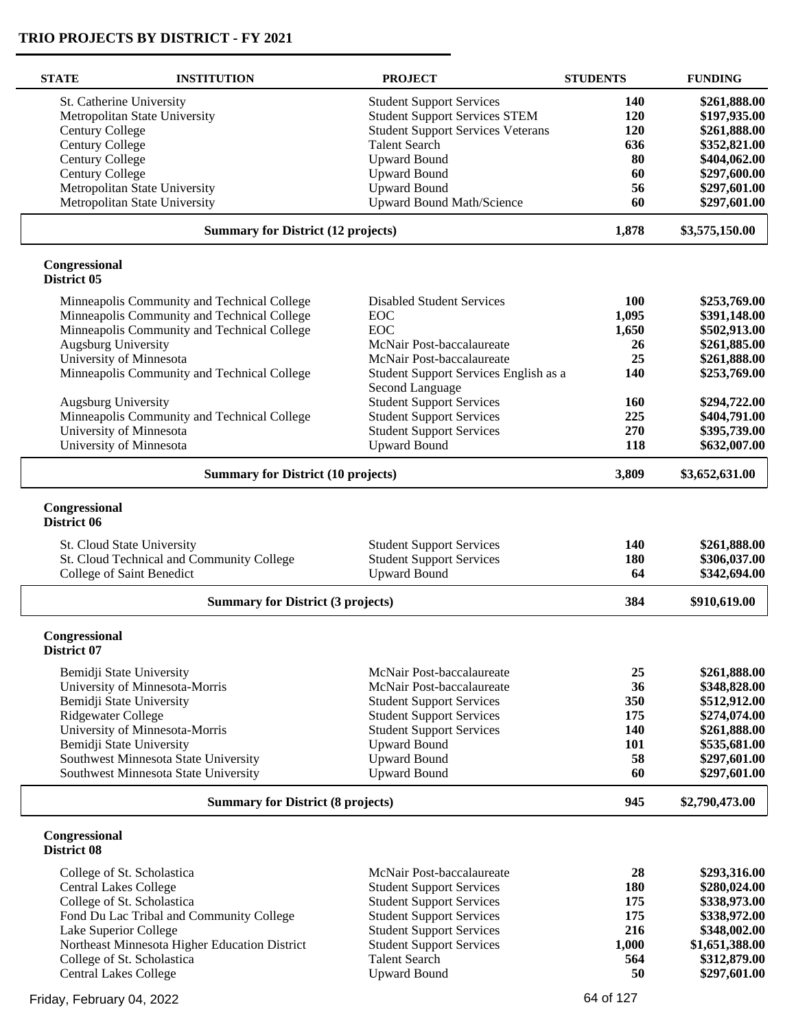| <b>STATE</b>                 | <b>INSTITUTION</b>                                                     | <b>PROJECT</b>                                                     | <b>STUDENTS</b> | <b>FUNDING</b>               |
|------------------------------|------------------------------------------------------------------------|--------------------------------------------------------------------|-----------------|------------------------------|
| St. Catherine University     |                                                                        | <b>Student Support Services</b>                                    | <b>140</b>      | \$261,888.00                 |
|                              | Metropolitan State University                                          | <b>Student Support Services STEM</b>                               | 120             | \$197,935.00                 |
| <b>Century College</b>       |                                                                        | <b>Student Support Services Veterans</b>                           | 120             | \$261,888.00                 |
| <b>Century College</b>       |                                                                        | <b>Talent Search</b>                                               | 636             | \$352,821.00                 |
| <b>Century College</b>       |                                                                        | <b>Upward Bound</b>                                                | 80              | \$404,062.00                 |
| <b>Century College</b>       |                                                                        | <b>Upward Bound</b>                                                | 60              | \$297,600.00                 |
|                              | Metropolitan State University                                          | <b>Upward Bound</b>                                                | 56              | \$297,601.00                 |
|                              | Metropolitan State University                                          | <b>Upward Bound Math/Science</b>                                   | 60              | \$297,601.00                 |
|                              | <b>Summary for District (12 projects)</b>                              |                                                                    | 1,878           | \$3,575,150.00               |
| Congressional<br>District 05 |                                                                        |                                                                    |                 |                              |
|                              | Minneapolis Community and Technical College                            | <b>Disabled Student Services</b>                                   | <b>100</b>      | \$253,769.00                 |
|                              | Minneapolis Community and Technical College                            | EOC                                                                | 1,095           | \$391,148.00                 |
|                              | Minneapolis Community and Technical College                            | <b>EOC</b>                                                         | 1,650           | \$502,913.00                 |
| <b>Augsburg University</b>   |                                                                        | McNair Post-baccalaureate                                          | 26              | \$261,885.00                 |
|                              | University of Minnesota                                                | McNair Post-baccalaureate                                          | 25              | \$261,888.00                 |
|                              | Minneapolis Community and Technical College                            | Student Support Services English as a                              | 140             | \$253,769.00                 |
|                              |                                                                        | Second Language                                                    |                 |                              |
| Augsburg University          |                                                                        | <b>Student Support Services</b>                                    | 160<br>225      | \$294,722.00<br>\$404,791.00 |
|                              | Minneapolis Community and Technical College<br>University of Minnesota | <b>Student Support Services</b><br><b>Student Support Services</b> | 270             | \$395,739.00                 |
|                              | University of Minnesota                                                | <b>Upward Bound</b>                                                | 118             | \$632,007.00                 |
|                              |                                                                        |                                                                    |                 |                              |
|                              | <b>Summary for District (10 projects)</b>                              |                                                                    | 3,809           | \$3,652,631.00               |
| Congressional<br>District 06 |                                                                        |                                                                    |                 |                              |
|                              | St. Cloud State University                                             | <b>Student Support Services</b>                                    | 140             | \$261,888.00                 |
|                              | St. Cloud Technical and Community College                              | <b>Student Support Services</b>                                    | 180             | \$306,037.00                 |
|                              | College of Saint Benedict                                              | <b>Upward Bound</b>                                                | 64              | \$342,694.00                 |
|                              | <b>Summary for District (3 projects)</b>                               |                                                                    | 384             | \$910,619.00                 |
| Congressional<br>District 07 |                                                                        |                                                                    |                 |                              |
|                              | Bemidji State University                                               | McNair Post-baccalaureate                                          | 25              | \$261,888.00                 |
|                              | University of Minnesota-Morris                                         | McNair Post-baccalaureate                                          | 36              | \$348,828.00                 |
|                              | Bemidji State University                                               | <b>Student Support Services</b>                                    | 350             | \$512,912.00                 |
| Ridgewater College           |                                                                        | <b>Student Support Services</b>                                    | 175             | \$274,074.00                 |
|                              | University of Minnesota-Morris                                         | <b>Student Support Services</b>                                    | 140             | \$261,888.00                 |
|                              | Bemidji State University                                               | <b>Upward Bound</b>                                                | 101             | \$535,681.00                 |
|                              | Southwest Minnesota State University                                   | <b>Upward Bound</b>                                                | 58              | \$297,601.00                 |
|                              | Southwest Minnesota State University                                   | <b>Upward Bound</b>                                                | 60              | \$297,601.00                 |
|                              | <b>Summary for District (8 projects)</b>                               |                                                                    | 945             | \$2,790,473.00               |
| Congressional<br>District 08 |                                                                        |                                                                    |                 |                              |
|                              | College of St. Scholastica                                             | McNair Post-baccalaureate                                          | 28              | \$293,316.00                 |
| <b>Central Lakes College</b> |                                                                        | <b>Student Support Services</b>                                    | <b>180</b>      | \$280,024.00                 |
|                              | College of St. Scholastica                                             | <b>Student Support Services</b>                                    | 175             | \$338,973.00                 |
|                              | Fond Du Lac Tribal and Community College                               | <b>Student Support Services</b>                                    | 175             | \$338,972.00                 |
| Lake Superior College        |                                                                        | <b>Student Support Services</b>                                    | 216             | \$348,002.00                 |
|                              | Northeast Minnesota Higher Education District                          | <b>Student Support Services</b>                                    | 1,000           | \$1,651,388.00               |
|                              | College of St. Scholastica                                             | <b>Talent Search</b>                                               | 564             | \$312,879.00                 |
| <b>Central Lakes College</b> |                                                                        | <b>Upward Bound</b>                                                | 50              | \$297,601.00                 |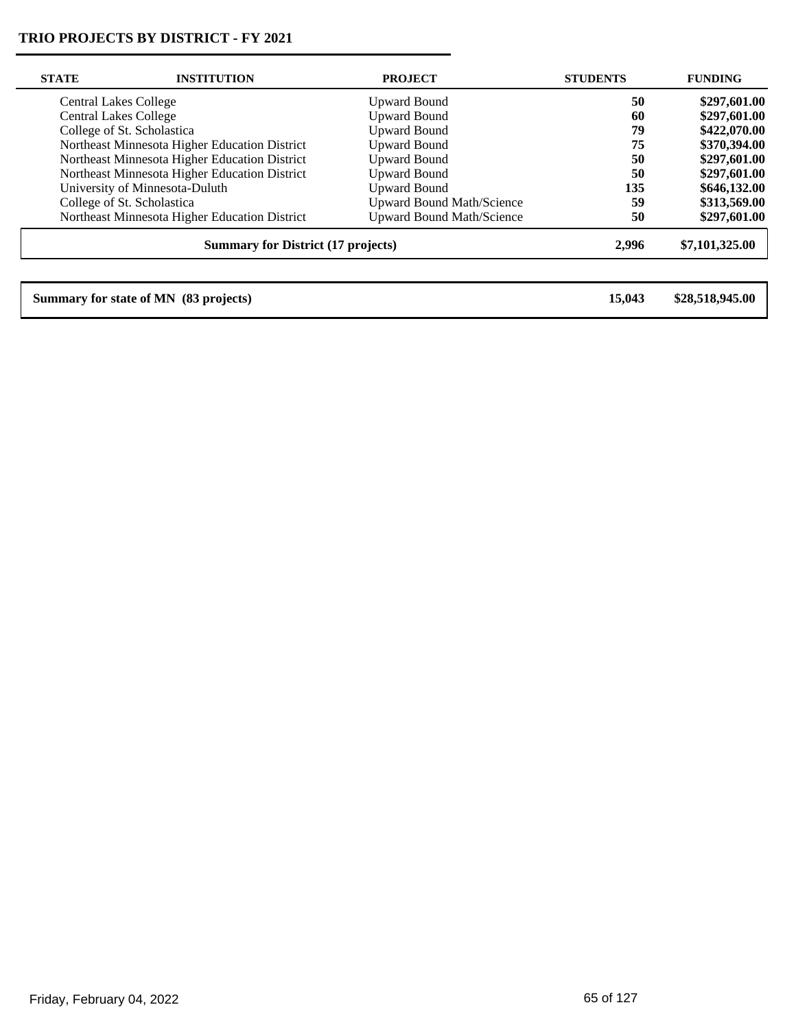$\overline{\phantom{0}}$ 

| <b>STATE</b> | <b>INSTITUTION</b>                            | <b>PROJECT</b>                   | <b>STUDENTS</b> | <b>FUNDING</b>  |
|--------------|-----------------------------------------------|----------------------------------|-----------------|-----------------|
|              | <b>Central Lakes College</b>                  | <b>Upward Bound</b>              | 50              | \$297,601.00    |
|              | <b>Central Lakes College</b>                  | <b>Upward Bound</b>              | 60              | \$297,601.00    |
|              | College of St. Scholastica                    | <b>Upward Bound</b>              | 79              | \$422,070.00    |
|              | Northeast Minnesota Higher Education District | <b>Upward Bound</b>              | 75              | \$370,394.00    |
|              | Northeast Minnesota Higher Education District | <b>Upward Bound</b>              | 50              | \$297,601.00    |
|              | Northeast Minnesota Higher Education District | <b>Upward Bound</b>              | 50              | \$297,601.00    |
|              | University of Minnesota-Duluth                | <b>Upward Bound</b>              | 135             | \$646,132.00    |
|              | College of St. Scholastica                    | <b>Upward Bound Math/Science</b> | 59              | \$313,569.00    |
|              | Northeast Minnesota Higher Education District | <b>Upward Bound Math/Science</b> | 50              | \$297,601.00    |
|              | <b>Summary for District (17 projects)</b>     |                                  | 2,996           | \$7,101,325.00  |
|              |                                               |                                  |                 |                 |
|              | Summary for state of MN (83 projects)         |                                  | 15,043          | \$28,518,945.00 |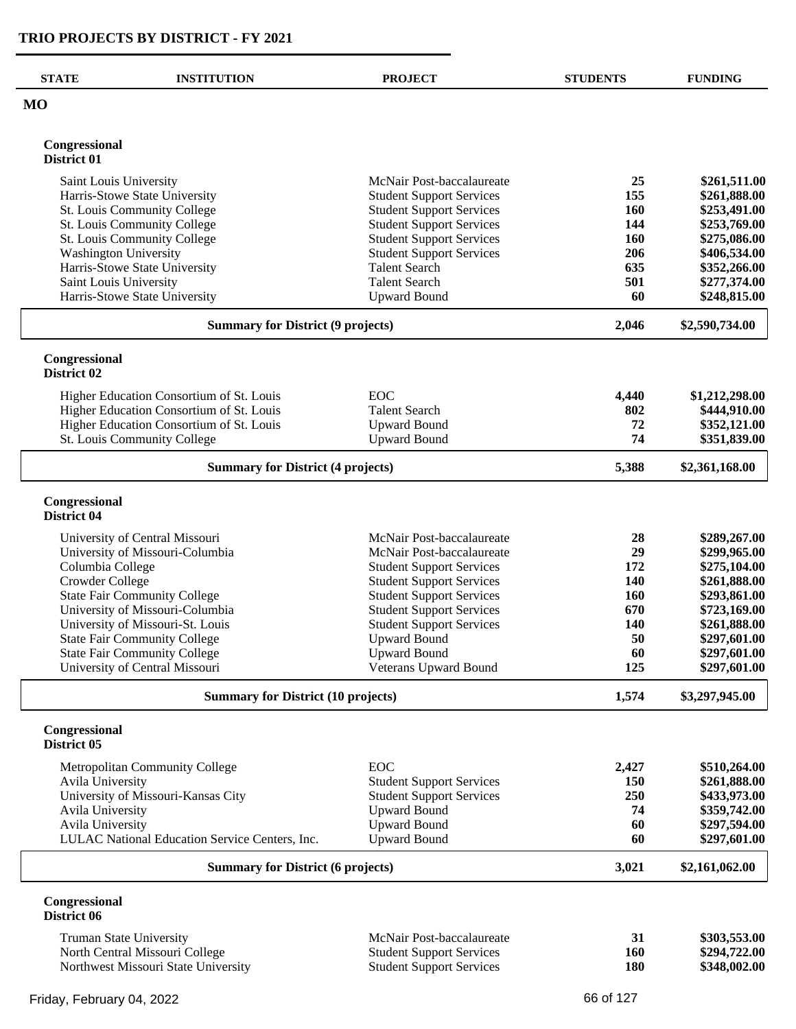| <b>STATE</b>                 | <b>INSTITUTION</b>                             | <b>PROJECT</b>                              | <b>STUDENTS</b> | <b>FUNDING</b>               |
|------------------------------|------------------------------------------------|---------------------------------------------|-----------------|------------------------------|
| <b>MO</b>                    |                                                |                                             |                 |                              |
| Congressional<br>District 01 |                                                |                                             |                 |                              |
| Saint Louis University       |                                                | McNair Post-baccalaureate                   | 25              | \$261,511.00                 |
|                              | Harris-Stowe State University                  | <b>Student Support Services</b>             | 155             | \$261,888.00                 |
|                              | St. Louis Community College                    | <b>Student Support Services</b>             | <b>160</b>      | \$253,491.00                 |
|                              | St. Louis Community College                    | <b>Student Support Services</b>             | 144             | \$253,769.00                 |
|                              | St. Louis Community College                    | <b>Student Support Services</b>             | 160             | \$275,086.00                 |
| <b>Washington University</b> |                                                | <b>Student Support Services</b>             | 206             | \$406,534.00                 |
|                              | Harris-Stowe State University                  | <b>Talent Search</b>                        | 635             | \$352,266.00                 |
| Saint Louis University       | Harris-Stowe State University                  | <b>Talent Search</b><br><b>Upward Bound</b> | 501<br>60       | \$277,374.00<br>\$248,815.00 |
|                              | <b>Summary for District (9 projects)</b>       |                                             | 2,046           | \$2,590,734.00               |
|                              |                                                |                                             |                 |                              |
| Congressional<br>District 02 |                                                |                                             |                 |                              |
|                              | Higher Education Consortium of St. Louis       | EOC                                         | 4,440           | \$1,212,298.00               |
|                              | Higher Education Consortium of St. Louis       | <b>Talent Search</b>                        | 802             | \$444,910.00                 |
|                              | Higher Education Consortium of St. Louis       | <b>Upward Bound</b>                         | 72              | \$352,121.00                 |
|                              | St. Louis Community College                    | <b>Upward Bound</b>                         | 74              | \$351,839.00                 |
|                              | <b>Summary for District (4 projects)</b>       |                                             | 5,388           | \$2,361,168.00               |
| Congressional<br>District 04 |                                                |                                             |                 |                              |
|                              | University of Central Missouri                 | McNair Post-baccalaureate                   | 28              | \$289,267.00                 |
|                              | University of Missouri-Columbia                | McNair Post-baccalaureate                   | 29              | \$299,965.00                 |
| Columbia College             |                                                | <b>Student Support Services</b>             | 172             | \$275,104.00                 |
| Crowder College              |                                                | <b>Student Support Services</b>             | 140             | \$261,888.00                 |
|                              | <b>State Fair Community College</b>            | <b>Student Support Services</b>             | 160             | \$293,861.00                 |
|                              | University of Missouri-Columbia                | <b>Student Support Services</b>             | 670             | \$723,169.00                 |
|                              | University of Missouri-St. Louis               | <b>Student Support Services</b>             | 140             | \$261,888.00                 |
|                              | <b>State Fair Community College</b>            | <b>Upward Bound</b>                         | 50              | \$297,601.00                 |
|                              | <b>State Fair Community College</b>            | <b>Upward Bound</b>                         | 60              | \$297,601.00                 |
|                              | University of Central Missouri                 | Veterans Upward Bound                       | 125             | \$297,601.00                 |
|                              | <b>Summary for District (10 projects)</b>      |                                             | 1,574           | \$3,297,945.00               |
| Congressional<br>District 05 |                                                |                                             |                 |                              |
|                              | Metropolitan Community College                 | EOC                                         | 2,427           | \$510,264.00                 |
| <b>Avila University</b>      |                                                | <b>Student Support Services</b>             | 150             | \$261,888.00                 |
|                              | University of Missouri-Kansas City             | <b>Student Support Services</b>             | 250             | \$433,973.00                 |
| <b>Avila University</b>      |                                                | <b>Upward Bound</b>                         | 74              | \$359,742.00                 |
| Avila University             |                                                | <b>Upward Bound</b>                         | 60              | \$297,594.00                 |
|                              | LULAC National Education Service Centers, Inc. | <b>Upward Bound</b>                         | 60              | \$297,601.00                 |
|                              | <b>Summary for District (6 projects)</b>       |                                             | 3,021           | \$2,161,062.00               |
| Congressional<br>District 06 |                                                |                                             |                 |                              |
|                              | Truman State University                        | McNair Post-baccalaureate                   | 31              | \$303,553.00                 |
|                              | North Central Missouri College                 | <b>Student Support Services</b>             | 160             | \$294,722.00                 |
|                              | Northwest Missouri State University            | <b>Student Support Services</b>             | <b>180</b>      | \$348,002.00                 |
|                              |                                                |                                             |                 |                              |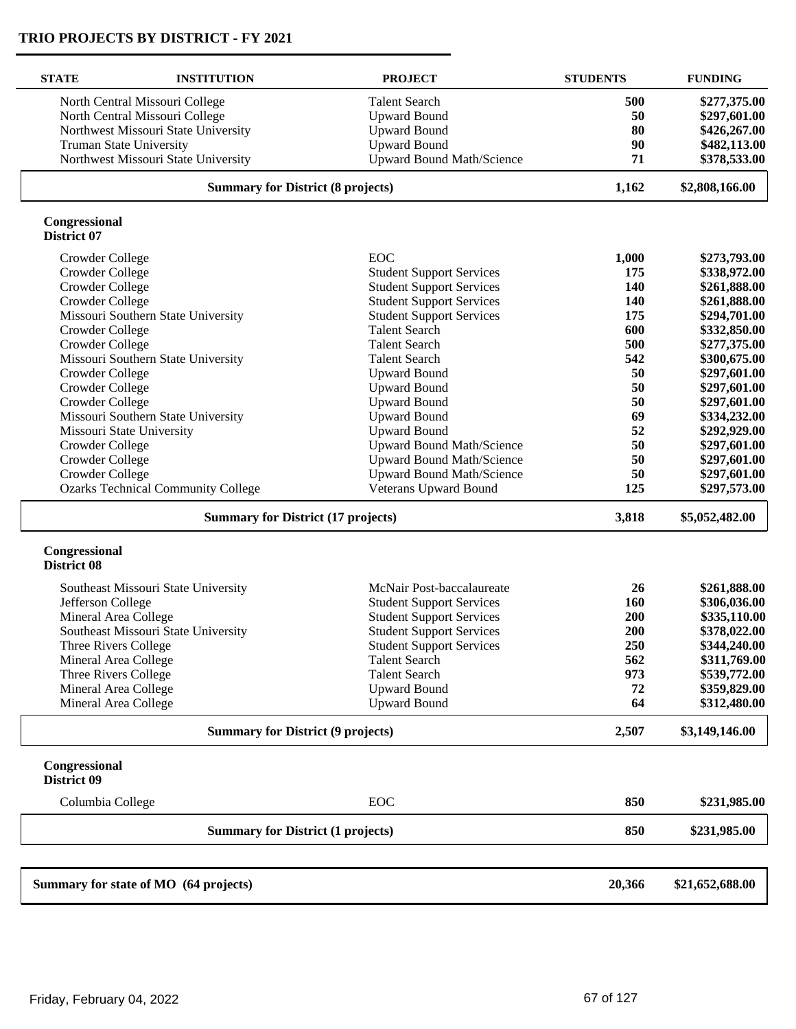| <b>STATE</b>                        | <b>INSTITUTION</b>                        | <b>PROJECT</b>                   | <b>STUDENTS</b> | <b>FUNDING</b>  |
|-------------------------------------|-------------------------------------------|----------------------------------|-----------------|-----------------|
|                                     | North Central Missouri College            | <b>Talent Search</b>             | 500             | \$277,375.00    |
|                                     | North Central Missouri College            | <b>Upward Bound</b>              | 50              | \$297,601.00    |
|                                     | Northwest Missouri State University       | <b>Upward Bound</b>              | 80              | \$426,267.00    |
| <b>Truman State University</b>      |                                           | <b>Upward Bound</b>              | 90              | \$482,113.00    |
|                                     | Northwest Missouri State University       | <b>Upward Bound Math/Science</b> | 71              | \$378,533.00    |
|                                     | <b>Summary for District (8 projects)</b>  |                                  | 1,162           | \$2,808,166.00  |
| Congressional<br>District 07        |                                           |                                  |                 |                 |
| Crowder College                     |                                           | EOC                              | 1,000           | \$273,793.00    |
| Crowder College                     |                                           | <b>Student Support Services</b>  | 175             | \$338,972.00    |
| Crowder College                     |                                           | <b>Student Support Services</b>  | 140             | \$261,888.00    |
| Crowder College                     |                                           | <b>Student Support Services</b>  | 140             | \$261,888.00    |
|                                     | Missouri Southern State University        | <b>Student Support Services</b>  | 175             | \$294,701.00    |
| Crowder College                     |                                           | <b>Talent Search</b>             | 600             | \$332,850.00    |
| Crowder College                     |                                           | <b>Talent Search</b>             | 500             | \$277,375.00    |
|                                     | Missouri Southern State University        | <b>Talent Search</b>             | 542             | \$300,675.00    |
| Crowder College                     |                                           | <b>Upward Bound</b>              | 50              | \$297,601.00    |
| Crowder College                     |                                           | <b>Upward Bound</b>              | 50              | \$297,601.00    |
| Crowder College                     |                                           | <b>Upward Bound</b>              | 50              | \$297,601.00    |
|                                     | Missouri Southern State University        | <b>Upward Bound</b>              | 69              | \$334,232.00    |
| Missouri State University           |                                           | <b>Upward Bound</b>              | 52              | \$292,929.00    |
| Crowder College                     |                                           | Upward Bound Math/Science        | 50              | \$297,601.00    |
| Crowder College                     |                                           | Upward Bound Math/Science        | 50              | \$297,601.00    |
| Crowder College                     |                                           | <b>Upward Bound Math/Science</b> | 50              | \$297,601.00    |
|                                     | <b>Ozarks Technical Community College</b> | Veterans Upward Bound            | 125             | \$297,573.00    |
|                                     | <b>Summary for District (17 projects)</b> |                                  | 3,818           | \$5,052,482.00  |
| Congressional<br><b>District 08</b> |                                           |                                  |                 |                 |
|                                     | Southeast Missouri State University       | McNair Post-baccalaureate        | 26              | \$261,888.00    |
| Jefferson College                   |                                           | <b>Student Support Services</b>  | 160             | \$306,036.00    |
| Mineral Area College                |                                           | <b>Student Support Services</b>  | 200             | \$335,110.00    |
|                                     | Southeast Missouri State University       | <b>Student Support Services</b>  | 200             | \$378,022.00    |
| Three Rivers College                |                                           | <b>Student Support Services</b>  | 250             | \$344,240.00    |
| Mineral Area College                |                                           | <b>Talent Search</b>             | 562             | \$311,769.00    |
| Three Rivers College                |                                           | <b>Talent Search</b>             | 973             | \$539,772.00    |
| Mineral Area College                |                                           | <b>Upward Bound</b>              | 72              | \$359,829.00    |
| Mineral Area College                |                                           | <b>Upward Bound</b>              | 64              | \$312,480.00    |
|                                     | <b>Summary for District (9 projects)</b>  |                                  | 2,507           | \$3,149,146.00  |
| Congressional<br>District 09        |                                           |                                  |                 |                 |
| Columbia College                    |                                           | EOC                              | 850             | \$231,985.00    |
|                                     | <b>Summary for District (1 projects)</b>  |                                  | 850             | \$231,985.00    |
|                                     | Summary for state of MO (64 projects)     |                                  | 20,366          | \$21,652,688.00 |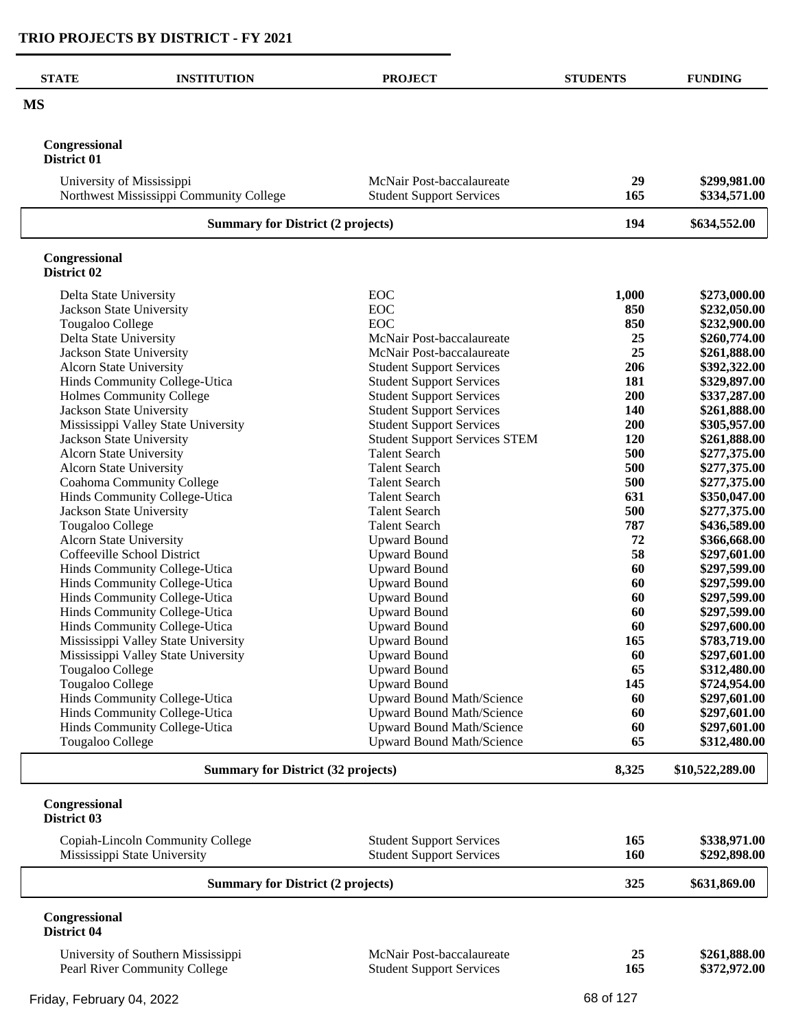| <b>STATE</b>                   | <b>INSTITUTION</b>                                               | <b>PROJECT</b>                                                       | <b>STUDENTS</b> | <b>FUNDING</b>               |
|--------------------------------|------------------------------------------------------------------|----------------------------------------------------------------------|-----------------|------------------------------|
| <b>MS</b>                      |                                                                  |                                                                      |                 |                              |
| Congressional<br>District 01   |                                                                  |                                                                      |                 |                              |
| University of Mississippi      | Northwest Mississippi Community College                          | McNair Post-baccalaureate<br><b>Student Support Services</b>         | 29<br>165       | \$299,981.00<br>\$334,571.00 |
|                                | <b>Summary for District (2 projects)</b>                         |                                                                      | 194             | \$634,552.00                 |
| Congressional<br>District 02   |                                                                  |                                                                      |                 |                              |
| Delta State University         |                                                                  | <b>EOC</b>                                                           | 1,000           | \$273,000.00                 |
| Jackson State University       |                                                                  | <b>EOC</b>                                                           | 850             | \$232,050.00                 |
| Tougaloo College               |                                                                  | <b>EOC</b>                                                           | 850             | \$232,900.00                 |
| Delta State University         |                                                                  | McNair Post-baccalaureate                                            | 25              | \$260,774.00                 |
| Jackson State University       |                                                                  | McNair Post-baccalaureate                                            | 25              | \$261,888.00                 |
| <b>Alcorn State University</b> |                                                                  | <b>Student Support Services</b>                                      | 206             | \$392,322.00<br>\$329,897.00 |
|                                | Hinds Community College-Utica<br>Holmes Community College        | <b>Student Support Services</b><br><b>Student Support Services</b>   | 181<br>200      | \$337,287.00                 |
| Jackson State University       |                                                                  | <b>Student Support Services</b>                                      | 140             | \$261,888.00                 |
|                                | Mississippi Valley State University                              | <b>Student Support Services</b>                                      | 200             | \$305,957.00                 |
| Jackson State University       |                                                                  | <b>Student Support Services STEM</b>                                 | 120             | \$261,888.00                 |
| <b>Alcorn State University</b> |                                                                  | <b>Talent Search</b>                                                 | 500             | \$277,375.00                 |
| Alcorn State University        |                                                                  | <b>Talent Search</b>                                                 | 500             | \$277,375.00                 |
|                                | Coahoma Community College                                        | <b>Talent Search</b>                                                 | 500             | \$277,375.00                 |
|                                | Hinds Community College-Utica                                    | <b>Talent Search</b>                                                 | 631             | \$350,047.00                 |
| Jackson State University       |                                                                  | <b>Talent Search</b>                                                 | 500             | \$277,375.00                 |
| Tougaloo College               |                                                                  | <b>Talent Search</b>                                                 | 787             | \$436,589.00                 |
| Alcorn State University        |                                                                  | <b>Upward Bound</b>                                                  | 72              | \$366,668.00                 |
|                                | Coffeeville School District                                      | <b>Upward Bound</b>                                                  | 58              | \$297,601.00                 |
|                                | Hinds Community College-Utica                                    | <b>Upward Bound</b>                                                  | 60<br>60        | \$297,599.00                 |
|                                | Hinds Community College-Utica<br>Hinds Community College-Utica   | <b>Upward Bound</b><br><b>Upward Bound</b>                           | 60              | \$297,599.00<br>\$297,599.00 |
|                                | Hinds Community College-Utica                                    | <b>Upward Bound</b>                                                  | 60              | \$297,599.00                 |
|                                | Hinds Community College-Utica                                    | <b>Upward Bound</b>                                                  | 60              | \$297,600.00                 |
|                                | Mississippi Valley State University                              | <b>Upward Bound</b>                                                  | 165             | \$783,719.00                 |
|                                | Mississippi Valley State University                              | <b>Upward Bound</b>                                                  | 60              | \$297,601.00                 |
| Tougaloo College               |                                                                  | <b>Upward Bound</b>                                                  | 65              | \$312,480.00                 |
| Tougaloo College               |                                                                  | <b>Upward Bound</b>                                                  | 145             | \$724,954.00                 |
|                                | Hinds Community College-Utica                                    | <b>Upward Bound Math/Science</b>                                     | 60              | \$297,601.00                 |
|                                | Hinds Community College-Utica                                    | <b>Upward Bound Math/Science</b>                                     | 60              | \$297,601.00                 |
| Tougaloo College               | Hinds Community College-Utica                                    | <b>Upward Bound Math/Science</b><br><b>Upward Bound Math/Science</b> | 60<br>65        | \$297,601.00<br>\$312,480.00 |
|                                | <b>Summary for District (32 projects)</b>                        |                                                                      | 8,325           | \$10,522,289.00              |
| Congressional<br>District 03   |                                                                  |                                                                      |                 |                              |
|                                |                                                                  |                                                                      |                 |                              |
|                                | Copiah-Lincoln Community College<br>Mississippi State University | <b>Student Support Services</b><br><b>Student Support Services</b>   | 165<br>160      | \$338,971.00<br>\$292,898.00 |
|                                | <b>Summary for District (2 projects)</b>                         |                                                                      | 325             | \$631,869.00                 |
| Congressional                  |                                                                  |                                                                      |                 |                              |
| District 04                    |                                                                  |                                                                      |                 |                              |
|                                | University of Southern Mississippi                               | McNair Post-baccalaureate                                            | 25              | \$261,888.00                 |
|                                | Pearl River Community College                                    | <b>Student Support Services</b>                                      | 165             | \$372,972.00                 |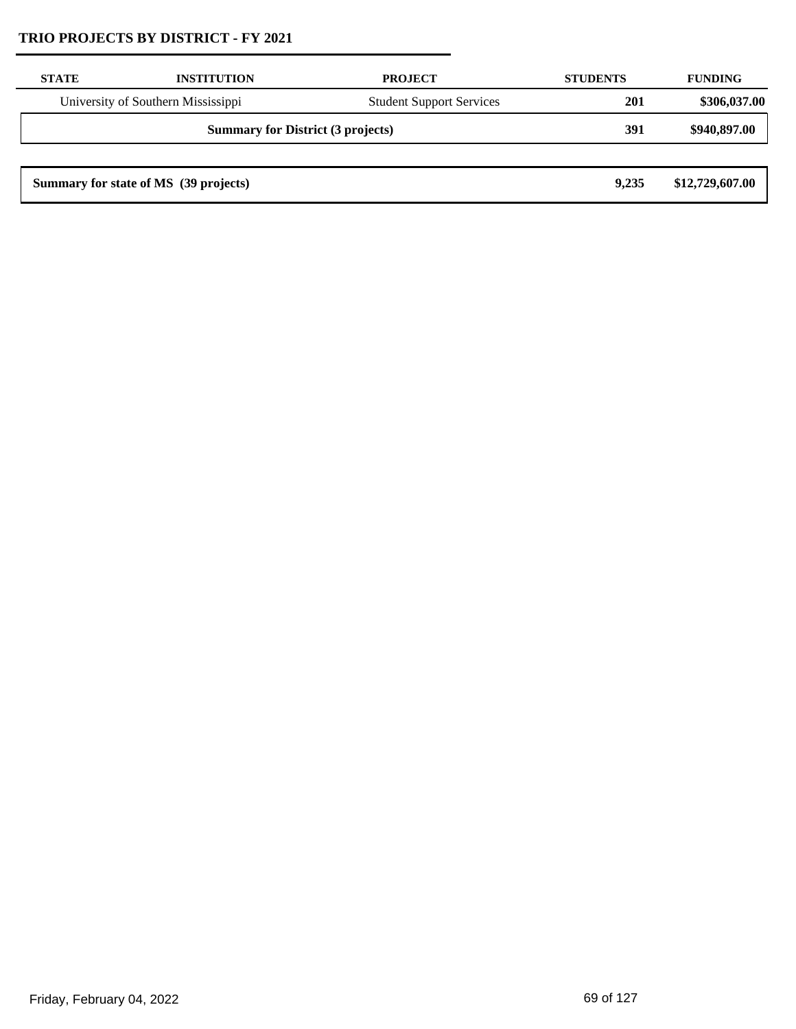| <b>STATE</b>                             | <b>INSTITUTION</b>                    | <b>PROJECT</b>                  | <b>STUDENTS</b> | <b>FUNDING</b>  |
|------------------------------------------|---------------------------------------|---------------------------------|-----------------|-----------------|
|                                          | University of Southern Mississippi    | <b>Student Support Services</b> | 201             | \$306,037.00    |
| <b>Summary for District (3 projects)</b> |                                       |                                 | 391             | \$940,897.00    |
|                                          |                                       |                                 |                 |                 |
|                                          | Summary for state of MS (39 projects) |                                 | 9.235           | \$12,729,607.00 |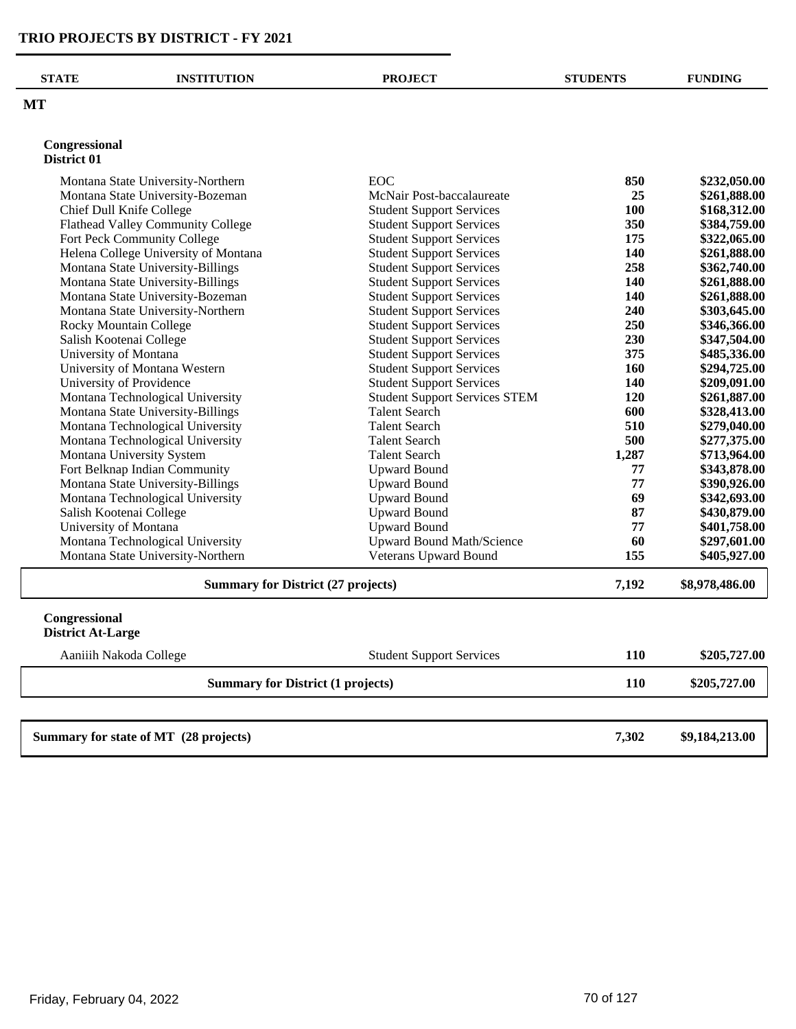$\overline{\phantom{0}}$ 

| <b>STATE</b>                              | <b>INSTITUTION</b>                    | <b>PROJECT</b>                       | <b>STUDENTS</b> | <b>FUNDING</b> |
|-------------------------------------------|---------------------------------------|--------------------------------------|-----------------|----------------|
| MT                                        |                                       |                                      |                 |                |
| Congressional                             |                                       |                                      |                 |                |
| District 01                               |                                       |                                      |                 |                |
|                                           | Montana State University-Northern     | EOC                                  | 850             | \$232,050.00   |
|                                           | Montana State University-Bozeman      | McNair Post-baccalaureate            | 25              | \$261,888.00   |
|                                           | Chief Dull Knife College              | <b>Student Support Services</b>      | 100             | \$168,312.00   |
|                                           | Flathead Valley Community College     | <b>Student Support Services</b>      | 350             | \$384,759.00   |
|                                           | Fort Peck Community College           | <b>Student Support Services</b>      | 175             | \$322,065.00   |
|                                           | Helena College University of Montana  | <b>Student Support Services</b>      | 140             | \$261,888.00   |
|                                           | Montana State University-Billings     | <b>Student Support Services</b>      | 258             | \$362,740.00   |
|                                           | Montana State University-Billings     | <b>Student Support Services</b>      | 140             | \$261,888.00   |
|                                           | Montana State University-Bozeman      | <b>Student Support Services</b>      | 140             | \$261,888.00   |
|                                           | Montana State University-Northern     | <b>Student Support Services</b>      | 240             | \$303,645.00   |
|                                           | Rocky Mountain College                | <b>Student Support Services</b>      | 250             | \$346,366.00   |
| Salish Kootenai College                   |                                       | <b>Student Support Services</b>      | 230             | \$347,504.00   |
| University of Montana                     |                                       | <b>Student Support Services</b>      | 375             | \$485,336.00   |
|                                           | University of Montana Western         | <b>Student Support Services</b>      | 160             | \$294,725.00   |
|                                           | University of Providence              | <b>Student Support Services</b>      | 140             | \$209,091.00   |
|                                           | Montana Technological University      | <b>Student Support Services STEM</b> | 120             | \$261,887.00   |
|                                           | Montana State University-Billings     | <b>Talent Search</b>                 | 600             | \$328,413.00   |
|                                           | Montana Technological University      | <b>Talent Search</b>                 | 510             | \$279,040.00   |
|                                           | Montana Technological University      | <b>Talent Search</b>                 | 500             | \$277,375.00   |
|                                           | Montana University System             | <b>Talent Search</b>                 | 1,287           | \$713,964.00   |
|                                           | Fort Belknap Indian Community         | <b>Upward Bound</b>                  | 77              | \$343,878.00   |
|                                           | Montana State University-Billings     | <b>Upward Bound</b>                  | 77              | \$390,926.00   |
|                                           | Montana Technological University      | <b>Upward Bound</b>                  | 69              | \$342,693.00   |
| Salish Kootenai College                   |                                       | <b>Upward Bound</b>                  | 87              | \$430,879.00   |
| University of Montana                     |                                       | <b>Upward Bound</b>                  | 77              | \$401,758.00   |
|                                           | Montana Technological University      | <b>Upward Bound Math/Science</b>     | 60              | \$297,601.00   |
|                                           | Montana State University-Northern     | Veterans Upward Bound                | 155             | \$405,927.00   |
| <b>Summary for District (27 projects)</b> |                                       |                                      | 7,192           | \$8,978,486.00 |
| Congressional<br><b>District At-Large</b> |                                       |                                      |                 |                |
|                                           |                                       |                                      |                 |                |
| Aaniiih Nakoda College                    |                                       | <b>Student Support Services</b>      | 110             | \$205,727.00   |
| <b>Summary for District (1 projects)</b>  |                                       |                                      | <b>110</b>      | \$205,727.00   |
|                                           |                                       |                                      |                 |                |
|                                           | Summary for state of MT (28 projects) |                                      | 7,302           | \$9,184,213.00 |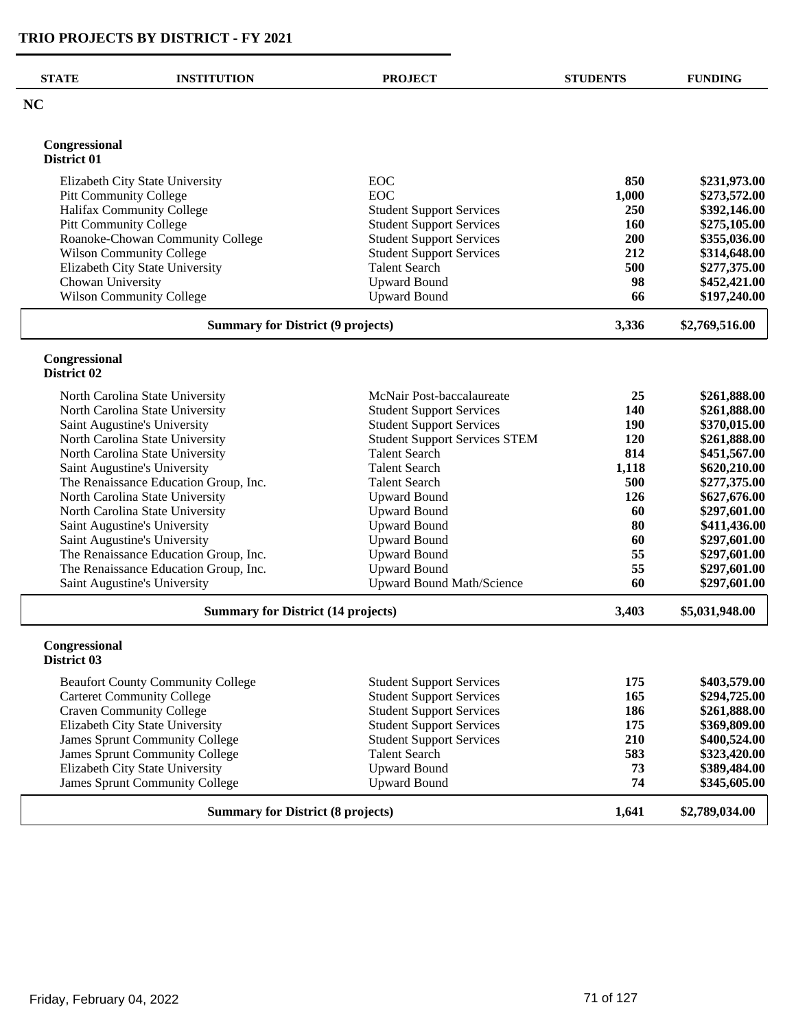| <b>STATE</b>                              | <b>INSTITUTION</b>                                                    | <b>PROJECT</b>                                                     | <b>STUDENTS</b> | <b>FUNDING</b>               |
|-------------------------------------------|-----------------------------------------------------------------------|--------------------------------------------------------------------|-----------------|------------------------------|
| NC                                        |                                                                       |                                                                    |                 |                              |
| Congressional<br>District 01              |                                                                       |                                                                    |                 |                              |
|                                           | Elizabeth City State University                                       | <b>EOC</b>                                                         | 850             | \$231,973.00                 |
|                                           | <b>Pitt Community College</b>                                         | <b>EOC</b>                                                         | 1,000           | \$273,572.00                 |
|                                           | Halifax Community College                                             | <b>Student Support Services</b>                                    | 250             | \$392,146.00                 |
|                                           | <b>Pitt Community College</b>                                         | <b>Student Support Services</b>                                    | 160             | \$275,105.00                 |
|                                           | Roanoke-Chowan Community College                                      | <b>Student Support Services</b>                                    | 200             | \$355,036.00                 |
|                                           | <b>Wilson Community College</b>                                       | <b>Student Support Services</b>                                    | 212             | \$314,648.00                 |
|                                           | Elizabeth City State University                                       | <b>Talent Search</b>                                               | 500             | \$277,375.00                 |
| Chowan University                         |                                                                       | <b>Upward Bound</b>                                                | 98              | \$452,421.00                 |
|                                           | <b>Wilson Community College</b>                                       | <b>Upward Bound</b>                                                | 66              | \$197,240.00                 |
|                                           | <b>Summary for District (9 projects)</b>                              |                                                                    | 3,336           | \$2,769,516.00               |
| Congressional<br>District 02              |                                                                       |                                                                    |                 |                              |
|                                           |                                                                       |                                                                    |                 |                              |
|                                           | North Carolina State University                                       | McNair Post-baccalaureate                                          | 25              | \$261,888.00                 |
|                                           | North Carolina State University                                       | <b>Student Support Services</b>                                    | 140             | \$261,888.00                 |
|                                           | Saint Augustine's University                                          | <b>Student Support Services</b>                                    | 190             | \$370,015.00                 |
|                                           | North Carolina State University                                       | <b>Student Support Services STEM</b>                               | 120             | \$261,888.00                 |
|                                           | North Carolina State University                                       | <b>Talent Search</b>                                               | 814             | \$451,567.00                 |
|                                           | Saint Augustine's University                                          | <b>Talent Search</b>                                               | 1,118<br>500    | \$620,210.00                 |
|                                           | The Renaissance Education Group, Inc.                                 | <b>Talent Search</b>                                               |                 | \$277,375.00                 |
|                                           | North Carolina State University                                       | <b>Upward Bound</b>                                                | 126             | \$627,676.00                 |
|                                           | North Carolina State University                                       | <b>Upward Bound</b>                                                | 60<br>80        | \$297,601.00<br>\$411,436.00 |
|                                           | Saint Augustine's University                                          | <b>Upward Bound</b><br><b>Upward Bound</b>                         | 60              | \$297,601.00                 |
|                                           | Saint Augustine's University<br>The Renaissance Education Group, Inc. | <b>Upward Bound</b>                                                | 55              | \$297,601.00                 |
|                                           | The Renaissance Education Group, Inc.                                 | <b>Upward Bound</b>                                                | 55              | \$297,601.00                 |
|                                           | Saint Augustine's University                                          | <b>Upward Bound Math/Science</b>                                   | 60              | \$297,601.00                 |
| <b>Summary for District (14 projects)</b> |                                                                       | 3,403                                                              | \$5,031,948.00  |                              |
| Congressional<br>District 03              |                                                                       |                                                                    |                 |                              |
|                                           | <b>Beaufort County Community College</b>                              | <b>Student Support Services</b>                                    | 175             | \$403,579.00                 |
|                                           |                                                                       |                                                                    | 165             |                              |
|                                           | <b>Carteret Community College</b><br><b>Craven Community College</b>  | <b>Student Support Services</b><br><b>Student Support Services</b> | 186             | \$294,725.00<br>\$261,888.00 |
|                                           | Elizabeth City State University                                       | <b>Student Support Services</b>                                    | 175             | \$369,809.00                 |
|                                           | James Sprunt Community College                                        | <b>Student Support Services</b>                                    | 210             | \$400,524.00                 |
|                                           | James Sprunt Community College                                        | <b>Talent Search</b>                                               | 583             | \$323,420.00                 |
|                                           | Elizabeth City State University                                       | <b>Upward Bound</b>                                                | 73              | \$389,484.00                 |
|                                           | <b>James Sprunt Community College</b>                                 | <b>Upward Bound</b>                                                | 74              | \$345,605.00                 |
|                                           | <b>Summary for District (8 projects)</b>                              |                                                                    | 1,641           | \$2,789,034.00               |
|                                           |                                                                       |                                                                    |                 |                              |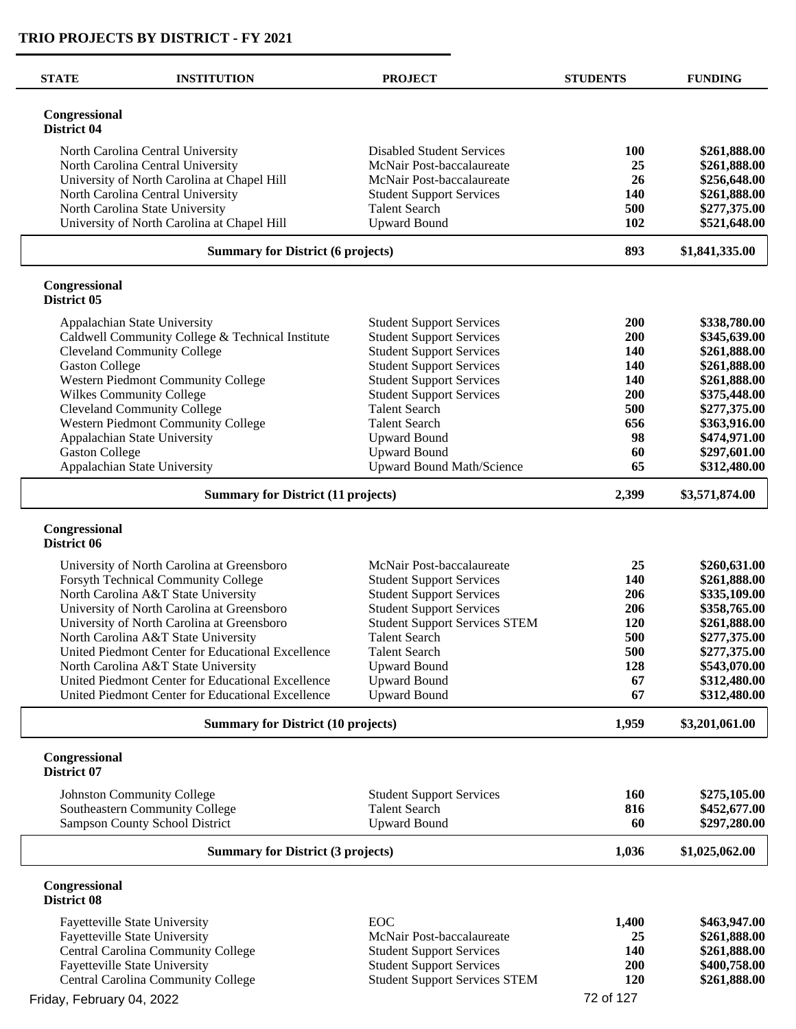$\overline{\phantom{0}}$ 

| <b>STATE</b>                              | <b>INSTITUTION</b>                                                         | <b>PROJECT</b>                                                     | <b>STUDENTS</b> | <b>FUNDING</b>               |
|-------------------------------------------|----------------------------------------------------------------------------|--------------------------------------------------------------------|-----------------|------------------------------|
| Congressional<br>District 04              |                                                                            |                                                                    |                 |                              |
|                                           | North Carolina Central University                                          | <b>Disabled Student Services</b>                                   | <b>100</b>      | \$261,888.00                 |
|                                           | North Carolina Central University                                          | McNair Post-baccalaureate                                          | 25              | \$261,888.00                 |
|                                           | University of North Carolina at Chapel Hill                                | McNair Post-baccalaureate                                          | 26              | \$256,648.00                 |
|                                           | North Carolina Central University                                          | <b>Student Support Services</b>                                    | <b>140</b>      | \$261,888.00                 |
|                                           | North Carolina State University                                            | <b>Talent Search</b>                                               | 500             | \$277,375.00                 |
|                                           | University of North Carolina at Chapel Hill                                | <b>Upward Bound</b>                                                | 102             | \$521,648.00                 |
|                                           | <b>Summary for District (6 projects)</b>                                   |                                                                    | 893             | \$1,841,335.00               |
| Congressional<br>District 05              |                                                                            |                                                                    |                 |                              |
|                                           | Appalachian State University                                               | <b>Student Support Services</b>                                    | 200             | \$338,780.00                 |
|                                           | Caldwell Community College & Technical Institute                           | <b>Student Support Services</b>                                    | 200             | \$345,639.00                 |
|                                           | <b>Cleveland Community College</b>                                         | <b>Student Support Services</b>                                    | <b>140</b>      | \$261,888.00                 |
| <b>Gaston College</b>                     |                                                                            | <b>Student Support Services</b>                                    | <b>140</b>      | \$261,888.00                 |
|                                           | Western Piedmont Community College                                         | <b>Student Support Services</b>                                    | 140             | \$261,888.00                 |
|                                           | Wilkes Community College                                                   | <b>Student Support Services</b>                                    | 200             | \$375,448.00                 |
|                                           | <b>Cleveland Community College</b>                                         | <b>Talent Search</b>                                               | 500             | \$277,375.00                 |
|                                           | Western Piedmont Community College                                         | <b>Talent Search</b>                                               | 656             | \$363,916.00                 |
|                                           | Appalachian State University                                               | <b>Upward Bound</b>                                                | 98              | \$474,971.00                 |
| <b>Gaston College</b>                     |                                                                            | <b>Upward Bound</b>                                                | 60              | \$297,601.00                 |
|                                           | Appalachian State University                                               | <b>Upward Bound Math/Science</b>                                   | 65              | \$312,480.00                 |
|                                           | <b>Summary for District (11 projects)</b>                                  |                                                                    | 2,399           | \$3,571,874.00               |
| Congressional<br>District 06              |                                                                            |                                                                    |                 |                              |
|                                           |                                                                            |                                                                    |                 |                              |
|                                           | University of North Carolina at Greensboro                                 | McNair Post-baccalaureate                                          | 25<br>140       | \$260,631.00                 |
|                                           | Forsyth Technical Community College<br>North Carolina A&T State University | <b>Student Support Services</b>                                    | 206             | \$261,888.00<br>\$335,109.00 |
|                                           | University of North Carolina at Greensboro                                 | <b>Student Support Services</b><br><b>Student Support Services</b> | 206             | \$358,765.00                 |
|                                           | University of North Carolina at Greensboro                                 | <b>Student Support Services STEM</b>                               | <b>120</b>      | \$261,888.00                 |
|                                           | North Carolina A&T State University                                        | <b>Talent Search</b>                                               | 500             | \$277,375.00                 |
|                                           | United Piedmont Center for Educational Excellence                          | <b>Talent Search</b>                                               | 500             | \$277,375.00                 |
|                                           | North Carolina A&T State University                                        | <b>Upward Bound</b>                                                | 128             | \$543,070.00                 |
|                                           | United Piedmont Center for Educational Excellence                          | <b>Upward Bound</b>                                                | 67              | \$312,480.00                 |
|                                           | United Piedmont Center for Educational Excellence                          | <b>Upward Bound</b>                                                | 67              | \$312,480.00                 |
|                                           |                                                                            |                                                                    |                 |                              |
| <b>Summary for District (10 projects)</b> |                                                                            |                                                                    | 1,959           | \$3,201,061.00               |
| Congressional<br>District 07              |                                                                            |                                                                    |                 |                              |
|                                           | <b>Johnston Community College</b>                                          | <b>Student Support Services</b>                                    | <b>160</b>      | \$275,105.00                 |
|                                           | Southeastern Community College                                             | <b>Talent Search</b>                                               | 816             | \$452,677.00                 |
|                                           | Sampson County School District                                             | <b>Upward Bound</b>                                                | 60              | \$297,280.00                 |
| <b>Summary for District (3 projects)</b>  |                                                                            |                                                                    | 1,036           | \$1,025,062.00               |
| Congressional<br>District 08              |                                                                            |                                                                    |                 |                              |
|                                           | Fayetteville State University                                              | EOC                                                                | 1,400           | \$463,947.00                 |
|                                           | Fayetteville State University                                              | McNair Post-baccalaureate                                          | 25              | \$261,888.00                 |
|                                           | Central Carolina Community College                                         | <b>Student Support Services</b>                                    | <b>140</b>      | \$261,888.00                 |
|                                           | Fayetteville State University                                              | <b>Student Support Services</b>                                    | 200             | \$400,758.00                 |
|                                           | Central Carolina Community College                                         | <b>Student Support Services STEM</b>                               | 120             | \$261,888.00                 |
|                                           |                                                                            |                                                                    | 72 of 127       |                              |
| Friday, February 04, 2022                 |                                                                            |                                                                    |                 |                              |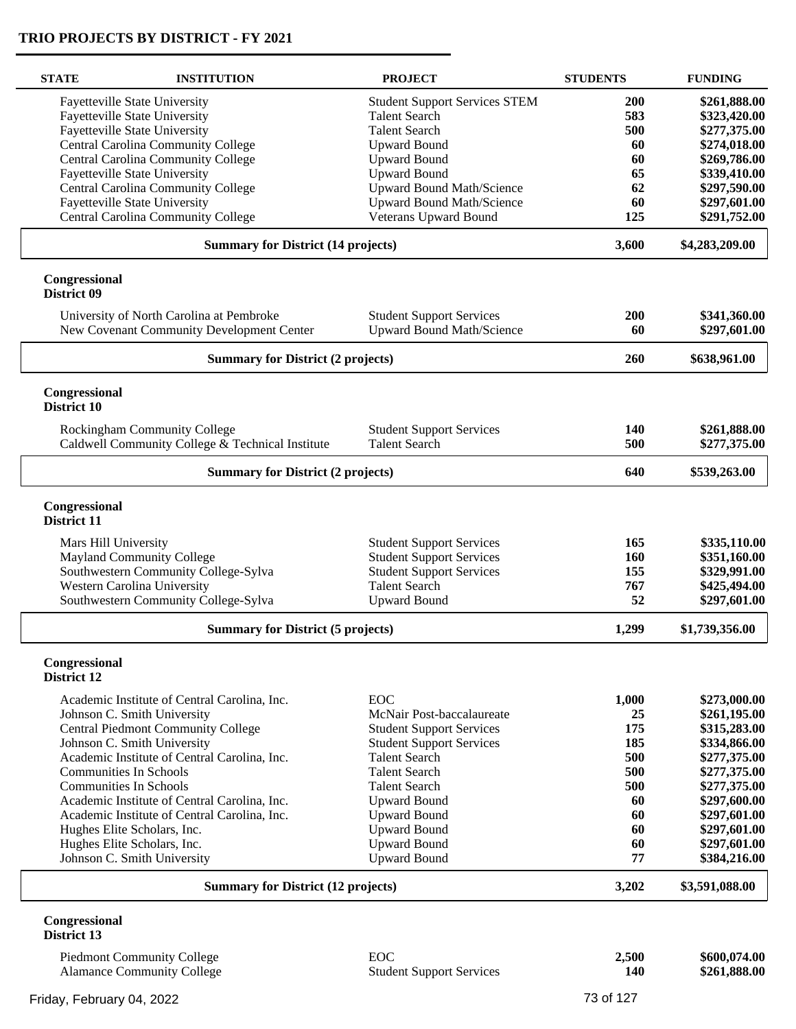| <b>STATE</b>                 | <b>INSTITUTION</b>                                         | <b>PROJECT</b>                             | <b>STUDENTS</b> | <b>FUNDING</b>               |
|------------------------------|------------------------------------------------------------|--------------------------------------------|-----------------|------------------------------|
|                              | <b>Fayetteville State University</b>                       | <b>Student Support Services STEM</b>       | 200             | \$261,888.00                 |
|                              | <b>Fayetteville State University</b>                       | <b>Talent Search</b>                       | 583             | \$323,420.00                 |
|                              |                                                            |                                            |                 |                              |
|                              | Fayetteville State University                              | <b>Talent Search</b>                       | 500             | \$277,375.00                 |
|                              | Central Carolina Community College                         | <b>Upward Bound</b>                        | 60              | \$274,018.00                 |
|                              | Central Carolina Community College                         | <b>Upward Bound</b>                        | 60              | \$269,786.00                 |
|                              | Fayetteville State University                              | <b>Upward Bound</b>                        | 65              | \$339,410.00                 |
|                              | Central Carolina Community College                         | Upward Bound Math/Science                  | 62              | \$297,590.00                 |
|                              | Fayetteville State University                              | <b>Upward Bound Math/Science</b>           | 60              | \$297,601.00                 |
|                              | Central Carolina Community College                         | Veterans Upward Bound                      | 125             | \$291,752.00                 |
|                              | <b>Summary for District (14 projects)</b>                  |                                            | 3,600           | \$4,283,209.00               |
| Congressional<br>District 09 |                                                            |                                            |                 |                              |
|                              | University of North Carolina at Pembroke                   | <b>Student Support Services</b>            | 200             | \$341,360.00                 |
|                              | New Covenant Community Development Center                  | <b>Upward Bound Math/Science</b>           | 60              | \$297,601.00                 |
|                              | <b>Summary for District (2 projects)</b>                   |                                            | 260             | \$638,961.00                 |
| Congressional                |                                                            |                                            |                 |                              |
| District 10                  |                                                            |                                            |                 |                              |
|                              | Rockingham Community College                               | <b>Student Support Services</b>            | 140             | \$261,888.00                 |
|                              | Caldwell Community College & Technical Institute           | <b>Talent Search</b>                       | 500             | \$277,375.00                 |
|                              | <b>Summary for District (2 projects)</b>                   |                                            |                 | \$539,263.00                 |
|                              |                                                            |                                            | 640             |                              |
| Congressional<br>District 11 |                                                            |                                            |                 |                              |
| Mars Hill University         |                                                            | <b>Student Support Services</b>            | 165             | \$335,110.00                 |
|                              | <b>Mayland Community College</b>                           | <b>Student Support Services</b>            | 160             | \$351,160.00                 |
|                              |                                                            |                                            |                 |                              |
|                              | Southwestern Community College-Sylva                       | <b>Student Support Services</b>            | 155             | \$329,991.00                 |
|                              | Western Carolina University                                | <b>Talent Search</b>                       | 767             | \$425,494.00                 |
|                              | Southwestern Community College-Sylva                       | <b>Upward Bound</b>                        | 52              | \$297,601.00                 |
|                              | <b>Summary for District (5 projects)</b>                   |                                            | 1,299           | \$1,739,356.00               |
| Congressional<br>District 12 |                                                            |                                            |                 |                              |
|                              |                                                            |                                            |                 |                              |
|                              | Academic Institute of Central Carolina, Inc.               | EOC                                        | 1,000           | \$273,000.00                 |
|                              | Johnson C. Smith University                                | McNair Post-baccalaureate                  | 25              | \$261,195.00                 |
|                              | <b>Central Piedmont Community College</b>                  | <b>Student Support Services</b>            | 175             | \$315,283.00                 |
|                              | Johnson C. Smith University                                | <b>Student Support Services</b>            | 185             | \$334,866.00                 |
|                              | Academic Institute of Central Carolina, Inc.               | <b>Talent Search</b>                       | 500             | \$277,375.00                 |
|                              | <b>Communities In Schools</b>                              | <b>Talent Search</b>                       | 500             | \$277,375.00                 |
|                              | <b>Communities In Schools</b>                              | <b>Talent Search</b>                       | 500             | \$277,375.00                 |
|                              | Academic Institute of Central Carolina, Inc.               | <b>Upward Bound</b>                        | 60              | \$297,600.00                 |
|                              | Academic Institute of Central Carolina, Inc.               | <b>Upward Bound</b>                        | 60              | \$297,601.00                 |
|                              | Hughes Elite Scholars, Inc.                                | <b>Upward Bound</b>                        | 60              | \$297,601.00                 |
|                              |                                                            |                                            |                 |                              |
|                              | Hughes Elite Scholars, Inc.<br>Johnson C. Smith University | <b>Upward Bound</b><br><b>Upward Bound</b> | 60<br>77        | \$297,601.00<br>\$384,216.00 |
|                              |                                                            |                                            |                 |                              |
|                              | <b>Summary for District (12 projects)</b>                  |                                            | 3,202           | \$3,591,088.00               |
| Congressional                |                                                            |                                            |                 |                              |
| District 13                  |                                                            |                                            |                 |                              |

Piedmont Community College **EOC 2,500 \$600,074.00** Alamance Community College Student Support Services **140 \$261,888.00**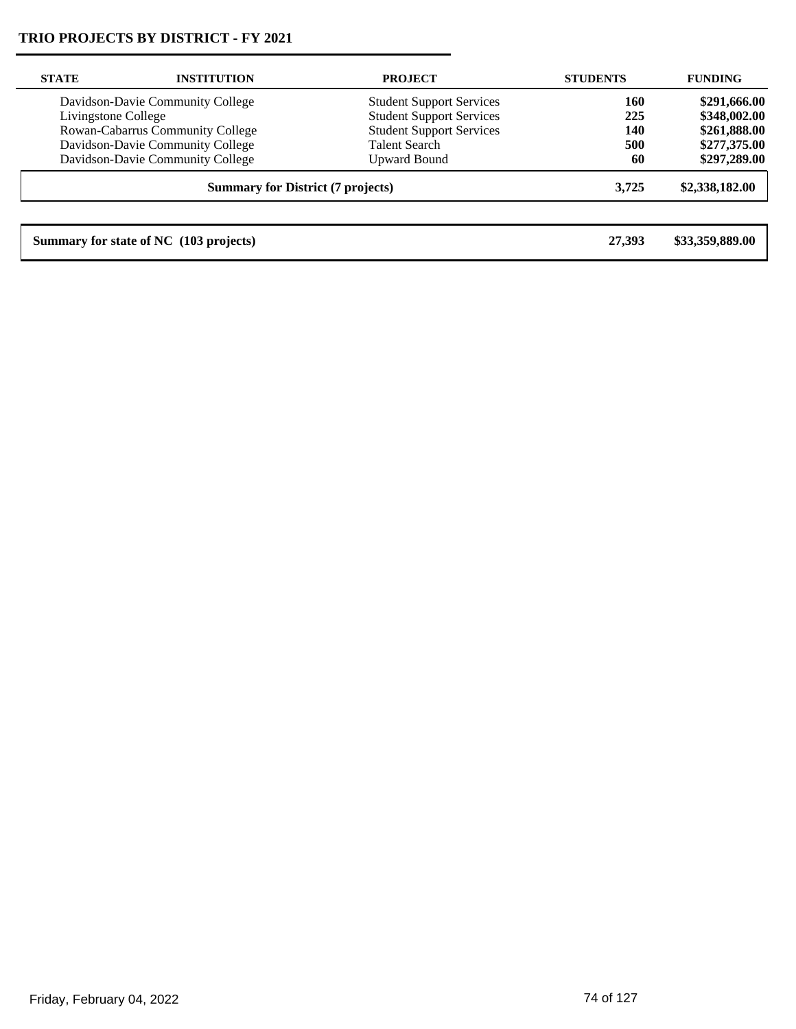| <b>STATE</b>                             | <b>INSTITUTION</b>               | <b>PROJECT</b>                  | <b>STUDENTS</b> | <b>FUNDING</b>  |
|------------------------------------------|----------------------------------|---------------------------------|-----------------|-----------------|
|                                          | Davidson-Davie Community College | <b>Student Support Services</b> | 160             | \$291,666.00    |
| Livingstone College                      |                                  | <b>Student Support Services</b> | 225             | \$348,002.00    |
|                                          | Rowan-Cabarrus Community College | <b>Student Support Services</b> | 140             | \$261,888.00    |
|                                          | Davidson-Davie Community College | <b>Talent Search</b>            | 500             | \$277,375.00    |
|                                          | Davidson-Davie Community College | <b>Upward Bound</b>             | 60              | \$297,289.00    |
| <b>Summary for District (7 projects)</b> |                                  |                                 | 3.725           | \$2,338,182.00  |
|                                          |                                  |                                 |                 |                 |
| Summary for state of NC (103 projects)   |                                  |                                 | 27.393          | \$33,359,889.00 |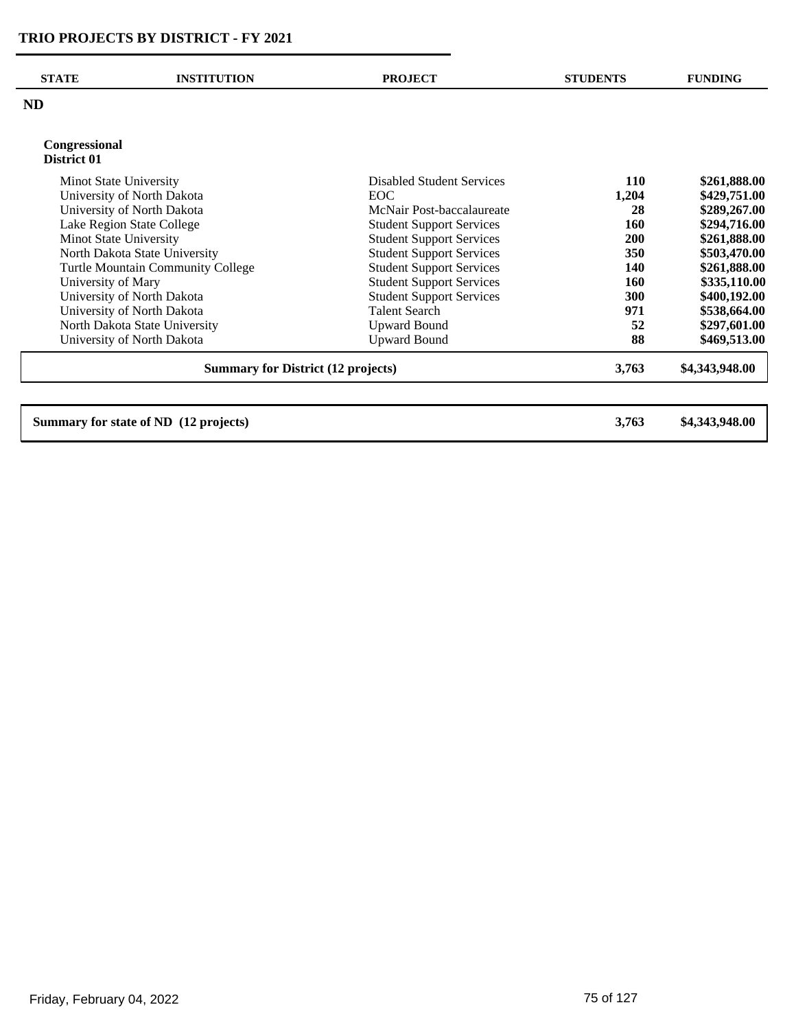| <b>STATE</b>                  | <b>INSTITUTION</b>                        | <b>PROJECT</b>                  | <b>STUDENTS</b> | <b>FUNDING</b> |
|-------------------------------|-------------------------------------------|---------------------------------|-----------------|----------------|
| <b>ND</b>                     |                                           |                                 |                 |                |
| Congressional<br>District 01  |                                           |                                 |                 |                |
| Minot State University        |                                           | Disabled Student Services       | <b>110</b>      | \$261,888.00   |
|                               | University of North Dakota                | EOC                             | 1,204           | \$429,751.00   |
|                               | University of North Dakota                | McNair Post-baccalaureate       | 28              | \$289,267.00   |
|                               | Lake Region State College                 | <b>Student Support Services</b> | 160             | \$294,716.00   |
| Minot State University        |                                           | <b>Student Support Services</b> | <b>200</b>      | \$261,888.00   |
|                               | North Dakota State University             | <b>Student Support Services</b> | 350             | \$503,470.00   |
|                               | Turtle Mountain Community College         | <b>Student Support Services</b> | 140             | \$261,888.00   |
| University of Mary            |                                           | <b>Student Support Services</b> | 160             | \$335,110.00   |
|                               | University of North Dakota                | <b>Student Support Services</b> | 300             | \$400,192.00   |
|                               | University of North Dakota                | <b>Talent Search</b>            | 971             | \$538,664.00   |
| North Dakota State University |                                           | <b>Upward Bound</b>             | 52              | \$297,601.00   |
|                               | University of North Dakota                | <b>Upward Bound</b>             | 88              | \$469,513.00   |
|                               | <b>Summary for District (12 projects)</b> |                                 | 3,763           | \$4,343,948.00 |

**Summary for state of ND (12 projects) 3,763 \$4,343,948.00**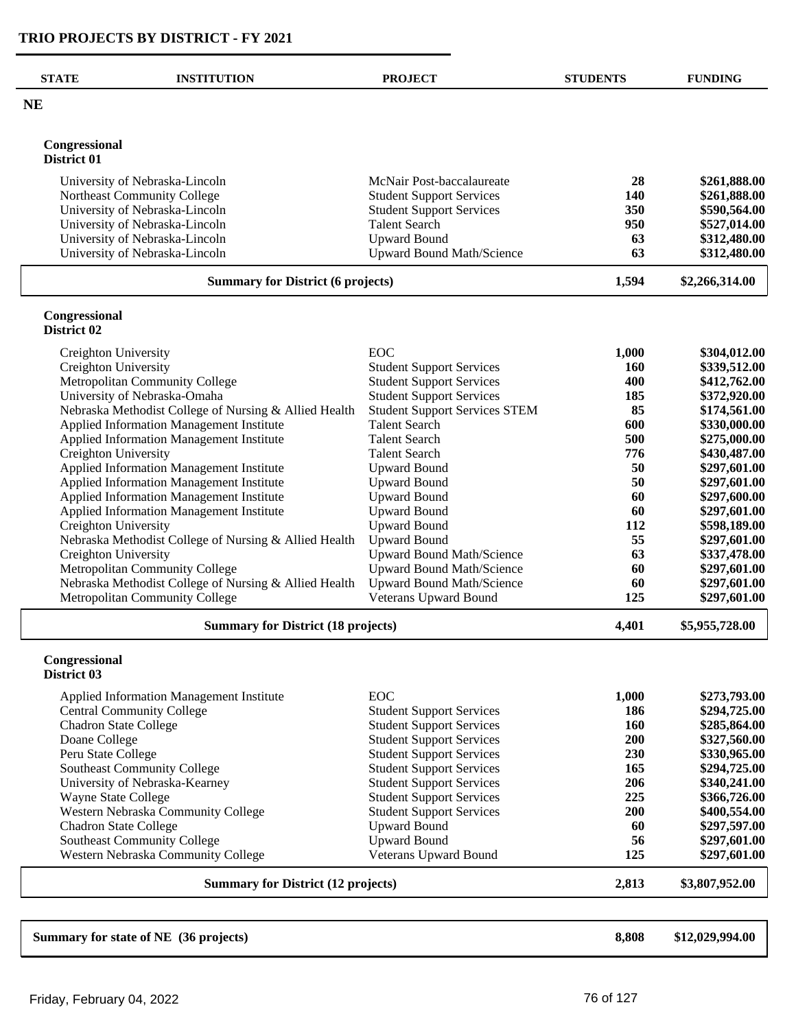$\overline{\phantom{0}}$ 

| <b>STATE</b>                 | <b>INSTITUTION</b>                                                                             | <b>PROJECT</b>                                                     | <b>STUDENTS</b> | <b>FUNDING</b>               |
|------------------------------|------------------------------------------------------------------------------------------------|--------------------------------------------------------------------|-----------------|------------------------------|
| NE                           |                                                                                                |                                                                    |                 |                              |
| Congressional                |                                                                                                |                                                                    |                 |                              |
| District 01                  |                                                                                                |                                                                    |                 |                              |
|                              | University of Nebraska-Lincoln                                                                 | McNair Post-baccalaureate                                          | 28              | \$261,888.00                 |
|                              | Northeast Community College                                                                    | <b>Student Support Services</b>                                    | 140             | \$261,888.00                 |
|                              | University of Nebraska-Lincoln                                                                 | <b>Student Support Services</b>                                    | 350             | \$590,564.00                 |
|                              | University of Nebraska-Lincoln                                                                 | <b>Talent Search</b>                                               | 950<br>63       | \$527,014.00                 |
|                              | University of Nebraska-Lincoln<br>University of Nebraska-Lincoln                               | <b>Upward Bound</b><br><b>Upward Bound Math/Science</b>            | 63              | \$312,480.00<br>\$312,480.00 |
|                              | <b>Summary for District (6 projects)</b>                                                       |                                                                    | 1,594           | \$2,266,314.00               |
|                              |                                                                                                |                                                                    |                 |                              |
| Congressional<br>District 02 |                                                                                                |                                                                    |                 |                              |
| Creighton University         |                                                                                                | EOC                                                                | 1,000           | \$304,012.00                 |
| Creighton University         |                                                                                                | <b>Student Support Services</b>                                    | <b>160</b>      | \$339,512.00                 |
|                              | Metropolitan Community College                                                                 | <b>Student Support Services</b>                                    | 400             | \$412,762.00                 |
|                              | University of Nebraska-Omaha                                                                   | <b>Student Support Services</b>                                    | 185             | \$372,920.00                 |
|                              | Nebraska Methodist College of Nursing & Allied Health                                          | <b>Student Support Services STEM</b>                               | 85              | \$174,561.00                 |
|                              | Applied Information Management Institute                                                       | <b>Talent Search</b>                                               | 600<br>500      | \$330,000.00                 |
| Creighton University         | Applied Information Management Institute                                                       | <b>Talent Search</b><br><b>Talent Search</b>                       | 776             | \$275,000.00<br>\$430,487.00 |
|                              | Applied Information Management Institute                                                       | <b>Upward Bound</b>                                                | 50              | \$297,601.00                 |
|                              | Applied Information Management Institute                                                       | <b>Upward Bound</b>                                                | 50              | \$297,601.00                 |
|                              | Applied Information Management Institute                                                       | <b>Upward Bound</b>                                                | 60              | \$297,600.00                 |
|                              | Applied Information Management Institute                                                       | <b>Upward Bound</b>                                                | 60              | \$297,601.00                 |
| Creighton University         |                                                                                                | <b>Upward Bound</b>                                                | 112             | \$598,189.00                 |
|                              | Nebraska Methodist College of Nursing & Allied Health                                          | <b>Upward Bound</b>                                                | 55              | \$297,601.00                 |
| Creighton University         |                                                                                                | Upward Bound Math/Science                                          | 63              | \$337,478.00                 |
|                              | Metropolitan Community College                                                                 | <b>Upward Bound Math/Science</b>                                   | 60              | \$297,601.00                 |
|                              | Nebraska Methodist College of Nursing & Allied Health<br><b>Metropolitan Community College</b> | <b>Upward Bound Math/Science</b><br>Veterans Upward Bound          | 60<br>125       | \$297,601.00<br>\$297,601.00 |
|                              | <b>Summary for District (18 projects)</b>                                                      |                                                                    | 4,401           | \$5,955,728.00               |
|                              |                                                                                                |                                                                    |                 |                              |
| Congressional<br>District 03 |                                                                                                |                                                                    |                 |                              |
|                              | Applied Information Management Institute                                                       | EOC                                                                | 1,000           | \$273,793.00                 |
|                              | <b>Central Community College</b>                                                               | <b>Student Support Services</b>                                    | 186             | \$294,725.00                 |
| <b>Chadron State College</b> |                                                                                                | <b>Student Support Services</b>                                    | 160             | \$285,864.00                 |
| Doane College                |                                                                                                | <b>Student Support Services</b>                                    | 200             | \$327,560.00                 |
| Peru State College           |                                                                                                | <b>Student Support Services</b>                                    | 230             | \$330,965.00                 |
|                              | Southeast Community College                                                                    | <b>Student Support Services</b>                                    | 165             | \$294,725.00                 |
|                              | University of Nebraska-Kearney                                                                 | <b>Student Support Services</b>                                    | 206             | \$340,241.00<br>\$366,726.00 |
| Wayne State College          | Western Nebraska Community College                                                             | <b>Student Support Services</b><br><b>Student Support Services</b> | 225<br>200      | \$400,554.00                 |
| <b>Chadron State College</b> |                                                                                                | <b>Upward Bound</b>                                                | 60              | \$297,597.00                 |
|                              | Southeast Community College                                                                    | <b>Upward Bound</b>                                                | 56              | \$297,601.00                 |
|                              | Western Nebraska Community College                                                             | Veterans Upward Bound                                              | 125             | \$297,601.00                 |
|                              | <b>Summary for District (12 projects)</b>                                                      |                                                                    | 2,813           | \$3,807,952.00               |
|                              |                                                                                                |                                                                    |                 |                              |
|                              | Summary for state of NE (36 projects)                                                          |                                                                    | 8,808           | \$12,029,994.00              |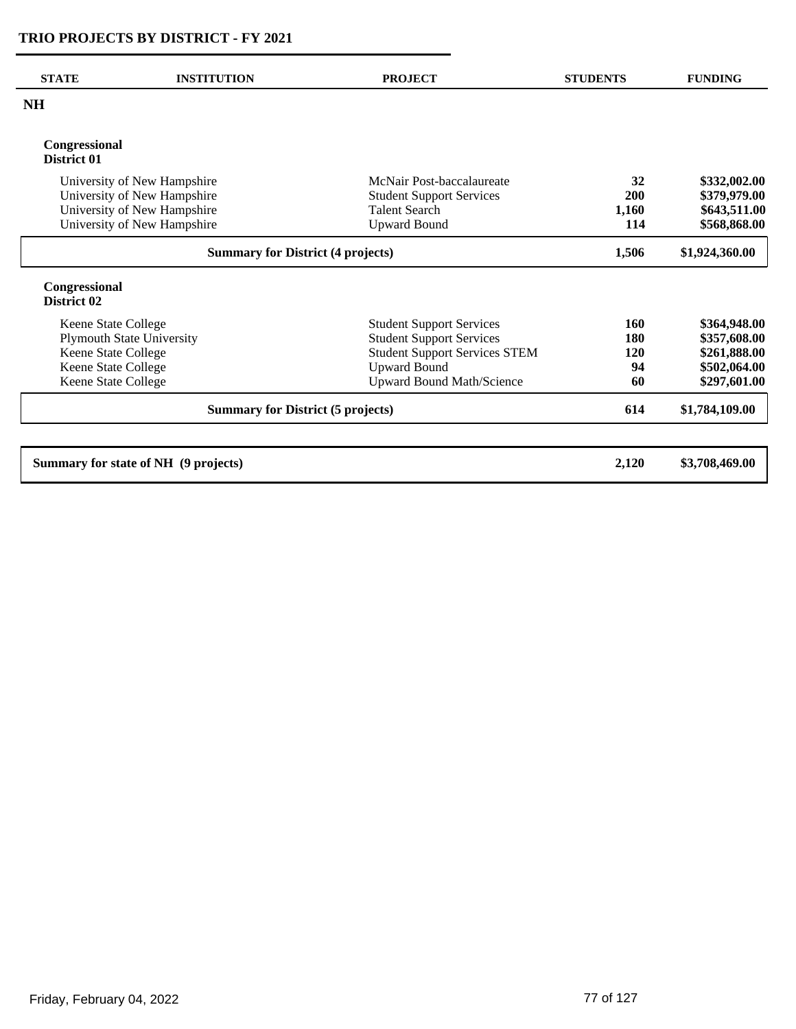| <b>STATE</b>                                                                                                                 | <b>INSTITUTION</b>                                                                                                       | <b>PROJECT</b>                                                                                                                                                        | <b>STUDENTS</b>               | <b>FUNDING</b>                                                               |
|------------------------------------------------------------------------------------------------------------------------------|--------------------------------------------------------------------------------------------------------------------------|-----------------------------------------------------------------------------------------------------------------------------------------------------------------------|-------------------------------|------------------------------------------------------------------------------|
| <b>NH</b>                                                                                                                    |                                                                                                                          |                                                                                                                                                                       |                               |                                                                              |
| Congressional<br>District 01                                                                                                 |                                                                                                                          |                                                                                                                                                                       |                               |                                                                              |
|                                                                                                                              | University of New Hampshire<br>University of New Hampshire<br>University of New Hampshire<br>University of New Hampshire | McNair Post-baccalaureate<br><b>Student Support Services</b><br><b>Talent Search</b><br><b>Upward Bound</b>                                                           | 32<br>200<br>1,160<br>114     | \$332,002.00<br>\$379,979.00<br>\$643,511.00<br>\$568,868.00                 |
|                                                                                                                              | <b>Summary for District (4 projects)</b>                                                                                 |                                                                                                                                                                       |                               | \$1,924,360.00                                                               |
| Congressional<br>District 02                                                                                                 |                                                                                                                          |                                                                                                                                                                       |                               |                                                                              |
| Keene State College<br><b>Plymouth State University</b><br>Keene State College<br>Keene State College<br>Keene State College |                                                                                                                          | <b>Student Support Services</b><br><b>Student Support Services</b><br><b>Student Support Services STEM</b><br><b>Upward Bound</b><br><b>Upward Bound Math/Science</b> | 160<br>180<br>120<br>94<br>60 | \$364,948.00<br>\$357,608.00<br>\$261,888.00<br>\$502,064.00<br>\$297,601.00 |
|                                                                                                                              | <b>Summary for District (5 projects)</b>                                                                                 |                                                                                                                                                                       | 614                           | \$1,784,109.00                                                               |
|                                                                                                                              | Summary for state of NH (9 projects)                                                                                     |                                                                                                                                                                       | 2,120                         | \$3,708,469.00                                                               |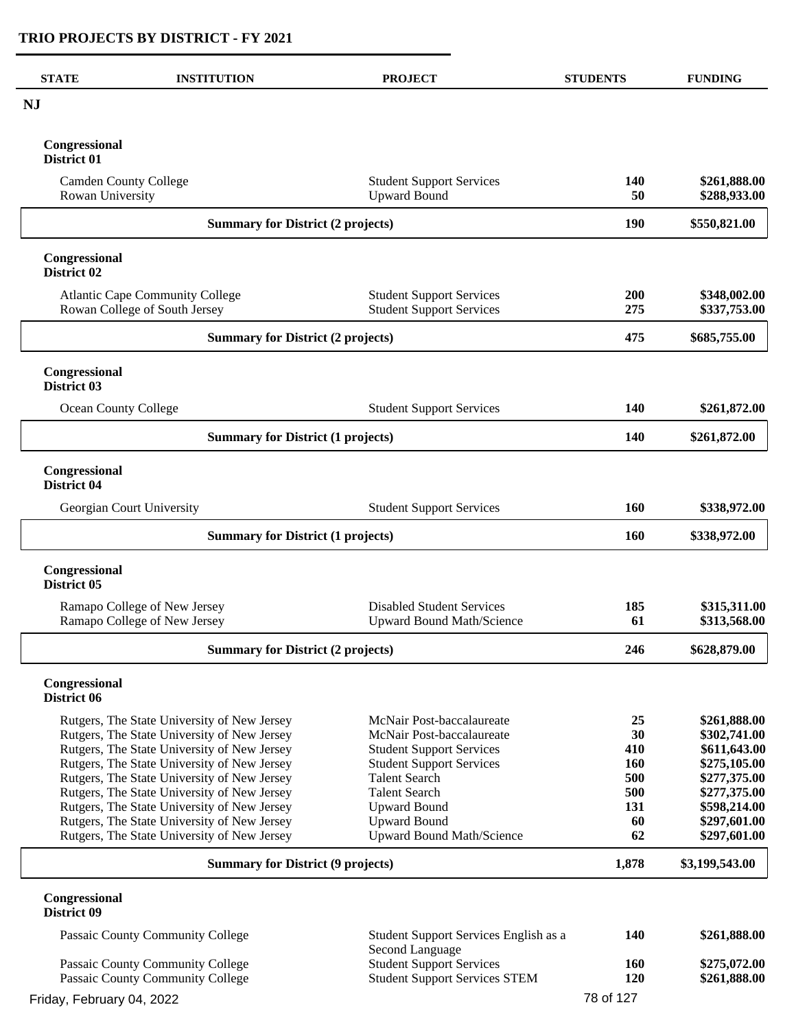| <b>STATE</b>                                     | <b>INSTITUTION</b>                                                                         | <b>PROJECT</b>                                                          | <b>STUDENTS</b>  | <b>FUNDING</b>               |
|--------------------------------------------------|--------------------------------------------------------------------------------------------|-------------------------------------------------------------------------|------------------|------------------------------|
| <b>NJ</b>                                        |                                                                                            |                                                                         |                  |                              |
| Congressional<br>District 01                     |                                                                                            |                                                                         |                  |                              |
| <b>Camden County College</b><br>Rowan University |                                                                                            | <b>Student Support Services</b><br><b>Upward Bound</b>                  | <b>140</b><br>50 | \$261,888.00<br>\$288,933.00 |
|                                                  | <b>Summary for District (2 projects)</b>                                                   |                                                                         | 190              | \$550,821.00                 |
| Congressional<br>District 02                     |                                                                                            |                                                                         |                  |                              |
|                                                  | <b>Atlantic Cape Community College</b><br>Rowan College of South Jersey                    | <b>Student Support Services</b><br><b>Student Support Services</b>      | 200<br>275       | \$348,002.00<br>\$337,753.00 |
|                                                  | <b>Summary for District (2 projects)</b>                                                   |                                                                         | 475              | \$685,755.00                 |
| Congressional<br>District 03                     |                                                                                            |                                                                         |                  |                              |
| Ocean County College                             |                                                                                            | <b>Student Support Services</b>                                         | <b>140</b>       | \$261,872.00                 |
|                                                  | <b>Summary for District (1 projects)</b>                                                   |                                                                         | 140              | \$261,872.00                 |
| Congressional<br>District 04                     |                                                                                            |                                                                         |                  |                              |
|                                                  | Georgian Court University                                                                  | <b>Student Support Services</b>                                         | <b>160</b>       | \$338,972.00                 |
|                                                  | <b>Summary for District (1 projects)</b>                                                   |                                                                         |                  | \$338,972.00                 |
| Congressional<br>District 05                     |                                                                                            |                                                                         |                  |                              |
|                                                  | Ramapo College of New Jersey<br>Ramapo College of New Jersey                               | <b>Disabled Student Services</b><br>Upward Bound Math/Science           | 185<br>61        | \$315,311.00<br>\$313,568.00 |
|                                                  | <b>Summary for District (2 projects)</b>                                                   |                                                                         | 246              | \$628,879.00                 |
| Congressional<br>District 06                     |                                                                                            |                                                                         |                  |                              |
|                                                  | Rutgers, The State University of New Jersey<br>Rutgers, The State University of New Jersey | McNair Post-baccalaureate<br>McNair Post-baccalaureate                  | 25<br>30         | \$261,888.00<br>\$302,741.00 |
|                                                  | Rutgers, The State University of New Jersey<br>Rutgers, The State University of New Jersey | <b>Student Support Services</b><br><b>Student Support Services</b>      | 410<br>160       | \$611,643.00<br>\$275,105.00 |
|                                                  | Rutgers, The State University of New Jersey<br>Rutgers, The State University of New Jersey | <b>Talent Search</b><br><b>Talent Search</b>                            | 500<br>500       | \$277,375.00<br>\$277,375.00 |
|                                                  | Rutgers, The State University of New Jersey                                                | <b>Upward Bound</b>                                                     | 131              | \$598,214.00                 |
|                                                  | Rutgers, The State University of New Jersey                                                | <b>Upward Bound</b>                                                     | 60               | \$297,601.00                 |
|                                                  | Rutgers, The State University of New Jersey                                                | <b>Upward Bound Math/Science</b>                                        | 62               | \$297,601.00                 |
|                                                  | <b>Summary for District (9 projects)</b>                                                   |                                                                         | 1,878            | \$3,199,543.00               |
| Congressional<br>District 09                     |                                                                                            |                                                                         |                  |                              |
|                                                  | Passaic County Community College                                                           | Student Support Services English as a<br>Second Language                | 140              | \$261,888.00                 |
|                                                  | Passaic County Community College<br>Passaic County Community College                       | <b>Student Support Services</b><br><b>Student Support Services STEM</b> | 160<br>120       | \$275,072.00<br>\$261,888.00 |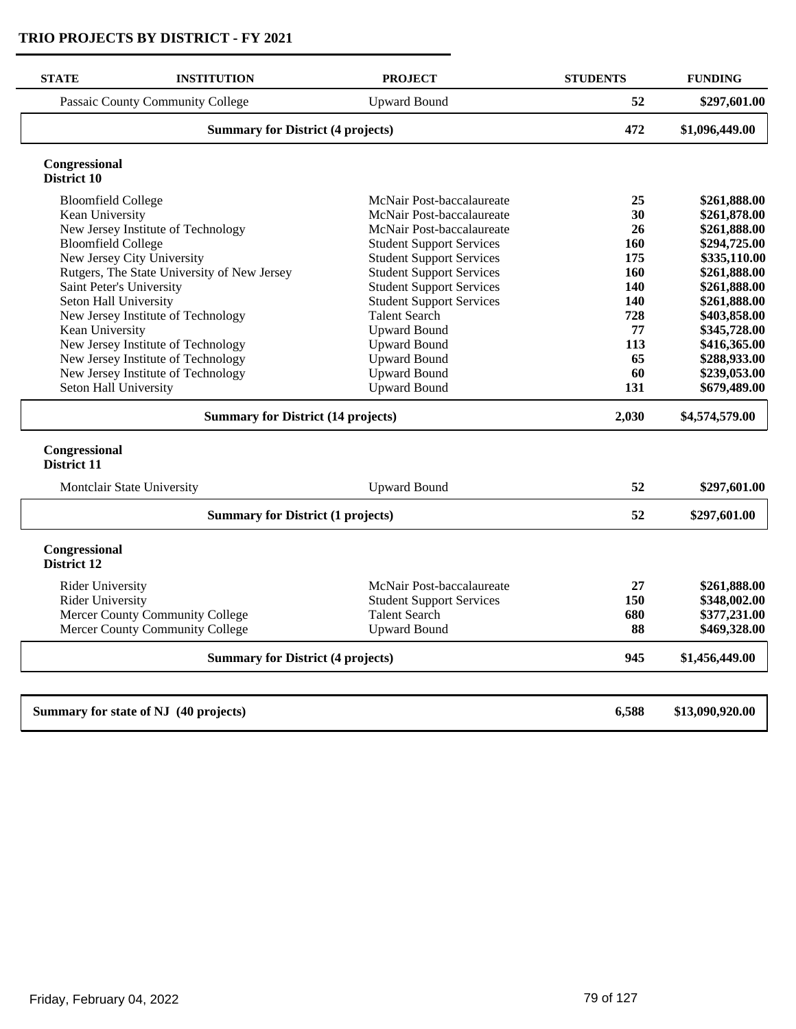| <b>STATE</b>                             | <b>INSTITUTION</b>                          | <b>PROJECT</b>                  | <b>STUDENTS</b> | <b>FUNDING</b>  |
|------------------------------------------|---------------------------------------------|---------------------------------|-----------------|-----------------|
|                                          | Passaic County Community College            | <b>Upward Bound</b>             | 52              | \$297,601.00    |
|                                          | <b>Summary for District (4 projects)</b>    |                                 |                 | \$1,096,449.00  |
| Congressional<br>District 10             |                                             |                                 |                 |                 |
| <b>Bloomfield College</b>                |                                             | McNair Post-baccalaureate       | 25              | \$261,888.00    |
| Kean University                          |                                             | McNair Post-baccalaureate       | 30              | \$261,878.00    |
|                                          | New Jersey Institute of Technology          | McNair Post-baccalaureate       | 26              | \$261,888.00    |
| <b>Bloomfield College</b>                |                                             | <b>Student Support Services</b> | 160             | \$294,725.00    |
|                                          | New Jersey City University                  | <b>Student Support Services</b> | 175             | \$335,110.00    |
|                                          | Rutgers, The State University of New Jersey | <b>Student Support Services</b> | 160             | \$261,888.00    |
|                                          | Saint Peter's University                    | <b>Student Support Services</b> | 140             | \$261,888.00    |
| Seton Hall University                    |                                             | <b>Student Support Services</b> | 140             | \$261,888.00    |
|                                          | New Jersey Institute of Technology          | <b>Talent Search</b>            | 728             | \$403,858.00    |
| Kean University                          |                                             | <b>Upward Bound</b>             | 77              | \$345,728.00    |
|                                          | New Jersey Institute of Technology          | <b>Upward Bound</b>             | 113             | \$416,365.00    |
|                                          | New Jersey Institute of Technology          | <b>Upward Bound</b>             | 65              | \$288,933.00    |
|                                          | New Jersey Institute of Technology          | <b>Upward Bound</b>             | 60              | \$239,053.00    |
| Seton Hall University                    |                                             | <b>Upward Bound</b>             | 131             | \$679,489.00    |
|                                          | <b>Summary for District (14 projects)</b>   |                                 | 2,030           | \$4,574,579.00  |
| Congressional<br>District 11             |                                             |                                 |                 |                 |
|                                          | Montclair State University                  | <b>Upward Bound</b>             | 52              | \$297,601.00    |
|                                          | <b>Summary for District (1 projects)</b>    |                                 | 52              | \$297,601.00    |
| Congressional<br>District 12             |                                             |                                 |                 |                 |
| <b>Rider University</b>                  |                                             | McNair Post-baccalaureate       | 27              | \$261,888.00    |
| <b>Rider University</b>                  |                                             | <b>Student Support Services</b> | 150             | \$348,002.00    |
|                                          | Mercer County Community College             | <b>Talent Search</b>            | 680             | \$377,231.00    |
|                                          | Mercer County Community College             | <b>Upward Bound</b>             | 88              | \$469,328.00    |
| <b>Summary for District (4 projects)</b> |                                             |                                 | 945             | \$1,456,449.00  |
|                                          |                                             |                                 |                 |                 |
|                                          | Summary for state of NJ (40 projects)       |                                 | 6,588           | \$13,090,920.00 |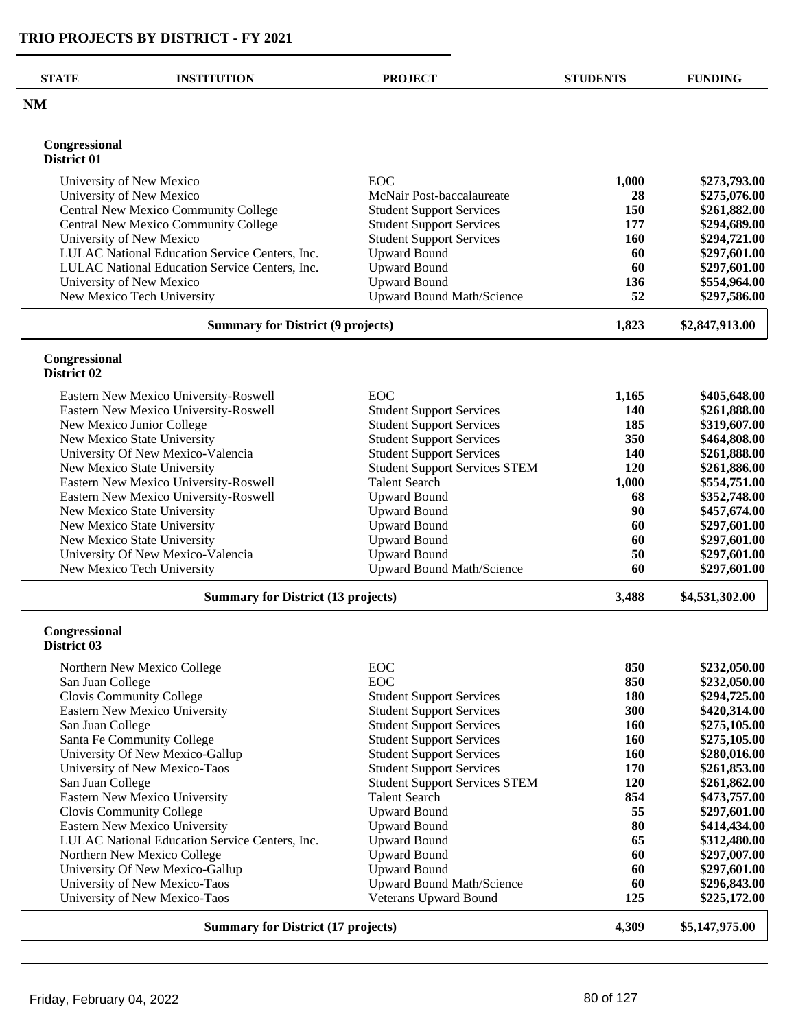$\overline{a}$ 

| <b>NM</b><br>Congressional<br>District 01<br>EOC<br>\$273,793.00<br>University of New Mexico<br>1,000<br>University of New Mexico<br>\$275,076.00<br>McNair Post-baccalaureate<br>28<br>Central New Mexico Community College<br>150<br><b>Student Support Services</b><br>\$261,882.00<br>Central New Mexico Community College<br><b>Student Support Services</b><br>177<br>\$294,689.00<br>University of New Mexico<br><b>Student Support Services</b><br>160<br>\$294,721.00<br>LULAC National Education Service Centers, Inc.<br><b>Upward Bound</b><br>60<br>\$297,601.00<br><b>Upward Bound</b><br>LULAC National Education Service Centers, Inc.<br>60<br>\$297,601.00<br><b>Upward Bound</b><br>University of New Mexico<br>136<br>\$554,964.00<br><b>Upward Bound Math/Science</b><br>52<br>\$297,586.00<br>New Mexico Tech University<br><b>Summary for District (9 projects)</b><br>1,823<br>\$2,847,913.00<br>Congressional<br>District 02<br><b>EOC</b><br>Eastern New Mexico University-Roswell<br>1,165<br>\$405,648.00<br>Eastern New Mexico University-Roswell<br>\$261,888.00<br><b>Student Support Services</b><br>140<br><b>Student Support Services</b><br>185<br>\$319,607.00<br>New Mexico Junior College<br>New Mexico State University<br><b>Student Support Services</b><br>350<br>\$464,808.00<br>University Of New Mexico-Valencia<br><b>Student Support Services</b><br>\$261,888.00<br>140<br><b>Student Support Services STEM</b><br>120<br>New Mexico State University<br>\$261,886.00<br>Eastern New Mexico University-Roswell<br><b>Talent Search</b><br>1,000<br>\$554,751.00<br>Eastern New Mexico University-Roswell<br><b>Upward Bound</b><br>68<br>\$352,748.00<br>New Mexico State University<br><b>Upward Bound</b><br>90<br>\$457,674.00<br><b>Upward Bound</b><br>60<br>New Mexico State University<br>\$297,601.00<br><b>Upward Bound</b><br>New Mexico State University<br>\$297,601.00<br>60<br>University Of New Mexico-Valencia<br><b>Upward Bound</b><br>50<br>\$297,601.00<br>New Mexico Tech University<br><b>Upward Bound Math/Science</b><br>60<br>\$297,601.00<br><b>Summary for District (13 projects)</b><br>3,488<br>\$4,531,302.00<br>Congressional<br>District 03<br><b>EOC</b><br>850<br>\$232,050.00<br>Northern New Mexico College<br><b>EOC</b><br>850<br>\$232,050.00<br>San Juan College<br>Clovis Community College<br>180<br>\$294,725.00<br><b>Student Support Services</b><br><b>Student Support Services</b><br>300<br>Eastern New Mexico University<br>\$420,314.00<br><b>Student Support Services</b><br>San Juan College<br><b>160</b><br>\$275,105.00<br>Santa Fe Community College<br><b>Student Support Services</b><br><b>160</b><br>\$275,105.00<br>University Of New Mexico-Gallup<br><b>Student Support Services</b><br>160<br>\$280,016.00<br>University of New Mexico-Taos<br><b>Student Support Services</b><br>170<br>\$261,853.00<br>120<br>San Juan College<br><b>Student Support Services STEM</b><br>\$261,862.00<br>Eastern New Mexico University<br><b>Talent Search</b><br>854<br>\$473,757.00<br><b>Upward Bound</b><br>55<br>Clovis Community College<br>\$297,601.00<br><b>Upward Bound</b><br>80<br>Eastern New Mexico University<br>\$414,434.00<br>65<br>LULAC National Education Service Centers, Inc.<br><b>Upward Bound</b><br>\$312,480.00<br>Northern New Mexico College<br><b>Upward Bound</b><br>60<br>\$297,007.00<br>University Of New Mexico-Gallup<br><b>Upward Bound</b><br>60<br>\$297,601.00<br>University of New Mexico-Taos<br><b>Upward Bound Math/Science</b><br>60<br>\$296,843.00<br>University of New Mexico-Taos<br>Veterans Upward Bound<br>125<br>\$225,172.00<br>4,309<br>\$5,147,975.00<br><b>Summary for District (17 projects)</b> | <b>STATE</b> | <b>INSTITUTION</b> | <b>PROJECT</b> | <b>STUDENTS</b> | <b>FUNDING</b> |
|----------------------------------------------------------------------------------------------------------------------------------------------------------------------------------------------------------------------------------------------------------------------------------------------------------------------------------------------------------------------------------------------------------------------------------------------------------------------------------------------------------------------------------------------------------------------------------------------------------------------------------------------------------------------------------------------------------------------------------------------------------------------------------------------------------------------------------------------------------------------------------------------------------------------------------------------------------------------------------------------------------------------------------------------------------------------------------------------------------------------------------------------------------------------------------------------------------------------------------------------------------------------------------------------------------------------------------------------------------------------------------------------------------------------------------------------------------------------------------------------------------------------------------------------------------------------------------------------------------------------------------------------------------------------------------------------------------------------------------------------------------------------------------------------------------------------------------------------------------------------------------------------------------------------------------------------------------------------------------------------------------------------------------------------------------------------------------------------------------------------------------------------------------------------------------------------------------------------------------------------------------------------------------------------------------------------------------------------------------------------------------------------------------------------------------------------------------------------------------------------------------------------------------------------------------------------------------------------------------------------------------------------------------------------------------------------------------------------------------------------------------------------------------------------------------------------------------------------------------------------------------------------------------------------------------------------------------------------------------------------------------------------------------------------------------------------------------------------------------------------------------------------------------------------------------------------------------------------------------------------------------------------------------------------------------------------------------------------------------------------------------------------------------------------------------------------------------------------------------------------------------------------------------------------------------------------------------------------------------------------------------------------------------------------------------------------------------------------------------------------------------------|--------------|--------------------|----------------|-----------------|----------------|
|                                                                                                                                                                                                                                                                                                                                                                                                                                                                                                                                                                                                                                                                                                                                                                                                                                                                                                                                                                                                                                                                                                                                                                                                                                                                                                                                                                                                                                                                                                                                                                                                                                                                                                                                                                                                                                                                                                                                                                                                                                                                                                                                                                                                                                                                                                                                                                                                                                                                                                                                                                                                                                                                                                                                                                                                                                                                                                                                                                                                                                                                                                                                                                                                                                                                                                                                                                                                                                                                                                                                                                                                                                                                                                                                                                |              |                    |                |                 |                |
|                                                                                                                                                                                                                                                                                                                                                                                                                                                                                                                                                                                                                                                                                                                                                                                                                                                                                                                                                                                                                                                                                                                                                                                                                                                                                                                                                                                                                                                                                                                                                                                                                                                                                                                                                                                                                                                                                                                                                                                                                                                                                                                                                                                                                                                                                                                                                                                                                                                                                                                                                                                                                                                                                                                                                                                                                                                                                                                                                                                                                                                                                                                                                                                                                                                                                                                                                                                                                                                                                                                                                                                                                                                                                                                                                                |              |                    |                |                 |                |
|                                                                                                                                                                                                                                                                                                                                                                                                                                                                                                                                                                                                                                                                                                                                                                                                                                                                                                                                                                                                                                                                                                                                                                                                                                                                                                                                                                                                                                                                                                                                                                                                                                                                                                                                                                                                                                                                                                                                                                                                                                                                                                                                                                                                                                                                                                                                                                                                                                                                                                                                                                                                                                                                                                                                                                                                                                                                                                                                                                                                                                                                                                                                                                                                                                                                                                                                                                                                                                                                                                                                                                                                                                                                                                                                                                |              |                    |                |                 |                |
|                                                                                                                                                                                                                                                                                                                                                                                                                                                                                                                                                                                                                                                                                                                                                                                                                                                                                                                                                                                                                                                                                                                                                                                                                                                                                                                                                                                                                                                                                                                                                                                                                                                                                                                                                                                                                                                                                                                                                                                                                                                                                                                                                                                                                                                                                                                                                                                                                                                                                                                                                                                                                                                                                                                                                                                                                                                                                                                                                                                                                                                                                                                                                                                                                                                                                                                                                                                                                                                                                                                                                                                                                                                                                                                                                                |              |                    |                |                 |                |
|                                                                                                                                                                                                                                                                                                                                                                                                                                                                                                                                                                                                                                                                                                                                                                                                                                                                                                                                                                                                                                                                                                                                                                                                                                                                                                                                                                                                                                                                                                                                                                                                                                                                                                                                                                                                                                                                                                                                                                                                                                                                                                                                                                                                                                                                                                                                                                                                                                                                                                                                                                                                                                                                                                                                                                                                                                                                                                                                                                                                                                                                                                                                                                                                                                                                                                                                                                                                                                                                                                                                                                                                                                                                                                                                                                |              |                    |                |                 |                |
|                                                                                                                                                                                                                                                                                                                                                                                                                                                                                                                                                                                                                                                                                                                                                                                                                                                                                                                                                                                                                                                                                                                                                                                                                                                                                                                                                                                                                                                                                                                                                                                                                                                                                                                                                                                                                                                                                                                                                                                                                                                                                                                                                                                                                                                                                                                                                                                                                                                                                                                                                                                                                                                                                                                                                                                                                                                                                                                                                                                                                                                                                                                                                                                                                                                                                                                                                                                                                                                                                                                                                                                                                                                                                                                                                                |              |                    |                |                 |                |
|                                                                                                                                                                                                                                                                                                                                                                                                                                                                                                                                                                                                                                                                                                                                                                                                                                                                                                                                                                                                                                                                                                                                                                                                                                                                                                                                                                                                                                                                                                                                                                                                                                                                                                                                                                                                                                                                                                                                                                                                                                                                                                                                                                                                                                                                                                                                                                                                                                                                                                                                                                                                                                                                                                                                                                                                                                                                                                                                                                                                                                                                                                                                                                                                                                                                                                                                                                                                                                                                                                                                                                                                                                                                                                                                                                |              |                    |                |                 |                |
|                                                                                                                                                                                                                                                                                                                                                                                                                                                                                                                                                                                                                                                                                                                                                                                                                                                                                                                                                                                                                                                                                                                                                                                                                                                                                                                                                                                                                                                                                                                                                                                                                                                                                                                                                                                                                                                                                                                                                                                                                                                                                                                                                                                                                                                                                                                                                                                                                                                                                                                                                                                                                                                                                                                                                                                                                                                                                                                                                                                                                                                                                                                                                                                                                                                                                                                                                                                                                                                                                                                                                                                                                                                                                                                                                                |              |                    |                |                 |                |
|                                                                                                                                                                                                                                                                                                                                                                                                                                                                                                                                                                                                                                                                                                                                                                                                                                                                                                                                                                                                                                                                                                                                                                                                                                                                                                                                                                                                                                                                                                                                                                                                                                                                                                                                                                                                                                                                                                                                                                                                                                                                                                                                                                                                                                                                                                                                                                                                                                                                                                                                                                                                                                                                                                                                                                                                                                                                                                                                                                                                                                                                                                                                                                                                                                                                                                                                                                                                                                                                                                                                                                                                                                                                                                                                                                |              |                    |                |                 |                |
|                                                                                                                                                                                                                                                                                                                                                                                                                                                                                                                                                                                                                                                                                                                                                                                                                                                                                                                                                                                                                                                                                                                                                                                                                                                                                                                                                                                                                                                                                                                                                                                                                                                                                                                                                                                                                                                                                                                                                                                                                                                                                                                                                                                                                                                                                                                                                                                                                                                                                                                                                                                                                                                                                                                                                                                                                                                                                                                                                                                                                                                                                                                                                                                                                                                                                                                                                                                                                                                                                                                                                                                                                                                                                                                                                                |              |                    |                |                 |                |
|                                                                                                                                                                                                                                                                                                                                                                                                                                                                                                                                                                                                                                                                                                                                                                                                                                                                                                                                                                                                                                                                                                                                                                                                                                                                                                                                                                                                                                                                                                                                                                                                                                                                                                                                                                                                                                                                                                                                                                                                                                                                                                                                                                                                                                                                                                                                                                                                                                                                                                                                                                                                                                                                                                                                                                                                                                                                                                                                                                                                                                                                                                                                                                                                                                                                                                                                                                                                                                                                                                                                                                                                                                                                                                                                                                |              |                    |                |                 |                |
|                                                                                                                                                                                                                                                                                                                                                                                                                                                                                                                                                                                                                                                                                                                                                                                                                                                                                                                                                                                                                                                                                                                                                                                                                                                                                                                                                                                                                                                                                                                                                                                                                                                                                                                                                                                                                                                                                                                                                                                                                                                                                                                                                                                                                                                                                                                                                                                                                                                                                                                                                                                                                                                                                                                                                                                                                                                                                                                                                                                                                                                                                                                                                                                                                                                                                                                                                                                                                                                                                                                                                                                                                                                                                                                                                                |              |                    |                |                 |                |
|                                                                                                                                                                                                                                                                                                                                                                                                                                                                                                                                                                                                                                                                                                                                                                                                                                                                                                                                                                                                                                                                                                                                                                                                                                                                                                                                                                                                                                                                                                                                                                                                                                                                                                                                                                                                                                                                                                                                                                                                                                                                                                                                                                                                                                                                                                                                                                                                                                                                                                                                                                                                                                                                                                                                                                                                                                                                                                                                                                                                                                                                                                                                                                                                                                                                                                                                                                                                                                                                                                                                                                                                                                                                                                                                                                |              |                    |                |                 |                |
|                                                                                                                                                                                                                                                                                                                                                                                                                                                                                                                                                                                                                                                                                                                                                                                                                                                                                                                                                                                                                                                                                                                                                                                                                                                                                                                                                                                                                                                                                                                                                                                                                                                                                                                                                                                                                                                                                                                                                                                                                                                                                                                                                                                                                                                                                                                                                                                                                                                                                                                                                                                                                                                                                                                                                                                                                                                                                                                                                                                                                                                                                                                                                                                                                                                                                                                                                                                                                                                                                                                                                                                                                                                                                                                                                                |              |                    |                |                 |                |
|                                                                                                                                                                                                                                                                                                                                                                                                                                                                                                                                                                                                                                                                                                                                                                                                                                                                                                                                                                                                                                                                                                                                                                                                                                                                                                                                                                                                                                                                                                                                                                                                                                                                                                                                                                                                                                                                                                                                                                                                                                                                                                                                                                                                                                                                                                                                                                                                                                                                                                                                                                                                                                                                                                                                                                                                                                                                                                                                                                                                                                                                                                                                                                                                                                                                                                                                                                                                                                                                                                                                                                                                                                                                                                                                                                |              |                    |                |                 |                |
|                                                                                                                                                                                                                                                                                                                                                                                                                                                                                                                                                                                                                                                                                                                                                                                                                                                                                                                                                                                                                                                                                                                                                                                                                                                                                                                                                                                                                                                                                                                                                                                                                                                                                                                                                                                                                                                                                                                                                                                                                                                                                                                                                                                                                                                                                                                                                                                                                                                                                                                                                                                                                                                                                                                                                                                                                                                                                                                                                                                                                                                                                                                                                                                                                                                                                                                                                                                                                                                                                                                                                                                                                                                                                                                                                                |              |                    |                |                 |                |
|                                                                                                                                                                                                                                                                                                                                                                                                                                                                                                                                                                                                                                                                                                                                                                                                                                                                                                                                                                                                                                                                                                                                                                                                                                                                                                                                                                                                                                                                                                                                                                                                                                                                                                                                                                                                                                                                                                                                                                                                                                                                                                                                                                                                                                                                                                                                                                                                                                                                                                                                                                                                                                                                                                                                                                                                                                                                                                                                                                                                                                                                                                                                                                                                                                                                                                                                                                                                                                                                                                                                                                                                                                                                                                                                                                |              |                    |                |                 |                |
|                                                                                                                                                                                                                                                                                                                                                                                                                                                                                                                                                                                                                                                                                                                                                                                                                                                                                                                                                                                                                                                                                                                                                                                                                                                                                                                                                                                                                                                                                                                                                                                                                                                                                                                                                                                                                                                                                                                                                                                                                                                                                                                                                                                                                                                                                                                                                                                                                                                                                                                                                                                                                                                                                                                                                                                                                                                                                                                                                                                                                                                                                                                                                                                                                                                                                                                                                                                                                                                                                                                                                                                                                                                                                                                                                                |              |                    |                |                 |                |
|                                                                                                                                                                                                                                                                                                                                                                                                                                                                                                                                                                                                                                                                                                                                                                                                                                                                                                                                                                                                                                                                                                                                                                                                                                                                                                                                                                                                                                                                                                                                                                                                                                                                                                                                                                                                                                                                                                                                                                                                                                                                                                                                                                                                                                                                                                                                                                                                                                                                                                                                                                                                                                                                                                                                                                                                                                                                                                                                                                                                                                                                                                                                                                                                                                                                                                                                                                                                                                                                                                                                                                                                                                                                                                                                                                |              |                    |                |                 |                |
|                                                                                                                                                                                                                                                                                                                                                                                                                                                                                                                                                                                                                                                                                                                                                                                                                                                                                                                                                                                                                                                                                                                                                                                                                                                                                                                                                                                                                                                                                                                                                                                                                                                                                                                                                                                                                                                                                                                                                                                                                                                                                                                                                                                                                                                                                                                                                                                                                                                                                                                                                                                                                                                                                                                                                                                                                                                                                                                                                                                                                                                                                                                                                                                                                                                                                                                                                                                                                                                                                                                                                                                                                                                                                                                                                                |              |                    |                |                 |                |
|                                                                                                                                                                                                                                                                                                                                                                                                                                                                                                                                                                                                                                                                                                                                                                                                                                                                                                                                                                                                                                                                                                                                                                                                                                                                                                                                                                                                                                                                                                                                                                                                                                                                                                                                                                                                                                                                                                                                                                                                                                                                                                                                                                                                                                                                                                                                                                                                                                                                                                                                                                                                                                                                                                                                                                                                                                                                                                                                                                                                                                                                                                                                                                                                                                                                                                                                                                                                                                                                                                                                                                                                                                                                                                                                                                |              |                    |                |                 |                |
|                                                                                                                                                                                                                                                                                                                                                                                                                                                                                                                                                                                                                                                                                                                                                                                                                                                                                                                                                                                                                                                                                                                                                                                                                                                                                                                                                                                                                                                                                                                                                                                                                                                                                                                                                                                                                                                                                                                                                                                                                                                                                                                                                                                                                                                                                                                                                                                                                                                                                                                                                                                                                                                                                                                                                                                                                                                                                                                                                                                                                                                                                                                                                                                                                                                                                                                                                                                                                                                                                                                                                                                                                                                                                                                                                                |              |                    |                |                 |                |
|                                                                                                                                                                                                                                                                                                                                                                                                                                                                                                                                                                                                                                                                                                                                                                                                                                                                                                                                                                                                                                                                                                                                                                                                                                                                                                                                                                                                                                                                                                                                                                                                                                                                                                                                                                                                                                                                                                                                                                                                                                                                                                                                                                                                                                                                                                                                                                                                                                                                                                                                                                                                                                                                                                                                                                                                                                                                                                                                                                                                                                                                                                                                                                                                                                                                                                                                                                                                                                                                                                                                                                                                                                                                                                                                                                |              |                    |                |                 |                |
|                                                                                                                                                                                                                                                                                                                                                                                                                                                                                                                                                                                                                                                                                                                                                                                                                                                                                                                                                                                                                                                                                                                                                                                                                                                                                                                                                                                                                                                                                                                                                                                                                                                                                                                                                                                                                                                                                                                                                                                                                                                                                                                                                                                                                                                                                                                                                                                                                                                                                                                                                                                                                                                                                                                                                                                                                                                                                                                                                                                                                                                                                                                                                                                                                                                                                                                                                                                                                                                                                                                                                                                                                                                                                                                                                                |              |                    |                |                 |                |
|                                                                                                                                                                                                                                                                                                                                                                                                                                                                                                                                                                                                                                                                                                                                                                                                                                                                                                                                                                                                                                                                                                                                                                                                                                                                                                                                                                                                                                                                                                                                                                                                                                                                                                                                                                                                                                                                                                                                                                                                                                                                                                                                                                                                                                                                                                                                                                                                                                                                                                                                                                                                                                                                                                                                                                                                                                                                                                                                                                                                                                                                                                                                                                                                                                                                                                                                                                                                                                                                                                                                                                                                                                                                                                                                                                |              |                    |                |                 |                |
|                                                                                                                                                                                                                                                                                                                                                                                                                                                                                                                                                                                                                                                                                                                                                                                                                                                                                                                                                                                                                                                                                                                                                                                                                                                                                                                                                                                                                                                                                                                                                                                                                                                                                                                                                                                                                                                                                                                                                                                                                                                                                                                                                                                                                                                                                                                                                                                                                                                                                                                                                                                                                                                                                                                                                                                                                                                                                                                                                                                                                                                                                                                                                                                                                                                                                                                                                                                                                                                                                                                                                                                                                                                                                                                                                                |              |                    |                |                 |                |
|                                                                                                                                                                                                                                                                                                                                                                                                                                                                                                                                                                                                                                                                                                                                                                                                                                                                                                                                                                                                                                                                                                                                                                                                                                                                                                                                                                                                                                                                                                                                                                                                                                                                                                                                                                                                                                                                                                                                                                                                                                                                                                                                                                                                                                                                                                                                                                                                                                                                                                                                                                                                                                                                                                                                                                                                                                                                                                                                                                                                                                                                                                                                                                                                                                                                                                                                                                                                                                                                                                                                                                                                                                                                                                                                                                |              |                    |                |                 |                |
|                                                                                                                                                                                                                                                                                                                                                                                                                                                                                                                                                                                                                                                                                                                                                                                                                                                                                                                                                                                                                                                                                                                                                                                                                                                                                                                                                                                                                                                                                                                                                                                                                                                                                                                                                                                                                                                                                                                                                                                                                                                                                                                                                                                                                                                                                                                                                                                                                                                                                                                                                                                                                                                                                                                                                                                                                                                                                                                                                                                                                                                                                                                                                                                                                                                                                                                                                                                                                                                                                                                                                                                                                                                                                                                                                                |              |                    |                |                 |                |
|                                                                                                                                                                                                                                                                                                                                                                                                                                                                                                                                                                                                                                                                                                                                                                                                                                                                                                                                                                                                                                                                                                                                                                                                                                                                                                                                                                                                                                                                                                                                                                                                                                                                                                                                                                                                                                                                                                                                                                                                                                                                                                                                                                                                                                                                                                                                                                                                                                                                                                                                                                                                                                                                                                                                                                                                                                                                                                                                                                                                                                                                                                                                                                                                                                                                                                                                                                                                                                                                                                                                                                                                                                                                                                                                                                |              |                    |                |                 |                |
|                                                                                                                                                                                                                                                                                                                                                                                                                                                                                                                                                                                                                                                                                                                                                                                                                                                                                                                                                                                                                                                                                                                                                                                                                                                                                                                                                                                                                                                                                                                                                                                                                                                                                                                                                                                                                                                                                                                                                                                                                                                                                                                                                                                                                                                                                                                                                                                                                                                                                                                                                                                                                                                                                                                                                                                                                                                                                                                                                                                                                                                                                                                                                                                                                                                                                                                                                                                                                                                                                                                                                                                                                                                                                                                                                                |              |                    |                |                 |                |
|                                                                                                                                                                                                                                                                                                                                                                                                                                                                                                                                                                                                                                                                                                                                                                                                                                                                                                                                                                                                                                                                                                                                                                                                                                                                                                                                                                                                                                                                                                                                                                                                                                                                                                                                                                                                                                                                                                                                                                                                                                                                                                                                                                                                                                                                                                                                                                                                                                                                                                                                                                                                                                                                                                                                                                                                                                                                                                                                                                                                                                                                                                                                                                                                                                                                                                                                                                                                                                                                                                                                                                                                                                                                                                                                                                |              |                    |                |                 |                |
|                                                                                                                                                                                                                                                                                                                                                                                                                                                                                                                                                                                                                                                                                                                                                                                                                                                                                                                                                                                                                                                                                                                                                                                                                                                                                                                                                                                                                                                                                                                                                                                                                                                                                                                                                                                                                                                                                                                                                                                                                                                                                                                                                                                                                                                                                                                                                                                                                                                                                                                                                                                                                                                                                                                                                                                                                                                                                                                                                                                                                                                                                                                                                                                                                                                                                                                                                                                                                                                                                                                                                                                                                                                                                                                                                                |              |                    |                |                 |                |
|                                                                                                                                                                                                                                                                                                                                                                                                                                                                                                                                                                                                                                                                                                                                                                                                                                                                                                                                                                                                                                                                                                                                                                                                                                                                                                                                                                                                                                                                                                                                                                                                                                                                                                                                                                                                                                                                                                                                                                                                                                                                                                                                                                                                                                                                                                                                                                                                                                                                                                                                                                                                                                                                                                                                                                                                                                                                                                                                                                                                                                                                                                                                                                                                                                                                                                                                                                                                                                                                                                                                                                                                                                                                                                                                                                |              |                    |                |                 |                |
|                                                                                                                                                                                                                                                                                                                                                                                                                                                                                                                                                                                                                                                                                                                                                                                                                                                                                                                                                                                                                                                                                                                                                                                                                                                                                                                                                                                                                                                                                                                                                                                                                                                                                                                                                                                                                                                                                                                                                                                                                                                                                                                                                                                                                                                                                                                                                                                                                                                                                                                                                                                                                                                                                                                                                                                                                                                                                                                                                                                                                                                                                                                                                                                                                                                                                                                                                                                                                                                                                                                                                                                                                                                                                                                                                                |              |                    |                |                 |                |
|                                                                                                                                                                                                                                                                                                                                                                                                                                                                                                                                                                                                                                                                                                                                                                                                                                                                                                                                                                                                                                                                                                                                                                                                                                                                                                                                                                                                                                                                                                                                                                                                                                                                                                                                                                                                                                                                                                                                                                                                                                                                                                                                                                                                                                                                                                                                                                                                                                                                                                                                                                                                                                                                                                                                                                                                                                                                                                                                                                                                                                                                                                                                                                                                                                                                                                                                                                                                                                                                                                                                                                                                                                                                                                                                                                |              |                    |                |                 |                |
|                                                                                                                                                                                                                                                                                                                                                                                                                                                                                                                                                                                                                                                                                                                                                                                                                                                                                                                                                                                                                                                                                                                                                                                                                                                                                                                                                                                                                                                                                                                                                                                                                                                                                                                                                                                                                                                                                                                                                                                                                                                                                                                                                                                                                                                                                                                                                                                                                                                                                                                                                                                                                                                                                                                                                                                                                                                                                                                                                                                                                                                                                                                                                                                                                                                                                                                                                                                                                                                                                                                                                                                                                                                                                                                                                                |              |                    |                |                 |                |
|                                                                                                                                                                                                                                                                                                                                                                                                                                                                                                                                                                                                                                                                                                                                                                                                                                                                                                                                                                                                                                                                                                                                                                                                                                                                                                                                                                                                                                                                                                                                                                                                                                                                                                                                                                                                                                                                                                                                                                                                                                                                                                                                                                                                                                                                                                                                                                                                                                                                                                                                                                                                                                                                                                                                                                                                                                                                                                                                                                                                                                                                                                                                                                                                                                                                                                                                                                                                                                                                                                                                                                                                                                                                                                                                                                |              |                    |                |                 |                |
|                                                                                                                                                                                                                                                                                                                                                                                                                                                                                                                                                                                                                                                                                                                                                                                                                                                                                                                                                                                                                                                                                                                                                                                                                                                                                                                                                                                                                                                                                                                                                                                                                                                                                                                                                                                                                                                                                                                                                                                                                                                                                                                                                                                                                                                                                                                                                                                                                                                                                                                                                                                                                                                                                                                                                                                                                                                                                                                                                                                                                                                                                                                                                                                                                                                                                                                                                                                                                                                                                                                                                                                                                                                                                                                                                                |              |                    |                |                 |                |
|                                                                                                                                                                                                                                                                                                                                                                                                                                                                                                                                                                                                                                                                                                                                                                                                                                                                                                                                                                                                                                                                                                                                                                                                                                                                                                                                                                                                                                                                                                                                                                                                                                                                                                                                                                                                                                                                                                                                                                                                                                                                                                                                                                                                                                                                                                                                                                                                                                                                                                                                                                                                                                                                                                                                                                                                                                                                                                                                                                                                                                                                                                                                                                                                                                                                                                                                                                                                                                                                                                                                                                                                                                                                                                                                                                |              |                    |                |                 |                |
|                                                                                                                                                                                                                                                                                                                                                                                                                                                                                                                                                                                                                                                                                                                                                                                                                                                                                                                                                                                                                                                                                                                                                                                                                                                                                                                                                                                                                                                                                                                                                                                                                                                                                                                                                                                                                                                                                                                                                                                                                                                                                                                                                                                                                                                                                                                                                                                                                                                                                                                                                                                                                                                                                                                                                                                                                                                                                                                                                                                                                                                                                                                                                                                                                                                                                                                                                                                                                                                                                                                                                                                                                                                                                                                                                                |              |                    |                |                 |                |
|                                                                                                                                                                                                                                                                                                                                                                                                                                                                                                                                                                                                                                                                                                                                                                                                                                                                                                                                                                                                                                                                                                                                                                                                                                                                                                                                                                                                                                                                                                                                                                                                                                                                                                                                                                                                                                                                                                                                                                                                                                                                                                                                                                                                                                                                                                                                                                                                                                                                                                                                                                                                                                                                                                                                                                                                                                                                                                                                                                                                                                                                                                                                                                                                                                                                                                                                                                                                                                                                                                                                                                                                                                                                                                                                                                |              |                    |                |                 |                |
|                                                                                                                                                                                                                                                                                                                                                                                                                                                                                                                                                                                                                                                                                                                                                                                                                                                                                                                                                                                                                                                                                                                                                                                                                                                                                                                                                                                                                                                                                                                                                                                                                                                                                                                                                                                                                                                                                                                                                                                                                                                                                                                                                                                                                                                                                                                                                                                                                                                                                                                                                                                                                                                                                                                                                                                                                                                                                                                                                                                                                                                                                                                                                                                                                                                                                                                                                                                                                                                                                                                                                                                                                                                                                                                                                                |              |                    |                |                 |                |
|                                                                                                                                                                                                                                                                                                                                                                                                                                                                                                                                                                                                                                                                                                                                                                                                                                                                                                                                                                                                                                                                                                                                                                                                                                                                                                                                                                                                                                                                                                                                                                                                                                                                                                                                                                                                                                                                                                                                                                                                                                                                                                                                                                                                                                                                                                                                                                                                                                                                                                                                                                                                                                                                                                                                                                                                                                                                                                                                                                                                                                                                                                                                                                                                                                                                                                                                                                                                                                                                                                                                                                                                                                                                                                                                                                |              |                    |                |                 |                |
|                                                                                                                                                                                                                                                                                                                                                                                                                                                                                                                                                                                                                                                                                                                                                                                                                                                                                                                                                                                                                                                                                                                                                                                                                                                                                                                                                                                                                                                                                                                                                                                                                                                                                                                                                                                                                                                                                                                                                                                                                                                                                                                                                                                                                                                                                                                                                                                                                                                                                                                                                                                                                                                                                                                                                                                                                                                                                                                                                                                                                                                                                                                                                                                                                                                                                                                                                                                                                                                                                                                                                                                                                                                                                                                                                                |              |                    |                |                 |                |
|                                                                                                                                                                                                                                                                                                                                                                                                                                                                                                                                                                                                                                                                                                                                                                                                                                                                                                                                                                                                                                                                                                                                                                                                                                                                                                                                                                                                                                                                                                                                                                                                                                                                                                                                                                                                                                                                                                                                                                                                                                                                                                                                                                                                                                                                                                                                                                                                                                                                                                                                                                                                                                                                                                                                                                                                                                                                                                                                                                                                                                                                                                                                                                                                                                                                                                                                                                                                                                                                                                                                                                                                                                                                                                                                                                |              |                    |                |                 |                |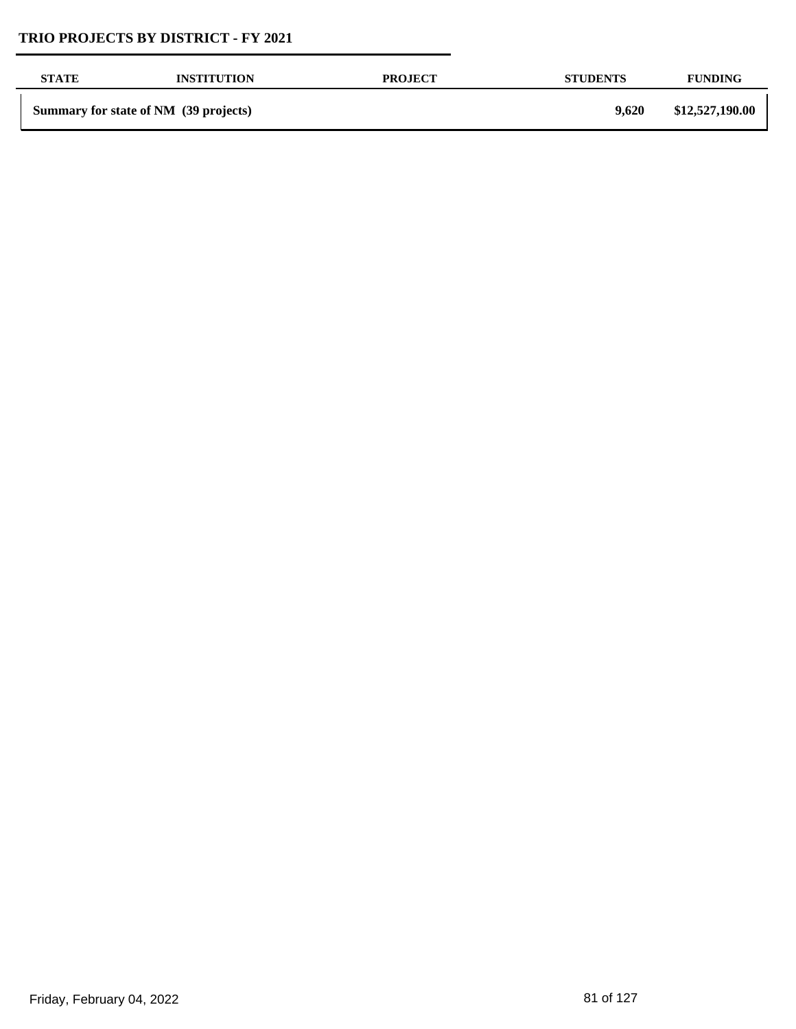| <b>STATE</b> | <b>INSTITUTION</b>                    | <b>PROJECT</b> | <b>STUDENTS</b> | <b>FUNDING</b>  |
|--------------|---------------------------------------|----------------|-----------------|-----------------|
|              | Summary for state of NM (39 projects) |                | 9,620           | \$12,527,190.00 |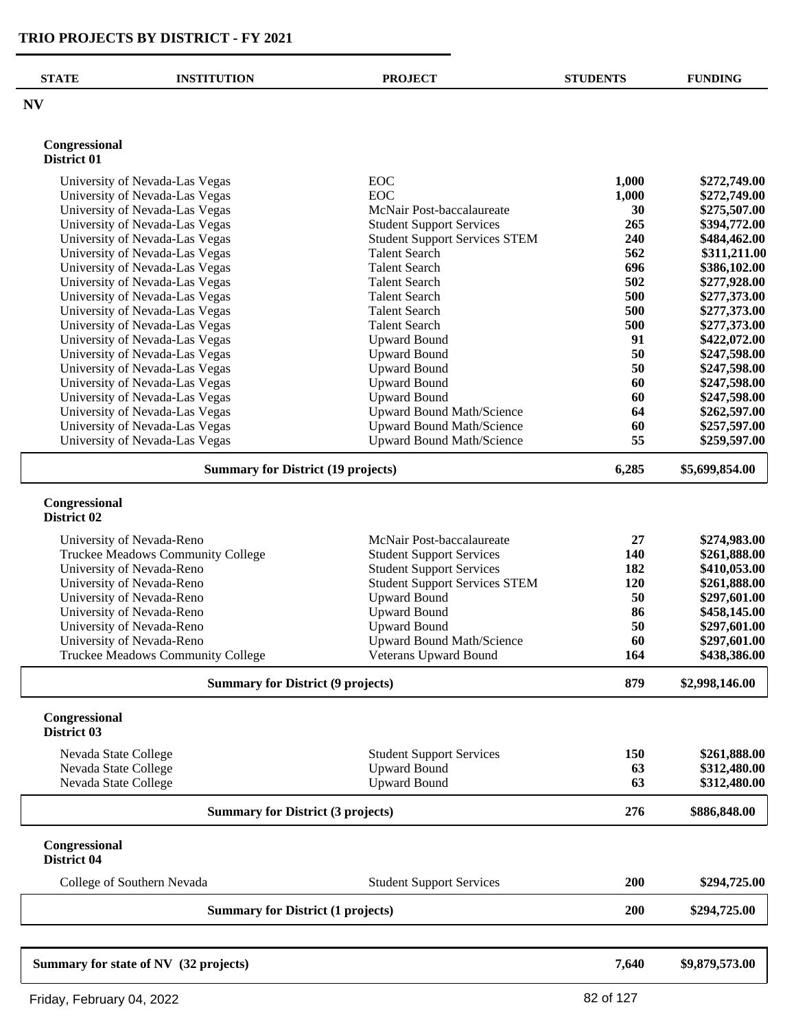| <b>NV</b><br>Congressional<br>District 01<br><b>EOC</b><br>University of Nevada-Las Vegas<br>1,000<br><b>EOC</b><br>University of Nevada-Las Vegas<br>1,000<br>University of Nevada-Las Vegas<br>McNair Post-baccalaureate<br>30<br>University of Nevada-Las Vegas<br><b>Student Support Services</b><br>265<br>University of Nevada-Las Vegas<br><b>Student Support Services STEM</b><br>240<br><b>Talent Search</b><br>562<br>University of Nevada-Las Vegas<br>696<br>University of Nevada-Las Vegas<br><b>Talent Search</b><br>502<br>University of Nevada-Las Vegas<br><b>Talent Search</b><br>500<br>University of Nevada-Las Vegas<br><b>Talent Search</b><br>University of Nevada-Las Vegas<br><b>Talent Search</b><br>500<br>University of Nevada-Las Vegas<br><b>Talent Search</b><br>500<br>91<br>University of Nevada-Las Vegas<br><b>Upward Bound</b><br>50<br>University of Nevada-Las Vegas<br><b>Upward Bound</b><br>50<br>University of Nevada-Las Vegas<br><b>Upward Bound</b><br>60<br>University of Nevada-Las Vegas<br><b>Upward Bound</b><br>60<br>University of Nevada-Las Vegas<br><b>Upward Bound</b><br>University of Nevada-Las Vegas<br>Upward Bound Math/Science<br>64<br><b>Upward Bound Math/Science</b><br>University of Nevada-Las Vegas<br>60<br>55<br>University of Nevada-Las Vegas<br><b>Upward Bound Math/Science</b><br><b>Summary for District (19 projects)</b><br>6,285<br>Congressional<br>District 02<br>McNair Post-baccalaureate<br>27<br>University of Nevada-Reno<br>140<br>Truckee Meadows Community College<br><b>Student Support Services</b><br><b>Student Support Services</b><br>University of Nevada-Reno<br>182<br>University of Nevada-Reno<br><b>Student Support Services STEM</b><br>120<br>50<br>University of Nevada-Reno<br><b>Upward Bound</b><br><b>Upward Bound</b><br>86<br>University of Nevada-Reno<br>50<br><b>Upward Bound</b><br>University of Nevada-Reno<br>University of Nevada-Reno<br>60<br><b>Upward Bound Math/Science</b><br>Truckee Meadows Community College<br>Veterans Upward Bound<br>164<br><b>Summary for District (9 projects)</b><br>879<br>Congressional<br>District 03<br>150<br>Nevada State College<br><b>Student Support Services</b><br><b>Upward Bound</b><br>Nevada State College<br>63<br>Upward Bound<br>Nevada State College<br>63<br>276<br><b>Summary for District (3 projects)</b><br>Congressional<br>District 04<br>200<br>College of Southern Nevada<br><b>Student Support Services</b><br>200<br><b>Summary for District (1 projects)</b> | <b>STATE</b> | <b>INSTITUTION</b> | <b>PROJECT</b> | <b>STUDENTS</b> | <b>FUNDING</b> |
|-----------------------------------------------------------------------------------------------------------------------------------------------------------------------------------------------------------------------------------------------------------------------------------------------------------------------------------------------------------------------------------------------------------------------------------------------------------------------------------------------------------------------------------------------------------------------------------------------------------------------------------------------------------------------------------------------------------------------------------------------------------------------------------------------------------------------------------------------------------------------------------------------------------------------------------------------------------------------------------------------------------------------------------------------------------------------------------------------------------------------------------------------------------------------------------------------------------------------------------------------------------------------------------------------------------------------------------------------------------------------------------------------------------------------------------------------------------------------------------------------------------------------------------------------------------------------------------------------------------------------------------------------------------------------------------------------------------------------------------------------------------------------------------------------------------------------------------------------------------------------------------------------------------------------------------------------------------------------------------------------------------------------------------------------------------------------------------------------------------------------------------------------------------------------------------------------------------------------------------------------------------------------------------------------------------------------------------------------------------------------------------------------------------------------------------------------------------------------------------------------------------------------------------------------------|--------------|--------------------|----------------|-----------------|----------------|
|                                                                                                                                                                                                                                                                                                                                                                                                                                                                                                                                                                                                                                                                                                                                                                                                                                                                                                                                                                                                                                                                                                                                                                                                                                                                                                                                                                                                                                                                                                                                                                                                                                                                                                                                                                                                                                                                                                                                                                                                                                                                                                                                                                                                                                                                                                                                                                                                                                                                                                                                                     |              |                    |                |                 |                |
|                                                                                                                                                                                                                                                                                                                                                                                                                                                                                                                                                                                                                                                                                                                                                                                                                                                                                                                                                                                                                                                                                                                                                                                                                                                                                                                                                                                                                                                                                                                                                                                                                                                                                                                                                                                                                                                                                                                                                                                                                                                                                                                                                                                                                                                                                                                                                                                                                                                                                                                                                     |              |                    |                |                 |                |
|                                                                                                                                                                                                                                                                                                                                                                                                                                                                                                                                                                                                                                                                                                                                                                                                                                                                                                                                                                                                                                                                                                                                                                                                                                                                                                                                                                                                                                                                                                                                                                                                                                                                                                                                                                                                                                                                                                                                                                                                                                                                                                                                                                                                                                                                                                                                                                                                                                                                                                                                                     |              |                    |                |                 |                |
|                                                                                                                                                                                                                                                                                                                                                                                                                                                                                                                                                                                                                                                                                                                                                                                                                                                                                                                                                                                                                                                                                                                                                                                                                                                                                                                                                                                                                                                                                                                                                                                                                                                                                                                                                                                                                                                                                                                                                                                                                                                                                                                                                                                                                                                                                                                                                                                                                                                                                                                                                     |              |                    |                |                 | \$272,749.00   |
|                                                                                                                                                                                                                                                                                                                                                                                                                                                                                                                                                                                                                                                                                                                                                                                                                                                                                                                                                                                                                                                                                                                                                                                                                                                                                                                                                                                                                                                                                                                                                                                                                                                                                                                                                                                                                                                                                                                                                                                                                                                                                                                                                                                                                                                                                                                                                                                                                                                                                                                                                     |              |                    |                |                 | \$272,749.00   |
|                                                                                                                                                                                                                                                                                                                                                                                                                                                                                                                                                                                                                                                                                                                                                                                                                                                                                                                                                                                                                                                                                                                                                                                                                                                                                                                                                                                                                                                                                                                                                                                                                                                                                                                                                                                                                                                                                                                                                                                                                                                                                                                                                                                                                                                                                                                                                                                                                                                                                                                                                     |              |                    |                |                 | \$275,507.00   |
|                                                                                                                                                                                                                                                                                                                                                                                                                                                                                                                                                                                                                                                                                                                                                                                                                                                                                                                                                                                                                                                                                                                                                                                                                                                                                                                                                                                                                                                                                                                                                                                                                                                                                                                                                                                                                                                                                                                                                                                                                                                                                                                                                                                                                                                                                                                                                                                                                                                                                                                                                     |              |                    |                |                 | \$394,772.00   |
|                                                                                                                                                                                                                                                                                                                                                                                                                                                                                                                                                                                                                                                                                                                                                                                                                                                                                                                                                                                                                                                                                                                                                                                                                                                                                                                                                                                                                                                                                                                                                                                                                                                                                                                                                                                                                                                                                                                                                                                                                                                                                                                                                                                                                                                                                                                                                                                                                                                                                                                                                     |              |                    |                |                 | \$484,462.00   |
|                                                                                                                                                                                                                                                                                                                                                                                                                                                                                                                                                                                                                                                                                                                                                                                                                                                                                                                                                                                                                                                                                                                                                                                                                                                                                                                                                                                                                                                                                                                                                                                                                                                                                                                                                                                                                                                                                                                                                                                                                                                                                                                                                                                                                                                                                                                                                                                                                                                                                                                                                     |              |                    |                |                 | \$311,211.00   |
|                                                                                                                                                                                                                                                                                                                                                                                                                                                                                                                                                                                                                                                                                                                                                                                                                                                                                                                                                                                                                                                                                                                                                                                                                                                                                                                                                                                                                                                                                                                                                                                                                                                                                                                                                                                                                                                                                                                                                                                                                                                                                                                                                                                                                                                                                                                                                                                                                                                                                                                                                     |              |                    |                |                 | \$386,102.00   |
|                                                                                                                                                                                                                                                                                                                                                                                                                                                                                                                                                                                                                                                                                                                                                                                                                                                                                                                                                                                                                                                                                                                                                                                                                                                                                                                                                                                                                                                                                                                                                                                                                                                                                                                                                                                                                                                                                                                                                                                                                                                                                                                                                                                                                                                                                                                                                                                                                                                                                                                                                     |              |                    |                |                 | \$277,928.00   |
|                                                                                                                                                                                                                                                                                                                                                                                                                                                                                                                                                                                                                                                                                                                                                                                                                                                                                                                                                                                                                                                                                                                                                                                                                                                                                                                                                                                                                                                                                                                                                                                                                                                                                                                                                                                                                                                                                                                                                                                                                                                                                                                                                                                                                                                                                                                                                                                                                                                                                                                                                     |              |                    |                |                 | \$277,373.00   |
|                                                                                                                                                                                                                                                                                                                                                                                                                                                                                                                                                                                                                                                                                                                                                                                                                                                                                                                                                                                                                                                                                                                                                                                                                                                                                                                                                                                                                                                                                                                                                                                                                                                                                                                                                                                                                                                                                                                                                                                                                                                                                                                                                                                                                                                                                                                                                                                                                                                                                                                                                     |              |                    |                |                 | \$277,373.00   |
|                                                                                                                                                                                                                                                                                                                                                                                                                                                                                                                                                                                                                                                                                                                                                                                                                                                                                                                                                                                                                                                                                                                                                                                                                                                                                                                                                                                                                                                                                                                                                                                                                                                                                                                                                                                                                                                                                                                                                                                                                                                                                                                                                                                                                                                                                                                                                                                                                                                                                                                                                     |              |                    |                |                 | \$277,373.00   |
|                                                                                                                                                                                                                                                                                                                                                                                                                                                                                                                                                                                                                                                                                                                                                                                                                                                                                                                                                                                                                                                                                                                                                                                                                                                                                                                                                                                                                                                                                                                                                                                                                                                                                                                                                                                                                                                                                                                                                                                                                                                                                                                                                                                                                                                                                                                                                                                                                                                                                                                                                     |              |                    |                |                 | \$422,072.00   |
|                                                                                                                                                                                                                                                                                                                                                                                                                                                                                                                                                                                                                                                                                                                                                                                                                                                                                                                                                                                                                                                                                                                                                                                                                                                                                                                                                                                                                                                                                                                                                                                                                                                                                                                                                                                                                                                                                                                                                                                                                                                                                                                                                                                                                                                                                                                                                                                                                                                                                                                                                     |              |                    |                |                 | \$247,598.00   |
|                                                                                                                                                                                                                                                                                                                                                                                                                                                                                                                                                                                                                                                                                                                                                                                                                                                                                                                                                                                                                                                                                                                                                                                                                                                                                                                                                                                                                                                                                                                                                                                                                                                                                                                                                                                                                                                                                                                                                                                                                                                                                                                                                                                                                                                                                                                                                                                                                                                                                                                                                     |              |                    |                |                 | \$247,598.00   |
|                                                                                                                                                                                                                                                                                                                                                                                                                                                                                                                                                                                                                                                                                                                                                                                                                                                                                                                                                                                                                                                                                                                                                                                                                                                                                                                                                                                                                                                                                                                                                                                                                                                                                                                                                                                                                                                                                                                                                                                                                                                                                                                                                                                                                                                                                                                                                                                                                                                                                                                                                     |              |                    |                |                 | \$247,598.00   |
|                                                                                                                                                                                                                                                                                                                                                                                                                                                                                                                                                                                                                                                                                                                                                                                                                                                                                                                                                                                                                                                                                                                                                                                                                                                                                                                                                                                                                                                                                                                                                                                                                                                                                                                                                                                                                                                                                                                                                                                                                                                                                                                                                                                                                                                                                                                                                                                                                                                                                                                                                     |              |                    |                |                 | \$247,598.00   |
|                                                                                                                                                                                                                                                                                                                                                                                                                                                                                                                                                                                                                                                                                                                                                                                                                                                                                                                                                                                                                                                                                                                                                                                                                                                                                                                                                                                                                                                                                                                                                                                                                                                                                                                                                                                                                                                                                                                                                                                                                                                                                                                                                                                                                                                                                                                                                                                                                                                                                                                                                     |              |                    |                |                 | \$262,597.00   |
|                                                                                                                                                                                                                                                                                                                                                                                                                                                                                                                                                                                                                                                                                                                                                                                                                                                                                                                                                                                                                                                                                                                                                                                                                                                                                                                                                                                                                                                                                                                                                                                                                                                                                                                                                                                                                                                                                                                                                                                                                                                                                                                                                                                                                                                                                                                                                                                                                                                                                                                                                     |              |                    |                |                 | \$257,597.00   |
|                                                                                                                                                                                                                                                                                                                                                                                                                                                                                                                                                                                                                                                                                                                                                                                                                                                                                                                                                                                                                                                                                                                                                                                                                                                                                                                                                                                                                                                                                                                                                                                                                                                                                                                                                                                                                                                                                                                                                                                                                                                                                                                                                                                                                                                                                                                                                                                                                                                                                                                                                     |              |                    |                |                 | \$259,597.00   |
|                                                                                                                                                                                                                                                                                                                                                                                                                                                                                                                                                                                                                                                                                                                                                                                                                                                                                                                                                                                                                                                                                                                                                                                                                                                                                                                                                                                                                                                                                                                                                                                                                                                                                                                                                                                                                                                                                                                                                                                                                                                                                                                                                                                                                                                                                                                                                                                                                                                                                                                                                     |              |                    |                |                 | \$5,699,854.00 |
|                                                                                                                                                                                                                                                                                                                                                                                                                                                                                                                                                                                                                                                                                                                                                                                                                                                                                                                                                                                                                                                                                                                                                                                                                                                                                                                                                                                                                                                                                                                                                                                                                                                                                                                                                                                                                                                                                                                                                                                                                                                                                                                                                                                                                                                                                                                                                                                                                                                                                                                                                     |              |                    |                |                 |                |
|                                                                                                                                                                                                                                                                                                                                                                                                                                                                                                                                                                                                                                                                                                                                                                                                                                                                                                                                                                                                                                                                                                                                                                                                                                                                                                                                                                                                                                                                                                                                                                                                                                                                                                                                                                                                                                                                                                                                                                                                                                                                                                                                                                                                                                                                                                                                                                                                                                                                                                                                                     |              |                    |                |                 |                |
|                                                                                                                                                                                                                                                                                                                                                                                                                                                                                                                                                                                                                                                                                                                                                                                                                                                                                                                                                                                                                                                                                                                                                                                                                                                                                                                                                                                                                                                                                                                                                                                                                                                                                                                                                                                                                                                                                                                                                                                                                                                                                                                                                                                                                                                                                                                                                                                                                                                                                                                                                     |              |                    |                |                 | \$274,983.00   |
|                                                                                                                                                                                                                                                                                                                                                                                                                                                                                                                                                                                                                                                                                                                                                                                                                                                                                                                                                                                                                                                                                                                                                                                                                                                                                                                                                                                                                                                                                                                                                                                                                                                                                                                                                                                                                                                                                                                                                                                                                                                                                                                                                                                                                                                                                                                                                                                                                                                                                                                                                     |              |                    |                |                 | \$261,888.00   |
|                                                                                                                                                                                                                                                                                                                                                                                                                                                                                                                                                                                                                                                                                                                                                                                                                                                                                                                                                                                                                                                                                                                                                                                                                                                                                                                                                                                                                                                                                                                                                                                                                                                                                                                                                                                                                                                                                                                                                                                                                                                                                                                                                                                                                                                                                                                                                                                                                                                                                                                                                     |              |                    |                |                 | \$410,053.00   |
|                                                                                                                                                                                                                                                                                                                                                                                                                                                                                                                                                                                                                                                                                                                                                                                                                                                                                                                                                                                                                                                                                                                                                                                                                                                                                                                                                                                                                                                                                                                                                                                                                                                                                                                                                                                                                                                                                                                                                                                                                                                                                                                                                                                                                                                                                                                                                                                                                                                                                                                                                     |              |                    |                |                 | \$261,888.00   |
|                                                                                                                                                                                                                                                                                                                                                                                                                                                                                                                                                                                                                                                                                                                                                                                                                                                                                                                                                                                                                                                                                                                                                                                                                                                                                                                                                                                                                                                                                                                                                                                                                                                                                                                                                                                                                                                                                                                                                                                                                                                                                                                                                                                                                                                                                                                                                                                                                                                                                                                                                     |              |                    |                |                 | \$297,601.00   |
|                                                                                                                                                                                                                                                                                                                                                                                                                                                                                                                                                                                                                                                                                                                                                                                                                                                                                                                                                                                                                                                                                                                                                                                                                                                                                                                                                                                                                                                                                                                                                                                                                                                                                                                                                                                                                                                                                                                                                                                                                                                                                                                                                                                                                                                                                                                                                                                                                                                                                                                                                     |              |                    |                |                 | \$458,145.00   |
|                                                                                                                                                                                                                                                                                                                                                                                                                                                                                                                                                                                                                                                                                                                                                                                                                                                                                                                                                                                                                                                                                                                                                                                                                                                                                                                                                                                                                                                                                                                                                                                                                                                                                                                                                                                                                                                                                                                                                                                                                                                                                                                                                                                                                                                                                                                                                                                                                                                                                                                                                     |              |                    |                |                 | \$297,601.00   |
|                                                                                                                                                                                                                                                                                                                                                                                                                                                                                                                                                                                                                                                                                                                                                                                                                                                                                                                                                                                                                                                                                                                                                                                                                                                                                                                                                                                                                                                                                                                                                                                                                                                                                                                                                                                                                                                                                                                                                                                                                                                                                                                                                                                                                                                                                                                                                                                                                                                                                                                                                     |              |                    |                |                 | \$297,601.00   |
|                                                                                                                                                                                                                                                                                                                                                                                                                                                                                                                                                                                                                                                                                                                                                                                                                                                                                                                                                                                                                                                                                                                                                                                                                                                                                                                                                                                                                                                                                                                                                                                                                                                                                                                                                                                                                                                                                                                                                                                                                                                                                                                                                                                                                                                                                                                                                                                                                                                                                                                                                     |              |                    |                |                 | \$438,386.00   |
|                                                                                                                                                                                                                                                                                                                                                                                                                                                                                                                                                                                                                                                                                                                                                                                                                                                                                                                                                                                                                                                                                                                                                                                                                                                                                                                                                                                                                                                                                                                                                                                                                                                                                                                                                                                                                                                                                                                                                                                                                                                                                                                                                                                                                                                                                                                                                                                                                                                                                                                                                     |              |                    |                |                 | \$2,998,146.00 |
|                                                                                                                                                                                                                                                                                                                                                                                                                                                                                                                                                                                                                                                                                                                                                                                                                                                                                                                                                                                                                                                                                                                                                                                                                                                                                                                                                                                                                                                                                                                                                                                                                                                                                                                                                                                                                                                                                                                                                                                                                                                                                                                                                                                                                                                                                                                                                                                                                                                                                                                                                     |              |                    |                |                 |                |
|                                                                                                                                                                                                                                                                                                                                                                                                                                                                                                                                                                                                                                                                                                                                                                                                                                                                                                                                                                                                                                                                                                                                                                                                                                                                                                                                                                                                                                                                                                                                                                                                                                                                                                                                                                                                                                                                                                                                                                                                                                                                                                                                                                                                                                                                                                                                                                                                                                                                                                                                                     |              |                    |                |                 |                |
|                                                                                                                                                                                                                                                                                                                                                                                                                                                                                                                                                                                                                                                                                                                                                                                                                                                                                                                                                                                                                                                                                                                                                                                                                                                                                                                                                                                                                                                                                                                                                                                                                                                                                                                                                                                                                                                                                                                                                                                                                                                                                                                                                                                                                                                                                                                                                                                                                                                                                                                                                     |              |                    |                |                 | \$261,888.00   |
|                                                                                                                                                                                                                                                                                                                                                                                                                                                                                                                                                                                                                                                                                                                                                                                                                                                                                                                                                                                                                                                                                                                                                                                                                                                                                                                                                                                                                                                                                                                                                                                                                                                                                                                                                                                                                                                                                                                                                                                                                                                                                                                                                                                                                                                                                                                                                                                                                                                                                                                                                     |              |                    |                |                 | \$312,480.00   |
|                                                                                                                                                                                                                                                                                                                                                                                                                                                                                                                                                                                                                                                                                                                                                                                                                                                                                                                                                                                                                                                                                                                                                                                                                                                                                                                                                                                                                                                                                                                                                                                                                                                                                                                                                                                                                                                                                                                                                                                                                                                                                                                                                                                                                                                                                                                                                                                                                                                                                                                                                     |              |                    |                |                 | \$312,480.00   |
|                                                                                                                                                                                                                                                                                                                                                                                                                                                                                                                                                                                                                                                                                                                                                                                                                                                                                                                                                                                                                                                                                                                                                                                                                                                                                                                                                                                                                                                                                                                                                                                                                                                                                                                                                                                                                                                                                                                                                                                                                                                                                                                                                                                                                                                                                                                                                                                                                                                                                                                                                     |              |                    |                |                 | \$886,848.00   |
|                                                                                                                                                                                                                                                                                                                                                                                                                                                                                                                                                                                                                                                                                                                                                                                                                                                                                                                                                                                                                                                                                                                                                                                                                                                                                                                                                                                                                                                                                                                                                                                                                                                                                                                                                                                                                                                                                                                                                                                                                                                                                                                                                                                                                                                                                                                                                                                                                                                                                                                                                     |              |                    |                |                 |                |
|                                                                                                                                                                                                                                                                                                                                                                                                                                                                                                                                                                                                                                                                                                                                                                                                                                                                                                                                                                                                                                                                                                                                                                                                                                                                                                                                                                                                                                                                                                                                                                                                                                                                                                                                                                                                                                                                                                                                                                                                                                                                                                                                                                                                                                                                                                                                                                                                                                                                                                                                                     |              |                    |                |                 | \$294,725.00   |
|                                                                                                                                                                                                                                                                                                                                                                                                                                                                                                                                                                                                                                                                                                                                                                                                                                                                                                                                                                                                                                                                                                                                                                                                                                                                                                                                                                                                                                                                                                                                                                                                                                                                                                                                                                                                                                                                                                                                                                                                                                                                                                                                                                                                                                                                                                                                                                                                                                                                                                                                                     |              |                    |                |                 | \$294,725.00   |
| Summary for state of NV (32 projects)<br>7,640                                                                                                                                                                                                                                                                                                                                                                                                                                                                                                                                                                                                                                                                                                                                                                                                                                                                                                                                                                                                                                                                                                                                                                                                                                                                                                                                                                                                                                                                                                                                                                                                                                                                                                                                                                                                                                                                                                                                                                                                                                                                                                                                                                                                                                                                                                                                                                                                                                                                                                      |              |                    |                |                 | \$9,879,573.00 |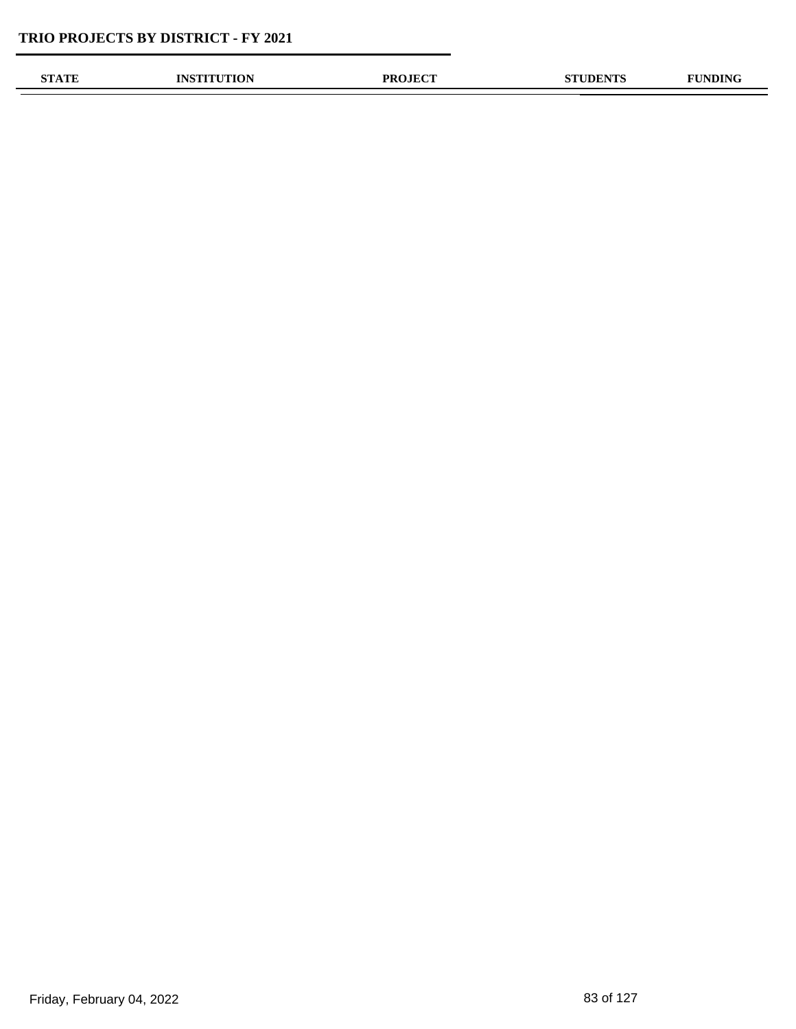| OTLA TELE | אומו<br><b>ALON</b> | <b>OJECT</b><br>PR | <b>DENTS</b> | $\mathbf{m}$ |
|-----------|---------------------|--------------------|--------------|--------------|
|           |                     |                    |              |              |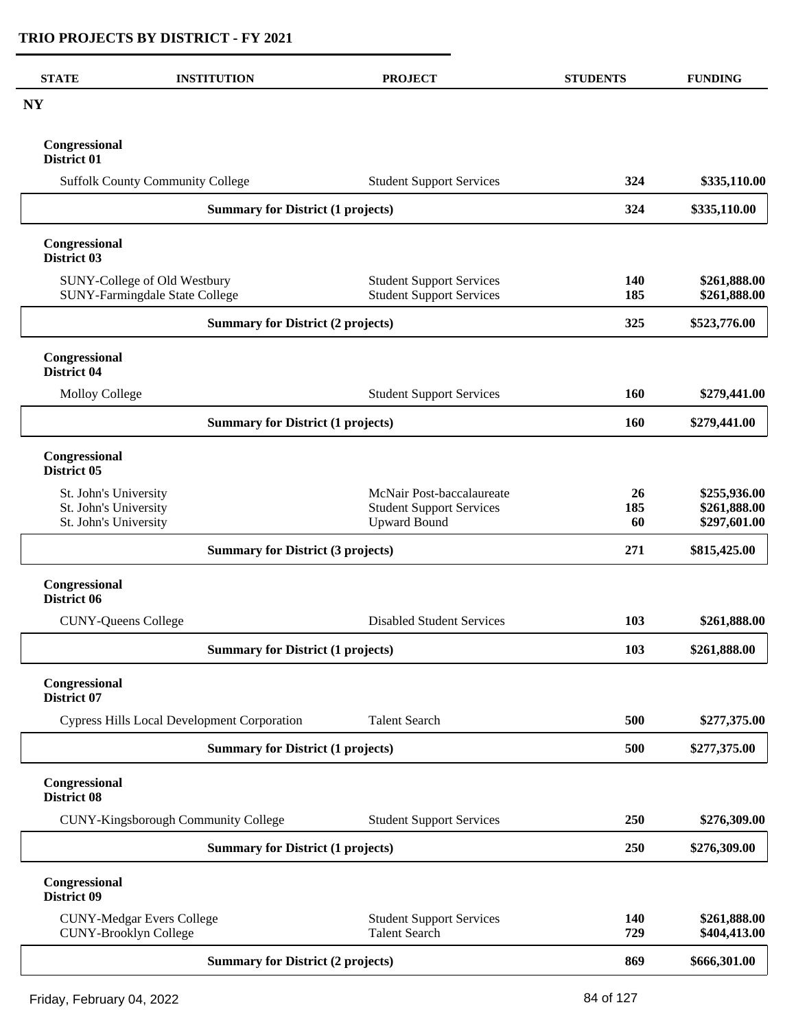| <b>STATE</b>                                   | <b>INSTITUTION</b>                                               | <b>PROJECT</b>                                                     | <b>STUDENTS</b>  | <b>FUNDING</b>               |
|------------------------------------------------|------------------------------------------------------------------|--------------------------------------------------------------------|------------------|------------------------------|
| <b>NY</b>                                      |                                                                  |                                                                    |                  |                              |
| Congressional<br>District 01                   |                                                                  |                                                                    |                  |                              |
|                                                | <b>Suffolk County Community College</b>                          | <b>Student Support Services</b>                                    | 324              | \$335,110.00                 |
|                                                | <b>Summary for District (1 projects)</b>                         |                                                                    | 324              | \$335,110.00                 |
| Congressional<br>District 03                   |                                                                  |                                                                    |                  |                              |
|                                                | SUNY-College of Old Westbury<br>SUNY-Farmingdale State College   | <b>Student Support Services</b><br><b>Student Support Services</b> | 140<br>185       | \$261,888.00<br>\$261,888.00 |
|                                                | <b>Summary for District (2 projects)</b>                         |                                                                    | 325              | \$523,776.00                 |
|                                                |                                                                  |                                                                    |                  |                              |
| Congressional<br>District 04                   |                                                                  |                                                                    |                  |                              |
| <b>Molloy College</b>                          |                                                                  | <b>Student Support Services</b>                                    | 160              | \$279,441.00                 |
|                                                | <b>Summary for District (1 projects)</b>                         |                                                                    | <b>160</b>       | \$279,441.00                 |
| Congressional<br>District 05                   |                                                                  |                                                                    |                  |                              |
| St. John's University<br>St. John's University |                                                                  | McNair Post-baccalaureate<br><b>Student Support Services</b>       | <b>26</b><br>185 | \$255,936.00<br>\$261,888.00 |
| St. John's University                          |                                                                  | <b>Upward Bound</b>                                                | 60               | \$297,601.00                 |
|                                                | <b>Summary for District (3 projects)</b>                         |                                                                    |                  | \$815,425.00                 |
| Congressional<br>District 06                   |                                                                  |                                                                    |                  |                              |
|                                                | <b>CUNY-Queens College</b>                                       | <b>Disabled Student Services</b>                                   | 103              | \$261,888.00                 |
|                                                | <b>Summary for District (1 projects)</b>                         |                                                                    | 103              | \$261,888.00                 |
| Congressional<br><b>District 07</b>            |                                                                  |                                                                    |                  |                              |
|                                                | <b>Cypress Hills Local Development Corporation</b>               | <b>Talent Search</b>                                               | 500              | \$277,375.00                 |
|                                                | <b>Summary for District (1 projects)</b>                         |                                                                    | 500              | \$277,375.00                 |
| Congressional<br>District 08                   |                                                                  |                                                                    |                  |                              |
|                                                | CUNY-Kingsborough Community College                              | <b>Student Support Services</b>                                    | 250              | \$276,309.00                 |
|                                                | <b>Summary for District (1 projects)</b>                         |                                                                    | 250              | \$276,309.00                 |
| Congressional<br>District 09                   |                                                                  |                                                                    |                  |                              |
|                                                | <b>CUNY-Medgar Evers College</b><br><b>CUNY-Brooklyn College</b> | <b>Student Support Services</b><br><b>Talent Search</b>            | 140<br>729       | \$261,888.00<br>\$404,413.00 |
|                                                | <b>Summary for District (2 projects)</b>                         | 869                                                                | \$666,301.00     |                              |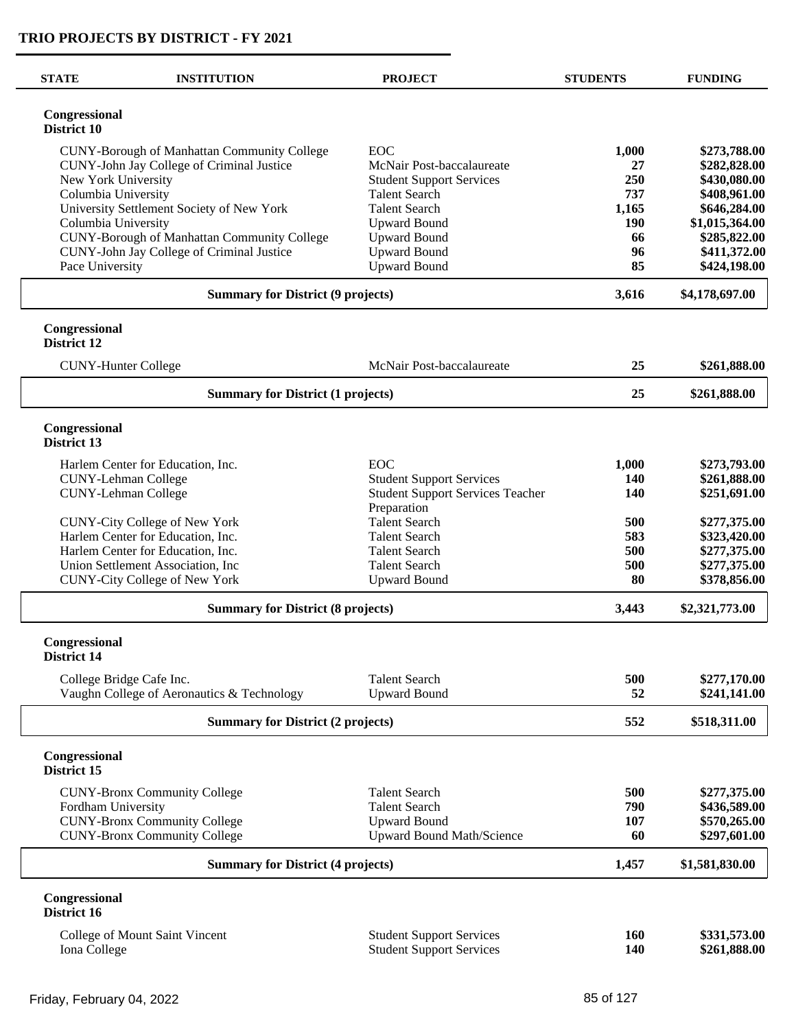$\overline{\phantom{0}}$ 

| <b>STATE</b>                 | <b>INSTITUTION</b>                                 | <b>PROJECT</b>                               | <b>STUDENTS</b> | <b>FUNDING</b>               |
|------------------------------|----------------------------------------------------|----------------------------------------------|-----------------|------------------------------|
| Congressional<br>District 10 |                                                    |                                              |                 |                              |
|                              | <b>CUNY-Borough of Manhattan Community College</b> | <b>EOC</b>                                   | 1,000           | \$273,788.00                 |
|                              | CUNY-John Jay College of Criminal Justice          | McNair Post-baccalaureate                    | 27              | \$282,828.00                 |
| New York University          |                                                    | <b>Student Support Services</b>              | 250             | \$430,080.00                 |
| Columbia University          | University Settlement Society of New York          | <b>Talent Search</b><br><b>Talent Search</b> | 737<br>1,165    | \$408,961.00<br>\$646,284.00 |
| Columbia University          |                                                    | <b>Upward Bound</b>                          | <b>190</b>      | \$1,015,364.00               |
|                              | CUNY-Borough of Manhattan Community College        | <b>Upward Bound</b>                          | 66              | \$285,822.00                 |
| Pace University              | CUNY-John Jay College of Criminal Justice          | <b>Upward Bound</b><br><b>Upward Bound</b>   | 96<br>85        | \$411,372.00<br>\$424,198.00 |
|                              | <b>Summary for District (9 projects)</b>           |                                              | 3,616           | \$4,178,697.00               |
| Congressional<br>District 12 |                                                    |                                              |                 |                              |
|                              | <b>CUNY-Hunter College</b>                         | McNair Post-baccalaureate                    | 25              | \$261,888.00                 |
|                              | <b>Summary for District (1 projects)</b>           |                                              | 25              | \$261,888.00                 |
| Congressional<br>District 13 |                                                    |                                              |                 |                              |
|                              | Harlem Center for Education, Inc.                  | EOC                                          | 1,000           | \$273,793.00                 |
|                              | <b>CUNY-Lehman College</b>                         | <b>Student Support Services</b>              | 140             | \$261,888.00                 |
|                              | <b>CUNY-Lehman College</b>                         | <b>Student Support Services Teacher</b>      | 140             | \$251,691.00                 |
|                              | CUNY-City College of New York                      | Preparation<br><b>Talent Search</b>          | 500             | \$277,375.00                 |
|                              | Harlem Center for Education, Inc.                  | <b>Talent Search</b>                         | 583             | \$323,420.00                 |
|                              | Harlem Center for Education, Inc.                  | <b>Talent Search</b>                         | 500             | \$277,375.00                 |
|                              | Union Settlement Association, Inc.                 | <b>Talent Search</b>                         | 500             | \$277,375.00                 |
|                              | <b>CUNY-City College of New York</b>               | <b>Upward Bound</b>                          | 80              | \$378,856.00                 |
|                              | <b>Summary for District (8 projects)</b>           |                                              | 3,443           | \$2,321,773.00               |
| Congressional<br>District 14 |                                                    |                                              |                 |                              |
|                              | College Bridge Cafe Inc.                           | <b>Talent Search</b>                         | 500             | \$277,170.00                 |
|                              | Vaughn College of Aeronautics & Technology         | <b>Upward Bound</b>                          | 52              | \$241,141.00                 |
|                              | <b>Summary for District (2 projects)</b>           |                                              | 552             | \$518,311.00                 |
| Congressional<br>District 15 |                                                    |                                              |                 |                              |
|                              | <b>CUNY-Bronx Community College</b>                | <b>Talent Search</b>                         | 500             | \$277,375.00                 |
| Fordham University           |                                                    | <b>Talent Search</b>                         | 790             | \$436,589.00                 |
|                              | <b>CUNY-Bronx Community College</b>                | <b>Upward Bound</b>                          | 107             | \$570,265.00                 |
|                              | <b>CUNY-Bronx Community College</b>                | Upward Bound Math/Science                    | 60              | \$297,601.00                 |
|                              | <b>Summary for District (4 projects)</b>           |                                              | 1,457           | \$1,581,830.00               |
| Congressional<br>District 16 |                                                    |                                              |                 |                              |
|                              | College of Mount Saint Vincent                     | <b>Student Support Services</b>              | 160             | \$331,573.00                 |
| Iona College                 |                                                    | <b>Student Support Services</b>              | <b>140</b>      | \$261,888.00                 |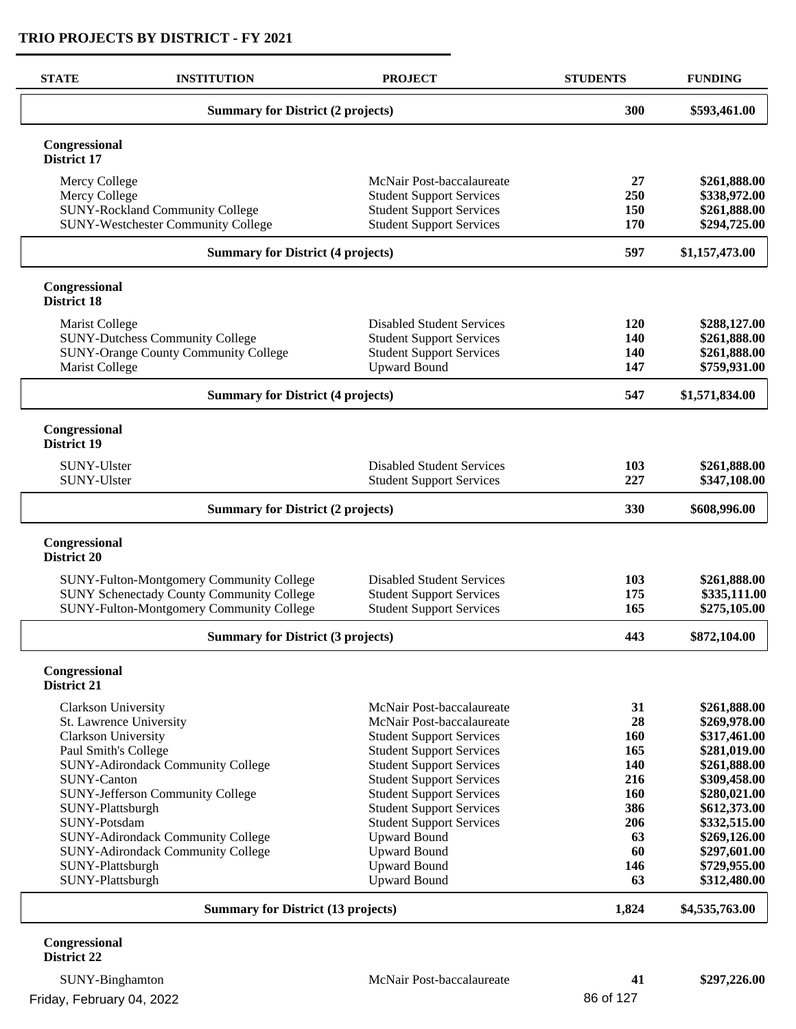| <b>STATE</b>                        | <b>INSTITUTION</b>                               | <b>PROJECT</b>                                                     | <b>STUDENTS</b> | <b>FUNDING</b>               |
|-------------------------------------|--------------------------------------------------|--------------------------------------------------------------------|-----------------|------------------------------|
|                                     | <b>Summary for District (2 projects)</b>         | 300                                                                | \$593,461.00    |                              |
| Congressional<br>District 17        |                                                  |                                                                    |                 |                              |
| Mercy College                       |                                                  | McNair Post-baccalaureate                                          | 27              | \$261,888.00                 |
| Mercy College                       |                                                  | <b>Student Support Services</b>                                    | 250             | \$338,972.00                 |
|                                     | <b>SUNY-Rockland Community College</b>           | <b>Student Support Services</b>                                    | 150             | \$261,888.00                 |
|                                     | <b>SUNY-Westchester Community College</b>        | <b>Student Support Services</b>                                    | 170             | \$294,725.00                 |
|                                     | <b>Summary for District (4 projects)</b>         |                                                                    | 597             | \$1,157,473.00               |
| Congressional<br>District 18        |                                                  |                                                                    |                 |                              |
| Marist College                      |                                                  | <b>Disabled Student Services</b>                                   | 120             | \$288,127.00                 |
|                                     | <b>SUNY-Dutchess Community College</b>           | <b>Student Support Services</b>                                    | 140             | \$261,888.00                 |
|                                     | <b>SUNY-Orange County Community College</b>      | <b>Student Support Services</b>                                    | 140             | \$261,888.00                 |
| Marist College                      |                                                  | <b>Upward Bound</b>                                                | 147             | \$759,931.00                 |
|                                     | <b>Summary for District (4 projects)</b>         |                                                                    | 547             | \$1,571,834.00               |
| Congressional<br>District 19        |                                                  |                                                                    |                 |                              |
| <b>SUNY-Ulster</b>                  |                                                  | <b>Disabled Student Services</b>                                   | 103             | \$261,888.00                 |
| SUNY-Ulster                         |                                                  | <b>Student Support Services</b>                                    | 227             | \$347,108.00                 |
|                                     | <b>Summary for District (2 projects)</b>         |                                                                    | 330             | \$608,996.00                 |
| Congressional<br>District 20        |                                                  |                                                                    |                 |                              |
|                                     | SUNY-Fulton-Montgomery Community College         | <b>Disabled Student Services</b>                                   | 103             | \$261,888.00                 |
|                                     | <b>SUNY Schenectady County Community College</b> | <b>Student Support Services</b>                                    | 175             | \$335,111.00                 |
|                                     | SUNY-Fulton-Montgomery Community College         | <b>Student Support Services</b>                                    | 165             | \$275,105.00                 |
|                                     | <b>Summary for District (3 projects)</b>         |                                                                    | 443             | \$872,104.00                 |
| Congressional<br><b>District 21</b> |                                                  |                                                                    |                 |                              |
| Clarkson University                 |                                                  | McNair Post-baccalaureate                                          | 31              | \$261,888.00                 |
|                                     | St. Lawrence University                          | McNair Post-baccalaureate                                          | 28              | \$269,978.00                 |
| Clarkson University                 |                                                  | <b>Student Support Services</b>                                    | <b>160</b>      | \$317,461.00                 |
| Paul Smith's College                |                                                  | <b>Student Support Services</b>                                    | 165             | \$281,019.00                 |
|                                     | <b>SUNY-Adirondack Community College</b>         | <b>Student Support Services</b>                                    | 140             | \$261,888.00                 |
| <b>SUNY-Canton</b>                  |                                                  | <b>Student Support Services</b>                                    | 216             | \$309,458.00                 |
|                                     | <b>SUNY-Jefferson Community College</b>          | <b>Student Support Services</b>                                    | 160             | \$280,021.00                 |
| SUNY-Plattsburgh<br>SUNY-Potsdam    |                                                  | <b>Student Support Services</b><br><b>Student Support Services</b> | 386<br>206      | \$612,373.00<br>\$332,515.00 |
|                                     | <b>SUNY-Adirondack Community College</b>         | <b>Upward Bound</b>                                                | 63              | \$269,126.00                 |
|                                     | <b>SUNY-Adirondack Community College</b>         | <b>Upward Bound</b>                                                | 60              | \$297,601.00                 |
| SUNY-Plattsburgh                    |                                                  | <b>Upward Bound</b>                                                | 146             | \$729,955.00                 |
| SUNY-Plattsburgh                    |                                                  | <b>Upward Bound</b>                                                | 63              | \$312,480.00                 |
|                                     | <b>Summary for District (13 projects)</b>        | 1,824                                                              | \$4,535,763.00  |                              |
| Congressional                       |                                                  |                                                                    |                 |                              |

# **District 22**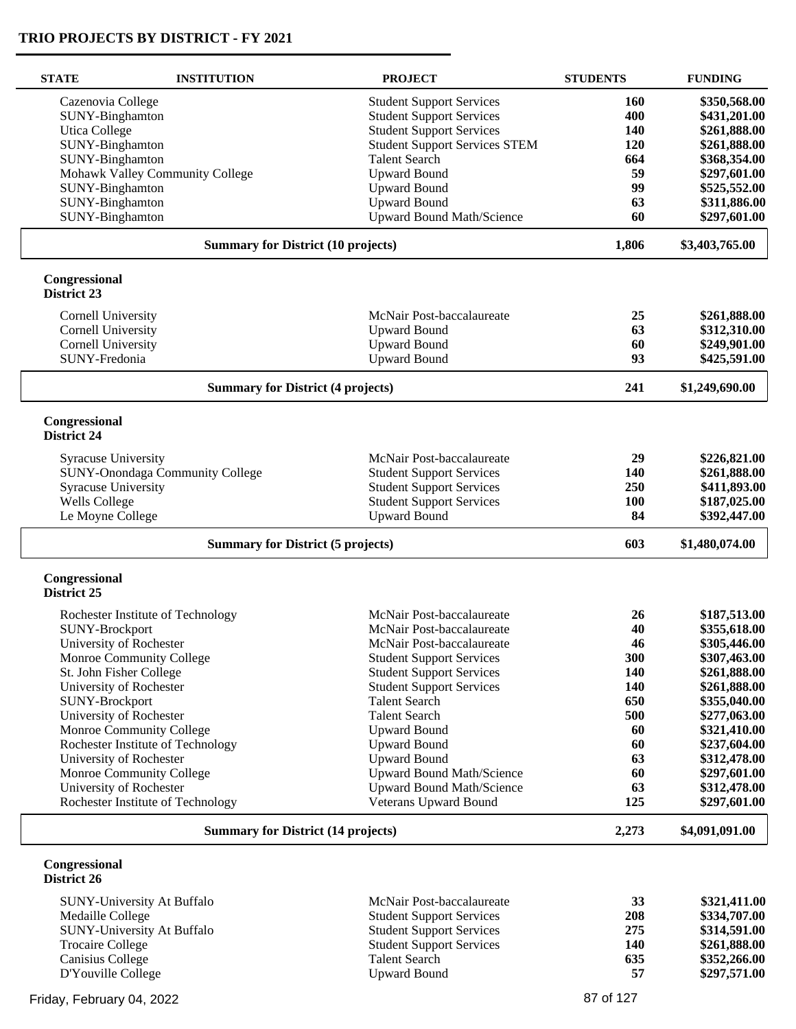$\overline{\phantom{0}}$ 

| <b>STATE</b>                        | <b>INSTITUTION</b>                        | <b>PROJECT</b>                       | <b>STUDENTS</b> | <b>FUNDING</b> |
|-------------------------------------|-------------------------------------------|--------------------------------------|-----------------|----------------|
| Cazenovia College                   |                                           | <b>Student Support Services</b>      | 160             | \$350,568.00   |
| SUNY-Binghamton                     |                                           | <b>Student Support Services</b>      | 400             | \$431,201.00   |
| <b>Utica College</b>                |                                           | <b>Student Support Services</b>      | 140             | \$261,888.00   |
|                                     |                                           |                                      | 120             |                |
| SUNY-Binghamton                     |                                           | <b>Student Support Services STEM</b> |                 | \$261,888.00   |
| SUNY-Binghamton                     |                                           | <b>Talent Search</b>                 | 664             | \$368,354.00   |
|                                     | Mohawk Valley Community College           | <b>Upward Bound</b>                  | 59              | \$297,601.00   |
| SUNY-Binghamton                     |                                           | <b>Upward Bound</b>                  | 99              | \$525,552.00   |
| SUNY-Binghamton                     |                                           | <b>Upward Bound</b>                  | 63              | \$311,886.00   |
| SUNY-Binghamton                     |                                           | <b>Upward Bound Math/Science</b>     | 60              | \$297,601.00   |
|                                     | <b>Summary for District (10 projects)</b> |                                      | 1,806           | \$3,403,765.00 |
| Congressional<br>District 23        |                                           |                                      |                 |                |
| <b>Cornell University</b>           |                                           | McNair Post-baccalaureate            | 25              | \$261,888.00   |
| Cornell University                  |                                           |                                      | 63              | \$312,310.00   |
|                                     |                                           | <b>Upward Bound</b>                  |                 |                |
| <b>Cornell University</b>           |                                           | <b>Upward Bound</b>                  | 60              | \$249,901.00   |
| SUNY-Fredonia                       |                                           | <b>Upward Bound</b>                  | 93              | \$425,591.00   |
|                                     | <b>Summary for District (4 projects)</b>  |                                      | 241             | \$1,249,690.00 |
| Congressional<br><b>District 24</b> |                                           |                                      |                 |                |
|                                     |                                           |                                      | 29              |                |
| <b>Syracuse University</b>          |                                           | McNair Post-baccalaureate            |                 | \$226,821.00   |
|                                     | SUNY-Onondaga Community College           | <b>Student Support Services</b>      | 140             | \$261,888.00   |
| <b>Syracuse University</b>          |                                           | <b>Student Support Services</b>      | 250             | \$411,893.00   |
| <b>Wells College</b>                |                                           | <b>Student Support Services</b>      | <b>100</b>      | \$187,025.00   |
| Le Moyne College                    |                                           | <b>Upward Bound</b>                  | 84              | \$392,447.00   |
|                                     | <b>Summary for District (5 projects)</b>  |                                      | 603             | \$1,480,074.00 |
| Congressional<br>District 25        |                                           |                                      |                 |                |
|                                     |                                           |                                      |                 |                |
|                                     | Rochester Institute of Technology         | McNair Post-baccalaureate            | 26              | \$187,513.00   |
| SUNY-Brockport                      |                                           | McNair Post-baccalaureate            | 40              | \$355,618.00   |
| University of Rochester             |                                           | McNair Post-baccalaureate            | 46              | \$305,446.00   |
|                                     | Monroe Community College                  | <b>Student Support Services</b>      | 300             | \$307,463.00   |
| St. John Fisher College             |                                           | <b>Student Support Services</b>      | 140             | \$261,888.00   |
| University of Rochester             |                                           | <b>Student Support Services</b>      | 140             | \$261,888.00   |
| SUNY-Brockport                      |                                           | <b>Talent Search</b>                 | 650             | \$355,040.00   |
| University of Rochester             |                                           | <b>Talent Search</b>                 | 500             | \$277,063.00   |
|                                     | Monroe Community College                  | <b>Upward Bound</b>                  | 60              | \$321,410.00   |
|                                     | Rochester Institute of Technology         | <b>Upward Bound</b>                  | 60              | \$237,604.00   |
| University of Rochester             |                                           | <b>Upward Bound</b>                  | 63              | \$312,478.00   |
|                                     | Monroe Community College                  | Upward Bound Math/Science            | 60              | \$297,601.00   |
|                                     |                                           |                                      |                 |                |
| University of Rochester             |                                           | <b>Upward Bound Math/Science</b>     | 63              | \$312,478.00   |
|                                     | Rochester Institute of Technology         | <b>Veterans Upward Bound</b>         | 125             | \$297,601.00   |
|                                     | <b>Summary for District (14 projects)</b> |                                      | 2,273           | \$4,091,091.00 |
| Congressional<br>District 26        |                                           |                                      |                 |                |
|                                     | SUNY-University At Buffalo                | McNair Post-baccalaureate            | 33              | \$321,411.00   |
| Medaille College                    |                                           | <b>Student Support Services</b>      | 208             | \$334,707.00   |
|                                     | SUNY-University At Buffalo                | <b>Student Support Services</b>      | 275             | \$314,591.00   |
| <b>Trocaire College</b>             |                                           | <b>Student Support Services</b>      | 140             | \$261,888.00   |
| Canisius College                    |                                           | <b>Talent Search</b>                 | 635             | \$352,266.00   |
| D'Youville College                  |                                           | <b>Upward Bound</b>                  | 57              | \$297,571.00   |
|                                     |                                           |                                      |                 |                |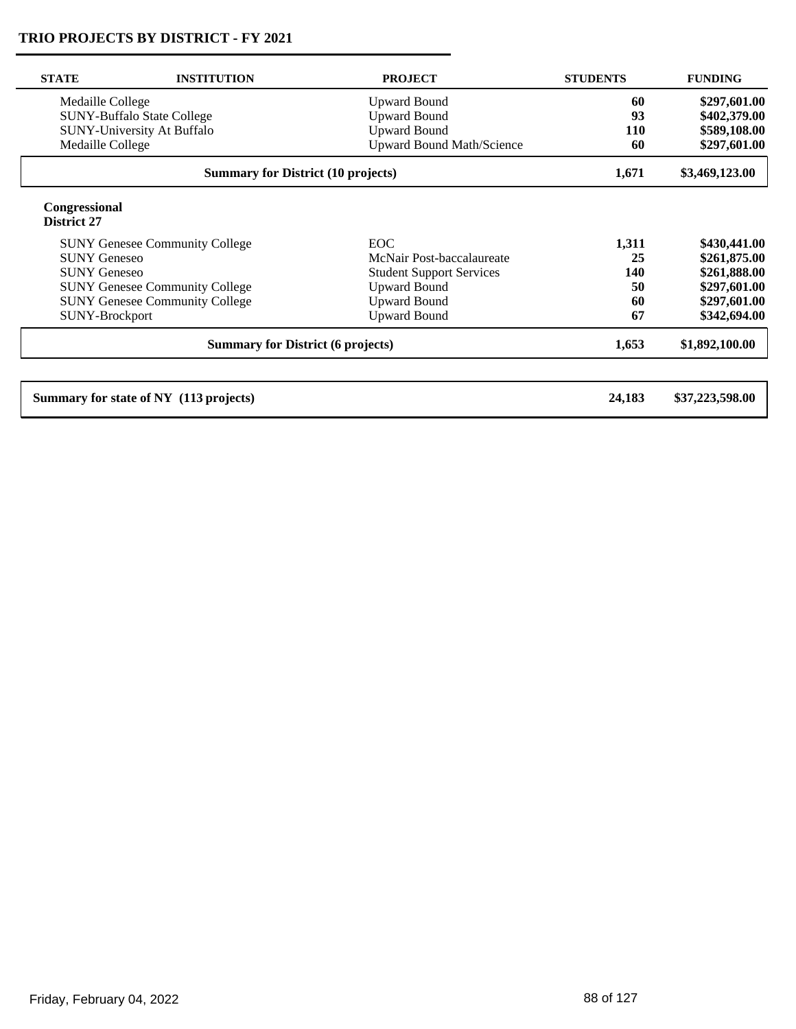| <b>STATE</b>                 | <b>INSTITUTION</b>                        | <b>PROJECT</b>                   | <b>STUDENTS</b> | <b>FUNDING</b>  |
|------------------------------|-------------------------------------------|----------------------------------|-----------------|-----------------|
| Medaille College             |                                           | <b>Upward Bound</b>              | 60              | \$297,601.00    |
|                              | <b>SUNY-Buffalo State College</b>         | <b>Upward Bound</b>              | 93              | \$402,379.00    |
|                              | SUNY-University At Buffalo                | <b>Upward Bound</b>              | <b>110</b>      | \$589,108.00    |
| Medaille College             |                                           | <b>Upward Bound Math/Science</b> | 60              | \$297,601.00    |
|                              | <b>Summary for District (10 projects)</b> |                                  | 1,671           | \$3,469,123.00  |
| Congressional<br>District 27 |                                           |                                  |                 |                 |
|                              | <b>SUNY Genesee Community College</b>     | <b>EOC</b>                       | 1,311           | \$430,441.00    |
| <b>SUNY Geneseo</b>          |                                           | McNair Post-baccalaureate        | 25              | \$261,875.00    |
| <b>SUNY Geneseo</b>          |                                           | <b>Student Support Services</b>  | 140             | \$261,888.00    |
|                              | <b>SUNY Genesee Community College</b>     | <b>Upward Bound</b>              | 50              | \$297,601.00    |
|                              | <b>SUNY Genesee Community College</b>     | <b>Upward Bound</b>              | 60              | \$297,601.00    |
| SUNY-Brockport               |                                           | <b>Upward Bound</b>              | 67              | \$342,694.00    |
|                              | <b>Summary for District (6 projects)</b>  |                                  | 1,653           | \$1,892,100.00  |
|                              | Summary for state of NY (113 projects)    |                                  | 24,183          | \$37,223,598.00 |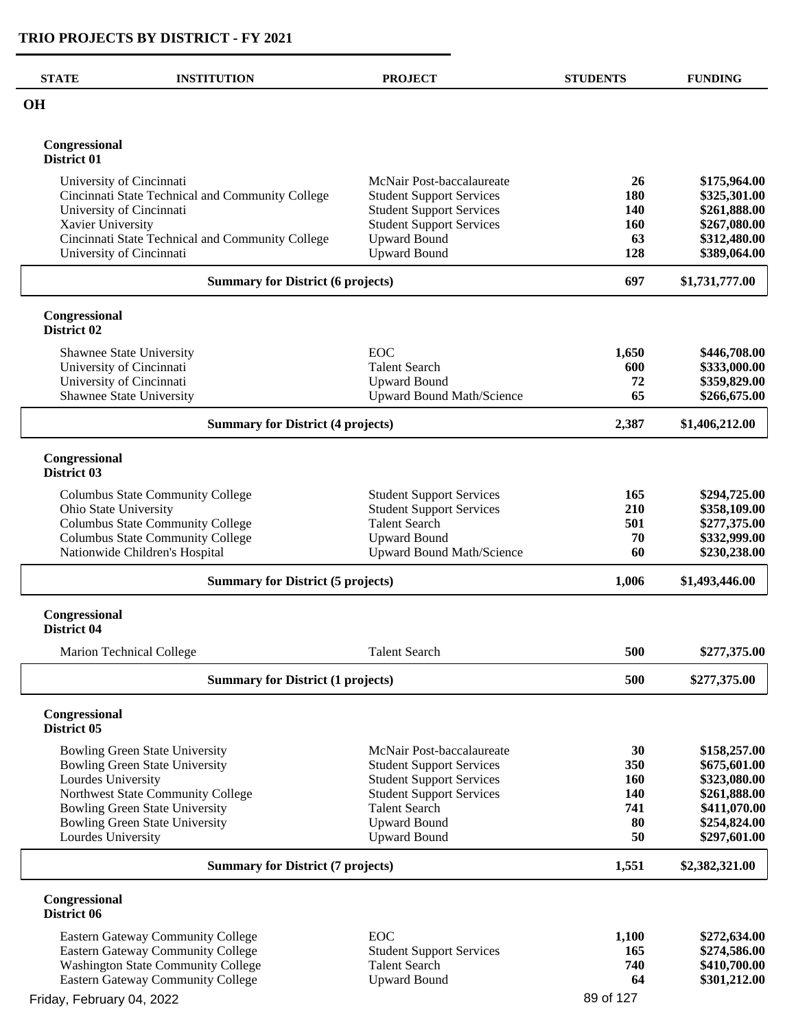| <b>STATE</b>                 | <b>INSTITUTION</b>                               | <b>PROJECT</b>                   | <b>STUDENTS</b> | <b>FUNDING</b> |
|------------------------------|--------------------------------------------------|----------------------------------|-----------------|----------------|
| <b>OH</b>                    |                                                  |                                  |                 |                |
| Congressional<br>District 01 |                                                  |                                  |                 |                |
| University of Cincinnati     |                                                  | McNair Post-baccalaureate        | 26              | \$175,964.00   |
|                              | Cincinnati State Technical and Community College | <b>Student Support Services</b>  | 180             | \$325,301.00   |
|                              | University of Cincinnati                         | <b>Student Support Services</b>  | 140             | \$261,888.00   |
| Xavier University            |                                                  | <b>Student Support Services</b>  | 160             | \$267,080.00   |
|                              | Cincinnati State Technical and Community College | <b>Upward Bound</b>              | 63              | \$312,480.00   |
|                              | University of Cincinnati                         | <b>Upward Bound</b>              | 128             | \$389,064.00   |
|                              | <b>Summary for District (6 projects)</b>         |                                  | 697             | \$1,731,777.00 |
| Congressional<br>District 02 |                                                  |                                  |                 |                |
|                              | Shawnee State University                         | <b>EOC</b>                       | 1,650           | \$446,708.00   |
|                              | University of Cincinnati                         | <b>Talent Search</b>             | 600             | \$333,000.00   |
|                              | University of Cincinnati                         | <b>Upward Bound</b>              | 72              | \$359,829.00   |
|                              | <b>Shawnee State University</b>                  | Upward Bound Math/Science        | 65              | \$266,675.00   |
|                              | <b>Summary for District (4 projects)</b>         |                                  | 2,387           | \$1,406,212.00 |
| Congressional<br>District 03 |                                                  |                                  |                 |                |
|                              | <b>Columbus State Community College</b>          | <b>Student Support Services</b>  | 165             | \$294,725.00   |
| Ohio State University        |                                                  | <b>Student Support Services</b>  | 210             | \$358,109.00   |
|                              | <b>Columbus State Community College</b>          | <b>Talent Search</b>             | 501             | \$277,375.00   |
|                              | <b>Columbus State Community College</b>          | <b>Upward Bound</b>              | 70              | \$332,999.00   |
|                              | Nationwide Children's Hospital                   | <b>Upward Bound Math/Science</b> | 60              | \$230,238.00   |
|                              | <b>Summary for District (5 projects)</b>         |                                  | 1,006           | \$1,493,446.00 |
| Congressional<br>District 04 |                                                  |                                  |                 |                |
|                              | <b>Marion Technical College</b>                  | <b>Talent Search</b>             | 500             | \$277,375.00   |
|                              | <b>Summary for District (1 projects)</b>         |                                  | 500             | \$277,375.00   |
| Congressional<br>District 05 |                                                  |                                  |                 |                |
|                              | <b>Bowling Green State University</b>            | McNair Post-baccalaureate        | 30              | \$158,257.00   |
|                              | <b>Bowling Green State University</b>            | <b>Student Support Services</b>  | 350             | \$675,601.00   |
| Lourdes University           |                                                  | <b>Student Support Services</b>  | <b>160</b>      | \$323,080.00   |
|                              | Northwest State Community College                | <b>Student Support Services</b>  | <b>140</b>      | \$261,888.00   |
|                              | <b>Bowling Green State University</b>            | <b>Talent Search</b>             | 741             | \$411,070.00   |
|                              | <b>Bowling Green State University</b>            | <b>Upward Bound</b>              | 80              | \$254,824.00   |
| Lourdes University           |                                                  | <b>Upward Bound</b>              | 50              | \$297,601.00   |
|                              | <b>Summary for District (7 projects)</b>         |                                  |                 | \$2,382,321.00 |
| Congressional<br>District 06 |                                                  |                                  |                 |                |
|                              | Eastern Gateway Community College                | <b>EOC</b>                       | 1,100           | \$272,634.00   |
|                              | <b>Eastern Gateway Community College</b>         | <b>Student Support Services</b>  | 165             | \$274,586.00   |
|                              | <b>Washington State Community College</b>        | <b>Talent Search</b>             | 740             | \$410,700.00   |
|                              | <b>Eastern Gateway Community College</b>         | <b>Upward Bound</b>              | 64              | \$301,212.00   |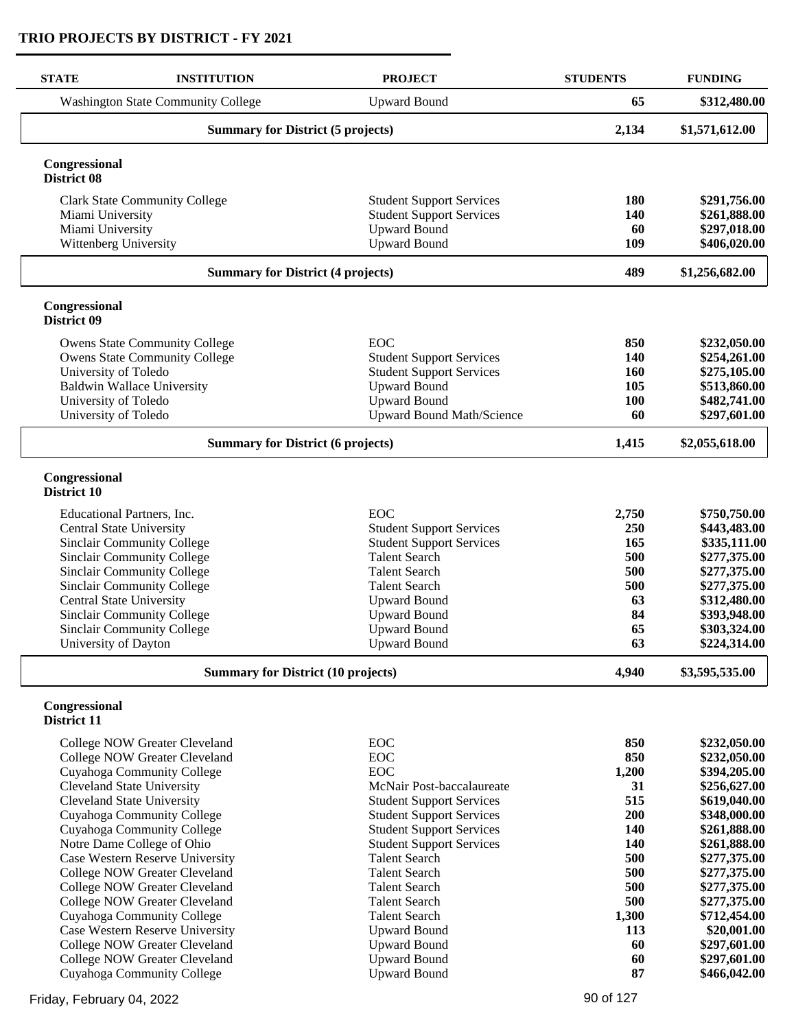| <b>STATE</b>                    | <b>INSTITUTION</b>                                            | <b>PROJECT</b>                                          | <b>STUDENTS</b> | <b>FUNDING</b>               |
|---------------------------------|---------------------------------------------------------------|---------------------------------------------------------|-----------------|------------------------------|
|                                 | <b>Washington State Community College</b>                     | <b>Upward Bound</b>                                     | 65              | \$312,480.00                 |
|                                 | <b>Summary for District (5 projects)</b>                      |                                                         | 2,134           | \$1,571,612.00               |
| Congressional<br>District 08    |                                                               |                                                         |                 |                              |
|                                 | <b>Clark State Community College</b>                          | <b>Student Support Services</b>                         | 180             | \$291,756.00                 |
| Miami University                |                                                               | <b>Student Support Services</b>                         | 140             | \$261,888.00                 |
| Miami University                |                                                               | <b>Upward Bound</b>                                     | 60              | \$297,018.00                 |
| Wittenberg University           |                                                               | <b>Upward Bound</b>                                     | 109             | \$406,020.00                 |
|                                 | <b>Summary for District (4 projects)</b>                      |                                                         | 489             | \$1,256,682.00               |
| Congressional<br>District 09    |                                                               |                                                         |                 |                              |
|                                 | <b>Owens State Community College</b>                          | EOC                                                     | 850             | \$232,050.00                 |
|                                 | <b>Owens State Community College</b>                          | <b>Student Support Services</b>                         | 140             | \$254,261.00                 |
| University of Toledo            |                                                               | <b>Student Support Services</b>                         | 160             | \$275,105.00                 |
|                                 | <b>Baldwin Wallace University</b>                             | <b>Upward Bound</b>                                     | 105             | \$513,860.00                 |
| University of Toledo            |                                                               | <b>Upward Bound</b>                                     | <b>100</b>      | \$482,741.00                 |
| University of Toledo            |                                                               | <b>Upward Bound Math/Science</b>                        | 60              | \$297,601.00                 |
|                                 | <b>Summary for District (6 projects)</b>                      |                                                         | 1,415           | \$2,055,618.00               |
| Congressional<br>District 10    |                                                               |                                                         |                 |                              |
|                                 | Educational Partners, Inc.                                    | EOC                                                     | 2,750           | \$750,750.00                 |
| <b>Central State University</b> |                                                               | <b>Student Support Services</b>                         | 250             | \$443,483.00                 |
|                                 | <b>Sinclair Community College</b>                             | <b>Student Support Services</b>                         | 165             | \$335,111.00                 |
|                                 | <b>Sinclair Community College</b>                             | <b>Talent Search</b>                                    | 500             | \$277,375.00                 |
|                                 | <b>Sinclair Community College</b>                             | <b>Talent Search</b>                                    | 500             | \$277,375.00                 |
|                                 | <b>Sinclair Community College</b>                             | <b>Talent Search</b>                                    | 500             | \$277,375.00                 |
| <b>Central State University</b> |                                                               | <b>Upward Bound</b>                                     | 63              | \$312,480.00                 |
|                                 | <b>Sinclair Community College</b>                             | <b>Upward Bound</b>                                     | 84              | \$393,948.00                 |
|                                 | <b>Sinclair Community College</b>                             | <b>Upward Bound</b>                                     | 65              | \$303,324.00                 |
| University of Dayton            |                                                               | <b>Upward Bound</b>                                     | 63              | \$224,314.00                 |
|                                 | <b>Summary for District (10 projects)</b>                     |                                                         | 4,940           | \$3,595,535.00               |
| Congressional<br>District 11    |                                                               |                                                         |                 |                              |
|                                 | College NOW Greater Cleveland                                 | EOC                                                     | 850             | \$232,050.00                 |
|                                 | <b>College NOW Greater Cleveland</b>                          | EOC                                                     | 850             | \$232,050.00                 |
|                                 | Cuyahoga Community College                                    | <b>EOC</b>                                              | 1,200           | \$394,205.00                 |
|                                 | <b>Cleveland State University</b>                             | McNair Post-baccalaureate                               | 31              | \$256,627.00                 |
|                                 | <b>Cleveland State University</b>                             | <b>Student Support Services</b>                         | 515             | \$619,040.00                 |
|                                 | Cuyahoga Community College                                    | <b>Student Support Services</b>                         | 200             | \$348,000.00                 |
|                                 | Cuyahoga Community College                                    | <b>Student Support Services</b>                         | 140             | \$261,888.00                 |
|                                 | Notre Dame College of Ohio<br>Case Western Reserve University | <b>Student Support Services</b><br><b>Talent Search</b> | 140<br>500      | \$261,888.00                 |
|                                 | <b>College NOW Greater Cleveland</b>                          | <b>Talent Search</b>                                    | 500             | \$277,375.00<br>\$277,375.00 |
|                                 | <b>College NOW Greater Cleveland</b>                          | <b>Talent Search</b>                                    | 500             | \$277,375.00                 |
|                                 | <b>College NOW Greater Cleveland</b>                          | <b>Talent Search</b>                                    | 500             | \$277,375.00                 |
|                                 | Cuyahoga Community College                                    | <b>Talent Search</b>                                    | 1,300           | \$712,454.00                 |
|                                 | Case Western Reserve University                               | <b>Upward Bound</b>                                     | 113             | \$20,001.00                  |
|                                 | <b>College NOW Greater Cleveland</b>                          | <b>Upward Bound</b>                                     | 60              | \$297,601.00                 |
|                                 | College NOW Greater Cleveland                                 | <b>Upward Bound</b>                                     | 60              | \$297,601.00                 |
|                                 | Cuyahoga Community College                                    | <b>Upward Bound</b>                                     | 87              | \$466,042.00                 |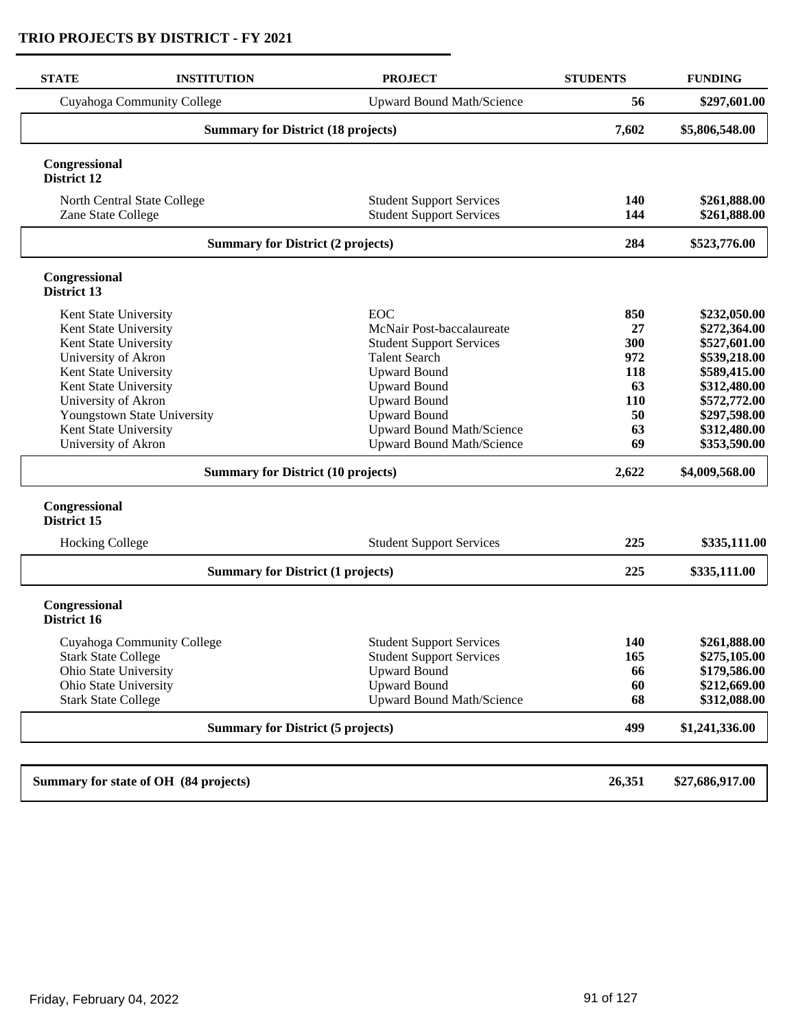| <b>STATE</b>                                      | <b>INSTITUTION</b>                        | <b>PROJECT</b>                                                     | <b>STUDENTS</b>   | <b>FUNDING</b>               |
|---------------------------------------------------|-------------------------------------------|--------------------------------------------------------------------|-------------------|------------------------------|
|                                                   | Cuyahoga Community College                | <b>Upward Bound Math/Science</b>                                   | 56                | \$297,601.00                 |
|                                                   | <b>Summary for District (18 projects)</b> |                                                                    | 7,602             | \$5,806,548.00               |
| Congressional<br>District 12                      |                                           |                                                                    |                   |                              |
| North Central State College<br>Zane State College |                                           | <b>Student Support Services</b><br><b>Student Support Services</b> | <b>140</b><br>144 | \$261,888.00<br>\$261,888.00 |
|                                                   | <b>Summary for District (2 projects)</b>  |                                                                    | 284               | \$523,776.00                 |
| Congressional<br>District 13                      |                                           |                                                                    |                   |                              |
| Kent State University                             |                                           | <b>EOC</b>                                                         | 850               | \$232,050.00                 |
| Kent State University                             |                                           | McNair Post-baccalaureate                                          | 27                | \$272,364.00                 |
| Kent State University                             |                                           | <b>Student Support Services</b>                                    | 300               | \$527,601.00                 |
| University of Akron                               |                                           | <b>Talent Search</b>                                               | 972               | \$539,218.00                 |
| Kent State University<br>Kent State University    |                                           | <b>Upward Bound</b><br><b>Upward Bound</b>                         | 118<br>63         | \$589,415.00<br>\$312,480.00 |
| University of Akron                               |                                           | <b>Upward Bound</b>                                                | 110               | \$572,772.00                 |
|                                                   | Youngstown State University               | <b>Upward Bound</b>                                                | 50                | \$297,598.00                 |
| Kent State University                             |                                           | <b>Upward Bound Math/Science</b>                                   | 63                | \$312,480.00                 |
| University of Akron                               |                                           | <b>Upward Bound Math/Science</b>                                   | 69                | \$353,590.00                 |
|                                                   | <b>Summary for District (10 projects)</b> |                                                                    | 2,622             | \$4,009,568.00               |
| Congressional<br>District 15                      |                                           |                                                                    |                   |                              |
| <b>Hocking College</b>                            |                                           | <b>Student Support Services</b>                                    | 225               | \$335,111.00                 |
|                                                   | <b>Summary for District (1 projects)</b>  |                                                                    | 225               | \$335,111.00                 |
| Congressional<br>District 16                      |                                           |                                                                    |                   |                              |
|                                                   | Cuyahoga Community College                | <b>Student Support Services</b>                                    | 140               | \$261,888.00                 |
| <b>Stark State College</b>                        |                                           | <b>Student Support Services</b>                                    | 165               | \$275,105.00                 |
| Ohio State University                             |                                           | <b>Upward Bound</b>                                                | 66                | \$179,586.00                 |
| Ohio State University                             |                                           | <b>Upward Bound</b>                                                | 60                | \$212,669.00                 |
| <b>Stark State College</b>                        |                                           | <b>Upward Bound Math/Science</b>                                   | 68                | \$312,088.00                 |
|                                                   | <b>Summary for District (5 projects)</b>  |                                                                    | 499               | \$1,241,336.00               |
|                                                   |                                           |                                                                    |                   |                              |
|                                                   | Summary for state of OH (84 projects)     |                                                                    | 26,351            | \$27,686,917.00              |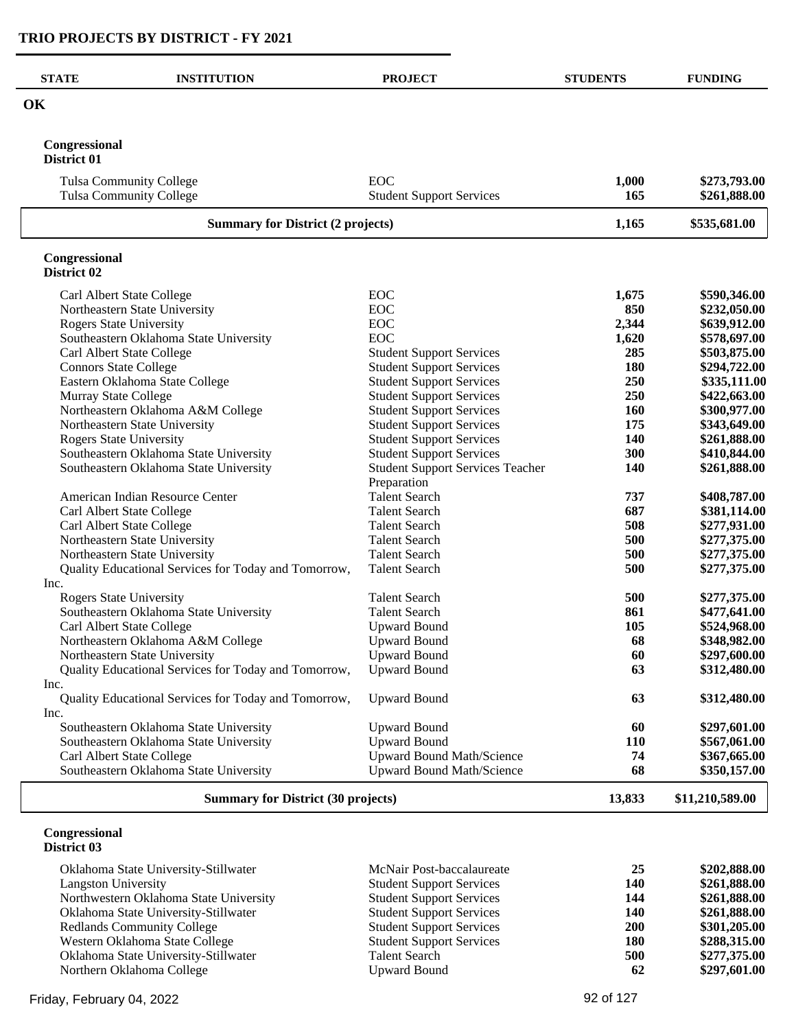| <b>STATE</b>                   | <b>INSTITUTION</b>                                   | <b>PROJECT</b>                                         | <b>STUDENTS</b> | <b>FUNDING</b>  |
|--------------------------------|------------------------------------------------------|--------------------------------------------------------|-----------------|-----------------|
| OK                             |                                                      |                                                        |                 |                 |
| Congressional<br>District 01   |                                                      |                                                        |                 |                 |
|                                | <b>Tulsa Community College</b>                       | EOC                                                    | 1,000           | \$273,793.00    |
|                                | <b>Tulsa Community College</b>                       | <b>Student Support Services</b>                        | 165             | \$261,888.00    |
|                                | <b>Summary for District (2 projects)</b>             |                                                        |                 | \$535,681.00    |
| Congressional<br>District 02   |                                                      |                                                        |                 |                 |
|                                | Carl Albert State College                            | EOC                                                    | 1,675           | \$590,346.00    |
|                                | Northeastern State University                        | EOC                                                    | 850             | \$232,050.00    |
| <b>Rogers State University</b> |                                                      | EOC                                                    | 2,344           | \$639,912.00    |
|                                | Southeastern Oklahoma State University               | EOC                                                    | 1,620           | \$578,697.00    |
|                                | Carl Albert State College                            | <b>Student Support Services</b>                        | 285             | \$503,875.00    |
| <b>Connors State College</b>   |                                                      | <b>Student Support Services</b>                        | 180             | \$294,722.00    |
|                                | Eastern Oklahoma State College                       | <b>Student Support Services</b>                        | 250             | \$335,111.00    |
| Murray State College           |                                                      | <b>Student Support Services</b>                        | 250             | \$422,663.00    |
|                                | Northeastern Oklahoma A&M College                    | <b>Student Support Services</b>                        | 160             | \$300,977.00    |
|                                | Northeastern State University                        | <b>Student Support Services</b>                        | 175             | \$343,649.00    |
| <b>Rogers State University</b> |                                                      | <b>Student Support Services</b>                        | 140             | \$261,888.00    |
|                                | Southeastern Oklahoma State University               | <b>Student Support Services</b>                        | 300             | \$410,844.00    |
|                                | Southeastern Oklahoma State University               | <b>Student Support Services Teacher</b><br>Preparation | 140             | \$261,888.00    |
|                                | American Indian Resource Center                      | <b>Talent Search</b>                                   | 737             | \$408,787.00    |
|                                | Carl Albert State College                            | <b>Talent Search</b>                                   | 687             | \$381,114.00    |
|                                | Carl Albert State College                            | <b>Talent Search</b>                                   | 508             | \$277,931.00    |
|                                | Northeastern State University                        | <b>Talent Search</b>                                   | 500             | \$277,375.00    |
|                                | Northeastern State University                        | <b>Talent Search</b>                                   | 500             | \$277,375.00    |
|                                | Quality Educational Services for Today and Tomorrow, | <b>Talent Search</b>                                   | 500             | \$277,375.00    |
| Inc.                           |                                                      |                                                        |                 |                 |
| <b>Rogers State University</b> |                                                      | <b>Talent Search</b>                                   | 500             | \$277,375.00    |
|                                | Southeastern Oklahoma State University               | <b>Talent Search</b>                                   | 861             | \$477,641.00    |
|                                | Carl Albert State College                            | <b>Upward Bound</b>                                    | 105             | \$524,968.00    |
|                                | Northeastern Oklahoma A&M College                    | <b>Upward Bound</b>                                    | 68              | \$348,982.00    |
|                                | Northeastern State University                        | <b>Upward Bound</b>                                    | 60              | \$297,600.00    |
|                                | Quality Educational Services for Today and Tomorrow, | <b>Upward Bound</b>                                    | 63              | \$312,480.00    |
| Inc.                           | Quality Educational Services for Today and Tomorrow, | <b>Upward Bound</b>                                    | 63              | \$312,480.00    |
| Inc.                           |                                                      |                                                        |                 |                 |
|                                | Southeastern Oklahoma State University               | <b>Upward Bound</b>                                    | 60              | \$297,601.00    |
|                                | Southeastern Oklahoma State University               | <b>Upward Bound</b>                                    | <b>110</b>      | \$567,061.00    |
|                                | Carl Albert State College                            | <b>Upward Bound Math/Science</b>                       | 74              | \$367,665.00    |
|                                | Southeastern Oklahoma State University               | <b>Upward Bound Math/Science</b>                       | 68              | \$350,157.00    |
|                                | <b>Summary for District (30 projects)</b>            |                                                        | 13,833          | \$11,210,589.00 |

#### **Congressional District 03**

| Oklahoma State University-Stillwater   | McNair Post-baccalaureate       | 25  | \$202,888.00 |
|----------------------------------------|---------------------------------|-----|--------------|
| Langston University                    | <b>Student Support Services</b> | 140 | \$261,888.00 |
| Northwestern Oklahoma State University | <b>Student Support Services</b> | 144 | \$261,888.00 |
| Oklahoma State University-Stillwater   | <b>Student Support Services</b> | 140 | \$261,888.00 |
| <b>Redlands Community College</b>      | <b>Student Support Services</b> | 200 | \$301,205.00 |
| Western Oklahoma State College         | <b>Student Support Services</b> | 180 | \$288,315.00 |
| Oklahoma State University-Stillwater   | <b>Talent Search</b>            | 500 | \$277,375.00 |
| Northern Oklahoma College              | Upward Bound                    | 62  | \$297,601.00 |
|                                        |                                 |     |              |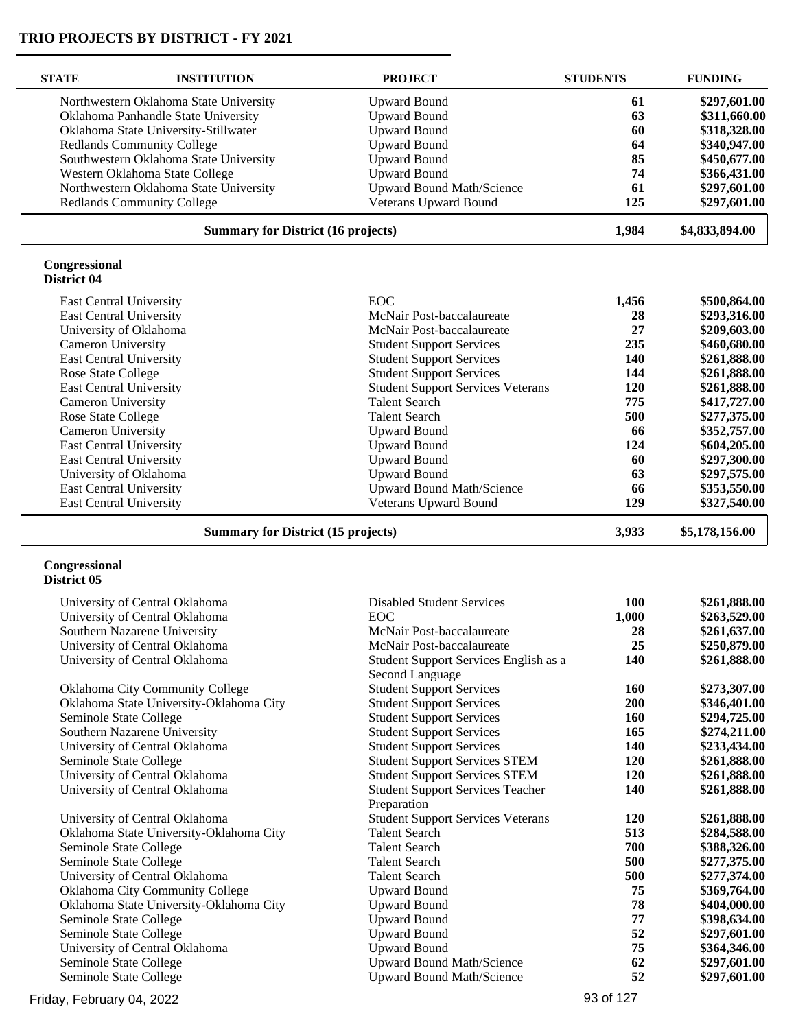| <b>STATE</b>                   | <b>INSTITUTION</b>                        | <b>PROJECT</b>                                           | <b>STUDENTS</b> | <b>FUNDING</b> |
|--------------------------------|-------------------------------------------|----------------------------------------------------------|-----------------|----------------|
|                                | Northwestern Oklahoma State University    | <b>Upward Bound</b>                                      | 61              | \$297,601.00   |
|                                | Oklahoma Panhandle State University       | <b>Upward Bound</b>                                      | 63              | \$311,660.00   |
|                                | Oklahoma State University-Stillwater      | <b>Upward Bound</b>                                      | 60              | \$318,328.00   |
|                                | <b>Redlands Community College</b>         | <b>Upward Bound</b>                                      | 64              | \$340,947.00   |
|                                | Southwestern Oklahoma State University    | <b>Upward Bound</b>                                      | 85              | \$450,677.00   |
|                                | Western Oklahoma State College            | <b>Upward Bound</b>                                      | 74              | \$366,431.00   |
|                                | Northwestern Oklahoma State University    | <b>Upward Bound Math/Science</b>                         | 61              | \$297,601.00   |
|                                | <b>Redlands Community College</b>         | Veterans Upward Bound                                    | 125             | \$297,601.00   |
|                                |                                           |                                                          |                 |                |
|                                | <b>Summary for District (16 projects)</b> |                                                          | 1,984           | \$4,833,894.00 |
| Congressional<br>District 04   |                                           |                                                          |                 |                |
| East Central University        |                                           | <b>EOC</b>                                               | 1,456           | \$500,864.00   |
| <b>East Central University</b> |                                           | McNair Post-baccalaureate                                | 28              | \$293,316.00   |
|                                | University of Oklahoma                    | McNair Post-baccalaureate                                | 27              | \$209,603.00   |
| Cameron University             |                                           | <b>Student Support Services</b>                          | 235             | \$460,680.00   |
| <b>East Central University</b> |                                           | <b>Student Support Services</b>                          | 140             | \$261,888.00   |
| Rose State College             |                                           | <b>Student Support Services</b>                          | 144             | \$261,888.00   |
| East Central University        |                                           | <b>Student Support Services Veterans</b>                 | 120             | \$261,888.00   |
| Cameron University             |                                           | <b>Talent Search</b>                                     | 775             | \$417,727.00   |
| Rose State College             |                                           | <b>Talent Search</b>                                     | 500             | \$277,375.00   |
| Cameron University             |                                           | <b>Upward Bound</b>                                      | 66              | \$352,757.00   |
| East Central University        |                                           | <b>Upward Bound</b>                                      | 124             | \$604,205.00   |
| <b>East Central University</b> |                                           | <b>Upward Bound</b>                                      | 60              | \$297,300.00   |
|                                | University of Oklahoma                    | <b>Upward Bound</b>                                      | 63              | \$297,575.00   |
| <b>East Central University</b> |                                           | <b>Upward Bound Math/Science</b>                         | 66              | \$353,550.00   |
| East Central University        |                                           | Veterans Upward Bound                                    | 129             | \$327,540.00   |
|                                |                                           |                                                          |                 |                |
|                                | <b>Summary for District (15 projects)</b> |                                                          | 3,933           | \$5,178,156.00 |
| Congressional<br>District 05   |                                           |                                                          |                 |                |
|                                | University of Central Oklahoma            | <b>Disabled Student Services</b>                         | 100             | \$261,888.00   |
|                                | University of Central Oklahoma            | <b>EOC</b>                                               | 1,000           | \$263,529.00   |
|                                | Southern Nazarene University              | McNair Post-baccalaureate                                | 28              | \$261,637.00   |
|                                | University of Central Oklahoma            | McNair Post-baccalaureate                                | 25              | \$250,879.00   |
|                                | University of Central Oklahoma            | Student Support Services English as a<br>Second Language | 140             | \$261,888.00   |
|                                | Oklahoma City Community College           | <b>Student Support Services</b>                          | <b>160</b>      | \$273,307.00   |
|                                | Oklahoma State University-Oklahoma City   | <b>Student Support Services</b>                          | 200             | \$346,401.00   |
| Seminole State College         |                                           | <b>Student Support Services</b>                          | 160             | \$294,725.00   |
|                                | Southern Nazarene University              | <b>Student Support Services</b>                          | 165             | \$274,211.00   |
|                                | University of Central Oklahoma            | <b>Student Support Services</b>                          | 140             | \$233,434.00   |
| Seminole State College         |                                           | <b>Student Support Services STEM</b>                     | 120             | \$261,888.00   |
|                                | University of Central Oklahoma            | <b>Student Support Services STEM</b>                     | 120             | \$261,888.00   |
|                                | University of Central Oklahoma            | <b>Student Support Services Teacher</b><br>Preparation   | 140             | \$261,888.00   |
|                                | University of Central Oklahoma            | <b>Student Support Services Veterans</b>                 | <b>120</b>      | \$261,888.00   |
|                                | Oklahoma State University-Oklahoma City   | <b>Talent Search</b>                                     | 513             | \$284,588.00   |
| Seminole State College         |                                           | <b>Talent Search</b>                                     | 700             | \$388,326.00   |
| Seminole State College         |                                           | <b>Talent Search</b>                                     | 500             | \$277,375.00   |
|                                | University of Central Oklahoma            | <b>Talent Search</b>                                     | 500             | \$277,374.00   |
|                                | Oklahoma City Community College           | <b>Upward Bound</b>                                      | 75              | \$369,764.00   |
|                                | Oklahoma State University-Oklahoma City   | <b>Upward Bound</b>                                      | 78              | \$404,000.00   |
| Seminole State College         |                                           | <b>Upward Bound</b>                                      | 77              | \$398,634.00   |
| Seminole State College         |                                           | <b>Upward Bound</b>                                      | 52              | \$297,601.00   |
|                                | University of Central Oklahoma            | <b>Upward Bound</b>                                      | 75              | \$364,346.00   |
| Seminole State College         |                                           | Upward Bound Math/Science                                | 62              | \$297,601.00   |
| Seminole State College         |                                           | Upward Bound Math/Science                                | 52              | \$297,601.00   |
|                                |                                           |                                                          |                 |                |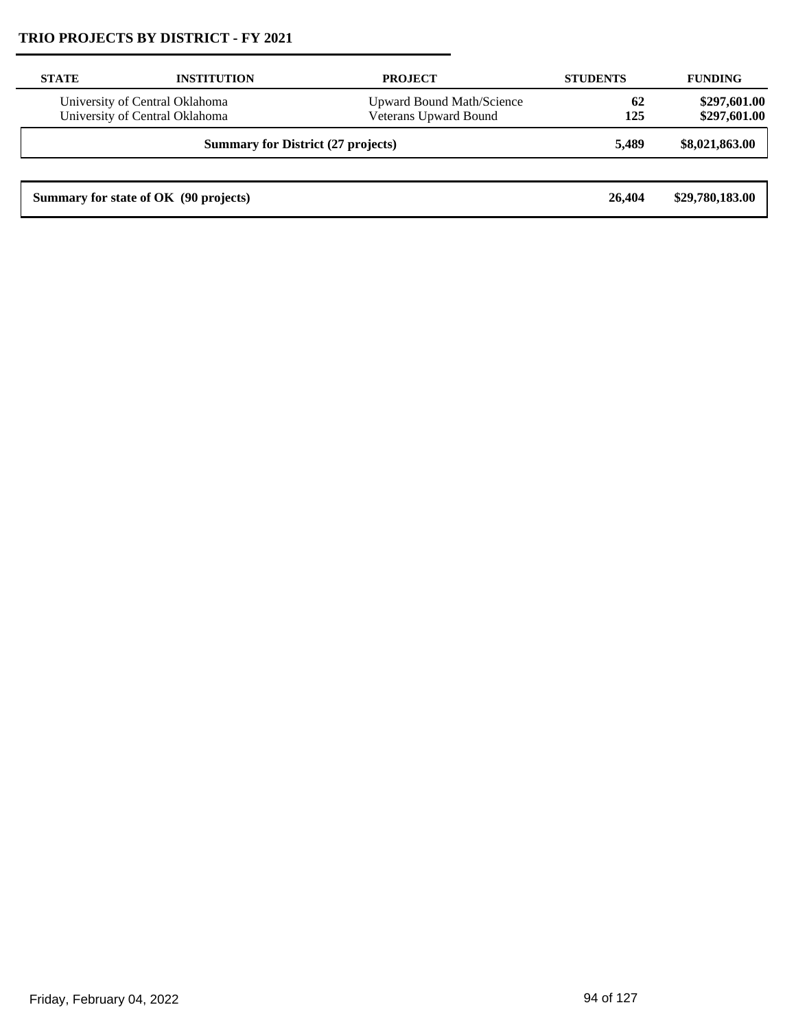| <b>STATE</b> | <b>INSTITUTION</b>                                                                                                            | <b>PROJECT</b> | <b>STUDENTS</b> | <b>FUNDING</b>               |
|--------------|-------------------------------------------------------------------------------------------------------------------------------|----------------|-----------------|------------------------------|
|              | University of Central Oklahoma<br><b>Upward Bound Math/Science</b><br>Veterans Upward Bound<br>University of Central Oklahoma |                | 62<br>125       | \$297,601.00<br>\$297,601.00 |
|              | <b>Summary for District (27 projects)</b>                                                                                     |                |                 | \$8,021,863.00               |
|              |                                                                                                                               |                |                 |                              |
|              | Summary for state of OK (90 projects)                                                                                         |                | 26,404          | \$29,780,183.00              |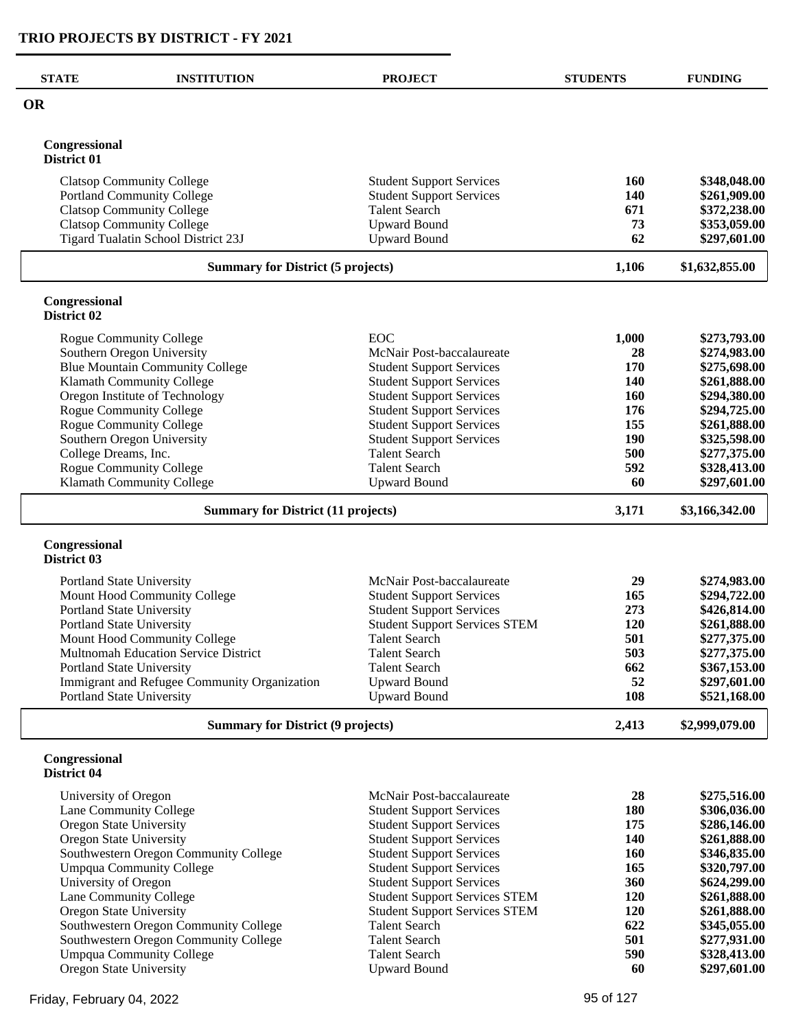| <b>STATE</b>                 | <b>INSTITUTION</b>                           | <b>PROJECT</b>                       | <b>STUDENTS</b> | <b>FUNDING</b> |
|------------------------------|----------------------------------------------|--------------------------------------|-----------------|----------------|
| <b>OR</b>                    |                                              |                                      |                 |                |
| Congressional<br>District 01 |                                              |                                      |                 |                |
|                              | <b>Clatsop Community College</b>             | <b>Student Support Services</b>      | <b>160</b>      | \$348,048.00   |
|                              | <b>Portland Community College</b>            | <b>Student Support Services</b>      | 140             | \$261,909.00   |
|                              | <b>Clatsop Community College</b>             | <b>Talent Search</b>                 | 671             | \$372,238.00   |
|                              | <b>Clatsop Community College</b>             | <b>Upward Bound</b>                  | 73              | \$353,059.00   |
|                              | Tigard Tualatin School District 23J          | <b>Upward Bound</b>                  | 62              | \$297,601.00   |
|                              | <b>Summary for District (5 projects)</b>     |                                      | 1,106           | \$1,632,855.00 |
| Congressional<br>District 02 |                                              |                                      |                 |                |
|                              | <b>Rogue Community College</b>               | <b>EOC</b>                           | 1,000           | \$273,793.00   |
|                              | Southern Oregon University                   | McNair Post-baccalaureate            | 28              | \$274,983.00   |
|                              | <b>Blue Mountain Community College</b>       | <b>Student Support Services</b>      | 170             | \$275,698.00   |
|                              | Klamath Community College                    | <b>Student Support Services</b>      | <b>140</b>      | \$261,888.00   |
|                              | Oregon Institute of Technology               | <b>Student Support Services</b>      | 160             | \$294,380.00   |
|                              | Rogue Community College                      | <b>Student Support Services</b>      | 176             | \$294,725.00   |
|                              | <b>Rogue Community College</b>               | <b>Student Support Services</b>      | 155             | \$261,888.00   |
|                              | Southern Oregon University                   | <b>Student Support Services</b>      | 190             | \$325,598.00   |
| College Dreams, Inc.         |                                              | <b>Talent Search</b>                 | 500             | \$277,375.00   |
|                              | Rogue Community College                      | <b>Talent Search</b>                 | 592             | \$328,413.00   |
|                              | Klamath Community College                    | <b>Upward Bound</b>                  | 60              | \$297,601.00   |
|                              | <b>Summary for District (11 projects)</b>    |                                      | 3,171           | \$3,166,342.00 |
| Congressional<br>District 03 |                                              |                                      |                 |                |
|                              | Portland State University                    | McNair Post-baccalaureate            | 29              | \$274,983.00   |
|                              | Mount Hood Community College                 | <b>Student Support Services</b>      | 165             | \$294,722.00   |
|                              | Portland State University                    | <b>Student Support Services</b>      | 273             | \$426,814.00   |
|                              | Portland State University                    | <b>Student Support Services STEM</b> | 120             | \$261,888.00   |
|                              | Mount Hood Community College                 | <b>Talent Search</b>                 | 501             | \$277,375.00   |
|                              | Multnomah Education Service District         | <b>Talent Search</b>                 | 503             | \$277,375.00   |
|                              | Portland State University                    | <b>Talent Search</b>                 | 662             | \$367,153.00   |
|                              | Immigrant and Refugee Community Organization | <b>Upward Bound</b>                  | 52              | \$297,601.00   |
|                              | Portland State University                    | <b>Upward Bound</b>                  | 108             | \$521,168.00   |
|                              | <b>Summary for District (9 projects)</b>     |                                      | 2,413           | \$2,999,079.00 |
| Congressional<br>District 04 |                                              |                                      |                 |                |
| University of Oregon         |                                              | McNair Post-baccalaureate            | 28              | \$275,516.00   |
|                              | Lane Community College                       | <b>Student Support Services</b>      | <b>180</b>      | \$306,036.00   |
| Oregon State University      |                                              | <b>Student Support Services</b>      | 175             | \$286,146.00   |
| Oregon State University      |                                              | <b>Student Support Services</b>      | 140             | \$261,888.00   |
|                              | Southwestern Oregon Community College        | <b>Student Support Services</b>      | 160             | \$346,835.00   |
|                              | <b>Umpqua Community College</b>              | <b>Student Support Services</b>      | 165             | \$320,797.00   |
| University of Oregon         |                                              | <b>Student Support Services</b>      | 360             | \$624,299.00   |
|                              | Lane Community College                       | <b>Student Support Services STEM</b> | 120             | \$261,888.00   |
| Oregon State University      |                                              | <b>Student Support Services STEM</b> | 120             | \$261,888.00   |
|                              | Southwestern Oregon Community College        | <b>Talent Search</b>                 | 622             | \$345,055.00   |
|                              | Southwestern Oregon Community College        | <b>Talent Search</b>                 | 501             | \$277,931.00   |
|                              | <b>Umpqua Community College</b>              | <b>Talent Search</b>                 | 590             | \$328,413.00   |
| Oregon State University      |                                              | <b>Upward Bound</b>                  | 60              | \$297,601.00   |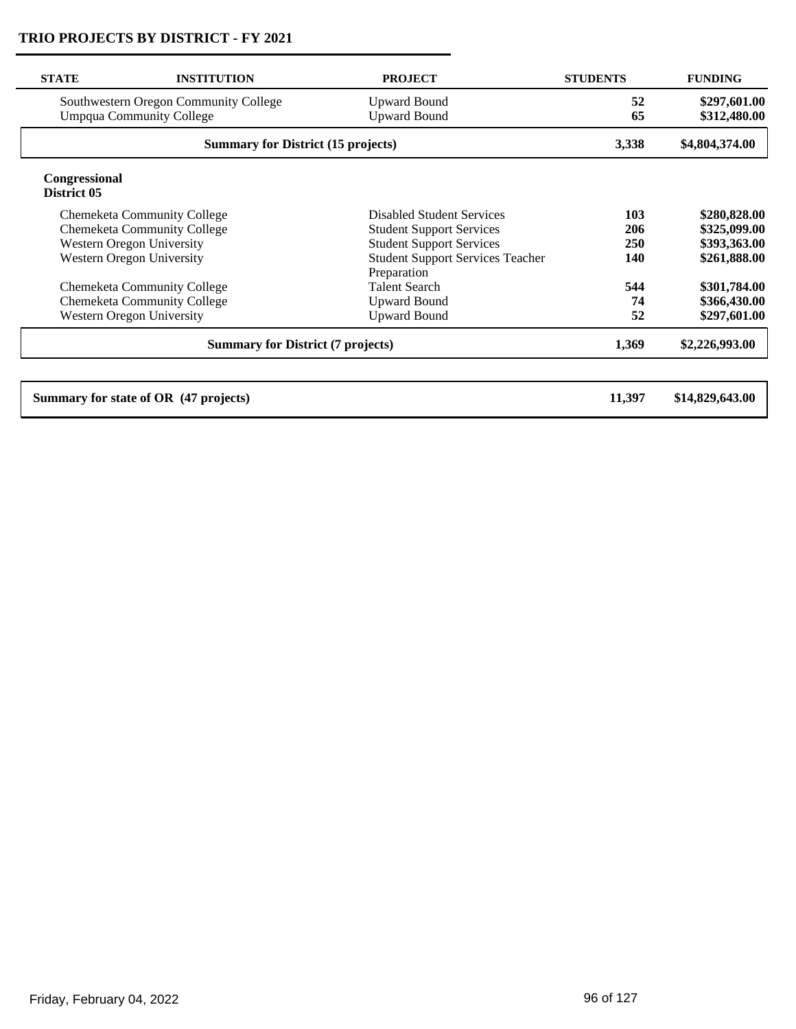| <b>STATE</b>                             | <b>INSTITUTION</b>                        | <b>PROJECT</b>                                         | <b>STUDENTS</b> | <b>FUNDING</b>  |
|------------------------------------------|-------------------------------------------|--------------------------------------------------------|-----------------|-----------------|
|                                          | Southwestern Oregon Community College     | <b>Upward Bound</b>                                    | 52              | \$297,601.00    |
|                                          | <b>Umpqua Community College</b>           | <b>Upward Bound</b>                                    | 65              | \$312,480.00    |
|                                          | <b>Summary for District (15 projects)</b> |                                                        | 3,338           | \$4,804,374.00  |
| Congressional<br>District 05             |                                           |                                                        |                 |                 |
|                                          | <b>Chemeketa Community College</b>        | <b>Disabled Student Services</b>                       | 103             | \$280,828.00    |
|                                          | <b>Chemeketa Community College</b>        | <b>Student Support Services</b>                        | 206             | \$325,099.00    |
|                                          | <b>Western Oregon University</b>          | <b>Student Support Services</b>                        | <b>250</b>      | \$393,363.00    |
|                                          | <b>Western Oregon University</b>          | <b>Student Support Services Teacher</b><br>Preparation | <b>140</b>      | \$261,888.00    |
|                                          | Chemeketa Community College               | <b>Talent Search</b>                                   | 544             | \$301,784.00    |
|                                          | <b>Chemeketa Community College</b>        | <b>Upward Bound</b>                                    | 74              | \$366,430.00    |
|                                          | <b>Western Oregon University</b>          | <b>Upward Bound</b>                                    | 52              | \$297,601.00    |
| <b>Summary for District (7 projects)</b> |                                           |                                                        | 1,369           | \$2,226,993.00  |
|                                          | Summary for state of OR (47 projects)     |                                                        | 11,397          | \$14,829,643.00 |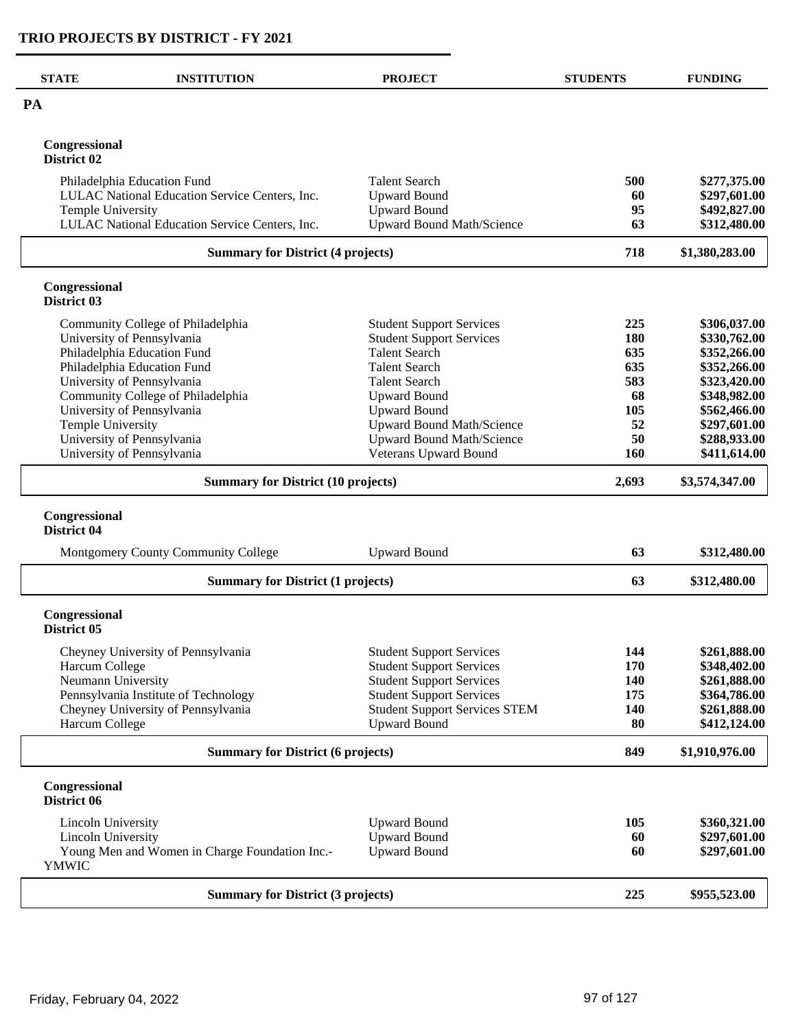| <b>STATE</b><br><b>INSTITUTION</b>                             | <b>PROJECT</b>                       | <b>STUDENTS</b> | <b>FUNDING</b> |
|----------------------------------------------------------------|--------------------------------------|-----------------|----------------|
| PA                                                             |                                      |                 |                |
| Congressional<br>District 02                                   |                                      |                 |                |
| Philadelphia Education Fund                                    | <b>Talent Search</b>                 | 500             | \$277,375.00   |
| LULAC National Education Service Centers, Inc.                 | <b>Upward Bound</b>                  | 60              | \$297,601.00   |
| <b>Temple University</b>                                       | <b>Upward Bound</b>                  | 95              | \$492,827.00   |
| LULAC National Education Service Centers, Inc.                 | <b>Upward Bound Math/Science</b>     | 63              | \$312,480.00   |
| <b>Summary for District (4 projects)</b>                       |                                      | 718             | \$1,380,283.00 |
| Congressional<br>District 03                                   |                                      |                 |                |
| Community College of Philadelphia                              | <b>Student Support Services</b>      | 225             | \$306,037.00   |
| University of Pennsylvania                                     | <b>Student Support Services</b>      | 180             | \$330,762.00   |
| Philadelphia Education Fund                                    | <b>Talent Search</b>                 | 635             | \$352,266.00   |
| Philadelphia Education Fund                                    | <b>Talent Search</b>                 | 635             | \$352,266.00   |
| University of Pennsylvania                                     | <b>Talent Search</b>                 | 583             | \$323,420.00   |
| Community College of Philadelphia                              | <b>Upward Bound</b>                  | 68              | \$348,982.00   |
| University of Pennsylvania                                     | <b>Upward Bound</b>                  | 105             | \$562,466.00   |
| <b>Temple University</b>                                       | <b>Upward Bound Math/Science</b>     | 52              | \$297,601.00   |
| University of Pennsylvania                                     | <b>Upward Bound Math/Science</b>     | 50              | \$288,933.00   |
| University of Pennsylvania                                     | Veterans Upward Bound                | <b>160</b>      | \$411,614.00   |
| <b>Summary for District (10 projects)</b>                      | 2,693                                | \$3,574,347.00  |                |
| Congressional<br>District 04                                   |                                      |                 |                |
| Montgomery County Community College                            | <b>Upward Bound</b>                  | 63              | \$312,480.00   |
| <b>Summary for District (1 projects)</b>                       |                                      | 63              | \$312,480.00   |
| Congressional<br>District 05                                   |                                      |                 |                |
| Cheyney University of Pennsylvania                             | <b>Student Support Services</b>      | 144             | \$261,888.00   |
| Harcum College                                                 | <b>Student Support Services</b>      | 170             | \$348,402.00   |
| Neumann University                                             | <b>Student Support Services</b>      | 140             | \$261,888.00   |
| Pennsylvania Institute of Technology                           | <b>Student Support Services</b>      | 175             | \$364,786.00   |
| Cheyney University of Pennsylvania                             | <b>Student Support Services STEM</b> | 140             | \$261,888.00   |
| Harcum College                                                 | <b>Upward Bound</b>                  | 80              | \$412,124.00   |
| <b>Summary for District (6 projects)</b>                       | 849                                  | \$1,910,976.00  |                |
| Congressional<br>District 06                                   |                                      |                 |                |
| Lincoln University                                             | <b>Upward Bound</b>                  | 105             | \$360,321.00   |
| <b>Lincoln University</b>                                      | <b>Upward Bound</b>                  | 60              | \$297,601.00   |
| Young Men and Women in Charge Foundation Inc.-<br><b>YMWIC</b> | <b>Upward Bound</b>                  | 60              | \$297,601.00   |
| <b>Summary for District (3 projects)</b>                       |                                      | 225             | \$955,523.00   |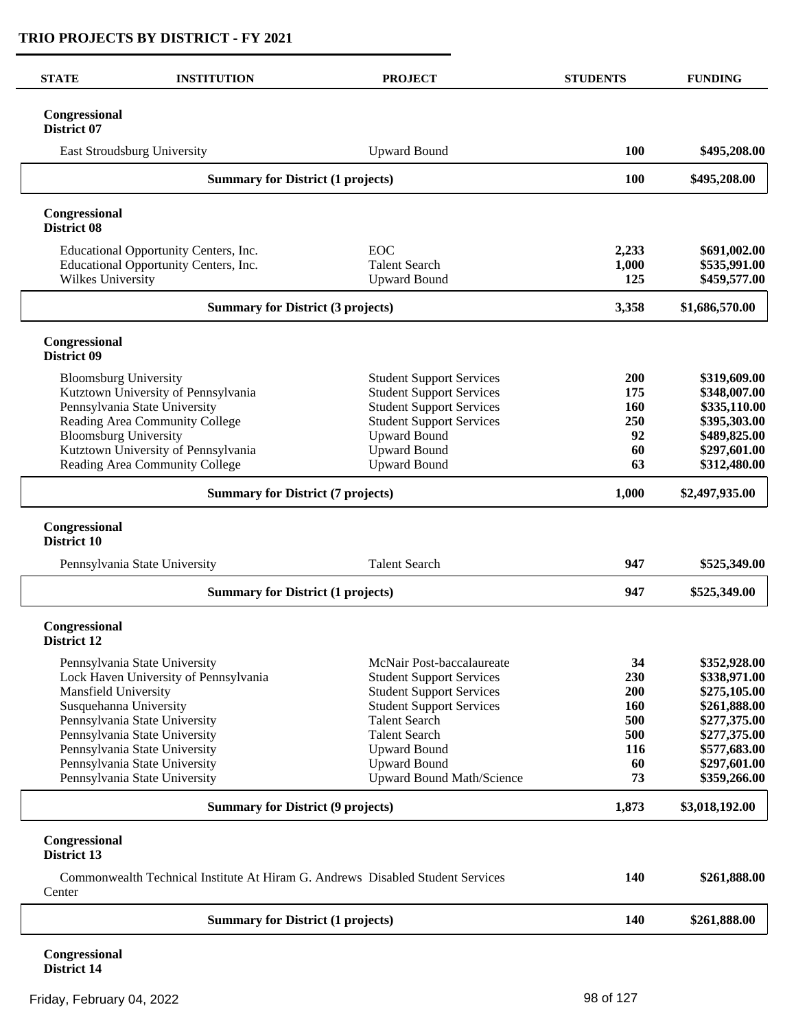| <b>STATE</b>                        | <b>INSTITUTION</b>                                                             | <b>PROJECT</b>                                                                 | <b>STUDENTS</b> | <b>FUNDING</b>                 |
|-------------------------------------|--------------------------------------------------------------------------------|--------------------------------------------------------------------------------|-----------------|--------------------------------|
| Congressional<br>District 07        |                                                                                |                                                                                |                 |                                |
|                                     | East Stroudsburg University                                                    | <b>Upward Bound</b>                                                            | 100             | \$495,208.00                   |
|                                     | <b>Summary for District (1 projects)</b>                                       |                                                                                | 100             | \$495,208.00                   |
| Congressional<br><b>District 08</b> |                                                                                |                                                                                |                 |                                |
|                                     | Educational Opportunity Centers, Inc.<br>Educational Opportunity Centers, Inc. | <b>EOC</b><br><b>Talent Search</b>                                             | 2,233<br>1,000  | \$691,002.00<br>\$535,991.00   |
| Wilkes University                   | <b>Summary for District (3 projects)</b>                                       | <b>Upward Bound</b>                                                            | 125             | \$459,577.00<br>\$1,686,570.00 |
|                                     |                                                                                |                                                                                | 3,358           |                                |
| Congressional<br>District 09        |                                                                                |                                                                                |                 |                                |
| <b>Bloomsburg University</b>        |                                                                                | <b>Student Support Services</b>                                                | 200             | \$319,609.00                   |
|                                     | Kutztown University of Pennsylvania                                            | <b>Student Support Services</b>                                                | 175             | \$348,007.00                   |
|                                     | Pennsylvania State University                                                  | <b>Student Support Services</b>                                                | <b>160</b>      | \$335,110.00<br>\$395,303.00   |
| <b>Bloomsburg University</b>        | Reading Area Community College                                                 | <b>Student Support Services</b><br><b>Upward Bound</b>                         | 250<br>92       | \$489,825.00                   |
|                                     | Kutztown University of Pennsylvania                                            | <b>Upward Bound</b>                                                            | 60              | \$297,601.00                   |
|                                     | Reading Area Community College                                                 | <b>Upward Bound</b>                                                            | 63              | \$312,480.00                   |
|                                     | <b>Summary for District (7 projects)</b>                                       |                                                                                | 1,000           | \$2,497,935.00                 |
| Congressional<br>District 10        |                                                                                |                                                                                |                 |                                |
|                                     | Pennsylvania State University                                                  | <b>Talent Search</b>                                                           | 947             | \$525,349.00                   |
|                                     | <b>Summary for District (1 projects)</b>                                       |                                                                                | 947             | \$525,349.00                   |
| Congressional<br><b>District 12</b> |                                                                                |                                                                                |                 |                                |
|                                     | Pennsylvania State University                                                  | McNair Post-baccalaureate                                                      | 34              | \$352,928.00                   |
|                                     | Lock Haven University of Pennsylvania                                          | <b>Student Support Services</b>                                                | 230             | \$338,971.00                   |
| Mansfield University                |                                                                                | <b>Student Support Services</b>                                                | 200             | \$275,105.00                   |
| Susquehanna University              |                                                                                | <b>Student Support Services</b>                                                | <b>160</b>      | \$261,888.00                   |
|                                     | Pennsylvania State University                                                  | <b>Talent Search</b>                                                           | 500             | \$277,375.00                   |
|                                     | Pennsylvania State University<br>Pennsylvania State University                 | <b>Talent Search</b><br><b>Upward Bound</b>                                    | 500<br>116      | \$277,375.00<br>\$577,683.00   |
|                                     | Pennsylvania State University                                                  | <b>Upward Bound</b>                                                            | 60              | \$297,601.00                   |
|                                     | Pennsylvania State University                                                  | Upward Bound Math/Science                                                      | 73              | \$359,266.00                   |
|                                     | <b>Summary for District (9 projects)</b>                                       |                                                                                | 1,873           | \$3,018,192.00                 |
| Congressional<br>District 13        |                                                                                |                                                                                |                 |                                |
| Center                              |                                                                                | Commonwealth Technical Institute At Hiram G. Andrews Disabled Student Services | 140             | \$261,888.00                   |
|                                     | <b>Summary for District (1 projects)</b>                                       |                                                                                | 140             | \$261,888.00                   |
|                                     |                                                                                |                                                                                |                 |                                |

**Congressional District 14**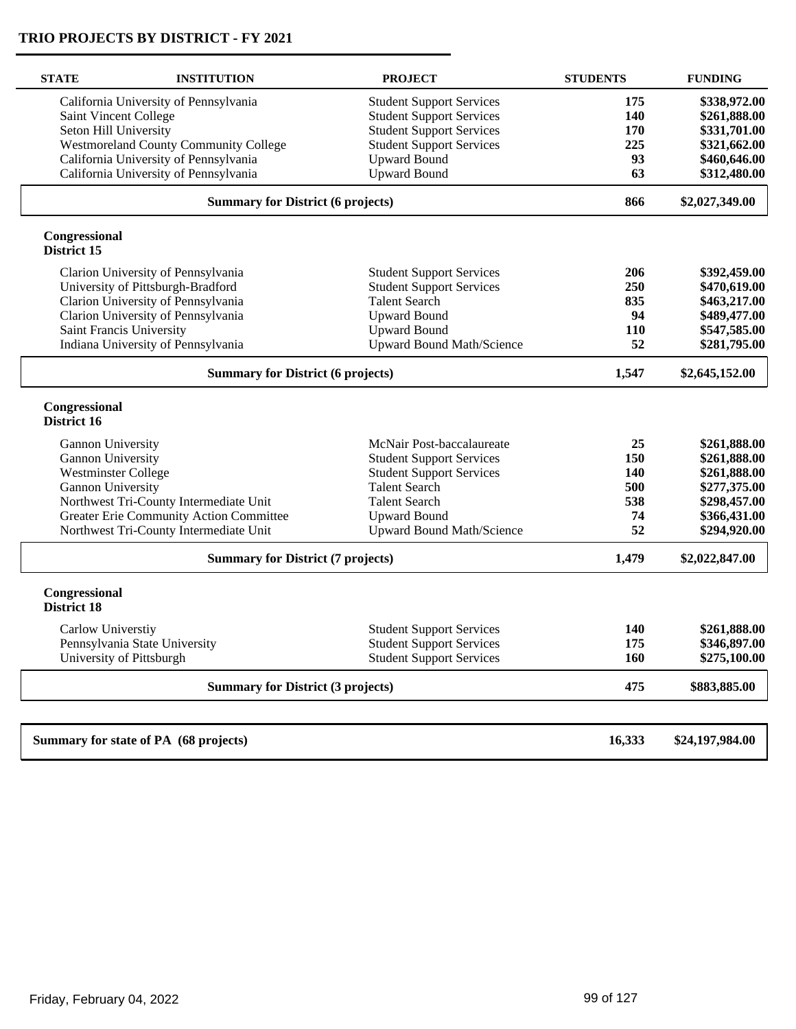| <b>STATE</b>                        | <b>INSTITUTION</b>                           | <b>PROJECT</b>                   | <b>STUDENTS</b> | <b>FUNDING</b>  |
|-------------------------------------|----------------------------------------------|----------------------------------|-----------------|-----------------|
|                                     | California University of Pennsylvania        | <b>Student Support Services</b>  | 175             | \$338,972.00    |
|                                     | Saint Vincent College                        | <b>Student Support Services</b>  | 140             | \$261,888.00    |
|                                     | Seton Hill University                        | <b>Student Support Services</b>  | 170             | \$331,701.00    |
|                                     | <b>Westmoreland County Community College</b> | <b>Student Support Services</b>  | 225             | \$321,662.00    |
|                                     | California University of Pennsylvania        | <b>Upward Bound</b>              | 93              | \$460,646.00    |
|                                     | California University of Pennsylvania        | <b>Upward Bound</b>              | 63              | \$312,480.00    |
|                                     | <b>Summary for District (6 projects)</b>     |                                  | 866             | \$2,027,349.00  |
| Congressional<br>District 15        |                                              |                                  |                 |                 |
|                                     | Clarion University of Pennsylvania           | <b>Student Support Services</b>  | 206             | \$392,459.00    |
|                                     | University of Pittsburgh-Bradford            | <b>Student Support Services</b>  | 250             | \$470,619.00    |
|                                     | Clarion University of Pennsylvania           | <b>Talent Search</b>             | 835             | \$463,217.00    |
|                                     | Clarion University of Pennsylvania           | <b>Upward Bound</b>              | 94              | \$489,477.00    |
|                                     | Saint Francis University                     | <b>Upward Bound</b>              | 110             | \$547,585.00    |
|                                     | Indiana University of Pennsylvania           | <b>Upward Bound Math/Science</b> | 52              | \$281,795.00    |
|                                     | <b>Summary for District (6 projects)</b>     |                                  |                 | \$2,645,152.00  |
| Congressional<br>District 16        |                                              |                                  |                 |                 |
| Gannon University                   |                                              | McNair Post-baccalaureate        | 25              | \$261,888.00    |
| Gannon University                   |                                              | <b>Student Support Services</b>  | 150             | \$261,888.00    |
| <b>Westminster College</b>          |                                              | <b>Student Support Services</b>  | 140             | \$261,888.00    |
| Gannon University                   |                                              | <b>Talent Search</b>             | 500             | \$277,375.00    |
|                                     | Northwest Tri-County Intermediate Unit       | <b>Talent Search</b>             | 538             | \$298,457.00    |
|                                     | Greater Erie Community Action Committee      | <b>Upward Bound</b>              | 74              | \$366,431.00    |
|                                     | Northwest Tri-County Intermediate Unit       | <b>Upward Bound Math/Science</b> | 52              | \$294,920.00    |
|                                     | <b>Summary for District (7 projects)</b>     |                                  | 1,479           | \$2,022,847.00  |
| Congressional<br><b>District 18</b> |                                              |                                  |                 |                 |
| Carlow Universtiy                   |                                              | <b>Student Support Services</b>  | 140             | \$261,888.00    |
|                                     | Pennsylvania State University                | <b>Student Support Services</b>  | 175             | \$346,897.00    |
|                                     | University of Pittsburgh                     | <b>Student Support Services</b>  | 160             | \$275,100.00    |
|                                     | <b>Summary for District (3 projects)</b>     |                                  | 475             | \$883,885.00    |
|                                     |                                              |                                  |                 |                 |
|                                     | Summary for state of PA (68 projects)        |                                  | 16,333          | \$24,197,984.00 |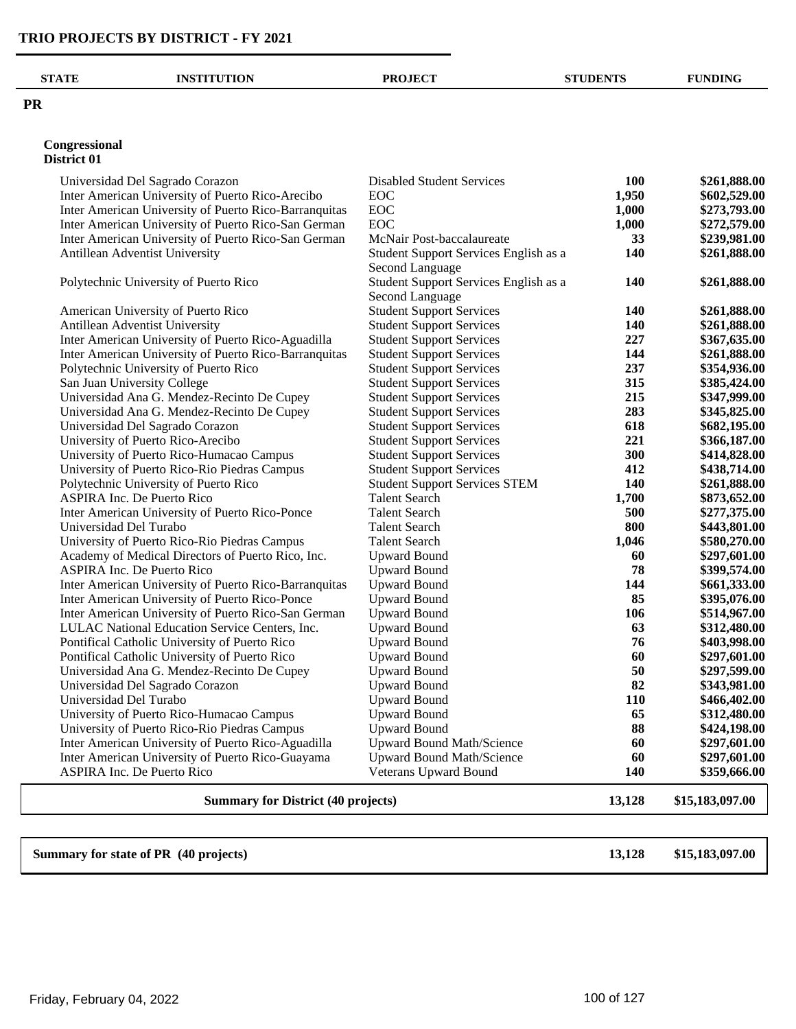| <b>STATE</b> | <b>INSTITUTION</b>                                    | <b>PROJECT</b>                        | <b>STUDENTS</b> | <b>FUNDING</b> |
|--------------|-------------------------------------------------------|---------------------------------------|-----------------|----------------|
| <b>PR</b>    |                                                       |                                       |                 |                |
|              | Congressional<br>District 01                          |                                       |                 |                |
|              | Universidad Del Sagrado Corazon                       | <b>Disabled Student Services</b>      | 100             | \$261,888.00   |
|              | Inter American University of Puerto Rico-Arecibo      | <b>EOC</b>                            | 1,950           | \$602,529.00   |
|              | Inter American University of Puerto Rico-Barranquitas | <b>EOC</b>                            | 1,000           | \$273,793.00   |
|              | Inter American University of Puerto Rico-San German   | <b>EOC</b>                            | 1,000           | \$272,579.00   |
|              | Inter American University of Puerto Rico-San German   | McNair Post-baccalaureate             | 33              | \$239,981.00   |
|              | Antillean Adventist University                        | Student Support Services English as a | 140             | \$261,888.00   |
|              |                                                       | Second Language                       |                 |                |
|              | Polytechnic University of Puerto Rico                 | Student Support Services English as a | 140             | \$261,888.00   |

| Polytechnic University of Puerto Rico                                | Student Support Services English as a                              | 140        | \$261,888.00                 |
|----------------------------------------------------------------------|--------------------------------------------------------------------|------------|------------------------------|
|                                                                      | Second Language                                                    | 140        |                              |
| American University of Puerto Rico<br>Antillean Adventist University | <b>Student Support Services</b><br><b>Student Support Services</b> | 140        | \$261,888.00<br>\$261,888.00 |
| Inter American University of Puerto Rico-Aguadilla                   | <b>Student Support Services</b>                                    | 227        | \$367,635.00                 |
| Inter American University of Puerto Rico-Barranquitas                | <b>Student Support Services</b>                                    |            | \$261,888.00                 |
| Polytechnic University of Puerto Rico                                |                                                                    | 144<br>237 | \$354,936.00                 |
|                                                                      | <b>Student Support Services</b>                                    | 315        |                              |
| San Juan University College                                          | <b>Student Support Services</b>                                    |            | \$385,424.00                 |
| Universidad Ana G. Mendez-Recinto De Cupey                           | <b>Student Support Services</b>                                    | 215        | \$347,999.00                 |
| Universidad Ana G. Mendez-Recinto De Cupey                           | <b>Student Support Services</b>                                    | 283        | \$345,825.00                 |
| Universidad Del Sagrado Corazon                                      | <b>Student Support Services</b>                                    | 618        | \$682,195.00                 |
| University of Puerto Rico-Arecibo                                    | <b>Student Support Services</b>                                    | 221        | \$366,187.00                 |
| University of Puerto Rico-Humacao Campus                             | <b>Student Support Services</b>                                    | 300        | \$414,828.00                 |
| University of Puerto Rico-Rio Piedras Campus                         | <b>Student Support Services</b>                                    | 412        | \$438,714.00                 |
| Polytechnic University of Puerto Rico                                | <b>Student Support Services STEM</b>                               | 140        | \$261,888.00                 |
| <b>ASPIRA Inc. De Puerto Rico</b>                                    | <b>Talent Search</b>                                               | 1,700      | \$873,652.00                 |
| Inter American University of Puerto Rico-Ponce                       | <b>Talent Search</b>                                               | 500        | \$277,375.00                 |
| Universidad Del Turabo                                               | <b>Talent Search</b>                                               | 800        | \$443,801.00                 |
| University of Puerto Rico-Rio Piedras Campus                         | <b>Talent Search</b>                                               | 1,046      | \$580,270.00                 |
| Academy of Medical Directors of Puerto Rico, Inc.                    | <b>Upward Bound</b>                                                | 60         | \$297,601.00                 |
| ASPIRA Inc. De Puerto Rico                                           | <b>Upward Bound</b>                                                | 78         | \$399,574.00                 |
| Inter American University of Puerto Rico-Barranquitas                | <b>Upward Bound</b>                                                | 144        | \$661,333.00                 |
| Inter American University of Puerto Rico-Ponce                       | <b>Upward Bound</b>                                                | 85         | \$395,076.00                 |
| Inter American University of Puerto Rico-San German                  | <b>Upward Bound</b>                                                | 106        | \$514,967.00                 |
| LULAC National Education Service Centers, Inc.                       | <b>Upward Bound</b>                                                | 63         | \$312,480.00                 |
| Pontifical Catholic University of Puerto Rico                        | <b>Upward Bound</b>                                                | 76         | \$403,998.00                 |
| Pontifical Catholic University of Puerto Rico                        | <b>Upward Bound</b>                                                | 60         | \$297,601.00                 |
| Universidad Ana G. Mendez-Recinto De Cupey                           | <b>Upward Bound</b>                                                | 50         | \$297,599.00                 |
| Universidad Del Sagrado Corazon                                      | <b>Upward Bound</b>                                                | 82         | \$343,981.00                 |
| Universidad Del Turabo                                               | <b>Upward Bound</b>                                                | 110        | \$466,402.00                 |
| University of Puerto Rico-Humacao Campus                             | <b>Upward Bound</b>                                                | 65         | \$312,480.00                 |
| University of Puerto Rico-Rio Piedras Campus                         | <b>Upward Bound</b>                                                | 88         | \$424,198.00                 |
| Inter American University of Puerto Rico-Aguadilla                   | <b>Upward Bound Math/Science</b>                                   | 60         | \$297,601.00                 |
| Inter American University of Puerto Rico-Guayama                     | <b>Upward Bound Math/Science</b>                                   | 60         | \$297,601.00                 |
| <b>ASPIRA Inc. De Puerto Rico</b>                                    | Veterans Upward Bound                                              | 140        | \$359,666.00                 |
| <b>Summary for District (40 projects)</b>                            |                                                                    | 13,128     | \$15,183,097.00              |
|                                                                      |                                                                    |            |                              |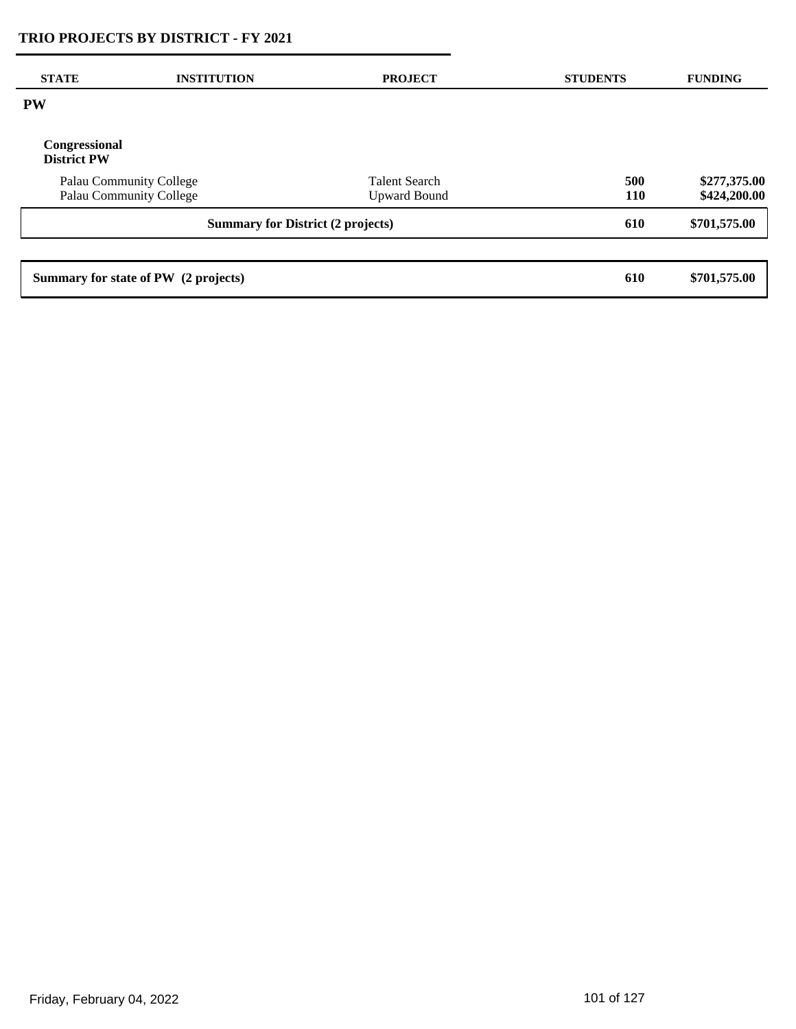| <b>STATE</b>                        | <b>INSTITUTION</b>                                 | <b>PROJECT</b>                              | <b>STUDENTS</b>   | <b>FUNDING</b>               |
|-------------------------------------|----------------------------------------------------|---------------------------------------------|-------------------|------------------------------|
| <b>PW</b>                           |                                                    |                                             |                   |                              |
| Congressional<br><b>District PW</b> |                                                    |                                             |                   |                              |
|                                     | Palau Community College<br>Palau Community College | <b>Talent Search</b><br><b>Upward Bound</b> | 500<br><b>110</b> | \$277,375.00<br>\$424,200.00 |
|                                     | <b>Summary for District (2 projects)</b>           |                                             | 610               | \$701,575.00                 |
|                                     |                                                    |                                             |                   |                              |
|                                     | Summary for state of PW (2 projects)               |                                             | 610               | \$701,575.00                 |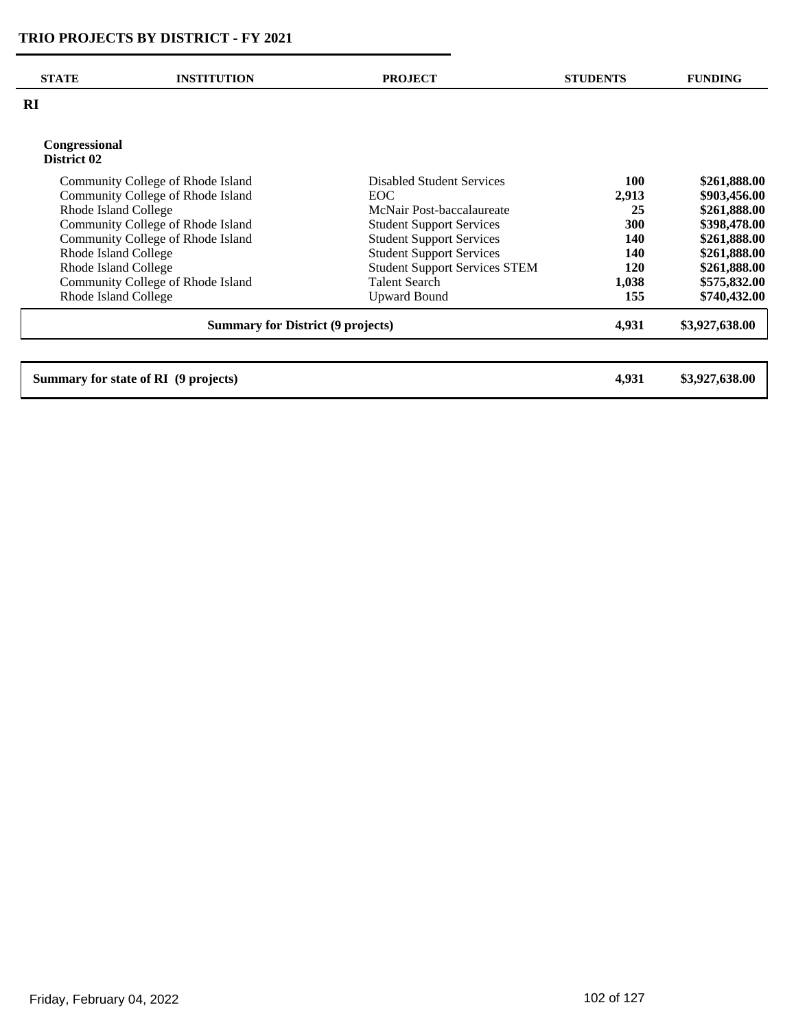|                                          | <b>Disabled Student Services</b>                                                                                                                                                                                                                                                      | <b>100</b> | \$261,888.00   |
|------------------------------------------|---------------------------------------------------------------------------------------------------------------------------------------------------------------------------------------------------------------------------------------------------------------------------------------|------------|----------------|
|                                          | EOC.                                                                                                                                                                                                                                                                                  |            | \$903,456.00   |
|                                          | McNair Post-baccalaureate                                                                                                                                                                                                                                                             | 25         | \$261,888.00   |
|                                          | <b>Student Support Services</b>                                                                                                                                                                                                                                                       | 300        | \$398,478.00   |
|                                          | <b>Student Support Services</b>                                                                                                                                                                                                                                                       | 140        | \$261,888.00   |
|                                          | <b>Student Support Services</b>                                                                                                                                                                                                                                                       | 140        | \$261,888.00   |
|                                          | <b>Student Support Services STEM</b>                                                                                                                                                                                                                                                  | 120        | \$261,888.00   |
|                                          | <b>Talent Search</b>                                                                                                                                                                                                                                                                  | 1,038      | \$575,832.00   |
|                                          | <b>Upward Bound</b>                                                                                                                                                                                                                                                                   | 155        | \$740,432.00   |
| <b>Summary for District (9 projects)</b> |                                                                                                                                                                                                                                                                                       |            | \$3,927,638.00 |
|                                          | Community College of Rhode Island<br>Community College of Rhode Island<br>Rhode Island College<br>Community College of Rhode Island<br>Community College of Rhode Island<br>Rhode Island College<br>Rhode Island College<br>Community College of Rhode Island<br>Rhode Island College |            | 2,913<br>4,931 |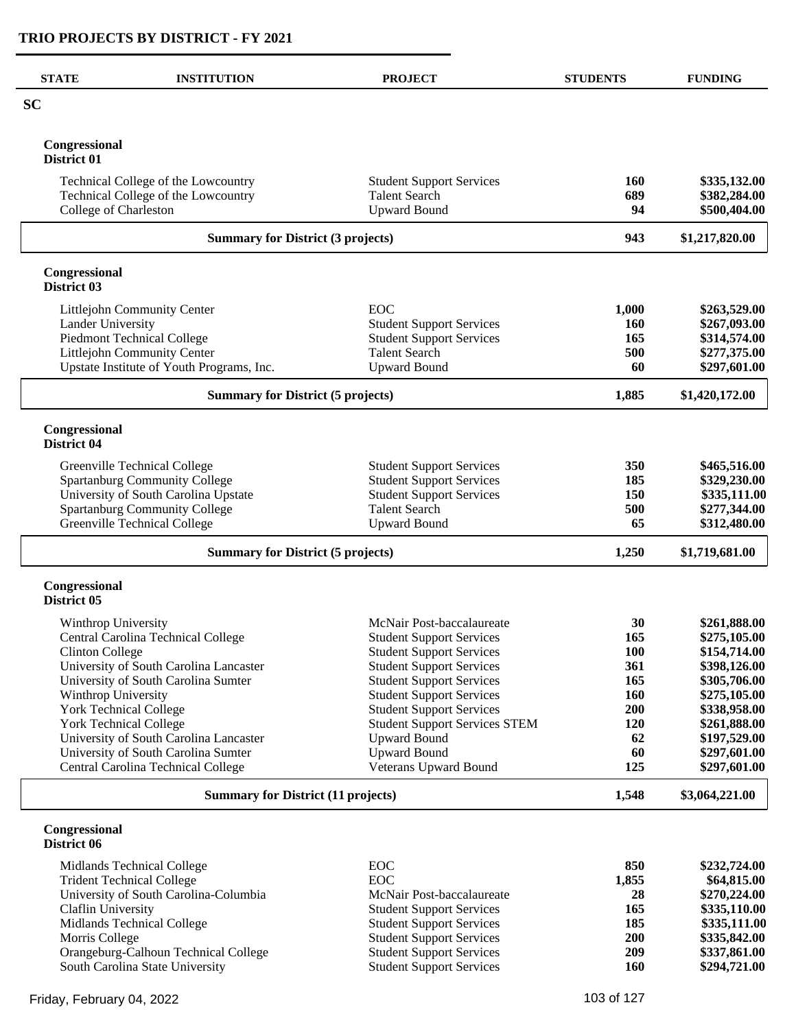| <b>STATE</b>                                            | <b>INSTITUTION</b>                        | <b>PROJECT</b>                                                          | <b>STUDENTS</b> | <b>FUNDING</b>               |
|---------------------------------------------------------|-------------------------------------------|-------------------------------------------------------------------------|-----------------|------------------------------|
| <b>SC</b>                                               |                                           |                                                                         |                 |                              |
| Congressional<br>District 01                            |                                           |                                                                         |                 |                              |
|                                                         | Technical College of the Lowcountry       | <b>Student Support Services</b>                                         | 160             | \$335,132.00                 |
|                                                         | Technical College of the Lowcountry       | <b>Talent Search</b>                                                    | 689             | \$382,284.00                 |
| College of Charleston                                   |                                           | <b>Upward Bound</b>                                                     | 94              | \$500,404.00                 |
|                                                         | <b>Summary for District (3 projects)</b>  |                                                                         | 943             | \$1,217,820.00               |
| Congressional<br>District 03                            |                                           |                                                                         |                 |                              |
|                                                         | Littlejohn Community Center               | EOC                                                                     | 1,000           | \$263,529.00                 |
| Lander University                                       |                                           | <b>Student Support Services</b>                                         | <b>160</b>      | \$267,093.00                 |
|                                                         | Piedmont Technical College                | <b>Student Support Services</b>                                         | 165             | \$314,574.00                 |
|                                                         | Littlejohn Community Center               | <b>Talent Search</b>                                                    | 500             | \$277,375.00                 |
|                                                         | Upstate Institute of Youth Programs, Inc. | <b>Upward Bound</b>                                                     | 60              | \$297,601.00                 |
| <b>Summary for District (5 projects)</b>                |                                           |                                                                         | 1,885           | \$1,420,172.00               |
| Congressional<br>District 04                            |                                           |                                                                         |                 |                              |
|                                                         | Greenville Technical College              | <b>Student Support Services</b>                                         | 350             | \$465,516.00                 |
|                                                         | <b>Spartanburg Community College</b>      | <b>Student Support Services</b>                                         | 185             | \$329,230.00                 |
|                                                         | University of South Carolina Upstate      | <b>Student Support Services</b>                                         | 150             | \$335,111.00                 |
|                                                         | Spartanburg Community College             | <b>Talent Search</b>                                                    | 500             | \$277,344.00                 |
|                                                         | Greenville Technical College              | <b>Upward Bound</b>                                                     | 65              | \$312,480.00                 |
| <b>Summary for District (5 projects)</b>                |                                           |                                                                         | 1,250           | \$1,719,681.00               |
| Congressional<br>District 05                            |                                           |                                                                         |                 |                              |
| Winthrop University                                     |                                           | McNair Post-baccalaureate                                               | 30              | \$261,888.00                 |
|                                                         | Central Carolina Technical College        | <b>Student Support Services</b>                                         | 165             | \$275,105.00                 |
| <b>Clinton College</b>                                  |                                           | <b>Student Support Services</b>                                         | 100             | \$154,714.00                 |
|                                                         | University of South Carolina Lancaster    | <b>Student Support Services</b>                                         | 361             | \$398,126.00                 |
|                                                         | University of South Carolina Sumter       | <b>Student Support Services</b>                                         | 165             | \$305,706.00                 |
| Winthrop University                                     |                                           | <b>Student Support Services</b>                                         | <b>160</b>      | \$275,105.00                 |
| <b>York Technical College</b><br>York Technical College |                                           | <b>Student Support Services</b><br><b>Student Support Services STEM</b> | 200<br>120      | \$338,958.00                 |
|                                                         | University of South Carolina Lancaster    | <b>Upward Bound</b>                                                     | 62              | \$261,888.00<br>\$197,529.00 |
|                                                         | University of South Carolina Sumter       | <b>Upward Bound</b>                                                     | 60              | \$297,601.00                 |
|                                                         | Central Carolina Technical College        | Veterans Upward Bound                                                   | 125             | \$297,601.00                 |
| <b>Summary for District (11 projects)</b>               |                                           | 1,548                                                                   | \$3,064,221.00  |                              |
| Congressional<br>District 06                            |                                           |                                                                         |                 |                              |
|                                                         | Midlands Technical College                | EOC                                                                     | 850             | \$232,724.00                 |
|                                                         | <b>Trident Technical College</b>          | EOC                                                                     | 1,855           | \$64,815.00                  |
|                                                         | University of South Carolina-Columbia     | McNair Post-baccalaureate                                               | 28              | \$270,224.00                 |
| Claflin University                                      |                                           | <b>Student Support Services</b>                                         | 165             | \$335,110.00                 |
|                                                         | Midlands Technical College                | <b>Student Support Services</b>                                         | 185             | \$335,111.00                 |
| Morris College                                          |                                           | <b>Student Support Services</b>                                         | 200             | \$335,842.00                 |
|                                                         | Orangeburg-Calhoun Technical College      | <b>Student Support Services</b>                                         | 209             | \$337,861.00                 |
|                                                         | South Carolina State University           | <b>Student Support Services</b>                                         | 160             | \$294,721.00                 |

Friday, February 04, 2022 2001 103 of 127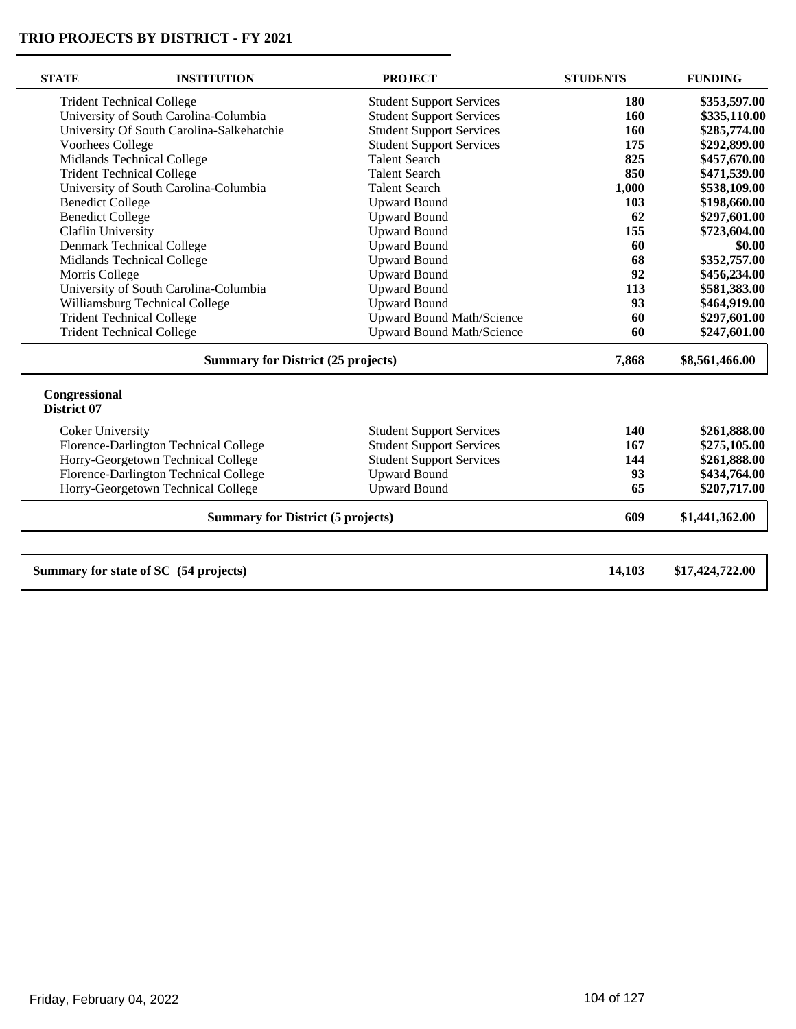| <b>STATE</b>                 | <b>INSTITUTION</b>                        | <b>PROJECT</b>                   | <b>STUDENTS</b> | <b>FUNDING</b>  |
|------------------------------|-------------------------------------------|----------------------------------|-----------------|-----------------|
|                              | <b>Trident Technical College</b>          | <b>Student Support Services</b>  | 180             | \$353,597.00    |
|                              | University of South Carolina-Columbia     | <b>Student Support Services</b>  | 160             | \$335,110.00    |
|                              | University Of South Carolina-Salkehatchie | <b>Student Support Services</b>  | 160             | \$285,774.00    |
| Voorhees College             |                                           | <b>Student Support Services</b>  | 175             | \$292,899.00    |
|                              | Midlands Technical College                | <b>Talent Search</b>             | 825             | \$457,670.00    |
|                              | <b>Trident Technical College</b>          | <b>Talent Search</b>             | 850             | \$471,539.00    |
|                              | University of South Carolina-Columbia     | <b>Talent Search</b>             | 1,000           | \$538,109.00    |
| <b>Benedict College</b>      |                                           | <b>Upward Bound</b>              | 103             | \$198,660.00    |
| <b>Benedict College</b>      |                                           | <b>Upward Bound</b>              | 62              | \$297,601.00    |
| Claflin University           |                                           | <b>Upward Bound</b>              | 155             | \$723,604.00    |
|                              | Denmark Technical College                 | <b>Upward Bound</b>              | 60              | \$0.00          |
|                              | Midlands Technical College                | <b>Upward Bound</b>              | 68              | \$352,757.00    |
| Morris College               |                                           | <b>Upward Bound</b>              | 92              | \$456,234.00    |
|                              | University of South Carolina-Columbia     | <b>Upward Bound</b>              | 113             | \$581,383.00    |
|                              | Williamsburg Technical College            | <b>Upward Bound</b>              | 93              | \$464,919.00    |
|                              | <b>Trident Technical College</b>          | <b>Upward Bound Math/Science</b> | 60              | \$297,601.00    |
|                              | <b>Trident Technical College</b>          | <b>Upward Bound Math/Science</b> | 60              | \$247,601.00    |
|                              | <b>Summary for District (25 projects)</b> |                                  | 7,868           | \$8,561,466.00  |
| Congressional<br>District 07 |                                           |                                  |                 |                 |
| <b>Coker University</b>      |                                           | <b>Student Support Services</b>  | 140             | \$261,888.00    |
|                              | Florence-Darlington Technical College     | <b>Student Support Services</b>  | 167             | \$275,105.00    |
|                              | Horry-Georgetown Technical College        | <b>Student Support Services</b>  | 144             | \$261,888.00    |
|                              | Florence-Darlington Technical College     | <b>Upward Bound</b>              | 93              | \$434,764.00    |
|                              | Horry-Georgetown Technical College        | <b>Upward Bound</b>              | 65              | \$207,717.00    |
|                              | <b>Summary for District (5 projects)</b>  |                                  | 609             | \$1,441,362.00  |
|                              | Summary for state of SC (54 projects)     |                                  | 14,103          | \$17,424,722.00 |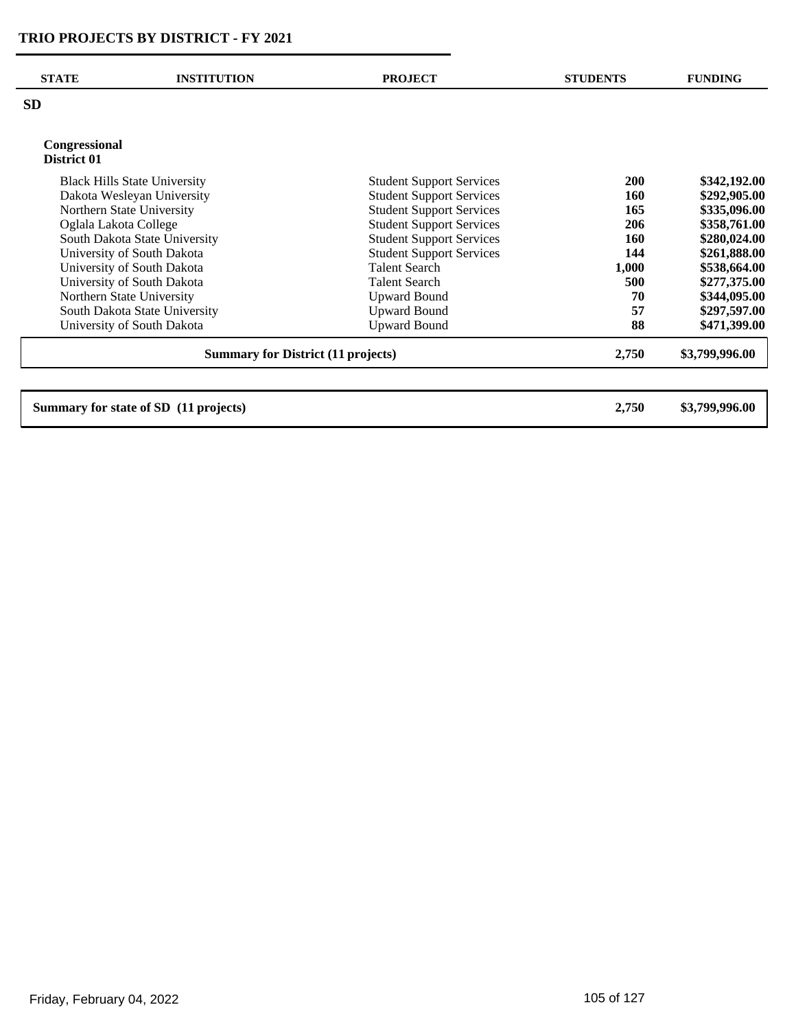| <b>STATE</b>                              | <b>INSTITUTION</b>                    | <b>PROJECT</b>                  | <b>STUDENTS</b> | <b>FUNDING</b> |
|-------------------------------------------|---------------------------------------|---------------------------------|-----------------|----------------|
| <b>SD</b>                                 |                                       |                                 |                 |                |
| Congressional                             |                                       |                                 |                 |                |
| District 01                               |                                       |                                 |                 |                |
|                                           | <b>Black Hills State University</b>   | <b>Student Support Services</b> | <b>200</b>      | \$342,192.00   |
|                                           | Dakota Wesleyan University            | <b>Student Support Services</b> | 160             | \$292,905.00   |
|                                           | Northern State University             | <b>Student Support Services</b> | 165             | \$335,096.00   |
| Oglala Lakota College                     |                                       | <b>Student Support Services</b> | 206             | \$358,761.00   |
|                                           | South Dakota State University         | <b>Student Support Services</b> | 160             | \$280,024.00   |
|                                           | University of South Dakota            | <b>Student Support Services</b> | 144             | \$261,888.00   |
|                                           | University of South Dakota            | <b>Talent Search</b>            | 1,000           | \$538,664.00   |
|                                           | University of South Dakota            | <b>Talent Search</b>            | 500             | \$277,375.00   |
|                                           | Northern State University             | <b>Upward Bound</b>             | 70              | \$344,095.00   |
|                                           | South Dakota State University         | <b>Upward Bound</b>             | 57              | \$297,597.00   |
|                                           | University of South Dakota            | <b>Upward Bound</b>             | 88              | \$471,399.00   |
| <b>Summary for District (11 projects)</b> |                                       |                                 | 2,750           | \$3,799,996.00 |
|                                           |                                       |                                 |                 |                |
|                                           | Summary for state of SD (11 projects) |                                 | 2,750           | \$3,799,996.00 |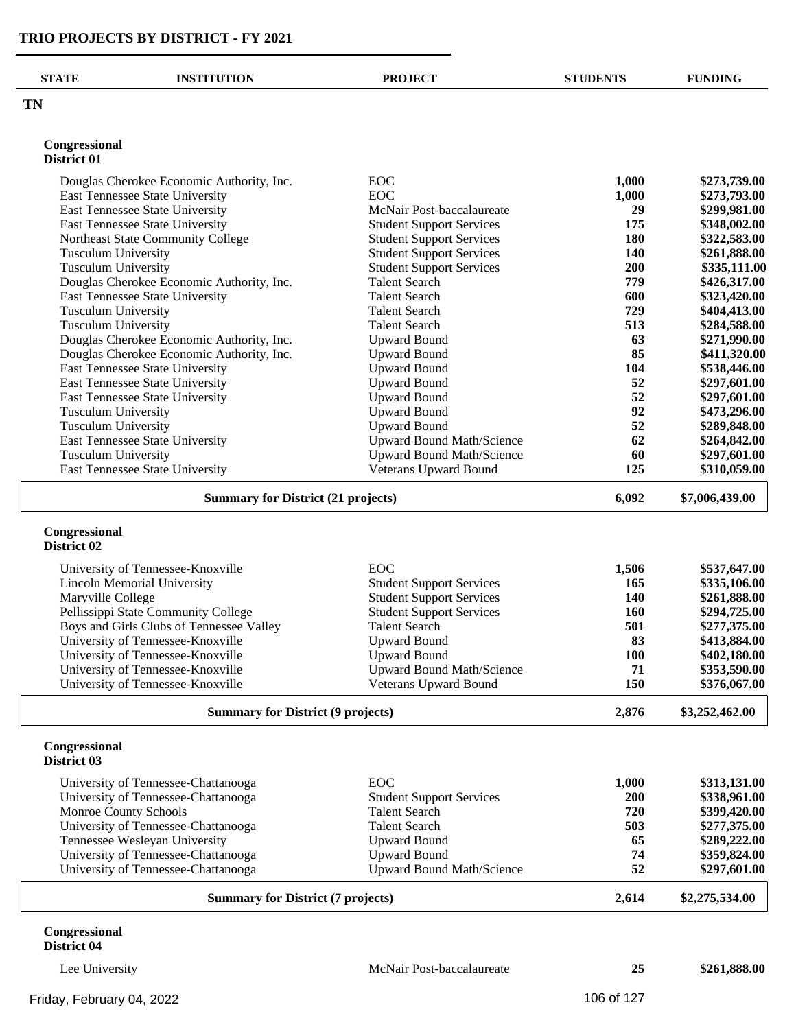| <b>STATE</b>                 | <b>INSTITUTION</b>                                                           | <b>PROJECT</b>                   | <b>STUDENTS</b> | <b>FUNDING</b> |
|------------------------------|------------------------------------------------------------------------------|----------------------------------|-----------------|----------------|
| <b>TN</b>                    |                                                                              |                                  |                 |                |
| Congressional<br>District 01 |                                                                              |                                  |                 |                |
|                              |                                                                              | EOC                              |                 | \$273,739.00   |
|                              | Douglas Cherokee Economic Authority, Inc.<br>East Tennessee State University | EOC                              | 1,000<br>1,000  | \$273,793.00   |
|                              | East Tennessee State University                                              | McNair Post-baccalaureate        | 29              | \$299,981.00   |
|                              | East Tennessee State University                                              | <b>Student Support Services</b>  | 175             | \$348,002.00   |
|                              | Northeast State Community College                                            | <b>Student Support Services</b>  | 180             | \$322,583.00   |
| <b>Tusculum University</b>   |                                                                              | <b>Student Support Services</b>  | 140             | \$261,888.00   |
| <b>Tusculum University</b>   |                                                                              | <b>Student Support Services</b>  | 200             | \$335,111.00   |
|                              | Douglas Cherokee Economic Authority, Inc.                                    | <b>Talent Search</b>             | 779             | \$426,317.00   |
|                              | East Tennessee State University                                              | <b>Talent Search</b>             | 600             | \$323,420.00   |
| <b>Tusculum University</b>   |                                                                              | <b>Talent Search</b>             | 729             | \$404,413.00   |
| <b>Tusculum University</b>   |                                                                              | <b>Talent Search</b>             | 513             | \$284,588.00   |
|                              | Douglas Cherokee Economic Authority, Inc.                                    | <b>Upward Bound</b>              | 63              | \$271,990.00   |
|                              | Douglas Cherokee Economic Authority, Inc.                                    | <b>Upward Bound</b>              | 85              | \$411,320.00   |
|                              | East Tennessee State University                                              | <b>Upward Bound</b>              | 104             | \$538,446.00   |
|                              | East Tennessee State University                                              | <b>Upward Bound</b>              | 52              | \$297,601.00   |
|                              | East Tennessee State University                                              | <b>Upward Bound</b>              | 52              | \$297,601.00   |
| <b>Tusculum University</b>   |                                                                              | <b>Upward Bound</b>              | 92              | \$473,296.00   |
| Tusculum University          |                                                                              | <b>Upward Bound</b>              | 52              | \$289,848.00   |
|                              | East Tennessee State University                                              | <b>Upward Bound Math/Science</b> | 62              | \$264,842.00   |
| Tusculum University          |                                                                              | <b>Upward Bound Math/Science</b> | 60              | \$297,601.00   |
|                              | East Tennessee State University                                              | Veterans Upward Bound            | 125             | \$310,059.00   |
|                              | <b>Summary for District (21 projects)</b>                                    |                                  | 6,092           | \$7,006,439.00 |
| Congressional<br>District 02 |                                                                              |                                  |                 |                |
|                              | University of Tennessee-Knoxville                                            | <b>EOC</b>                       | 1,506           | \$537,647.00   |
|                              | <b>Lincoln Memorial University</b>                                           | <b>Student Support Services</b>  | 165             | \$335,106.00   |
| Maryville College            |                                                                              | <b>Student Support Services</b>  | <b>140</b>      | \$261,888.00   |
|                              | Pellissippi State Community College                                          | <b>Student Support Services</b>  | <b>160</b>      | \$294,725.00   |
|                              | Boys and Girls Clubs of Tennessee Valley                                     | <b>Talent Search</b>             | 501             | \$277,375.00   |
|                              | University of Tennessee-Knoxville                                            | <b>Upward Bound</b>              | 83              | \$413,884.00   |
|                              | University of Tennessee-Knoxville                                            | <b>Upward Bound</b>              | <b>100</b>      | \$402,180.00   |
|                              | University of Tennessee-Knoxville                                            | <b>Upward Bound Math/Science</b> | 71              | \$353,590.00   |
|                              | University of Tennessee-Knoxville                                            | <b>Veterans Upward Bound</b>     | 150             | \$376,067.00   |
|                              | <b>Summary for District (9 projects)</b>                                     |                                  | 2,876           | \$3,252,462.00 |
| Congressional<br>District 03 |                                                                              |                                  |                 |                |
|                              | University of Tennessee-Chattanooga                                          | EOC                              | 1,000           | \$313,131.00   |
|                              | University of Tennessee-Chattanooga                                          | <b>Student Support Services</b>  | 200             | \$338,961.00   |
| Monroe County Schools        |                                                                              | <b>Talent Search</b>             | 720             | \$399,420.00   |
|                              | University of Tennessee-Chattanooga                                          | <b>Talent Search</b>             | 503             | \$277,375.00   |
|                              | Tennessee Wesleyan University                                                | <b>Upward Bound</b>              | 65              | \$289,222.00   |
|                              | University of Tennessee-Chattanooga                                          | <b>Upward Bound</b>              | 74              | \$359,824.00   |
|                              | University of Tennessee-Chattanooga                                          | Upward Bound Math/Science        | 52              | \$297,601.00   |
|                              | <b>Summary for District (7 projects)</b>                                     |                                  | 2,614           | \$2,275,534.00 |

#### **Congressional District 04**

Lee University McNair Post-baccalaureate **25 \$261,888.00**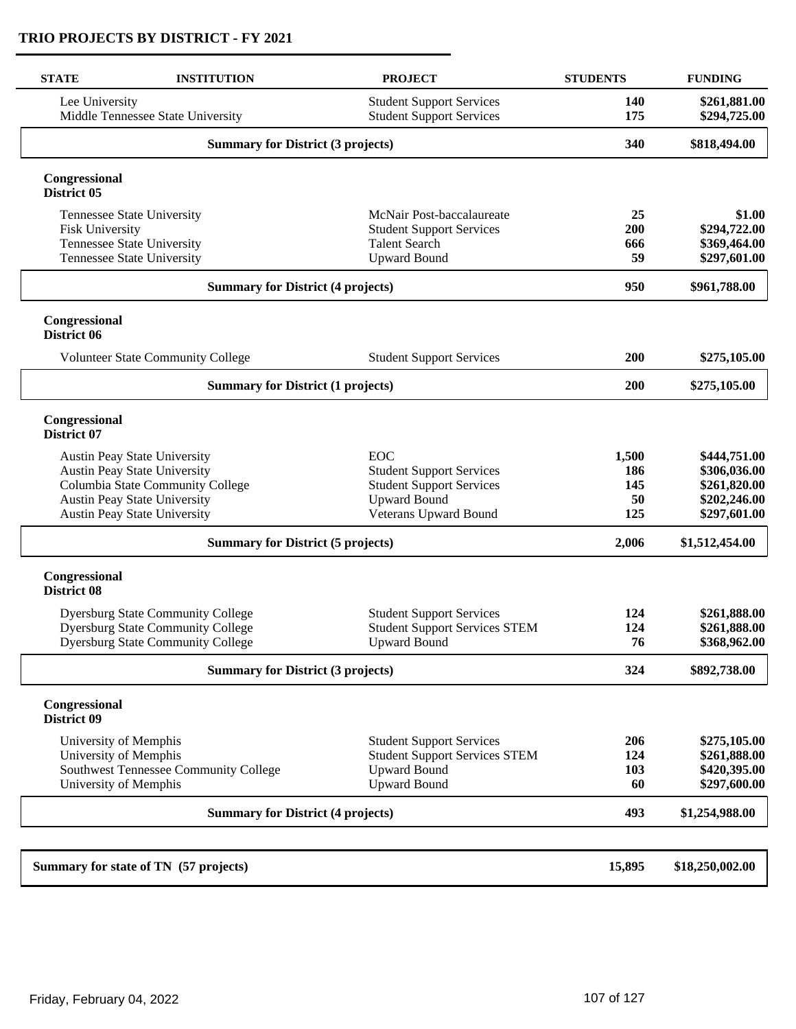| Lee University<br><b>Student Support Services</b><br>140<br><b>Student Support Services</b><br>175<br>Middle Tennessee State University<br>340<br><b>Summary for District (3 projects)</b><br>Congressional<br>District 05<br>Tennessee State University<br>McNair Post-baccalaureate<br>25<br>200<br><b>Fisk University</b><br><b>Student Support Services</b><br>Tennessee State University<br><b>Talent Search</b><br>666<br>Tennessee State University<br><b>Upward Bound</b><br>59<br><b>Summary for District (4 projects)</b><br>950<br>Congressional<br>District 06<br>200<br><b>Volunteer State Community College</b><br><b>Student Support Services</b><br>200<br><b>Summary for District (1 projects)</b><br>Congressional<br>District 07<br><b>EOC</b><br>Austin Peay State University<br>1,500<br><b>Austin Peay State University</b><br><b>Student Support Services</b><br>186<br>Columbia State Community College<br><b>Student Support Services</b><br>145<br><b>Upward Bound</b><br><b>Austin Peay State University</b><br>50<br>Austin Peay State University<br>Veterans Upward Bound<br>125<br><b>Summary for District (5 projects)</b><br>2,006<br>Congressional<br>District 08<br><b>Dyersburg State Community College</b><br><b>Student Support Services</b><br>124<br><b>Dyersburg State Community College</b><br><b>Student Support Services STEM</b><br>124<br><b>Dyersburg State Community College</b><br>76<br><b>Upward Bound</b><br><b>Summary for District (3 projects)</b><br>324<br>Congressional<br>District 09<br>University of Memphis<br><b>Student Support Services</b><br>206<br>University of Memphis<br><b>Student Support Services STEM</b><br>124<br>Southwest Tennessee Community College<br><b>Upward Bound</b><br>103<br>University of Memphis<br><b>Upward Bound</b><br>60<br><b>Summary for District (4 projects)</b><br>493<br>Summary for state of TN (57 projects)<br>15,895 | <b>STATE</b> | <b>INSTITUTION</b> | <b>PROJECT</b> | <b>STUDENTS</b> | <b>FUNDING</b>  |
|-------------------------------------------------------------------------------------------------------------------------------------------------------------------------------------------------------------------------------------------------------------------------------------------------------------------------------------------------------------------------------------------------------------------------------------------------------------------------------------------------------------------------------------------------------------------------------------------------------------------------------------------------------------------------------------------------------------------------------------------------------------------------------------------------------------------------------------------------------------------------------------------------------------------------------------------------------------------------------------------------------------------------------------------------------------------------------------------------------------------------------------------------------------------------------------------------------------------------------------------------------------------------------------------------------------------------------------------------------------------------------------------------------------------------------------------------------------------------------------------------------------------------------------------------------------------------------------------------------------------------------------------------------------------------------------------------------------------------------------------------------------------------------------------------------------------------------------------------------------------------------------------------------------------------------|--------------|--------------------|----------------|-----------------|-----------------|
|                                                                                                                                                                                                                                                                                                                                                                                                                                                                                                                                                                                                                                                                                                                                                                                                                                                                                                                                                                                                                                                                                                                                                                                                                                                                                                                                                                                                                                                                                                                                                                                                                                                                                                                                                                                                                                                                                                                               |              |                    |                |                 | \$261,881.00    |
|                                                                                                                                                                                                                                                                                                                                                                                                                                                                                                                                                                                                                                                                                                                                                                                                                                                                                                                                                                                                                                                                                                                                                                                                                                                                                                                                                                                                                                                                                                                                                                                                                                                                                                                                                                                                                                                                                                                               |              |                    |                |                 | \$294,725.00    |
|                                                                                                                                                                                                                                                                                                                                                                                                                                                                                                                                                                                                                                                                                                                                                                                                                                                                                                                                                                                                                                                                                                                                                                                                                                                                                                                                                                                                                                                                                                                                                                                                                                                                                                                                                                                                                                                                                                                               |              |                    |                |                 | \$818,494.00    |
|                                                                                                                                                                                                                                                                                                                                                                                                                                                                                                                                                                                                                                                                                                                                                                                                                                                                                                                                                                                                                                                                                                                                                                                                                                                                                                                                                                                                                                                                                                                                                                                                                                                                                                                                                                                                                                                                                                                               |              |                    |                |                 |                 |
|                                                                                                                                                                                                                                                                                                                                                                                                                                                                                                                                                                                                                                                                                                                                                                                                                                                                                                                                                                                                                                                                                                                                                                                                                                                                                                                                                                                                                                                                                                                                                                                                                                                                                                                                                                                                                                                                                                                               |              |                    |                |                 | \$1.00          |
|                                                                                                                                                                                                                                                                                                                                                                                                                                                                                                                                                                                                                                                                                                                                                                                                                                                                                                                                                                                                                                                                                                                                                                                                                                                                                                                                                                                                                                                                                                                                                                                                                                                                                                                                                                                                                                                                                                                               |              |                    |                |                 | \$294,722.00    |
|                                                                                                                                                                                                                                                                                                                                                                                                                                                                                                                                                                                                                                                                                                                                                                                                                                                                                                                                                                                                                                                                                                                                                                                                                                                                                                                                                                                                                                                                                                                                                                                                                                                                                                                                                                                                                                                                                                                               |              |                    |                |                 | \$369,464.00    |
|                                                                                                                                                                                                                                                                                                                                                                                                                                                                                                                                                                                                                                                                                                                                                                                                                                                                                                                                                                                                                                                                                                                                                                                                                                                                                                                                                                                                                                                                                                                                                                                                                                                                                                                                                                                                                                                                                                                               |              |                    |                |                 | \$297,601.00    |
|                                                                                                                                                                                                                                                                                                                                                                                                                                                                                                                                                                                                                                                                                                                                                                                                                                                                                                                                                                                                                                                                                                                                                                                                                                                                                                                                                                                                                                                                                                                                                                                                                                                                                                                                                                                                                                                                                                                               |              |                    |                |                 | \$961,788.00    |
|                                                                                                                                                                                                                                                                                                                                                                                                                                                                                                                                                                                                                                                                                                                                                                                                                                                                                                                                                                                                                                                                                                                                                                                                                                                                                                                                                                                                                                                                                                                                                                                                                                                                                                                                                                                                                                                                                                                               |              |                    |                |                 |                 |
|                                                                                                                                                                                                                                                                                                                                                                                                                                                                                                                                                                                                                                                                                                                                                                                                                                                                                                                                                                                                                                                                                                                                                                                                                                                                                                                                                                                                                                                                                                                                                                                                                                                                                                                                                                                                                                                                                                                               |              |                    |                |                 | \$275,105.00    |
|                                                                                                                                                                                                                                                                                                                                                                                                                                                                                                                                                                                                                                                                                                                                                                                                                                                                                                                                                                                                                                                                                                                                                                                                                                                                                                                                                                                                                                                                                                                                                                                                                                                                                                                                                                                                                                                                                                                               |              |                    |                |                 | \$275,105.00    |
|                                                                                                                                                                                                                                                                                                                                                                                                                                                                                                                                                                                                                                                                                                                                                                                                                                                                                                                                                                                                                                                                                                                                                                                                                                                                                                                                                                                                                                                                                                                                                                                                                                                                                                                                                                                                                                                                                                                               |              |                    |                |                 |                 |
|                                                                                                                                                                                                                                                                                                                                                                                                                                                                                                                                                                                                                                                                                                                                                                                                                                                                                                                                                                                                                                                                                                                                                                                                                                                                                                                                                                                                                                                                                                                                                                                                                                                                                                                                                                                                                                                                                                                               |              |                    |                |                 | \$444,751.00    |
|                                                                                                                                                                                                                                                                                                                                                                                                                                                                                                                                                                                                                                                                                                                                                                                                                                                                                                                                                                                                                                                                                                                                                                                                                                                                                                                                                                                                                                                                                                                                                                                                                                                                                                                                                                                                                                                                                                                               |              |                    |                |                 | \$306,036.00    |
|                                                                                                                                                                                                                                                                                                                                                                                                                                                                                                                                                                                                                                                                                                                                                                                                                                                                                                                                                                                                                                                                                                                                                                                                                                                                                                                                                                                                                                                                                                                                                                                                                                                                                                                                                                                                                                                                                                                               |              |                    |                |                 | \$261,820.00    |
|                                                                                                                                                                                                                                                                                                                                                                                                                                                                                                                                                                                                                                                                                                                                                                                                                                                                                                                                                                                                                                                                                                                                                                                                                                                                                                                                                                                                                                                                                                                                                                                                                                                                                                                                                                                                                                                                                                                               |              |                    |                |                 | \$202,246.00    |
|                                                                                                                                                                                                                                                                                                                                                                                                                                                                                                                                                                                                                                                                                                                                                                                                                                                                                                                                                                                                                                                                                                                                                                                                                                                                                                                                                                                                                                                                                                                                                                                                                                                                                                                                                                                                                                                                                                                               |              |                    |                |                 | \$297,601.00    |
|                                                                                                                                                                                                                                                                                                                                                                                                                                                                                                                                                                                                                                                                                                                                                                                                                                                                                                                                                                                                                                                                                                                                                                                                                                                                                                                                                                                                                                                                                                                                                                                                                                                                                                                                                                                                                                                                                                                               |              |                    |                |                 | \$1,512,454.00  |
|                                                                                                                                                                                                                                                                                                                                                                                                                                                                                                                                                                                                                                                                                                                                                                                                                                                                                                                                                                                                                                                                                                                                                                                                                                                                                                                                                                                                                                                                                                                                                                                                                                                                                                                                                                                                                                                                                                                               |              |                    |                |                 |                 |
|                                                                                                                                                                                                                                                                                                                                                                                                                                                                                                                                                                                                                                                                                                                                                                                                                                                                                                                                                                                                                                                                                                                                                                                                                                                                                                                                                                                                                                                                                                                                                                                                                                                                                                                                                                                                                                                                                                                               |              |                    |                |                 | \$261,888.00    |
|                                                                                                                                                                                                                                                                                                                                                                                                                                                                                                                                                                                                                                                                                                                                                                                                                                                                                                                                                                                                                                                                                                                                                                                                                                                                                                                                                                                                                                                                                                                                                                                                                                                                                                                                                                                                                                                                                                                               |              |                    |                |                 | \$261,888.00    |
|                                                                                                                                                                                                                                                                                                                                                                                                                                                                                                                                                                                                                                                                                                                                                                                                                                                                                                                                                                                                                                                                                                                                                                                                                                                                                                                                                                                                                                                                                                                                                                                                                                                                                                                                                                                                                                                                                                                               |              |                    |                |                 | \$368,962.00    |
|                                                                                                                                                                                                                                                                                                                                                                                                                                                                                                                                                                                                                                                                                                                                                                                                                                                                                                                                                                                                                                                                                                                                                                                                                                                                                                                                                                                                                                                                                                                                                                                                                                                                                                                                                                                                                                                                                                                               |              |                    |                |                 | \$892,738.00    |
|                                                                                                                                                                                                                                                                                                                                                                                                                                                                                                                                                                                                                                                                                                                                                                                                                                                                                                                                                                                                                                                                                                                                                                                                                                                                                                                                                                                                                                                                                                                                                                                                                                                                                                                                                                                                                                                                                                                               |              |                    |                |                 |                 |
|                                                                                                                                                                                                                                                                                                                                                                                                                                                                                                                                                                                                                                                                                                                                                                                                                                                                                                                                                                                                                                                                                                                                                                                                                                                                                                                                                                                                                                                                                                                                                                                                                                                                                                                                                                                                                                                                                                                               |              |                    |                |                 | \$275,105.00    |
|                                                                                                                                                                                                                                                                                                                                                                                                                                                                                                                                                                                                                                                                                                                                                                                                                                                                                                                                                                                                                                                                                                                                                                                                                                                                                                                                                                                                                                                                                                                                                                                                                                                                                                                                                                                                                                                                                                                               |              |                    |                |                 | \$261,888.00    |
|                                                                                                                                                                                                                                                                                                                                                                                                                                                                                                                                                                                                                                                                                                                                                                                                                                                                                                                                                                                                                                                                                                                                                                                                                                                                                                                                                                                                                                                                                                                                                                                                                                                                                                                                                                                                                                                                                                                               |              |                    |                |                 | \$420,395.00    |
|                                                                                                                                                                                                                                                                                                                                                                                                                                                                                                                                                                                                                                                                                                                                                                                                                                                                                                                                                                                                                                                                                                                                                                                                                                                                                                                                                                                                                                                                                                                                                                                                                                                                                                                                                                                                                                                                                                                               |              |                    |                |                 | \$297,600.00    |
|                                                                                                                                                                                                                                                                                                                                                                                                                                                                                                                                                                                                                                                                                                                                                                                                                                                                                                                                                                                                                                                                                                                                                                                                                                                                                                                                                                                                                                                                                                                                                                                                                                                                                                                                                                                                                                                                                                                               |              |                    |                |                 | \$1,254,988.00  |
|                                                                                                                                                                                                                                                                                                                                                                                                                                                                                                                                                                                                                                                                                                                                                                                                                                                                                                                                                                                                                                                                                                                                                                                                                                                                                                                                                                                                                                                                                                                                                                                                                                                                                                                                                                                                                                                                                                                               |              |                    |                |                 |                 |
|                                                                                                                                                                                                                                                                                                                                                                                                                                                                                                                                                                                                                                                                                                                                                                                                                                                                                                                                                                                                                                                                                                                                                                                                                                                                                                                                                                                                                                                                                                                                                                                                                                                                                                                                                                                                                                                                                                                               |              |                    |                |                 | \$18,250,002.00 |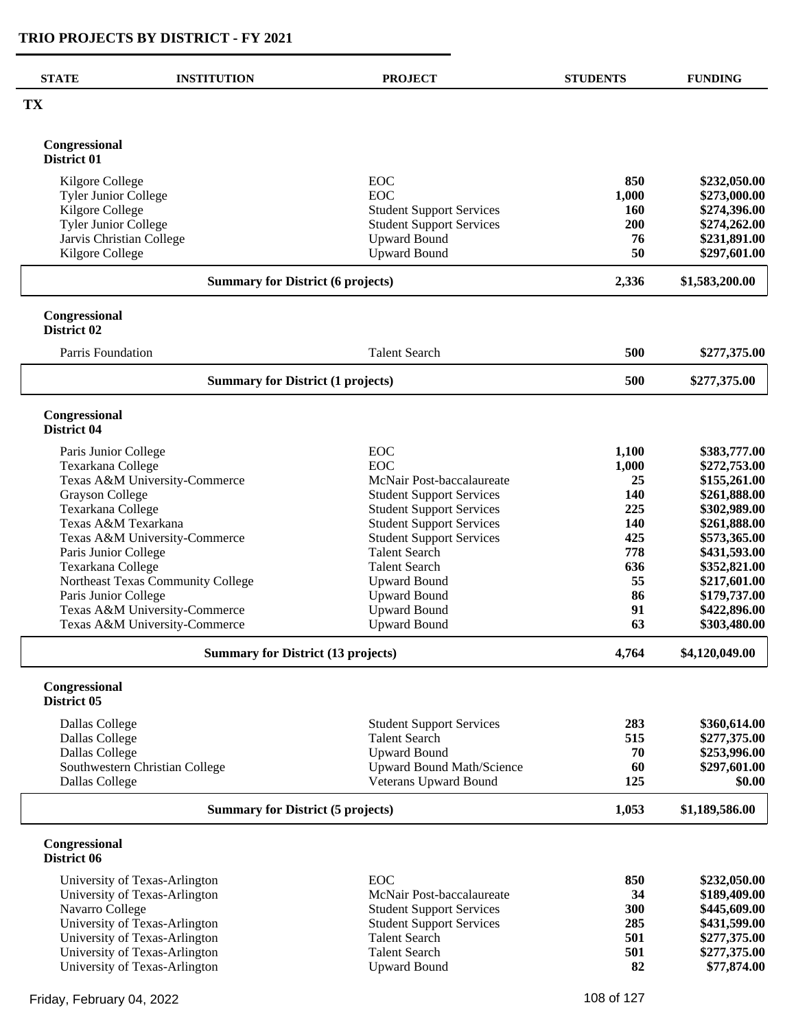| <b>STATE</b>                              | <b>INSTITUTION</b>                       | <b>PROJECT</b>                   | <b>STUDENTS</b> | <b>FUNDING</b> |
|-------------------------------------------|------------------------------------------|----------------------------------|-----------------|----------------|
| TX                                        |                                          |                                  |                 |                |
| Congressional<br>District 01              |                                          |                                  |                 |                |
| Kilgore College                           |                                          | EOC                              | 850             | \$232,050.00   |
| <b>Tyler Junior College</b>               |                                          | <b>EOC</b>                       | 1,000           | \$273,000.00   |
| Kilgore College                           |                                          | <b>Student Support Services</b>  | <b>160</b>      | \$274,396.00   |
| <b>Tyler Junior College</b>               |                                          | <b>Student Support Services</b>  | 200             | \$274,262.00   |
| Jarvis Christian College                  |                                          | <b>Upward Bound</b>              | 76              | \$231,891.00   |
| Kilgore College                           |                                          | <b>Upward Bound</b>              | 50              | \$297,601.00   |
|                                           | <b>Summary for District (6 projects)</b> | 2,336                            | \$1,583,200.00  |                |
| Congressional<br>District 02              |                                          |                                  |                 |                |
| Parris Foundation                         |                                          | <b>Talent Search</b>             | 500             | \$277,375.00   |
|                                           | <b>Summary for District (1 projects)</b> |                                  |                 | \$277,375.00   |
|                                           |                                          |                                  | 500             |                |
| Congressional<br>District 04              |                                          |                                  |                 |                |
| Paris Junior College                      |                                          | <b>EOC</b>                       | 1,100           | \$383,777.00   |
| Texarkana College                         |                                          | <b>EOC</b>                       | 1,000           | \$272,753.00   |
|                                           | Texas A&M University-Commerce            | McNair Post-baccalaureate        | 25              | \$155,261.00   |
| <b>Grayson College</b>                    |                                          | <b>Student Support Services</b>  | 140             | \$261,888.00   |
| Texarkana College                         |                                          | <b>Student Support Services</b>  | 225             | \$302,989.00   |
| Texas A&M Texarkana                       |                                          | <b>Student Support Services</b>  | <b>140</b>      | \$261,888.00   |
| Texas A&M University-Commerce             |                                          | <b>Student Support Services</b>  | 425             | \$573,365.00   |
| Paris Junior College                      |                                          | <b>Talent Search</b>             | 778             | \$431,593.00   |
| Texarkana College                         |                                          | <b>Talent Search</b>             | 636             | \$352,821.00   |
| Northeast Texas Community College         |                                          | <b>Upward Bound</b>              | 55              | \$217,601.00   |
| Paris Junior College                      |                                          | <b>Upward Bound</b>              | 86              | \$179,737.00   |
|                                           | Texas A&M University-Commerce            | <b>Upward Bound</b>              | 91              | \$422,896.00   |
|                                           | Texas A&M University-Commerce            | <b>Upward Bound</b>              | 63              | \$303,480.00   |
| <b>Summary for District (13 projects)</b> |                                          |                                  | 4,764           | \$4,120,049.00 |
| Congressional<br>District 05              |                                          |                                  |                 |                |
| Dallas College                            |                                          | <b>Student Support Services</b>  | 283             | \$360,614.00   |
| Dallas College                            |                                          | <b>Talent Search</b>             | 515             | \$277,375.00   |
| Dallas College                            |                                          | <b>Upward Bound</b>              | 70              | \$253,996.00   |
|                                           | Southwestern Christian College           | <b>Upward Bound Math/Science</b> | 60              | \$297,601.00   |
| Dallas College                            |                                          | Veterans Upward Bound            | 125             | \$0.00         |
|                                           | <b>Summary for District (5 projects)</b> | 1,053                            | \$1,189,586.00  |                |
| Congressional<br>District 06              |                                          |                                  |                 |                |
|                                           | University of Texas-Arlington            | <b>EOC</b>                       | 850             | \$232,050.00   |
|                                           | University of Texas-Arlington            | McNair Post-baccalaureate        | 34              | \$189,409.00   |
| Navarro College                           |                                          | <b>Student Support Services</b>  | 300             | \$445,609.00   |
| University of Texas-Arlington             |                                          | <b>Student Support Services</b>  | 285             | \$431,599.00   |
| University of Texas-Arlington             |                                          | <b>Talent Search</b>             | 501             | \$277,375.00   |
| University of Texas-Arlington             |                                          | <b>Talent Search</b>             | 501             | \$277,375.00   |
|                                           | University of Texas-Arlington            | <b>Upward Bound</b>              | 82              | \$77,874.00    |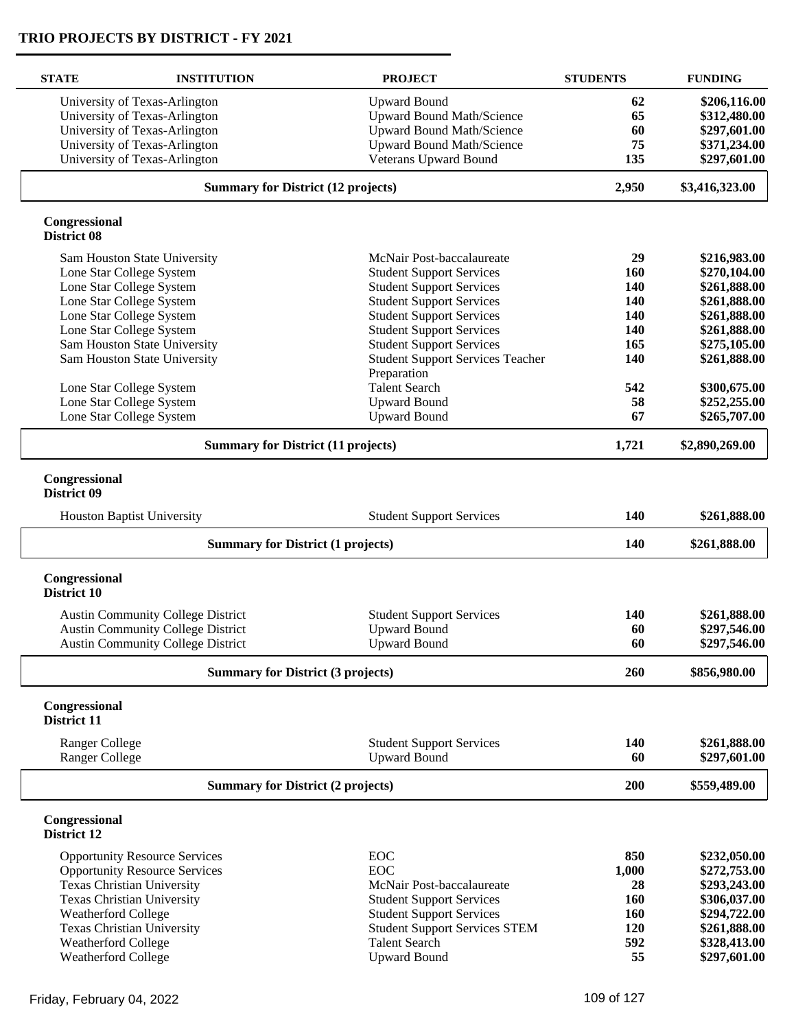| <b>STATE</b>                 | <b>INSTITUTION</b>                        | <b>PROJECT</b>                                         | <b>STUDENTS</b> | <b>FUNDING</b> |
|------------------------------|-------------------------------------------|--------------------------------------------------------|-----------------|----------------|
|                              | University of Texas-Arlington             | <b>Upward Bound</b>                                    | 62              | \$206,116.00   |
|                              | University of Texas-Arlington             | <b>Upward Bound Math/Science</b>                       | 65              | \$312,480.00   |
|                              | University of Texas-Arlington             | <b>Upward Bound Math/Science</b>                       | 60              | \$297,601.00   |
|                              | University of Texas-Arlington             | <b>Upward Bound Math/Science</b>                       | 75              | \$371,234.00   |
|                              | University of Texas-Arlington             | Veterans Upward Bound                                  | 135             | \$297,601.00   |
|                              | <b>Summary for District (12 projects)</b> |                                                        |                 | \$3,416,323.00 |
| Congressional<br>District 08 |                                           |                                                        |                 |                |
|                              | Sam Houston State University              | McNair Post-baccalaureate                              | 29              | \$216,983.00   |
|                              | Lone Star College System                  | <b>Student Support Services</b>                        | 160             | \$270,104.00   |
|                              | Lone Star College System                  | <b>Student Support Services</b>                        | 140             | \$261,888.00   |
|                              | Lone Star College System                  | <b>Student Support Services</b>                        | 140             | \$261,888.00   |
|                              | Lone Star College System                  | <b>Student Support Services</b>                        | 140             | \$261,888.00   |
|                              | Lone Star College System                  | <b>Student Support Services</b>                        | 140             | \$261,888.00   |
|                              | Sam Houston State University              | <b>Student Support Services</b>                        | 165             | \$275,105.00   |
|                              | Sam Houston State University              | <b>Student Support Services Teacher</b><br>Preparation | 140             | \$261,888.00   |
|                              | Lone Star College System                  | <b>Talent Search</b>                                   | 542             | \$300,675.00   |
|                              | Lone Star College System                  | <b>Upward Bound</b>                                    | 58              | \$252,255.00   |
|                              | Lone Star College System                  | <b>Upward Bound</b>                                    | 67              | \$265,707.00   |
|                              | <b>Summary for District (11 projects)</b> |                                                        |                 | \$2,890,269.00 |
| Congressional<br>District 09 | <b>Houston Baptist University</b>         | <b>Student Support Services</b>                        | 140             | \$261,888.00   |
|                              | <b>Summary for District (1 projects)</b>  |                                                        | 140             | \$261,888.00   |
| Congressional<br>District 10 |                                           |                                                        |                 |                |
|                              | <b>Austin Community College District</b>  | <b>Student Support Services</b>                        | 140             | \$261,888.00   |
|                              | <b>Austin Community College District</b>  | <b>Upward Bound</b>                                    | 60              | \$297,546.00   |
|                              | <b>Austin Community College District</b>  | <b>Upward Bound</b>                                    | 60              | \$297,546.00   |
|                              | <b>Summary for District (3 projects)</b>  |                                                        | 260             | \$856,980.00   |
| Congressional<br>District 11 |                                           |                                                        |                 |                |
| <b>Ranger College</b>        |                                           | <b>Student Support Services</b>                        | 140             | \$261,888.00   |
| <b>Ranger College</b>        |                                           | <b>Upward Bound</b>                                    | 60              | \$297,601.00   |
|                              | <b>Summary for District (2 projects)</b>  |                                                        | 200             | \$559,489.00   |
| Congressional<br>District 12 |                                           |                                                        |                 |                |
|                              | <b>Opportunity Resource Services</b>      | <b>EOC</b>                                             | 850             | \$232,050.00   |
|                              | <b>Opportunity Resource Services</b>      | <b>EOC</b>                                             | 1,000           | \$272,753.00   |
|                              | Texas Christian University                | McNair Post-baccalaureate                              | 28              | \$293,243.00   |
|                              | <b>Texas Christian University</b>         | <b>Student Support Services</b>                        | 160             | \$306,037.00   |
| <b>Weatherford College</b>   |                                           | <b>Student Support Services</b>                        | 160             | \$294,722.00   |
|                              | Texas Christian University                | <b>Student Support Services STEM</b>                   | 120             | \$261,888.00   |
| Weatherford College          |                                           | <b>Talent Search</b>                                   | 592             | \$328,413.00   |
| Weatherford College          |                                           | <b>Upward Bound</b>                                    | 55              | \$297,601.00   |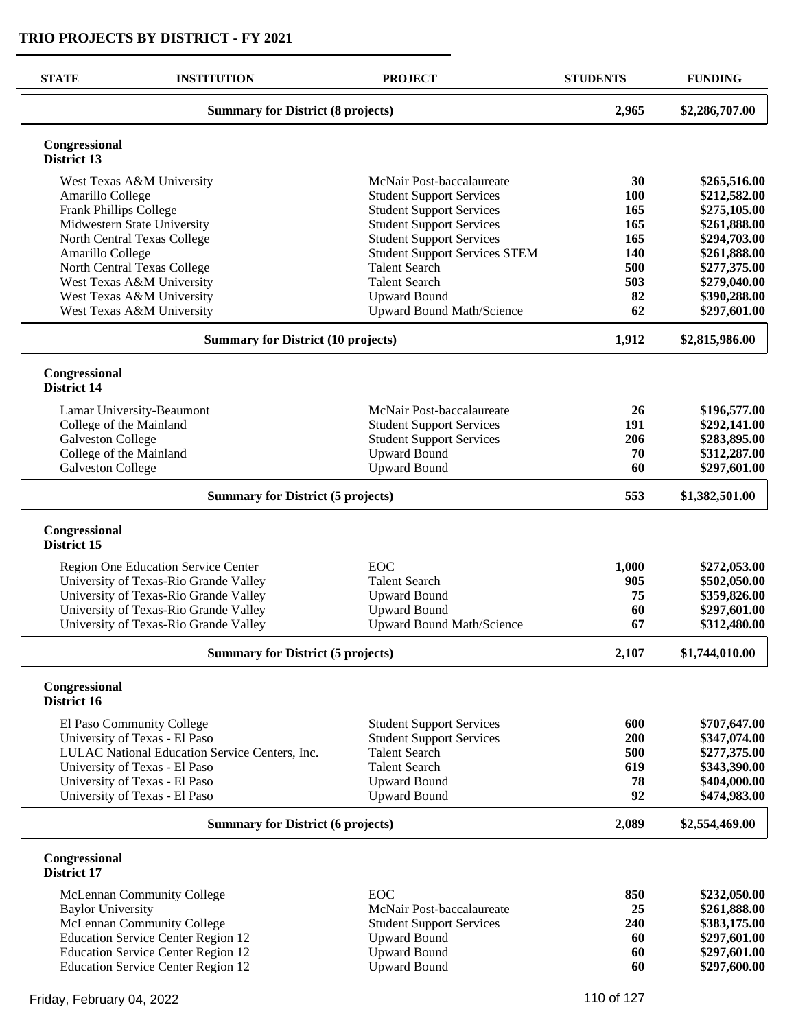| <b>STATE</b>                 | <b>INSTITUTION</b>                             | <b>PROJECT</b>                       | <b>STUDENTS</b> | <b>FUNDING</b> |
|------------------------------|------------------------------------------------|--------------------------------------|-----------------|----------------|
|                              | <b>Summary for District (8 projects)</b>       |                                      |                 | \$2,286,707.00 |
| Congressional<br>District 13 |                                                |                                      |                 |                |
|                              | West Texas A&M University                      | McNair Post-baccalaureate            | 30              | \$265,516.00   |
| Amarillo College             |                                                | <b>Student Support Services</b>      | 100             | \$212,582.00   |
| Frank Phillips College       |                                                | <b>Student Support Services</b>      | 165             | \$275,105.00   |
|                              | Midwestern State University                    | <b>Student Support Services</b>      | 165             | \$261,888.00   |
|                              | North Central Texas College                    | <b>Student Support Services</b>      | 165             | \$294,703.00   |
| Amarillo College             |                                                | <b>Student Support Services STEM</b> | 140             | \$261,888.00   |
|                              | North Central Texas College                    | <b>Talent Search</b>                 | 500             | \$277,375.00   |
|                              | West Texas A&M University                      | <b>Talent Search</b>                 | 503             | \$279,040.00   |
|                              | West Texas A&M University                      | <b>Upward Bound</b>                  | 82              | \$390,288.00   |
|                              | West Texas A&M University                      | <b>Upward Bound Math/Science</b>     | 62              | \$297,601.00   |
|                              | <b>Summary for District (10 projects)</b>      |                                      | 1,912           | \$2,815,986.00 |
| Congressional<br>District 14 |                                                |                                      |                 |                |
|                              | Lamar University-Beaumont                      | McNair Post-baccalaureate            | 26              | \$196,577.00   |
| College of the Mainland      |                                                | <b>Student Support Services</b>      | 191             | \$292,141.00   |
| <b>Galveston College</b>     |                                                | <b>Student Support Services</b>      | 206             | \$283,895.00   |
| College of the Mainland      |                                                | <b>Upward Bound</b>                  | 70              | \$312,287.00   |
| Galveston College            |                                                | <b>Upward Bound</b>                  | 60              | \$297,601.00   |
|                              | <b>Summary for District (5 projects)</b>       |                                      | 553             | \$1,382,501.00 |
| Congressional<br>District 15 |                                                |                                      |                 |                |
|                              | Region One Education Service Center            | <b>EOC</b>                           | 1,000           | \$272,053.00   |
|                              | University of Texas-Rio Grande Valley          | <b>Talent Search</b>                 | 905             | \$502,050.00   |
|                              | University of Texas-Rio Grande Valley          | <b>Upward Bound</b>                  | 75              | \$359,826.00   |
|                              | University of Texas-Rio Grande Valley          | <b>Upward Bound</b>                  | 60              | \$297,601.00   |
|                              | University of Texas-Rio Grande Valley          | <b>Upward Bound Math/Science</b>     | 67              | \$312,480.00   |
|                              | <b>Summary for District (5 projects)</b>       |                                      | 2,107           | \$1,744,010.00 |
| Congressional<br>District 16 |                                                |                                      |                 |                |
|                              | El Paso Community College                      | <b>Student Support Services</b>      | 600             | \$707,647.00   |
|                              | University of Texas - El Paso                  | <b>Student Support Services</b>      | 200             | \$347,074.00   |
|                              | LULAC National Education Service Centers, Inc. | <b>Talent Search</b>                 | 500             | \$277,375.00   |
|                              | University of Texas - El Paso                  | <b>Talent Search</b>                 | 619             | \$343,390.00   |
|                              | University of Texas - El Paso                  | <b>Upward Bound</b>                  | 78              | \$404,000.00   |
|                              | University of Texas - El Paso                  | <b>Upward Bound</b>                  | 92              | \$474,983.00   |
|                              | <b>Summary for District (6 projects)</b>       |                                      | 2,089           | \$2,554,469.00 |
| Congressional<br>District 17 |                                                |                                      |                 |                |
|                              | McLennan Community College                     | <b>EOC</b>                           | 850             | \$232,050.00   |
| <b>Baylor University</b>     |                                                | McNair Post-baccalaureate            | 25              | \$261,888.00   |
|                              | McLennan Community College                     | <b>Student Support Services</b>      | 240             | \$383,175.00   |
|                              | <b>Education Service Center Region 12</b>      | <b>Upward Bound</b>                  | 60              | \$297,601.00   |
|                              | <b>Education Service Center Region 12</b>      | <b>Upward Bound</b>                  | 60              | \$297,601.00   |
|                              | <b>Education Service Center Region 12</b>      | <b>Upward Bound</b>                  | 60              | \$297,600.00   |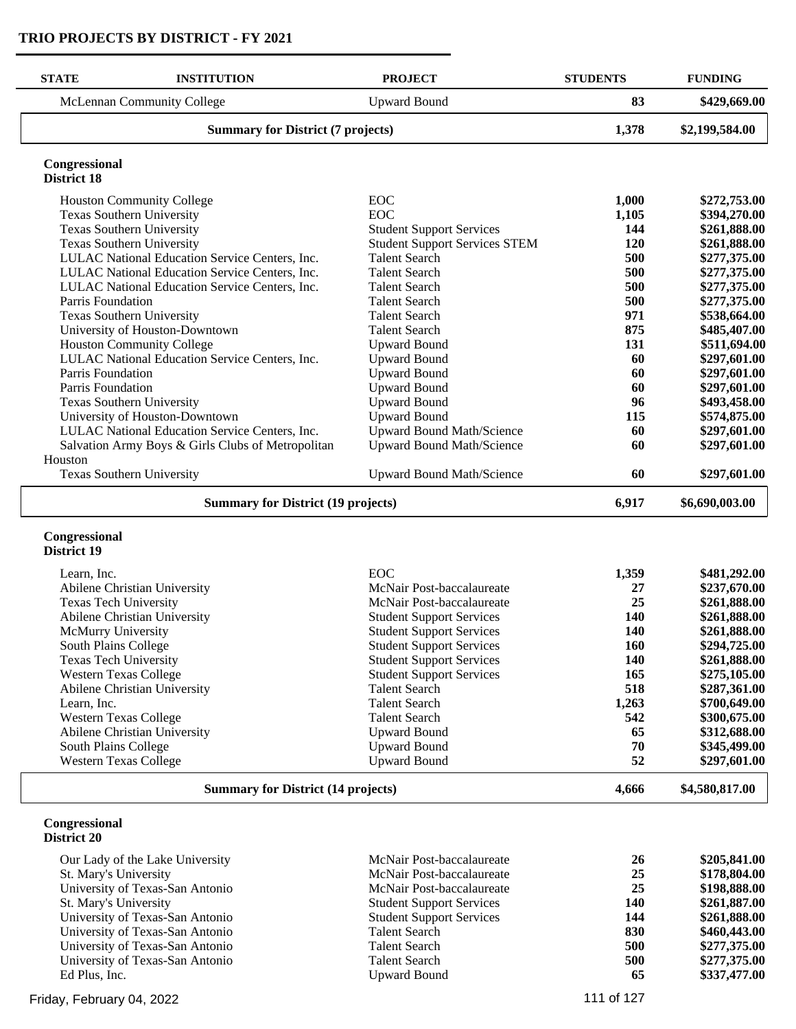| <b>STATE</b><br><b>INSTITUTION</b>                       | <b>PROJECT</b>                                         | <b>STUDENTS</b> | <b>FUNDING</b>               |
|----------------------------------------------------------|--------------------------------------------------------|-----------------|------------------------------|
| McLennan Community College                               | <b>Upward Bound</b>                                    | 83              | \$429,669.00                 |
| <b>Summary for District (7 projects)</b>                 | 1,378                                                  | \$2,199,584.00  |                              |
| Congressional                                            |                                                        |                 |                              |
| <b>District 18</b>                                       |                                                        |                 |                              |
| <b>Houston Community College</b>                         | EOC                                                    | 1,000           | \$272,753.00                 |
| Texas Southern University                                | EOC                                                    | 1,105           | \$394,270.00                 |
| <b>Texas Southern University</b>                         | <b>Student Support Services</b>                        | 144             | \$261,888.00                 |
| <b>Texas Southern University</b>                         | <b>Student Support Services STEM</b>                   | 120             | \$261,888.00                 |
| LULAC National Education Service Centers, Inc.           | <b>Talent Search</b>                                   | 500             | \$277,375.00                 |
| LULAC National Education Service Centers, Inc.           | <b>Talent Search</b>                                   | 500             | \$277,375.00                 |
| LULAC National Education Service Centers, Inc.           | <b>Talent Search</b>                                   | 500             | \$277,375.00                 |
| Parris Foundation                                        | <b>Talent Search</b>                                   | 500             | \$277,375.00                 |
| Texas Southern University                                | <b>Talent Search</b>                                   | 971             | \$538,664.00                 |
| University of Houston-Downtown                           | <b>Talent Search</b>                                   | 875             | \$485,407.00                 |
| <b>Houston Community College</b>                         | <b>Upward Bound</b>                                    | 131             | \$511,694.00                 |
| LULAC National Education Service Centers, Inc.           | <b>Upward Bound</b>                                    | 60              | \$297,601.00                 |
| Parris Foundation                                        | <b>Upward Bound</b>                                    | 60              | \$297,601.00                 |
| Parris Foundation                                        | <b>Upward Bound</b>                                    | 60              | \$297,601.00                 |
| <b>Texas Southern University</b>                         | <b>Upward Bound</b>                                    | 96              | \$493,458.00                 |
| University of Houston-Downtown                           | <b>Upward Bound</b>                                    | 115             | \$574,875.00                 |
| LULAC National Education Service Centers, Inc.           | Upward Bound Math/Science                              | 60              | \$297,601.00                 |
| Salvation Army Boys & Girls Clubs of Metropolitan        | Upward Bound Math/Science                              | 60              | \$297,601.00                 |
| Houston                                                  |                                                        |                 |                              |
| Texas Southern University                                | <b>Upward Bound Math/Science</b>                       | 60              | \$297,601.00                 |
|                                                          | <b>Summary for District (19 projects)</b>              |                 |                              |
| Congressional<br>District 19                             |                                                        |                 |                              |
| Learn, Inc.                                              | EOC                                                    | 1,359           | \$481,292.00                 |
| Abilene Christian University                             | McNair Post-baccalaureate                              | 27              | \$237,670.00                 |
| Texas Tech University                                    | McNair Post-baccalaureate                              | 25              | \$261,888.00                 |
| Abilene Christian University                             | <b>Student Support Services</b>                        | 140             | \$261,888.00                 |
| McMurry University                                       | <b>Student Support Services</b>                        | 140             | \$261,888.00                 |
| South Plains College                                     | <b>Student Support Services</b>                        | 160             | \$294,725.00                 |
| <b>Texas Tech University</b>                             | <b>Student Support Services</b>                        | <b>140</b>      | \$261,888.00                 |
| <b>Western Texas College</b>                             | <b>Student Support Services</b>                        | 165             | \$275,105.00                 |
| Abilene Christian University                             | <b>Talent Search</b>                                   | 518             | \$287,361.00                 |
| Learn, Inc.                                              | <b>Talent Search</b>                                   | 1,263           | \$700,649.00                 |
| <b>Western Texas College</b>                             | <b>Talent Search</b>                                   | 542             | \$300,675.00                 |
| Abilene Christian University                             | <b>Upward Bound</b>                                    | 65              | \$312,688.00                 |
| South Plains College                                     | <b>Upward Bound</b>                                    | 70              | \$345,499.00                 |
| <b>Western Texas College</b>                             | <b>Upward Bound</b>                                    | 52              | \$297,601.00                 |
| <b>Summary for District (14 projects)</b>                |                                                        | 4,666           | \$4,580,817.00               |
| Congressional<br>District 20                             |                                                        |                 |                              |
| Our Lady of the Lake University<br>St. Mary's University | McNair Post-baccalaureate<br>McNair Post-baccalaureate | 26<br>25        | \$205,841.00<br>\$178,804.00 |

| Our Lawy of the Lake Omversity  | IVICI VAII 1 OST DACCARATICATO  | $\rightarrow$ | $V = V - V - V - V$ |
|---------------------------------|---------------------------------|---------------|---------------------|
| St. Mary's University           | McNair Post-baccalaureate       | 25            | \$178,804.00        |
| University of Texas-San Antonio | McNair Post-baccalaureate       | 25            | \$198,888.00        |
| St. Mary's University           | <b>Student Support Services</b> | 140           | \$261,887.00        |
| University of Texas-San Antonio | <b>Student Support Services</b> | 144           | \$261,888.00        |
| University of Texas-San Antonio | <b>Talent Search</b>            | 830           | \$460,443.00        |
| University of Texas-San Antonio | <b>Talent Search</b>            | 500           | \$277,375.00        |
| University of Texas-San Antonio | <b>Talent Search</b>            | 500           | \$277,375.00        |
| Ed Plus, Inc.                   | Upward Bound                    | 65            | \$337,477.00        |
|                                 |                                 |               |                     |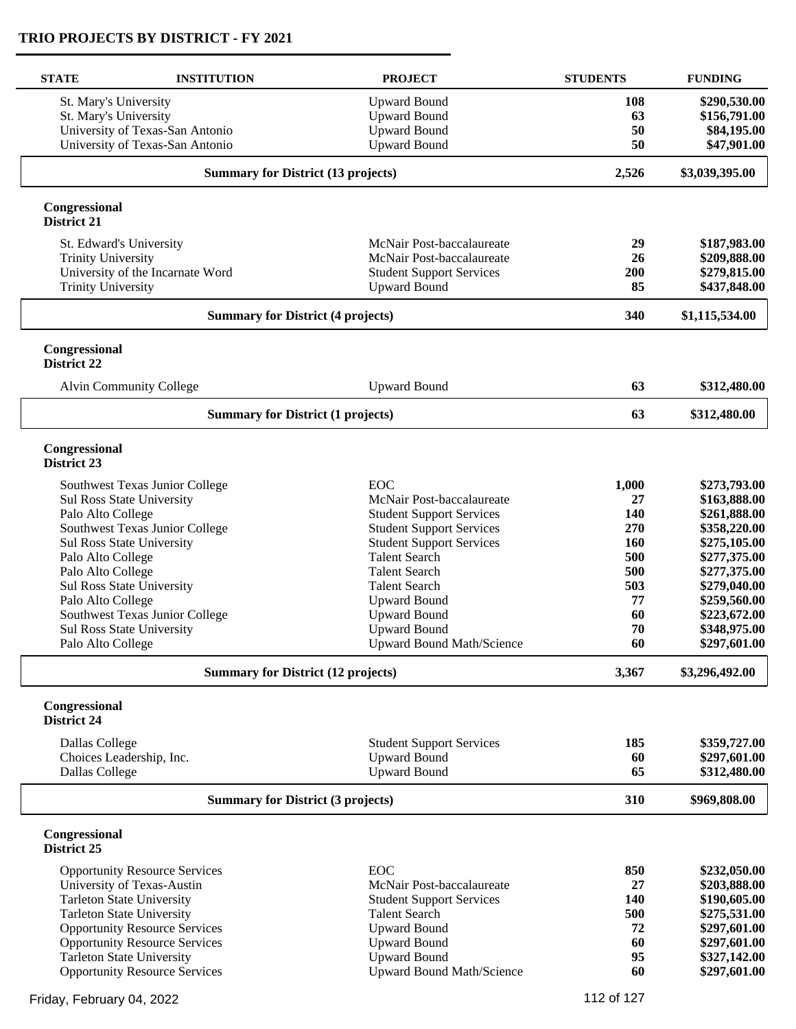| <b>STATE</b>                 | <b>INSTITUTION</b>                                          | <b>PROJECT</b>                             | <b>STUDENTS</b> | <b>FUNDING</b>               |
|------------------------------|-------------------------------------------------------------|--------------------------------------------|-----------------|------------------------------|
| St. Mary's University        |                                                             | <b>Upward Bound</b>                        | 108             | \$290,530.00                 |
| St. Mary's University        |                                                             | <b>Upward Bound</b>                        | 63              | \$156,791.00                 |
|                              | University of Texas-San Antonio                             | <b>Upward Bound</b>                        | 50              | \$84,195.00                  |
|                              | University of Texas-San Antonio                             | <b>Upward Bound</b>                        | 50              | \$47,901.00                  |
|                              | <b>Summary for District (13 projects)</b>                   |                                            | 2,526           | \$3,039,395.00               |
| Congressional<br>District 21 |                                                             |                                            |                 |                              |
|                              | St. Edward's University                                     | McNair Post-baccalaureate                  | 29              | \$187,983.00                 |
| <b>Trinity University</b>    |                                                             | McNair Post-baccalaureate                  | 26              | \$209,888.00                 |
|                              | University of the Incarnate Word                            | <b>Student Support Services</b>            | 200             | \$279,815.00                 |
| <b>Trinity University</b>    |                                                             | <b>Upward Bound</b>                        | 85              | \$437,848.00                 |
|                              | <b>Summary for District (4 projects)</b>                    |                                            | 340             | \$1,115,534.00               |
| Congressional<br>District 22 |                                                             |                                            |                 |                              |
|                              | <b>Alvin Community College</b>                              | <b>Upward Bound</b>                        | 63              | \$312,480.00                 |
|                              | <b>Summary for District (1 projects)</b>                    |                                            | 63              | \$312,480.00                 |
| Congressional                |                                                             |                                            |                 |                              |
| District 23                  |                                                             |                                            |                 |                              |
|                              | Southwest Texas Junior College                              | EOC                                        | 1,000           | \$273,793.00                 |
|                              | <b>Sul Ross State University</b>                            | McNair Post-baccalaureate                  | 27              | \$163,888.00                 |
| Palo Alto College            |                                                             | <b>Student Support Services</b>            | 140             | \$261,888.00                 |
|                              | Southwest Texas Junior College                              | <b>Student Support Services</b>            | 270             | \$358,220.00                 |
|                              | Sul Ross State University                                   | <b>Student Support Services</b>            | 160             | \$275,105.00                 |
| Palo Alto College            |                                                             | <b>Talent Search</b>                       | 500             | \$277,375.00                 |
| Palo Alto College            |                                                             | <b>Talent Search</b>                       | 500             | \$277,375.00                 |
|                              | Sul Ross State University                                   | <b>Talent Search</b>                       | 503             | \$279,040.00                 |
| Palo Alto College            |                                                             | <b>Upward Bound</b>                        | 77              | \$259,560.00                 |
|                              | Southwest Texas Junior College<br>Sul Ross State University | <b>Upward Bound</b><br><b>Upward Bound</b> | 60<br>70        | \$223,672.00<br>\$348,975.00 |
| Palo Alto College            |                                                             | <b>Upward Bound Math/Science</b>           | 60              | \$297,601.00                 |
|                              |                                                             |                                            |                 |                              |
|                              | <b>Summary for District (12 projects)</b>                   |                                            | 3,367           | \$3,296,492.00               |
| Congressional<br>District 24 |                                                             |                                            |                 |                              |
| Dallas College               |                                                             | <b>Student Support Services</b>            | 185             | \$359,727.00                 |
|                              | Choices Leadership, Inc.                                    | <b>Upward Bound</b>                        | 60              | \$297,601.00                 |
| Dallas College               |                                                             | <b>Upward Bound</b>                        | 65              | \$312,480.00                 |
|                              | <b>Summary for District (3 projects)</b>                    |                                            | 310             | \$969,808.00                 |
| Congressional<br>District 25 |                                                             |                                            |                 |                              |
|                              | <b>Opportunity Resource Services</b>                        | EOC                                        | 850             | \$232,050.00                 |
|                              | University of Texas-Austin                                  | McNair Post-baccalaureate                  | 27              | \$203,888.00                 |
|                              | <b>Tarleton State University</b>                            | <b>Student Support Services</b>            | 140             | \$190,605.00                 |
|                              | <b>Tarleton State University</b>                            | <b>Talent Search</b>                       | 500             | \$275,531.00                 |
|                              | <b>Opportunity Resource Services</b>                        | <b>Upward Bound</b>                        | 72              | \$297,601.00                 |
|                              | <b>Opportunity Resource Services</b>                        | <b>Upward Bound</b>                        | 60              | \$297,601.00                 |
|                              | <b>Tarleton State University</b>                            | <b>Upward Bound</b>                        | 95              | \$327,142.00                 |
|                              | <b>Opportunity Resource Services</b>                        | <b>Upward Bound Math/Science</b>           | 60              | \$297,601.00                 |

Friday, February 04, 2022 2001 120 and 2008 127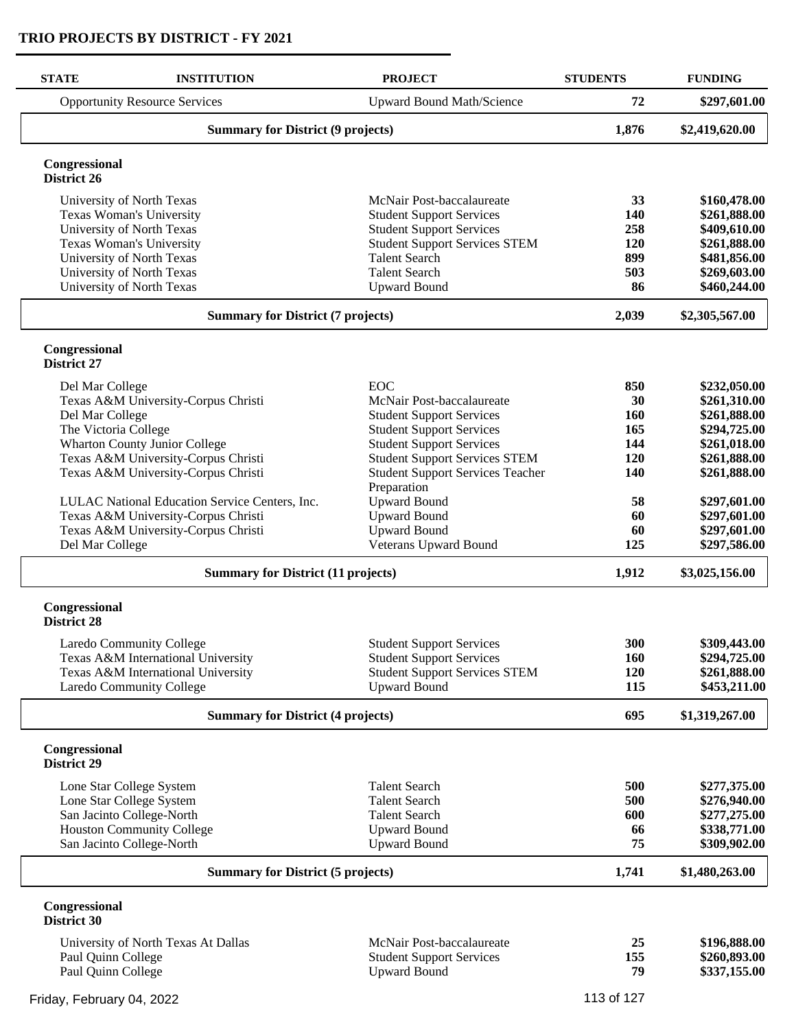| <b>STATE</b><br><b>INSTITUTION</b>                        | <b>PROJECT</b>                                         | <b>STUDENTS</b> | <b>FUNDING</b>               |
|-----------------------------------------------------------|--------------------------------------------------------|-----------------|------------------------------|
| <b>Opportunity Resource Services</b>                      | <b>Upward Bound Math/Science</b>                       | 72              | \$297,601.00                 |
| <b>Summary for District (9 projects)</b>                  | 1,876                                                  | \$2,419,620.00  |                              |
| Congressional<br>District 26                              |                                                        |                 |                              |
| University of North Texas                                 | McNair Post-baccalaureate                              | 33              | \$160,478.00                 |
| Texas Woman's University                                  | <b>Student Support Services</b>                        | 140             | \$261,888.00                 |
| University of North Texas                                 | <b>Student Support Services</b>                        | 258             | \$409,610.00                 |
| Texas Woman's University                                  | <b>Student Support Services STEM</b>                   | 120             | \$261,888.00                 |
| University of North Texas                                 | <b>Talent Search</b>                                   | 899             | \$481,856.00                 |
| University of North Texas                                 | <b>Talent Search</b>                                   | 503             | \$269,603.00                 |
| University of North Texas                                 | <b>Upward Bound</b>                                    | 86              | \$460,244.00                 |
| <b>Summary for District (7 projects)</b>                  |                                                        | 2,039           | \$2,305,567.00               |
| Congressional<br><b>District 27</b>                       |                                                        |                 |                              |
| Del Mar College                                           | <b>EOC</b>                                             | 850             | \$232,050.00                 |
| Texas A&M University-Corpus Christi                       | McNair Post-baccalaureate                              | 30              | \$261,310.00                 |
| Del Mar College                                           | <b>Student Support Services</b>                        | 160             | \$261,888.00                 |
| The Victoria College                                      | <b>Student Support Services</b>                        | 165             | \$294,725.00                 |
| <b>Wharton County Junior College</b>                      | <b>Student Support Services</b>                        | 144             | \$261,018.00                 |
| Texas A&M University-Corpus Christi                       | <b>Student Support Services STEM</b>                   | 120             | \$261,888.00                 |
| Texas A&M University-Corpus Christi                       | <b>Student Support Services Teacher</b><br>Preparation | 140             | \$261,888.00                 |
| LULAC National Education Service Centers, Inc.            | <b>Upward Bound</b>                                    | 58              | \$297,601.00                 |
| Texas A&M University-Corpus Christi                       | <b>Upward Bound</b>                                    | 60              | \$297,601.00                 |
| Texas A&M University-Corpus Christi                       | <b>Upward Bound</b>                                    | 60              | \$297,601.00                 |
| Del Mar College                                           | Veterans Upward Bound                                  | 125             | \$297,586.00                 |
| <b>Summary for District (11 projects)</b>                 |                                                        | 1,912           | \$3,025,156.00               |
| Congressional<br><b>District 28</b>                       |                                                        |                 |                              |
| <b>Laredo Community College</b>                           | <b>Student Support Services</b>                        | 300             | \$309,443.00                 |
| Texas A&M International University                        | <b>Student Support Services</b>                        | 160             | \$294,725.00                 |
| Texas A&M International University                        | <b>Student Support Services STEM</b>                   | 120             | \$261,888.00                 |
| Laredo Community College                                  | <b>Upward Bound</b>                                    | 115             | \$453,211.00                 |
| <b>Summary for District (4 projects)</b>                  |                                                        | 695             | \$1,319,267.00               |
| Congressional<br>District 29                              |                                                        |                 |                              |
| Lone Star College System                                  | <b>Talent Search</b>                                   | 500             | \$277,375.00                 |
| Lone Star College System                                  | <b>Talent Search</b>                                   | 500             | \$276,940.00                 |
| San Jacinto College-North                                 | <b>Talent Search</b>                                   | 600             | \$277,275.00                 |
| Houston Community College                                 | <b>Upward Bound</b>                                    | 66              | \$338,771.00                 |
| San Jacinto College-North                                 | <b>Upward Bound</b>                                    | 75              | \$309,902.00                 |
| <b>Summary for District (5 projects)</b>                  |                                                        | 1,741           | \$1,480,263.00               |
| Congressional<br>District 30                              |                                                        |                 |                              |
|                                                           |                                                        |                 |                              |
|                                                           | McNair Post-baccalaureate                              | 25              |                              |
| University of North Texas At Dallas<br>Paul Quinn College | <b>Student Support Services</b>                        | 155             | \$196,888.00<br>\$260,893.00 |

Friday, February 04, 2022 2001 113 of 127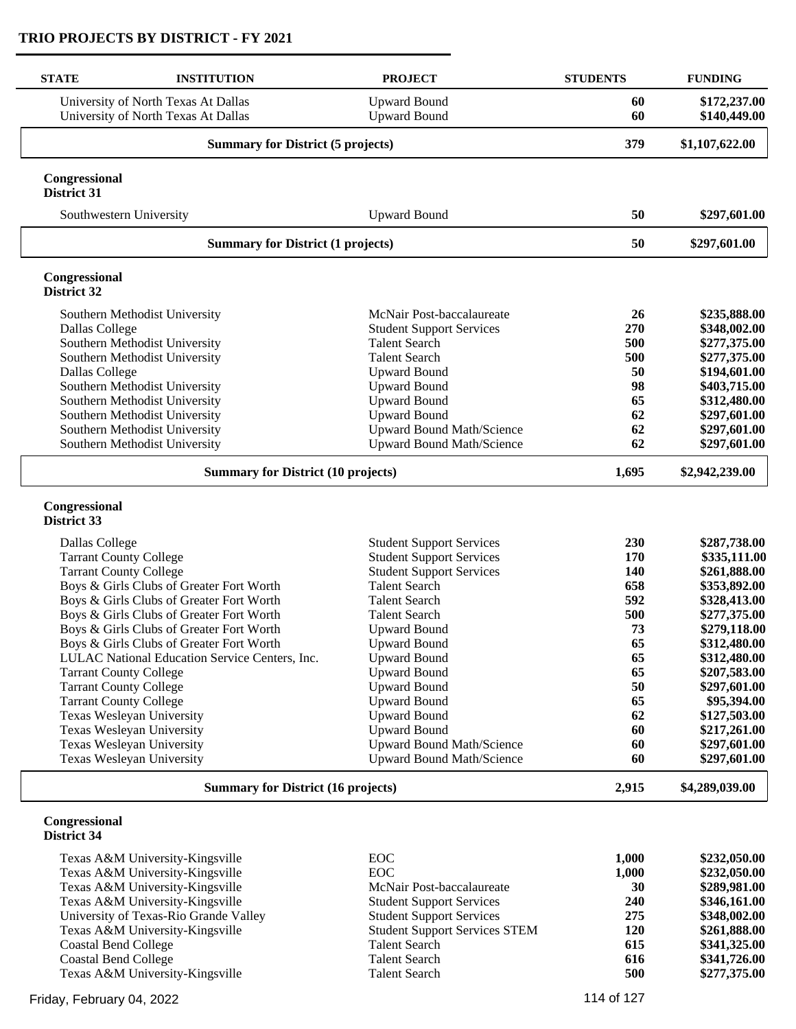$\overline{a}$ 

| <b>STATE</b>                                                   | <b>INSTITUTION</b>                                                         | <b>PROJECT</b>                                          | <b>STUDENTS</b> | <b>FUNDING</b>               |
|----------------------------------------------------------------|----------------------------------------------------------------------------|---------------------------------------------------------|-----------------|------------------------------|
|                                                                | University of North Texas At Dallas<br>University of North Texas At Dallas | <b>Upward Bound</b><br><b>Upward Bound</b>              | 60<br>60        | \$172,237.00<br>\$140,449.00 |
|                                                                | <b>Summary for District (5 projects)</b>                                   |                                                         |                 | \$1,107,622.00               |
| Congressional<br><b>District 31</b>                            |                                                                            |                                                         |                 |                              |
|                                                                | Southwestern University                                                    | <b>Upward Bound</b>                                     | 50              | \$297,601.00                 |
|                                                                | <b>Summary for District (1 projects)</b>                                   |                                                         | 50              | \$297,601.00                 |
| Congressional<br>District 32                                   |                                                                            |                                                         |                 |                              |
|                                                                | Southern Methodist University                                              | McNair Post-baccalaureate                               | 26              | \$235,888.00                 |
| Dallas College                                                 |                                                                            | <b>Student Support Services</b>                         | 270             | \$348,002.00                 |
|                                                                | Southern Methodist University                                              | <b>Talent Search</b>                                    | 500             | \$277,375.00                 |
|                                                                | Southern Methodist University                                              | <b>Talent Search</b>                                    | 500             | \$277,375.00                 |
| Dallas College                                                 |                                                                            | <b>Upward Bound</b>                                     | 50              | \$194,601.00                 |
|                                                                | Southern Methodist University                                              | <b>Upward Bound</b>                                     | 98              | \$403,715.00                 |
|                                                                | Southern Methodist University<br>Southern Methodist University             | <b>Upward Bound</b>                                     | 65<br>62        | \$312,480.00                 |
|                                                                | Southern Methodist University                                              | <b>Upward Bound</b><br><b>Upward Bound Math/Science</b> | 62              | \$297,601.00<br>\$297,601.00 |
|                                                                | Southern Methodist University                                              | <b>Upward Bound Math/Science</b>                        | 62              | \$297,601.00                 |
|                                                                | <b>Summary for District (10 projects)</b>                                  |                                                         | 1,695           | \$2,942,239.00               |
| Congressional<br>District 33                                   |                                                                            |                                                         |                 |                              |
| Dallas College                                                 |                                                                            | <b>Student Support Services</b>                         | 230             | \$287,738.00                 |
| <b>Tarrant County College</b>                                  |                                                                            | <b>Student Support Services</b>                         | 170             | \$335,111.00                 |
| <b>Tarrant County College</b>                                  |                                                                            | <b>Student Support Services</b>                         | 140             | \$261,888.00                 |
|                                                                | Boys & Girls Clubs of Greater Fort Worth                                   | <b>Talent Search</b>                                    | 658             | \$353,892.00                 |
|                                                                | Boys & Girls Clubs of Greater Fort Worth                                   | <b>Talent Search</b>                                    | 592             | \$328,413.00                 |
|                                                                | Boys & Girls Clubs of Greater Fort Worth                                   | <b>Talent Search</b>                                    | 500             | \$277,375.00                 |
|                                                                | Boys & Girls Clubs of Greater Fort Worth                                   | <b>Upward Bound</b>                                     | 73              | \$279,118.00                 |
|                                                                | Boys & Girls Clubs of Greater Fort Worth                                   | <b>Upward Bound</b>                                     | 65              | \$312,480.00                 |
|                                                                | LULAC National Education Service Centers, Inc.                             | <b>Upward Bound</b>                                     | 65              | \$312,480.00                 |
| <b>Tarrant County College</b><br><b>Tarrant County College</b> |                                                                            | <b>Upward Bound</b><br><b>Upward Bound</b>              | 65<br>50        | \$207,583.00<br>\$297,601.00 |
| <b>Tarrant County College</b>                                  |                                                                            | <b>Upward Bound</b>                                     | 65              | \$95,394.00                  |
|                                                                | Texas Wesleyan University                                                  | <b>Upward Bound</b>                                     | 62              | \$127,503.00                 |
|                                                                | Texas Wesleyan University                                                  | <b>Upward Bound</b>                                     | 60              | \$217,261.00                 |
|                                                                | Texas Wesleyan University                                                  | Upward Bound Math/Science                               | 60              | \$297,601.00                 |
|                                                                | Texas Wesleyan University                                                  | <b>Upward Bound Math/Science</b>                        | 60              | \$297,601.00                 |
|                                                                | <b>Summary for District (16 projects)</b>                                  |                                                         |                 | \$4,289,039.00               |
| Congressional<br>District 34                                   |                                                                            |                                                         |                 |                              |

| Texas A&M University-Kingsville       | EOC.                                 | 1.000      | \$232,050.00 |
|---------------------------------------|--------------------------------------|------------|--------------|
| Texas A&M University-Kingsville       | EOC.                                 | 1.000      | \$232,050.00 |
| Texas A&M University-Kingsville       | McNair Post-baccalaureate            | <b>30</b>  | \$289,981.00 |
| Texas A&M University-Kingsville       | <b>Student Support Services</b>      | 240        | \$346,161.00 |
| University of Texas-Rio Grande Valley | <b>Student Support Services</b>      | 275        | \$348,002.00 |
| Texas A&M University-Kingsville       | <b>Student Support Services STEM</b> | <b>120</b> | \$261,888.00 |
| Coastal Bend College                  | <b>Talent Search</b>                 | 615        | \$341,325.00 |
| Coastal Bend College                  | <b>Talent Search</b>                 | 616        | \$341,726.00 |
| Texas A&M University-Kingsville       | <b>Talent Search</b>                 | 500        | \$277,375.00 |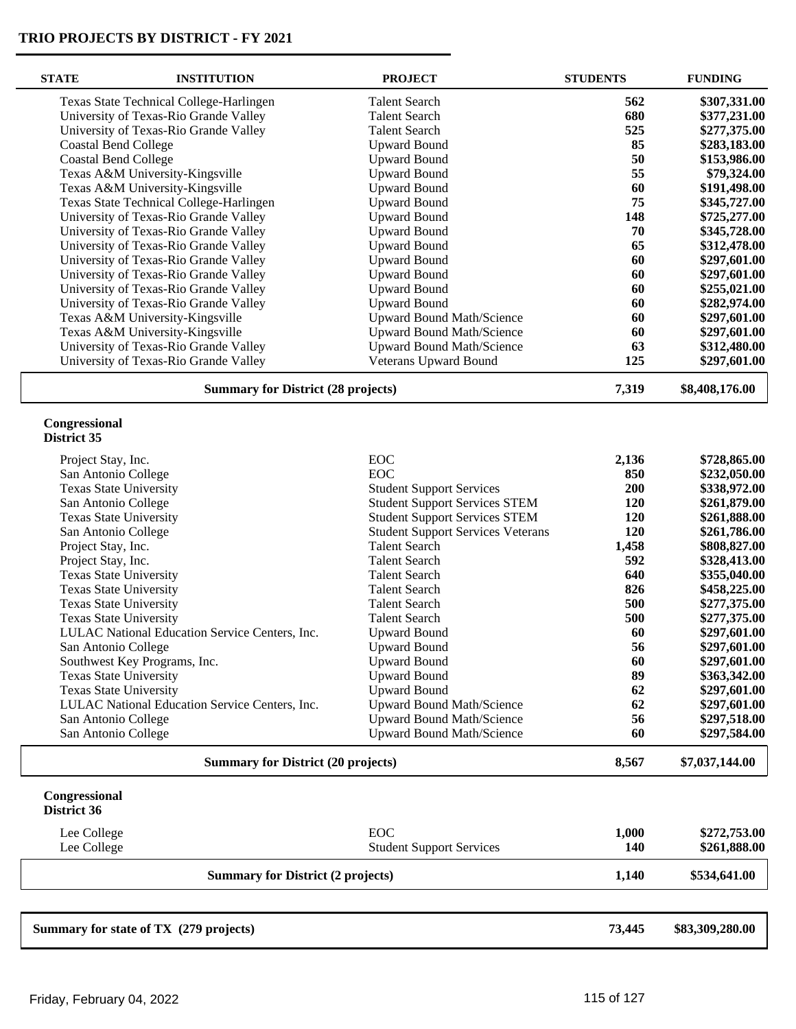| <b>STATE</b>                  | <b>INSTITUTION</b>                             | <b>PROJECT</b>                           | <b>STUDENTS</b> | <b>FUNDING</b>  |
|-------------------------------|------------------------------------------------|------------------------------------------|-----------------|-----------------|
|                               | Texas State Technical College-Harlingen        | <b>Talent Search</b>                     | 562             | \$307,331.00    |
|                               | University of Texas-Rio Grande Valley          | <b>Talent Search</b>                     | 680             | \$377,231.00    |
|                               | University of Texas-Rio Grande Valley          | <b>Talent Search</b>                     | 525             | \$277,375.00    |
| <b>Coastal Bend College</b>   |                                                | <b>Upward Bound</b>                      | 85              | \$283,183.00    |
| <b>Coastal Bend College</b>   |                                                | <b>Upward Bound</b>                      | 50              | \$153,986.00    |
|                               | Texas A&M University-Kingsville                | <b>Upward Bound</b>                      | 55              | \$79,324.00     |
|                               | Texas A&M University-Kingsville                | <b>Upward Bound</b>                      | 60              | \$191,498.00    |
|                               | Texas State Technical College-Harlingen        | <b>Upward Bound</b>                      | 75              | \$345,727.00    |
|                               | University of Texas-Rio Grande Valley          | <b>Upward Bound</b>                      | 148             | \$725,277.00    |
|                               | University of Texas-Rio Grande Valley          | <b>Upward Bound</b>                      | 70              | \$345,728.00    |
|                               | University of Texas-Rio Grande Valley          | <b>Upward Bound</b>                      | 65              | \$312,478.00    |
|                               | University of Texas-Rio Grande Valley          | <b>Upward Bound</b>                      | 60              | \$297,601.00    |
|                               | University of Texas-Rio Grande Valley          | <b>Upward Bound</b>                      | 60              | \$297,601.00    |
|                               | University of Texas-Rio Grande Valley          | <b>Upward Bound</b>                      | 60              | \$255,021.00    |
|                               | University of Texas-Rio Grande Valley          | <b>Upward Bound</b>                      | 60              | \$282,974.00    |
|                               | Texas A&M University-Kingsville                | <b>Upward Bound Math/Science</b>         | 60              | \$297,601.00    |
|                               | Texas A&M University-Kingsville                | Upward Bound Math/Science                | 60              | \$297,601.00    |
|                               | University of Texas-Rio Grande Valley          | <b>Upward Bound Math/Science</b>         | 63              | \$312,480.00    |
|                               | University of Texas-Rio Grande Valley          | <b>Veterans Upward Bound</b>             | 125             | \$297,601.00    |
|                               | <b>Summary for District (28 projects)</b>      |                                          | 7,319           | \$8,408,176.00  |
| Congressional                 |                                                |                                          |                 |                 |
| District 35                   |                                                |                                          |                 |                 |
| Project Stay, Inc.            |                                                | EOC                                      | 2,136           | \$728,865.00    |
| San Antonio College           |                                                | EOC                                      | 850             | \$232,050.00    |
| <b>Texas State University</b> |                                                | <b>Student Support Services</b>          | 200             | \$338,972.00    |
| San Antonio College           |                                                | <b>Student Support Services STEM</b>     | 120             | \$261,879.00    |
| <b>Texas State University</b> |                                                | <b>Student Support Services STEM</b>     | 120             | \$261,888.00    |
| San Antonio College           |                                                | <b>Student Support Services Veterans</b> | 120             | \$261,786.00    |
| Project Stay, Inc.            |                                                | <b>Talent Search</b>                     | 1,458           | \$808,827.00    |
| Project Stay, Inc.            |                                                | <b>Talent Search</b>                     | 592             | \$328,413.00    |
| <b>Texas State University</b> |                                                | <b>Talent Search</b>                     | 640             | \$355,040.00    |
| <b>Texas State University</b> |                                                | <b>Talent Search</b>                     | 826             | \$458,225.00    |
| <b>Texas State University</b> |                                                | <b>Talent Search</b>                     | 500             | \$277,375.00    |
| <b>Texas State University</b> |                                                | <b>Talent Search</b>                     | 500             | \$277,375.00    |
|                               | LULAC National Education Service Centers, Inc. | <b>Upward Bound</b>                      | 60              | \$297,601.00    |
| San Antonio College           |                                                | <b>Upward Bound</b>                      | 56              | \$297,601.00    |
|                               | Southwest Key Programs, Inc.                   | <b>Upward Bound</b>                      | 60              | \$297,601.00    |
| <b>Texas State University</b> |                                                | <b>Upward Bound</b>                      | 89              | \$363,342.00    |
| <b>Texas State University</b> |                                                | <b>Upward Bound</b>                      | 62              | \$297,601.00    |
|                               | LULAC National Education Service Centers, Inc. | <b>Upward Bound Math/Science</b>         | 62              | \$297,601.00    |
| San Antonio College           |                                                | <b>Upward Bound Math/Science</b>         | 56              | \$297,518.00    |
| San Antonio College           |                                                | <b>Upward Bound Math/Science</b>         | 60              | \$297,584.00    |
|                               | <b>Summary for District (20 projects)</b>      |                                          | 8,567           | \$7,037,144.00  |
| Congressional<br>District 36  |                                                |                                          |                 |                 |
| Lee College                   |                                                | EOC                                      | 1,000           | \$272,753.00    |
| Lee College                   |                                                | <b>Student Support Services</b>          | 140             | \$261,888.00    |
|                               | <b>Summary for District (2 projects)</b>       |                                          | 1,140           | \$534,641.00    |
|                               |                                                |                                          |                 |                 |
|                               | Summary for state of TX (279 projects)         |                                          | 73,445          | \$83,309,280.00 |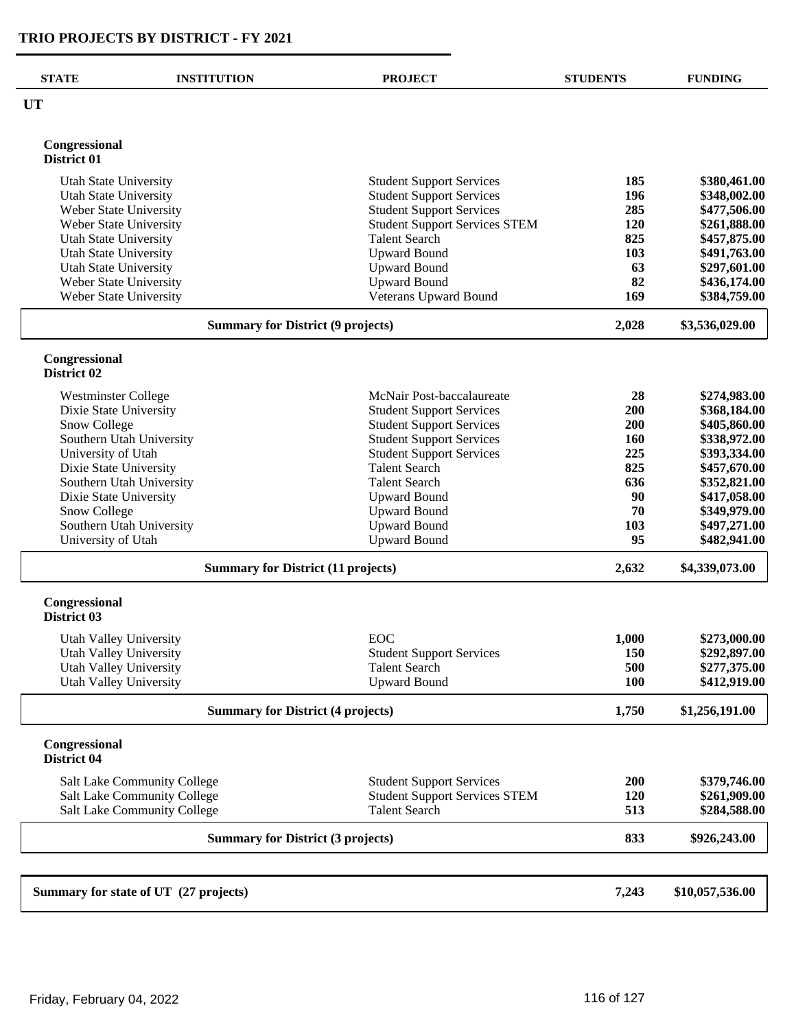| <b>STATE</b>                                           | <b>INSTITUTION</b>                        | <b>PROJECT</b>                                                     | <b>STUDENTS</b> | <b>FUNDING</b>               |
|--------------------------------------------------------|-------------------------------------------|--------------------------------------------------------------------|-----------------|------------------------------|
| <b>UT</b>                                              |                                           |                                                                    |                 |                              |
| Congressional                                          |                                           |                                                                    |                 |                              |
| District 01                                            |                                           |                                                                    |                 |                              |
| <b>Utah State University</b>                           |                                           | <b>Student Support Services</b>                                    | 185             | \$380,461.00                 |
| <b>Utah State University</b>                           |                                           | <b>Student Support Services</b>                                    | 196             | \$348,002.00                 |
| Weber State University                                 |                                           | <b>Student Support Services</b>                                    | 285             | \$477,506.00                 |
| Weber State University                                 |                                           | <b>Student Support Services STEM</b>                               | 120             | \$261,888.00                 |
| <b>Utah State University</b>                           |                                           | <b>Talent Search</b>                                               | 825             | \$457,875.00                 |
| <b>Utah State University</b>                           |                                           | <b>Upward Bound</b>                                                | 103             | \$491,763.00                 |
| <b>Utah State University</b><br>Weber State University |                                           | <b>Upward Bound</b><br><b>Upward Bound</b>                         | 63<br>82        | \$297,601.00<br>\$436,174.00 |
| Weber State University                                 |                                           | Veterans Upward Bound                                              | 169             | \$384,759.00                 |
|                                                        |                                           |                                                                    |                 |                              |
|                                                        | <b>Summary for District (9 projects)</b>  |                                                                    | 2,028           | \$3,536,029.00               |
| Congressional<br>District 02                           |                                           |                                                                    |                 |                              |
|                                                        |                                           |                                                                    |                 |                              |
| <b>Westminster College</b><br>Dixie State University   |                                           | McNair Post-baccalaureate                                          | 28<br>200       | \$274,983.00<br>\$368,184.00 |
| Snow College                                           |                                           | <b>Student Support Services</b><br><b>Student Support Services</b> | 200             | \$405,860.00                 |
|                                                        | Southern Utah University                  | <b>Student Support Services</b>                                    | <b>160</b>      | \$338,972.00                 |
| University of Utah                                     |                                           | <b>Student Support Services</b>                                    | 225             | \$393,334.00                 |
| Dixie State University                                 |                                           | <b>Talent Search</b>                                               | 825             | \$457,670.00                 |
|                                                        | Southern Utah University                  | <b>Talent Search</b>                                               | 636             | \$352,821.00                 |
| Dixie State University                                 |                                           | <b>Upward Bound</b>                                                | 90              | \$417,058.00                 |
| Snow College                                           |                                           | <b>Upward Bound</b>                                                | 70              | \$349,979.00                 |
|                                                        | Southern Utah University                  | <b>Upward Bound</b>                                                | 103             | \$497,271.00                 |
| University of Utah                                     |                                           | <b>Upward Bound</b>                                                | 95              | \$482,941.00                 |
|                                                        | <b>Summary for District (11 projects)</b> |                                                                    | 2,632           | \$4,339,073.00               |
| Congressional<br>District 03                           |                                           |                                                                    |                 |                              |
| Utah Valley University                                 |                                           | EOC                                                                | 1,000           | \$273,000.00                 |
| Utah Valley University                                 |                                           | <b>Student Support Services</b>                                    | 150             | \$292,897.00                 |
| <b>Utah Valley University</b>                          |                                           | <b>Talent Search</b>                                               | 500             | \$277,375.00                 |
| Utah Valley University                                 |                                           | <b>Upward Bound</b>                                                | 100             | \$412,919.00                 |
| <b>Summary for District (4 projects)</b>               |                                           |                                                                    | 1,750           | \$1,256,191.00               |
| Congressional<br>District 04                           |                                           |                                                                    |                 |                              |
|                                                        | <b>Salt Lake Community College</b>        | <b>Student Support Services</b>                                    | 200             | \$379,746.00                 |
|                                                        | <b>Salt Lake Community College</b>        | <b>Student Support Services STEM</b>                               | 120             | \$261,909.00                 |
|                                                        | Salt Lake Community College               | <b>Talent Search</b>                                               | 513             | \$284,588.00                 |
|                                                        | <b>Summary for District (3 projects)</b>  |                                                                    | 833             | \$926,243.00                 |
|                                                        |                                           |                                                                    |                 |                              |
|                                                        | Summary for state of UT (27 projects)     |                                                                    | 7,243           | \$10,057,536.00              |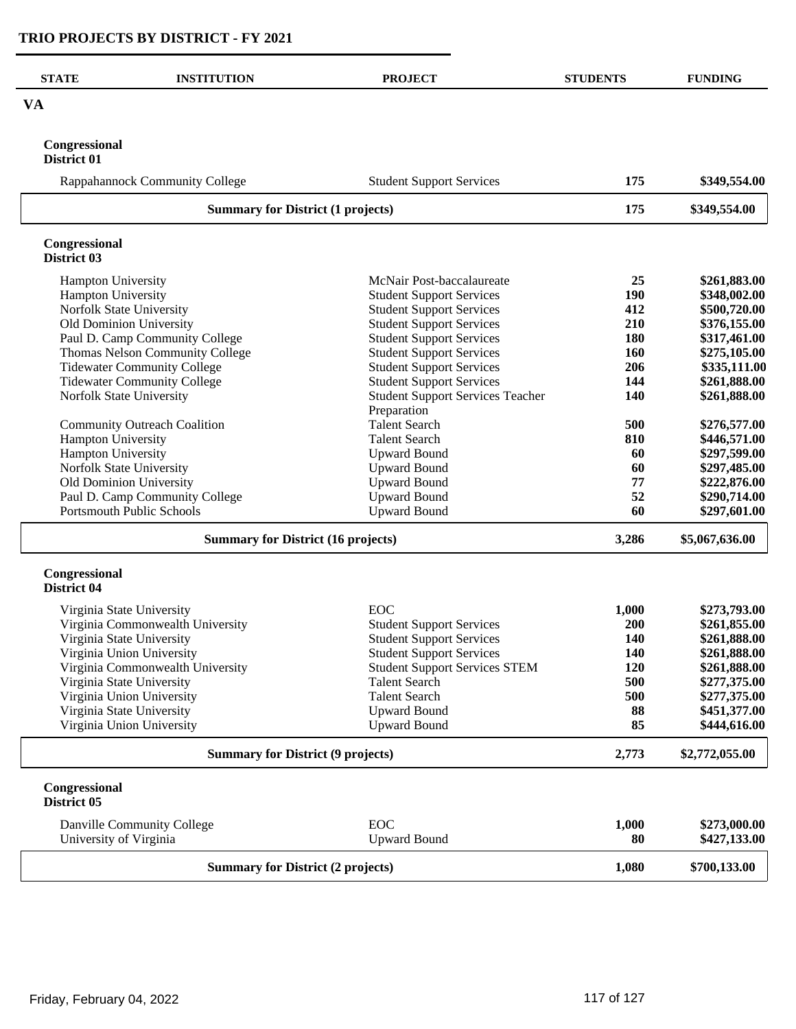| <b>STATE</b>                             | <b>INSTITUTION</b>                        | <b>PROJECT</b>                          | <b>STUDENTS</b> | <b>FUNDING</b> |
|------------------------------------------|-------------------------------------------|-----------------------------------------|-----------------|----------------|
| <b>VA</b>                                |                                           |                                         |                 |                |
| Congressional<br>District 01             |                                           |                                         |                 |                |
|                                          | Rappahannock Community College            | <b>Student Support Services</b>         | 175             | \$349,554.00   |
|                                          | <b>Summary for District (1 projects)</b>  |                                         | 175             | \$349,554.00   |
| Congressional<br>District 03             |                                           |                                         |                 |                |
| Hampton University                       |                                           | McNair Post-baccalaureate               | 25              | \$261,883.00   |
| Hampton University                       |                                           | <b>Student Support Services</b>         | 190             | \$348,002.00   |
| Norfolk State University                 |                                           | <b>Student Support Services</b>         | 412             | \$500,720.00   |
| Old Dominion University                  |                                           | <b>Student Support Services</b>         | 210             | \$376,155.00   |
|                                          | Paul D. Camp Community College            | <b>Student Support Services</b>         | 180             | \$317,461.00   |
|                                          | Thomas Nelson Community College           | <b>Student Support Services</b>         | 160             | \$275,105.00   |
|                                          | <b>Tidewater Community College</b>        | <b>Student Support Services</b>         | 206             | \$335,111.00   |
|                                          | <b>Tidewater Community College</b>        | <b>Student Support Services</b>         | 144             | \$261,888.00   |
| Norfolk State University                 |                                           | <b>Student Support Services Teacher</b> | 140             | \$261,888.00   |
|                                          |                                           | Preparation                             |                 |                |
|                                          | <b>Community Outreach Coalition</b>       | <b>Talent Search</b>                    | 500             | \$276,577.00   |
| Hampton University                       |                                           | <b>Talent Search</b>                    | 810             | \$446,571.00   |
| Hampton University                       |                                           | <b>Upward Bound</b>                     | 60              | \$297,599.00   |
| Norfolk State University                 |                                           | <b>Upward Bound</b>                     | 60              | \$297,485.00   |
| Old Dominion University                  |                                           | <b>Upward Bound</b>                     | 77              | \$222,876.00   |
|                                          | Paul D. Camp Community College            | <b>Upward Bound</b>                     | 52              | \$290,714.00   |
|                                          | <b>Portsmouth Public Schools</b>          | <b>Upward Bound</b>                     | 60              | \$297,601.00   |
|                                          | <b>Summary for District (16 projects)</b> |                                         | 3,286           | \$5,067,636.00 |
| Congressional<br>District 04             |                                           |                                         |                 |                |
| Virginia State University                |                                           | EOC                                     | 1,000           | \$273,793.00   |
|                                          | Virginia Commonwealth University          | <b>Student Support Services</b>         | 200             | \$261,855.00   |
| Virginia State University                |                                           | <b>Student Support Services</b>         | 140             | \$261,888.00   |
|                                          | Virginia Union University                 | <b>Student Support Services</b>         | 140             | \$261,888.00   |
|                                          | Virginia Commonwealth University          | <b>Student Support Services STEM</b>    | 120             | \$261,888.00   |
| Virginia State University                |                                           | <b>Talent Search</b>                    | 500             | \$277,375.00   |
|                                          | Virginia Union University                 | <b>Talent Search</b>                    | 500             | \$277,375.00   |
| Virginia State University                |                                           | <b>Upward Bound</b>                     | 88              | \$451,377.00   |
|                                          | Virginia Union University                 | <b>Upward Bound</b>                     | 85              | \$444,616.00   |
| <b>Summary for District (9 projects)</b> |                                           |                                         | 2,773           | \$2,772,055.00 |
| Congressional<br>District 05             |                                           |                                         |                 |                |
|                                          | Danville Community College                | <b>EOC</b>                              | 1,000           | \$273,000.00   |
| University of Virginia                   |                                           | <b>Upward Bound</b>                     | 80              | \$427,133.00   |
|                                          |                                           |                                         |                 |                |
|                                          | <b>Summary for District (2 projects)</b>  |                                         | 1,080           | \$700,133.00   |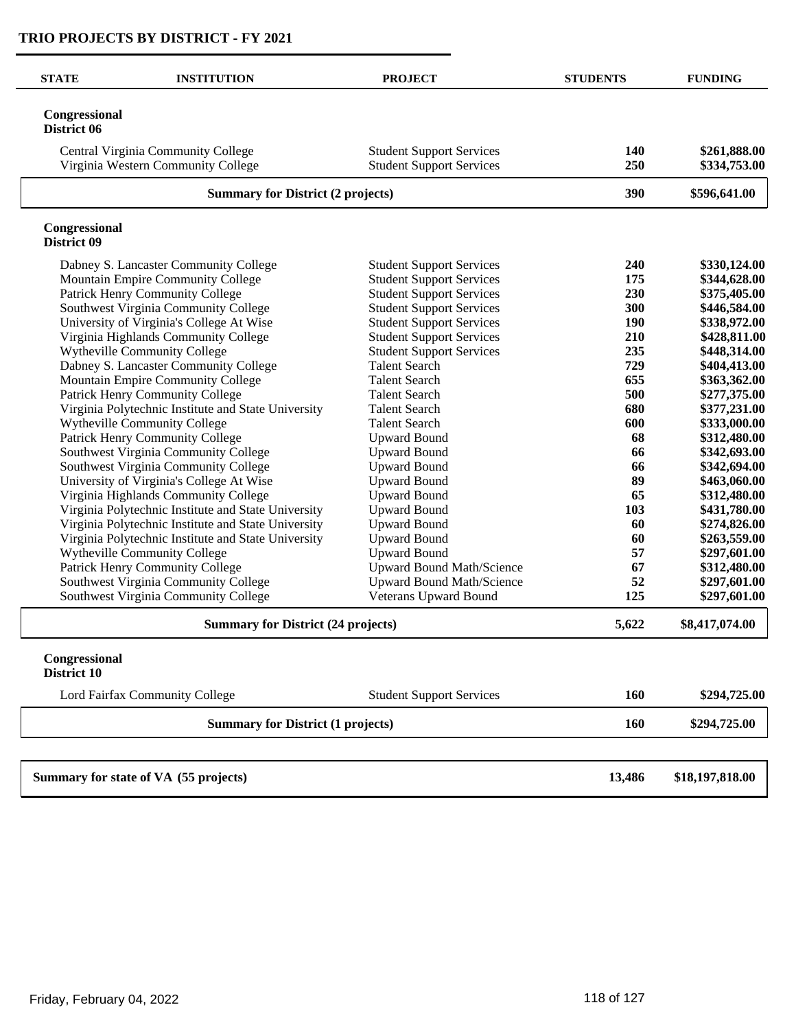| <b>STATE</b>                 | <b>INSTITUTION</b>                                                       | <b>PROJECT</b>                                                     | <b>STUDENTS</b> | <b>FUNDING</b>               |
|------------------------------|--------------------------------------------------------------------------|--------------------------------------------------------------------|-----------------|------------------------------|
| Congressional<br>District 06 |                                                                          |                                                                    |                 |                              |
|                              | Central Virginia Community College<br>Virginia Western Community College | <b>Student Support Services</b><br><b>Student Support Services</b> | 140<br>250      | \$261,888.00<br>\$334,753.00 |
|                              | <b>Summary for District (2 projects)</b>                                 |                                                                    | 390             | \$596,641.00                 |
| Congressional<br>District 09 |                                                                          |                                                                    |                 |                              |
|                              | Dabney S. Lancaster Community College                                    | <b>Student Support Services</b>                                    | 240             | \$330,124.00                 |
|                              | Mountain Empire Community College                                        | <b>Student Support Services</b>                                    | 175             | \$344,628.00                 |
|                              | Patrick Henry Community College                                          | <b>Student Support Services</b>                                    | 230             | \$375,405.00                 |
|                              | Southwest Virginia Community College                                     | <b>Student Support Services</b>                                    | 300             | \$446,584.00                 |
|                              | University of Virginia's College At Wise                                 | <b>Student Support Services</b>                                    | 190             | \$338,972.00                 |
|                              | Virginia Highlands Community College                                     | <b>Student Support Services</b>                                    | 210             | \$428,811.00                 |
|                              | <b>Wytheville Community College</b>                                      | <b>Student Support Services</b>                                    | 235             | \$448,314.00                 |
|                              | Dabney S. Lancaster Community College                                    | <b>Talent Search</b>                                               | 729             | \$404,413.00                 |
|                              | Mountain Empire Community College                                        | <b>Talent Search</b>                                               | 655             | \$363,362.00                 |
|                              | Patrick Henry Community College                                          | <b>Talent Search</b>                                               | 500             | \$277,375.00                 |
|                              | Virginia Polytechnic Institute and State University                      | <b>Talent Search</b>                                               | 680             | \$377,231.00                 |
|                              | Wytheville Community College                                             | <b>Talent Search</b>                                               | 600             | \$333,000.00                 |
|                              | Patrick Henry Community College                                          | <b>Upward Bound</b>                                                | 68              | \$312,480.00                 |
|                              | Southwest Virginia Community College                                     | <b>Upward Bound</b>                                                | 66              | \$342,693.00                 |
|                              | Southwest Virginia Community College                                     | <b>Upward Bound</b>                                                | 66              | \$342,694.00                 |
|                              | University of Virginia's College At Wise                                 | <b>Upward Bound</b>                                                | 89              | \$463,060.00                 |
|                              | Virginia Highlands Community College                                     | <b>Upward Bound</b>                                                | 65              | \$312,480.00                 |
|                              | Virginia Polytechnic Institute and State University                      | <b>Upward Bound</b>                                                | 103             | \$431,780.00                 |
|                              | Virginia Polytechnic Institute and State University                      | <b>Upward Bound</b>                                                | 60              | \$274,826.00                 |
|                              | Virginia Polytechnic Institute and State University                      | <b>Upward Bound</b>                                                | 60              | \$263,559.00                 |
|                              | Wytheville Community College                                             | <b>Upward Bound</b>                                                | 57              | \$297,601.00                 |
|                              | Patrick Henry Community College                                          | <b>Upward Bound Math/Science</b>                                   | 67              | \$312,480.00                 |
|                              | Southwest Virginia Community College                                     | <b>Upward Bound Math/Science</b>                                   | 52              | \$297,601.00                 |
|                              | Southwest Virginia Community College                                     | <b>Veterans Upward Bound</b>                                       | 125             | \$297,601.00                 |
|                              | <b>Summary for District (24 projects)</b>                                |                                                                    | 5,622           | \$8,417,074.00               |
| Congressional<br>District 10 |                                                                          |                                                                    |                 |                              |
|                              | Lord Fairfax Community College                                           | <b>Student Support Services</b>                                    | 160             | \$294,725.00                 |
|                              | <b>Summary for District (1 projects)</b>                                 |                                                                    | 160             | \$294,725.00                 |
|                              |                                                                          |                                                                    |                 |                              |
|                              | Summary for state of VA (55 projects)                                    |                                                                    | 13,486          | \$18,197,818.00              |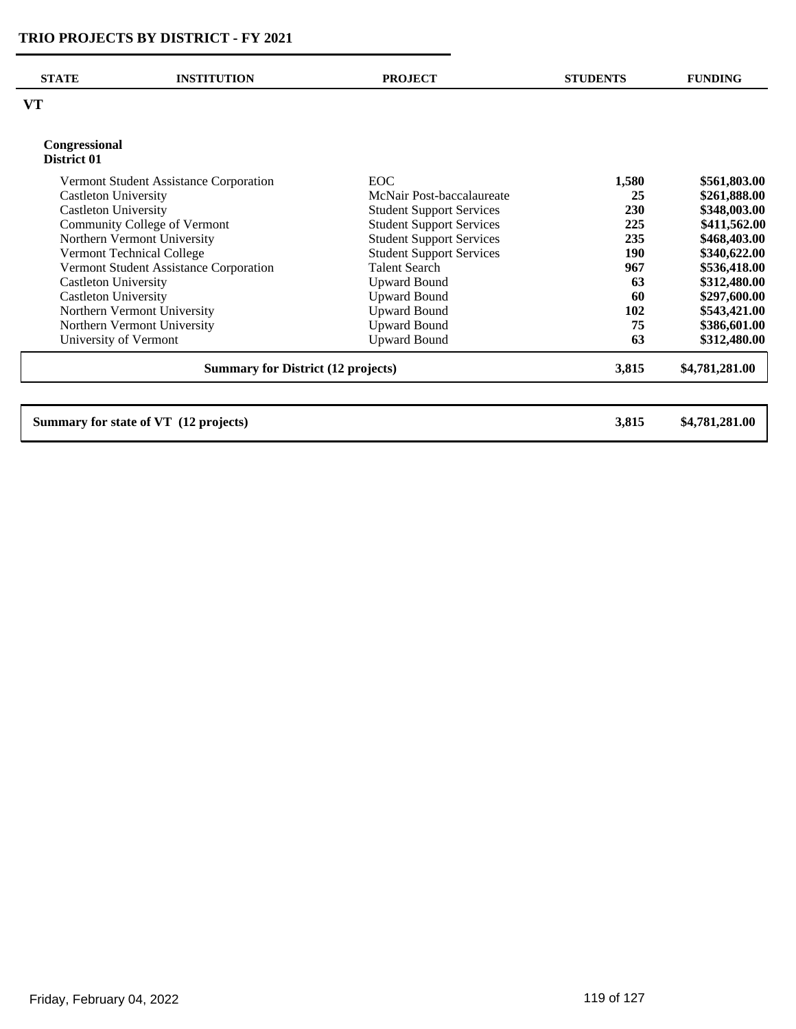| <b>STATE</b>                 | <b>INSTITUTION</b>                        | <b>PROJECT</b>                  | <b>STUDENTS</b> | <b>FUNDING</b> |
|------------------------------|-------------------------------------------|---------------------------------|-----------------|----------------|
| VT                           |                                           |                                 |                 |                |
| Congressional<br>District 01 |                                           |                                 |                 |                |
|                              | Vermont Student Assistance Corporation    | <b>EOC</b>                      | 1,580           | \$561,803.00   |
| Castleton University         |                                           | McNair Post-baccalaureate       | 25              | \$261,888.00   |
| <b>Castleton University</b>  |                                           | <b>Student Support Services</b> | <b>230</b>      | \$348,003.00   |
| Community College of Vermont |                                           | <b>Student Support Services</b> | 225             | \$411,562.00   |
|                              | Northern Vermont University               | <b>Student Support Services</b> | 235             | \$468,403.00   |
|                              | <b>Vermont Technical College</b>          | <b>Student Support Services</b> | 190             | \$340,622.00   |
|                              | Vermont Student Assistance Corporation    | <b>Talent Search</b>            | 967             | \$536,418.00   |
| <b>Castleton University</b>  |                                           | <b>Upward Bound</b>             | 63              | \$312,480.00   |
| <b>Castleton University</b>  |                                           | <b>Upward Bound</b>             | 60              | \$297,600.00   |
|                              | Northern Vermont University               | <b>Upward Bound</b>             | 102             | \$543,421.00   |
|                              | Northern Vermont University               | <b>Upward Bound</b>             | 75              | \$386,601.00   |
| University of Vermont        |                                           | <b>Upward Bound</b>             | 63              | \$312,480.00   |
|                              | <b>Summary for District (12 projects)</b> |                                 | 3,815           | \$4,781,281.00 |

**Summary for state of VT (12 projects) 3,815 \$4,781,281.00**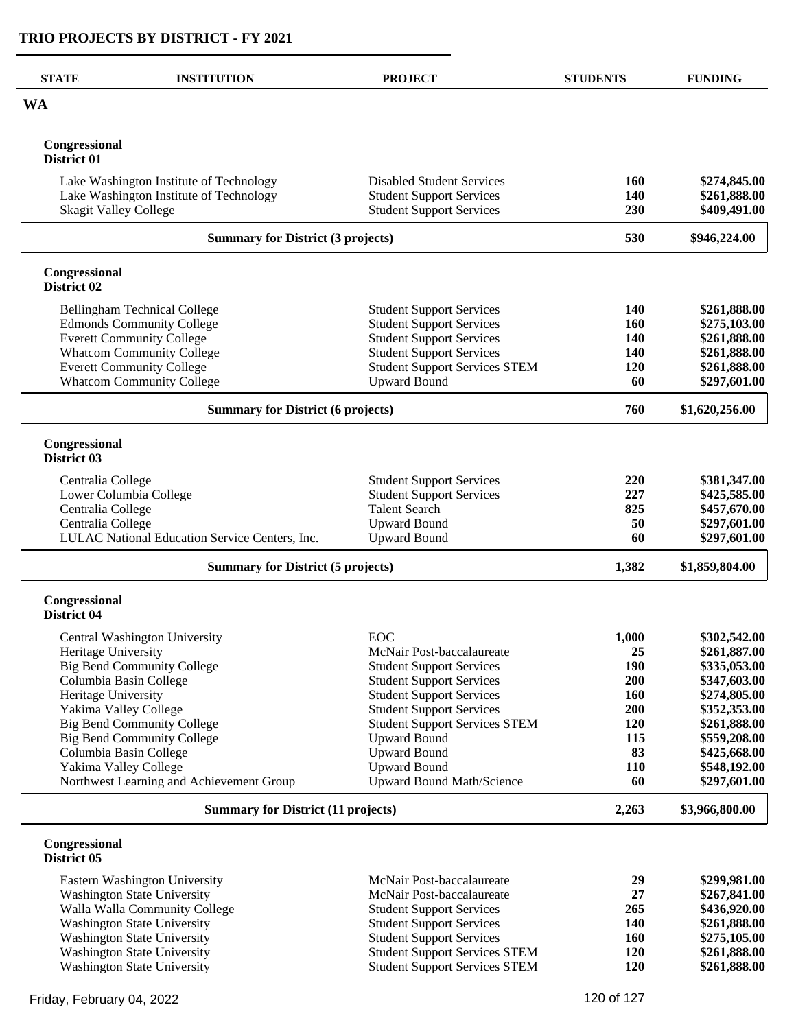| <b>STATE</b>                 | <b>INSTITUTION</b>                                                                 | <b>PROJECT</b>                                                          | <b>STUDENTS</b>   | <b>FUNDING</b>               |
|------------------------------|------------------------------------------------------------------------------------|-------------------------------------------------------------------------|-------------------|------------------------------|
| <b>WA</b>                    |                                                                                    |                                                                         |                   |                              |
| Congressional<br>District 01 |                                                                                    |                                                                         |                   |                              |
|                              | Lake Washington Institute of Technology<br>Lake Washington Institute of Technology | <b>Disabled Student Services</b><br><b>Student Support Services</b>     | 160<br>140        | \$274,845.00<br>\$261,888.00 |
| <b>Skagit Valley College</b> |                                                                                    | <b>Student Support Services</b>                                         | 230               | \$409,491.00                 |
|                              | <b>Summary for District (3 projects)</b>                                           |                                                                         | 530               | \$946,224.00                 |
| Congressional<br>District 02 |                                                                                    |                                                                         |                   |                              |
|                              | <b>Bellingham Technical College</b>                                                | <b>Student Support Services</b>                                         | 140               | \$261,888.00                 |
|                              | <b>Edmonds Community College</b>                                                   | <b>Student Support Services</b>                                         | <b>160</b>        | \$275,103.00                 |
|                              | <b>Everett Community College</b>                                                   | <b>Student Support Services</b>                                         | 140               | \$261,888.00                 |
|                              | <b>Whatcom Community College</b><br><b>Everett Community College</b>               | <b>Student Support Services</b><br><b>Student Support Services STEM</b> | <b>140</b><br>120 | \$261,888.00<br>\$261,888.00 |
|                              | <b>Whatcom Community College</b>                                                   | <b>Upward Bound</b>                                                     | 60                | \$297,601.00                 |
|                              | <b>Summary for District (6 projects)</b>                                           |                                                                         | 760               | \$1,620,256.00               |
| Congressional<br>District 03 |                                                                                    |                                                                         |                   |                              |
| Centralia College            | Lower Columbia College                                                             | <b>Student Support Services</b><br><b>Student Support Services</b>      | 220<br>227        | \$381,347.00<br>\$425,585.00 |
| Centralia College            |                                                                                    | <b>Talent Search</b>                                                    | 825               | \$457,670.00                 |
| Centralia College            |                                                                                    | <b>Upward Bound</b>                                                     | 50                | \$297,601.00                 |
|                              | LULAC National Education Service Centers, Inc.                                     | <b>Upward Bound</b>                                                     | 60                | \$297,601.00                 |
|                              | <b>Summary for District (5 projects)</b>                                           |                                                                         | 1,382             | \$1,859,804.00               |
| Congressional<br>District 04 |                                                                                    |                                                                         |                   |                              |
|                              | Central Washington University                                                      | EOC                                                                     | 1,000             | \$302,542.00                 |
| Heritage University          |                                                                                    | McNair Post-baccalaureate                                               | 25                | \$261,887.00                 |
|                              | <b>Big Bend Community College</b>                                                  | <b>Student Support Services</b>                                         | <b>190</b>        | \$335,053.00                 |
| Columbia Basin College       |                                                                                    | <b>Student Support Services</b>                                         | 200               | \$347,603.00                 |
| Heritage University          |                                                                                    | <b>Student Support Services</b>                                         | 160               | \$274,805.00                 |
| Yakima Valley College        | <b>Big Bend Community College</b>                                                  | <b>Student Support Services</b><br><b>Student Support Services STEM</b> | <b>200</b><br>120 | \$352,353.00<br>\$261,888.00 |
|                              | <b>Big Bend Community College</b>                                                  | <b>Upward Bound</b>                                                     | 115               | \$559,208.00                 |
| Columbia Basin College       |                                                                                    | <b>Upward Bound</b>                                                     | 83                | \$425,668.00                 |
| Yakima Valley College        |                                                                                    | <b>Upward Bound</b>                                                     | <b>110</b>        | \$548,192.00                 |
|                              | Northwest Learning and Achievement Group                                           | Upward Bound Math/Science                                               | 60                | \$297,601.00                 |
|                              | <b>Summary for District (11 projects)</b>                                          |                                                                         | 2,263             | \$3,966,800.00               |
| Congressional<br>District 05 |                                                                                    |                                                                         |                   |                              |
|                              | Eastern Washington University                                                      | McNair Post-baccalaureate                                               | 29                | \$299,981.00                 |
|                              | <b>Washington State University</b>                                                 | McNair Post-baccalaureate                                               | 27                | \$267,841.00                 |
|                              | Walla Walla Community College                                                      | <b>Student Support Services</b>                                         | 265               | \$436,920.00                 |
|                              | Washington State University                                                        | <b>Student Support Services</b>                                         | 140<br>160        | \$261,888.00                 |
|                              | <b>Washington State University</b>                                                 | <b>Student Support Services</b>                                         |                   | \$275,105.00                 |

Washington State University **Student Support Services STEM** 120 **\$261,888.00 \$261,888.00** Washington State University **Student Support Services STEM** 120 **\$261,888.00 \$261,888.00**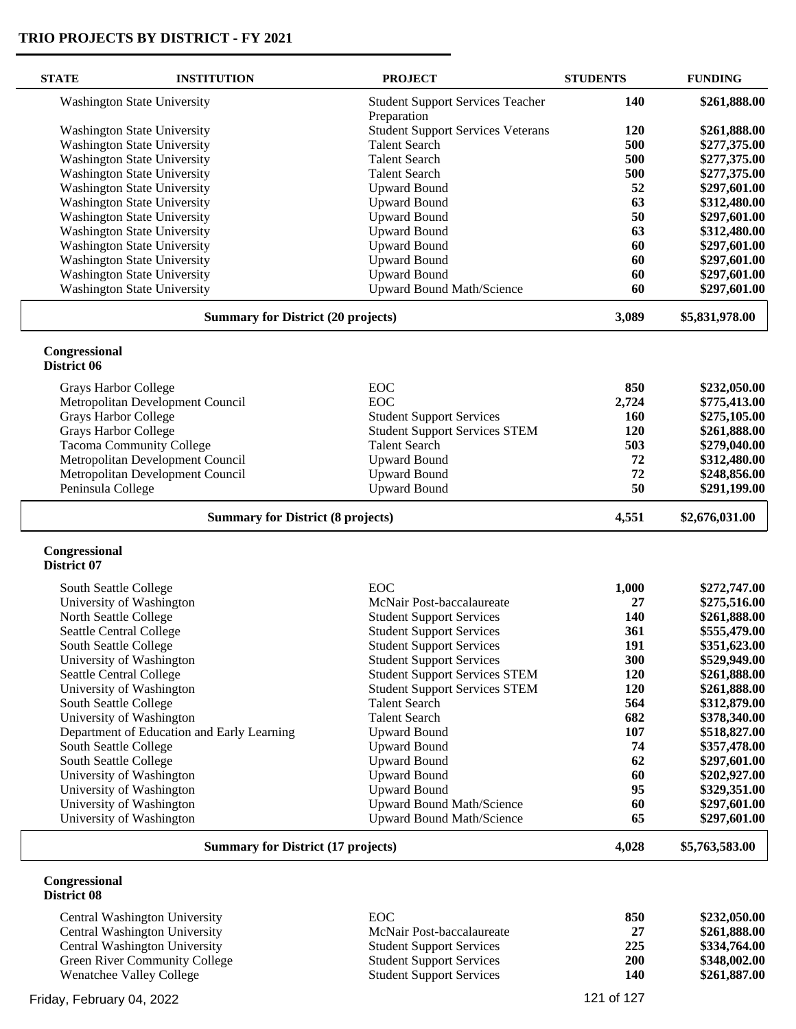| <b>STATE</b>                 | <b>INSTITUTION</b>                         | <b>PROJECT</b>                           | <b>STUDENTS</b> | <b>FUNDING</b> |
|------------------------------|--------------------------------------------|------------------------------------------|-----------------|----------------|
|                              | <b>Washington State University</b>         | <b>Student Support Services Teacher</b>  | 140             | \$261,888.00   |
|                              |                                            | Preparation                              |                 |                |
|                              | <b>Washington State University</b>         | <b>Student Support Services Veterans</b> | <b>120</b>      | \$261,888.00   |
|                              | <b>Washington State University</b>         | <b>Talent Search</b>                     | 500             | \$277,375.00   |
|                              | <b>Washington State University</b>         | <b>Talent Search</b>                     | 500             | \$277,375.00   |
|                              | <b>Washington State University</b>         | <b>Talent Search</b>                     | 500             | \$277,375.00   |
|                              | <b>Washington State University</b>         | <b>Upward Bound</b>                      | 52              | \$297,601.00   |
|                              | <b>Washington State University</b>         | <b>Upward Bound</b>                      | 63              | \$312,480.00   |
|                              | <b>Washington State University</b>         | <b>Upward Bound</b>                      | 50              | \$297,601.00   |
|                              | <b>Washington State University</b>         | <b>Upward Bound</b>                      | 63              | \$312,480.00   |
|                              | <b>Washington State University</b>         | <b>Upward Bound</b>                      | 60              | \$297,601.00   |
|                              | <b>Washington State University</b>         | <b>Upward Bound</b>                      | 60              | \$297,601.00   |
|                              | <b>Washington State University</b>         | <b>Upward Bound</b>                      | 60              | \$297,601.00   |
|                              | <b>Washington State University</b>         | Upward Bound Math/Science                | 60              | \$297,601.00   |
|                              | <b>Summary for District (20 projects)</b>  |                                          | 3,089           | \$5,831,978.00 |
| Congressional<br>District 06 |                                            |                                          |                 |                |
|                              | Grays Harbor College                       | <b>EOC</b>                               | 850             | \$232,050.00   |
|                              | Metropolitan Development Council           | <b>EOC</b>                               | 2,724           | \$775,413.00   |
|                              | <b>Grays Harbor College</b>                | <b>Student Support Services</b>          | 160             | \$275,105.00   |
|                              | <b>Grays Harbor College</b>                | <b>Student Support Services STEM</b>     | 120             | \$261,888.00   |
|                              | <b>Tacoma Community College</b>            | <b>Talent Search</b>                     | 503             | \$279,040.00   |
|                              | Metropolitan Development Council           | <b>Upward Bound</b>                      | 72              | \$312,480.00   |
|                              | Metropolitan Development Council           | <b>Upward Bound</b>                      | 72              | \$248,856.00   |
| Peninsula College            |                                            | <b>Upward Bound</b>                      | 50              | \$291,199.00   |
|                              | <b>Summary for District (8 projects)</b>   |                                          | 4,551           | \$2,676,031.00 |
| Congressional<br>District 07 |                                            |                                          |                 |                |
| South Seattle College        |                                            | <b>EOC</b>                               | 1,000           | \$272,747.00   |
|                              | University of Washington                   | McNair Post-baccalaureate                | 27              | \$275,516.00   |
| North Seattle College        |                                            | <b>Student Support Services</b>          | 140             | \$261,888.00   |
|                              | Seattle Central College                    | <b>Student Support Services</b>          | 361             | \$555,479.00   |
| South Seattle College        |                                            | <b>Student Support Services</b>          | 191             | \$351,623.00   |
|                              | University of Washington                   | <b>Student Support Services</b>          | 300             | \$529,949.00   |
|                              | Seattle Central College                    | <b>Student Support Services STEM</b>     | 120             | \$261,888.00   |
|                              | University of Washington                   | <b>Student Support Services STEM</b>     | <b>120</b>      | \$261,888.00   |
| South Seattle College        |                                            | <b>Talent Search</b>                     | 564             | \$312,879.00   |
|                              | University of Washington                   | <b>Talent Search</b>                     | 682             | \$378,340.00   |
|                              | Department of Education and Early Learning | <b>Upward Bound</b>                      | 107             | \$518,827.00   |
|                              | South Seattle College                      | <b>Upward Bound</b>                      | 74              | \$357,478.00   |
| South Seattle College        |                                            | <b>Upward Bound</b>                      | 62              | \$297,601.00   |
|                              | University of Washington                   | <b>Upward Bound</b>                      | 60              | \$202,927.00   |
|                              | University of Washington                   | <b>Upward Bound</b>                      | 95              | \$329,351.00   |
|                              | University of Washington                   | <b>Upward Bound Math/Science</b>         | 60              | \$297,601.00   |
|                              | University of Washington                   | <b>Upward Bound Math/Science</b>         | 65              | \$297,601.00   |
|                              | <b>Summary for District (17 projects)</b>  |                                          | 4,028           | \$5,763,583.00 |
| Congressional<br>District 08 |                                            |                                          |                 |                |
|                              | Central Washington University              | <b>EOC</b>                               | 850             | \$232,050.00   |
|                              | Central Washington University              | McNair Post-baccalaureate                | 27              | \$261,888.00   |
|                              | Central Washington University              | <b>Student Support Services</b>          | 225             | \$334,764.00   |
|                              | Green River Community College              | <b>Student Support Services</b>          | 200             | \$348,002.00   |
|                              | Wenatchee Valley College                   | <b>Student Support Services</b>          | 140             | \$261,887.00   |
|                              |                                            |                                          |                 |                |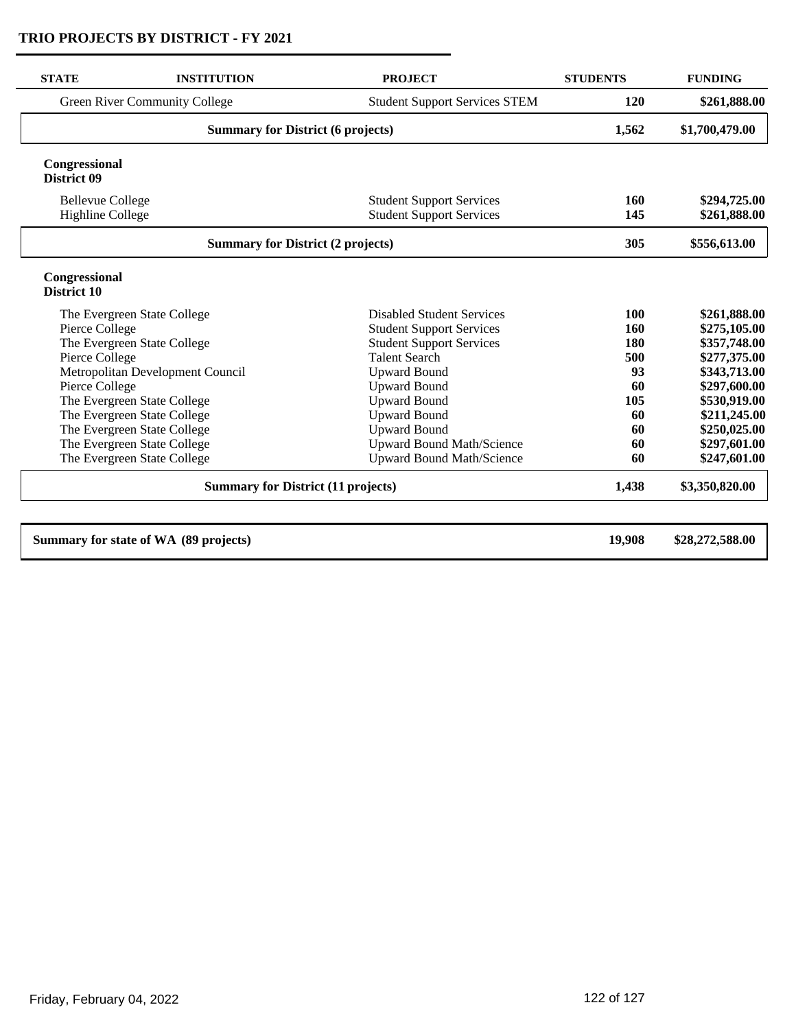| <b>STATE</b>                        | <b>INSTITUTION</b>                        | <b>PROJECT</b>                       | <b>STUDENTS</b> | <b>FUNDING</b>  |
|-------------------------------------|-------------------------------------------|--------------------------------------|-----------------|-----------------|
|                                     | <b>Green River Community College</b>      | <b>Student Support Services STEM</b> | 120             | \$261,888.00    |
|                                     | <b>Summary for District (6 projects)</b>  |                                      | 1,562           | \$1,700,479.00  |
| Congressional<br>District 09        |                                           |                                      |                 |                 |
| <b>Bellevue College</b>             |                                           | <b>Student Support Services</b>      | 160             | \$294,725.00    |
| <b>Highline College</b>             |                                           | <b>Student Support Services</b>      | 145             | \$261,888.00    |
|                                     | <b>Summary for District (2 projects)</b>  |                                      | 305             | \$556,613.00    |
| Congressional<br><b>District 10</b> |                                           |                                      |                 |                 |
|                                     | The Evergreen State College               | <b>Disabled Student Services</b>     | 100             | \$261,888.00    |
| Pierce College                      |                                           | <b>Student Support Services</b>      | 160             | \$275,105.00    |
|                                     | The Evergreen State College               | <b>Student Support Services</b>      | 180             | \$357,748.00    |
| Pierce College                      |                                           | <b>Talent Search</b>                 | 500             | \$277,375.00    |
|                                     | Metropolitan Development Council          | <b>Upward Bound</b>                  | 93              | \$343,713.00    |
| Pierce College                      |                                           | <b>Upward Bound</b>                  | 60              | \$297,600.00    |
|                                     | The Evergreen State College               | <b>Upward Bound</b>                  | 105             | \$530,919.00    |
|                                     | The Evergreen State College               | <b>Upward Bound</b>                  | 60              | \$211,245.00    |
|                                     | The Evergreen State College               | <b>Upward Bound</b>                  | 60              | \$250,025.00    |
|                                     | The Evergreen State College               | <b>Upward Bound Math/Science</b>     | 60              | \$297,601.00    |
|                                     | The Evergreen State College               | <b>Upward Bound Math/Science</b>     | 60              | \$247,601.00    |
|                                     | <b>Summary for District (11 projects)</b> |                                      | 1,438           | \$3,350,820.00  |
|                                     | Summary for state of WA (89 projects)     |                                      | 19,908          | \$28,272,588.00 |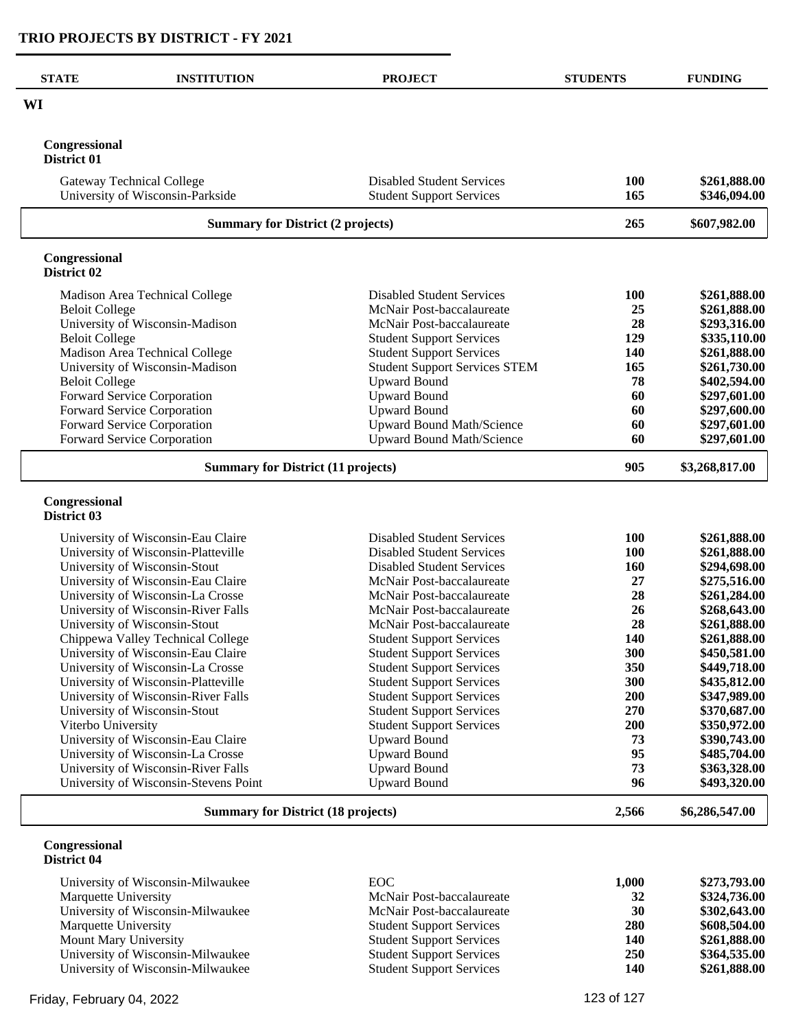$\overline{\phantom{0}}$ 

| <b>STATE</b>                              | <b>INSTITUTION</b>                                                   | <b>PROJECT</b>                                                       | <b>STUDENTS</b> | <b>FUNDING</b>               |
|-------------------------------------------|----------------------------------------------------------------------|----------------------------------------------------------------------|-----------------|------------------------------|
| WI                                        |                                                                      |                                                                      |                 |                              |
| Congressional<br><b>District 01</b>       |                                                                      |                                                                      |                 |                              |
|                                           | <b>Gateway Technical College</b><br>University of Wisconsin-Parkside | <b>Disabled Student Services</b><br><b>Student Support Services</b>  | 100<br>165      | \$261,888.00<br>\$346,094.00 |
|                                           | <b>Summary for District (2 projects)</b>                             |                                                                      | 265             | \$607,982.00                 |
| Congressional<br>District 02              |                                                                      |                                                                      |                 |                              |
|                                           | Madison Area Technical College                                       | <b>Disabled Student Services</b>                                     | 100             | \$261,888.00                 |
| <b>Beloit College</b>                     |                                                                      | McNair Post-baccalaureate                                            | 25              | \$261,888.00                 |
|                                           | University of Wisconsin-Madison                                      | McNair Post-baccalaureate                                            | 28              | \$293,316.00                 |
| <b>Beloit College</b>                     |                                                                      | <b>Student Support Services</b>                                      | 129             | \$335,110.00                 |
|                                           | Madison Area Technical College                                       | <b>Student Support Services</b>                                      | 140             | \$261,888.00                 |
|                                           | University of Wisconsin-Madison                                      | <b>Student Support Services STEM</b>                                 | 165             | \$261,730.00                 |
| <b>Beloit College</b>                     |                                                                      | <b>Upward Bound</b>                                                  | 78              | \$402,594.00                 |
|                                           | Forward Service Corporation                                          | <b>Upward Bound</b>                                                  | 60              | \$297,601.00                 |
|                                           | Forward Service Corporation                                          | <b>Upward Bound</b>                                                  | 60              | \$297,600.00                 |
|                                           | Forward Service Corporation<br>Forward Service Corporation           | <b>Upward Bound Math/Science</b><br><b>Upward Bound Math/Science</b> | 60<br>60        | \$297,601.00<br>\$297,601.00 |
|                                           | <b>Summary for District (11 projects)</b>                            |                                                                      | 905             | \$3,268,817.00               |
| Congressional<br>District 03              |                                                                      |                                                                      |                 |                              |
|                                           | University of Wisconsin-Eau Claire                                   | <b>Disabled Student Services</b>                                     | 100             | \$261,888.00                 |
|                                           | University of Wisconsin-Platteville                                  | <b>Disabled Student Services</b>                                     | 100             | \$261,888.00                 |
|                                           | University of Wisconsin-Stout                                        | <b>Disabled Student Services</b>                                     | 160             | \$294,698.00                 |
|                                           | University of Wisconsin-Eau Claire                                   | McNair Post-baccalaureate                                            | 27              | \$275,516.00                 |
|                                           | University of Wisconsin-La Crosse                                    | McNair Post-baccalaureate                                            | 28              | \$261,284.00                 |
|                                           | University of Wisconsin-River Falls                                  | McNair Post-baccalaureate                                            | 26              | \$268,643.00                 |
|                                           | University of Wisconsin-Stout                                        | McNair Post-baccalaureate                                            | 28              | \$261,888.00                 |
|                                           | Chippewa Valley Technical College                                    | <b>Student Support Services</b>                                      | 140             | \$261,888.00                 |
|                                           | University of Wisconsin-Eau Claire                                   | <b>Student Support Services</b>                                      | 300             | \$450,581.00                 |
|                                           | University of Wisconsin-La Crosse                                    | <b>Student Support Services</b>                                      | 350             | \$449,718.00                 |
|                                           | University of Wisconsin-Platteville                                  | <b>Student Support Services</b>                                      | 300             | \$435,812.00                 |
|                                           | University of Wisconsin-River Falls<br>University of Wisconsin-Stout | <b>Student Support Services</b><br><b>Student Support Services</b>   | 200<br>270      | \$347,989.00<br>\$370,687.00 |
| Viterbo University                        |                                                                      | <b>Student Support Services</b>                                      | 200             | \$350,972.00                 |
|                                           | University of Wisconsin-Eau Claire                                   | <b>Upward Bound</b>                                                  | 73              | \$390,743.00                 |
|                                           | University of Wisconsin-La Crosse                                    | <b>Upward Bound</b>                                                  | 95              | \$485,704.00                 |
|                                           | University of Wisconsin-River Falls                                  | <b>Upward Bound</b>                                                  | 73              | \$363,328.00                 |
|                                           | University of Wisconsin-Stevens Point                                | <b>Upward Bound</b>                                                  | 96              | \$493,320.00                 |
| <b>Summary for District (18 projects)</b> |                                                                      |                                                                      |                 | \$6,286,547.00               |
| Congressional<br>District 04              |                                                                      |                                                                      |                 |                              |
|                                           | University of Wisconsin-Milwaukee                                    | EOC                                                                  | 1,000           | \$273,793.00                 |
| Marquette University                      |                                                                      | McNair Post-baccalaureate                                            | 32              | \$324,736.00                 |
|                                           | University of Wisconsin-Milwaukee                                    | McNair Post-baccalaureate                                            | 30              | \$302,643.00                 |
| Marquette University                      |                                                                      | <b>Student Support Services</b>                                      | 280             | \$608,504.00                 |
| Mount Mary University                     |                                                                      | <b>Student Support Services</b>                                      | 140             | \$261,888.00                 |
|                                           | University of Wisconsin-Milwaukee                                    | <b>Student Support Services</b>                                      | 250             | \$364,535.00                 |

University of Wisconsin-Milwaukee Student Support Services 250 \$364,535.00<br>University of Wisconsin-Milwaukee Student Support Services 140 \$261,888.00

University of Wisconsin-Milwaukee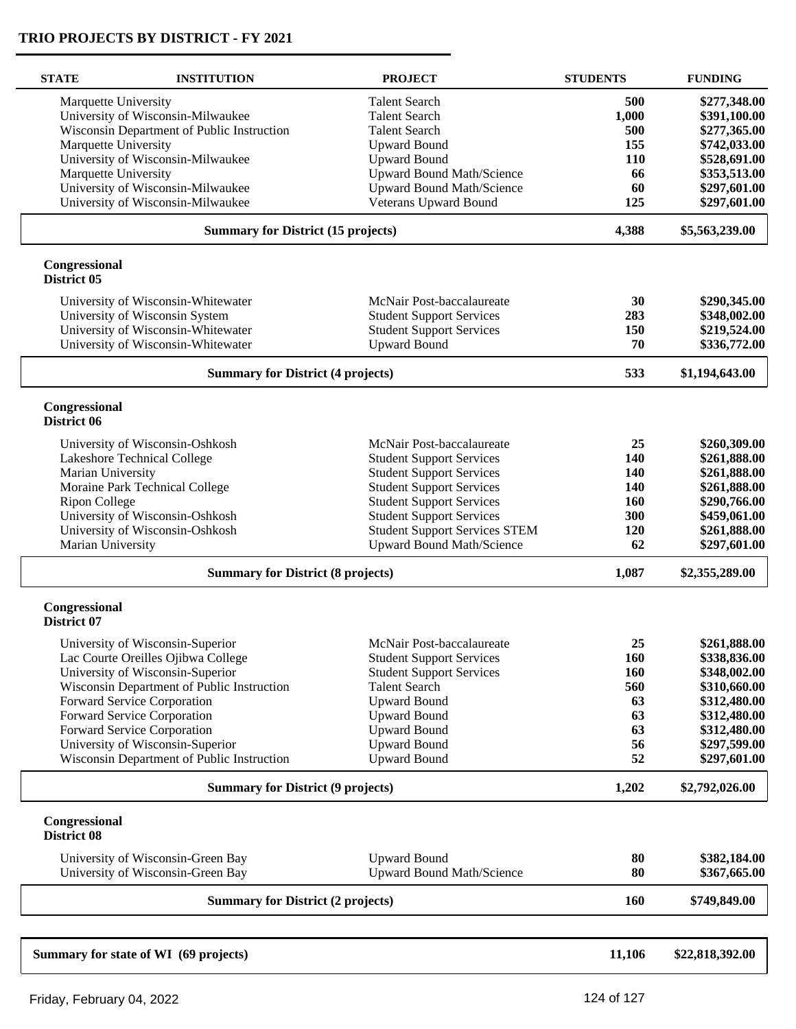| <b>STATE</b>                 | <b>INSTITUTION</b>                         | <b>PROJECT</b>                       | <b>STUDENTS</b> | <b>FUNDING</b>  |
|------------------------------|--------------------------------------------|--------------------------------------|-----------------|-----------------|
| Marquette University         |                                            | <b>Talent Search</b>                 | 500             | \$277,348.00    |
|                              | University of Wisconsin-Milwaukee          | <b>Talent Search</b>                 | 1,000           | \$391,100.00    |
|                              | Wisconsin Department of Public Instruction | <b>Talent Search</b>                 | 500             | \$277,365.00    |
| Marquette University         |                                            | <b>Upward Bound</b>                  | 155             | \$742,033.00    |
|                              |                                            |                                      |                 |                 |
|                              | University of Wisconsin-Milwaukee          | <b>Upward Bound</b>                  | 110             | \$528,691.00    |
| Marquette University         |                                            | <b>Upward Bound Math/Science</b>     | 66              | \$353,513.00    |
|                              | University of Wisconsin-Milwaukee          | Upward Bound Math/Science            | 60              | \$297,601.00    |
|                              | University of Wisconsin-Milwaukee          | Veterans Upward Bound                | 125             | \$297,601.00    |
|                              | <b>Summary for District (15 projects)</b>  |                                      | 4,388           | \$5,563,239.00  |
| Congressional<br>District 05 |                                            |                                      |                 |                 |
|                              | University of Wisconsin-Whitewater         | McNair Post-baccalaureate            | 30              | \$290,345.00    |
|                              | University of Wisconsin System             | <b>Student Support Services</b>      | 283             | \$348,002.00    |
|                              | University of Wisconsin-Whitewater         | <b>Student Support Services</b>      | 150             | \$219,524.00    |
|                              | University of Wisconsin-Whitewater         | <b>Upward Bound</b>                  | 70              | \$336,772.00    |
|                              |                                            |                                      |                 |                 |
|                              | <b>Summary for District (4 projects)</b>   |                                      | 533             | \$1,194,643.00  |
| Congressional<br>District 06 |                                            |                                      |                 |                 |
|                              | University of Wisconsin-Oshkosh            | McNair Post-baccalaureate            | 25              | \$260,309.00    |
|                              | Lakeshore Technical College                | <b>Student Support Services</b>      | 140             | \$261,888.00    |
| Marian University            |                                            | <b>Student Support Services</b>      | <b>140</b>      | \$261,888.00    |
|                              |                                            | <b>Student Support Services</b>      | 140             |                 |
|                              | Moraine Park Technical College             |                                      |                 | \$261,888.00    |
| <b>Ripon College</b>         |                                            | <b>Student Support Services</b>      | 160             | \$290,766.00    |
|                              | University of Wisconsin-Oshkosh            | <b>Student Support Services</b>      | 300             | \$459,061.00    |
|                              | University of Wisconsin-Oshkosh            | <b>Student Support Services STEM</b> | <b>120</b>      | \$261,888.00    |
| Marian University            |                                            | <b>Upward Bound Math/Science</b>     | 62              | \$297,601.00    |
|                              | <b>Summary for District (8 projects)</b>   |                                      | 1,087           | \$2,355,289.00  |
| Congressional<br>District 07 |                                            |                                      |                 |                 |
|                              |                                            |                                      | 25              |                 |
|                              | University of Wisconsin-Superior           | McNair Post-baccalaureate            |                 | \$261,888.00    |
|                              | Lac Courte Oreilles Ojibwa College         | <b>Student Support Services</b>      | 160             | \$338,836.00    |
|                              | University of Wisconsin-Superior           | <b>Student Support Services</b>      | 160             | \$348,002.00    |
|                              | Wisconsin Department of Public Instruction | <b>Talent Search</b>                 | 560             | \$310,660.00    |
|                              | Forward Service Corporation                | <b>Upward Bound</b>                  | 63              | \$312,480.00    |
|                              | Forward Service Corporation                | <b>Upward Bound</b>                  | 63              | \$312,480.00    |
|                              | Forward Service Corporation                | <b>Upward Bound</b>                  | 63              | \$312,480.00    |
|                              | University of Wisconsin-Superior           | <b>Upward Bound</b>                  | 56              | \$297,599.00    |
|                              | Wisconsin Department of Public Instruction | <b>Upward Bound</b>                  | 52              | \$297,601.00    |
|                              | <b>Summary for District (9 projects)</b>   |                                      |                 | \$2,792,026.00  |
| Congressional<br>District 08 |                                            |                                      |                 |                 |
|                              | University of Wisconsin-Green Bay          | <b>Upward Bound</b>                  | 80              | \$382,184.00    |
|                              | University of Wisconsin-Green Bay          | Upward Bound Math/Science            | 80              | \$367,665.00    |
|                              | <b>Summary for District (2 projects)</b>   |                                      | <b>160</b>      | \$749,849.00    |
|                              |                                            |                                      |                 |                 |
|                              | Summary for state of WI (69 projects)      |                                      | 11,106          | \$22,818,392.00 |
|                              |                                            |                                      |                 |                 |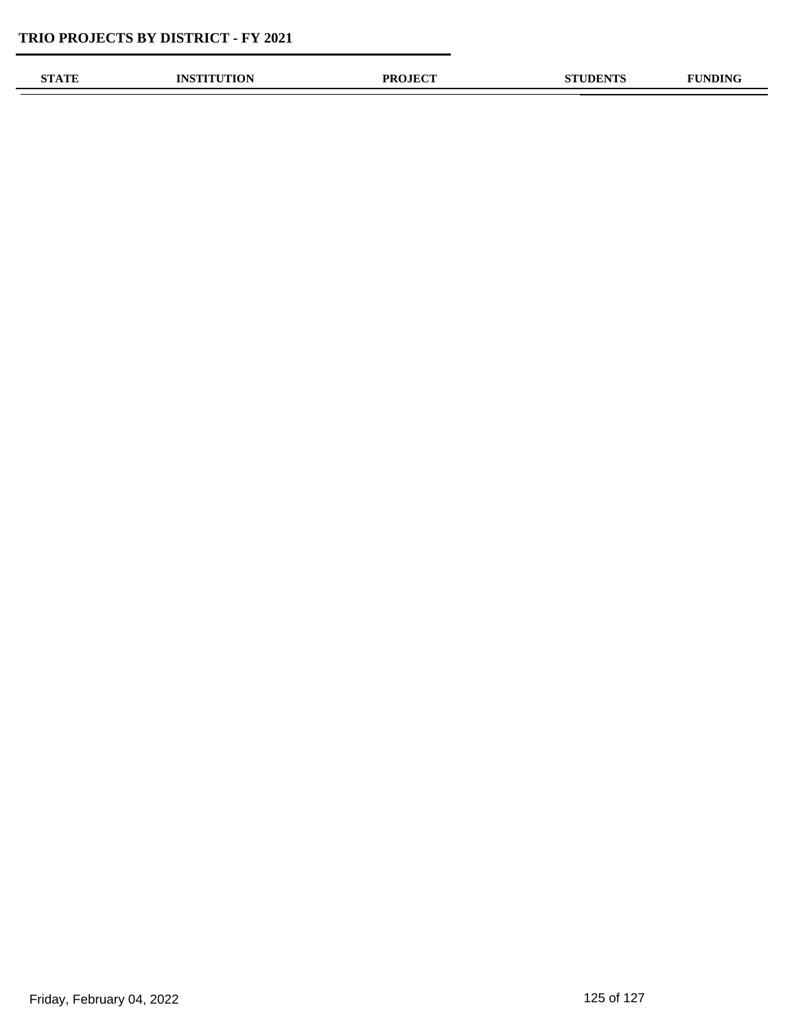| OTLA TELE | אומו<br><b>ALON</b> | <b>OJECT</b><br>PR( | <b>DENTS</b> | $\mathbf{m}$ |
|-----------|---------------------|---------------------|--------------|--------------|
|           |                     |                     |              |              |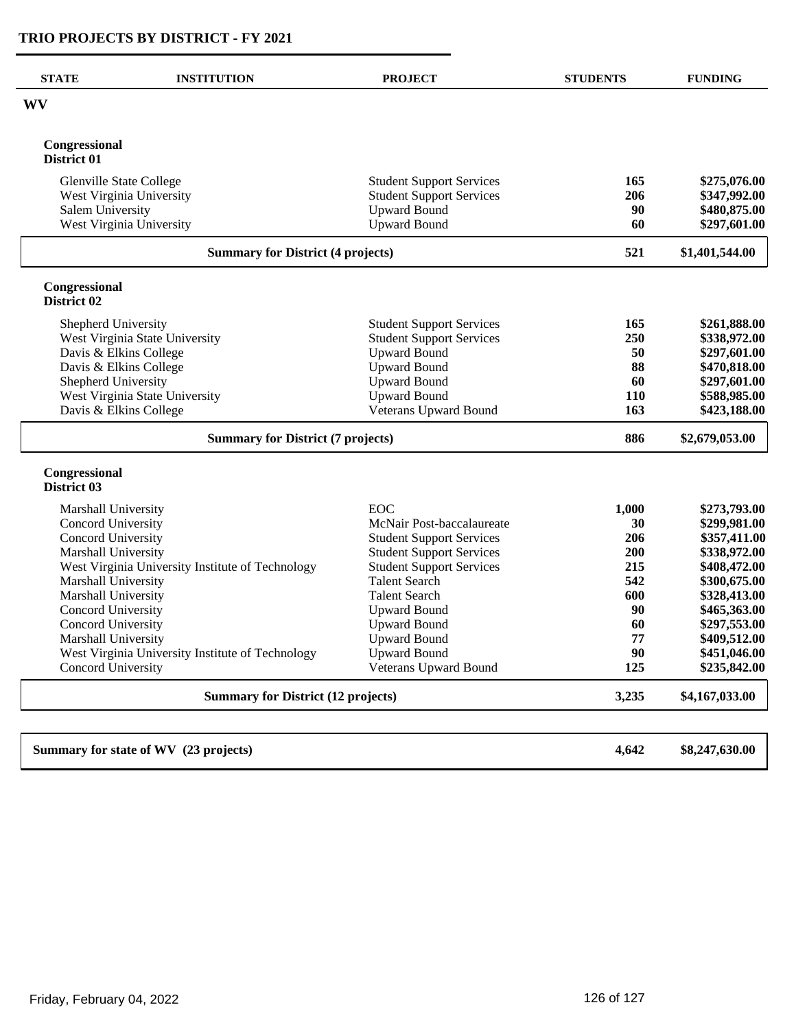| <b>STATE</b>                   | <b>INSTITUTION</b>                               | <b>PROJECT</b>                                         | <b>STUDENTS</b> | <b>FUNDING</b>               |
|--------------------------------|--------------------------------------------------|--------------------------------------------------------|-----------------|------------------------------|
| WV                             |                                                  |                                                        |                 |                              |
| Congressional<br>District 01   |                                                  |                                                        |                 |                              |
|                                |                                                  |                                                        |                 |                              |
| <b>Glenville State College</b> | West Virginia University                         | <b>Student Support Services</b>                        | 165<br>206      | \$275,076.00<br>\$347,992.00 |
| Salem University               |                                                  | <b>Student Support Services</b><br><b>Upward Bound</b> | 90              | \$480,875.00                 |
| West Virginia University       |                                                  | <b>Upward Bound</b>                                    | 60              | \$297,601.00                 |
|                                |                                                  |                                                        |                 |                              |
|                                | <b>Summary for District (4 projects)</b>         |                                                        | 521             | \$1,401,544.00               |
| Congressional<br>District 02   |                                                  |                                                        |                 |                              |
| Shepherd University            |                                                  | <b>Student Support Services</b>                        | 165             | \$261,888.00                 |
|                                | West Virginia State University                   | <b>Student Support Services</b>                        | 250             | \$338,972.00                 |
| Davis & Elkins College         |                                                  | <b>Upward Bound</b>                                    | 50              | \$297,601.00                 |
| Davis & Elkins College         |                                                  | <b>Upward Bound</b>                                    | 88              | \$470,818.00                 |
| Shepherd University            |                                                  | <b>Upward Bound</b>                                    | 60              | \$297,601.00                 |
|                                | West Virginia State University                   | <b>Upward Bound</b>                                    | 110             | \$588,985.00                 |
| Davis & Elkins College         |                                                  | Veterans Upward Bound                                  | 163             | \$423,188.00                 |
|                                | <b>Summary for District (7 projects)</b>         |                                                        | 886             | \$2,679,053.00               |
| Congressional<br>District 03   |                                                  |                                                        |                 |                              |
| Marshall University            |                                                  | EOC                                                    | 1,000           | \$273,793.00                 |
| Concord University             |                                                  | McNair Post-baccalaureate                              | 30              | \$299,981.00                 |
| Concord University             |                                                  | <b>Student Support Services</b>                        | 206             | \$357,411.00                 |
| Marshall University            |                                                  | <b>Student Support Services</b>                        | 200             | \$338,972.00                 |
|                                | West Virginia University Institute of Technology | <b>Student Support Services</b>                        | 215             | \$408,472.00                 |
| Marshall University            |                                                  | <b>Talent Search</b>                                   | 542             | \$300,675.00                 |
| Marshall University            |                                                  | <b>Talent Search</b>                                   | 600             | \$328,413.00                 |
| Concord University             |                                                  | <b>Upward Bound</b>                                    | 90              | \$465,363.00                 |
| Concord University             |                                                  | <b>Upward Bound</b>                                    | 60              | \$297,553.00                 |
| Marshall University            |                                                  | <b>Upward Bound</b>                                    | 77              | \$409,512.00                 |
|                                | West Virginia University Institute of Technology | <b>Upward Bound</b>                                    | 90              | \$451,046.00                 |
| Concord University             |                                                  | <b>Veterans Upward Bound</b>                           | 125             | \$235,842.00                 |
|                                | <b>Summary for District (12 projects)</b>        |                                                        | 3,235           | \$4,167,033.00               |
|                                |                                                  |                                                        |                 |                              |
|                                | Summary for state of WV (23 projects)            |                                                        | 4,642           | \$8,247,630.00               |